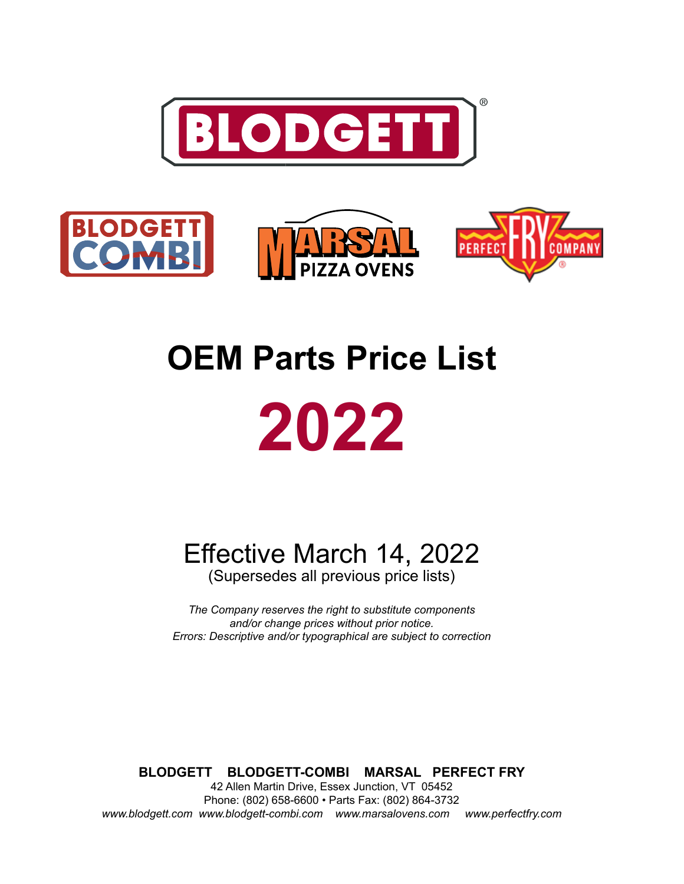



# **OEM Parts Price List 2022**

Effective March 14, 2022

(Supersedes all previous price lists)

*The Company reserves the right to substitute components and/or change prices without prior notice. Errors: Descriptive and/or typographical are subject to correction*

**BLODGETT BLODGETT-COMBI MARSAL PERFECT FRY** 42 Allen Martin Drive, Essex Junction, VT 05452 Phone: (802) 658-6600 • Parts Fax: (802) 864-3732 *www.blodgett.com www.blodgett-combi.com www.marsalovens.com www.perfectfry.com*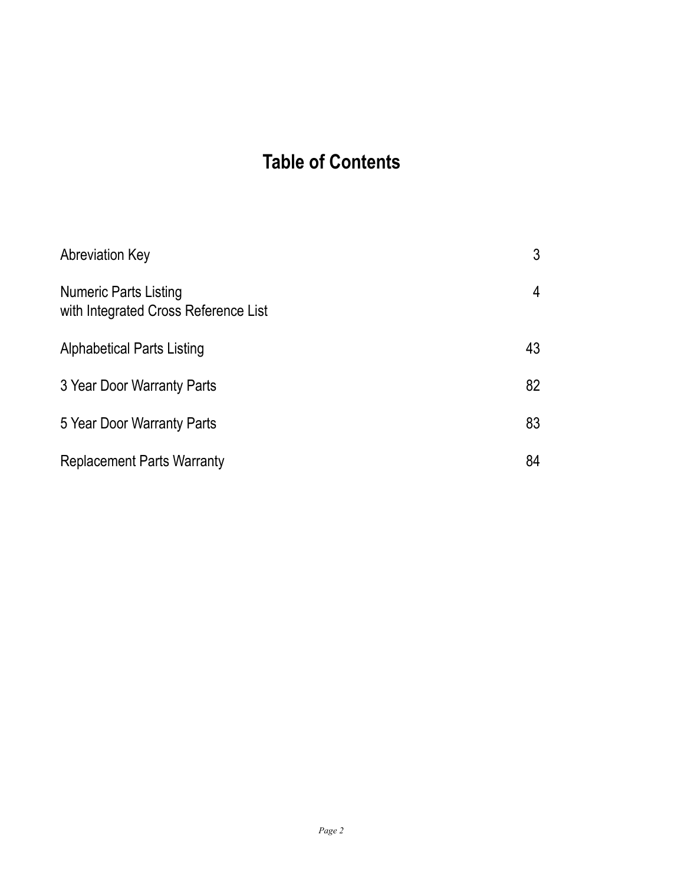## **Table of Contents**

| <b>Abreviation Key</b>                                               | 3  |
|----------------------------------------------------------------------|----|
| <b>Numeric Parts Listing</b><br>with Integrated Cross Reference List | 4  |
| Alphabetical Parts Listing                                           | 43 |
| 3 Year Door Warranty Parts                                           | 82 |
| 5 Year Door Warranty Parts                                           | 83 |
| <b>Replacement Parts Warranty</b>                                    | 84 |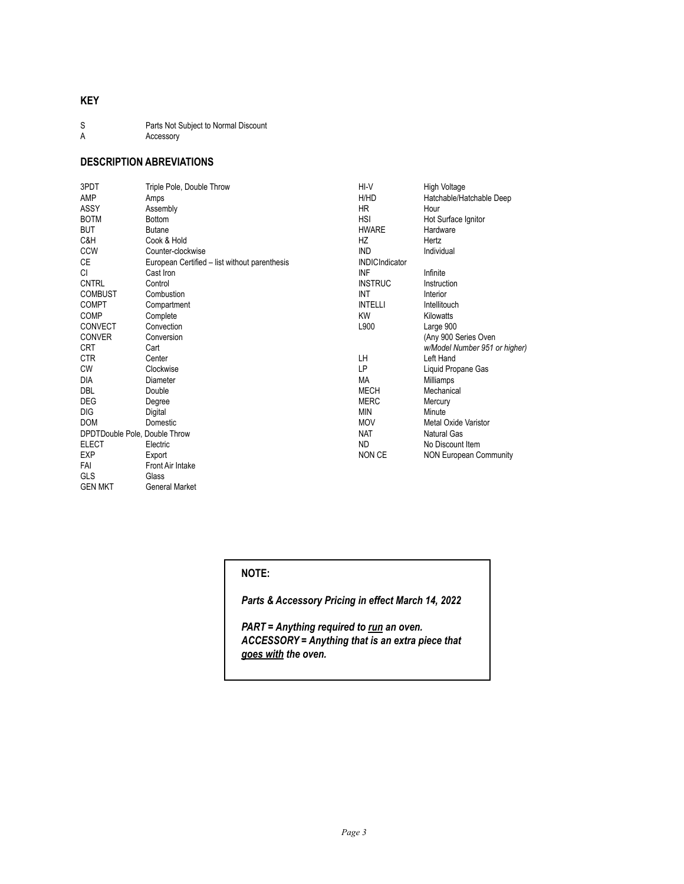#### **KEY**

- S Parts Not Subject to Normal Discount<br>A Accessory Accessory
- 

### **DESCRIPTION ABREVIATIONS**

GEN MKT General Market

| 3PDT                          | Triple Pole, Double Throw                     | HI-V                  | High Voltage                  |
|-------------------------------|-----------------------------------------------|-----------------------|-------------------------------|
| AMP                           | Amps                                          | H/HD                  | Hatchable/Hatchable Deep      |
| <b>ASSY</b>                   | Assembly                                      | <b>HR</b>             | Hour                          |
| <b>BOTM</b>                   | <b>Bottom</b>                                 | <b>HSI</b>            | Hot Surface Ignitor           |
| <b>BUT</b>                    | <b>Butane</b>                                 | <b>HWARE</b>          | Hardware                      |
| C&H                           | Cook & Hold                                   | HZ                    | Hertz                         |
| <b>CCW</b>                    | Counter-clockwise                             | <b>IND</b>            | Individual                    |
| CE                            | European Certified - list without parenthesis | <b>INDICIndicator</b> |                               |
| CI.                           | Cast Iron                                     | INF                   | Infinite                      |
| <b>CNTRL</b>                  | Control                                       | <b>INSTRUC</b>        | Instruction                   |
| <b>COMBUST</b>                | Combustion                                    | INT                   | Interior                      |
| <b>COMPT</b>                  | Compartment                                   | <b>INTELLI</b>        | Intellitouch                  |
| <b>COMP</b>                   | Complete                                      | <b>KW</b>             | Kilowatts                     |
| <b>CONVECT</b>                | Convection                                    | L900                  | Large 900                     |
| <b>CONVER</b>                 | Conversion                                    |                       | (Any 900 Series Oven          |
| <b>CRT</b>                    | Cart                                          |                       | w/Model Number 951 or higher) |
| <b>CTR</b>                    | Center                                        | LH.                   | Left Hand                     |
| <b>CW</b>                     | Clockwise                                     | LP                    | Liquid Propane Gas            |
| <b>DIA</b>                    | Diameter                                      | MA                    | Milliamps                     |
| DBL                           | Double                                        | <b>MECH</b>           | Mechanical                    |
| <b>DEG</b>                    | Degree                                        | <b>MERC</b>           | Mercury                       |
| DIG                           | Digital                                       | <b>MIN</b>            | Minute                        |
| <b>DOM</b>                    | Domestic                                      | <b>MOV</b>            | Metal Oxide Varistor          |
| DPDTDouble Pole, Double Throw |                                               | <b>NAT</b>            | Natural Gas                   |
| <b>ELECT</b>                  | Electric                                      | <b>ND</b>             | No Discount Item              |
| <b>EXP</b>                    | Export                                        | <b>NON CE</b>         | <b>NON European Community</b> |
| FAI                           | <b>Front Air Intake</b>                       |                       |                               |
| GLS                           | Glass                                         |                       |                               |

#### **NOTE:**

*Parts & Accessory Pricing in effect March 14, 2022*

*PART = Anything required to run an oven. ACCESSORY = Anything that is an extra piece that goes with the oven.*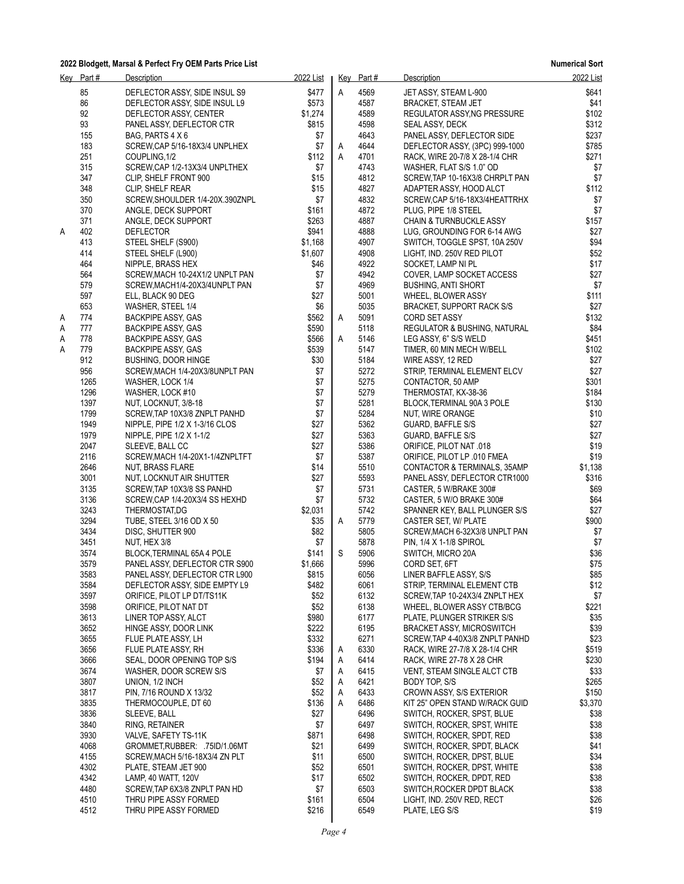|   | Key Part# | <b>Description</b>              | 2022 List |   | Key Part# | <b>Description</b>                      | 2022 List |
|---|-----------|---------------------------------|-----------|---|-----------|-----------------------------------------|-----------|
|   | 85        | DEFLECTOR ASSY, SIDE INSUL S9   | \$477     | A | 4569      | JET ASSY, STEAM L-900                   | \$641     |
|   | 86        | DEFLECTOR ASSY, SIDE INSUL L9   | \$573     |   | 4587      | <b>BRACKET, STEAM JET</b>               | \$41      |
|   | 92        | DEFLECTOR ASSY, CENTER          | \$1,274   |   | 4589      | REGULATOR ASSY NG PRESSURE              | \$102     |
|   | 93        | PANEL ASSY, DEFLECTOR CTR       | \$815     |   | 4598      | SEAL ASSY, DECK                         | \$312     |
|   | 155       | BAG, PARTS 4 X 6                | \$7       |   | 4643      | PANEL ASSY, DEFLECTOR SIDE              | \$237     |
|   | 183       | SCREW, CAP 5/16-18X3/4 UNPLHEX  | \$7       | Α | 4644      | DEFLECTOR ASSY, (3PC) 999-1000          | \$785     |
|   | 251       | COUPLING, 1/2                   | \$112     | Α | 4701      | RACK, WIRE 20-7/8 X 28-1/4 CHR          | \$271     |
|   | 315       | SCREW, CAP 1/2-13X3/4 UNPLTHEX  | \$7       |   | 4743      | WASHER, FLAT S/S 1.0" OD                | \$7       |
|   | 347       | CLIP, SHELF FRONT 900           | \$15      |   | 4812      | SCREW, TAP 10-16X3/8 CHRPLT PAN         | \$7       |
|   | 348       | CLIP, SHELF REAR                | \$15      |   | 4827      | ADAPTER ASSY, HOOD ALCT                 | \$112     |
|   | 350       | SCREW, SHOULDER 1/4-20X.390ZNPL | \$7       |   | 4832      | SCREW, CAP 5/16-18X3/4HEATTRHX          | \$7       |
|   | 370       | ANGLE, DECK SUPPORT             | \$161     |   | 4872      | PLUG, PIPE 1/8 STEEL                    | \$7       |
|   | 371       | ANGLE, DECK SUPPORT             | \$263     |   | 4887      | <b>CHAIN &amp; TURNBUCKLE ASSY</b>      | \$157     |
| Α | 402       | <b>DEFLECTOR</b>                | \$941     |   | 4888      | LUG, GROUNDING FOR 6-14 AWG             | \$27      |
|   | 413       | STEEL SHELF (S900)              | \$1,168   |   | 4907      | SWITCH, TOGGLE SPST, 10A 250V           | \$94      |
|   | 414       | STEEL SHELF (L900)              | \$1,607   |   | 4908      | LIGHT, IND. 250V RED PILOT              | \$52      |
|   | 464       | NIPPLE, BRASS HEX               | \$46      |   | 4922      | SOCKET, LAMP NI PL                      | \$17      |
|   | 564       | SCREW, MACH 10-24X1/2 UNPLT PAN | \$7       |   | 4942      | COVER, LAMP SOCKET ACCESS               | \$27      |
|   | 579       | SCREW, MACH1/4-20X3/4UNPLT PAN  | \$7       |   | 4969      | <b>BUSHING, ANTI SHORT</b>              | \$7       |
|   | 597       | ELL, BLACK 90 DEG               | \$27      |   | 5001      | WHEEL, BLOWER ASSY                      | \$111     |
|   | 653       | WASHER, STEEL 1/4               | \$6       |   | 5035      | BRACKET, SUPPORT RACK S/S               | \$27      |
| Α | 774       | BACKPIPE ASSY, GAS              | \$562     | Α | 5091      | CORD SET ASSY                           | \$132     |
| Α | 777       | BACKPIPE ASSY, GAS              | \$590     |   | 5118      | <b>REGULATOR &amp; BUSHING, NATURAL</b> | \$84      |
| Α | 778       | BACKPIPE ASSY, GAS              | \$566     | Α | 5146      | LEG ASSY, 6" S/S WELD                   | \$451     |
| Α | 779       | BACKPIPE ASSY, GAS              | \$539     |   | 5147      | TIMER, 60 MIN MECH W/BELL               | \$102     |
|   | 912       | <b>BUSHING, DOOR HINGE</b>      | \$30      |   | 5184      | WIRE ASSY, 12 RED                       | \$27      |
|   | 956       | SCREW, MACH 1/4-20X3/8UNPLT PAN | \$7       |   | 5272      | STRIP, TERMINAL ELEMENT ELCV            | \$27      |
|   | 1265      | WASHER, LOCK 1/4                | \$7       |   | 5275      | CONTACTOR, 50 AMP                       | \$301     |
|   | 1296      | WASHER, LOCK #10                | \$7       |   | 5279      | THERMOSTAT, KX-38-36                    | \$184     |
|   | 1397      | NUT, LOCKNUT, 3/8-18            | \$7       |   | 5281      | BLOCK, TERMINAL 90A 3 POLE              | \$130     |
|   | 1799      | SCREW, TAP 10X3/8 ZNPLT PANHD   | \$7       |   | 5284      | NUT, WIRE ORANGE                        | \$10      |
|   | 1949      | NIPPLE, PIPE 1/2 X 1-3/16 CLOS  | \$27      |   | 5362      | GUARD, BAFFLE S/S                       | \$27      |
|   | 1979      | NIPPLE, PIPE 1/2 X 1-1/2        | \$27      |   | 5363      | GUARD, BAFFLE S/S                       | \$27      |
|   | 2047      | SLEEVE, BALL CC                 | \$27      |   | 5386      | ORIFICE, PILOT NAT .018                 | \$19      |
|   | 2116      | SCREW, MACH 1/4-20X1-1/4ZNPLTFT | \$7       |   | 5387      | ORIFICE, PILOT LP .010 FMEA             | \$19      |
|   | 2646      | NUT, BRASS FLARE                | \$14      |   | 5510      | CONTACTOR & TERMINALS, 35AMP            | \$1,138   |
|   | 3001      | NUT, LOCKNUT AIR SHUTTER        | \$27      |   | 5593      | PANEL ASSY, DEFLECTOR CTR1000           | \$316     |
|   | 3135      | SCREW, TAP 10X3/8 SS PANHD      | \$7       |   | 5731      | CASTER, 5 W/BRAKE 300#                  | \$69      |
|   | 3136      | SCREW, CAP 1/4-20X3/4 SS HEXHD  | \$7       |   | 5732      | CASTER, 5 W/O BRAKE 300#                | \$64      |
|   | 3243      | THERMOSTAT,DG                   | \$2,031   |   | 5742      | SPANNER KEY, BALL PLUNGER S/S           | \$27      |
|   | 3294      | TUBE, STEEL 3/16 OD X 50        | \$35      | A | 5779      | CASTER SET, W/ PLATE                    | \$900     |
|   | 3434      | DISC, SHUTTER 900               | \$82      |   | 5805      | SCREW, MACH 6-32X3/8 UNPLT PAN          | \$7       |
|   | 3451      | NUT, HEX 3/8                    | \$7       |   | 5878      | PIN, 1/4 X 1-1/8 SPIROL                 | \$7       |
|   | 3574      | BLOCK, TERMINAL 65A 4 POLE      | \$141     | S | 5906      | SWITCH, MICRO 20A                       | \$36      |
|   | 3579      | PANEL ASSY, DEFLECTOR CTR S900  | \$1,666   |   | 5996      | CORD SET, 6FT                           | \$75      |
|   | 3583      | PANEL ASSY, DEFLECTOR CTR L900  | \$815     |   | 6056      | LINER BAFFLE ASSY, S/S                  | \$85      |
|   | 3584      | DEFLECTOR ASSY, SIDE EMPTY L9   | \$482     |   | 6061      | STRIP, TERMINAL ELEMENT CTB             | \$12      |
|   | 3597      | ORIFICE, PILOT LP DT/TS11K      | \$52      |   | 6132      | SCREW, TAP 10-24X3/4 ZNPLT HEX          | \$7       |
|   | 3598      | ORIFICE, PILOT NAT DT           | \$52      |   | 6138      | WHEEL, BLOWER ASSY CTB/BCG              | \$221     |
|   | 3613      | LINER TOP ASSY, ALCT            | \$980     |   | 6177      | PLATE, PLUNGER STRIKER S/S              | \$35      |
|   | 3652      | HINGE ASSY, DOOR LINK           | \$222     |   | 6195      | <b>BRACKET ASSY, MICROSWITCH</b>        | \$39      |
|   | 3655      | FLUE PLATE ASSY, LH             | \$332     |   | 6271      | SCREW, TAP 4-40X3/8 ZNPLT PANHD         | \$23      |
|   | 3656      | FLUE PLATE ASSY, RH             | \$336     | Α | 6330      | RACK, WIRE 27-7/8 X 28-1/4 CHR          | \$519     |
|   | 3666      | SEAL, DOOR OPENING TOP S/S      | \$194     | Α | 6414      | RACK, WIRE 27-78 X 28 CHR               | \$230     |
|   | 3674      | WASHER, DOOR SCREW S/S          | \$7       | Α | 6415      | VENT, STEAM SINGLE ALCT CTB             | \$33      |
|   | 3807      | UNION, 1/2 INCH                 | \$52      | Α | 6421      | BODY TOP, S/S                           | \$265     |
|   | 3817      | PIN, 7/16 ROUND X 13/32         | \$52      | Α | 6433      | CROWN ASSY, S/S EXTERIOR                | \$150     |
|   | 3835      | THERMOCOUPLE, DT 60             | \$136     | А | 6486      | KIT 25" OPEN STAND W/RACK GUID          | \$3,370   |
|   | 3836      | SLEEVE, BALL                    | \$27      |   | 6496      | SWITCH, ROCKER, SPST, BLUE              | \$38      |
|   | 3840      | RING, RETAINER                  | \$7       |   | 6497      | SWITCH, ROCKER, SPST, WHITE             | \$38      |
|   | 3930      | VALVE, SAFETY TS-11K            | \$871     |   | 6498      | SWITCH, ROCKER, SPDT, RED               | \$38      |
|   | 4068      | GROMMET, RUBBER: .75ID/1.06MT   | \$21      |   | 6499      | SWITCH, ROCKER, SPDT, BLACK             | \$41      |
|   | 4155      | SCREW, MACH 5/16-18X3/4 ZN PLT  | \$11      |   | 6500      | SWITCH, ROCKER, DPST, BLUE              | \$34      |
|   | 4302      | PLATE, STEAM JET 900            | \$52      |   | 6501      | SWITCH, ROCKER, DPST, WHITE             | \$38      |
|   | 4342      | LAMP, 40 WATT, 120V             | \$17      |   | 6502      | SWITCH, ROCKER, DPDT, RED               | \$38      |
|   | 4480      | SCREW, TAP 6X3/8 ZNPLT PAN HD   | \$7       |   | 6503      | SWITCH, ROCKER DPDT BLACK               | \$38      |
|   | 4510      | THRU PIPE ASSY FORMED           | \$161     |   | 6504      | LIGHT, IND. 250V RED, RECT              | \$26      |
|   | 4512      | THRU PIPE ASSY FORMED           | \$216     |   | 6549      | PLATE, LEG S/S                          | \$19      |
|   |           |                                 |           |   |           |                                         |           |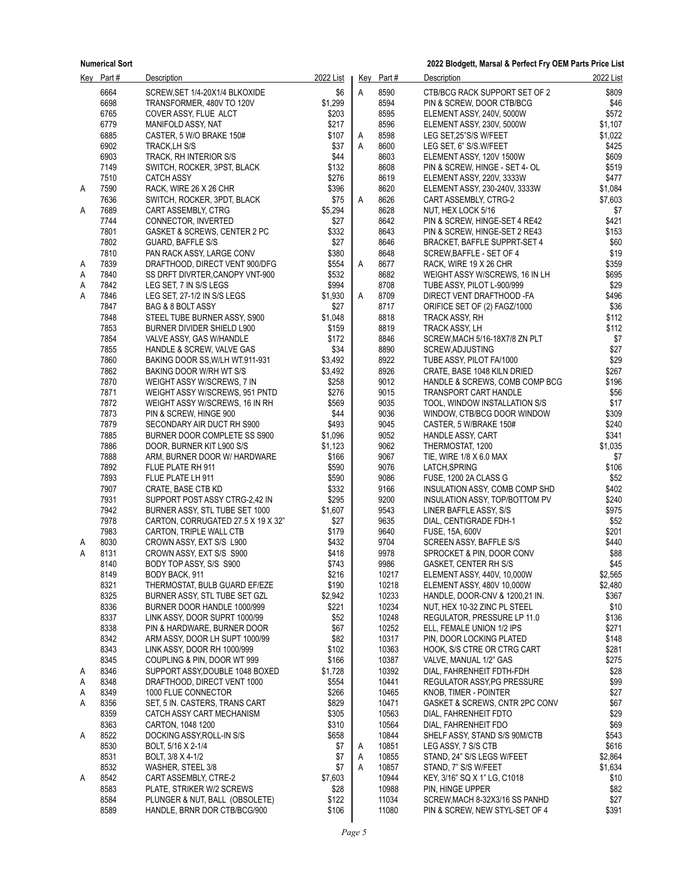|        | Key Part#    | <b>Description</b>                                           | 2022 List       |   | Key Part#      | Description                                                    | 2022 List      |
|--------|--------------|--------------------------------------------------------------|-----------------|---|----------------|----------------------------------------------------------------|----------------|
|        | 6664         | SCREW, SET 1/4-20X1/4 BLKOXIDE                               | \$6             | A | 8590           | CTB/BCG RACK SUPPORT SET OF 2                                  | \$809          |
|        | 6698         | TRANSFORMER, 480V TO 120V                                    | \$1,299         |   | 8594           | PIN & SCREW, DOOR CTB/BCG                                      | \$46           |
|        | 6765         | COVER ASSY, FLUE ALCT                                        | \$203           |   | 8595           | ELEMENT ASSY, 240V, 5000W                                      | \$572          |
|        | 6779         | MANIFOLD ASSY, NAT                                           | \$217           |   | 8596           | ELEMENT ASSY, 230V, 5000W                                      | \$1,107        |
|        | 6885         | CASTER, 5 W/O BRAKE 150#                                     | \$107           | Α | 8598           | LEG SET, 25"S/S W/FEET                                         | \$1,022        |
|        | 6902         | TRACK, LH S/S                                                | \$37            | A | 8600           | LEG SET, 6" S/S.W/FEET                                         | \$425          |
|        | 6903         | TRACK, RH INTERIOR S/S                                       | \$44            |   | 8603           | ELEMENT ASSY, 120V 1500W                                       | \$609          |
|        | 7149         | SWITCH, ROCKER, 3PST, BLACK                                  | \$132           |   | 8608           | PIN & SCREW, HINGE - SET 4- OL                                 | \$519          |
|        | 7510         | <b>CATCH ASSY</b>                                            | \$276           |   | 8619           | ELEMENT ASSY, 220V, 3333W                                      | \$477          |
| A      | 7590         | RACK, WIRE 26 X 26 CHR                                       | \$396           |   | 8620           | ELEMENT ASSY, 230-240V, 3333W                                  | \$1,084        |
|        | 7636         | SWITCH, ROCKER, 3PDT, BLACK                                  | \$75            | A | 8626           | CART ASSEMBLY, CTRG-2                                          | \$7,603        |
| A      | 7689<br>7744 | CART ASSEMBLY, CTRG                                          | \$5,294<br>\$27 |   | 8628<br>8642   | NUT, HEX LOCK 5/16                                             | \$7<br>\$421   |
|        | 7801         | CONNECTOR, INVERTED<br>GASKET & SCREWS, CENTER 2 PC          | \$332           |   | 8643           | PIN & SCREW, HINGE-SET 4 RE42<br>PIN & SCREW, HINGE-SET 2 RE43 | \$153          |
|        | 7802         | GUARD, BAFFLE S/S                                            | \$27            |   | 8646           | BRACKET, BAFFLE SUPPRT-SET 4                                   | \$60           |
|        | 7810         | PAN RACK ASSY, LARGE CONV                                    | \$380           |   | 8648           | SCREW, BAFFLE - SET OF 4                                       | \$19           |
| A      | 7839         | DRAFTHOOD, DIRECT VENT 900/DFG                               | \$554           | Α | 8677           | RACK, WIRE 19 X 26 CHR                                         | \$359          |
| A      | 7840         | SS DRFT DIVRTER, CANOPY VNT-900                              | \$532           |   | 8682           | WEIGHT ASSY W/SCREWS, 16 IN LH                                 | \$695          |
| Α      | 7842         | LEG SET, 7 IN S/S LEGS                                       | \$994           |   | 8708           | TUBE ASSY, PILOT L-900/999                                     | \$29           |
| Α      | 7846         | LEG SET, 27-1/2 IN S/S LEGS                                  | \$1,930         | A | 8709           | DIRECT VENT DRAFTHOOD -FA                                      | \$496          |
|        | 7847         | BAG & 8 BOLT ASSY                                            | \$27            |   | 8717           | ORIFICE SET OF (2) FAGZ/1000                                   | \$36           |
|        | 7848         | STEEL TUBE BURNER ASSY, S900                                 | \$1,048         |   | 8818           | TRACK ASSY, RH                                                 | \$112          |
|        | 7853         | BURNER DIVIDER SHIELD L900                                   | \$159           |   | 8819           | TRACK ASSY, LH                                                 | \$112          |
|        | 7854         | VALVE ASSY, GAS W/HANDLE                                     | \$172           |   | 8846           | SCREW, MACH 5/16-18X7/8 ZN PLT                                 | \$7            |
|        | 7855         | HANDLE & SCREW, VALVE GAS                                    | \$34            |   | 8890           | SCREW, ADJUSTING                                               | \$27           |
|        | 7860         | BAKING DOOR SS, W/LH WT.911-931                              | \$3,492         |   | 8922           | TUBE ASSY, PILOT FA/1000                                       | \$29           |
|        | 7862         | BAKING DOOR W/RH WT S/S                                      | \$3,492         |   | 8926           | CRATE, BASE 1048 KILN DRIED                                    | \$267          |
|        | 7870<br>7871 | WEIGHT ASSY W/SCREWS, 7 IN<br>WEIGHT ASSY W/SCREWS, 951 PNTD | \$258<br>\$276  |   | 9012<br>9015   | HANDLE & SCREWS, COMB COMP BCG<br><b>TRANSPORT CART HANDLE</b> | \$196<br>\$56  |
|        | 7872         | WEIGHT ASSY W/SCREWS, 16 IN RH                               | \$569           |   | 9035           | TOOL, WINDOW INSTALLATION S/S                                  | \$17           |
|        | 7873         | PIN & SCREW, HINGE 900                                       | \$44            |   | 9036           | WINDOW, CTB/BCG DOOR WINDOW                                    | \$309          |
|        | 7879         | SECONDARY AIR DUCT RH S900                                   | \$493           |   | 9045           | CASTER, 5 W/BRAKE 150#                                         | \$240          |
|        | 7885         | BURNER DOOR COMPLETE SS S900                                 | \$1,096         |   | 9052           | <b>HANDLE ASSY, CART</b>                                       | \$341          |
|        | 7886         | DOOR, BURNER KIT L900 S/S                                    | \$1,123         |   | 9062           | THERMOSTAT, 1200                                               | \$1,035        |
|        | 7888         | ARM, BURNER DOOR W/ HARDWARE                                 | \$166           |   | 9067           | TIE, WIRE 1/8 X 6.0 MAX                                        | \$7            |
|        | 7892         | FLUE PLATE RH 911                                            | \$590           |   | 9076           | LATCH, SPRING                                                  | \$106          |
|        | 7893         | FLUE PLATE LH 911                                            | \$590           |   | 9086           | FUSE, 1200 2A CLASS G                                          | \$52           |
|        | 7907         | CRATE, BASE CTB KD                                           | \$332           |   | 9166           | INSULATION ASSY, COMB COMP SHD                                 | \$402          |
|        | 7931         | SUPPORT POST ASSY CTRG-2,42 IN                               | \$295           |   | 9200           | INSULATION ASSY, TOP/BOTTOM PV                                 | \$240          |
|        | 7942         | BURNER ASSY, STL TUBE SET 1000                               | \$1,607         |   | 9543           | LINER BAFFLE ASSY, S/S                                         | \$975          |
|        | 7978         | CARTON, CORRUGATED 27.5 X 19 X 32"                           | \$27            |   | 9635           | DIAL, CENTIGRADE FDH-1                                         | \$52           |
|        | 7983<br>8030 | CARTON, TRIPLE WALL CTB<br>CROWN ASSY, EXT S/S L900          | \$179<br>\$432  |   | 9640<br>9704   | FUSE, 15A, 600V                                                | \$201<br>\$440 |
| A<br>Α | 8131         | CROWN ASSY, EXT S/S S900                                     | \$418           |   | 9978           | SCREEN ASSY, BAFFLE S/S<br>SPROCKET & PIN, DOOR CONV           | \$88           |
|        | 8140         | BODY TOP ASSY, S/S S900                                      | \$743           |   | 9986           | <b>GASKET, CENTER RH S/S</b>                                   | \$45           |
|        | 8149         | BODY BACK, 911                                               | \$216           |   | 10217          | ELEMENT ASSY, 440V, 10,000W                                    | \$2,565        |
|        | 8321         | THERMOSTAT, BULB GUARD EF/EZE                                | \$190           |   | 10218          | ELEMENT ASSY, 480V 10,000W                                     | \$2,480        |
|        | 8325         | BURNER ASSY, STL TUBE SET GZL                                | \$2,942         |   | 10233          | HANDLE, DOOR-CNV & 1200.21 IN.                                 | \$367          |
|        | 8336         | BURNER DOOR HANDLE 1000/999                                  | \$221           |   | 10234          | NUT, HEX 10-32 ZINC PL STEEL                                   | \$10           |
|        | 8337         | LINK ASSY, DOOR SUPRT 1000/99                                | \$52            |   | 10248          | REGULATOR, PRESSURE LP 11.0                                    | \$136          |
|        | 8338         | PIN & HARDWARE, BURNER DOOR                                  | \$67            |   | 10252          | ELL, FEMALE UNION 1/2 IPS                                      | \$271          |
|        | 8342         | ARM ASSY, DOOR LH SUPT 1000/99                               | \$82            |   | 10317          | PIN, DOOR LOCKING PLATED                                       | \$148          |
|        | 8343         | LINK ASSY, DOOR RH 1000/999                                  | \$102           |   | 10363          | HOOK, S/S CTRE OR CTRG CART                                    | \$281          |
|        | 8345         | COUPLING & PIN, DOOR WT 999                                  | \$166           |   | 10387          | VALVE, MANUAL 1/2" GAS                                         | \$275          |
| A      | 8346         | SUPPORT ASSY, DOUBLE 1048 BOXED                              | \$1,728         |   | 10392          | DIAL, FAHRENHEIT FDTH-FDH                                      | \$28           |
| A      | 8348         | DRAFTHOOD, DIRECT VENT 1000                                  | \$554           |   | 10441          | REGULATOR ASSY, PG PRESSURE                                    | \$99           |
| A      | 8349         | 1000 FLUE CONNECTOR                                          | \$266           |   | 10465          | KNOB, TIMER - POINTER                                          | \$27           |
| A      | 8356         | SET, 5 IN. CASTERS, TRANS CART                               | \$829           |   | 10471          | GASKET & SCREWS, CNTR 2PC CONV<br>DIAL, FAHRENHEIT FDTO        | \$67           |
|        | 8359<br>8363 | CATCH ASSY CART MECHANISM<br>CARTON, 1048 1200               | \$305<br>\$310  |   | 10563<br>10564 | DIAL, FAHRENHEIT FDO                                           | \$29<br>\$69   |
| A      | 8522         | DOCKING ASSY, ROLL-IN S/S                                    | \$658           |   | 10844          | SHELF ASSY, STAND S/S 90M/CTB                                  | \$543          |
|        | 8530         | BOLT, 5/16 X 2-1/4                                           | \$7             | A | 10851          | LEG ASSY, 7 S/S CTB                                            | \$616          |
|        | 8531         | BOLT, 3/8 X 4-1/2                                            | \$7             | A | 10855          | STAND, 24" S/S LEGS W/FEET                                     | \$2,864        |
|        | 8532         | WASHER, STEEL 3/8                                            | \$7             | Α | 10857          | STAND, 7" S/S W/FEET                                           | \$1,634        |
| Α      | 8542         | CART ASSEMBLY, CTRE-2                                        | \$7,603         |   | 10944          | KEY, 3/16" SQ X 1" LG, C1018                                   | \$10           |
|        | 8583         | PLATE, STRIKER W/2 SCREWS                                    | \$28            |   | 10988          | PIN, HINGE UPPER                                               | \$82           |
|        | 8584         | PLUNGER & NUT, BALL (OBSOLETE)                               | \$122           |   | 11034          | SCREW, MACH 8-32X3/16 SS PANHD                                 | \$27           |
|        | 8589         | HANDLE, BRNR DOR CTB/BCG/900                                 | \$106           |   | 11080          | PIN & SCREW, NEW STYL-SET OF 4                                 | \$391          |
|        |              |                                                              |                 |   |                |                                                                |                |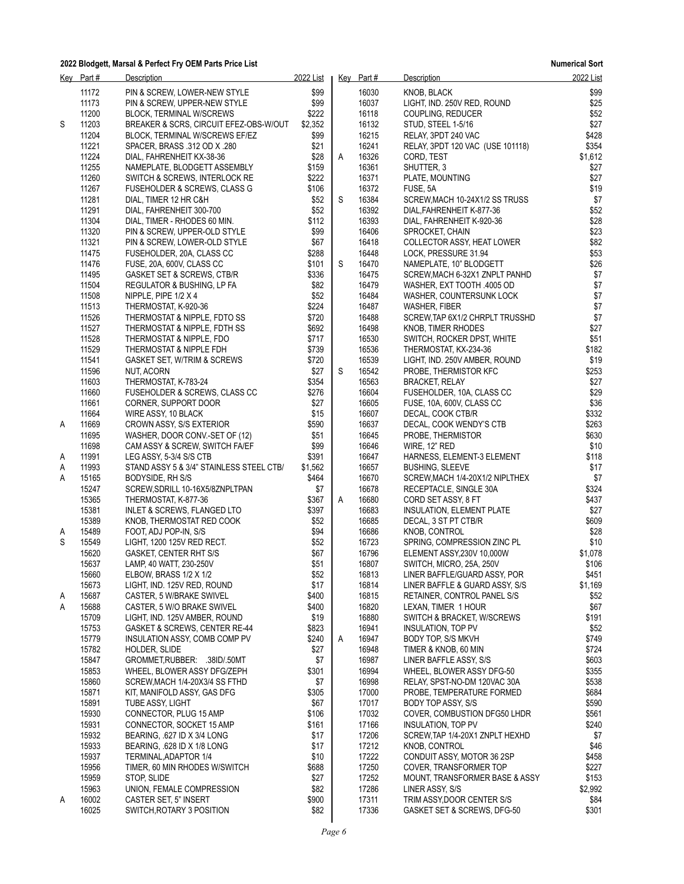|        | Key Part#      | <b>Description</b>                                                  | 2022 List     |   | Key Part# | Description                                              | 2022 List       |
|--------|----------------|---------------------------------------------------------------------|---------------|---|-----------|----------------------------------------------------------|-----------------|
|        | 11172          | PIN & SCREW, LOWER-NEW STYLE                                        | \$99          |   | 16030     | KNOB, BLACK                                              | \$99            |
|        | 11173          | PIN & SCREW, UPPER-NEW STYLE                                        | \$99          |   | 16037     | LIGHT, IND. 250V RED, ROUND                              | \$25            |
|        | 11200          | <b>BLOCK, TERMINAL W/SCREWS</b>                                     | \$222         |   | 16118     | COUPLING, REDUCER                                        | \$52            |
| S      | 11203          | BREAKER & SCRS, CIRCUIT EFEZ-OBS-W/OUT                              | \$2,352       |   | 16132     | STUD, STEEL 1-5/16                                       | \$27            |
|        | 11204          | BLOCK, TERMINAL W/SCREWS EF/EZ                                      | \$99          |   | 16215     | RELAY, 3PDT 240 VAC                                      | \$428           |
|        | 11221          | SPACER, BRASS .312 OD X .280                                        | \$21          |   | 16241     | RELAY, 3PDT 120 VAC (USE 101118)                         | \$354           |
|        | 11224          | DIAL, FAHRENHEIT KX-38-36                                           | \$28          | A | 16326     | CORD, TEST                                               | \$1,612         |
|        | 11255          | NAMEPLATE, BLODGETT ASSEMBLY                                        | \$159         |   | 16361     | SHUTTER, 3                                               | \$27            |
|        | 11260          | SWITCH & SCREWS, INTERLOCK RE                                       | \$222         |   | 16371     | PLATE, MOUNTING                                          | \$27            |
|        | 11267          | FUSEHOLDER & SCREWS, CLASS G                                        | \$106         |   | 16372     | FUSE, 5A                                                 | \$19            |
|        | 11281          | DIAL, TIMER 12 HR C&H                                               | \$52          | S | 16384     | SCREW, MACH 10-24X1/2 SS TRUSS                           | \$7             |
|        | 11291          | DIAL, FAHRENHEIT 300-700                                            | \$52          |   | 16392     | DIAL, FAHRENHEIT K-877-36                                | \$52            |
|        | 11304          | DIAL, TIMER - RHODES 60 MIN.                                        | \$112         |   | 16393     | DIAL, FAHRENHEIT K-920-36                                | \$28            |
|        | 11320          | PIN & SCREW, UPPER-OLD STYLE                                        | \$99          |   | 16406     | SPROCKET, CHAIN                                          | \$23            |
|        | 11321          | PIN & SCREW, LOWER-OLD STYLE                                        | \$67          |   | 16418     | COLLECTOR ASSY, HEAT LOWER                               | \$82            |
|        | 11475          | FUSEHOLDER, 20A, CLASS CC                                           | \$288         |   | 16448     | LOCK, PRESSURE 31.94                                     | \$53            |
|        | 11476          | FUSE, 20A, 600V, CLASS CC                                           | \$101         | S | 16470     | NAMEPLATE, 10" BLODGETT                                  | \$26            |
|        | 11495          | GASKET SET & SCREWS, CTB/R                                          | \$336         |   | 16475     | SCREW, MACH 6-32X1 ZNPLT PANHD                           | \$7             |
|        | 11504          | REGULATOR & BUSHING, LP FA                                          | \$82          |   | 16479     | WASHER, EXT TOOTH .4005 OD                               | \$7             |
|        | 11508          | NIPPLE, PIPE 1/2 X 4                                                | \$52          |   | 16484     | WASHER, COUNTERSUNK LOCK                                 | \$7             |
|        | 11513          | THERMOSTAT, K-920-36                                                | \$224         |   | 16487     | WASHER, FIBER                                            | $$7$            |
|        | 11526          | THERMOSTAT & NIPPLE, FDTO SS                                        | \$720         |   | 16488     | SCREW TAP 6X1/2 CHRPLT TRUSSHD                           | \$7             |
|        | 11527          | THERMOSTAT & NIPPLE, FDTH SS                                        | \$692         |   | 16498     | <b>KNOB, TIMER RHODES</b>                                | \$27            |
|        | 11528          | THERMOSTAT & NIPPLE, FDO                                            | \$717         |   | 16530     | SWITCH, ROCKER DPST, WHITE                               | \$51            |
|        | 11529          | THERMOSTAT & NIPPLE FDH                                             | \$739         |   | 16536     | THERMOSTAT, KX-234-36                                    | \$182           |
|        | 11541          | GASKET SET, W/TRIM & SCREWS                                         | \$720         |   | 16539     | LIGHT, IND. 250V AMBER, ROUND                            | \$19            |
|        | 11596          | NUT, ACORN                                                          | \$27          | S | 16542     | PROBE, THERMISTOR KFC                                    | \$253           |
|        | 11603          | THERMOSTAT, K-783-24                                                | \$354         |   | 16563     | <b>BRACKET, RELAY</b>                                    | \$27            |
|        | 11660          | FUSEHOLDER & SCREWS, CLASS CC                                       | \$276         |   | 16604     | FUSEHOLDER, 10A, CLASS CC                                | \$29            |
|        | 11661          | CORNER, SUPPORT DOOR                                                | \$27          |   | 16605     | FUSE, 10A, 600V, CLASS CC                                | \$36            |
|        | 11664          | WIRE ASSY, 10 BLACK                                                 | \$15          |   | 16607     | DECAL, COOK CTB/R                                        | \$332           |
| A      | 11669          | CROWN ASSY, S/S EXTERIOR                                            | \$590         |   | 16637     | DECAL, COOK WENDY'S CTB                                  | \$263           |
|        | 11695          |                                                                     | \$51          |   | 16645     | PROBE, THERMISTOR                                        | \$630           |
|        | 11698          | WASHER, DOOR CONV.-SET OF (12)<br>CAM ASSY & SCREW, SWITCH FA/EF    | \$99          |   | 16646     | WIRE, 12" RED                                            | \$10            |
|        | 11991          |                                                                     | \$391         |   | 16647     | HARNESS, ELEMENT-3 ELEMENT                               | \$118           |
| A      | 11993          | LEG ASSY, 5-3/4 S/S CTB<br>STAND ASSY 5 & 3/4" STAINLESS STEEL CTB/ | \$1,562       |   | 16657     | <b>BUSHING, SLEEVE</b>                                   | \$17            |
| Α<br>A | 15165          | BODYSIDE, RH S/S                                                    | \$464         |   | 16670     | SCREW, MACH 1/4-20X1/2 NIPLTHEX                          | \$7             |
|        | 15247          | SCREW, SDRILL 10-16X5/8ZNPLTPAN                                     | \$7           |   | 16678     | RECEPTACLE, SINGLE 30A                                   | \$324           |
|        | 15365          | THERMOSTAT, K-877-36                                                | \$367         | A | 16680     | CORD SET ASSY, 8 FT                                      | \$437           |
|        | 15381          | INLET & SCREWS, FLANGED LTO                                         | \$397         |   | 16683     | INSULATION, ELEMENT PLATE                                | \$27            |
|        | 15389          | KNOB, THERMOSTAT RED COOK                                           | \$52          |   | 16685     | DECAL, 3 ST PT CTB/R                                     | \$609           |
|        | 15489          | FOOT, ADJ POP-IN, S/S                                               | \$94          |   | 16686     | KNOB, CONTROL                                            | \$28            |
| A<br>S | 15549          | LIGHT, 1200 125V RED RECT.                                          | \$52          |   | 16723     | SPRING, COMPRESSION ZINC PL                              | \$10            |
|        | 15620          | GASKET, CENTER RHT S/S                                              | \$67          |   | 16796     | ELEMENT ASSY,230V 10,000W                                | \$1,078         |
|        | 15637          |                                                                     | \$51          |   | 16807     |                                                          | \$106           |
|        | 15660          | LAMP, 40 WATT, 230-250V<br>ELBOW, BRASS 1/2 X 1/2                   | \$52          |   | 16813     | SWITCH, MICRO, 25A, 250V<br>LINER BAFFLE/GUARD ASSY, POR | \$451           |
|        | 15673          | LIGHT, IND. 125V RED, ROUND                                         | \$17          |   | 16814     | LINER BAFFLE & GUARD ASSY, S/S                           |                 |
|        | 15687          | CASTER, 5 W/BRAKE SWIVEL                                            | \$400         |   | 16815     | RETAINER, CONTROL PANEL S/S                              | \$1,169<br>\$52 |
| A<br>A | 15688          | CASTER, 5 W/O BRAKE SWIVEL                                          | \$400         |   | 16820     | LEXAN, TIMER 1 HOUR                                      | \$67            |
|        | 15709          | LIGHT, IND. 125V AMBER, ROUND                                       | \$19          |   | 16880     |                                                          |                 |
|        |                |                                                                     |               |   | 16941     | SWITCH & BRACKET, W/SCREWS                               | \$191           |
|        | 15753<br>15779 | GASKET & SCREWS, CENTER RE-44                                       | \$823         | A | 16947     | INSULATION, TOP PV                                       | \$52<br>\$749   |
|        | 15782          | INSULATION ASSY, COMB COMP PV<br>HOLDER, SLIDE                      | \$240<br>\$27 |   | 16948     | BODY TOP, S/S MKVH<br>TIMER & KNOB, 60 MIN               | \$724           |
|        | 15847          | GROMMET, RUBBER: .38ID/.50MT                                        | \$7           |   | 16987     |                                                          | \$603           |
|        |                |                                                                     |               |   |           | LINER BAFFLE ASSY, S/S                                   |                 |
|        | 15853          | WHEEL, BLOWER ASSY DFG/ZEPH                                         | \$301         |   | 16994     | WHEEL, BLOWER ASSY DFG-50                                | \$355           |
|        | 15860          | SCREW, MACH 1/4-20X3/4 SS FTHD                                      | \$7           |   | 16998     | RELAY, SPST-NO-DM 120VAC 30A                             | \$538           |
|        | 15871          | KIT, MANIFOLD ASSY, GAS DFG                                         | \$305         |   | 17000     | PROBE, TEMPERATURE FORMED                                | \$684           |
|        | 15891          | TUBE ASSY, LIGHT                                                    | \$67          |   | 17017     | BODY TOP ASSY, S/S                                       | \$590           |
|        | 15930          | CONNECTOR, PLUG 15 AMP                                              | \$106         |   | 17032     | COVER, COMBUSTION DFG50 LHDR                             | \$561           |
|        | 15931          | CONNECTOR, SOCKET 15 AMP                                            | \$161         |   | 17166     | <b>INSULATION, TOP PV</b>                                | \$240           |
|        | 15932          | BEARING, .627 ID X 3/4 LONG                                         | \$17          |   | 17206     | SCREW, TAP 1/4-20X1 ZNPLT HEXHD                          | \$7             |
|        | 15933          | BEARING, 628 ID X 1/8 LONG                                          | \$17          |   | 17212     | KNOB, CONTROL                                            | \$46            |
|        | 15937          | TERMINAL, ADAPTOR 1/4                                               | \$10          |   | 17222     | CONDUIT ASSY, MOTOR 36 2SP                               | \$458           |
|        | 15956          | TIMER, 60 MIN RHODES W/SWITCH                                       | \$688         |   | 17250     | COVER, TRANSFORMER TOP                                   | \$227           |
|        | 15959          | STOP, SLIDE                                                         | \$27          |   | 17252     | <b>MOUNT, TRANSFORMER BASE &amp; ASSY</b>                | \$153           |
|        | 15963          | UNION, FEMALE COMPRESSION                                           | \$82          |   | 17286     | LINER ASSY, S/S                                          | \$2,992         |
| A      | 16002          | CASTER SET, 5" INSERT                                               | \$900         |   | 17311     | TRIM ASSY, DOOR CENTER S/S                               | \$84            |
|        | 16025          | SWITCH, ROTARY 3 POSITION                                           | \$82          |   | 17336     | GASKET SET & SCREWS, DFG-50                              | \$301           |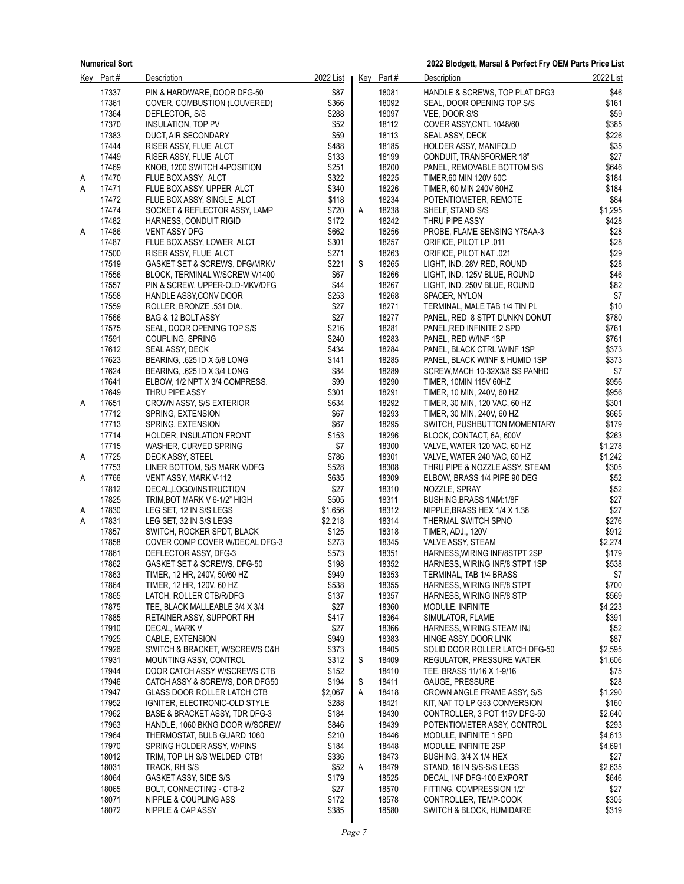|        | Key Part#      | Description                                       | 2022 List      |   | Key Part#      | <b>Description</b>                                        | 2022 List        |
|--------|----------------|---------------------------------------------------|----------------|---|----------------|-----------------------------------------------------------|------------------|
|        | 17337          | PIN & HARDWARE, DOOR DFG-50                       | \$87           |   | 18081          | HANDLE & SCREWS, TOP PLAT DFG3                            | \$46             |
|        | 17361          | COVER, COMBUSTION (LOUVERED)                      | \$366          |   | 18092          | SEAL, DOOR OPENING TOP S/S                                | \$161            |
|        | 17364          | DEFLECTOR, S/S                                    | \$288          |   | 18097          | VEE, DOOR S/S                                             | \$59             |
|        | 17370          | INSULATION, TOP PV                                | \$52           |   | 18112          | COVER ASSY, CNTL 1048/60                                  | \$385            |
|        | 17383          | DUCT, AIR SECONDARY                               | \$59           |   | 18113          | SEAL ASSY, DECK                                           | \$226            |
|        | 17444          | RISER ASSY, FLUE ALCT                             | \$488          |   | 18185          | HOLDER ASSY, MANIFOLD                                     | \$35             |
|        | 17449          | RISER ASSY, FLUE ALCT                             | \$133          |   | 18199          | CONDUIT, TRANSFORMER 18"                                  | \$27             |
|        | 17469<br>17470 | KNOB, 1200 SWITCH 4-POSITION                      | \$251<br>\$322 |   | 18200<br>18225 | PANEL, REMOVABLE BOTTOM S/S                               | \$646<br>\$184   |
| Α<br>Α | 17471          | FLUE BOX ASSY, ALCT<br>FLUE BOX ASSY, UPPER ALCT  | \$340          |   | 18226          | TIMER,60 MIN 120V 60C<br>TIMER, 60 MIN 240V 60HZ          | \$184            |
|        | 17472          | FLUE BOX ASSY, SINGLE ALCT                        | \$118          |   | 18234          | POTENTIOMETER, REMOTE                                     | \$84             |
|        | 17474          | SOCKET & REFLECTOR ASSY, LAMP                     | \$720          | Α | 18238          | SHELF, STAND S/S                                          | \$1,295          |
|        | 17482          | HARNESS, CONDUIT RIGID                            | \$172          |   | 18242          | THRU PIPE ASSY                                            | \$428            |
| Α      | 17486          | <b>VENT ASSY DFG</b>                              | \$662          |   | 18256          | PROBE, FLAME SENSING Y75AA-3                              | \$28             |
|        | 17487          | FLUE BOX ASSY, LOWER ALCT                         | \$301          |   | 18257          | ORIFICE, PILOT LP .011                                    | \$28             |
|        | 17500          | RISER ASSY, FLUE ALCT                             | \$271          |   | 18263          | 021. ORIFICE, PILOT NAT                                   | \$29             |
|        | 17519          | GASKET SET & SCREWS, DFG/MRKV                     | \$221          | S | 18265          | LIGHT, IND. 28V RED, ROUND                                | \$28             |
|        | 17556          | BLOCK, TERMINAL W/SCREW V/1400                    | \$67           |   | 18266          | LIGHT, IND. 125V BLUE, ROUND                              | \$46             |
|        | 17557          | PIN & SCREW, UPPER-OLD-MKV/DFG                    | \$44           |   | 18267          | LIGHT, IND. 250V BLUE, ROUND                              | \$82             |
|        | 17558          | HANDLE ASSY, CONV DOOR                            | \$253          |   | 18268          | SPACER, NYLON                                             | \$7              |
|        | 17559          | ROLLER, BRONZE .531 DIA.                          | \$27           |   | 18271          | TERMINAL, MALE TAB 1/4 TIN PL                             | \$10             |
|        | 17566          | BAG & 12 BOLT ASSY                                | \$27           |   | 18277          | PANEL, RED 8 STPT DUNKN DONUT<br>PANEL RED INFINITE 2 SPD | \$780            |
|        | 17575<br>17591 | SEAL, DOOR OPENING TOP S/S<br>COUPLING, SPRING    | \$216<br>\$240 |   | 18281<br>18283 | PANEL, RED W/INF 1SP                                      | \$761<br>\$761   |
|        | 17612          | SEAL ASSY, DECK                                   | \$434          |   | 18284          | PANEL, BLACK CTRL WINF 1SP                                | \$373            |
|        | 17623          | BEARING, 625 ID X 5/8 LONG                        | \$141          |   | 18285          | PANEL, BLACK W/INF & HUMID 1SP                            | \$373            |
|        | 17624          | BEARING, 625 ID X 3/4 LONG                        | \$84           |   | 18289          | SCREW, MACH 10-32X3/8 SS PANHD                            | \$7              |
|        | 17641          | ELBOW, 1/2 NPT X 3/4 COMPRESS.                    | \$99           |   | 18290          | TIMER, 10MIN 115V 60HZ                                    | \$956            |
|        | 17649          | THRU PIPE ASSY                                    | \$301          |   | 18291          | TIMER, 10 MIN, 240V, 60 HZ                                | \$956            |
| Α      | 17651          | CROWN ASSY, S/S EXTERIOR                          | \$634          |   | 18292          | TIMER, 30 MIN, 120 VAC, 60 HZ                             | \$301            |
|        | 17712          | SPRING, EXTENSION                                 | \$67           |   | 18293          | TIMER, 30 MIN, 240V, 60 HZ                                | \$665            |
|        | 17713          | SPRING, EXTENSION                                 | \$67           |   | 18295          | SWITCH, PUSHBUTTON MOMENTARY                              | \$179            |
|        | 17714          | HOLDER, INSULATION FRONT                          | \$153          |   | 18296          | BLOCK, CONTACT, 6A, 600V                                  | \$263            |
|        | 17715          | WASHER, CURVED SPRING                             | \$7            |   | 18300          | VALVE, WATER 120 VAC, 60 HZ                               | \$1,278          |
| Α      | 17725          | DECK ASSY, STEEL                                  | \$786          |   | 18301          | VALVE, WATER 240 VAC, 60 HZ                               | \$1,242          |
|        | 17753<br>17766 | LINER BOTTOM, S/S MARK V/DFG                      | \$528<br>\$635 |   | 18308<br>18309 | THRU PIPE & NOZZLE ASSY, STEAM                            | \$305<br>\$52    |
| A      | 17812          | VENT ASSY, MARK V-112<br>DECAL, LOGO/INSTRUCTION  | \$27           |   | 18310          | ELBOW, BRASS 1/4 PIPE 90 DEG<br>NOZZLE, SPRAY             | \$52             |
|        | 17825          | TRIM, BOT MARK V 6-1/2" HIGH                      | \$505          |   | 18311          | BUSHING, BRASS 1/4M: 1/8F                                 | \$27             |
| A      | 17830          | LEG SET, 12 IN S/S LEGS                           | \$1,656        |   | 18312          | NIPPLE, BRASS HEX 1/4 X 1.38                              | \$27             |
| Α      | 17831          | LEG SET, 32 IN S/S LEGS                           | \$2,218        |   | 18314          | THERMAL SWITCH SPNO                                       | \$276            |
|        | 17857          | SWITCH, ROCKER SPDT, BLACK                        | \$125          |   | 18318          | TIMER, ADJ., 120V                                         | \$912            |
|        | 17858          | COVER COMP COVER W/DECAL DFG-3                    | \$273          |   | 18345          | VALVE ASSY, STEAM                                         | \$2,274          |
|        | 17861          | DEFLECTOR ASSY, DFG-3                             | \$573          |   | 18351          | HARNESS, WIRING INF/8STPT 2SP                             | \$179            |
|        | 17862          | GASKET SET & SCREWS, DFG-50                       | \$198          |   | 18352          | HARNESS, WIRING INF/8 STPT 1SP                            | \$538            |
|        | 17863          | TIMER, 12 HR, 240V, 50/60 HZ                      | \$949          |   | 18353          | TERMINAL, TAB 1/4 BRASS                                   | \$7              |
|        | 17864          | TIMER, 12 HR, 120V, 60 HZ                         | \$538          |   | 18355          | HARNESS, WIRING INF/8 STPT                                | \$700            |
|        | 17865          | LATCH, ROLLER CTB/R/DFG                           | \$137          |   | 18357          | HARNESS, WIRING INF/8 STP                                 | \$569            |
|        | 17875          | TEE, BLACK MALLEABLE 3/4 X 3/4                    | \$27           |   | 18360          | MODULE, INFINITE                                          | \$4,223          |
|        | 17885<br>17910 | RETAINER ASSY, SUPPORT RH<br>DECAL, MARK V        | \$417<br>\$27  |   | 18364<br>18366 | SIMULATOR, FLAME<br>HARNESS, WIRING STEAM INJ             | \$391<br>\$52    |
|        | 17925          | CABLE, EXTENSION                                  | \$949          |   | 18383          | HINGE ASSY, DOOR LINK                                     | \$87             |
|        | 17926          | SWITCH & BRACKET, W/SCREWS C&H                    | \$373          |   | 18405          | SOLID DOOR ROLLER LATCH DFG-50                            | \$2,595          |
|        | 17931          | MOUNTING ASSY, CONTROL                            | \$312          | S | 18409          | REGULATOR, PRESSURE WATER                                 | \$1,606          |
|        | 17944          | DOOR CATCH ASSY W/SCREWS CTB                      | \$152          |   | 18410          | TEE, BRASS 11/16 X 1-9/16                                 | \$75             |
|        | 17946          | CATCH ASSY & SCREWS, DOR DFG50                    | \$194          | S | 18411          | GAUGE, PRESSURE                                           | \$28             |
|        | 17947          | <b>GLASS DOOR ROLLER LATCH CTB</b>                | \$2,067        | Α | 18418          | CROWN ANGLE FRAME ASSY, S/S                               | \$1,290          |
|        | 17952          | IGNITER, ELECTRONIC-OLD STYLE                     | \$288          |   | 18421          | KIT, NAT TO LP G53 CONVERSION                             | \$160            |
|        | 17962          | <b>BASE &amp; BRACKET ASSY, TDR DFG-3</b>         | \$184          |   | 18430          | CONTROLLER, 3 POT 115V DFG-50                             | \$2,640          |
|        | 17963          | HANDLE, 1060 BKNG DOOR W/SCREW                    | \$846          |   | 18439          | POTENTIOMETER ASSY, CONTROL                               | \$293            |
|        | 17964          | THERMOSTAT, BULB GUARD 1060                       | \$210          |   | 18446          | MODULE, INFINITE 1 SPD                                    | \$4,613          |
|        | 17970          | SPRING HOLDER ASSY, W/PINS                        | \$184          |   | 18448          | MODULE, INFINITE 2SP                                      | \$4,691          |
|        | 18012          | TRIM, TOP LH S/S WELDED CTB1                      | \$336          |   | 18473          | BUSHING, 3/4 X 1/4 HEX                                    | \$27             |
|        | 18031<br>18064 | TRACK, RH S/S                                     | \$52<br>\$179  | Α | 18479<br>18525 | STAND, 16 IN S/S-S/S LEGS                                 | \$2,635<br>\$646 |
|        | 18065          | GASKET ASSY, SIDE S/S<br>BOLT, CONNECTING - CTB-2 | \$27           |   | 18570          | DECAL, INF DFG-100 EXPORT<br>FITTING, COMPRESSION 1/2"    | \$27             |
|        | 18071          | NIPPLE & COUPLING ASS                             | \$172          |   | 18578          | CONTROLLER, TEMP-COOK                                     | \$305            |
|        | 18072          | NIPPLE & CAP ASSY                                 | \$385          |   | 18580          | <b>SWITCH &amp; BLOCK, HUMIDAIRE</b>                      | \$319            |
|        |                |                                                   |                |   |                |                                                           |                  |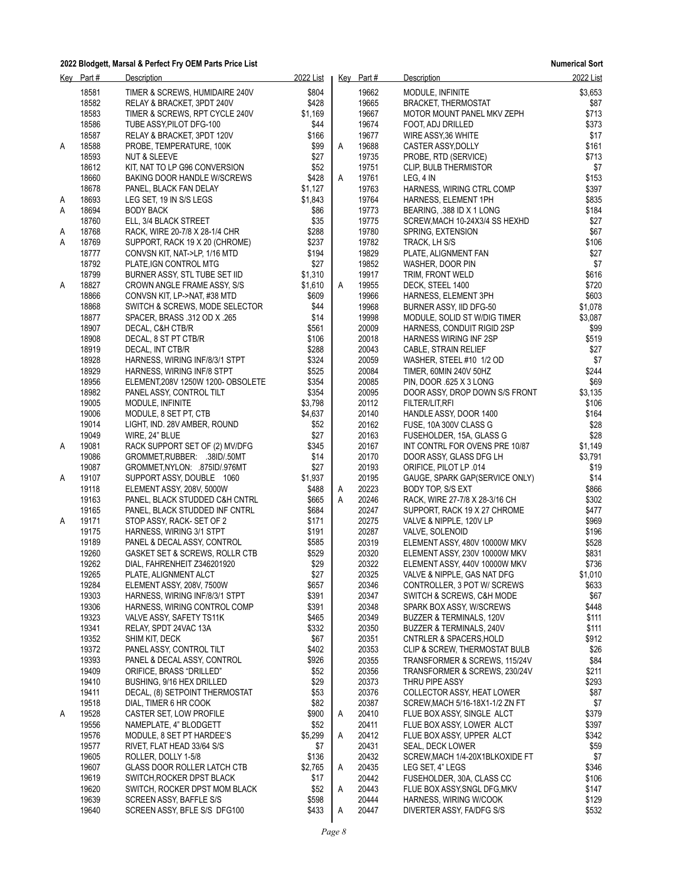**Numerical Sort**

|   | Key Part#      | Description                                                    | 2022 List          |   | Key Part#      | Description                                            | 2022 List      |
|---|----------------|----------------------------------------------------------------|--------------------|---|----------------|--------------------------------------------------------|----------------|
|   | 18581          | TIMER & SCREWS, HUMIDAIRE 240V                                 | \$804              |   | 19662          | MODULE, INFINITE                                       | \$3,653        |
|   | 18582          | RELAY & BRACKET, 3PDT 240V                                     | \$428              |   | 19665          | <b>BRACKET, THERMOSTAT</b>                             | \$87           |
|   | 18583          | TIMER & SCREWS, RPT CYCLE 240V                                 | \$1,169            |   | 19667          | MOTOR MOUNT PANEL MKV ZEPH                             | \$713          |
|   | 18586          | TUBE ASSY, PILOT DFG-100                                       | \$44               |   | 19674          | FOOT, ADJ DRILLED                                      | \$373          |
|   | 18587          | RELAY & BRACKET, 3PDT 120V                                     | \$166              |   | 19677          | WIRE ASSY, 36 WHITE                                    | \$17           |
| A | 18588          | PROBE, TEMPERATURE, 100K                                       | \$99               | Α | 19688          | CASTER ASSY, DOLLY                                     | \$161          |
|   | 18593          | <b>NUT &amp; SLEEVE</b>                                        | \$27               |   | 19735          | PROBE, RTD (SERVICE)                                   | \$713          |
|   | 18612          | KIT, NAT TO LP G96 CONVERSION                                  | \$52               |   | 19751          | CLIP, BULB THERMISTOR                                  | \$7            |
|   | 18660          | BAKING DOOR HANDLE W/SCREWS                                    | \$428              | Α | 19761          | LEG, 4 IN                                              | \$153          |
|   | 18678          | PANEL, BLACK FAN DELAY                                         | \$1,127            |   | 19763          | HARNESS, WIRING CTRL COMP                              | \$397          |
| A | 18693<br>18694 | LEG SET, 19 IN S/S LEGS                                        | \$1,843<br>\$86    |   | 19764<br>19773 | HARNESS, ELEMENT 1PH                                   | \$835<br>\$184 |
| Α | 18760          | <b>BODY BACK</b><br>ELL, 3/4 BLACK STREET                      | \$35               |   | 19775          | BEARING, 388 ID X 1 LONG                               | \$27           |
| A | 18768          | RACK, WIRE 20-7/8 X 28-1/4 CHR                                 | \$288              |   | 19780          | SCREW, MACH 10-24X3/4 SS HEXHD<br>SPRING, EXTENSION    | \$67           |
| Α | 18769          | SUPPORT, RACK 19 X 20 (CHROME)                                 | \$237              |   | 19782          | TRACK, LH S/S                                          | \$106          |
|   | 18777          | CONVSN KIT, NAT->LP, 1/16 MTD                                  | \$194              |   | 19829          | PLATE, ALIGNMENT FAN                                   | \$27           |
|   | 18792          | PLATE, IGN CONTROL MTG                                         | \$27               |   | 19852          | WASHER, DOOR PIN                                       | \$7            |
|   | 18799          | BURNER ASSY, STL TUBE SET IID                                  | \$1,310            |   | 19917          | TRIM, FRONT WELD                                       | \$616          |
| A | 18827          | CROWN ANGLE FRAME ASSY, S/S                                    | \$1,610            | A | 19955          | DECK, STEEL 1400                                       | \$720          |
|   | 18866          | CONVSN KIT, LP->NAT, #38 MTD                                   | \$609              |   | 19966          | HARNESS, ELEMENT 3PH                                   | \$603          |
|   | 18868          | SWITCH & SCREWS, MODE SELECTOR                                 | \$44               |   | 19968          | BURNER ASSY, IID DFG-50                                | \$1,078        |
|   | 18877          | SPACER, BRASS .312 OD X .265                                   | \$14               |   | 19998          | MODULE, SOLID ST W/DIG TIMER                           | \$3,087        |
|   | 18907          | DECAL, C&H CTB/R                                               | \$561              |   | 20009          | HARNESS, CONDUIT RIGID 2SP                             | \$99           |
|   | 18908          | DECAL, 8 ST PT CTB/R                                           | \$106              |   | 20018          | HARNESS WIRING INF 2SP                                 | \$519          |
|   | 18919          | DECAL, INT CTB/R                                               | \$288              |   | 20043          | CABLE, STRAIN RELIEF                                   | \$27           |
|   | 18928          | HARNESS, WIRING INF/8/3/1 STPT                                 | \$324              |   | 20059          | WASHER, STEEL #10 1/2 OD                               | \$7            |
|   | 18929          | HARNESS, WIRING INF/8 STPT                                     | \$525              |   | 20084          | TIMER, 60MIN 240V 50HZ                                 | \$244          |
|   | 18956          | ELEMENT, 208V 1250W 1200- OBSOLETE                             | \$354              |   | 20085          | PIN, DOOR 625 X 3 LONG                                 | \$69           |
|   | 18982          | PANEL ASSY, CONTROL TILT                                       | \$354              |   | 20095          | DOOR ASSY, DROP DOWN S/S FRONT                         | \$3,135        |
|   | 19005<br>19006 | MODULE, INFINITE                                               | \$3,798<br>\$4,637 |   | 20112          | FILTER/LIT, RFI                                        | \$106          |
|   | 19014          | MODULE, 8 SET PT, CTB<br>LIGHT, IND. 28V AMBER, ROUND          | \$52               |   | 20140<br>20162 | HANDLE ASSY, DOOR 1400<br>FUSE, 10A 300V CLASS G       | \$164<br>\$28  |
|   | 19049          | WIRE, 24" BLUE                                                 | \$27               |   | 20163          | FUSEHOLDER, 15A, GLASS G                               | \$28           |
| A | 19081          | RACK SUPPORT SET OF (2) MV/DFG                                 | \$345              |   | 20167          | INT CONTRL FOR OVENS PRE 10/87                         | \$1,149        |
|   | 19086          | GROMMET, RUBBER: .38ID/.50MT                                   | \$14               |   | 20170          | DOOR ASSY, GLASS DFG LH                                | \$3,791        |
|   | 19087          | GROMMET, NYLON: 875ID/976MT                                    | \$27               |   | 20193          | ORIFICE, PILOT LP .014                                 | \$19           |
| A | 19107          | SUPPORT ASSY, DOUBLE 1060                                      | \$1,937            |   | 20195          | GAUGE, SPARK GAP(SERVICE ONLY)                         | \$14           |
|   | 19118          | ELEMENT ASSY, 208V, 5000W                                      | \$488              | A | 20223          | BODY TOP, S/S EXT                                      | \$866          |
|   | 19163          | PANEL, BLACK STUDDED C&H CNTRL                                 | \$665              | Α | 20246          | RACK, WIRE 27-7/8 X 28-3/16 CH                         | \$302          |
|   | 19165          | PANEL, BLACK STUDDED INF CNTRL                                 | \$684              |   | 20247          | SUPPORT, RACK 19 X 27 CHROME                           | \$477          |
| A | 19171          | STOP ASSY, RACK-SET OF 2                                       | \$171              |   | 20275          | VALVE & NIPPLE, 120V LP                                | \$969          |
|   | 19175          | HARNESS, WIRING 3/1 STPT                                       | \$191              |   | 20287          | VALVE, SOLENOID                                        | \$196          |
|   | 19189          | PANEL & DECAL ASSY, CONTROL                                    | \$585              |   | 20319          | ELEMENT ASSY, 480V 10000W MKV                          | \$528          |
|   | 19260          | GASKET SET & SCREWS, ROLLR CTB                                 | \$529              |   | 20320          | ELEMENT ASSY, 230V 10000W MKV                          | \$831          |
|   | 19262          | DIAL, FAHRENHEIT Z346201920                                    | \$29               |   | 20322          | ELEMENT ASSY, 440V 10000W MKV                          | \$736          |
|   | 19265          | PLATE, ALIGNMENT ALCT                                          | \$27               |   | 20325          | VALVE & NIPPLE, GAS NAT DFG                            | \$1,010        |
|   | 19284          | ELEMENT ASSY, 208V, 7500W                                      | \$657              |   | 20346          | CONTROLLER, 3 POT W/ SCREWS                            | \$633          |
|   | 19303<br>19306 | HARNESS, WIRING INF/8/3/1 STPT<br>HARNESS, WIRING CONTROL COMP | \$391<br>\$391     |   | 20347<br>20348 | SWITCH & SCREWS, C&H MODE<br>SPARK BOX ASSY, W/SCREWS  | \$67<br>\$448  |
|   | 19323          | VALVE ASSY, SAFETY TS11K                                       | \$465              |   | 20349          | BUZZER & TERMINALS, 120V                               | \$111          |
|   | 19341          | RELAY, SPDT 24VAC 13A                                          | \$332              |   | 20350          | BUZZER & TERMINALS, 240V                               | \$111          |
|   | 19352          | SHIM KIT, DECK                                                 | \$67               |   | 20351          | CNTRLER & SPACERS, HOLD                                | \$912          |
|   | 19372          | PANEL ASSY, CONTROL TILT                                       | \$402              |   | 20353          | <b>CLIP &amp; SCREW, THERMOSTAT BULB</b>               | \$26           |
|   | 19393          | PANEL & DECAL ASSY, CONTROL                                    | \$926              |   | 20355          | TRANSFORMER & SCREWS, 115/24V                          | \$84           |
|   | 19409          | ORIFICE, BRASS "DRILLED"                                       | \$52               |   | 20356          | TRANSFORMER & SCREWS, 230/24V                          | \$211          |
|   | 19410          | BUSHING, 9/16 HEX DRILLED                                      | \$29               |   | 20373          | THRU PIPE ASSY                                         | \$293          |
|   | 19411          | DECAL, (8) SETPOINT THERMOSTAT                                 | \$53               |   | 20376          | COLLECTOR ASSY, HEAT LOWER                             | \$87           |
|   | 19518          | DIAL, TIMER 6 HR COOK                                          | \$82               |   | 20387          | SCREW, MACH 5/16-18X1-1/2 ZN FT                        | \$7            |
| A | 19528          | CASTER SET, LOW PROFILE                                        | \$900              | Α | 20410          | FLUE BOX ASSY, SINGLE ALCT                             | \$379          |
|   | 19556          | NAMEPLATE, 4" BLODGETT                                         | \$52               |   | 20411          | FLUE BOX ASSY, LOWER ALCT                              | \$397          |
|   | 19576          | MODULE, 8 SET PT HARDEE'S                                      | \$5,299            | Α | 20412          | FLUE BOX ASSY, UPPER ALCT                              | \$342          |
|   | 19577          | RIVET, FLAT HEAD 33/64 S/S                                     | \$7                |   | 20431          | SEAL, DECK LOWER                                       | \$59           |
|   | 19605          | ROLLER, DOLLY 1-5/8                                            | \$136              |   | 20432          | SCREW, MACH 1/4-20X1BLKOXIDE FT                        | \$7            |
|   | 19607          | <b>GLASS DOOR ROLLER LATCH CTB</b>                             | \$2,765            | Α | 20435          | LEG SET, 4" LEGS                                       | \$346          |
|   | 19619          | SWITCH, ROCKER DPST BLACK                                      | \$17               |   | 20442          | FUSEHOLDER, 30A, CLASS CC                              | \$106          |
|   | 19620<br>19639 | SWITCH, ROCKER DPST MOM BLACK<br>SCREEN ASSY, BAFFLE S/S       | \$52<br>\$598      | Α | 20443<br>20444 | FLUE BOX ASSY, SNGL DFG, MKV<br>HARNESS, WIRING W/COOK | \$147<br>\$129 |
|   | 19640          | SCREEN ASSY, BFLE S/S DFG100                                   | \$433              | Α | 20447          | DIVERTER ASSY, FA/DFG S/S                              | \$532          |
|   |                |                                                                |                    |   |                |                                                        |                |

*Page 8*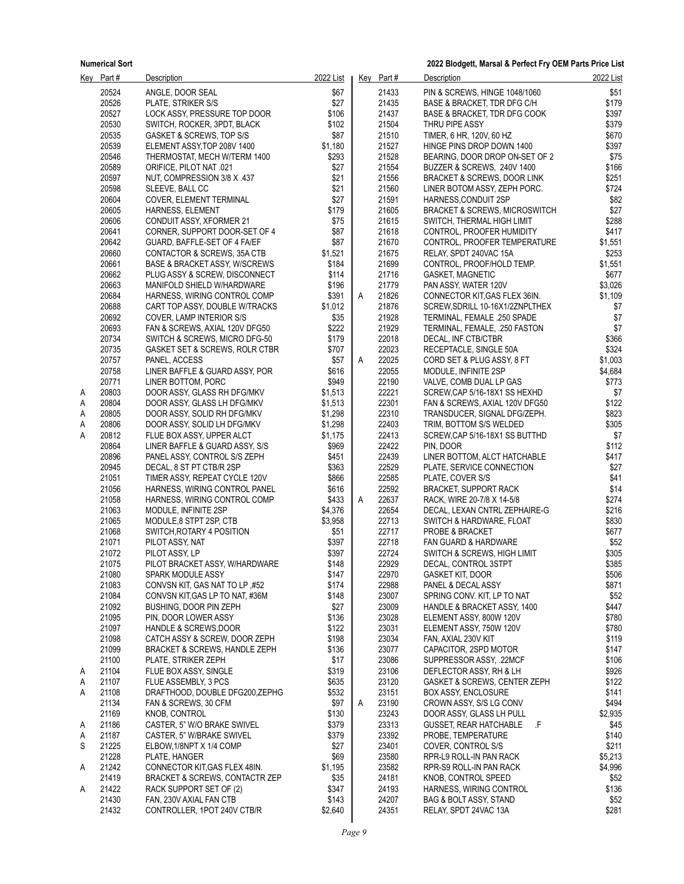|        | Key Part#      | Description                                     | 2022 List      |   | Key Part#      | <b>Description</b>                                      | 2022 List          |
|--------|----------------|-------------------------------------------------|----------------|---|----------------|---------------------------------------------------------|--------------------|
|        | 20524          | ANGLE, DOOR SEAL                                | \$67           |   | 21433          | PIN & SCREWS, HINGE 1048/1060                           | \$51               |
|        | 20526          | PLATE, STRIKER S/S                              | \$27           |   | 21435          | BASE & BRACKET, TDR DFG C/H                             | \$179              |
|        | 20527          | LOCK ASSY, PRESSURE TOP DOOR                    | \$106          |   | 21437          | BASE & BRACKET, TDR DFG COOK                            | \$397              |
|        | 20530          | SWITCH, ROCKER, 3PDT, BLACK                     | \$102          |   | 21504          | THRU PIPE ASSY                                          | \$379              |
|        | 20535          | GASKET & SCREWS, TOP S/S                        | \$87           |   | 21510          | TIMER, 6 HR, 120V, 60 HZ                                | \$670              |
|        | 20539          | ELEMENT ASSY, TOP 208V 1400                     | \$1,180        |   | 21527          | HINGE PINS DROP DOWN 1400                               | \$397              |
|        | 20546          | THERMOSTAT, MECH W/TERM 1400                    | \$293          |   | 21528          | BEARING, DOOR DROP ON-SET OF 2                          | \$75               |
|        | 20589          | 021. ORIFICE, PILOT NAT                         | \$27           |   | 21554          | BUZZER & SCREWS, 240V 1400                              | \$166              |
|        | 20597          | NUT, COMPRESSION 3/8 X 437                      | \$21           |   | 21556          | BRACKET & SCREWS, DOOR LINK                             | \$251              |
|        | 20598          | SLEEVE, BALL CC                                 | \$21           |   | 21560          | LINER BOTOM ASSY, ZEPH PORC.                            | \$724              |
|        | 20604          | COVER, ELEMENT TERMINAL                         | \$27           |   | 21591          | HARNESS, CONDUIT 2SP                                    | \$82               |
|        | 20605          | <b>HARNESS, ELEMENT</b>                         | \$179          |   | 21605          | <b>BRACKET &amp; SCREWS, MICROSWITCH</b>                | \$27               |
|        | 20606          | <b>CONDUIT ASSY, XFORMER 21</b>                 | \$75           |   | 21615          | SWITCH, THERMAL HIGH LIMIT                              | \$288              |
|        | 20641          | CORNER, SUPPORT DOOR-SET OF 4                   | \$87           |   | 21618          | CONTROL, PROOFER HUMIDITY                               | \$417              |
|        | 20642          | GUARD, BAFFLE-SET OF 4 FA/EF                    | \$87           |   | 21670          | CONTROL, PROOFER TEMPERATURE                            | \$1,551            |
|        | 20660          | CONTACTOR & SCREWS, 35A CTB                     | \$1,521        |   | 21675          | RELAY, SPDT 240VAC 15A                                  | \$253              |
|        | 20661          | BASE & BRACKET ASSY, W/SCREWS                   | \$184          |   | 21699          | CONTROL, PROOF/HOLD TEMP.                               | \$1,551            |
|        | 20662          | PLUG ASSY & SCREW, DISCONNECT                   | \$114          |   | 21716          | <b>GASKET, MAGNETIC</b>                                 | \$677              |
|        | 20663          | MANIFOLD SHIELD W/HARDWARE                      | \$196          |   | 21779          | PAN ASSY, WATER 120V                                    | \$3,026            |
|        | 20684          | HARNESS, WIRING CONTROL COMP                    | \$391          | A | 21826          | CONNECTOR KIT, GAS FLEX 36IN.                           | \$1,109            |
|        | 20688          | CART TOP ASSY, DOUBLE W/TRACKS                  | \$1,012        |   | 21876          | SCREW, SDRILL 10-16X1/2ZNPLTHEX                         | \$7                |
|        | 20692          | COVER, LAMP INTERIOR S/S                        | \$35           |   | 21928          | TERMINAL, FEMALE .250 SPADE                             | \$7                |
|        | 20693          | FAN & SCREWS, AXIAL 120V DFG50                  | \$222          |   | 21929          | TERMINAL, FEMALE, .250 FASTON                           | \$7                |
|        | 20734          | SWITCH & SCREWS, MICRO DFG-50                   | \$179          |   | 22018          | DECAL, INF CTB/CTBR                                     | \$366              |
|        | 20735          | GASKET SET & SCREWS, ROLR CTBR                  | \$707          |   | 22023          | RECEPTACLE, SINGLE 50A                                  | \$324              |
|        | 20757<br>20758 | PANEL, ACCESS<br>LINER BAFFLE & GUARD ASSY, POR | \$57<br>\$616  | A | 22025<br>22055 | CORD SET & PLUG ASSY, 8 FT<br>MODULE, INFINITE 2SP      | \$1,003<br>\$4,684 |
|        | 20771          | LINER BOTTOM, PORC                              | \$949          |   | 22190          |                                                         | \$773              |
| A      | 20803          | DOOR ASSY, GLASS RH DFG/MKV                     | \$1,513        |   | 22221          | VALVE, COMB DUAL LP GAS<br>SCREW,CAP 5/16-18X1 SS HEXHD | \$7                |
| Α      | 20804          | DOOR ASSY, GLASS LH DFG/MKV                     | \$1,513        |   | 22301          | FAN & SCREWS, AXIAL 120V DFG50                          | \$122              |
| Α      | 20805          | DOOR ASSY, SOLID RH DFG/MKV                     | \$1,298        |   | 22310          | TRANSDUCER, SIGNAL DFG/ZEPH.                            | \$823              |
| Α      | 20806          | DOOR ASSY, SOLID LH DFG/MKV                     | \$1,298        |   | 22403          | TRIM, BOTTOM S/S WELDED                                 | \$305              |
| Α      | 20812          | FLUE BOX ASSY, UPPER ALCT                       | \$1,175        |   | 22413          | SCREW, CAP 5/16-18X1 SS BUTTHD                          | \$7                |
|        | 20864          | LINER BAFFLE & GUARD ASSY, S/S                  | \$969          |   | 22422          | PIN, DOOR                                               | \$112              |
|        | 20896          | PANEL ASSY, CONTROL S/S ZEPH                    | \$451          |   | 22439          | LINER BOTTOM, ALCT HATCHABLE                            | \$417              |
|        | 20945          | DECAL, 8 ST PT CTB/R 2SP                        | \$363          |   | 22529          | PLATE, SERVICE CONNECTION                               | \$27               |
|        | 21051          | TIMER ASSY, REPEAT CYCLE 120V                   | \$866          |   | 22585          | PLATE, COVER S/S                                        | \$41               |
|        | 21056          | HARNESS, WIRING CONTROL PANEL                   | \$616          |   | 22592          | <b>BRACKET, SUPPORT RACK</b>                            | \$14               |
|        | 21058          | HARNESS, WIRING CONTROL COMP                    | \$433          | A | 22637          | RACK, WIRE 20-7/8 X 14-5/8                              | \$274              |
|        | 21063          | MODULE, INFINITE 2SP                            | \$4,376        |   | 22654          | DECAL, LEXAN CNTRL ZEPHAIRE-G                           | \$216              |
|        | 21065          | MODULE, 8 STPT 2SP, CTB                         | \$3,958        |   | 22713          | SWITCH & HARDWARE, FLOAT                                | \$830              |
|        | 21068          | SWITCH, ROTARY 4 POSITION                       | \$51           |   | 22717          | PROBE & BRACKET                                         | \$677              |
|        | 21071          | PILOT ASSY, NAT                                 | \$397          |   | 22718          | FAN GUARD & HARDWARE                                    | \$52               |
|        | 21072          | PILOT ASSY, LP                                  | \$397          |   | 22724          | SWITCH & SCREWS, HIGH LIMIT                             | \$305              |
|        | 21075          | PILOT BRACKET ASSY, W/HARDWARE                  | \$148          |   | 22929          | DECAL, CONTROL 3STPT                                    | \$385              |
|        | 21080          | SPARK MODULE ASSY                               | \$147          |   | 22970          | <b>GASKET KIT, DOOR</b>                                 | \$506              |
|        | 21083          | CONVSN KIT, GAS NAT TO LP, #52                  | \$174          |   | 22988          | PANEL & DECAL ASSY                                      | \$871              |
|        | 21084          | CONVSN KIT, GAS LP TO NAT, #36M                 | \$148          |   | 23007          | SPRING CONV. KIT, LP TO NAT                             | \$52               |
|        | 21092          | BUSHING, DOOR PIN ZEPH                          | \$27           |   | 23009          | HANDLE & BRACKET ASSY, 1400                             | \$447              |
|        | 21095          | PIN, DOOR LOWER ASSY                            | \$136          |   | 23028          | ELEMENT ASSY, 800W 120V                                 | \$780              |
|        | 21097          | <b>HANDLE &amp; SCREWS DOOR</b>                 | \$122          |   | 23031          | ELEMENT ASSY, 750W 120V                                 | \$780              |
|        | 21098          | CATCH ASSY & SCREW, DOOR ZEPH                   | \$198          |   | 23034          | FAN, AXIAL 230V KIT                                     | \$119              |
|        | 21099          | <b>BRACKET &amp; SCREWS, HANDLE ZEPH</b>        | \$136          |   | 23077          | CAPACITOR, 2SPD MOTOR                                   | \$147              |
|        | 21100          | PLATE, STRIKER ZEPH                             | \$17           |   | 23086          | SUPPRESSOR ASSY, 22MCF                                  | \$106              |
| A      | 21104          | FLUE BOX ASSY, SINGLE                           | \$319          |   | 23106          | DEFLECTOR ASSY, RH & LH                                 | \$926              |
| A      | 21107          | <b>FLUE ASSEMBLY, 3 PCS</b>                     | \$635          |   | 23120          | GASKET & SCREWS, CENTER ZEPH                            | \$122              |
| A      | 21108          | DRAFTHOOD, DOUBLE DFG200, ZEPHG                 | \$532          |   | 23151          | <b>BOX ASSY, ENCLOSURE</b>                              | \$141              |
|        | 21134          | FAN & SCREWS, 30 CFM                            | \$97           | Α | 23190          | CROWN ASSY, S/S LG CONV                                 | \$494              |
|        | 21169          | KNOB, CONTROL                                   | \$130          |   | 23243          | DOOR ASSY, GLASS LH PULL                                | \$2,935            |
| A      | 21186<br>21187 | CASTER, 5" W/O BRAKE SWIVEL                     | \$379<br>\$379 |   | 23313<br>23392 | GUSSET, REAR HATCHABLE<br>.F<br>PROBE, TEMPERATURE      | \$45<br>\$140      |
| A<br>S | 21225          | CASTER, 5" W/BRAKE SWIVEL                       | \$27           |   | 23401          |                                                         | \$211              |
|        | 21228          | ELBOW, 1/8NPT X 1/4 COMP<br>PLATE, HANGER       | \$69           |   | 23580          | COVER, CONTROL S/S<br>RPR-L9 ROLL-IN PAN RACK           | \$5,213            |
| Α      | 21242          | CONNECTOR KIT, GAS FLEX 48IN.                   | \$1,195        |   | 23582          | RPR-S9 ROLL-IN PAN RACK                                 | \$4,996            |
|        | 21419          | BRACKET & SCREWS, CONTACTR ZEP                  | \$35           |   | 24181          | KNOB, CONTROL SPEED                                     | \$52               |
| A      | 21422          | RACK SUPPORT SET OF (2)                         | \$347          |   | 24193          | HARNESS, WIRING CONTROL                                 | \$136              |
|        | 21430          | FAN, 230V AXIAL FAN CTB                         | \$143          |   | 24207          | BAG & BOLT ASSY, STAND                                  | \$52               |
|        | 21432          | CONTROLLER, 1POT 240V CTB/R                     | \$2,640        |   | 24351          | RELAY, SPDT 24VAC 13A                                   | \$281              |
|        |                |                                                 |                |   |                |                                                         |                    |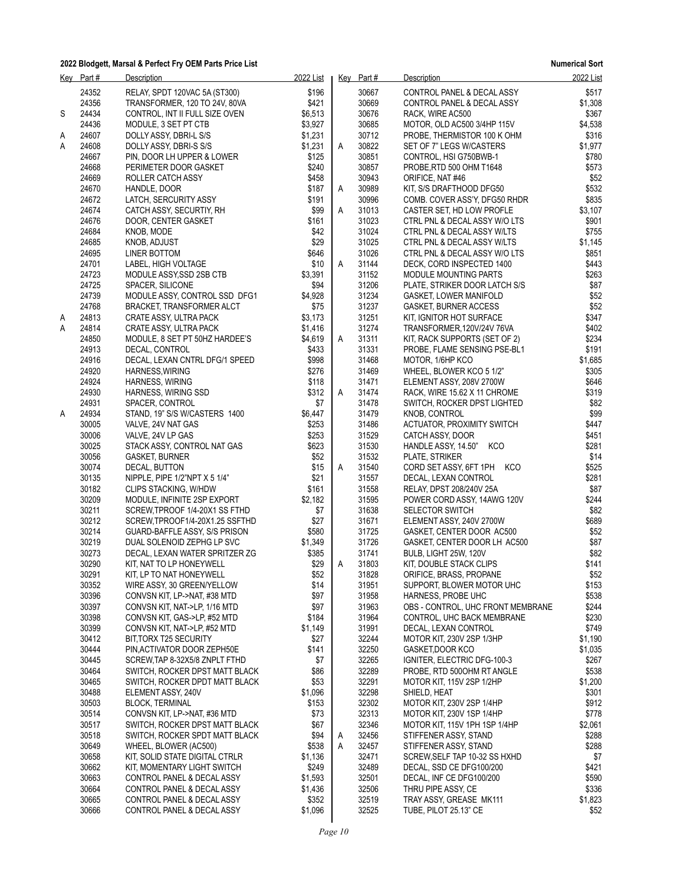|   | Key Part# | Description                           | 2022 List |   | Key Part# | <b>Description</b>                | 2022 List |
|---|-----------|---------------------------------------|-----------|---|-----------|-----------------------------------|-----------|
|   | 24352     | RELAY, SPDT 120VAC 5A (ST300)         | \$196     |   | 30667     | CONTROL PANEL & DECAL ASSY        | \$517     |
|   | 24356     | TRANSFORMER, 120 TO 24V, 80VA         | \$421     |   | 30669     | CONTROL PANEL & DECAL ASSY        | \$1,308   |
| S | 24434     | CONTROL, INT II FULL SIZE OVEN        | \$6.513   |   | 30676     | RACK, WIRE AC500                  | \$367     |
|   | 24436     |                                       | \$3,927   |   | 30685     |                                   | \$4,538   |
|   |           | MODULE, 3 SET PT CTB                  |           |   |           | MOTOR, OLD AC500 3/4HP 115V       |           |
| Α | 24607     | DOLLY ASSY, DBRI-L S/S                | \$1,231   |   | 30712     | PROBE, THERMISTOR 100 K OHM       | \$316     |
| Α | 24608     | DOLLY ASSY, DBRI-S S/S                | \$1,231   | A | 30822     | SET OF 7" LEGS W/CASTERS          | \$1,977   |
|   | 24667     | PIN, DOOR LH UPPER & LOWER            | \$125     |   | 30851     | CONTROL, HSI G750BWB-1            | \$780     |
|   | 24668     | PERIMETER DOOR GASKET                 | \$240     |   | 30857     | PROBE, RTD 500 OHM T1648          | \$573     |
|   | 24669     | ROLLER CATCH ASSY                     | \$458     |   | 30943     | ORIFICE, NAT #46                  | \$52      |
|   | 24670     | HANDLE, DOOR                          | \$187     | Α | 30989     | KIT, S/S DRAFTHOOD DFG50          | \$532     |
|   | 24672     | LATCH, SERCURITY ASSY                 | \$191     |   | 30996     | COMB. COVER ASS'Y, DFG50 RHDR     | \$835     |
|   | 24674     | CATCH ASSY, SECURTIY, RH              | \$99      | A | 31013     | CASTER SET, HD LOW PROFLE         | \$3,107   |
|   | 24676     | DOOR, CENTER GASKET                   | \$161     |   | 31023     | CTRL PNL & DECAL ASSY W/O LTS     | \$901     |
|   | 24684     | KNOB, MODE                            | \$42      |   | 31024     | CTRL PNL & DECAL ASSY W/LTS       | \$755     |
|   | 24685     | KNOB, ADJUST                          | \$29      |   | 31025     | CTRL PNL & DECAL ASSY W/LTS       | \$1,145   |
|   |           |                                       |           |   | 31026     |                                   |           |
|   | 24695     | LINER BOTTOM                          | \$646     |   |           | CTRL PNL & DECAL ASSY W/O LTS     | \$851     |
|   | 24701     | LABEL, HIGH VOLTAGE                   | \$10      | A | 31144     | DECK, CORD INSPECTED 1400         | \$443     |
|   | 24723     | MODULE ASSY, SSD 2SB CTB              | \$3,391   |   | 31152     | <b>MODULE MOUNTING PARTS</b>      | \$263     |
|   | 24725     | SPACER, SILICONE                      | \$94      |   | 31206     | PLATE, STRIKER DOOR LATCH S/S     | \$87      |
|   | 24739     | MODULE ASSY, CONTROL SSD DFG1         | \$4,928   |   | 31234     | <b>GASKET, LOWER MANIFOLD</b>     | \$52      |
|   | 24768     | <b>BRACKET, TRANSFORMER ALCT</b>      | \$75      |   | 31237     | <b>GASKET, BURNER ACCESS</b>      | \$52      |
| A | 24813     | CRATE ASSY, ULTRA PACK                | \$3,173   |   | 31251     | KIT, IGNITOR HOT SURFACE          | \$347     |
| Α | 24814     | CRATE ASSY, ULTRA PACK                | \$1,416   |   | 31274     | TRANSFORMER, 120V/24V 76VA        | \$402     |
|   | 24850     | MODULE, 8 SET PT 50HZ HARDEE'S        | \$4,619   | A | 31311     | KIT, RACK SUPPORTS (SET OF 2)     | \$234     |
|   | 24913     | DECAL, CONTROL                        | \$433     |   | 31331     | PROBE, FLAME SENSING PSE-BL1      | \$191     |
|   | 24916     | DECAL, LEXAN CNTRL DFG/1 SPEED        | \$998     |   | 31468     | MOTOR, 1/6HP KCO                  | \$1,685   |
|   | 24920     | HARNESS, WIRING                       | \$276     |   | 31469     | WHEEL, BLOWER KCO 5 1/2"          | \$305     |
|   |           |                                       |           |   |           |                                   | \$646     |
|   | 24924     | <b>HARNESS, WIRING</b>                | \$118     |   | 31471     | ELEMENT ASSY, 208V 2700W          |           |
|   | 24930     | HARNESS, WIRING SSD                   | \$312     | A | 31474     | RACK, WIRE 15.62 X 11 CHROME      | \$319     |
|   | 24931     | SPACER, CONTROL                       | \$7       |   | 31478     | SWITCH, ROCKER DPST LIGHTED       | \$82      |
| Α | 24934     | STAND, 19" S/S W/CASTERS 1400         | \$6,447   |   | 31479     | KNOB, CONTROL                     | \$99      |
|   | 30005     | VALVE, 24V NAT GAS                    | \$253     |   | 31486     | ACTUATOR, PROXIMITY SWITCH        | \$447     |
|   | 30006     | VALVE, 24V LP GAS                     | \$253     |   | 31529     | CATCH ASSY, DOOR                  | \$451     |
|   | 30025     | STACK ASSY, CONTROL NAT GAS           | \$623     |   | 31530     | KCO<br>HANDLE ASSY, 14.50"        | \$281     |
|   | 30056     | GASKET, BURNER                        | \$52      |   | 31532     | PLATE, STRIKER                    | \$14      |
|   | 30074     | DECAL, BUTTON                         | \$15      | A | 31540     | CORD SET ASSY, 6FT 1PH KCO        | \$525     |
|   | 30135     | NIPPLE, PIPE $1/2$ "NPT $X$ 5 $1/4$ " | \$21      |   | 31557     | DECAL, LEXAN CONTROL              | \$281     |
|   | 30182     | CLIPS STACKING, W/HDW                 | \$161     |   | 31558     | RELAY, DPST 208/240V 25A          | \$87      |
|   | 30209     | MODULE, INFINITE 2SP EXPORT           | \$2,182   |   | 31595     | POWER CORD ASSY, 14AWG 120V       | \$244     |
|   | 30211     |                                       |           |   | 31638     |                                   | \$82      |
|   |           | SCREW, TPROOF 1/4-20X1 SS FTHD        | \$7       |   |           | <b>SELECTOR SWITCH</b>            |           |
|   | 30212     | SCREW, TPROOF1/4-20X1.25 SSFTHD       | \$27      |   | 31671     | ELEMENT ASSY, 240V 2700W          | \$689     |
|   | 30214     | GUARD-BAFFLE ASSY, S/S PRISON         | \$580     |   | 31725     | GASKET, CENTER DOOR AC500         | \$52      |
|   | 30219     | DUAL SOLENOID ZEPHG LP SVC            | \$1,349   |   | 31726     | GASKET, CENTER DOOR LH AC500      | \$87      |
|   | 30273     | DECAL, LEXAN WATER SPRITZER ZG        | \$385     |   | 31741     | BULB, LIGHT 25W, 120V             | \$82      |
|   | 30290     | KIT, NAT TO LP HONEYWELL              | \$29      | Α | 31803     | KIT, DOUBLE STACK CLIPS           | \$141     |
|   | 30291     | KIT, LP TO NAT HONEYWELL              | \$52      |   | 31828     | ORIFICE, BRASS, PROPANE           | \$52      |
|   | 30352     | WIRE ASSY, 30 GREEN/YELLOW            | \$14      |   | 31951     | SUPPORT, BLOWER MOTOR UHC         | \$153     |
|   | 30396     | CONVSN KIT, LP->NAT, #38 MTD          | \$97      |   | 31958     | HARNESS, PROBE UHC                | \$538     |
|   | 30397     | CONVSN KIT, NAT->LP, 1/16 MTD         | \$97      |   | 31963     | OBS - CONTROL, UHC FRONT MEMBRANE | \$244     |
|   | 30398     | CONVSN KIT, GAS->LP, #52 MTD          | \$184     |   | 31964     | CONTROL, UHC BACK MEMBRANE        | \$230     |
|   | 30399     | CONVSN KIT, NAT->LP, #52 MTD          | \$1,149   |   | 31991     | DECAL, LEXAN CONTROL              | \$749     |
|   | 30412     | BIT, TORX T25 SECURITY                | \$27      |   | 32244     | MOTOR KIT, 230V 2SP 1/3HP         | \$1,190   |
|   |           |                                       |           |   |           |                                   |           |
|   | 30444     | PIN, ACTIVATOR DOOR ZEPH50E           | \$141     |   | 32250     | GASKET,DOOR KCO                   | \$1,035   |
|   | 30445     | SCREW, TAP 8-32X5/8 ZNPLT FTHD        | \$7       |   | 32265     | IGNITER, ELECTRIC DFG-100-3       | \$267     |
|   | 30464     | SWITCH, ROCKER DPST MATT BLACK        | \$86      |   | 32289     | PROBE, RTD 500OHM RT ANGLE        | \$538     |
|   | 30465     | SWITCH, ROCKER DPDT MATT BLACK        | \$53      |   | 32291     | MOTOR KIT, 115V 2SP 1/2HP         | \$1,200   |
|   | 30488     | ELEMENT ASSY, 240V                    | \$1,096   |   | 32298     | SHIELD, HEAT                      | \$301     |
|   | 30503     | <b>BLOCK, TERMINAL</b>                | \$153     |   | 32302     | MOTOR KIT, 230V 2SP 1/4HP         | \$912     |
|   | 30514     | CONVSN KIT, LP->NAT, #36 MTD          | \$73      |   | 32313     | MOTOR KIT, 230V 1SP 1/4HP         | \$778     |
|   | 30517     | SWITCH, ROCKER DPST MATT BLACK        | \$67      |   | 32346     | MOTOR KIT, 115V 1PH 1SP 1/4HP     | \$2,061   |
|   | 30518     | SWITCH, ROCKER SPDT MATT BLACK        | \$94      | A | 32456     | STIFFENER ASSY, STAND             | \$288     |
|   | 30649     | WHEEL, BLOWER (AC500)                 | \$538     | Α | 32457     | STIFFENER ASSY, STAND             | \$288     |
|   | 30658     | KIT, SOLID STATE DIGITAL CTRLR        | \$1,136   |   | 32471     | SCREW, SELF TAP 10-32 SS HXHD     | \$7       |
|   | 30662     | KIT, MOMENTARY LIGHT SWITCH           | \$249     |   | 32489     | DECAL, SSD CE DFG100/200          | \$421     |
|   |           |                                       |           |   |           |                                   |           |
|   | 30663     | CONTROL PANEL & DECAL ASSY            | \$1,593   |   | 32501     | DECAL, INF CE DFG100/200          | \$590     |
|   | 30664     | CONTROL PANEL & DECAL ASSY            | \$1,436   |   | 32506     | THRU PIPE ASSY, CE                | \$336     |
|   | 30665     | CONTROL PANEL & DECAL ASSY            | \$352     |   | 32519     | TRAY ASSY, GREASE MK111           | \$1,823   |
|   | 30666     | CONTROL PANEL & DECAL ASSY            | \$1,096   |   | 32525     | TUBE, PILOT 25.13" CE             | \$52      |
|   |           |                                       |           |   |           |                                   |           |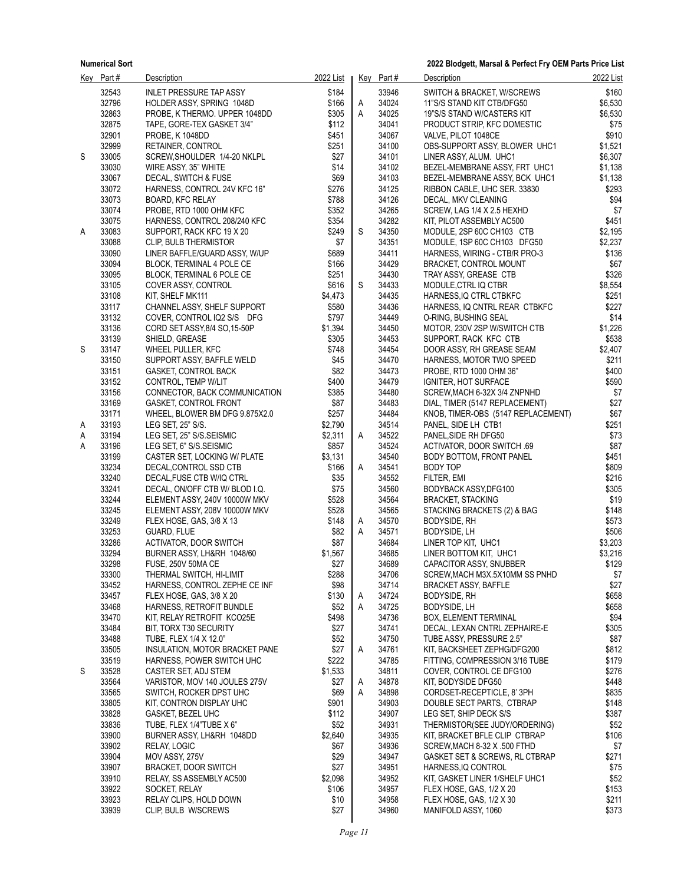|   | Key Part#      | <b>Description</b>                                  | 2022 List        |        | Key Part#      | Description                                                          | 2022 List          |
|---|----------------|-----------------------------------------------------|------------------|--------|----------------|----------------------------------------------------------------------|--------------------|
|   | 32543          | <b>INLET PRESSURE TAP ASSY</b>                      | \$184            |        | 33946          | SWITCH & BRACKET, W/SCREWS                                           | \$160              |
|   | 32796          | HOLDER ASSY, SPRING 1048D                           | \$166            | A      | 34024          | 11"S/S STAND KIT CTB/DFG50                                           | \$6,530            |
|   | 32863          | PROBE, K THERMO. UPPER 1048DD                       | \$305            | Α      | 34025          | 19"S/S STAND W/CASTERS KIT                                           | \$6,530            |
|   | 32875          | TAPE, GORE-TEX GASKET 3/4"                          | \$112            |        | 34041          | PRODUCT STRIP, KFC DOMESTIC                                          | \$75               |
|   | 32901          | PROBE, K 1048DD                                     | \$451            |        | 34067          | VALVE, PILOT 1048CE                                                  | \$910              |
|   | 32999          | RETAINER, CONTROL                                   | \$251            |        | 34100          | OBS-SUPPORT ASSY, BLOWER UHC1                                        | \$1,521            |
| S | 33005          | SCREW, SHOULDER 1/4-20 NKLPL                        | \$27             |        | 34101          | LINER ASSY, ALUM. UHC1                                               | \$6,307            |
|   | 33030<br>33067 | WIRE ASSY, 35" WHITE<br>DECAL, SWITCH & FUSE        | \$14<br>\$69     |        | 34102<br>34103 | BEZEL-MEMBRANE ASSY, FRT UHC1<br>BEZEL-MEMBRANE ASSY, BCK UHC1       | \$1,138<br>\$1,138 |
|   | 33072          | HARNESS, CONTROL 24V KFC 16"                        | \$276            |        | 34125          | RIBBON CABLE, UHC SER. 33830                                         | \$293              |
|   | 33073          | BOARD, KFC RELAY                                    | \$788            |        | 34126          | DECAL, MKV CLEANING                                                  | \$94               |
|   | 33074          | PROBE, RTD 1000 OHM KFC                             | \$352            |        | 34265          | SCREW, LAG 1/4 X 2.5 HEXHD                                           | \$7                |
|   | 33075          | HARNESS, CONTROL 208/240 KFC                        | \$354            |        | 34282          | KIT, PILOT ASSEMBLY AC500                                            | \$451              |
| Α | 33083          | SUPPORT, RACK KFC 19 X 20                           | \$249            | S      | 34350          | MODULE, 2SP 60C CH103 CTB                                            | \$2,195            |
|   | 33088          | CLIP, BULB THERMISTOR                               | \$7              |        | 34351          | MODULE, 1SP 60C CH103 DFG50                                          | \$2,237            |
|   | 33090          | LINER BAFFLE/GUARD ASSY, W/UP                       | \$689            |        | 34411          | HARNESS, WIRING - CTB/R PRO-3                                        | \$136              |
|   | 33094          | BLOCK, TERMINAL 4 POLE CE                           | \$166            |        | 34429          | BRACKET, CONTROL MOUNT                                               | \$67               |
|   | 33095          | BLOCK, TERMINAL 6 POLE CE                           | \$251            |        | 34430          | TRAY ASSY, GREASE CTB                                                | \$326              |
|   | 33105          | COVER ASSY, CONTROL                                 | \$616            | S      | 34433<br>34435 | MODULE, CTRL IQ CTBR                                                 | \$8,554            |
|   | 33108<br>33117 | KIT, SHELF MK111<br>CHANNEL ASSY, SHELF SUPPORT     | \$4,473<br>\$580 |        | 34436          | HARNESS, IQ CTRL CTBKFC<br>HARNESS, IQ CNTRL REAR CTBKFC             | \$251<br>\$227     |
|   | 33132          | COVER, CONTROL IQ2 S/S DFG                          | \$797            |        | 34449          | O-RING, BUSHING SEAL                                                 | \$14               |
|   | 33136          | CORD SET ASSY, 8/4 SO, 15-50P                       | \$1,394          |        | 34450          | MOTOR, 230V 2SP W/SWITCH CTB                                         | \$1,226            |
|   | 33139          | SHIELD, GREASE                                      | \$305            |        | 34453          | SUPPORT, RACK KFC CTB                                                | \$538              |
| S | 33147          | WHEEL PULLER, KFC                                   | \$748            |        | 34454          | DOOR ASSY, RH GREASE SEAM                                            | \$2,407            |
|   | 33150          | SUPPORT ASSY, BAFFLE WELD                           | \$45             |        | 34470          | HARNESS, MOTOR TWO SPEED                                             | \$211              |
|   | 33151          | <b>GASKET, CONTROL BACK</b>                         | \$82             |        | 34473          | PROBE, RTD 1000 OHM 36"                                              | \$400              |
|   | 33152          | CONTROL, TEMP W/LIT                                 | \$400            |        | 34479          | IGNITER, HOT SURFACE                                                 | \$590              |
|   | 33156          | CONNECTOR, BACK COMMUNICATION                       | \$385            |        | 34480          | SCREW, MACH 6-32X 3/4 ZNPNHD                                         | \$7                |
|   | 33169<br>33171 | <b>GASKET, CONTROL FRONT</b>                        | \$87<br>\$257    |        | 34483<br>34484 | DIAL, TIMER (5147 REPLACEMENT)<br>KNOB, TIMER-OBS (5147 REPLACEMENT) | \$27<br>\$67       |
| A | 33193          | WHEEL, BLOWER BM DFG 9.875X2.0<br>LEG SET, 25" S/S. | \$2,790          |        | 34514          | PANEL, SIDE LH CTB1                                                  | \$251              |
| A | 33194          | LEG SET, 25" S/S.SEISMIC                            | \$2,311          | Α      | 34522          | PANEL, SIDE RH DFG50                                                 | \$73               |
| Α | 33196          | LEG SET, 6" S/S.SEISMIC                             | \$857            |        | 34524          | ACTIVATOR, DOOR SWITCH .69                                           | \$87               |
|   | 33199          | CASTER SET, LOCKING W/ PLATE                        | \$3,131          |        | 34540          | BODY BOTTOM, FRONT PANEL                                             | \$451              |
|   | 33234          | DECAL, CONTROL SSD CTB                              | \$166            | Α      | 34541          | BODY TOP                                                             | \$809              |
|   | 33240          | DECAL, FUSE CTB W/IQ CTRL                           | \$35             |        | 34552          | FILTER, EMI                                                          | \$216              |
|   | 33241          | DECAL, ON/OFF CTB W/ BLOD I.Q.                      | \$75             |        | 34560          | BODYBACK ASSY, DFG100                                                | \$305              |
|   | 33244          | ELEMENT ASSY, 240V 10000W MKV                       | \$528            |        | 34564          | <b>BRACKET, STACKING</b>                                             | \$19               |
|   | 33245          | ELEMENT ASSY, 208V 10000W MKV                       | \$528            |        | 34565          | STACKING BRACKETS (2) & BAG                                          | \$148              |
|   | 33249<br>33253 | FLEX HOSE, GAS, 3/8 X 13<br>GUARD, FLUE             | \$148<br>\$82    | A<br>Α | 34570<br>34571 | <b>BODYSIDE, RH</b><br>BODYSIDE, LH                                  | \$573<br>\$506     |
|   | 33286          | <b>ACTIVATOR, DOOR SWITCH</b>                       | \$87             |        | 34684          | LINER TOP KIT, UHC1                                                  | \$3,203            |
|   | 33294          | BURNER ASSY, LH&RH 1048/60                          | \$1,567          |        | 34685          | LINER BOTTOM KIT, UHC1                                               | \$3,216            |
|   | 33298          | <b>FUSE, 250V 50MA CE</b>                           | \$27             |        | 34689          | CAPACITOR ASSY, SNUBBER                                              | \$129              |
|   | 33300          | THERMAL SWITCH, HI-LIMIT                            | \$288            |        | 34706          | SCREW, MACH M3X.5X10MM SS PNHD                                       | \$7                |
|   | 33452          | HARNESS, CONTROL ZEPHE CE INF                       | \$98             |        | 34714          | <b>BRACKET ASSY, BAFFLE</b>                                          | \$27               |
|   | 33457          | FLEX HOSE, GAS, 3/8 X 20                            | \$130            | A      | 34724          | BODYSIDE, RH                                                         | \$658              |
|   | 33468          | HARNESS, RETROFIT BUNDLE                            | \$52             | Α      | 34725          | BODYSIDE, LH                                                         | \$658              |
|   | 33470          | KIT, RELAY RETROFIT KCO25E                          | \$498            |        | 34736          | <b>BOX, ELEMENT TERMINAL</b>                                         | \$94               |
|   | 33484<br>33488 | BIT, TORX T30 SECURITY<br>TUBE, FLEX 1/4 X 12.0"    | \$27<br>\$52     |        | 34741<br>34750 | DECAL, LEXAN CNTRL ZEPHAIRE-E<br>TUBE ASSY, PRESSURE 2.5"            | \$305<br>\$87      |
|   | 33505          | INSULATION, MOTOR BRACKET PANE                      | \$27             | Α      | 34761          | KIT, BACKSHEET ZEPHG/DFG200                                          | \$812              |
|   | 33519          | HARNESS, POWER SWITCH UHC                           | \$222            |        | 34785          | FITTING, COMPRESSION 3/16 TUBE                                       | \$179              |
| S | 33528          | CASTER SET, ADJ STEM                                | \$1,533          |        | 34811          | COVER, CONTROL CE DFG100                                             | \$276              |
|   | 33564          | VARISTOR, MOV 140 JOULES 275V                       | \$27             | A      | 34878          | KIT, BODYSIDE DFG50                                                  | \$448              |
|   | 33565          | SWITCH, ROCKER DPST UHC                             | \$69             | Α      | 34898          | CORDSET-RECEPTICLE, 8'3PH                                            | \$835              |
|   | 33805          | KIT, CONTRON DISPLAY UHC                            | \$901            |        | 34903          | DOUBLE SECT PARTS, CTBRAP                                            | \$148              |
|   | 33828          | GASKET, BEZEL UHC                                   | \$112            |        | 34907          | LEG SET, SHIP DECK S/S                                               | \$387              |
|   | 33836          | TUBE, FLEX 1/4"TUBE X 6"                            | \$52             |        | 34931          | THERMISTOR(SEE JUDY/ORDERING)                                        | \$52               |
|   | 33900          | BURNER ASSY, LH&RH 1048DD                           | \$2,640          |        | 34935          | KIT, BRACKET BFLE CLIP CTBRAP                                        | \$106              |
|   | 33902<br>33904 | RELAY, LOGIC                                        | \$67<br>\$29     |        | 34936<br>34947 | SCREW, MACH 8-32 X .500 FTHD                                         | \$7<br>\$271       |
|   | 33907          | MOV ASSY, 275V<br><b>BRACKET, DOOR SWITCH</b>       | \$27             |        | 34951          | GASKET SET & SCREWS, RL CTBRAP<br>HARNESS, IQ CONTROL                | \$75               |
|   | 33910          | RELAY, SS ASSEMBLY AC500                            | \$2,098          |        | 34952          | KIT, GASKET LINER 1/SHELF UHC1                                       | \$52               |
|   | 33922          | SOCKET, RELAY                                       | \$106            |        | 34957          | FLEX HOSE, GAS, 1/2 X 20                                             | \$153              |
|   | 33923          | RELAY CLIPS, HOLD DOWN                              | \$10             |        | 34958          | FLEX HOSE, GAS, 1/2 X 30                                             | \$211              |
|   | 33939          | CLIP, BULB W/SCREWS                                 | \$27             |        | 34960          | MANIFOLD ASSY, 1060                                                  | \$373              |
|   |                |                                                     |                  |        |                |                                                                      |                    |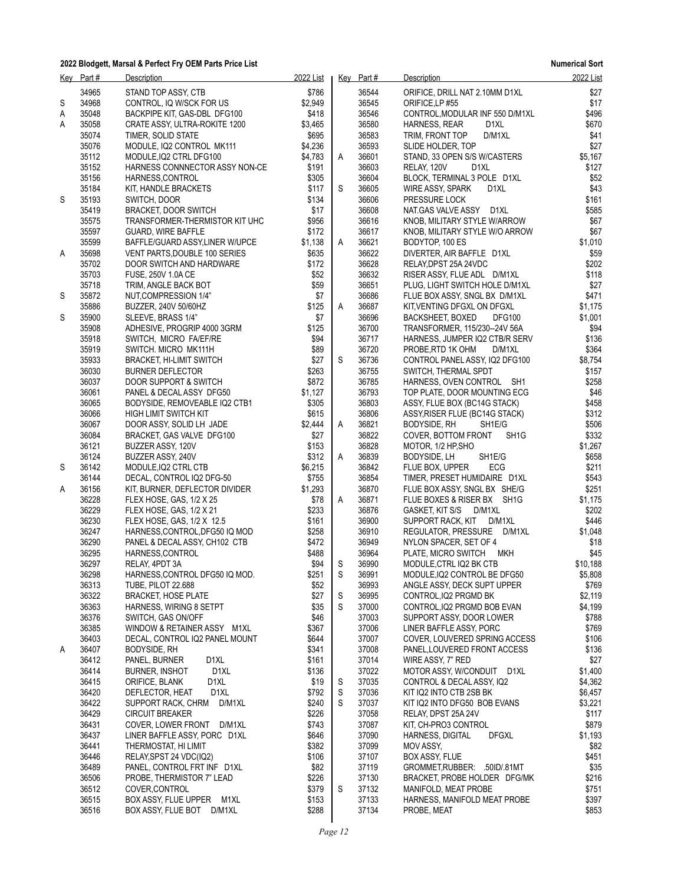|   | Key Part#      | Description                                            | 2022 List        |             | Key Part#      | Description                                                   | 2022 List        |
|---|----------------|--------------------------------------------------------|------------------|-------------|----------------|---------------------------------------------------------------|------------------|
| S | 34965<br>34968 | STAND TOP ASSY, CTB<br>CONTROL, IQ W/SCK FOR US        | \$786<br>\$2,949 |             | 36544<br>36545 | ORIFICE, DRILL NAT 2.10MM D1XL<br>ORIFICE, LP #55             | \$27<br>\$17     |
| Α | 35048          | BACKPIPE KIT, GAS-DBL DFG100                           | \$418            |             | 36546          | CONTROL, MODULAR INF 550 D/M1XL                               | \$496            |
| Α | 35058          | CRATE ASSY, ULTRA-ROKITE 1200                          | \$3,465          |             | 36580          | HARNESS, REAR<br>D <sub>1</sub> XL                            | \$670            |
|   | 35074          | TIMER, SOLID STATE                                     | \$695            |             | 36583          | D/M1XL<br>TRIM, FRONT TOP                                     | \$41             |
|   | 35076          | MODULE, IQ2 CONTROL MK111                              | \$4,236          |             | 36593          | SLIDE HOLDER, TOP                                             | \$27             |
|   | 35112          | MODULE, IQ2 CTRL DFG100                                | \$4,783          | A           | 36601          | STAND, 33 OPEN S/S W/CASTERS                                  | \$5,167          |
|   | 35152          | HARNESS CONNNECTOR ASSY NON-CE                         | \$191            |             | 36603          | RELAY, 120V<br>D <sub>1</sub> XL                              | \$127            |
|   | 35156          | HARNESS, CONTROL                                       | \$305            |             | 36604          | BLOCK, TERMINAL 3 POLE D1XL                                   | \$52             |
|   | 35184<br>35193 | KIT, HANDLE BRACKETS                                   | \$117<br>\$134   | S           | 36605<br>36606 | WIRE ASSY, SPARK<br>D1XL                                      | \$43             |
| S | 35419          | SWITCH, DOOR<br><b>BRACKET, DOOR SWITCH</b>            | \$17             |             | 36608          | PRESSURE LOCK<br>NAT.GAS VALVE ASSY D1XL                      | \$161<br>\$585   |
|   | 35575          | TRANSFORMER-THERMISTOR KIT UHC                         | \$956            |             | 36616          | KNOB, MILITARY STYLE W/ARROW                                  | \$67             |
|   | 35597          | <b>GUARD, WIRE BAFFLE</b>                              | \$172            |             | 36617          | KNOB, MILITARY STYLE W/O ARROW                                | \$67             |
|   | 35599          | BAFFLE/GUARD ASSY, LINER W/UPCE                        | \$1,138          | A           | 36621          | BODYTOP, 100 ES                                               | \$1,010          |
| Α | 35698          | VENT PARTS, DOUBLE 100 SERIES                          | \$635            |             | 36622          | DIVERTER, AIR BAFFLE D1XL                                     | \$59             |
|   | 35702          | DOOR SWITCH AND HARDWARE                               | \$172            |             | 36628          | RELAY, DPST 25A 24VDC                                         | \$202            |
|   | 35703          | FUSE, 250V 1.0A CE                                     | \$52             |             | 36632          | RISER ASSY, FLUE ADL D/M1XL                                   | \$118            |
|   | 35718          | TRIM, ANGLE BACK BOT                                   | \$59             |             | 36651          | PLUG, LIGHT SWITCH HOLE D/M1XL                                | \$27             |
| S | 35872          | NUT, COMPRESSION 1/4"                                  | \$7              |             | 36686          | FLUE BOX ASSY, SNGL BX D/M1XL                                 | \$471            |
|   | 35886          | BUZZER, 240V 50/60HZ                                   | \$125            | Α           | 36687          | KIT, VENTING DFGXL ON DFGXL                                   | \$1,175          |
| S | 35900          | SLEEVE, BRASS 1/4"                                     | \$7              |             | 36696          | <b>BACKSHEET, BOXED</b><br>DFG100                             | \$1,001          |
|   | 35908<br>35918 | ADHESIVE, PROGRIP 4000 3GRM<br>SWITCH, MICRO FA/EF/RE  | \$125<br>\$94    |             | 36700<br>36717 | TRANSFORMER, 115/230--24V 56A                                 | \$94<br>\$136    |
|   | 35919          | SWITCH. MICRO MK111H                                   | \$89             |             | 36720          | HARNESS, JUMPER IQ2 CTB/R SERV<br>PROBE, RTD 1K OHM<br>D/M1XL | \$364            |
|   | 35933          | <b>BRACKET, HI-LIMIT SWITCH</b>                        | \$27             | S           | 36736          | CONTROL PANEL ASSY, IQ2 DFG100                                | \$8,754          |
|   | 36030          | <b>BURNER DEFLECTOR</b>                                | \$263            |             | 36755          | SWITCH, THERMAL SPDT                                          | \$157            |
|   | 36037          | DOOR SUPPORT & SWITCH                                  | \$872            |             | 36785          | HARNESS, OVEN CONTROL SH1                                     | \$258            |
|   | 36061          | PANEL & DECAL ASSY DFG50                               | \$1,127          |             | 36793          | TOP PLATE, DOOR MOUNTING ECG                                  | \$46             |
|   | 36065          | BODYSIDE, REMOVEABLE IQ2 CTB1                          | \$305            |             | 36803          | ASSY, FLUE BOX (BC14G STACK)                                  | \$458            |
|   | 36066          | HIGH LIMIT SWITCH KIT                                  | \$615            |             | 36806          | ASSY, RISER FLUE (BC14G STACK)                                | \$312            |
|   | 36067          | DOOR ASSY, SOLID LH JADE                               | \$2,444          | A           | 36821          | BODYSIDE, RH<br>SH <sub>1</sub> E/G                           | \$506            |
|   | 36084          | BRACKET, GAS VALVE DFG100                              | \$27             |             | 36822          | COVER, BOTTOM FRONT<br>SH <sub>1</sub> G                      | \$332            |
|   | 36121          | BUZZER ASSY, 120V                                      | \$153            |             | 36828          | MOTOR, 1/2 HP, SHO                                            | \$1,267          |
|   | 36124<br>36142 | BUZZER ASSY, 240V                                      | \$312<br>\$6,215 | A           | 36839<br>36842 | BODYSIDE, LH<br>SH1E/G<br>FLUE BOX, UPPER<br>ECG              | \$658<br>\$211   |
| S | 36144          | MODULE, IQ2 CTRL CTB<br>DECAL, CONTROL IQ2 DFG-50      | \$755            |             | 36854          | TIMER, PRESET HUMIDAIRE D1XL                                  | \$543            |
| A | 36156          | KIT, BURNER, DEFLECTOR DIVIDER                         | \$1,293          |             | 36870          | FLUE BOX ASSY, SNGL BX SHE/G                                  | \$251            |
|   | 36228          | FLEX HOSE, GAS, 1/2 X 25                               | \$78             | A           | 36871          | FLUE BOXES & RISER BX SH1G                                    | \$1,175          |
|   | 36229          | FLEX HOSE, GAS, 1/2 X 21                               | \$233            |             | 36876          | GASKET, KIT S/S<br>D/M1XL                                     | \$202            |
|   | 36230          | FLEX HOSE, GAS, 1/2 X 12.5                             | \$161            |             | 36900          | D/M1XL<br>SUPPORT RACK, KIT                                   | \$446            |
|   | 36247          | HARNESS, CONTROL, DFG50 IQ MOD                         | \$258            |             | 36910          | REGULATOR, PRESSURE<br>D/M1XL                                 | \$1,048          |
|   | 36290          | PANEL & DECAL ASSY, CH102 CTB                          | \$472            |             | 36949          | NYLON SPACER, SET OF 4                                        | \$18             |
|   | 36295          | HARNESS, CONTROL                                       | \$488            |             | 36964          | <b>MKH</b><br>PLATE, MICRO SWITCH                             | \$45             |
|   | 36297          | RELAY, 4PDT 3A                                         | \$94             | S           | 36990          | MODULE, CTRL IQ2 BK CTB                                       | \$10,188         |
|   | 36298<br>36313 | HARNESS, CONTROL DFG50 IQ MOD.<br>TUBE, PILOT 22.688   | \$251<br>\$52    | $\mathsf S$ | 36991<br>36993 | MODULE, IQ2 CONTROL BE DFG50<br>ANGLE ASSY, DECK SUPT UPPER   | \$5,808<br>\$769 |
|   | 36322          | <b>BRACKET, HOSE PLATE</b>                             | \$27             | S           | 36995          | CONTROL, IQ2 PRGMD BK                                         | \$2,119          |
|   | 36363          | HARNESS, WIRING 8 SETPT                                | \$35             | S           | 37000          | CONTROL, IQ2 PRGMD BOB EVAN                                   | \$4,199          |
|   | 36376          | SWITCH, GAS ON/OFF                                     | \$46             |             | 37003          | SUPPORT ASSY, DOOR LOWER                                      | \$788            |
|   | 36385          | WINDOW & RETAINER ASSY M1XL                            | \$367            |             | 37006          | LINER BAFFLE ASSY, PORC                                       | \$769            |
|   | 36403          | DECAL, CONTROL IQ2 PANEL MOUNT                         | \$644            |             | 37007          | COVER, LOUVERED SPRING ACCESS                                 | \$106            |
| A | 36407          | BODYSIDE, RH                                           | \$341            |             | 37008          | PANEL, LOUVERED FRONT ACCESS                                  | \$136            |
|   | 36412          | D <sub>1XL</sub><br>PANEL, BURNER                      | \$161            |             | 37014          | WIRE ASSY, 7" RED                                             | \$27             |
|   | 36414          | D1XL<br>BURNER, INSHOT                                 | \$136            |             | 37022          | MOTOR ASSY, W/CONDUIT D1XL                                    | \$1,400          |
|   | 36415          | ORIFICE, BLANK<br>D1XL                                 | \$19             | S           | 37035          | CONTROL & DECAL ASSY, IQ2                                     | \$4,362          |
|   | 36420<br>36422 | D <sub>1XL</sub><br>DEFLECTOR, HEAT                    | \$792<br>\$240   | S<br>S      | 37036<br>37037 | KIT IQ2 INTO CTB 2SB BK                                       | \$6,457          |
|   | 36429          | SUPPORT RACK, CHRM<br>D/M1XL<br><b>CIRCUIT BREAKER</b> | \$226            |             | 37058          | KIT IQ2 INTO DFG50 BOB EVANS<br>RELAY, DPST 25A 24V           | \$3,221<br>\$117 |
|   | 36431          | COVER, LOWER FRONT D/M1XL                              | \$743            |             | 37087          | KIT, CH-PRO3 CONTROL                                          | \$879            |
|   | 36437          | LINER BAFFLE ASSY, PORC D1XL                           | \$646            |             | 37090          | HARNESS, DIGITAL<br><b>DFGXL</b>                              | \$1,193          |
|   | 36441          | THERMOSTAT, HI LIMIT                                   | \$382            |             | 37099          | MOV ASSY,                                                     | \$82             |
|   | 36446          | RELAY, SPST 24 VDC(IQ2)                                | \$106            |             | 37107          | BOX ASSY, FLUE                                                | \$451            |
|   | 36489          | PANEL, CONTROL FRT INF D1XL                            | \$82             |             | 37119          | GROMMET, RUBBER: .50ID/.81MT                                  | \$35             |
|   | 36506          | PROBE, THERMISTOR 7" LEAD                              | \$226            |             | 37130          | BRACKET, PROBE HOLDER DFG/MK                                  | \$216            |
|   | 36512          | COVER, CONTROL                                         | \$379            | S           | 37132          | MANIFOLD, MEAT PROBE                                          | \$751            |
|   | 36515          | BOX ASSY, FLUE UPPER M1XL                              | \$153            |             | 37133          | HARNESS, MANIFOLD MEAT PROBE                                  | \$397            |
|   | 36516          | BOX ASSY, FLUE BOT D/M1XL                              | \$288            |             | 37134          | PROBE, MEAT                                                   | \$853            |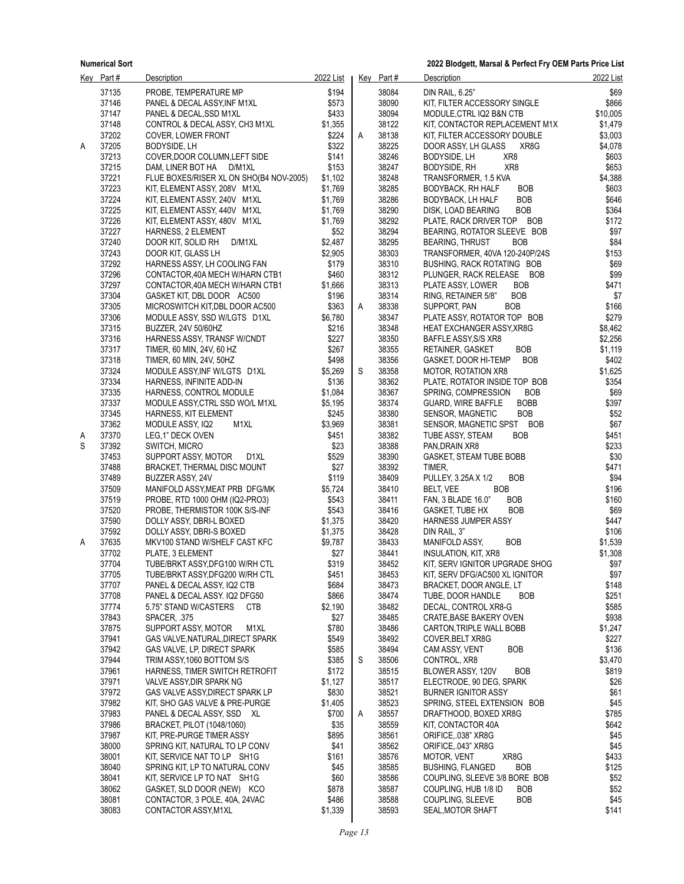**2022 Blodgett, Marsal & Perfect Fry OEM Parts Price List**

|   | Key Part#      | <b>Description</b>                                          | 2022 List      |   | Key Part#      | <b>Description</b>                                                   | 2022 List    |
|---|----------------|-------------------------------------------------------------|----------------|---|----------------|----------------------------------------------------------------------|--------------|
|   | 37135          | PROBE, TEMPERATURE MP                                       | \$194          |   | 38084          | DIN RAIL, 6.25"                                                      | \$69         |
|   | 37146          | PANEL & DECAL ASSY, INF M1XL                                | \$573          |   | 38090          | KIT, FILTER ACCESSORY SINGLE                                         | \$866        |
|   | 37147          | PANEL & DECAL, SSD M1XL                                     | \$433          |   | 38094          | MODULE, CTRL IQ2 B&N CTB                                             | \$10,005     |
|   | 37148          | CONTROL & DECAL ASSY, CH3 M1XL                              | \$1,355        |   | 38122          | KIT, CONTACTOR REPLACEMENT M1X                                       | \$1,479      |
|   | 37202          | COVER, LOWER FRONT                                          | \$224          | A | 38138          | KIT, FILTER ACCESSORY DOUBLE                                         | \$3,003      |
| A | 37205          | BODYSIDE, LH                                                | \$322          |   | 38225          | DOOR ASSY, LH GLASS<br>XR8G                                          | \$4,078      |
|   | 37213          | COVER, DOOR COLUMN, LEFT SIDE                               | \$141          |   | 38246          | XR8<br>BODYSIDE, LH                                                  | \$603        |
|   | 37215          | DAM, LINER BOT HA<br>D/M1XL                                 | \$153          |   | 38247          | XR8<br>BODYSIDE, RH                                                  | \$653        |
|   | 37221          | FLUE BOXES/RISER XL ON SHO(B4 NOV-2005)                     | \$1,102        |   | 38248          | TRANSFORMER, 1.5 KVA                                                 | \$4,388      |
|   | 37223          | KIT, ELEMENT ASSY, 208V M1XL                                | \$1,769        |   | 38285          | <b>BODYBACK, RH HALF</b><br><b>BOB</b>                               | \$603        |
|   | 37224          | KIT, ELEMENT ASSY, 240V M1XL                                | \$1,769        |   | 38286          | <b>BOB</b><br>BODYBACK, LH HALF                                      | \$646        |
|   | 37225          | KIT, ELEMENT ASSY, 440V M1XL                                | \$1,769        |   | 38290          | <b>BOB</b><br>DISK, LOAD BEARING                                     | \$364        |
|   | 37226          | KIT, ELEMENT ASSY, 480V M1XL                                | \$1,769        |   | 38292          | PLATE, RACK DRIVER TOP BOB                                           | \$172        |
|   | 37227          | HARNESS, 2 ELEMENT                                          | \$52           |   | 38294          | BEARING, ROTATOR SLEEVE BOB                                          | \$97         |
|   | 37240          | DOOR KIT, SOLID RH<br>D/M1XL                                | \$2,487        |   | 38295          | <b>BEARING, THRUST</b><br><b>BOB</b>                                 | \$84         |
|   | 37243          | DOOR KIT, GLASS LH                                          | \$2,905        |   | 38303          | TRANSFORMER, 40VA 120-240P/24S                                       | \$153        |
|   | 37292          | HARNESS ASSY, LH COOLING FAN                                | \$179          |   | 38310          | BUSHING, RACK ROTATING BOB                                           | \$69         |
|   | 37296          | CONTACTOR, 40A MECH W/HARN CTB1                             | \$460          |   | 38312          | PLUNGER, RACK RELEASE BOB                                            | \$99         |
|   | 37297          | CONTACTOR, 40A MECH W/HARN CTB1                             | \$1,666        |   | 38313          | <b>BOB</b><br>PLATE ASSY, LOWER                                      | \$471        |
|   | 37304          | GASKET KIT, DBL DOOR AC500                                  | \$196          |   | 38314          | <b>BOB</b><br>RING, RETAINER 5/8"                                    | \$7          |
|   | 37305          | MICROSWITCH KIT, DBL DOOR AC500                             | \$363          | Α | 38338          | SUPPORT, PAN<br><b>BOB</b>                                           | \$166        |
|   | 37306          | MODULE ASSY, SSD W/LGTS D1XL                                | \$6,780        |   | 38347          | PLATE ASSY, ROTATOR TOP BOB                                          | \$279        |
|   | 37315          | BUZZER, 24V 50/60HZ                                         | \$216          |   | 38348          | <b>HEAT EXCHANGER ASSY, XR8G</b>                                     | \$8,462      |
|   | 37316          | HARNESS ASSY, TRANSF W/CNDT                                 | \$227          |   | 38350          | BAFFLE ASSY, S/S XR8                                                 | \$2,256      |
|   | 37317          | TIMER, 60 MIN, 24V, 60 HZ                                   | \$267          |   | 38355          | <b>BOB</b><br>RETAINER, GASKET                                       | \$1,119      |
|   | 37318          | TIMER, 60 MIN, 24V, 50HZ                                    | \$498          |   | 38356          | <b>BOB</b><br><b>GASKET, DOOR HI-TEMP</b>                            | \$402        |
|   | 37324          | MODULE ASSY, INF W/LGTS D1XL                                | \$5,269        | S | 38358          | MOTOR, ROTATION XR8                                                  | \$1,625      |
|   | 37334          | HARNESS, INFINITE ADD-IN                                    | \$136          |   | 38362          | PLATE, ROTATOR INSIDE TOP BOB                                        | \$354        |
|   | 37335          | HARNESS, CONTROL MODULE                                     | \$1,084        |   | 38367          | <b>BOB</b><br>SPRING, COMPRESSION                                    | \$69         |
|   | 37337          | MODULE ASSY CTRL SSD WO/L M1XL                              | \$5,195        |   | 38374          | <b>BOBB</b><br><b>GUARD, WIRE BAFFLE</b>                             | \$397        |
|   | 37345          | HARNESS, KIT ELEMENT                                        | \$245          |   | 38380          | <b>BOB</b><br><b>SENSOR, MAGNETIC</b>                                | \$52         |
|   | 37362          | M1XL<br>MODULE ASSY, IQ2                                    | \$3,969        |   | 38381          | SENSOR, MAGNETIC SPST BOB                                            | \$67         |
| A | 37370          | LEG,1" DECK OVEN                                            | \$451          |   | 38382          | <b>BOB</b><br>TUBE ASSY, STEAM                                       | \$451        |
| S | 37392          | SWITCH, MICRO                                               | \$23           |   | 38388          | PAN, DRAIN XR8                                                       | \$233        |
|   | 37453          | SUPPORT ASSY, MOTOR<br>D1XL                                 | \$529          |   | 38390          | GASKET, STEAM TUBE BOBB                                              | \$30         |
|   | 37488          | BRACKET, THERMAL DISC MOUNT                                 | \$27           |   | 38392          | TIMER,                                                               | \$471        |
|   | 37489          | BUZZER ASSY, 24V                                            | \$119          |   | 38409          | PULLEY, 3.25A X 1/2<br><b>BOB</b>                                    | \$94         |
|   | 37509          | MANIFOLD ASSY, MEAT PRB DFG/MK                              | \$5,724        |   | 38410          | <b>BOB</b><br>BELT, VEE                                              | \$196        |
|   | 37519          | PROBE, RTD 1000 OHM (IQ2-PRO3)                              | \$543          |   | 38411          | FAN, 3 BLADE 16.0"<br><b>BOB</b>                                     | \$160        |
|   | 37520          | PROBE, THERMISTOR 100K S/S-INF                              | \$543          |   | 38416          | GASKET, TUBE HX<br><b>BOB</b>                                        | \$69         |
|   | 37590          | DOLLY ASSY, DBRI-L BOXED                                    | \$1,375        |   | 38420          | HARNESS JUMPER ASSY                                                  | \$447        |
|   | 37592          | DOLLY ASSY, DBRI-S BOXED                                    | \$1,375        |   | 38428          | DIN RAIL, 3"                                                         | \$106        |
| Α | 37635          | MKV100 STAND W/SHELF CAST KFC                               | \$9,787        |   | 38433          | <b>BOB</b><br>MANIFOLD ASSY,                                         | \$1,539      |
|   | 37702          | PLATE, 3 ELEMENT                                            | \$27           |   | 38441          | <b>INSULATION, KIT, XR8</b>                                          | \$1,308      |
|   | 37704          | TUBE/BRKT ASSY,DFG100 W/RH CTL                              | \$319          |   | 38452          | KIT, SERV IGNITOR UPGRADE SHOG                                       | \$97         |
|   | 37705          | TUBE/BRKT ASSY, DFG200 W/RH CTL                             | \$451          |   | 38453          | KIT, SERV DFG/AC500 XL IGNITOR                                       | \$97         |
|   | 37707          | PANEL & DECAL ASSY, IQ2 CTB                                 | \$684          |   | 38473          | BRACKET, DOOR ANGLE, LT                                              | \$148        |
|   | 37708          | PANEL & DECAL ASSY. IQ2 DFG50                               | \$866          |   | 38474          | TUBE, DOOR HANDLE<br><b>BOB</b>                                      | \$251        |
|   | 37774          | 5.75" STAND W/CASTERS<br><b>CTB</b>                         | \$2,190        |   | 38482          | DECAL, CONTROL XR8-G                                                 | \$585        |
|   | 37843          | SPACER, 375                                                 | \$27           |   | 38485          | CRATE, BASE BAKERY OVEN                                              | \$938        |
|   | 37875          | SUPPORT ASSY, MOTOR<br>M1XL                                 | \$780          |   | 38486          | CARTON, TRIPLE WALL BOBB                                             | \$1,247      |
|   | 37941          | GAS VALVE, NATURAL, DIRECT SPARK                            | \$549          |   | 38492          | COVER, BELT XR8G                                                     | \$227        |
|   | 37942          | GAS VALVE, LP, DIRECT SPARK                                 | \$585          |   | 38494          | CAM ASSY, VENT<br><b>BOB</b>                                         | \$136        |
|   | 37944          | TRIM ASSY, 1060 BOTTOM S/S                                  | \$385          | S | 38506          | CONTROL, XR8                                                         | \$3,470      |
|   | 37961          | HARNESS, TIMER SWITCH RETROFIT                              | \$172          |   | 38515          | BLOWER ASSY, 120V<br>BOB                                             | \$819        |
|   | 37971          | VALVE ASSY, DIR SPARK NG                                    | \$1,127        |   | 38517          | ELECTRODE, 90 DEG, SPARK                                             | \$26         |
|   | 37972          | GAS VALVE ASSY, DIRECT SPARK LP                             | \$830          |   | 38521          | <b>BURNER IGNITOR ASSY</b>                                           | \$61         |
|   | 37982          | KIT, SHO GAS VALVE & PRE-PURGE                              | \$1,405        |   | 38523          | SPRING, STEEL EXTENSION BOB                                          | \$45         |
|   | 37983          | PANEL & DECAL ASSY, SSD XL                                  | \$700          | Α | 38557          | DRAFTHOOD, BOXED XR8G                                                | \$785        |
|   | 37986          | BRACKET, PILOT (1048/1060)                                  | \$35           |   | 38559          | KIT, CONTACTOR 40A                                                   | \$642        |
|   | 37987          | KIT, PRE-PURGE TIMER ASSY                                   | \$895          |   | 38561          | ORIFICE, 038" XR8G                                                   | \$45         |
|   | 38000          | SPRING KIT, NATURAL TO LP CONV                              | \$41           |   | 38562          | ORIFICE, 043" XR8G                                                   | \$45         |
|   | 38001          | KIT, SERVICE NAT TO LP SH1G                                 | \$161          |   | 38576          | XR8G<br>MOTOR, VENT                                                  | \$433        |
|   | 38040          | SPRING KIT, LP TO NATURAL CONV                              | \$45           |   | 38585          | <b>BOB</b><br><b>BUSHING, FLANGED</b>                                | \$125        |
|   | 38041          | KIT, SERVICE LP TO NAT SH1G                                 | \$60           |   | 38586          | COUPLING, SLEEVE 3/8 BORE BOB                                        | \$52         |
|   | 38062<br>38081 | GASKET, SLD DOOR (NEW) KCO<br>CONTACTOR, 3 POLE, 40A, 24VAC | \$878<br>\$486 |   | 38587<br>38588 | COUPLING, HUB 1/8 ID<br><b>BOB</b><br><b>BOB</b><br>COUPLING, SLEEVE | \$52<br>\$45 |
|   | 38083          | CONTACTOR ASSY, M1XL                                        | \$1,339        |   | 38593          | SEAL, MOTOR SHAFT                                                    | \$141        |
|   |                |                                                             |                |   |                |                                                                      |              |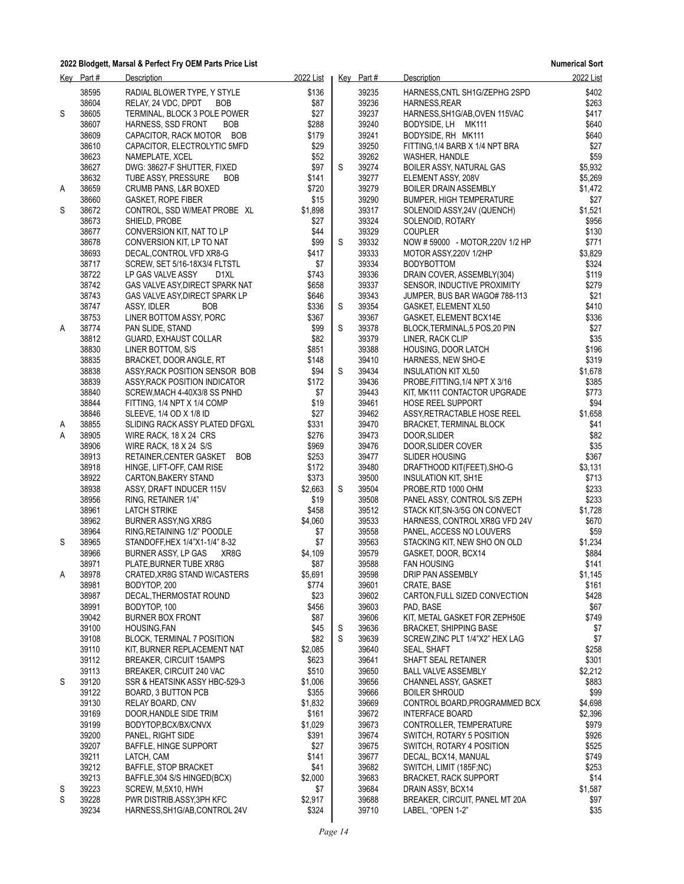|   | Key Part#      | Description                                               | 2022 List        |   | Key Part#      | Description                                             | 2022 List        |
|---|----------------|-----------------------------------------------------------|------------------|---|----------------|---------------------------------------------------------|------------------|
|   | 38595          | RADIAL BLOWER TYPE, Y STYLE                               | \$136            |   | 39235          | HARNESS, CNTL SH1G/ZEPHG 2SPD                           | \$402            |
|   | 38604          | RELAY, 24 VDC, DPDT<br><b>BOB</b>                         | \$87             |   | 39236          | HARNESS, REAR                                           | \$263            |
| S | 38605          | TERMINAL, BLOCK 3 POLE POWER                              | \$27             |   | 39237          | HARNESS, SH1G/AB, OVEN 115VAC                           | \$417            |
|   | 38607          | HARNESS, SSD FRONT<br><b>BOB</b>                          | \$288            |   | 39240          | BODYSIDE, LH MK111                                      | \$640            |
|   | 38609          | CAPACITOR, RACK MOTOR BOB                                 | \$179            |   | 39241<br>39250 | BODYSIDE, RH MK111                                      | \$640            |
|   | 38610<br>38623 | CAPACITOR, ELECTROLYTIC 5MFD<br>NAMEPLATE, XCEL           | \$29<br>\$52     |   | 39262          | FITTING, 1/4 BARB X 1/4 NPT BRA<br>WASHER, HANDLE       | \$27<br>\$59     |
|   | 38627          | DWG: 38627-F SHUTTER, FIXED                               | \$97             | S | 39274          | BOILER ASSY, NATURAL GAS                                | \$5,932          |
|   | 38632          | BOB<br>TUBE ASSY, PRESSURE                                | \$141            |   | 39277          | ELEMENT ASSY, 208V                                      | \$5,269          |
| A | 38659          | <b>CRUMB PANS, L&amp;R BOXED</b>                          | \$720            |   | 39279          | <b>BOILER DRAIN ASSEMBLY</b>                            | \$1,472          |
|   | 38660          | <b>GASKET, ROPE FIBER</b>                                 | \$15             |   | 39290          | <b>BUMPER, HIGH TEMPERATURE</b>                         | \$27             |
| S | 38672          | CONTROL, SSD W/MEAT PROBE XL                              | \$1,898          |   | 39317          | SOLENOID ASSY, 24V (QUENCH)                             | \$1,521          |
|   | 38673          | SHIELD, PROBE                                             | \$27             |   | 39324          | SOLENOID, ROTARY                                        | \$956            |
|   | 38677          | CONVERSION KIT, NAT TO LP                                 | \$44             |   | 39329          | <b>COUPLER</b>                                          | \$130            |
|   | 38678          | CONVERSION KIT, LP TO NAT                                 | \$99             | S | 39332          | NOW # 59000 - MOTOR, 220V 1/2 HP                        | \$771            |
|   | 38693<br>38717 | DECAL, CONTROL VFD XR8-G<br>SCREW, SET 5/16-18X3/4 FLTSTL | \$417<br>\$7     |   | 39333<br>39334 | MOTOR ASSY, 220V 1/2HP<br><b>BODYBOTTOM</b>             | \$3,829<br>\$324 |
|   | 38722          | LP GAS VALVE ASSY<br>D <sub>1</sub> XL                    | \$743            |   | 39336          | DRAIN COVER, ASSEMBLY(304)                              | \$119            |
|   | 38742          | GAS VALVE ASY, DIRECT SPARK NAT                           | \$658            |   | 39337          | SENSOR, INDUCTIVE PROXIMITY                             | \$279            |
|   | 38743          | GAS VALVE ASY, DIRECT SPARK LP                            | \$646            |   | 39343          | JUMPER, BUS BAR WAGO# 788-113                           | \$21             |
|   | 38747          | ASSY, IDLER<br><b>BOB</b>                                 | \$336            | S | 39354          | GASKET, ELEMENT XL50                                    | \$410            |
|   | 38753          | LINER BOTTOM ASSY, PORC                                   | \$367            |   | 39367          | GASKET, ELEMENT BCX14E                                  | \$336            |
| Α | 38774          | PAN SLIDE, STAND                                          | \$99             | S | 39378          | BLOCK, TERMINAL, 5 POS, 20 PIN                          | \$27             |
|   | 38812          | GUARD, EXHAUST COLLAR                                     | \$82             |   | 39379          | LINER, RACK CLIP                                        | \$35             |
|   | 38830          | LINER BOTTOM, S/S                                         | \$851            |   | 39388<br>39410 | HOUSING, DOOR LATCH                                     | \$196<br>\$319   |
|   | 38835<br>38838 | BRACKET, DOOR ANGLE, RT<br>ASSY, RACK POSITION SENSOR BOB | \$148<br>\$94    | S | 39434          | HARNESS, NEW SHO-E<br><b>INSULATION KIT XL50</b>        | \$1,678          |
|   | 38839          | ASSY, RACK POSITION INDICATOR                             | \$172            |   | 39436          | PROBE FITTING, 1/4 NPT X 3/16                           | \$385            |
|   | 38840          | SCREW, MACH 4-40X3/8 SS PNHD                              | \$7              |   | 39443          | KIT, MK111 CONTACTOR UPGRADE                            | \$773            |
|   | 38844          | FITTING, 1/4 NPT X 1/4 COMP                               | \$19             |   | 39461          | <b>HOSE REEL SUPPORT</b>                                | \$94             |
|   | 38846          | SLEEVE, 1/4 OD X 1/8 ID                                   | \$27             |   | 39462          | ASSY RETRACTABLE HOSE REEL                              | \$1,658          |
| A | 38855          | SLIDING RACK ASSY PLATED DFGXL                            | \$331            |   | 39470          | <b>BRACKET, TERMINAL BLOCK</b>                          | \$41             |
| Α | 38905          | WIRE RACK, 18 X 24 CRS                                    | \$276            |   | 39473          | DOOR, SLIDER                                            | \$82             |
|   | 38906          | WIRE RACK, 18 X 24 S/S                                    | \$969            |   | 39476          | DOOR, SLIDER COVER                                      | \$35             |
|   | 38913<br>38918 | <b>BOB</b><br>RETAINER, CENTER GASKET                     | \$253<br>\$172   |   | 39477<br>39480 | <b>SLIDER HOUSING</b><br>DRAFTHOOD KIT(FEET), SHO-G     | \$367<br>\$3,131 |
|   | 38922          | HINGE, LIFT-OFF, CAM RISE<br>CARTON, BAKERY STAND         | \$373            |   | 39500          | INSULATION KIT, SH1E                                    | \$713            |
|   | 38938          | ASSY, DRAFT INDUCER 115V                                  | \$2,663          | S | 39504          | PROBE, RTD 1000 OHM                                     | \$233            |
|   | 38956          | RING, RETAINER 1/4"                                       | \$19             |   | 39508          | PANEL ASSY, CONTROL S/S ZEPH                            | \$233            |
|   | 38961          | <b>LATCH STRIKE</b>                                       | \$458            |   | 39512          | STACK KIT, SN-3/5G ON CONVECT                           | \$1,728          |
|   | 38962          | <b>BURNER ASSY, NG XR8G</b>                               | \$4,060          |   | 39533          | HARNESS, CONTROL XR8G VFD 24V                           | \$670            |
|   | 38964          | RING, RETAINING 1/2" POODLE                               | \$7              |   | 39558          | PANEL, ACCESS NO LOUVERS                                | \$59             |
| S | 38965          | STANDOFF, HEX 1/4"X1-1/4" 8-32                            | \$7              |   | 39563          | STACKING KIT, NEW SHO ON OLD                            | \$1,234          |
|   | 38966          | BURNER ASSY, LP GAS<br>XR8G                               | \$4,109          |   | 39579          | GASKET, DOOR, BCX14                                     | \$884            |
|   | 38971<br>38978 | PLATE, BURNER TUBE XR8G                                   | \$87<br>\$5,691  |   | 39588<br>39598 | <b>FAN HOUSING</b><br>DRIP PAN ASSEMBLY                 | \$141<br>\$1,145 |
| A | 38981          | CRATED, XR8G STAND W/CASTERS<br>BODYTOP, 200              | \$774            |   | 39601          | CRATE, BASE                                             | \$161            |
|   | 38987          | DECAL, THERMOSTAT ROUND                                   | \$23             |   | 39602          | CARTON, FULL SIZED CONVECTION                           | \$428            |
|   | 38991          | BODYTOP, 100                                              | \$456            |   | 39603          | PAD, BASE                                               | \$67             |
|   | 39042          | <b>BURNER BOX FRONT</b>                                   | \$87             |   | 39606          | KIT, METAL GASKET FOR ZEPH50E                           | \$749            |
|   | 39100          | HOUSING, FAN                                              | \$45             | S | 39636          | <b>BRACKET, SHIPPING BASE</b>                           | \$7              |
|   | 39108          | BLOCK, TERMINAL 7 POSITION                                | \$82             | S | 39639          | SCREW, ZINC PLT 1/4"X2" HEX LAG                         | \$7              |
|   | 39110          | KIT, BURNER REPLACEMENT NAT                               | \$2,085          |   | 39640          | SEAL, SHAFT                                             | \$258            |
|   | 39112<br>39113 | <b>BREAKER, CIRCUIT 15AMPS</b>                            | \$623            |   | 39641          | SHAFT SEAL RETAINER                                     | \$301            |
| S | 39120          | BREAKER, CIRCUIT 240 VAC<br>SSR & HEATSINK ASSY HBC-529-3 | \$510<br>\$1,006 |   | 39650<br>39656 | <b>BALL VALVE ASSEMBLY</b><br>CHANNEL ASSY, GASKET      | \$2,212<br>\$883 |
|   | 39122          | <b>BOARD, 3 BUTTON PCB</b>                                | \$355            |   | 39666          | <b>BOILER SHROUD</b>                                    | \$99             |
|   | 39130          | RELAY BOARD, CNV                                          | \$1,832          |   | 39669          | CONTROL BOARD, PROGRAMMED BCX                           | \$4,698          |
|   | 39169          | DOOR, HANDLE SIDE TRIM                                    | \$161            |   | 39672          | <b>INTERFACE BOARD</b>                                  | \$2,396          |
|   | 39199          | BODYTOP, BCX/BX/CNVX                                      | \$1,029          |   | 39673          | CONTROLLER, TEMPERATURE                                 | \$979            |
|   | 39200          | PANEL, RIGHT SIDE                                         | \$391            |   | 39674          | SWITCH, ROTARY 5 POSITION                               | \$926            |
|   | 39207          | BAFFLE, HINGE SUPPORT                                     | \$27             |   | 39675          | SWITCH, ROTARY 4 POSITION                               | \$525            |
|   | 39211          | LATCH, CAM                                                | \$141            |   | 39677          | DECAL, BCX14, MANUAL                                    | \$749            |
|   | 39212<br>39213 | BAFFLE, STOP BRACKET<br>BAFFLE, 304 S/S HINGED(BCX)       | \$41<br>\$2,000  |   | 39682<br>39683 | SWITCH, LIMIT (185F;NC)<br><b>BRACKET, RACK SUPPORT</b> | \$253<br>\$14    |
| S | 39223          | SCREW, M,5X10, HWH                                        | \$7              |   | 39684          | DRAIN ASSY, BCX14                                       | \$1,587          |
| S | 39228          | PWR DISTRIB.ASSY, 3PH KFC                                 | \$2,917          |   | 39688          | BREAKER, CIRCUIT, PANEL MT 20A                          | \$97             |
|   | 39234          | HARNESS, SH1G/AB, CONTROL 24V                             | \$324            |   | 39710          | LABEL, "OPEN 1-2"                                       | \$35             |
|   |                |                                                           |                  |   |                |                                                         |                  |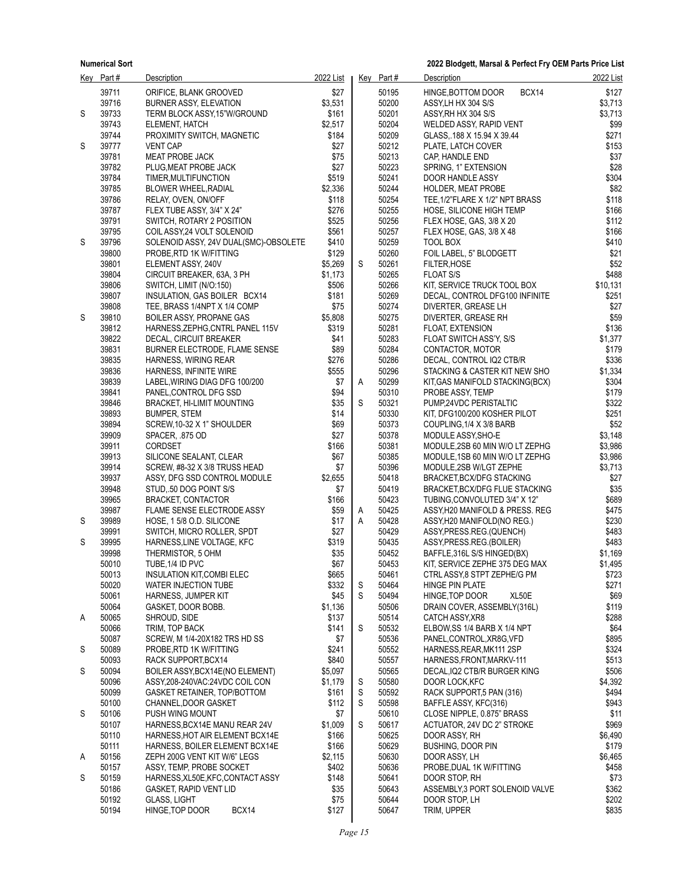|   | Key Part#      | Description                                                    | 2022 List        |   | Key Part#      | Description                                            | 2022 List        |
|---|----------------|----------------------------------------------------------------|------------------|---|----------------|--------------------------------------------------------|------------------|
|   | 39711          | ORIFICE, BLANK GROOVED                                         | \$27             |   | 50195          | BCX14<br>HINGE, BOTTOM DOOR                            | \$127            |
|   | 39716          | <b>BURNER ASSY, ELEVATION</b>                                  | \$3,531          |   | 50200          | ASSY, LH HX 304 S/S                                    | \$3,713          |
| S | 39733          | TERM BLOCK ASSY, 15"W/GROUND                                   | \$161            |   | 50201          | ASSY, RH HX 304 S/S                                    | \$3,713          |
|   | 39743          | ELEMENT, HATCH                                                 | \$2,517          |   | 50204          | WELDED ASSY, RAPID VENT                                | \$99             |
|   | 39744          | PROXIMITY SWITCH, MAGNETIC                                     | \$184            |   | 50209          | GLASS, 188 X 15.94 X 39.44                             | \$271            |
| S | 39777          | <b>VENT CAP</b>                                                | \$27             |   | 50212          | PLATE, LATCH COVER                                     | \$153            |
|   | 39781          | MEAT PROBE JACK                                                | \$75             |   | 50213          | CAP, HANDLE END                                        | \$37             |
|   | 39782          | PLUG, MEAT PROBE JACK                                          | \$27             |   | 50223          | SPRING, 1" EXTENSION                                   | \$28             |
|   | 39784          | TIMER, MULTIFUNCTION                                           | \$519            |   | 50241          | DOOR HANDLE ASSY                                       | \$304            |
|   | 39785          | <b>BLOWER WHEEL, RADIAL</b>                                    | \$2,336          |   | 50244          | <b>HOLDER, MEAT PROBE</b>                              | \$82             |
|   | 39786          | RELAY, OVEN, ON/OFF                                            | \$118            |   | 50254          | TEE, 1/2"FLARE X 1/2" NPT BRASS                        | \$118            |
|   | 39787          | FLEX TUBE ASSY, 3/4" X 24"                                     | \$276            |   | 50255          | HOSE, SILICONE HIGH TEMP                               | \$166<br>\$112   |
|   | 39791<br>39795 | SWITCH, ROTARY 2 POSITION<br>COIL ASSY, 24 VOLT SOLENOID       | \$525<br>\$561   |   | 50256<br>50257 | FLEX HOSE, GAS, 3/8 X 20<br>FLEX HOSE, GAS, 3/8 X 48   | \$166            |
| S | 39796          | SOLENOID ASSY, 24V DUAL(SMC)-OBSOLETE                          | \$410            |   | 50259          | TOOL BOX                                               | \$410            |
|   | 39800          | PROBE, RTD 1K W/FITTING                                        | \$129            |   | 50260          | FOIL LABEL, 5" BLODGETT                                | \$21             |
|   | 39801          | ELEMENT ASSY, 240V                                             | \$5,269          | S | 50261          | <b>FILTER, HOSE</b>                                    | \$52             |
|   | 39804          | CIRCUIT BREAKER, 63A, 3 PH                                     | \$1,173          |   | 50265          | <b>FLOAT S/S</b>                                       | \$488            |
|   | 39806          | SWITCH, LIMIT (N/O:150)                                        | \$506            |   | 50266          | KIT, SERVICE TRUCK TOOL BOX                            | \$10,131         |
|   | 39807          | INSULATION, GAS BOILER BCX14                                   | \$181            |   | 50269          | DECAL, CONTROL DFG100 INFINITE                         | \$251            |
|   | 39808          | TEE, BRASS 1/4NPT X 1/4 COMP                                   | \$75             |   | 50274          | DIVERTER, GREASE LH                                    | \$27             |
| S | 39810          | <b>BOILER ASSY, PROPANE GAS</b>                                | \$5,808          |   | 50275          | DIVERTER, GREASE RH                                    | \$59             |
|   | 39812          | HARNESS, ZEPHG, CNTRL PANEL 115V                               | \$319            |   | 50281          | <b>FLOAT EXTENSION</b>                                 | \$136            |
|   | 39822          | DECAL, CIRCUIT BREAKER                                         | \$41             |   | 50283          | FLOAT SWITCH ASS'Y, S/S                                | \$1,377          |
|   | 39831          | <b>BURNER ELECTRODE, FLAME SENSE</b>                           | \$89             |   | 50284          | CONTACTOR, MOTOR                                       | \$179            |
|   | 39835          | HARNESS, WIRING REAR                                           | \$276            |   | 50286          | DECAL, CONTROL IQ2 CTB/R                               | \$336            |
|   | 39836          | HARNESS, INFINITE WIRE                                         | \$555            |   | 50296          | STACKING & CASTER KIT NEW SHO                          | \$1,334          |
|   | 39839          | LABEL, WIRING DIAG DFG 100/200                                 | \$7              | A | 50299          | KIT GAS MANIFOLD STACKING(BCX)                         | \$304            |
|   | 39841          | PANEL, CONTROL DFG SSD                                         | \$94             |   | 50310          | PROBE ASSY, TEMP                                       | \$179            |
|   | 39846<br>39893 | <b>BRACKET, HI-LIMIT MOUNTING</b><br><b>BUMPER, STEM</b>       | \$35<br>\$14     | S | 50321<br>50330 | PUMP,24VDC PERISTALTIC<br>KIT, DFG100/200 KOSHER PILOT | \$322<br>\$251   |
|   | 39894          | SCREW, 10-32 X 1" SHOULDER                                     | \$69             |   | 50373          | COUPLING, 1/4 X 3/8 BARB                               | \$52             |
|   | 39909          | SPACER, .875 OD                                                | \$27             |   | 50378          | MODULE ASSY, SHO-E                                     | \$3,148          |
|   | 39911          | CORDSET                                                        | \$166            |   | 50381          | MODULE, 2SB 60 MIN W/O LT ZEPHG                        | \$3,986          |
|   | 39913          | SILICONE SEALANT, CLEAR                                        | \$67             |   | 50385          | MODULE, 1SB 60 MIN W/O LT ZEPHG                        | \$3,986          |
|   | 39914          | SCREW, #8-32 X 3/8 TRUSS HEAD                                  | \$7              |   | 50396          | MODULE,2SB W/LGT ZEPHE                                 | \$3,713          |
|   | 39937          | ASSY, DFG SSD CONTROL MODULE                                   | \$2,655          |   | 50418          | BRACKET, BCX/DFG STACKING                              | \$27             |
|   | 39948          | STUD, 50 DOG POINT S/S                                         | \$7              |   | 50419          | BRACKET, BCX/DFG FLUE STACKING                         | \$35             |
|   | 39965          | <b>BRACKET, CONTACTOR</b>                                      | \$166            |   | 50423          | TUBING, CONVOLUTED 3/4" X 12"                          | \$689            |
|   | 39987          | FLAME SENSE ELECTRODE ASSY                                     | \$59             | A | 50425          | ASSY, H20 MANIFOLD & PRESS. REG                        | \$475            |
| S | 39989          | HOSE, 15/8 O.D. SILICONE                                       | \$17             | Α | 50428          | ASSY, H20 MANIFOLD(NO REG.)                            | \$230            |
|   | 39991          | SWITCH, MICRO ROLLER, SPDT                                     | \$27             |   | 50429          | ASSY PRESS.REG.(QUENCH)                                | \$483            |
| S | 39995          | HARNESS, LINE VOLTAGE, KFC                                     | \$319            |   | 50435          | ASSY, PRESS.REG. (BOILER)                              | \$483            |
|   | 39998          | THERMISTOR, 5 OHM                                              | \$35             |   | 50452          | BAFFLE, 316L S/S HINGED(BX)                            | \$1,169          |
|   | 50010          | TUBE, 1/4 ID PVC                                               | \$67             |   | 50453          | KIT, SERVICE ZEPHE 375 DEG MAX                         | \$1,495          |
|   | 50013<br>50020 | INSULATION KIT, COMBI ELEC<br>WATER INJECTION TUBE             | \$665<br>\$332   | S | 50461<br>50464 | CTRL ASSY, 8 STPT ZEPHE/G PM<br><b>HINGE PIN PLATE</b> | \$723<br>\$271   |
|   | 50061          | HARNESS, JUMPER KIT                                            | \$45             | S | 50494          | XL50E<br>HINGE, TOP DOOR                               | \$69             |
|   | 50064          | GASKET DOOR BOBB.                                              | \$1,136          |   | 50506          | DRAIN COVER, ASSEMBLY(316L)                            | \$119            |
| A | 50065          | SHROUD, SIDE                                                   | \$137            |   | 50514          | CATCH ASSY, XR8                                        | \$288            |
|   | 50066          | TRIM, TOP BACK                                                 | \$141            | S | 50532          | ELBOW, SS 1/4 BARB X 1/4 NPT                           | \$64             |
|   | 50087          | SCREW, M 1/4-20X182 TRS HD SS                                  | \$7              |   | 50536          | PANEL, CONTROL, XR8G, VFD                              | \$895            |
| S | 50089          | PROBE RTD 1K W/FITTING                                         | \$241            |   | 50552          | HARNESS, REAR, MK111 2SP                               | \$324            |
|   | 50093          | RACK SUPPORT, BCX14                                            | \$840            |   | 50557          | HARNESS, FRONT, MARKV-111                              | \$513            |
| S | 50094          | BOILER ASSY, BCX14E (NO ELEMENT)                               | \$5,097          |   | 50565          | DECAL, IQ2 CTB/R BURGER KING                           | \$506            |
|   | 50096          | ASSY, 208-240VAC: 24VDC COIL CON                               | \$1,179          | S | 50580          | DOOR LOCK, KFC                                         | \$4,392          |
|   | 50099          | GASKET RETAINER, TOP/BOTTOM                                    | \$161            | S | 50592          | RACK SUPPORT,5 PAN (316)                               | \$494            |
|   | 50100          | CHANNEL, DOOR GASKET                                           | \$112            | S | 50598          | BAFFLE ASSY, KFC(316)                                  | \$943            |
| S | 50106          | PUSH WING MOUNT                                                | \$7              |   | 50610          | CLOSE NIPPLE, 0.875" BRASS                             | \$11             |
|   | 50107          | HARNESS, BCX14E MANU REAR 24V                                  | \$1,009          | S | 50617          | ACTUATOR, 24V DC 2" STROKE                             | \$969            |
|   | 50110          | HARNESS, HOT AIR ELEMENT BCX14E                                | \$166            |   | 50625          | DOOR ASSY, RH                                          | \$6,490          |
|   | 50111<br>50156 | HARNESS, BOILER ELEMENT BCX14E<br>ZEPH 200G VENT KIT W/6" LEGS | \$166<br>\$2,115 |   | 50629<br>50630 | <b>BUSHING, DOOR PIN</b><br>DOOR ASSY, LH              | \$179<br>\$6,465 |
| Α | 50157          | ASSY, TEMP, PROBE SOCKET                                       | \$402            |   | 50636          | PROBE, DUAL 1K W/FITTING                               | \$458            |
| S | 50159          | HARNESS, XL50E, KFC, CONTACT ASSY                              | \$148            |   | 50641          | DOOR STOP, RH                                          | \$73             |
|   | 50186          | <b>GASKET, RAPID VENT LID</b>                                  | \$35             |   | 50643          | ASSEMBLY, 3 PORT SOLENOID VALVE                        | \$362            |
|   | 50192          | <b>GLASS, LIGHT</b>                                            | \$75             |   | 50644          | DOOR STOP, LH                                          | \$202            |
|   | 50194          | HINGE, TOP DOOR<br>BCX14                                       | \$127            |   | 50647          | TRIM, UPPER                                            | \$835            |
|   |                |                                                                |                  |   |                |                                                        |                  |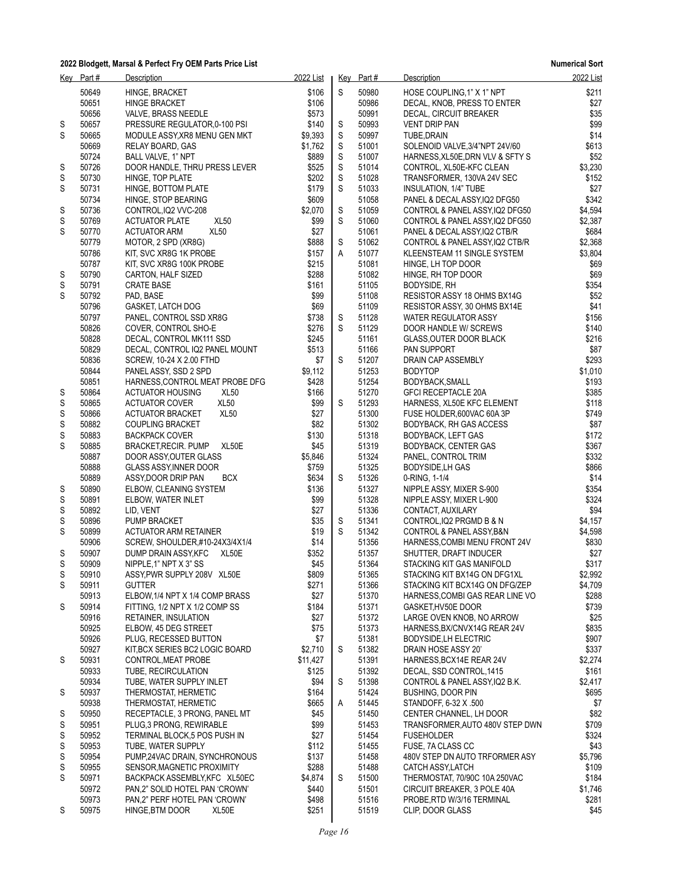| <u>Key</u> | Part# | Description                                 | 2022 List |             | Key Part# | Description                      | 2022 List |
|------------|-------|---------------------------------------------|-----------|-------------|-----------|----------------------------------|-----------|
|            | 50649 | HINGE, BRACKET                              | \$106     | S           | 50980     | HOSE COUPLING, 1" X 1" NPT       | \$211     |
|            | 50651 | HINGE BRACKET                               | \$106     |             | 50986     | DECAL, KNOB, PRESS TO ENTER      | \$27      |
|            | 50656 | VALVE, BRASS NEEDLE                         | \$573     |             | 50991     | DECAL, CIRCUIT BREAKER           | \$35      |
| S          | 50657 | PRESSURE REGULATOR 0-100 PSI                | \$140     | S           | 50993     | <b>VENT DRIP PAN</b>             | \$99      |
| S          | 50665 | MODULE ASSY, XR8 MENU GEN MKT               | \$9,393   | S           | 50997     | TUBE, DRAIN                      | \$14      |
|            | 50669 | RELAY BOARD, GAS                            | \$1,762   | $\mathsf S$ | 51001     | SOLENOID VALVE, 3/4"NPT 24V/60   | \$613     |
|            | 50724 | BALL VALVE, 1" NPT                          | \$889     | S           | 51007     | HARNESS, XL50E, DRN VLV & SFTY S | \$52      |
|            | 50726 |                                             | \$525     | S           | 51014     |                                  | \$3,230   |
| S          |       | DOOR HANDLE, THRU PRESS LEVER               |           |             |           | CONTROL, XL50E-KFC CLEAN         |           |
| S          | 50730 | HINGE, TOP PLATE                            | \$202     | S           | 51028     | TRANSFORMER, 130VA 24V SEC       | \$152     |
| S          | 50731 | HINGE, BOTTOM PLATE                         | \$179     | S           | 51033     | INSULATION, 1/4" TUBE            | \$27      |
|            | 50734 | HINGE, STOP BEARING                         | \$609     |             | 51058     | PANEL & DECAL ASSY, IQ2 DFG50    | \$342     |
| S          | 50736 | CONTROL, IQ2 VVC-208                        | \$2,070   | S           | 51059     | CONTROL & PANEL ASSY IQ2 DFG50   | \$4,594   |
| S          | 50769 | XL <sub>50</sub><br><b>ACTUATOR PLATE</b>   | \$99      | S           | 51060     | CONTROL & PANEL ASSY, IQ2 DFG50  | \$2,387   |
| S          | 50770 | XL <sub>50</sub><br><b>ACTUATOR ARM</b>     | \$27      |             | 51061     | PANEL & DECAL ASSY, IQ2 CTB/R    | \$684     |
|            | 50779 | MOTOR, 2 SPD (XR8G)                         | \$888     | S           | 51062     | CONTROL & PANEL ASSY, IQ2 CTB/R  | \$2,368   |
|            | 50786 | KIT, SVC XR8G 1K PROBE                      | \$157     | A           | 51077     | KLEENSTEAM 11 SINGLE SYSTEM      | \$3,804   |
|            | 50787 | KIT, SVC XR8G 100K PROBE                    | \$215     |             | 51081     | HINGE, LH TOP DOOR               | \$69      |
| S          | 50790 | CARTON, HALF SIZED                          | \$288     |             | 51082     | HINGE, RH TOP DOOR               | \$69      |
| S          | 50791 | <b>CRATE BASE</b>                           | \$161     |             | 51105     | BODYSIDE, RH                     | \$354     |
| S          | 50792 | PAD, BASE                                   | \$99      |             | 51108     | RESISTOR ASSY 18 OHMS BX14G      | \$52      |
|            | 50796 | GASKET, LATCH DOG                           | \$69      |             | 51109     | RESISTOR ASSY, 30 OHMS BX14E     | \$41      |
|            | 50797 | PANEL, CONTROL SSD XR8G                     | \$738     | S           | 51128     | <b>WATER REGULATOR ASSY</b>      | \$156     |
|            | 50826 | COVER, CONTROL SHO-E                        | \$276     | $\mathbb S$ | 51129     | DOOR HANDLE W/ SCREWS            | \$140     |
|            | 50828 | DECAL, CONTROL MK111 SSD                    | \$245     |             | 51161     | <b>GLASS OUTER DOOR BLACK</b>    | \$216     |
|            | 50829 | DECAL, CONTROL IQ2 PANEL MOUNT              | \$513     |             | 51166     | PAN SUPPORT                      | \$87      |
|            | 50836 | <b>SCREW, 10-24 X 2.00 FTHD</b>             | \$7       | S           | 51207     | DRAIN CAP ASSEMBLY               | \$293     |
|            | 50844 | PANEL ASSY, SSD 2 SPD                       | \$9,112   |             | 51253     | <b>BODYTOP</b>                   | \$1,010   |
|            | 50851 | HARNESS, CONTROL MEAT PROBE DFG             | \$428     |             | 51254     | BODYBACK, SMALL                  | \$193     |
| S          | 50864 | XL <sub>50</sub><br><b>ACTUATOR HOUSING</b> | \$166     |             | 51270     | <b>GFCI RECEPTACLE 20A</b>       | \$385     |
| S          | 50865 | XL <sub>50</sub><br><b>ACTUATOR COVER</b>   | \$99      | S           | 51293     | HARNESS, XL50E KFC ELEMENT       | \$118     |
| S          | 50866 | <b>XL50</b><br><b>ACTUATOR BRACKET</b>      | \$27      |             | 51300     | FUSE HOLDER, 600VAC 60A 3P       | \$749     |
| S          | 50882 | <b>COUPLING BRACKET</b>                     | \$82      |             | 51302     | BODYBACK, RH GAS ACCESS          | \$87      |
| S          | 50883 | <b>BACKPACK COVER</b>                       | \$130     |             | 51318     | <b>BODYBACK, LEFT GAS</b>        | \$172     |
| S          | 50885 | XL50E<br><b>BRACKET, RECIR. PUMP</b>        | \$45      |             | 51319     | <b>BODYBACK, CENTER GAS</b>      | \$367     |
|            | 50887 | DOOR ASSY, OUTER GLASS                      | \$5,846   |             | 51324     | PANEL, CONTROL TRIM              | \$332     |
|            | 50888 | <b>GLASS ASSY, INNER DOOR</b>               | \$759     |             | 51325     | <b>BODYSIDE, LH GAS</b>          | \$866     |
|            | 50889 | <b>BCX</b><br>ASSY, DOOR DRIP PAN           | \$634     | S           | 51326     | 0-RING, 1-1/4                    | \$14      |
| S          | 50890 | ELBOW, CLEANING SYSTEM                      | \$136     |             | 51327     | NIPPLE ASSY, MIXER S-900         | \$354     |
| S          | 50891 | ELBOW, WATER INLET                          | \$99      |             | 51328     | NIPPLE ASSY, MIXER L-900         | \$324     |
| S          | 50892 |                                             | \$27      |             | 51336     |                                  | \$94      |
|            |       | LID, VENT                                   |           |             |           | CONTACT, AUXILARY                |           |
| S          | 50896 | <b>PUMP BRACKET</b>                         | \$35      | S<br>S      | 51341     | CONTROL, IQ2 PRGMD B & N         | \$4,157   |
| S          | 50899 | ACTUATOR ARM RETAINER                       | \$19      |             | 51342     | CONTROL & PANEL ASSY, B&N        | \$4,598   |
|            | 50906 | SCREW, SHOULDER,#10-24X3/4X1/4              | \$14      |             | 51356     | HARNESS, COMBI MENU FRONT 24V    | \$830     |
| S          | 50907 | DUMP DRAIN ASSY, KFC<br>XL50E               | \$352     |             | 51357     | SHUTTER, DRAFT INDUCER           | \$27      |
| S          | 50909 | NIPPLE, 1" NPT X 3" SS                      | \$45      |             | 51364     | STACKING KIT GAS MANIFOLD        | \$317     |
| S          | 50910 | ASSY, PWR SUPPLY 208V XL50E                 | \$809     |             | 51365     | STACKING KIT BX14G ON DFG1XL     | \$2,992   |
| S          | 50911 | <b>GUTTER</b>                               | \$271     |             | 51366     | STACKING KIT BCX14G ON DFG/ZEP   | \$4,709   |
|            | 50913 | ELBOW, 1/4 NPT X 1/4 COMP BRASS             | \$27      |             | 51370     | HARNESS, COMBIGAS REAR LINE VO   | \$288     |
| S          | 50914 | FITTING, 1/2 NPT X 1/2 COMP SS              | \$184     |             | 51371     | GASKET, HV50E DOOR               | \$739     |
|            | 50916 | RETAINER, INSULATION                        | \$27      |             | 51372     | LARGE OVEN KNOB, NO ARROW        | \$25      |
|            | 50925 | ELBOW, 45 DEG STREET                        | \$75      |             | 51373     | HARNESS, BX/CNVX14G REAR 24V     | \$835     |
|            | 50926 | PLUG, RECESSED BUTTON                       | \$7       |             | 51381     | <b>BODYSIDE, LH ELECTRIC</b>     | \$907     |
|            | 50927 | KIT BCX SERIES BC2 LOGIC BOARD              | \$2,710   | S           | 51382     | DRAIN HOSE ASSY 20'              | \$337     |
| S          | 50931 | CONTROL, MEAT PROBE                         | \$11,427  |             | 51391     | HARNESS, BCX14E REAR 24V         | \$2,274   |
|            | 50933 | TUBE, RECIRCULATION                         | \$125     |             | 51392     | DECAL, SSD CONTROL 1415          | \$161     |
|            | 50934 | TUBE, WATER SUPPLY INLET                    | \$94      | S           | 51398     | CONTROL & PANEL ASSY, IQ2 B.K.   | \$2,417   |
| S          | 50937 | THERMOSTAT, HERMETIC                        | \$164     |             | 51424     | <b>BUSHING, DOOR PIN</b>         | \$695     |
|            | 50938 | THERMOSTAT, HERMETIC                        | \$665     | Α           | 51445     | STANDOFF, 6-32 X .500            | \$7       |
| S          | 50950 | RECEPTACLE, 3 PRONG, PANEL MT               | \$45      |             | 51450     | CENTER CHANNEL, LH DOOR          | \$82      |
| S          | 50951 | PLUG, 3 PRONG, REWIRABLE                    | \$99      |             | 51453     | TRANSFORMER, AUTO 480V STEP DWN  | \$709     |
| S          | 50952 | TERMINAL BLOCK,5 POS PUSH IN                | \$27      |             | 51454     | <b>FUSEHOLDER</b>                | \$324     |
| S          | 50953 | TUBE, WATER SUPPLY                          | \$112     |             | 51455     | FUSE, 7A CLASS CC                | \$43      |
| S          | 50954 | PUMP,24VAC DRAIN, SYNCHRONOUS               | \$137     |             | 51458     | 480V STEP DN AUTO TRFORMER ASY   | \$5,796   |
| S          | 50955 | SENSOR, MAGNETIC PROXIMITY                  | \$288     |             | 51488     | CATCH ASSY, LATCH                | \$109     |
| S          | 50971 | BACKPACK ASSEMBLY, KFC XL50EC               | \$4,874   | S           | 51500     | THERMOSTAT, 70/90C 10A 250VAC    | \$184     |
|            | 50972 | PAN,2" SOLID HOTEL PAN 'CROWN'              | \$440     |             | 51501     | CIRCUIT BREAKER, 3 POLE 40A      | \$1,746   |
|            | 50973 | PAN,2" PERF HOTEL PAN 'CROWN'               | \$498     |             | 51516     | PROBE, RTD W/3/16 TERMINAL       | \$281     |
| S          | 50975 | HINGE, BTM DOOR<br>XL50E                    | \$251     |             | 51519     | CLIP, DOOR GLASS                 | \$45      |
|            |       |                                             |           |             |           |                                  |           |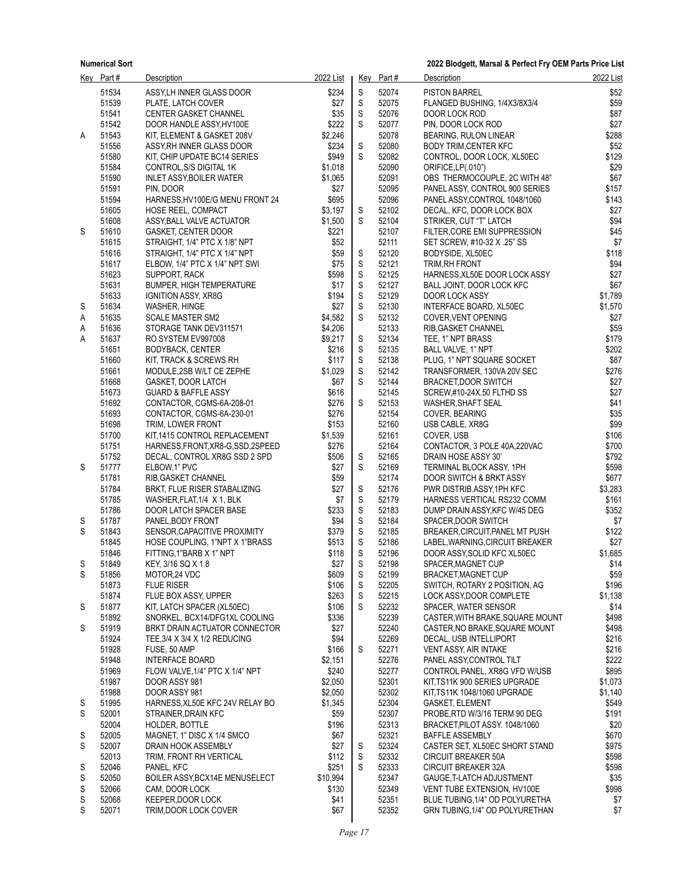|   | Key Part#      | <b>Description</b>                                             | 2022 List      |                  | Key Part#      | <b>Description</b>                                         | 2022 List      |
|---|----------------|----------------------------------------------------------------|----------------|------------------|----------------|------------------------------------------------------------|----------------|
|   | 51534          | ASSY, LH INNER GLASS DOOR                                      | \$234          | S                | 52074          | <b>PISTON BARREL</b>                                       | \$52           |
|   | 51539          | PLATE, LATCH COVER                                             | \$27           | $\mathsf S$      | 52075          | FLANGED BUSHING, 1/4X3/8X3/4                               | \$59           |
|   | 51541          | <b>CENTER GASKET CHANNEL</b>                                   | \$35           | $\mathsf S$      | 52076          | DOOR LOCK ROD                                              | \$87           |
|   | 51542          | DOOR HANDLE ASSY, HV100E                                       | \$222          | $\mathbb S$      | 52077          | PIN, DOOR LOCK ROD                                         | \$27           |
| Α | 51543          | KIT, ELEMENT & GASKET 208V                                     | \$2,246        |                  | 52078          | BEARING, RULON LINEAR                                      | \$288          |
|   | 51556<br>51580 | ASSY, RH INNER GLASS DOOR<br>KIT, CHIP UPDATE BC14 SERIES      | \$234<br>\$949 | S<br>S           | 52080<br>52082 | <b>BODY TRIM, CENTER KFC</b><br>CONTROL, DOOR LOCK, XL50EC | \$52<br>\$129  |
|   | 51584          | CONTROL, S/S DIGITAL 1K                                        | \$1,018        |                  | 52090          | ORIFICE, LP(.010")                                         | \$29           |
|   | 51590          | INLET ASSY, BOILER WATER                                       | \$1,065        |                  | 52091          | OBS THERMOCOUPLE, 2C WITH 48"                              | \$67           |
|   | 51591          | PIN, DOOR                                                      | \$27           |                  | 52095          | PANEL ASSY, CONTROL 900 SERIES                             | \$157          |
|   | 51594          | HARNESS, HV100E/G MENU FRONT 24                                | \$695          |                  | 52096          | PANEL ASSY, CONTROL 1048/1060                              | \$143          |
|   | 51605          | <b>HOSE REEL, COMPACT</b>                                      | \$3,197        | S                | 52102          | DECAL, KFC, DOOR LOCK BOX                                  | \$27           |
|   | 51608          | ASSY, BALL VALVE ACTUATOR                                      | \$1,500        | S                | 52104          | STRIKER, CUT "T" LATCH                                     | \$94           |
| S | 51610          | <b>GASKET, CENTER DOOR</b>                                     | \$221          |                  | 52107          | FILTER, CORE EMI SUPPRESSION                               | \$45           |
|   | 51615          | STRAIGHT, 1/4" PTC X 1/8" NPT                                  | \$52           |                  | 52111          | SET SCREW, #10-32 X .25" SS                                | \$7            |
|   | 51616          | STRAIGHT, 1/4" PTC X 1/4" NPT                                  | \$59           | S                | 52120          | BODYSIDE, XL50EC                                           | \$118          |
|   | 51617<br>51623 | ELBOW, 1/4" PTC X 1/4" NPT SWI<br>SUPPORT, RACK                | \$75<br>\$598  | $\mathsf S$<br>S | 52121<br>52125 | TRIM, RH FRONT<br>HARNESS, XL50E DOOR LOCK ASSY            | \$94<br>\$27   |
|   | 51631          | <b>BUMPER, HIGH TEMPERATURE</b>                                | \$17           | $\mathbb S$      | 52127          | BALL JOINT, DOOR LOCK KFC                                  | \$67           |
|   | 51633          | <b>IGNITION ASSY, XR8G</b>                                     | \$194          | S                | 52129          | DOOR LOCK ASSY                                             | \$1,789        |
| S | 51634          | WASHER, HINGE                                                  | \$27           | $\mathbb S$      | 52130          | INTERFACE BOARD, XL50EC                                    | \$1,570        |
| Α | 51635          | <b>SCALE MASTER SM2</b>                                        | \$4,582        | $\mathbb S$      | 52132          | COVER, VENT OPENING                                        | \$27           |
| Α | 51636          | STORAGE TANK DEV311571                                         | \$4,206        |                  | 52133          | RIB GASKET CHANNEL                                         | \$59           |
| Α | 51637          | RO SYSTEM EV997008                                             | \$9,217        | S                | 52134          | TEE, 1" NPT BRASS                                          | \$179          |
|   | 51651          | BODYBACK, CENTER                                               | \$216          | S                | 52135          | BALL VALVE, 1" NPT                                         | \$202          |
|   | 51660          | KIT, TRACK & SCREWS RH                                         | \$117          | $\mathsf S$      | 52138          | PLUG, 1" NPT SQUARE SOCKET                                 | \$87           |
|   | 51661          | MODULE,2SB W/LT CE ZEPHE                                       | \$1,029        | $\mathbb S$      | 52142          | TRANSFORMER, 130VA 20V SEC                                 | \$276          |
|   | 51668<br>51673 | <b>GASKET, DOOR LATCH</b>                                      | \$67<br>\$616  | S                | 52144<br>52145 | BRACKET, DOOR SWITCH                                       | \$27<br>\$27   |
|   | 51692          | <b>GUARD &amp; BAFFLE ASSY</b><br>CONTACTOR, CGMS-6A-208-01    | \$276          | S                | 52153          | SCREW,#10-24X.50 FLTHD SS<br>WASHER, SHAFT SEAL            | \$41           |
|   | 51693          | CONTACTOR, CGMS-6A-230-01                                      | \$276          |                  | 52154          | COVER, BEARING                                             | \$35           |
|   | 51698          | TRIM, LOWER FRONT                                              | \$153          |                  | 52160          | USB CABLE, XR8G                                            | \$99           |
|   | 51700          | KIT,1415 CONTROL REPLACEMENT                                   | \$1,539        |                  | 52161          | COVER, USB                                                 | \$106          |
|   | 51751          | HARNESS, FRONT, XR8-G, SSD, 2SPEED                             | \$276          |                  | 52164          | CONTACTOR, 3 POLE 40A,220VAC                               | \$700          |
|   | 51752          | DECAL, CONTROL XR8G SSD 2 SPD                                  | \$506          | S                | 52165          | DRAIN HOSE ASSY 30'                                        | \$792          |
| S | 51777          | ELBOW, 1" PVC                                                  | \$27           | $\mathbb S$      | 52169          | TERMINAL BLOCK ASSY, 1PH                                   | \$598          |
|   | 51781          | RIB, GASKET CHANNEL                                            | \$59           |                  | 52174          | DOOR SWITCH & BRKT ASSY                                    | \$677          |
|   | 51784          | BRKT, FLUE RISER STABALIZING                                   | \$27           | S                | 52176          | PWR DISTRIB.ASSY, 1PH KFC                                  | \$3,283        |
|   | 51785          | WASHER, FLAT, 1/4 X 1, BLK                                     | \$7            | S                | 52179          | HARNESS VERTICAL RS232 COMM                                | \$161          |
| S | 51786<br>51787 | DOOR LATCH SPACER BASE<br>PANEL, BODY FRONT                    | \$233<br>\$94  | S<br>$\mathsf S$ | 52183<br>52184 | DUMP DRAIN ASSY, KFC W/45 DEG<br>SPACER, DOOR SWITCH       | \$352<br>\$7   |
| S | 51843          | SENSOR, CAPACITIVE PROXIMITY                                   | \$379          | $\mathsf S$      | 52185          | BREAKER, CIRCUIT, PANEL MT PUSH                            | \$122          |
|   | 51845          | HOSE COUPLING, 1"NPT X 1"BRASS                                 | \$513          | $\mathsf S$      | 52186          | LABEL, WARNING, CIRCUIT BREAKER                            | \$27           |
|   | 51846          | FITTING 1"BARB X 1" NPT                                        | \$118          | $\mathbb S$      | 52196          | DOOR ASSY, SOLID KFC XL50EC                                | \$1,685        |
| S | 51849          | KEY, 3/16 SQ X 1.8                                             | \$27           | $\mathsf S$      | 52198          | SPACER, MAGNET CUP                                         | \$14           |
| S | 51856          | MOTOR, 24 VDC                                                  | \$609          | S                | 52199          | BRACKET, MAGNET CUP                                        | \$59           |
|   | 51873          | <b>FLUE RISER</b>                                              | \$106          | S                | 52205          | SWITCH, ROTARY 2 POSITION, AG                              | \$196          |
|   | 51874          | FLUE BOX ASSY, UPPER                                           | \$263          | S                | 52215          | LOCK ASSY, DOOR COMPLETE                                   | \$1,138        |
| S | 51877          | KIT, LATCH SPACER (XL50EC)                                     | \$106          | S                | 52232          | SPACER, WATER SENSOR                                       | \$14           |
|   | 51892          | SNORKEL, BCX14/DFG1XL COOLING                                  | \$336          |                  | 52239          | CASTER, WITH BRAKE, SQUARE MOUNT                           | \$498          |
| S | 51919<br>51924 | BRKT DRAIN ACTUATOR CONNECTOR<br>TEE, 3/4 X 3/4 X 1/2 REDUCING | \$27<br>\$94   |                  | 52240<br>52269 | CASTER, NO BRAKE, SQUARE MOUNT<br>DECAL, USB INTELLIPORT   | \$498<br>\$216 |
|   | 51928          | FUSE, 50 AMP                                                   | \$166          | S                | 52271          | VENT ASSY, AIR INTAKE                                      | \$216          |
|   | 51948          | <b>INTERFACE BOARD</b>                                         | \$2,151        |                  | 52276          | PANEL ASSY, CONTROL TILT                                   | \$222          |
|   | 51969          | FLOW VALVE, 1/4" PTC X 1/4" NPT                                | \$240          |                  | 52277          | CONTROL PANEL, XR8G VFD W/USB                              | \$895          |
|   | 51987          | DOOR ASSY 981                                                  | \$2,050        |                  | 52301          | KIT, TS11K 900 SERIES UPGRADE                              | \$1,073        |
|   | 51988          | DOOR ASSY 981                                                  | \$2,050        |                  | 52302          | KIT,TS11K 1048/1060 UPGRADE                                | \$1,140        |
| S | 51995          | HARNESS, XL50E KFC 24V RELAY BO                                | \$1,345        |                  | 52304          | <b>GASKET, ELEMENT</b>                                     | \$549          |
| S | 52001          | STRAINER, DRAIN KFC                                            | \$59           |                  | 52307          | PROBE, RTD W/3/16 TERM 90 DEG                              | \$191          |
|   | 52004          | HOLDER, BOTTLE                                                 | \$196          |                  | 52313          | BRACKET, PILOT ASSY. 1048/1060                             | \$20           |
| S | 52005          | MAGNET, 1" DISC X 1/4 SMCO                                     | \$67           |                  | 52321          | <b>BAFFLE ASSEMBLY</b>                                     | \$670          |
| S | 52007          | DRAIN HOOK ASSEMBLY                                            | \$27           | S                | 52324          | CASTER SET, XL50EC SHORT STAND                             | \$975          |
| S | 52013<br>52046 | TRIM, FRONT RH VERTICAL<br>PANEL, KFC                          | \$112<br>\$251 | S<br>S           | 52332<br>52333 | CIRCUIT BREAKER 50A<br>CIRCUIT BREAKER 32A                 | \$598<br>\$598 |
| S | 52050          | BOILER ASSY, BCX14E MENUSELECT                                 | \$10,994       |                  | 52347          | GAUGE, T-LATCH ADJUSTMENT                                  | \$35           |
| S | 52066          | CAM, DOOR LOCK                                                 | \$130          |                  | 52349          | VENT TUBE EXTENSION, HV100E                                | \$998          |
| S | 52068          | KEEPER, DOOR LOCK                                              | \$41           |                  | 52351          | BLUE TUBING, 1/4" OD POLYURETHA                            | \$7            |
| S | 52071          | TRIM, DOOR LOCK COVER                                          | \$67           |                  | 52352          | GRN TUBING, 1/4" OD POLYURETHAN                            | \$7            |
|   |                |                                                                |                |                  |                |                                                            |                |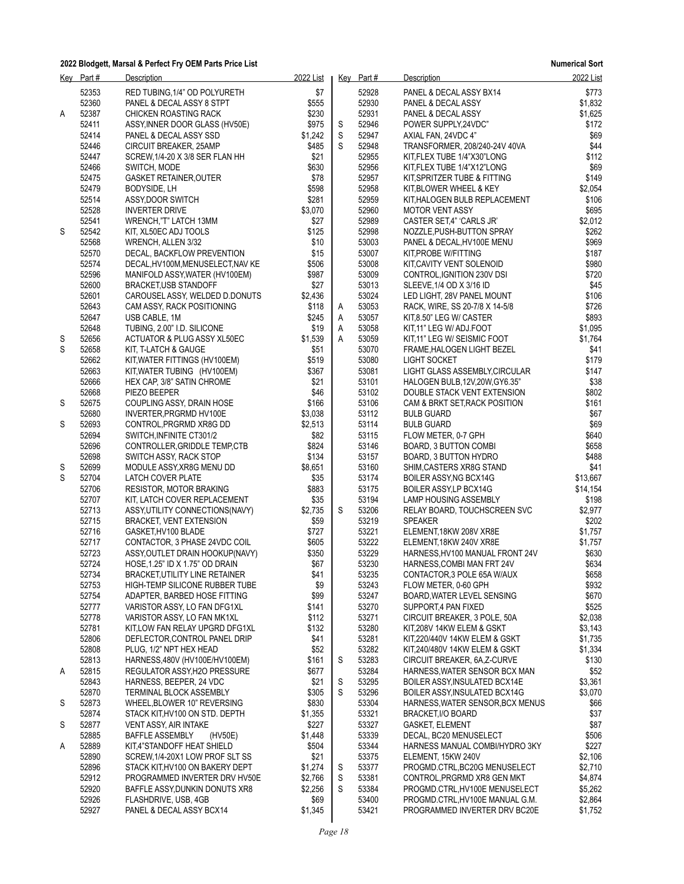|   | Key Part#      | Description                                                    | 2022 List        |        | Key Part#      | Description                                             | 2022 List        |
|---|----------------|----------------------------------------------------------------|------------------|--------|----------------|---------------------------------------------------------|------------------|
|   | 52353          | RED TUBING, 1/4" OD POLYURETH                                  | \$7              |        | 52928          | PANEL & DECAL ASSY BX14                                 | \$773            |
|   | 52360          | PANEL & DECAL ASSY 8 STPT                                      | \$555            |        | 52930          | PANEL & DECAL ASSY                                      | \$1,832          |
| Α | 52387          | CHICKEN ROASTING RACK                                          | \$230            |        | 52931          | PANEL & DECAL ASSY                                      | \$1,625          |
|   | 52411          | ASSY, INNER DOOR GLASS (HV50E)                                 | \$975            | S      | 52946          | POWER SUPPLY, 24 VDC"                                   | \$172            |
|   | 52414          | PANEL & DECAL ASSY SSD                                         | \$1,242          | S      | 52947          | AXIAL FAN, 24VDC 4"                                     | \$69             |
|   | 52446          | CIRCUIT BREAKER, 25AMP                                         | \$485            | S      | 52948          | TRANSFORMER, 208/240-24V 40VA                           | \$44             |
|   | 52447          | SCREW, 1/4-20 X 3/8 SER FLAN HH                                | \$21             |        | 52955          | KIT, FLEX TUBE 1/4"X30"LONG                             | \$112            |
|   | 52466          | SWITCH, MODE                                                   | \$630            |        | 52956          | KIT, FLEX TUBE 1/4"X12"LONG                             | \$69             |
|   | 52475<br>52479 | <b>GASKET RETAINER, OUTER</b><br>BODYSIDE, LH                  | \$78<br>\$598    |        | 52957<br>52958 | KIT, SPRITZER TUBE & FITTING<br>KIT, BLOWER WHEEL & KEY | \$149<br>\$2,054 |
|   | 52514          | ASSY, DOOR SWITCH                                              | \$281            |        | 52959          | KIT, HALOGEN BULB REPLACEMENT                           | \$106            |
|   | 52528          | <b>INVERTER DRIVE</b>                                          | \$3,070          |        | 52960          | <b>MOTOR VENT ASSY</b>                                  | \$695            |
|   | 52541          | WRENCH,"T" LATCH 13MM                                          | \$27             |        | 52989          | CASTER SET,4" 'CARLS JR'                                | \$2,012          |
| S | 52542          | KIT, XL50EC ADJ TOOLS                                          | \$125            |        | 52998          | NOZZLE, PUSH-BUTTON SPRAY                               | \$262            |
|   | 52568          | WRENCH, ALLEN 3/32                                             | \$10             |        | 53003          | PANEL & DECAL, HV100E MENU                              | \$969            |
|   | 52570          | DECAL, BACKFLOW PREVENTION                                     | \$15             |        | 53007          | KIT, PROBE W/FITTING                                    | \$187            |
|   | 52574          | DECAL, HV100M, MENUSELECT, NAV KE                              | \$506            |        | 53008          | KIT, CAVITY VENT SOLENOID                               | \$980            |
|   | 52596          | MANIFOLD ASSY, WATER (HV100EM)                                 | \$987            |        | 53009          | CONTROL, IGNITION 230V DSI                              | \$720            |
|   | 52600          | <b>BRACKET,USB STANDOFF</b>                                    | \$27             |        | 53013          | SLEEVE, 1/4 OD X 3/16 ID                                | \$45             |
|   | 52601          | CAROUSEL ASSY, WELDED D.DONUTS                                 | \$2,436          |        | 53024          | LED LIGHT, 28V PANEL MOUNT                              | \$106            |
|   | 52643<br>52647 | CAM ASSY, RACK POSITIONING                                     | \$118            | A      | 53053<br>53057 | RACK, WIRE, SS 20-7/8 X 14-5/8                          | \$726<br>\$893   |
|   | 52648          | USB CABLE, 1M<br>TUBING, 2.00" I.D. SILICONE                   | \$245<br>\$19    | A<br>Α | 53058          | KIT8.50" LEG W/ CASTER<br>KIT, 11" LEG W/ ADJ.FOOT      | \$1,095          |
| S | 52656          | <b>ACTUATOR &amp; PLUG ASSY XL50EC</b>                         | \$1,539          | A      | 53059          | KIT,11" LEG W/ SEISMIC FOOT                             | \$1,764          |
| S | 52658          | KIT, T-LATCH & GAUGE                                           | \$51             |        | 53070          | FRAME, HALOGEN LIGHT BEZEL                              | \$41             |
|   | 52662          | KIT, WATER FITTINGS (HV100EM)                                  | \$519            |        | 53080          | LIGHT SOCKET                                            | \$179            |
|   | 52663          | KIT, WATER TUBING (HV100EM)                                    | \$367            |        | 53081          | LIGHT GLASS ASSEMBLY, CIRCULAR                          | \$147            |
|   | 52666          | HEX CAP, 3/8" SATIN CHROME                                     | \$21             |        | 53101          | HALOGEN BULB, 12V, 20W, GY6.35"                         | \$38             |
|   | 52668          | PIEZO BEEPER                                                   | \$46             |        | 53102          | DOUBLE STACK VENT EXTENSION                             | \$802            |
| S | 52675          | COUPLING ASSY, DRAIN HOSE                                      | \$166            |        | 53106          | CAM & BRKT SET, RACK POSITION                           | \$161            |
|   | 52680          | INVERTER, PRGRMD HV100E                                        | \$3,038          |        | 53112          | <b>BULB GUARD</b>                                       | \$67             |
| S | 52693          | CONTROL, PRGRMD XR8G DD                                        | \$2,513          |        | 53114          | <b>BULB GUARD</b>                                       | \$69             |
|   | 52694          | SWITCH, INFINITE CT301/2                                       | \$82             |        | 53115          | FLOW METER, 0-7 GPH                                     | \$640            |
|   | 52696          | CONTROLLER, GRIDDLE TEMP, CTB                                  | \$824            |        | 53146          | BOARD, 3 BUTTON COMBI                                   | \$658            |
| S | 52698<br>52699 | SWITCH ASSY, RACK STOP<br>MODULE ASSY, XR8G MENU DD            | \$134<br>\$8,651 |        | 53157<br>53160 | BOARD, 3 BUTTON HYDRO<br>SHIM, CASTERS XR8G STAND       | \$488<br>\$41    |
| S | 52704          | LATCH COVER PLATE                                              | \$35             |        | 53174          | BOILER ASSY NG BCX14G                                   | \$13,667         |
|   | 52706          | <b>RESISTOR, MOTOR BRAKING</b>                                 | \$883            |        | 53175          | BOILER ASSY, LP BCX14G                                  | \$14,154         |
|   | 52707          | KIT, LATCH COVER REPLACEMENT                                   | \$35             |        | 53194          | LAMP HOUSING ASSEMBLY                                   | \$198            |
|   | 52713          | ASSY, UTILITY CONNECTIONS (NAVY)                               | \$2,735          | S      | 53206          | RELAY BOARD, TOUCHSCREEN SVC                            | \$2,977          |
|   | 52715          | BRACKET, VENT EXTENSION                                        | \$59             |        | 53219          | <b>SPEAKER</b>                                          | \$202            |
|   | 52716          | GASKET, HV100 BLADE                                            | \$727            |        | 53221          | ELEMENT, 18KW 208V XR8E                                 | \$1,757          |
|   | 52717          | CONTACTOR, 3 PHASE 24VDC COIL                                  | \$605            |        | 53222          | ELEMENT, 18KW 240V XR8E                                 | \$1,757          |
|   | 52723          | ASSY, OUTLET DRAIN HOOKUP (NAVY)                               | \$350            |        | 53229          | HARNESS, HV100 MANUAL FRONT 24V                         | \$630            |
|   | 52724          | HOSE, 1.25" ID X 1.75" OD DRAIN                                | \$67             |        | 53230          | HARNESS, COMBI MAN FRT 24V                              | \$634            |
|   | 52734          | BRACKET, UTILITY LINE RETAINER                                 | \$41             |        | 53235          | CONTACTOR, 3 POLE 65A W/AUX                             | \$658            |
|   | 52753<br>52754 | HIGH-TEMP SILICONE RUBBER TUBE<br>ADAPTER, BARBED HOSE FITTING | \$9<br>\$99      |        | 53243<br>53247 | FLOW METER, 0-60 GPH<br>BOARD, WATER LEVEL SENSING      | \$932<br>\$670   |
|   | 52777          | VARISTOR ASSY, LO FAN DFG1XL                                   | \$141            |        | 53270          | SUPPORT, 4 PAN FIXED                                    | \$525            |
|   | 52778          | VARISTOR ASSY, LO FAN MK1XL                                    | \$112            |        | 53271          | CIRCUIT BREAKER, 3 POLE, 50A                            | \$2,038          |
|   | 52781          | KIT.LOW FAN RELAY UPGRD DFG1XL                                 | \$132            |        | 53280          | KIT,208V 14KW ELEM & GSKT                               | \$3,143          |
|   | 52806          | DEFLECTOR CONTROL PANEL DRIP                                   | \$41             |        | 53281          | KIT,220/440V 14KW ELEM & GSKT                           | \$1,735          |
|   | 52808          | PLUG, 1/2" NPT HEX HEAD                                        | \$52             |        | 53282          | KIT,240/480V 14KW ELEM & GSKT                           | \$1,334          |
|   | 52813          | HARNESS, 480V (HV100E/HV100EM)                                 | \$161            | S      | 53283          | CIRCUIT BREAKER, 6A, Z-CURVE                            | \$130            |
| A | 52815          | REGULATOR ASSY, H2O PRESSURE                                   | \$677            |        | 53284          | HARNESS WATER SENSOR BCX MAN                            | \$52             |
|   | 52843          | HARNESS, BEEPER, 24 VDC                                        | \$21             | S      | 53295          | <b>BOILER ASSY INSULATED BCX14E</b>                     | \$3,361          |
|   | 52870          | TERMINAL BLOCK ASSEMBLY                                        | \$305            | S      | 53296          | BOILER ASSY, INSULATED BCX14G                           | \$3,070          |
| S | 52873          | WHEEL, BLOWER 10" REVERSING                                    | \$830            |        | 53304          | HARNESS WATER SENSOR BCX MENUS                          | \$66             |
| S | 52874<br>52877 | STACK KIT, HV100 ON STD. DEPTH<br>VENT ASSY, AIR INTAKE        | \$1,355<br>\$227 |        | 53321<br>53327 | BRACKET, I/O BOARD<br><b>GASKET, ELEMENT</b>            | \$37<br>\$87     |
|   | 52885          | <b>BAFFLE ASSEMBLY</b><br>(HV50E)                              | \$1,448          |        | 53339          | DECAL, BC20 MENUSELECT                                  | \$506            |
| A | 52889          | KIT,4"STANDOFF HEAT SHIELD                                     | \$504            |        | 53344          | HARNESS MANUAL COMBI/HYDRO 3KY                          | \$227            |
|   | 52890          | SCREW, 1/4-20X1 LOW PROF SLT SS                                | \$21             |        | 53375          | ELEMENT, 15KW 240V                                      | \$2,106          |
|   | 52896          | STACK KIT,HV100 ON BAKERY DEPT                                 | \$1,274          | S      | 53377          | PROGMD.CTRL, BC20G MENUSELECT                           | \$2,710          |
|   | 52912          | PROGRAMMED INVERTER DRV HV50E                                  | \$2,766          | S      | 53381          | CONTROL, PRGRMD XR8 GEN MKT                             | \$4,874          |
|   | 52920          | BAFFLE ASSY DUNKIN DONUTS XR8                                  | \$2,256          | S      | 53384          | PROGMD.CTRL, HV100E MENUSELECT                          | \$5,262          |
|   | 52926          | FLASHDRIVE, USB, 4GB                                           | \$69             |        | 53400          | PROGMD.CTRL, HV100E MANUAL G.M.                         | \$2,864          |
|   | 52927          | PANEL & DECAL ASSY BCX14                                       | \$1,345          |        | 53421          | PROGRAMMED INVERTER DRV BC20E                           | \$1,752          |
|   |                |                                                                |                  |        |                |                                                         |                  |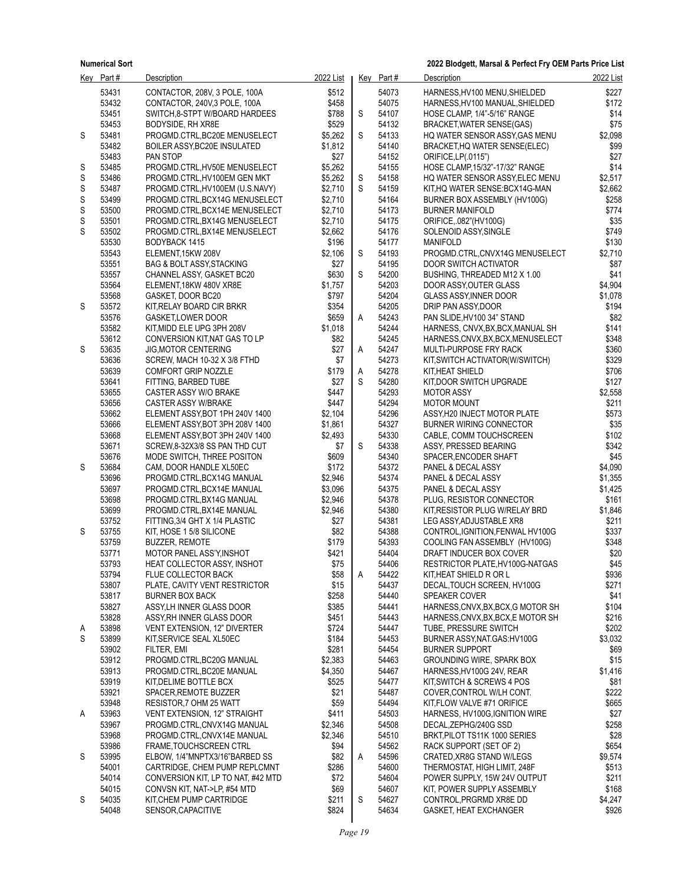|        | Key Part#      | Description                                                     | 2022 List          |        | Key Part#      | Description                                                             | 2022 List          |
|--------|----------------|-----------------------------------------------------------------|--------------------|--------|----------------|-------------------------------------------------------------------------|--------------------|
|        | 53431          | CONTACTOR, 208V, 3 POLE, 100A                                   | \$512              |        | 54073          | HARNESS, HV100 MENU, SHIELDED                                           | \$227              |
|        | 53432          | CONTACTOR, 240V,3 POLE, 100A                                    | \$458              |        | 54075          | HARNESS, HV100 MANUAL, SHIELDED                                         | \$172              |
|        | 53451          | SWITCH 8-STPT W/BOARD HARDEES                                   | \$788              | S      | 54107          | HOSE CLAMP, 1/4"-5/16" RANGE                                            | \$14               |
|        | 53453          | BODYSIDE, RH XR8E                                               | \$529              |        | 54132          | BRACKET, WATER SENSE(GAS)                                               | \$75               |
| S      | 53481          | PROGMD.CTRL, BC20E MENUSELECT                                   | \$5,262            | S      | 54133          | HQ WATER SENSOR ASSY, GAS MENU                                          | \$2,098            |
|        | 53482          | BOILER ASSY, BC20E INSULATED                                    | \$1,812            |        | 54140          | BRACKET, HQ WATER SENSE(ELEC)                                           | \$99               |
|        | 53483          | PAN STOP                                                        | \$27               |        | 54152          | ORIFICE, LP(.0115")                                                     | \$27               |
| S      | 53485          | PROGMD.CTRL, HV50E MENUSELECT                                   | \$5,262            |        | 54155          | HOSE CLAMP, 15/32"-17/32" RANGE                                         | \$14               |
| S<br>S | 53486<br>53487 | PROGMD.CTRL, HV100EM GEN MKT<br>PROGMD.CTRL, HV100EM (U.S.NAVY) | \$5,262<br>\$2,710 | S<br>S | 54158<br>54159 | HQ WATER SENSOR ASSY, ELEC MENU<br>KIT, HQ WATER SENSE: BCX14G-MAN      | \$2,517<br>\$2,662 |
| S      | 53499          | PROGMD.CTRL, BCX14G MENUSELECT                                  | \$2,710            |        | 54164          | BURNER BOX ASSEMBLY (HV100G)                                            | \$258              |
| S      | 53500          | PROGMD.CTRL, BCX14E MENUSELECT                                  | \$2,710            |        | 54173          | <b>BURNER MANIFOLD</b>                                                  | \$774              |
| S      | 53501          | PROGMD.CTRL, BX14G MENUSELECT                                   | \$2,710            |        | 54175          | ORIFICE, 082"(HV100G)                                                   | \$35               |
| S      | 53502          | PROGMD.CTRL, BX14E MENUSELECT                                   | \$2,662            |        | 54176          | SOLENOID ASSY, SINGLE                                                   | \$749              |
|        | 53530          | BODYBACK 1415                                                   | \$196              |        | 54177          | <b>MANIFOLD</b>                                                         | \$130              |
|        | 53543          | ELEMENT, 15KW 208V                                              | \$2,106            | S      | 54193          | PROGMD.CTRL,CNVX14G MENUSELECT                                          | \$2,710            |
|        | 53551          | <b>BAG &amp; BOLT ASSY, STACKING</b>                            | \$27               |        | 54195          | DOOR SWITCH ACTIVATOR                                                   | \$87               |
|        | 53557          | CHANNEL ASSY, GASKET BC20                                       | \$630              | S      | 54200          | BUSHING, THREADED M12 X 1.00                                            | \$41               |
|        | 53564          | ELEMENT, 18KW 480V XR8E                                         | \$1,757            |        | 54203          | DOOR ASSY, OUTER GLASS                                                  | \$4,904            |
|        | 53568          | GASKET, DOOR BC20                                               | \$797              |        | 54204          | <b>GLASS ASSY, INNER DOOR</b>                                           | \$1,078            |
| S      | 53572          | KIT, RELAY BOARD CIR BRKR                                       | \$354              |        | 54205<br>54243 | DRIP PAN ASSY, DOOR                                                     | \$194              |
|        | 53576<br>53582 | <b>GASKET,LOWER DOOR</b><br>KIT, MIDD ELE UPG 3PH 208V          | \$659<br>\$1,018   | Α      | 54244          | PAN SLIDE, HV100 34" STAND                                              | \$82<br>\$141      |
|        | 53612          | CONVERSION KIT, NAT GAS TO LP                                   | \$82               |        | 54245          | HARNESS, CNVX, BX, BCX, MANUAL SH<br>HARNESS, CNVX, BX, BCX, MENUSELECT | \$348              |
| S      | 53635          | <b>JIG, MOTOR CENTERING</b>                                     | \$27               | Α      | 54247          | MULTI-PURPOSE FRY RACK                                                  | \$360              |
|        | 53636          | SCREW, MACH 10-32 X 3/8 FTHD                                    | \$7                |        | 54273          | KIT, SWITCH ACTIVATOR (W/SWITCH)                                        | \$329              |
|        | 53639          | <b>COMFORT GRIP NOZZLE</b>                                      | \$179              | Α      | 54278          | KIT,HEAT SHIELD                                                         | \$706              |
|        | 53641          | FITTING, BARBED TUBE                                            | \$27               | S      | 54280          | KIT, DOOR SWITCH UPGRADE                                                | \$127              |
|        | 53655          | CASTER ASSY W/O BRAKE                                           | \$447              |        | 54293          | <b>MOTOR ASSY</b>                                                       | \$2,558            |
|        | 53656          | <b>CASTER ASSY W/BRAKE</b>                                      | \$447              |        | 54294          | <b>MOTOR MOUNT</b>                                                      | \$211              |
|        | 53662          | ELEMENT ASSY, BOT 1PH 240V 1400                                 | \$2,104            |        | 54296          | ASSY, H20 INJECT MOTOR PLATE                                            | \$573              |
|        | 53666          | ELEMENT ASSY, BOT 3PH 208V 1400                                 | \$1,861            |        | 54327          | <b>BURNER WIRING CONNECTOR</b>                                          | \$35               |
|        | 53668          | ELEMENT ASSY, BOT 3PH 240V 1400                                 | \$2,493            |        | 54330          | CABLE, COMM TOUCHSCREEN                                                 | \$102              |
|        | 53671<br>53676 | SCREW, 8-32X3/8 SS PAN THD CUT                                  | \$7<br>\$609       | S      | 54338<br>54340 | ASSY, PRESSED BEARING                                                   | \$342<br>\$45      |
| S      | 53684          | MODE SWITCH, THREE POSITON<br>CAM, DOOR HANDLE XL50EC           | \$172              |        | 54372          | SPACER, ENCODER SHAFT<br>PANEL & DECAL ASSY                             | \$4,090            |
|        | 53696          | PROGMD.CTRL, BCX14G MANUAL                                      | \$2,946            |        | 54374          | PANEL & DECAL ASSY                                                      | \$1,355            |
|        | 53697          | PROGMD.CTRL, BCX14E MANUAL                                      | \$3,096            |        | 54375          | PANEL & DECAL ASSY                                                      | \$1,425            |
|        | 53698          | PROGMD.CTRL, BX14G MANUAL                                       | \$2,946            |        | 54378          | PLUG, RESISTOR CONNECTOR                                                | \$161              |
|        | 53699          | PROGMD.CTRL, BX14E MANUAL                                       | \$2,946            |        | 54380          | KIT, RESISTOR PLUG W/RELAY BRD                                          | \$1,846            |
|        | 53752          | FITTING, 3/4 GHT X 1/4 PLASTIC                                  | \$27               |        | 54381          | LEG ASSY, ADJUSTABLE XR8                                                | \$211              |
| S      | 53755          | KIT, HOSE 1 5/8 SILICONE                                        | \$82               |        | 54388          | CONTROL, IGNITION, FENWAL HV100G                                        | \$337              |
|        | 53759          | <b>BUZZER, REMOTE</b>                                           | \$179              |        | 54393          | COOLING FAN ASSEMBLY (HV100G)                                           | \$348              |
|        | 53771          | <b>MOTOR PANEL ASS'Y INSHOT</b>                                 | \$421              |        | 54404          | DRAFT INDUCER BOX COVER                                                 | \$20               |
|        | 53793          | HEAT COLLECTOR ASSY, INSHOT                                     | \$75               |        | 54406          | RESTRICTOR PLATE, HV100G-NATGAS                                         | \$45               |
|        | 53794<br>53807 | FLUE COLLECTOR BACK<br>PLATE, CAVITY VENT RESTRICTOR            | \$58<br>\$15       | Α      | 54422<br>54437 | KIT,HEAT SHIELD R OR L<br>DECAL, TOUCH SCREEN, HV100G                   | \$936<br>\$271     |
|        | 53817          | <b>BURNER BOX BACK</b>                                          | \$258              |        | 54440          | SPEAKER COVER                                                           | \$41               |
|        | 53827          | ASSY, LH INNER GLASS DOOR                                       | \$385              |        | 54441          | HARNESS, CNVX, BX, BCX, G MOTOR SH                                      | \$104              |
|        | 53828          | ASSY RH INNER GLASS DOOR                                        | \$451              |        | 54443          | HARNESS, CNVX, BX, BCX, E MOTOR SH                                      | \$216              |
| A      | 53898          | VENT EXTENSION, 12" DIVERTER                                    | \$724              |        | 54447          | TUBE, PRESSURE SWITCH                                                   | \$202              |
| S      | 53899          | KIT, SERVICE SEAL XL50EC                                        | \$184              |        | 54453          | BURNER ASSY, NAT. GAS: HV100G                                           | \$3,032            |
|        | 53902          | FILTER, EMI                                                     | \$281              |        | 54454          | <b>BURNER SUPPORT</b>                                                   | \$69               |
|        | 53912          | PROGMD.CTRL, BC20G MANUAL                                       | \$2,383            |        | 54463          | <b>GROUNDING WIRE, SPARK BOX</b>                                        | \$15               |
|        | 53913          | PROGMD.CTRL, BC20E MANUAL                                       | \$4,350            |        | 54467          | HARNESS HV100G 24V. REAR                                                | \$1,416            |
|        | 53919          | KIT, DELIME BOTTLE BCX                                          | \$525              |        | 54477          | KIT, SWITCH & SCREWS 4 POS                                              | \$81               |
|        | 53921<br>53948 | SPACER, REMOTE BUZZER<br>RESISTOR 7 OHM 25 WATT                 | \$21<br>\$59       |        | 54487<br>54494 | COVER, CONTROL W/LH CONT.<br>KIT, FLOW VALVE #71 ORIFICE                | \$222<br>\$665     |
| A      | 53963          | VENT EXTENSION, 12" STRAIGHT                                    | \$411              |        | 54503          | HARNESS, HV100G, IGNITION WIRE                                          | \$27               |
|        | 53967          | PROGMD.CTRL,CNVX14G MANUAL                                      | \$2,346            |        | 54508          | DECAL, ZEPHG/240G SSD                                                   | \$258              |
|        | 53968          | PROGMD.CTRL,CNVX14E MANUAL                                      | \$2,346            |        | 54510          | BRKT, PILOT TS11K 1000 SERIES                                           | \$28               |
|        | 53986          | <b>FRAME, TOUCHSCREEN CTRL</b>                                  | \$94               |        | 54562          | RACK SUPPORT (SET OF 2)                                                 | \$654              |
| S      | 53995          | ELBOW, 1/4"MNPTX3/16"BARBED SS                                  | \$82               | Α      | 54596          | CRATED XR8G STAND W/LEGS                                                | \$9,574            |
|        | 54001          | CARTRIDGE, CHEM PUMP REPLCMNT                                   | \$286              |        | 54600          | THERMOSTAT, HIGH LIMIT, 248F                                            | \$513              |
|        | 54014          | CONVERSION KIT, LP TO NAT, #42 MTD                              | \$72               |        | 54604          | POWER SUPPLY, 15W 24V OUTPUT                                            | \$211              |
|        | 54015          | CONVSN KIT, NAT->LP, #54 MTD                                    | \$69               |        | 54607          | KIT, POWER SUPPLY ASSEMBLY                                              | \$168              |
| S      | 54035          | KIT, CHEM PUMP CARTRIDGE                                        | \$211              | S      | 54627          | CONTROL, PRGRMD XR8E DD                                                 | \$4,247            |
|        | 54048          | SENSOR, CAPACITIVE                                              | \$824              |        | 54634          | GASKET, HEAT EXCHANGER                                                  | \$926              |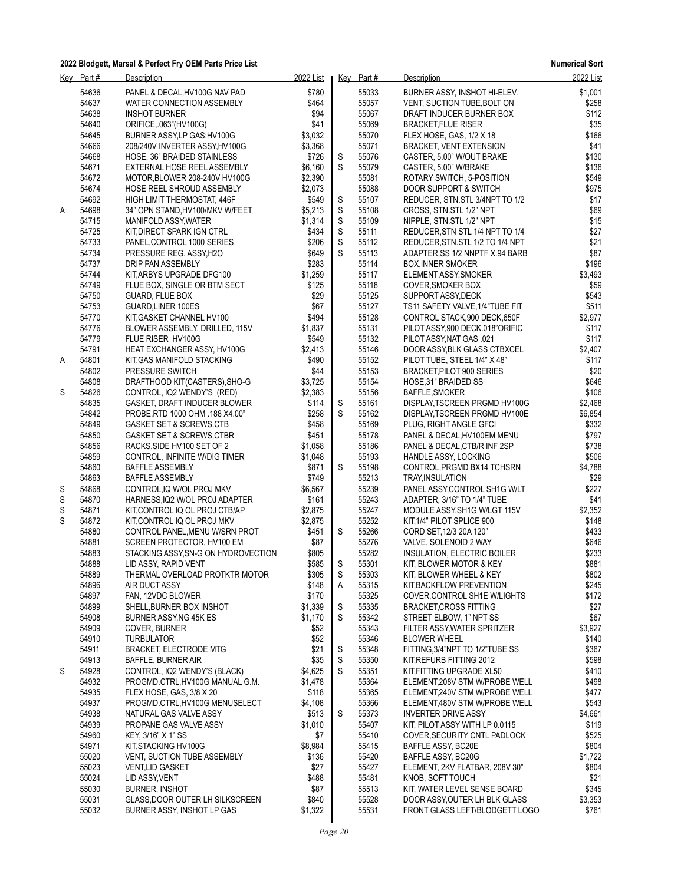|   | Key Part#      | Description                                                       | 2022 List        |        | Key Part#      | Description                                                  | 2022 List        |
|---|----------------|-------------------------------------------------------------------|------------------|--------|----------------|--------------------------------------------------------------|------------------|
|   | 54636          | PANEL & DECAL, HV100G NAV PAD                                     | \$780            |        | 55033          | BURNER ASSY, INSHOT HI-ELEV.                                 | \$1,001          |
|   | 54637          | WATER CONNECTION ASSEMBLY                                         | \$464            |        | 55057          | VENT, SUCTION TUBE, BOLT ON                                  | \$258            |
|   | 54638          | <b>INSHOT BURNER</b>                                              | \$94             |        | 55067          | DRAFT INDUCER BURNER BOX                                     | \$112            |
|   | 54640          | ORIFICE, 063"(HV100G)                                             | \$41             |        | 55069          | <b>BRACKET,FLUE RISER</b>                                    | \$35             |
|   | 54645          | BURNER ASSYLP GAS: HV100G                                         | \$3,032          |        | 55070          | FLEX HOSE, GAS, 1/2 X 18                                     | \$166            |
|   | 54666          | 208/240V INVERTER ASSY, HV100G                                    | \$3,368          |        | 55071          | <b>BRACKET, VENT EXTENSION</b>                               | \$41             |
|   | 54668          | HOSE, 36" BRAIDED STAINLESS                                       | \$726            | S      | 55076          | CASTER, 5.00" W/OUT BRAKE                                    | \$130            |
|   | 54671          | EXTERNAL HOSE REEL ASSEMBLY                                       | \$6,160          | S      | 55079          | CASTER, 5.00" W/BRAKE                                        | \$136            |
|   | 54672          | MOTOR, BLOWER 208-240V HV100G                                     | \$2,390          |        | 55081          | ROTARY SWITCH, 5-POSITION                                    | \$549            |
|   | 54674<br>54692 | HOSE REEL SHROUD ASSEMBLY<br>HIGH LIMIT THERMOSTAT, 446F          | \$2,073          |        | 55088<br>55107 | DOOR SUPPORT & SWITCH<br>REDUCER, STN.STL 3/4NPT TO 1/2      | \$975            |
| A | 54698          | 34" OPN STAND, HV100/MKV W/FEET                                   | \$549<br>\$5,213 | S<br>S | 55108          | CROSS, STN.STL 1/2" NPT                                      | \$17<br>\$69     |
|   | 54715          | MANIFOLD ASSY, WATER                                              | \$1,314          | S      | 55109          | NIPPLE, STN.STL 1/2" NPT                                     | \$15             |
|   | 54725          | KIT, DIRECT SPARK IGN CTRL                                        | \$434            | S      | 55111          | REDUCER, STN STL 1/4 NPT TO 1/4                              | \$27             |
|   | 54733          | PANEL, CONTROL 1000 SERIES                                        | \$206            | S      | 55112          | REDUCER, STN. STL 1/2 TO 1/4 NPT                             | \$21             |
|   | 54734          | PRESSURE REG. ASSY, H2O                                           | \$649            | S      | 55113          | ADAPTER, SS 1/2 NNPTF X.94 BARB                              | \$87             |
|   | 54737          | DRIP PAN ASSEMBLY                                                 | \$283            |        | 55114          | <b>BOX, INNER SMOKER</b>                                     | \$196            |
|   | 54744          | KIT, ARBYS UPGRADE DFG100                                         | \$1,259          |        | 55117          | ELEMENT ASSY, SMOKER                                         | \$3,493          |
|   | 54749          | FLUE BOX, SINGLE OR BTM SECT                                      | \$125            |        | 55118          | COVER, SMOKER BOX                                            | \$59             |
|   | 54750          | GUARD, FLUE BOX                                                   | \$29             |        | 55125          | SUPPORT ASSY, DECK                                           | \$543            |
|   | 54753          | GUARD, LINER 100ES                                                | \$67             |        | 55127          | TS11 SAFETY VALVE, 1/4"TUBE FIT                              | \$511            |
|   | 54770          | KIT, GASKET CHANNEL HV100                                         | \$494            |        | 55128          | CONTROL STACK,900 DECK,650F                                  | \$2,977          |
|   | 54776          | BLOWER ASSEMBLY, DRILLED, 115V                                    | \$1,837          |        | 55131          | PILOT ASSY,900 DECK.018"ORIFIC                               | \$117            |
|   | 54779          | FLUE RISER HV100G                                                 | \$549            |        | 55132          | PILOT ASSY, NAT GAS .021                                     | \$117            |
|   | 54791          | <b>HEAT EXCHANGER ASSY, HV100G</b>                                | \$2,413          |        | 55146          | DOOR ASSY, BLK GLASS CTBXCEL                                 | \$2,407          |
| A | 54801          | KIT, GAS MANIFOLD STACKING                                        | \$490<br>\$44    |        | 55152          | PILOT TUBE, STEEL 1/4" X 48"                                 | \$117            |
|   | 54802<br>54808 | PRESSURE SWITCH<br>DRAFTHOOD KIT(CASTERS), SHO-G                  | \$3,725          |        | 55153<br>55154 | <b>BRACKET PILOT 900 SERIES</b><br>HOSE, 31" BRAIDED SS      | \$20<br>\$646    |
| S | 54826          | CONTROL, IQ2 WENDY'S (RED)                                        | \$2,383          |        | 55156          | BAFFLE, SMOKER                                               | \$106            |
|   | 54835          | GASKET, DRAFT INDUCER BLOWER                                      | \$114            | S      | 55161          | DISPLAY, TSCREEN PRGMD HV100G                                | \$2,468          |
|   | 54842          | PROBE, RTD 1000 OHM .188 X4.00"                                   | \$258            | S      | 55162          | DISPLAY, TSCREEN PRGMD HV100E                                | \$6,854          |
|   | 54849          | <b>GASKET SET &amp; SCREWS, CTB</b>                               | \$458            |        | 55169          | PLUG, RIGHT ANGLE GFCI                                       | \$332            |
|   | 54850          | GASKET SET & SCREWS, CTBR                                         | \$451            |        | 55178          | PANEL & DECAL, HV100EM MENU                                  | \$797            |
|   | 54856          | RACKS, SIDE HV100 SET OF 2                                        | \$1,058          |        | 55186          | PANEL & DECAL, CTB/R INF 2SP                                 | \$738            |
|   | 54859          | CONTROL, INFINITE W/DIG TIMER                                     | \$1,048          |        | 55193          | HANDLE ASSY, LOCKING                                         | \$506            |
|   | 54860          | <b>BAFFLE ASSEMBLY</b>                                            | \$871            | S      | 55198          | CONTROL, PRGMD BX14 TCHSRN                                   | \$4,788          |
|   | 54863          | <b>BAFFLE ASSEMBLY</b>                                            | \$749            |        | 55213          | TRAY, INSULATION                                             | \$29             |
| S | 54868          | CONTROL, IQ W/OL PROJ MKV                                         | \$6,567          |        | 55239          | PANEL ASSY, CONTROL SH1G W/LT                                | \$227            |
| S | 54870          | HARNESS, IQ2 W/OL PROJ ADAPTER                                    | \$161            |        | 55243          | ADAPTER, 3/16" TO 1/4" TUBE                                  | \$41             |
| S | 54871          | KIT, CONTROL IQ OL PROJ CTB/AP                                    | \$2,875          |        | 55247          | MODULE ASSY, SH1G W/LGT 115V                                 | \$2,352          |
| S | 54872          | KIT,CONTROL IQ OL PROJ MKV                                        | \$2,875          |        | 55252          | KIT, 1/4" PILOT SPLICE 900                                   | \$148            |
|   | 54880          | CONTROL PANEL, MENU W/SRN PROT                                    | \$451            | S      | 55266          | CORD SET, 12/3 20A 120"                                      | \$433            |
|   | 54881<br>54883 | SCREEN PROTECTOR, HV100 EM<br>STACKING ASSY, SN-G ON HYDROVECTION | \$87<br>\$805    |        | 55276<br>55282 | VALVE, SOLENOID 2 WAY                                        | \$646<br>\$233   |
|   | 54888          | LID ASSY, RAPID VENT                                              | \$585            | S      | 55301          | INSULATION, ELECTRIC BOILER<br>KIT, BLOWER MOTOR & KEY       | \$881            |
|   | 54889          | THERMAL OVERLOAD PROTKTR MOTOR                                    | \$305            | S      | 55303          | KIT, BLOWER WHEEL & KEY                                      | \$802            |
|   | 54896          | AIR DUCT ASSY                                                     | \$148            | A      | 55315          | KIT, BACKFLOW PREVENTION                                     | \$245            |
|   | 54897          | FAN, 12VDC BLOWER                                                 | \$170            |        | 55325          | COVER, CONTROL SH1E W/LIGHTS                                 | \$172            |
|   | 54899          | SHELL, BURNER BOX INSHOT                                          | \$1,339          | S      | 55335          | <b>BRACKET CROSS FITTING</b>                                 | \$27             |
|   | 54908          | BURNER ASSY, NG 45K ES                                            | \$1,170          | S      | 55342          | STREET ELBOW, 1" NPT SS                                      | \$67             |
|   | 54909          | COVER, BURNER                                                     | \$52             |        | 55343          | FILTER ASSY, WATER SPRITZER                                  | \$3,927          |
|   | 54910          | <b>TURBULATOR</b>                                                 | \$52             |        | 55346          | <b>BLOWER WHEEL</b>                                          | \$140            |
|   | 54911          | <b>BRACKET, ELECTRODE MTG</b>                                     | \$21             | S      | 55348          | FITTING, 3/4" NPT TO 1/2" TUBE SS                            | \$367            |
|   | 54913          | BAFFLE, BURNER AIR                                                | \$35             | S      | 55350          | KIT, REFURB FITTING 2012                                     | \$598            |
| S | 54928          | CONTROL, IQ2 WENDY'S (BLACK)                                      | \$4,625          | S      | 55351          | KIT,FITTING UPGRADE XL50                                     | \$410            |
|   | 54932          | PROGMD.CTRL, HV100G MANUAL G.M.                                   | \$1,478          |        | 55364          | ELEMENT 208V STM W/PROBE WELL                                | \$498            |
|   | 54935          | FLEX HOSE, GAS, 3/8 X 20                                          | \$118            |        | 55365          | ELEMENT, 240V STM W/PROBE WELL                               | \$477            |
|   | 54937          | PROGMD.CTRL, HV100G MENUSELECT                                    | \$4,108          | S      | 55366          | ELEMENT,480V STM W/PROBE WELL                                | \$543            |
|   | 54938<br>54939 | NATURAL GAS VALVE ASSY<br>PROPANE GAS VALVE ASSY                  | \$513<br>\$1,010 |        | 55373<br>55407 | <b>INVERTER DRIVE ASSY</b><br>KIT, PILOT ASSY WITH LP 0.0115 | \$4,661<br>\$119 |
|   | 54960          | KEY, 3/16" X 1" SS                                                | \$7              |        | 55410          | COVER, SECURITY CNTL PADLOCK                                 | \$525            |
|   | 54971          | KIT, STACKING HV100G                                              | \$8,984          |        | 55415          | BAFFLE ASSY, BC20E                                           | \$804            |
|   | 55020          | <b>VENT, SUCTION TUBE ASSEMBLY</b>                                | \$136            |        | 55420          | BAFFLE ASSY, BC20G                                           | \$1,722          |
|   | 55023          | <b>VENT,LID GASKET</b>                                            | \$27             |        | 55427          | ELEMENT, 2KV FLATBAR, 208V 30"                               | \$804            |
|   | 55024          | LID ASSY, VENT                                                    | \$488            |        | 55481          | KNOB, SOFT TOUCH                                             | \$21             |
|   | 55030          | <b>BURNER, INSHOT</b>                                             | \$87             |        | 55513          | KIT, WATER LEVEL SENSE BOARD                                 | \$345            |
|   | 55031          | <b>GLASS, DOOR OUTER LH SILKSCREEN</b>                            | \$840            |        | 55528          | DOOR ASSY, OUTER LH BLK GLASS                                | \$3,353          |
|   | 55032          | BURNER ASSY, INSHOT LP GAS                                        | \$1,322          |        | 55531          | FRONT GLASS LEFT/BLODGETT LOGO                               | \$761            |
|   |                |                                                                   |                  |        |                |                                                              |                  |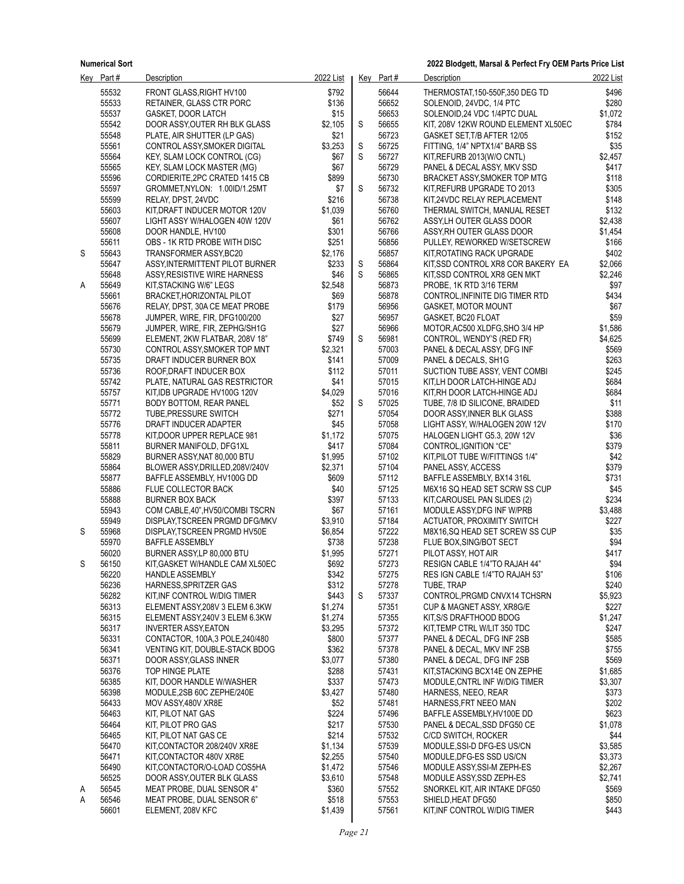|   | Key Part#      | Description                                                    | 2022 List        |   | Key Part#      | Description                                           | 2022 List      |
|---|----------------|----------------------------------------------------------------|------------------|---|----------------|-------------------------------------------------------|----------------|
|   | 55532          | FRONT GLASS.RIGHT HV100                                        | \$792            |   | 56644          | THERMOSTAT.150-550F.350 DEG TD                        | \$496          |
|   | 55533          | RETAINER, GLASS CTR PORC                                       | \$136            |   | 56652          | SOLENOID, 24VDC, 1/4 PTC                              | \$280          |
|   | 55537          | <b>GASKET, DOOR LATCH</b>                                      | \$15             |   | 56653          | SOLENOID, 24 VDC 1/4PTC DUAL                          | \$1,072        |
|   | 55542          | DOOR ASSY, OUTER RH BLK GLASS                                  | \$2,105          | S | 56655          | KIT, 208V 12KW ROUND ELEMENT XL50EC                   | \$784          |
|   | 55548          | PLATE, AIR SHUTTER (LP GAS)                                    | \$21             |   | 56723          | GASKET SET, T/B AFTER 12/05                           | \$152          |
|   | 55561          | CONTROL ASSY, SMOKER DIGITAL                                   | \$3,253          | S | 56725          | FITTING, 1/4" NPTX1/4" BARB SS                        | \$35           |
|   | 55564          | KEY, SLAM LOCK CONTROL (CG)                                    | \$67             | S | 56727          | KIT, REFURB 2013(W/O CNTL)                            | \$2,457        |
|   | 55565          | <b>KEY, SLAM LOCK MASTER (MG)</b>                              | \$67             |   | 56729          | PANEL & DECAL ASSY, MKV SSD                           | \$417          |
|   | 55596          | CORDIERITE, 2PC CRATED 1415 CB                                 | \$899            |   | 56730          | BRACKET ASSY, SMOKER TOP MTG                          | \$118          |
|   | 55597          | GROMMET, NYLON: 1.00ID/1.25MT                                  | \$7              | S | 56732          | KIT, REFURB UPGRADE TO 2013                           | \$305          |
|   | 55599          | RELAY, DPST, 24VDC                                             | \$216            |   | 56738          | KIT,24VDC RELAY REPLACEMENT                           | \$148          |
|   | 55603          | KIT, DRAFT INDUCER MOTOR 120V                                  | \$1,039          |   | 56760          | THERMAL SWITCH, MANUAL RESET                          | \$132          |
|   | 55607          | LIGHT ASSY W/HALOGEN 40W 120V                                  | \$61             |   | 56762          | ASSYLH OUTER GLASS DOOR                               | \$2,438        |
|   | 55608          | DOOR HANDLE, HV100                                             | \$301            |   | 56766          | ASSY, RH OUTER GLASS DOOR                             | \$1,454        |
|   | 55611          | OBS - 1K RTD PROBE WITH DISC                                   | \$251            |   | 56856          | PULLEY, REWORKED W/SETSCREW                           | \$166          |
| S | 55643          | TRANSFORMER ASSY, BC20                                         | \$2,176          |   | 56857          | KIT, ROTATING RACK UPGRADE                            | \$402          |
|   | 55647          | ASSY, INTERMITTENT PILOT BURNER                                | \$233            | S | 56864          | KIT, SSD CONTROL XR8 COR BAKERY EA                    | \$2,066        |
|   | 55648          | ASSY, RESISTIVE WIRE HARNESS                                   | \$46             | S | 56865          | KIT, SSD CONTROL XR8 GEN MKT                          | \$2,246        |
| A | 55649          | KIT, STACKING W/6" LEGS                                        | \$2,548          |   | 56873          | PROBE, 1K RTD 3/16 TERM                               | \$97           |
|   | 55661          | BRACKET, HORIZONTAL PILOT                                      | \$69             |   | 56878          | CONTROL, INFINITE DIG TIMER RTD                       | \$434          |
|   | 55676          | RELAY, DPST, 30A CE MEAT PROBE                                 | \$179            |   | 56956          | GASKET, MOTOR MOUNT                                   | \$67           |
|   | 55678          | JUMPER, WIRE, FIR, DFG100/200                                  | \$27             |   | 56957          | GASKET, BC20 FLOAT                                    | \$59           |
|   | 55679          | JUMPER, WIRE, FIR, ZEPHG/SH1G                                  | \$27             |   | 56966          | MOTOR, AC500 XLDFG, SHO 3/4 HP                        | \$1,586        |
|   | 55699          | ELEMENT, 2KW FLATBAR, 208V 18"                                 | \$749            | S | 56981          | CONTROL, WENDY'S (RED FR)                             | \$4,625        |
|   | 55730          | CONTROL ASSY, SMOKER TOP MNT                                   | \$2,321          |   | 57003          | PANEL & DECAL ASSY, DFG INF                           | \$569          |
|   | 55735          | DRAFT INDUCER BURNER BOX                                       | \$141            |   | 57009          | PANEL & DECALS, SH1G                                  | \$263          |
|   | 55736          | ROOF, DRAFT INDUCER BOX                                        | \$112            |   | 57011          | SUCTION TUBE ASSY, VENT COMBI                         | \$245          |
|   | 55742          | PLATE, NATURAL GAS RESTRICTOR                                  | \$41             |   | 57015          | KIT,LH DOOR LATCH-HINGE ADJ                           | \$684          |
|   | 55757          | KIT, IDB UPGRADE HV100G 120V                                   | \$4,029          |   | 57016          | KIT, RH DOOR LATCH-HINGE ADJ                          | \$684          |
|   | 55771          | BODY BOTTOM, REAR PANEL                                        | \$52             | S | 57025          | TUBE, 7/8 ID SILICONE, BRAIDED                        | \$11           |
|   | 55772          | TUBE, PRESSURE SWITCH                                          | \$271            |   | 57054          | DOOR ASSY, INNER BLK GLASS                            | \$388          |
|   | 55776          | DRAFT INDUCER ADAPTER                                          | \$45             |   | 57058          | LIGHT ASSY, W/HALOGEN 20W 12V                         | \$170          |
|   | 55778          | KIT, DOOR UPPER REPLACE 981                                    | \$1,172          |   | 57075<br>57084 | HALOGEN LIGHT G5.3, 20W 12V                           | \$36           |
|   | 55811<br>55829 | BURNER MANIFOLD, DFG1XL                                        | \$417<br>\$1,995 |   | 57102          | CONTROL, IGNITION "CE"                                | \$379<br>\$42  |
|   | 55864          | BURNER ASSY, NAT 80,000 BTU<br>BLOWER ASSY, DRILLED, 208V/240V | \$2,371          |   | 57104          | KIT, PILOT TUBE W/FITTINGS 1/4"<br>PANEL ASSY, ACCESS | \$379          |
|   | 55877          | BAFFLE ASSEMBLY, HV100G DD                                     | \$609            |   | 57112          | BAFFLE ASSEMBLY, BX14 316L                            | \$731          |
|   | 55886          | FLUE COLLECTOR BACK                                            | \$40             |   | 57125          | M6X16 SQ HEAD SET SCRW SS CUP                         | \$45           |
|   | 55888          | <b>BURNER BOX BACK</b>                                         | \$397            |   | 57133          | KIT, CAROUSEL PAN SLIDES (2)                          | \$234          |
|   | 55943          | COM CABLE, 40", HV50/COMBI TSCRN                               | \$67             |   | 57161          | MODULE ASSY, DFG INF W/PRB                            | \$3,488        |
|   | 55949          | DISPLAY, TSCREEN PRGMD DFG/MKV                                 | \$3,910          |   | 57184          | <b>ACTUATOR, PROXIMITY SWITCH</b>                     | \$227          |
| S | 55968          | DISPLAY, TSCREEN PRGMD HV50E                                   | \$6,854          |   | 57222          | M8X16, SQ HEAD SET SCREW SS CUP                       | \$35           |
|   | 55970          | <b>BAFFLE ASSEMBLY</b>                                         | \$738            |   | 57238          | FLUE BOX, SING/BOT SECT                               | \$94           |
|   | 56020          | BURNER ASSY,LP 80,000 BTU                                      | \$1,995          |   | 57271          | PILOT ASSY, HOT AIR                                   | \$417          |
| S | 56150          | KIT, GASKET W/HANDLE CAM XL50EC                                | \$692            |   | 57273          | RESIGN CABLE 1/4"TO RAJAH 44"                         | \$94           |
|   | 56220          | HANDLE ASSEMBLY                                                | \$342            |   | 57275          | RES IGN CABLE 1/4"TO RAJAH 53"                        | \$106          |
|   | 56236          | HARNESS, SPRITZER GAS                                          | \$312            |   | 57278          | TUBE, TRAP                                            | \$240          |
|   | 56282          | KIT INF CONTROL W/DIG TIMER                                    | \$443            | S | 57337          | CONTROL PRGMD CNVX14 TCHSRN                           | \$5,923        |
|   | 56313          | ELEMENT ASSY, 208V 3 ELEM 6.3KW                                | \$1,274          |   | 57351          | <b>CUP &amp; MAGNET ASSY, XR8G/E</b>                  | \$227          |
|   | 56315          | ELEMENT ASSY, 240V 3 ELEM 6.3KW                                | \$1,274          |   | 57355          | KIT, S/S DRAFTHOOD BDOG                               | \$1,247        |
|   | 56317          | <b>INVERTER ASSY, EATON</b>                                    | \$3,295          |   | 57372          | KIT, TEMP CTRL W/LIT 350 TDC                          | \$247          |
|   | 56331          | CONTACTOR, 100A,3 POLE, 240/480                                | \$800            |   | 57377          | PANEL & DECAL, DFG INF 2SB                            | \$585          |
|   | 56341          | <b>VENTING KIT, DOUBLE-STACK BDOG</b>                          | \$362            |   | 57378          | PANEL & DECAL, MKV INF 2SB                            | \$755          |
|   | 56371          | DOOR ASSY, GLASS INNER                                         | \$3,077          |   | 57380          | PANEL & DECAL, DFG INF 2SB                            | \$569          |
|   | 56376          | TOP HINGE PLATE                                                | \$288            |   | 57431          | KIT, STACKING BCX14E ON ZEPHE                         | \$1,685        |
|   | 56385          | KIT, DOOR HANDLE W/WASHER                                      | \$337            |   | 57473          | MODULE, CNTRL INF W/DIG TIMER                         | \$3,307        |
|   | 56398          | MODULE,2SB 60C ZEPHE/240E                                      | \$3,427          |   | 57480          | HARNESS, NEEO, REAR                                   | \$373          |
|   | 56433          | MOV ASSY 480V XR8E                                             | \$52             |   | 57481          | HARNESS, FRT NEEO MAN                                 | \$202          |
|   | 56463          | KIT, PILOT NAT GAS                                             | \$224            |   | 57496          | BAFFLE ASSEMBLY, HV100E DD                            | \$623          |
|   | 56464          | KIT, PILOT PRO GAS                                             | \$217            |   | 57530          | PANEL & DECAL, SSD DFG50 CE                           | \$1,078        |
|   | 56465          | KIT, PILOT NAT GAS CE                                          | \$214            |   | 57532          | C/CD SWITCH, ROCKER                                   | \$44           |
|   | 56470          | KIT CONTACTOR 208/240V XR8E                                    | \$1,134          |   | 57539          | MODULE, SSI-D DFG-ES US/CN                            | \$3,585        |
|   | 56471          | KIT CONTACTOR 480V XR8E                                        | \$2,255          |   | 57540          | MODULE DFG-ES SSD US/CN                               | \$3,373        |
|   | 56490          | KIT CONTACTOR/O-LOAD COS5HA                                    | \$1,472          |   | 57546          | MODULE ASSY, SSI-M ZEPH-ES                            | \$2,267        |
|   | 56525          | DOOR ASSY, OUTER BLK GLASS                                     | \$3,610          |   | 57548          | MODULE ASSY, SSD ZEPH-ES                              | \$2,741        |
| A | 56545          | MEAT PROBE, DUAL SENSOR 4"                                     | \$360            |   | 57552          | SNORKEL KIT, AIR INTAKE DFG50                         | \$569          |
| A | 56546<br>56601 | MEAT PROBE, DUAL SENSOR 6"<br>ELEMENT, 208V KFC                | \$518            |   | 57553<br>57561 | SHIELD, HEAT DFG50                                    | \$850<br>\$443 |
|   |                |                                                                | \$1,439          |   |                | KIT, INF CONTROL W/DIG TIMER                          |                |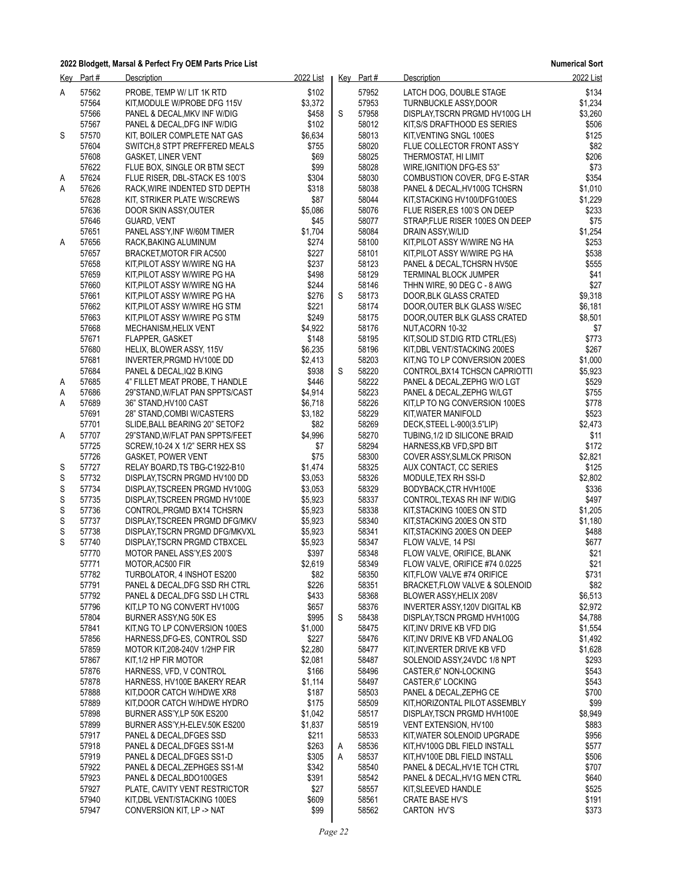**Numerical Sort**

| <u>Key</u>  | Part# | <b>Description</b>              | 2022 List |   | Key Part# | Description                     | 2022 List |
|-------------|-------|---------------------------------|-----------|---|-----------|---------------------------------|-----------|
| Α           | 57562 | PROBE, TEMP W/ LIT 1K RTD       | \$102     |   | 57952     | LATCH DOG, DOUBLE STAGE         | \$134     |
|             | 57564 | KIT, MODULE W/PROBE DFG 115V    | \$3,372   |   | 57953     | <b>TURNBUCKLE ASSY, DOOR</b>    | \$1,234   |
|             | 57566 | PANEL & DECAL, MKV INF W/DIG    | \$458     | S | 57958     | DISPLAY TSCRN PRGMD HV100G LH   | \$3,260   |
|             | 57567 | PANEL & DECAL, DFG INF W/DIG    | \$102     |   | 58012     | KIT, S/S DRAFTHOOD ES SERIES    | \$506     |
| S           | 57570 |                                 | \$6,634   |   | 58013     | KIT, VENTING SNGL 100ES         | \$125     |
|             |       | KIT, BOILER COMPLETE NAT GAS    |           |   |           |                                 |           |
|             | 57604 | SWITCH, 8 STPT PREFFERED MEALS  | \$755     |   | 58020     | FLUE COLLECTOR FRONT ASS'Y      | \$82      |
|             | 57608 | <b>GASKET, LINER VENT</b>       | \$69      |   | 58025     | THERMOSTAT, HI LIMIT            | \$206     |
|             | 57622 | FLUE BOX, SINGLE OR BTM SECT    | \$99      |   | 58028     | WIRE, IGNITION DFG-ES 53"       | \$73      |
| A           | 57624 | FLUE RISER, DBL-STACK ES 100'S  | \$304     |   | 58030     | COMBUSTION COVER, DFG E-STAR    | \$354     |
| Α           | 57626 | RACK, WIRE INDENTED STD DEPTH   | \$318     |   | 58038     | PANEL & DECAL, HV100G TCHSRN    | \$1,010   |
|             | 57628 | KIT, STRIKER PLATE W/SCREWS     | \$87      |   | 58044     | KIT, STACKING HV100/DFG100ES    | \$1,229   |
|             | 57636 | DOOR SKIN ASSY, OUTER           | \$5,086   |   | 58076     | FLUE RISER, ES 100'S ON DEEP    | \$233     |
|             | 57646 | GUARD, VENT                     | \$45      |   | 58077     | STRAP, FLUE RISER 100ES ON DEEP | \$75      |
|             | 57651 | PANEL ASS'Y, INF W/60M TIMER    | \$1,704   |   | 58084     | DRAIN ASSY, W/LID               | \$1,254   |
| Α           | 57656 | RACK, BAKING ALUMINUM           | \$274     |   | 58100     | KIT, PILOT ASSY W/WIRE NG HA    | \$253     |
|             | 57657 | BRACKET, MOTOR FIR AC500        | \$227     |   | 58101     | KIT, PILOT ASSY W/WIRE PG HA    | \$538     |
|             | 57658 | KIT, PILOT ASSY W/WIRE NG HA    | \$237     |   | 58123     | PANEL & DECAL, TCHSRN HV50E     | \$555     |
|             | 57659 | KIT, PILOT ASSY W/WIRE PG HA    | \$498     |   | 58129     | <b>TERMINAL BLOCK JUMPER</b>    | \$41      |
|             | 57660 | KIT, PILOT ASSY W/WIRE NG HA    | \$244     |   | 58146     | THHN WIRE, 90 DEG C - 8 AWG     | \$27      |
|             | 57661 |                                 | \$276     | S | 58173     | DOOR, BLK GLASS CRATED          | \$9,318   |
|             |       | KIT, PILOT ASSY W/WIRE PG HA    |           |   |           |                                 |           |
|             | 57662 | KIT PILOT ASSY W/WIRE HG STM    | \$221     |   | 58174     | DOOR, OUTER BLK GLASS W/SEC     | \$6,181   |
|             | 57663 | KIT, PILOT ASSY W/WIRE PG STM   | \$249     |   | 58175     | DOOR, OUTER BLK GLASS CRATED    | \$8,501   |
|             | 57668 | MECHANISM, HELIX VENT           | \$4,922   |   | 58176     | NUT, ACORN 10-32                | \$7       |
|             | 57671 | <b>FLAPPER, GASKET</b>          | \$148     |   | 58195     | KIT, SOLID ST. DIG RTD CTRL(ES) | \$773     |
|             | 57680 | HELIX, BLOWER ASSY, 115V        | \$6,235   |   | 58196     | KIT, DBL VENT/STACKING 200ES    | \$267     |
|             | 57681 | INVERTER, PRGMD HV100E DD       | \$2,413   |   | 58203     | KIT, NG TO LP CONVERSION 200ES  | \$1,000   |
|             | 57684 | PANEL & DECAL, IQ2 B.KING       | \$938     | S | 58220     | CONTROL, BX14 TCHSCN CAPRIOTTI  | \$5,923   |
| A           | 57685 | 4" FILLET MEAT PROBE, T HANDLE  | \$446     |   | 58222     | PANEL & DECAL, ZEPHG W/O LGT    | \$529     |
| A           | 57686 | 29"STAND, W/FLAT PAN SPPTS/CAST | \$4,914   |   | 58223     | PANEL & DECAL, ZEPHG W/LGT      | \$755     |
| Α           | 57689 | 36" STAND, HV100 CAST           | \$6,718   |   | 58226     | KIT, LP TO NG CONVERSION 100ES  | \$778     |
|             | 57691 | 28" STAND, COMBI W/CASTERS      | \$3,182   |   | 58229     | KIT, WATER MANIFOLD             | \$523     |
|             | 57701 | SLIDE, BALL BEARING 20" SETOF2  | \$82      |   | 58269     | DECK, STEEL L-900(3.5"LIP)      | \$2,473   |
| A           | 57707 | 29"STAND, W/FLAT PAN SPPTS/FEET | \$4,996   |   | 58270     | TUBING, 1/2 ID SILICONE BRAID   | \$11      |
|             | 57725 | SCREW, 10-24 X 1/2" SERR HEX SS | \$7       |   | 58294     | HARNESS, KB VFD, SPD BIT        | \$172     |
|             | 57726 | <b>GASKET, POWER VENT</b>       | \$75      |   | 58300     | COVER ASSY, SLMLCK PRISON       | \$2,821   |
| S           | 57727 | RELAY BOARD, TS TBG-C1922-B10   | \$1,474   |   | 58325     | AUX CONTACT, CC SERIES          | \$125     |
| S           | 57732 | DISPLAY, TSCRN PRGMD HV100 DD   | \$3,053   |   | 58326     | MODULE, TEX RH SSI-D            | \$2,802   |
| S           | 57734 | DISPLAY, TSCREEN PRGMD HV100G   | \$3,053   |   | 58329     | BODYBACK, CTR HVH100E           | \$336     |
| S           | 57735 | DISPLAY, TSCREEN PRGMD HV100E   | \$5,923   |   | 58337     | CONTROL, TEXAS RH INF W/DIG     | \$497     |
| S           | 57736 | CONTROL, PRGMD BX14 TCHSRN      | \$5,923   |   | 58338     | KIT, STACKING 100ES ON STD      | \$1,205   |
| S           | 57737 | DISPLAY, TSCREEN PRGMD DFG/MKV  | \$5,923   |   | 58340     | KIT, STACKING 200ES ON STD      | \$1,180   |
| $\mathbb S$ | 57738 | DISPLAY, TSCRN PRGMD DFG/MKVXL  | \$5,923   |   | 58341     | KIT, STACKING 200ES ON DEEP     | \$488     |
| S           | 57740 |                                 | \$5,923   |   | 58347     | FLOW VALVE, 14 PSI              | \$677     |
|             | 57770 | DISPLAY, TSCRN PRGMD CTBXCEL    | \$397     |   | 58348     | FLOW VALVE, ORIFICE, BLANK      | \$21      |
|             |       | MOTOR PANEL ASS'Y, ES 200'S     |           |   |           |                                 |           |
|             | 57771 | MOTOR, AC500 FIR                | \$2,619   |   | 58349     | FLOW VALVE, ORIFICE #74 0.0225  | \$21      |
|             | 57782 | TURBOLATOR, 4 INSHOT ES200      | \$82      |   | 58350     | KIT, FLOW VALVE #74 ORIFICE     | \$731     |
|             | 57791 | PANEL & DECAL, DFG SSD RH CTRL  | \$226     |   | 58351     | BRACKET, FLOW VALVE & SOLENOID  | \$82      |
|             | 57792 | PANEL & DECAL, DFG SSD LH CTRL  | \$433     |   | 58368     | BLOWER ASSY, HELIX 208V         | \$6,513   |
|             | 57796 | KIT, LP TO NG CONVERT HV100G    | \$657     |   | 58376     | INVERTER ASSY, 120V DIGITAL KB  | \$2,972   |
|             | 57804 | BURNER ASSY, NG 50K ES          | \$995     | S | 58438     | DISPLAY, TSCN PRGMD HVH100G     | \$4,788   |
|             | 57841 | KIT, NG TO LP CONVERSION 100ES  | \$1,000   |   | 58475     | KIT, INV DRIVE KB VFD DIG       | \$1,554   |
|             | 57856 | HARNESS, DFG-ES, CONTROL SSD    | \$227     |   | 58476     | KIT, INV DRIVE KB VFD ANALOG    | \$1,492   |
|             | 57859 | MOTOR KIT, 208-240V 1/2HP FIR   | \$2,280   |   | 58477     | KIT, INVERTER DRIVE KB VFD      | \$1,628   |
|             | 57867 | KIT.1/2 HP FIR MOTOR            | \$2,081   |   | 58487     | SOLENOID ASSY 24VDC 1/8 NPT     | \$293     |
|             | 57876 | HARNESS, VFD, V CONTROL         | \$166     |   | 58496     | CASTER, 6" NON-LOCKING          | \$543     |
|             | 57878 | HARNESS, HV100E BAKERY REAR     | \$1,114   |   | 58497     | CASTER 6" LOCKING               | \$543     |
|             | 57888 | KIT, DOOR CATCH W/HDWE XR8      | \$187     |   | 58503     | PANEL & DECAL, ZEPHG CE         | \$700     |
|             | 57889 | KIT, DOOR CATCH W/HDWE HYDRO    | \$175     |   | 58509     | KIT, HORIZONTAL PILOT ASSEMBLY  | \$99      |
|             | 57898 | BURNER ASS'Y, LP 50K ES200      | \$1,042   |   | 58517     | DISPLAY, TSCN PRGMD HVH100E     | \$8,949   |
|             | 57899 | BURNER ASS'Y, H-ELEV.50K ES200  | \$1,837   |   | 58519     | VENT EXTENSION, HV100           | \$883     |
|             | 57917 | PANEL & DECAL, DFGES SSD        | \$211     |   | 58533     | KIT, WATER SOLENOID UPGRADE     | \$956     |
|             | 57918 | PANEL & DECAL, DFGES SS1-M      | \$263     | Α | 58536     | KIT, HV100G DBL FIELD INSTALL   | \$577     |
|             | 57919 | PANEL & DECAL, DFGES SS1-D      | \$305     | Α | 58537     | KIT, HV100E DBL FIELD INSTALL   | \$506     |
|             | 57922 | PANEL & DECAL, ZEPHGES SS1-M    | \$342     |   | 58540     | PANEL & DECAL, HV1E TCH CTRL    | \$707     |
|             | 57923 | PANEL & DECAL, BDO100GES        | \$391     |   | 58542     | PANEL & DECAL, HV1G MEN CTRL    | \$640     |
|             |       |                                 |           |   |           |                                 |           |
|             | 57927 | PLATE, CAVITY VENT RESTRICTOR   | \$27      |   | 58557     | KIT, SLEEVED HANDLE             | \$525     |
|             | 57940 | KIT, DBL VENT/STACKING 100ES    | \$609     |   | 58561     | <b>CRATE BASE HV'S</b>          | \$191     |
|             | 57947 | CONVERSION KIT, LP -> NAT       | \$99      |   | 58562     | CARTON HV'S                     | \$373     |
|             |       |                                 |           |   |           |                                 |           |

*Page 22*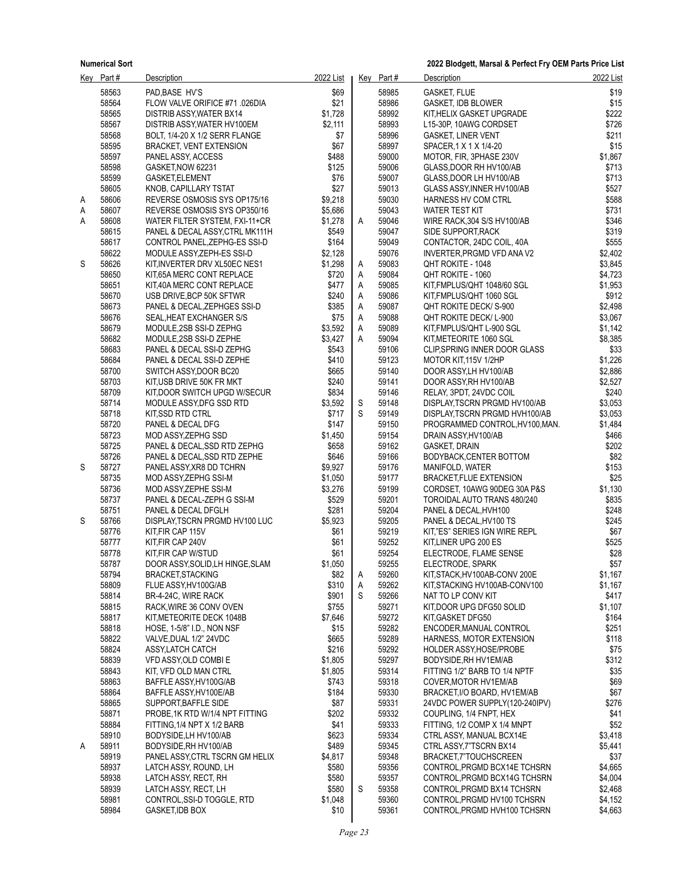|   | Key Part#      | Description                                              | 2022 List        |        | Key Part#      | Description                                                  | 2022 List          |
|---|----------------|----------------------------------------------------------|------------------|--------|----------------|--------------------------------------------------------------|--------------------|
|   | 58563          | PAD BASE HV'S                                            | \$69             |        | 58985          | <b>GASKET, FLUE</b>                                          | \$19               |
|   | 58564          | FLOW VALVE ORIFICE #71 .026DIA                           | \$21             |        | 58986          | <b>GASKET, IDB BLOWER</b>                                    | \$15               |
|   | 58565          | DISTRIB ASSY, WATER BX14                                 | \$1,728          |        | 58992          | KIT, HELIX GASKET UPGRADE                                    | \$222              |
|   | 58567          | DISTRIB ASSY, WATER HV100EM                              | \$2,111          |        | 58993          | L15-30P, 10AWG CORDSET                                       | \$726              |
|   | 58568          | BOLT, 1/4-20 X 1/2 SERR FLANGE                           | \$7              |        | 58996          | <b>GASKET, LINER VENT</b>                                    | \$211              |
|   | 58595          | <b>BRACKET, VENT EXTENSION</b>                           | \$67             |        | 58997          | SPACER, 1 X 1 X 1/4-20                                       | \$15               |
|   | 58597          | PANEL ASSY, ACCESS                                       | \$488            |        | 59000          | MOTOR, FIR, 3PHASE 230V                                      | \$1,867            |
|   | 58598          | GASKET, NOW 62231                                        | \$125            |        | 59006          | GLASS, DOOR RH HV100/AB                                      | \$713              |
|   | 58599<br>58605 | GASKET,ELEMENT                                           | \$76<br>\$27     |        | 59007<br>59013 | GLASS, DOOR LH HV100/AB<br>GLASS ASSY, INNER HV100/AB        | \$713<br>\$527     |
| A | 58606          | KNOB, CAPILLARY TSTAT<br>REVERSE OSMOSIS SYS OP175/16    | \$9,218          |        | 59030          | HARNESS HV COM CTRL                                          | \$588              |
| Α | 58607          | REVERSE OSMOSIS SYS OP350/16                             | \$5,686          |        | 59043          | <b>WATER TEST KIT</b>                                        | \$731              |
| Α | 58608          | WATER FILTER SYSTEM, FXI-11+CR                           | \$1,278          | A      | 59046          | WIRE RACK, 304 S/S HV100/AB                                  | \$346              |
|   | 58615          | PANEL & DECAL ASSY, CTRL MK111H                          | \$549            |        | 59047          | SIDE SUPPORT, RACK                                           | \$319              |
|   | 58617          | CONTROL PANEL, ZEPHG-ES SSI-D                            | \$164            |        | 59049          | CONTACTOR, 24DC COIL, 40A                                    | \$555              |
|   | 58622          | MODULE ASSY, ZEPH-ES SSI-D                               | \$2,128          |        | 59076          | INVERTER, PRGMD VFD ANA V2                                   | \$2,402            |
| S | 58626          | KIT, INVERTER DRV XL50EC NES1                            | \$1,298          | Α      | 59083          | QHT ROKITE - 1048                                            | \$3,845            |
|   | 58650          | KIT,65A MERC CONT REPLACE                                | \$720            | A      | 59084          | QHT ROKITE - 1060                                            | \$4,723            |
|   | 58651          | KIT,40A MERC CONT REPLACE                                | \$477            | A      | 59085          | KIT,FMPLUS/QHT 1048/60 SGL                                   | \$1,953            |
|   | 58670          | USB DRIVE, BCP 50K SFTWR                                 | \$240            | Α      | 59086          | KIT, FMPLUS/QHT 1060 SGL                                     | \$912              |
|   | 58673          | PANEL & DECAL, ZEPHGES SSI-D                             | \$385            | Α      | 59087          | QHT ROKITE DECK/ S-900                                       | \$2,498            |
|   | 58676<br>58679 | SEAL, HEAT EXCHANGER S/S<br>MODULE, 2SB SSI-D ZEPHG      | \$75<br>\$3,592  | Α      | 59088<br>59089 | QHT ROKITE DECK/ L-900                                       | \$3,067<br>\$1,142 |
|   | 58682          | MODULE, 2SB SSI-D ZEPHE                                  | \$3,427          | Α<br>A | 59094          | KIT,FMPLUS/QHT L-900 SGL<br>KIT, METEORITE 1060 SGL          | \$8,385            |
|   | 58683          | PANEL & DECAL SSI-D ZEPHG                                | \$543            |        | 59106          | CLIP, SPRING INNER DOOR GLASS                                | \$33               |
|   | 58684          | PANEL & DECAL SSI-D ZEPHE                                | \$410            |        | 59123          | MOTOR KIT, 115V 1/2HP                                        | \$1,226            |
|   | 58700          | SWITCH ASSY, DOOR BC20                                   | \$665            |        | 59140          | DOOR ASSY, LH HV100/AB                                       | \$2,886            |
|   | 58703          | KIT,USB DRIVE 50K FR MKT                                 | \$240            |        | 59141          | DOOR ASSY, RH HV100/AB                                       | \$2,527            |
|   | 58709          | KIT,DOOR SWITCH UPGD W/SECUR                             | \$834            |        | 59146          | RELAY, 3PDT, 24VDC COIL                                      | \$240              |
|   | 58714          | MODULE ASSY, DFG SSD RTD                                 | \$3,592          | S      | 59148          | DISPLAY, TSCRN PRGMD HV100/AB                                | \$3,053            |
|   | 58718          | KIT, SSD RTD CTRL                                        | \$717            | S      | 59149          | DISPLAY, TSCRN PRGMD HVH100/AB                               | \$3,053            |
|   | 58720          | PANEL & DECAL DFG                                        | \$147            |        | 59150          | PROGRAMMED CONTROL, HV100, MAN.                              | \$1,484            |
|   | 58723          | MOD ASSY, ZEPHG SSD                                      | \$1,450          |        | 59154          | DRAIN ASSY, HV100/AB                                         | \$466              |
|   | 58725<br>58726 | PANEL & DECAL, SSD RTD ZEPHG                             | \$658            |        | 59162<br>59166 | GASKET, DRAIN                                                | \$202              |
| S | 58727          | PANEL & DECAL, SSD RTD ZEPHE<br>PANEL ASSY, XR8 DD TCHRN | \$646<br>\$9,927 |        | 59176          | BODYBACK, CENTER BOTTOM<br>MANIFOLD, WATER                   | \$82<br>\$153      |
|   | 58735          | MOD ASSY, ZEPHG SSI-M                                    | \$1,050          |        | 59177          | <b>BRACKET, FLUE EXTENSION</b>                               | \$25               |
|   | 58736          | MOD ASSY, ZEPHE SSI-M                                    | \$3,276          |        | 59199          | CORDSET, 10AWG 90DEG 30A P&S                                 | \$1,130            |
|   | 58737          | PANEL & DECAL-ZEPH G SSI-M                               | \$529            |        | 59201          | TOROIDAL AUTO TRANS 480/240                                  | \$835              |
|   | 58751          | PANEL & DECAL DFGLH                                      | \$281            |        | 59204          | PANEL & DECAL, HVH100                                        | \$248              |
| S | 58766          | DISPLAY, TSCRN PRGMD HV100 LUC                           | \$5,923          |        | 59205          | PANEL & DECAL, HV100 TS                                      | \$245              |
|   | 58776          | KIT, FIR CAP 115V                                        | \$61             |        | 59219          | KIT,"ES" SERIES IGN WIRE REPL                                | \$67               |
|   | 58777          | KIT, FIR CAP 240V                                        | \$61             |        | 59252          | KIT, LINER UPG 200 ES                                        | \$525              |
|   | 58778          | KIT, FIR CAP W/STUD                                      | \$61             |        | 59254          | ELECTRODE, FLAME SENSE                                       | \$28               |
|   | 58787          | DOOR ASSY, SOLID, LH HINGE, SLAM                         | \$1,050          |        | 59255          | ELECTRODE, SPARK                                             | \$57               |
|   | 58794<br>58809 | <b>BRACKET, STACKING</b><br>FLUE ASSY, HV100G/AB         | \$82<br>\$310    | A      | 59260<br>59262 | KIT,STACK,HV100AB-CONV 200E<br>KIT, STACKING HV100AB-CONV100 | \$1,167<br>\$1,167 |
|   | 58814          | BR-4-24C, WIRE RACK                                      | \$901            | Α<br>S | 59266          | NAT TO LP CONV KIT                                           | \$417              |
|   | 58815          | RACK, WIRE 36 CONV OVEN                                  | \$755            |        | 59271          | KIT, DOOR UPG DFG50 SOLID                                    | \$1,107            |
|   | 58817          | KIT, METEORITE DECK 1048B                                | \$7,646          |        | 59272          | KIT, GASKET DFG50                                            | \$164              |
|   | 58818          | HOSE, 1-5/8" I.D., NON NSF                               | \$15             |        | 59282          | ENCODER, MANUAL CONTROL                                      | \$251              |
|   | 58822          | VALVE, DUAL 1/2" 24VDC                                   | \$665            |        | 59289          | HARNESS, MOTOR EXTENSION                                     | \$118              |
|   | 58824          | ASSY, LATCH CATCH                                        | \$216            |        | 59292          | HOLDER ASSY, HOSE/PROBE                                      | \$75               |
|   | 58839          | VFD ASSY OLD COMBIE                                      | \$1,805          |        | 59297          | BODYSIDE, RH HV1EM/AB                                        | \$312              |
|   | 58843          | KIT, VFD OLD MAN CTRL                                    | \$1,805          |        | 59314          | FITTING 1/2" BARB TO 1/4 NPTF                                | \$35               |
|   | 58863          | BAFFLE ASSY, HV100G/AB                                   | \$743            |        | 59318          | COVER, MOTOR HV1EM/AB                                        | \$69               |
|   | 58864          | BAFFLE ASSY, HV100E/AB                                   | \$184            |        | 59330          | BRACKET, I/O BOARD, HV1EM/AB                                 | \$67               |
|   | 58865<br>58871 | SUPPORT, BAFFLE SIDE<br>PROBE 1K RTD W/1/4 NPT FITTING   | \$87<br>\$202    |        | 59331<br>59332 | 24VDC POWER SUPPLY(120-240IPV)                               | \$276<br>\$41      |
|   | 58884          | FITTING, 1/4 NPT X 1/2 BARB                              | \$41             |        | 59333          | COUPLING, 1/4 FNPT, HEX<br>FITTING, 1/2 COMP X 1/4 MNPT      | \$52               |
|   | 58910          | BODYSIDE, LH HV100/AB                                    | \$623            |        | 59334          | CTRL ASSY, MANUAL BCX14E                                     | \$3,418            |
| A | 58911          | BODYSIDE, RH HV100/AB                                    | \$489            |        | 59345          | CTRL ASSY,7"TSCRN BX14                                       | \$5,441            |
|   | 58919          | PANEL ASSY, CTRL TSCRN GM HELIX                          | \$4,817          |        | 59348          | BRACKET,7"TOUCHSCREEN                                        | \$37               |
|   | 58937          | LATCH ASSY, ROUND, LH                                    | \$580            |        | 59356          | CONTROL, PRGMD BCX14E TCHSRN                                 | \$4,665            |
|   | 58938          | LATCH ASSY, RECT, RH                                     | \$580            |        | 59357          | CONTROL, PRGMD BCX14G TCHSRN                                 | \$4,004            |
|   | 58939          | LATCH ASSY, RECT, LH                                     | \$580            | S      | 59358          | CONTROL, PRGMD BX14 TCHSRN                                   | \$2,468            |
|   | 58981          | CONTROL, SSI-D TOGGLE, RTD                               | \$1,048          |        | 59360          | CONTROL, PRGMD HV100 TCHSRN                                  | \$4,152            |
|   | 58984          | GASKET, IDB BOX                                          | \$10             |        | 59361          | CONTROL, PRGMD HVH100 TCHSRN                                 | \$4,663            |
|   |                |                                                          |                  |        |                |                                                              |                    |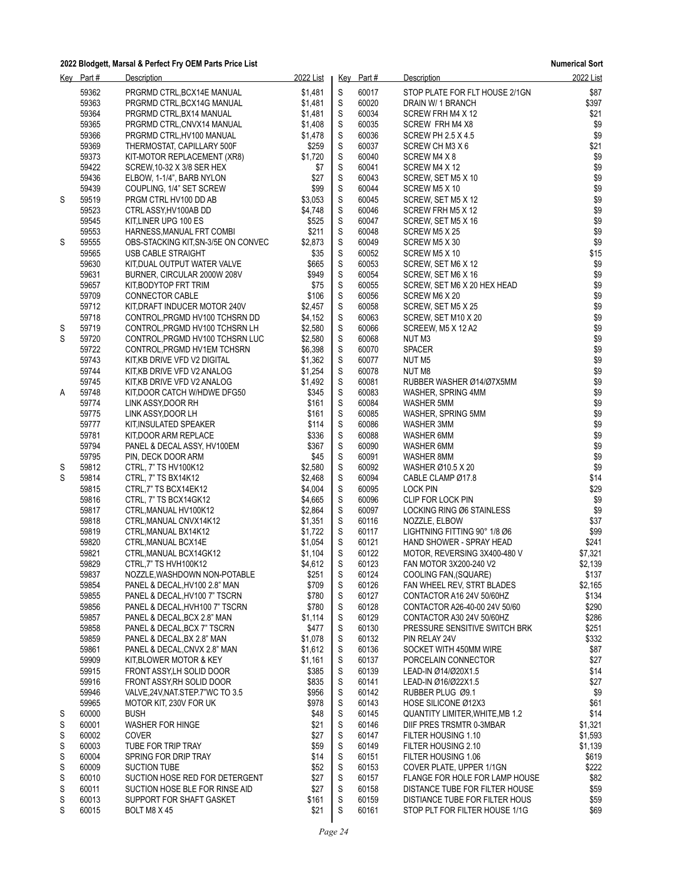|   | Key Part# | Description                         | 2022 List |             | Key Part# | Description                            | 2022 List |
|---|-----------|-------------------------------------|-----------|-------------|-----------|----------------------------------------|-----------|
|   | 59362     | PRGRMD CTRL BCX14E MANUAL           | \$1,481   | $\mathbb S$ | 60017     | STOP PLATE FOR FLT HOUSE 2/1GN         | \$87      |
|   | 59363     | PRGRMD CTRL, BCX14G MANUAL          | \$1,481   | S           | 60020     | DRAIN W/ 1 BRANCH                      | \$397     |
|   | 59364     | PRGRMD CTRL, BX14 MANUAL            | \$1,481   | $\mathbb S$ | 60034     | SCREW FRH M4 X 12                      | \$21      |
|   | 59365     | PRGRMD CTRL, CNVX14 MANUAL          | \$1,408   | $\mathbb S$ | 60035     | SCREW FRH M4 X8                        | \$9       |
|   | 59366     | PRGRMD CTRL, HV100 MANUAL           | \$1,478   | $\mathbb S$ | 60036     | <b>SCREW PH 2.5 X 4.5</b>              | \$9       |
|   | 59369     | THERMOSTAT, CAPILLARY 500F          | \$259     | $\mathbb S$ | 60037     | SCREW CH M3 X 6                        | \$21      |
|   | 59373     | KIT-MOTOR REPLACEMENT (XR8)         | \$1,720   | S           | 60040     | SCREW M4 X 8                           | \$9       |
|   | 59422     | SCREW, 10-32 X 3/8 SER HEX          | \$7       | $\mathsf S$ | 60041     | SCREW M4 X 12                          | \$9       |
|   | 59436     | ELBOW, 1-1/4", BARB NYLON           | \$27      | $\mathbb S$ | 60043     | SCREW, SET M5 X 10                     | \$9       |
|   |           |                                     | \$99      |             |           |                                        | \$9       |
|   | 59439     | COUPLING, 1/4" SET SCREW            |           | S           | 60044     | SCREW M5 X 10                          |           |
| S | 59519     | PRGM CTRL HV100 DD AB               | \$3,053   | $\mathsf S$ | 60045     | SCREW, SET M5 X 12                     | \$9       |
|   | 59523     | CTRL ASSY, HV100AB DD               | \$4,748   | S           | 60046     | SCREW FRH M5 X 12                      | \$9       |
|   | 59545     | KIT, LINER UPG 100 ES               | \$525     | $\mathbb S$ | 60047     | SCREW, SET M5 X 16                     | \$9       |
|   | 59553     | HARNESS, MANUAL FRT COMBI           | \$211     | S           | 60048     | SCREW M5 X 25                          | \$9       |
| S | 59555     | OBS-STACKING KIT, SN-3/5E ON CONVEC | \$2,873   | S           | 60049     | SCREW M5 X 30                          | \$9       |
|   | 59565     | USB CABLE STRAIGHT                  | \$35      | $\mathsf S$ | 60052     | SCREW M5 X 10                          | \$15      |
|   | 59630     | KIT, DUAL OUTPUT WATER VALVE        | \$665     | S           | 60053     | SCREW, SET M6 X 12                     | \$9       |
|   | 59631     | BURNER, CIRCULAR 2000W 208V         | \$949     | $\mathsf S$ | 60054     | SCREW, SET M6 X 16                     | \$9       |
|   | 59657     | KIT, BODYTOP FRT TRIM               | \$75      | $\mathbb S$ | 60055     | SCREW, SET M6 X 20 HEX HEAD            | \$9       |
|   | 59709     | CONNECTOR CABLE                     | \$106     | $\mathbb S$ | 60056     | SCREW M6 X 20                          | \$9       |
|   | 59712     | KIT, DRAFT INDUCER MOTOR 240V       | \$2,457   | $\mathbb S$ | 60058     | SCREW, SET M5 X 25                     | \$9       |
|   | 59718     | CONTROL, PRGMD HV100 TCHSRN DD      | \$4.152   | S           | 60063     | SCREW, SET M10 X 20                    | \$9       |
| S | 59719     | CONTROL, PRGMD HV100 TCHSRN LH      | \$2.580   | $\mathbb S$ | 60066     | SCREEW, M5 X 12 A2                     | \$9       |
| S | 59720     | CONTROL, PRGMD HV100 TCHSRN LUC     | \$2,580   | S           | 60068     | NUT M3                                 | \$9       |
|   | 59722     | CONTROL, PRGMD HV1EM TCHSRN         | \$6,398   | S           | 60070     | <b>SPACER</b>                          | \$9       |
|   | 59743     | KIT, KB DRIVE VFD V2 DIGITAL        | \$1,362   | $\mathsf S$ | 60077     | NUT <sub>M5</sub>                      | \$9       |
|   | 59744     | KIT, KB DRIVE VFD V2 ANALOG         | \$1,254   | S           | 60078     | NUT M8                                 | \$9       |
|   |           |                                     |           |             |           |                                        | \$9       |
|   | 59745     | KIT, KB DRIVE VFD V2 ANALOG         | \$1,492   | $\mathsf S$ | 60081     | RUBBER WASHER Ø14/Ø7X5MM               | \$9       |
| Α | 59748     | KIT, DOOR CATCH W/HDWE DFG50        | \$345     | $\mathbb S$ | 60083     | WASHER, SPRING 4MM                     |           |
|   | 59774     | LINK ASSY, DOOR RH                  | \$161     | $\mathbb S$ | 60084     | WASHER 5MM                             | \$9       |
|   | 59775     | LINK ASSY, DOOR LH                  | \$161     | $\mathbb S$ | 60085     | WASHER, SPRING 5MM                     | \$9       |
|   | 59777     | KIT, INSULATED SPEAKER              | \$114     | S           | 60086     | WASHER 3MM                             | \$9       |
|   | 59781     | KIT, DOOR ARM REPLACE               | \$336     | $\mathbb S$ | 60088     | WASHER 6MM                             | \$9       |
|   | 59794     | PANEL & DECAL ASSY, HV100EM         | \$367     | $\mathbb S$ | 60090     | WASHER 6MM                             | \$9       |
|   | 59795     | PIN, DECK DOOR ARM                  | \$45      | S           | 60091     | WASHER 8MM                             | \$9       |
| S | 59812     | CTRL, 7" TS HV100K12                | \$2,580   | $\mathbb S$ | 60092     | WASHER Ø10.5 X 20                      | \$9       |
| S | 59814     | CTRL, 7" TS BX14K12                 | \$2,468   | S           | 60094     | CABLE CLAMP Ø17.8                      | \$14      |
|   | 59815     | CTRL,7" TS BCX14EK12                | \$4,004   | $\mathbb S$ | 60095     | LOCK PIN                               | \$29      |
|   | 59816     | CTRL, 7" TS BCX14GK12               | \$4,665   | S           | 60096     | CLIP FOR LOCK PIN                      | \$9       |
|   | 59817     | CTRL, MANUAL HV100K12               | \$2,864   | S           | 60097     | LOCKING RING Ø6 STAINLESS              | \$9       |
|   | 59818     | CTRL, MANUAL CNVX14K12              | \$1,351   | S           | 60116     | NOZZLE, ELBOW                          | \$37      |
|   | 59819     | CTRL, MANUAL BX14K12                | \$1,722   | S           | 60117     | LIGHTNING FITTING 90° 1/8 06           | \$99      |
|   | 59820     | CTRL, MANUAL BCX14E                 | \$1,054   | S           | 60121     | HAND SHOWER - SPRAY HEAD               | \$241     |
|   | 59821     | CTRL, MANUAL BCX14GK12              | \$1,104   | S           | 60122     | MOTOR, REVERSING 3X400-480 V           | \$7,321   |
|   | 59829     | CTRL,7" TS HVH100K12                | \$4,612   | $\mathbb S$ | 60123     | FAN MOTOR 3X200-240 V2                 | \$2,139   |
|   | 59837     | NOZZLE, WASHDOWN NON-POTABLE        | \$251     | $\mathbf S$ | 60124     | COOLING FAN, (SQUARE)                  | \$137     |
|   | 59854     | PANEL & DECAL, HV100 2.8" MAN       | \$709     | S           | 60126     | FAN WHEEL REV, STRT BLADES             | \$2,165   |
|   | 59855     | PANEL & DECAL, HV100 7" TSCRN       | \$780     | S           | 60127     | CONTACTOR A16 24V 50/60HZ              | \$134     |
|   | 59856     | PANEL & DECAL, HVH100 7" TSCRN      | \$780     | S           | 60128     | CONTACTOR A26-40-00 24V 50/60          | \$290     |
|   | 59857     | PANEL & DECAL, BCX 2.8" MAN         | \$1,114   | S           | 60129     | CONTACTOR A30 24V 50/60HZ              | \$286     |
|   |           |                                     |           |             |           |                                        |           |
|   | 59858     | PANEL & DECAL, BCX 7" TSCRN         | \$477     | S           | 60130     | PRESSURE SENSITIVE SWITCH BRK          | \$251     |
|   | 59859     | PANEL & DECAL, BX 2.8" MAN          | \$1,078   | S           | 60132     | PIN RELAY 24V                          | \$332     |
|   | 59861     | PANEL & DECAL, CNVX 2.8" MAN        | \$1,612   | S           | 60136     | SOCKET WITH 450MM WIRE                 | \$87      |
|   | 59909     | KIT, BLOWER MOTOR & KEY             | \$1,161   | S           | 60137     | PORCELAIN CONNECTOR                    | \$27      |
|   | 59915     | FRONT ASSY, LH SOLID DOOR           | \$385     | S           | 60139     | LEAD-IN Ø14/Ø20X1.5                    | \$14      |
|   | 59916     | FRONT ASSY, RH SOLID DOOR           | \$835     | S           | 60141     | LEAD-IN Ø16/Ø22X1.5                    | \$27      |
|   | 59946     | VALVE, 24V, NAT. STEP. 7"WC TO 3.5  | \$956     | S           | 60142     | RUBBER PLUG Ø9.1                       | \$9       |
|   | 59965     | MOTOR KIT, 230V FOR UK              | \$978     | S           | 60143     | HOSE SILICONE Ø12X3                    | \$61      |
| S | 60000     | <b>BUSH</b>                         | \$48      | S           | 60145     | <b>QUANTITY LIMITER, WHITE, MB 1.2</b> | \$14      |
| S | 60001     | <b>WASHER FOR HINGE</b>             | \$21      | S           | 60146     | DIIF PRES TRSMTR 0-3MBAR               | \$1,321   |
| S | 60002     | <b>COVER</b>                        | \$27      | S           | 60147     | FILTER HOUSING 1.10                    | \$1,593   |
| S | 60003     | TUBE FOR TRIP TRAY                  | \$59      | S           | 60149     | FILTER HOUSING 2.10                    | \$1,139   |
| S | 60004     | SPRING FOR DRIP TRAY                | \$14      | S           | 60151     | FILTER HOUSING 1.06                    | \$619     |
| S | 60009     | <b>SUCTION TUBE</b>                 | \$52      | S           | 60153     | COVER PLATE, UPPER 1/1GN               | \$222     |
| S | 60010     | SUCTION HOSE RED FOR DETERGENT      | \$27      | S           | 60157     | FLANGE FOR HOLE FOR LAMP HOUSE         | \$82      |
| S | 60011     | SUCTION HOSE BLE FOR RINSE AID      | \$27      | S           | 60158     | DISTANCE TUBE FOR FILTER HOUSE         | \$59      |
| S | 60013     | SUPPORT FOR SHAFT GASKET            | \$161     | S           | 60159     | DISTIANCE TUBE FOR FILTER HOUS         | \$59      |
| S | 60015     | BOLT M8 X 45                        | \$21      | S           | 60161     | STOP PLT FOR FILTER HOUSE 1/1G         | \$69      |
|   |           |                                     |           |             |           |                                        |           |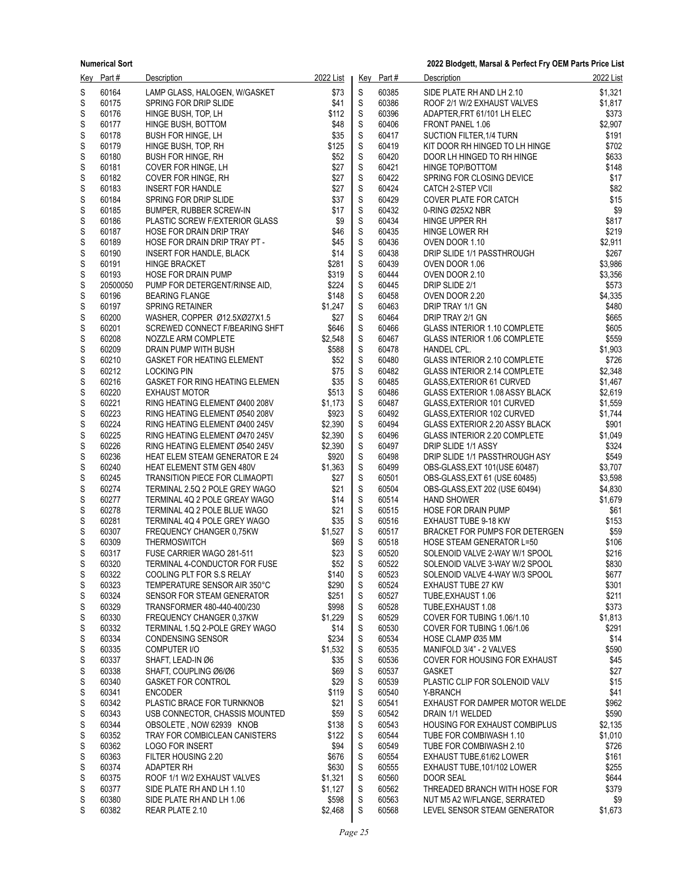| Kev    | Part#          | Description                                                     | 2022 List          |                            | Key Part#      | <b>Description</b>                                           | 2022 List          |
|--------|----------------|-----------------------------------------------------------------|--------------------|----------------------------|----------------|--------------------------------------------------------------|--------------------|
| S      | 60164          | LAMP GLASS, HALOGEN, W/GASKET                                   | \$73               | S                          | 60385          | SIDE PLATE RH AND LH 2.10                                    | \$1,321            |
| S      | 60175          | SPRING FOR DRIP SLIDE                                           | \$41               | $\mathbb S$                | 60386          | ROOF 2/1 W/2 EXHAUST VALVES                                  | \$1,817            |
| S      | 60176          | HINGE BUSH, TOP, LH                                             | \$112              | $\mathbb S$                | 60396          | ADAPTER.FRT 61/101 LH ELEC                                   | \$373              |
| S      | 60177          | HINGE BUSH, BOTTOM                                              | \$48               | $\mathsf S$                | 60406          | FRONT PANEL 1.06                                             | \$2,907            |
| S      | 60178          | <b>BUSH FOR HINGE, LH</b>                                       | \$35               | $\mathsf S$                | 60417          | SUCTION FILTER, 1/4 TURN                                     | \$191              |
| S      | 60179          | HINGE BUSH, TOP, RH                                             | \$125              | $\mathsf S$                | 60419          | KIT DOOR RH HINGED TO LH HINGE                               | \$702              |
| S      | 60180          | <b>BUSH FOR HINGE, RH</b>                                       | \$52               | $\mathbb S$                | 60420          | DOOR LH HINGED TO RH HINGE                                   | \$633              |
| S<br>S | 60181<br>60182 | COVER FOR HINGE, LH<br>COVER FOR HINGE, RH                      | \$27<br>\$27       | $\mathbb S$<br>$\mathsf S$ | 60421<br>60422 | HINGE TOP/BOTTOM<br>SPRING FOR CLOSING DEVICE                | \$148<br>\$17      |
| S      | 60183          | <b>INSERT FOR HANDLE</b>                                        | \$27               | $\mathbb S$                | 60424          | <b>CATCH 2-STEP VCII</b>                                     | \$82               |
| S      | 60184          | SPRING FOR DRIP SLIDE                                           | \$37               | $\mathsf S$                | 60429          | <b>COVER PLATE FOR CATCH</b>                                 | \$15               |
| S      | 60185          | BUMPER, RUBBER SCREW-IN                                         | \$17               | $\mathbb S$                | 60432          | 0-RING Ø25X2 NBR                                             | \$9                |
| S      | 60186          | PLASTIC SCREW F/EXTERIOR GLASS                                  | \$9                | $\mathbb S$                | 60434          | HINGE UPPER RH                                               | \$817              |
| S      | 60187          | HOSE FOR DRAIN DRIP TRAY                                        | \$46               | $\mathsf S$                | 60435          | HINGE LOWER RH                                               | \$219              |
| S      | 60189          | HOSE FOR DRAIN DRIP TRAY PT -                                   | \$45               | $\mathbb S$                | 60436          | OVEN DOOR 1.10                                               | \$2,911            |
| S      | 60190          | INSERT FOR HANDLE, BLACK                                        | \$14               | $\mathbb S$                | 60438          | DRIP SLIDE 1/1 PASSTHROUGH                                   | \$267              |
| S      | 60191          | <b>HINGE BRACKET</b>                                            | \$281              | $\mathbb S$                | 60439          | OVEN DOOR 1.06                                               | \$3,986            |
| S      | 60193          | <b>HOSE FOR DRAIN PUMP</b>                                      | \$319              | $\mathbb S$                | 60444          | OVEN DOOR 2.10                                               | \$3,356            |
| S      | 20500050       | PUMP FOR DETERGENT/RINSE AID,                                   | \$224              | $\mathsf S$                | 60445          | DRIP SLIDE 2/1                                               | \$573              |
| S      | 60196          | <b>BEARING FLANGE</b>                                           | \$148              | $\mathbb S$                | 60458          | OVEN DOOR 2.20                                               | \$4,335            |
| S      | 60197          | <b>SPRING RETAINER</b>                                          | \$1,247            | $\mathsf S$                | 60463          | DRIP TRAY 1/1 GN                                             | \$480              |
| S      | 60200          | WASHER, COPPER Ø12.5XØ27X1.5                                    | \$27               | $\mathbb S$                | 60464          | DRIP TRAY 2/1 GN                                             | \$665              |
| S<br>S | 60201<br>60208 | SCREWED CONNECT F/BEARING SHFT<br>NOZZLE ARM COMPLETE           | \$646<br>\$2,548   | $\mathbb S$<br>$\mathbb S$ | 60466<br>60467 | GLASS INTERIOR 1.10 COMPLETE<br>GLASS INTERIOR 1.06 COMPLETE | \$605<br>\$559     |
| S      | 60209          | DRAIN PUMP WITH BUSH                                            | \$588              | $\mathsf S$                | 60478          | HANDEL CPL.                                                  | \$1,903            |
| S      | 60210          | <b>GASKET FOR HEATING ELEMENT</b>                               | \$52               | $\mathsf S$                | 60480          | GLASS INTERIOR 2.10 COMPLETE                                 | \$726              |
| S      | 60212          | <b>LOCKING PIN</b>                                              | \$75               | $\mathbb S$                | 60482          | <b>GLASS INTERIOR 2.14 COMPLETE</b>                          | \$2,348            |
| S      | 60216          | <b>GASKET FOR RING HEATING ELEMEN</b>                           | \$35               | $\mathbb S$                | 60485          | GLASS EXTERIOR 61 CURVED                                     | \$1,467            |
| S      | 60220          | <b>EXHAUST MOTOR</b>                                            | \$513              | $\mathbb S$                | 60486          | GLASS EXTERIOR 1.08 ASSY BLACK                               | \$2,619            |
| S      | 60221          | RING HEATING ELEMENT Ø400 208V                                  | \$1,173            | $\mathbb S$                | 60487          | GLASS, EXTERIOR 101 CURVED                                   | \$1,559            |
| S      | 60223          | RING HEATING ELEMENT Ø540 208V                                  | \$923              | $\mathbb S$                | 60492          | GLASS, EXTERIOR 102 CURVED                                   | \$1,744            |
| S      | 60224          | RING HEATING ELEMENT Ø400 245V                                  | \$2,390            | $\mathbb S$                | 60494          | GLASS EXTERIOR 2.20 ASSY BLACK                               | \$901              |
| S      | 60225          | RING HEATING ELEMENT Ø470 245V                                  | \$2,390            | $\mathbb S$                | 60496          | GLASS INTERIOR 2.20 COMPLETE                                 | \$1,049            |
| S      | 60226          | RING HEATING ELEMENT Ø540 245V                                  | \$2,390            | $\mathbb S$                | 60497          | DRIP SLIDE 1/1 ASSY                                          | \$324              |
| S      | 60236          | <b>HEAT ELEM STEAM GENERATOR E 24</b>                           | \$920              | $\mathbb S$                | 60498          | DRIP SLIDE 1/1 PASSTHROUGH ASY                               | \$549              |
| S      | 60240          | HEAT ELEMENT STM GEN 480V                                       | \$1,363            | $\mathsf S$                | 60499          | OBS-GLASS, EXT 101(USE 60487)                                | \$3,707            |
| S      | 60245<br>60274 | TRANSITION PIECE FOR CLIMAOPTI                                  | \$27<br>\$21       | $\mathbb S$<br>$\mathbb S$ | 60501<br>60504 | OBS-GLASS, EXT 61 (USE 60485)                                | \$3,598            |
| S<br>S | 60277          | TERMINAL 2.5Q 2 POLE GREY WAGO<br>TERMINAL 4Q 2 POLE GREAY WAGO | \$14               | $\mathsf S$                | 60514          | OBS-GLASS, EXT 202 (USE 60494)<br><b>HAND SHOWER</b>         | \$4,830<br>\$1,679 |
| S      | 60278          | TERMINAL 4Q 2 POLE BLUE WAGO                                    | \$21               | $\mathbb S$                | 60515          | <b>HOSE FOR DRAIN PUMP</b>                                   | \$61               |
| S      | 60281          | TERMINAL 4Q 4 POLE GREY WAGO                                    | \$35               | $\mathsf S$                | 60516          | EXHAUST TUBE 9-18 KW                                         | \$153              |
| S      | 60307          | FREQUENCY CHANGER 0,75KW                                        | \$1,527            | $\mathbb S$                | 60517          | BRACKET FOR PUMPS FOR DETERGEN                               | \$59               |
| S      | 60309          | <b>THERMOSWITCH</b>                                             | \$69               | $\mathbb S$                | 60518          | <b>HOSE STEAM GENERATOR L=50</b>                             | \$106              |
| S      | 60317          | FUSE CARRIER WAGO 281-511                                       | \$23               | $\mathsf S$                | 60520          | SOLENOID VALVE 2-WAY W/1 SPOOL                               | \$216              |
| S      | 60320          | TERMINAL 4-CONDUCTOR FOR FUSE                                   | \$52               | S                          | 60522          | SOLENOID VALVE 3-WAY W/2 SPOOL                               | \$830              |
| S      | 60322          | COOLING PLT FOR S.S RELAY                                       | \$140              | S                          | 60523          | SOLENOID VALVE 4-WAY W/3 SPOOL                               | \$677              |
| S      | 60323          | TEMPERATURE SENSOR AIR 350°C                                    | \$290              | S                          | 60524          | <b>EXHAUST TUBE 27 KW</b>                                    | \$301              |
| S      | 60324          | SENSOR FOR STEAM GENERATOR                                      | \$251              | S                          | 60527          | TUBE, EXHAUST 1.06                                           | \$211              |
| S      | 60329          | TRANSFORMER 480-440-400/230                                     | \$998              | S                          | 60528          | TUBE, EXHAUST 1.08                                           | \$373              |
| S      | 60330          | FREQUENCY CHANGER 0.37KW                                        | \$1,229            | S                          | 60529          | COVER FOR TUBING 1.06/1.10                                   | \$1,813            |
| S<br>S | 60332<br>60334 | TERMINAL 1.5Q 2-POLE GREY WAGO                                  | \$14<br>\$234      | S<br>S                     | 60530<br>60534 | COVER FOR TUBING 1.06/1.06                                   | \$291<br>\$14      |
| S      | 60335          | <b>CONDENSING SENSOR</b><br>COMPUTER I/O                        | \$1,532            | S                          | 60535          | HOSE CLAMP Ø35 MM<br>MANIFOLD 3/4" - 2 VALVES                | \$590              |
| S      | 60337          | SHAFT, LEAD-IN Ø6                                               | \$35               | S                          | 60536          | <b>COVER FOR HOUSING FOR EXHAUST</b>                         | \$45               |
| S      | 60338          | SHAFT, COUPLING Ø6/Ø6                                           | \$69               | S                          | 60537          | <b>GASKET</b>                                                | \$27               |
| S      | 60340          | <b>GASKET FOR CONTROL</b>                                       | \$29               | S                          | 60539          | PLASTIC CLIP FOR SOLENOID VALV                               | \$15               |
| S      | 60341          | <b>ENCODER</b>                                                  | \$119              | S                          | 60540          | Y-BRANCH                                                     | \$41               |
| S      | 60342          | PLASTIC BRACE FOR TURNKNOB                                      | \$21               | S                          | 60541          | EXHAUST FOR DAMPER MOTOR WELDE                               | \$962              |
| S      | 60343          | USB CONNECTOR, CHASSIS MOUNTED                                  | \$59               | S                          | 60542          | DRAIN 1/1 WELDED                                             | \$590              |
| S      | 60344          | OBSOLETE NOW 62939 KNOB                                         | \$138              | S                          | 60543          | <b>HOUSING FOR EXHAUST COMBIPLUS</b>                         | \$2,135            |
| S      | 60352          | TRAY FOR COMBICLEAN CANISTERS                                   | \$122              | S                          | 60544          | TUBE FOR COMBIWASH 1.10                                      | \$1,010            |
| S      | 60362          | <b>LOGO FOR INSERT</b>                                          | \$94               | S                          | 60549          | TUBE FOR COMBIWASH 2.10                                      | \$726              |
| S      | 60363          | FILTER HOUSING 2.20                                             | \$676              | S                          | 60554          | EXHAUST TUBE, 61/62 LOWER                                    | \$161              |
| S      | 60374          | ADAPTER RH                                                      | \$630              | ${\mathsf S}$              | 60555          | EXHAUST TUBE, 101/102 LOWER                                  | \$255              |
| S<br>S | 60375<br>60377 | ROOF 1/1 W/2 EXHAUST VALVES<br>SIDE PLATE RH AND LH 1.10        | \$1,321<br>\$1,127 | S<br>S                     | 60560<br>60562 | DOOR SEAL<br>THREADED BRANCH WITH HOSE FOR                   | \$644<br>\$379     |
| S      | 60380          | SIDE PLATE RH AND LH 1.06                                       | \$598              | S                          | 60563          | NUT M5 A2 W/FLANGE, SERRATED                                 | \$9                |
| S      | 60382          | REAR PLATE 2.10                                                 | \$2,468            | S                          | 60568          | LEVEL SENSOR STEAM GENERATOR                                 | \$1,673            |
|        |                |                                                                 |                    |                            |                |                                                              |                    |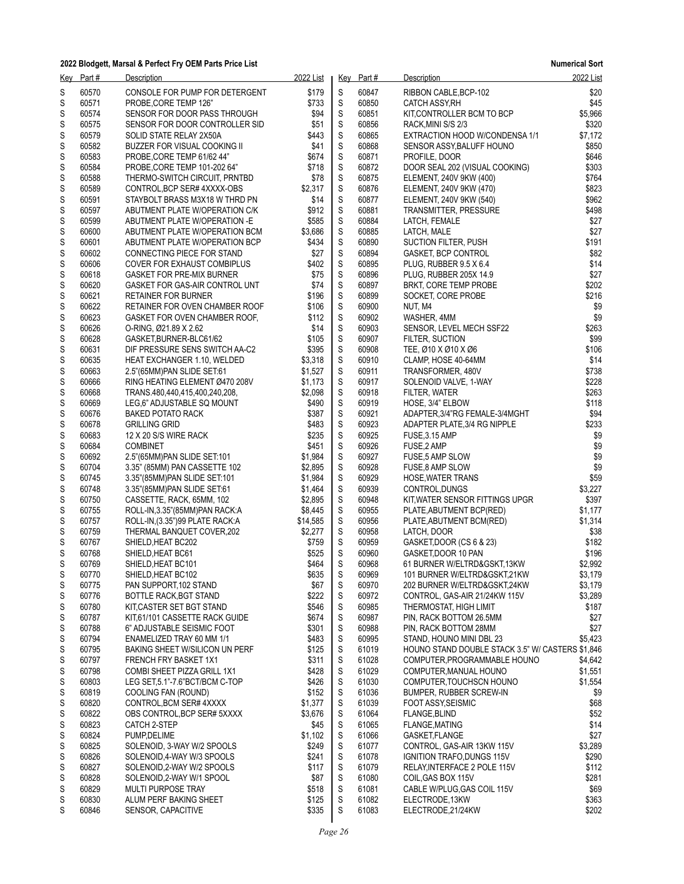| Key    | Part#          | Description                                                     | 2022 List      |                  | Key Part#      | Description                                                 | 2022 List          |
|--------|----------------|-----------------------------------------------------------------|----------------|------------------|----------------|-------------------------------------------------------------|--------------------|
| S<br>S | 60570<br>60571 | CONSOLE FOR PUMP FOR DETERGENT<br>PROBE, CORE TEMP 126"         | \$179<br>\$733 | S<br>S           | 60847<br>60850 | RIBBON CABLE, BCP-102<br><b>CATCH ASSY, RH</b>              | \$20<br>\$45       |
| S      | 60574          | SENSOR FOR DOOR PASS THROUGH                                    | \$94           | S                | 60851          | KIT, CONTROLLER BCM TO BCP                                  | \$5,966            |
| S      | 60575          | SENSOR FOR DOOR CONTROLLER SID                                  | \$51           | $\mathsf S$      | 60856          | RACK, MINI S/S 2/3                                          | \$320              |
| S      | 60579          | SOLID STATE RELAY 2X50A                                         | \$443          | S                | 60865          | EXTRACTION HOOD W/CONDENSA 1/1                              | \$7,172            |
| S      | 60582          | BUZZER FOR VISUAL COOKING II                                    | \$41           | S                | 60868          | SENSOR ASSY, BALUFF HOUNO                                   | \$850              |
| S      | 60583          | PROBE, CORE TEMP 61/62 44"                                      | \$674          | ${\mathsf S}$    | 60871          | PROFILE, DOOR                                               | \$646              |
| S      | 60584          | PROBE, CORE TEMP 101-202 64"                                    | \$718          | S                | 60872          | DOOR SEAL 202 (VISUAL COOKING)                              | \$303              |
| S      | 60588          | THERMO-SWITCH CIRCUIT, PRNTBD                                   | \$78           | $\mathsf S$      | 60875          | ELEMENT, 240V 9KW (400)                                     | \$764              |
| S      | 60589          | CONTROL, BCP SER# 4XXXX-OBS                                     | \$2,317        | S                | 60876          | ELEMENT, 240V 9KW (470)                                     | \$823              |
| S      | 60591          | STAYBOLT BRASS M3X18 W THRD PN                                  | \$14           | S                | 60877          | ELEMENT, 240V 9KW (540)                                     | \$962              |
| S      | 60597          | ABUTMENT PLATE W/OPERATION C/K                                  | \$912          | ${\mathsf S}$    | 60881          | TRANSMITTER, PRESSURE                                       | \$498              |
| S      | 60599          | ABUTMENT PLATE W/OPERATION -E                                   | \$585          | $\mathbb S$      | 60884          | LATCH, FEMALE                                               | \$27               |
| S      | 60600          | ABUTMENT PLATE W/OPERATION BCM                                  | \$3,686        | $\mathsf S$      | 60885          | LATCH, MALE                                                 | \$27               |
| S      | 60601          | ABUTMENT PLATE W/OPERATION BCP                                  | \$434          | S                | 60890          | SUCTION FILTER, PUSH                                        | \$191              |
| S      | 60602          | CONNECTING PIECE FOR STAND                                      | \$27           | S                | 60894          | GASKET, BCP CONTROL                                         | \$82               |
| S      | 60606          | COVER FOR EXHAUST COMBIPLUS                                     | \$402          | S                | 60895          | PLUG, RUBBER 9.5 X 6.4                                      | \$14               |
| S      | 60618          | <b>GASKET FOR PRE-MIX BURNER</b>                                | \$75<br>\$74   | S<br>$\mathsf S$ | 60896          | PLUG, RUBBER 205X 14.9                                      | \$27               |
| S      | 60620<br>60621 | GASKET FOR GAS-AIR CONTROL UNT                                  |                |                  | 60897<br>60899 | BRKT, CORE TEMP PROBE                                       | \$202<br>\$216     |
| S<br>S | 60622          | <b>RETAINER FOR BURNER</b>                                      | \$196<br>\$106 | S<br>S           | 60900          | SOCKET, CORE PROBE<br>NUT, M4                               | \$9                |
| S      | 60623          | RETAINER FOR OVEN CHAMBER ROOF<br>GASKET FOR OVEN CHAMBER ROOF, | \$112          | ${\mathsf S}$    | 60902          | WASHER, 4MM                                                 | \$9                |
| S      | 60626          | O-RING, Ø21.89 X 2.62                                           | \$14           | $\mathbb S$      | 60903          | SENSOR, LEVEL MECH SSF22                                    | \$263              |
| S      | 60628          | GASKET, BURNER-BLC61/62                                         | \$105          | $\mathsf S$      | 60907          | FILTER, SUCTION                                             | \$99               |
| S      | 60631          | DIF PRESSURE SENS SWITCH AA-C2                                  | \$395          | S                | 60908          | TEE, Ø10 X Ø10 X Ø6                                         | \$106              |
| S      | 60635          | <b>HEAT EXCHANGER 1.10, WELDED</b>                              | \$3,318        | S                | 60910          | CLAMP, HOSE 40-64MM                                         | \$14               |
| S      | 60663          | 2.5"(65MM)PAN SLIDE SET.61                                      | \$1,527        | S                | 60911          | TRANSFORMER, 480V                                           | \$738              |
| S      | 60666          | RING HEATING ELEMENT Ø470 208V                                  | \$1,173        | S                | 60917          | SOLENOID VALVE, 1-WAY                                       | \$228              |
| S      | 60668          | TRANS.480,440,415,400,240,208,                                  | \$2,098        | S                | 60918          | FILTER, WATER                                               | \$263              |
| S      | 60669          | LEG,6" ADJUSTABLE SQ MOUNT                                      | \$490          | S                | 60919          | HOSE, 3/4" ELBOW                                            | \$118              |
| S      | 60676          | <b>BAKED POTATO RACK</b>                                        | \$387          | S                | 60921          | ADAPTER, 3/4"RG FEMALE-3/4MGHT                              | \$94               |
| S      | 60678          | <b>GRILLING GRID</b>                                            | \$483          | S                | 60923          | ADAPTER PLATE, 3/4 RG NIPPLE                                | \$233              |
| S      | 60683          | 12 X 20 S/S WIRE RACK                                           | \$235          | S                | 60925          | FUSE, 3.15 AMP                                              | \$9                |
| S      | 60684          | <b>COMBINET</b>                                                 | \$451          | $\mathsf S$      | 60926          | FUSE, 2 AMP                                                 | \$9                |
| S      | 60692          | 2.5"(65MM)PAN SLIDE SET.101                                     | \$1,984        | S                | 60927          | FUSE,5 AMP SLOW                                             | \$9                |
| S      | 60704          | 3.35" (85MM) PAN CASSETTE 102                                   | \$2,895        | S                | 60928          | FUSE,8 AMP SLOW                                             | \$9                |
| S      | 60745          | 3.35"(85MM)PAN SLIDE SET.101                                    | \$1,984        | ${\mathsf S}$    | 60929          | <b>HOSE, WATER TRANS</b>                                    | \$59               |
| S      | 60748          | 3.35"(85MM)PAN SLIDE SET:61                                     | \$1,464        | S                | 60939          | CONTROL, DUNGS                                              | \$3,227            |
| S      | 60750          | CASSETTE, RACK, 65MM, 102                                       | \$2,895        | S                | 60948          | KIT, WATER SENSOR FITTINGS UPGR                             | \$397              |
| S      | 60755          | ROLL-IN, 3.35" (85MM) PAN RACK: A                               | \$8,445        | S                | 60955          | PLATE, ABUTMENT BCP(RED)                                    | \$1,177            |
| S      | 60757          | ROLL-IN, (3.35") 99 PLATE RACK: A                               | \$14,585       | S                | 60956          | PLATE, ABUTMENT BCM(RED)                                    | \$1,314            |
| S      | 60759          | THERMAL BANQUET COVER,202                                       | \$2,277        | S                | 60958          | LATCH, DOOR                                                 | \$38               |
| S      | 60767          | SHIELD, HEAT BC202                                              | \$759          | S                | 60959          | GASKET, DOOR (CS 6 & 23)                                    | \$182<br>\$196     |
| S<br>S | 60768          | SHIELD, HEAT BC61                                               | \$525          | S<br>S           | 60960          | GASKET, DOOR 10 PAN                                         |                    |
| S      | 60769<br>60770 | SHIELD, HEAT BC101<br>SHIELD, HEAT BC102                        | \$464<br>\$635 | $\mathsf S$      | 60968<br>60969 | 61 BURNER W/ELTRD&GSKT,13KW<br>101 BURNER W/ELTRD&GSKT.21KW | \$2,992<br>\$3,179 |
| S      | 60775          | PAN SUPPORT, 102 STAND                                          | \$67           | S                | 60970          | 202 BURNER W/ELTRD&GSKT,24KW                                | \$3,179            |
| S      | 60776          | BOTTLE RACK, BGT STAND                                          | \$222          | S                | 60972          | CONTROL, GAS-AIR 21/24KW 115V                               | \$3,289            |
| S      | 60780          | KIT, CASTER SET BGT STAND                                       | \$546          | S                | 60985          | THERMOSTAT, HIGH LIMIT                                      | \$187              |
| S      | 60787          | KIT,61/101 CASSETTE RACK GUIDE                                  | \$674          | S                | 60987          | PIN, RACK BOTTOM 26.5MM                                     | \$27               |
| S      | 60788          | 6" ADJUSTABLE SEISMIC FOOT                                      | \$301          | S                | 60988          | PIN. RACK BOTTOM 28MM                                       | \$27               |
| S      | 60794          | ENAMELIZED TRAY 60 MM 1/1                                       | \$483          | S                | 60995          | STAND, HOUNO MINI DBL 23                                    | \$5,423            |
| S      | 60795          | BAKING SHEET W/SILICON UN PERF                                  | \$125          | S                | 61019          | HOUNO STAND DOUBLE STACK 3.5" W/ CASTERS \$1,846            |                    |
| S      | 60797          | FRENCH FRY BASKET 1X1                                           | \$311          | S                | 61028          | COMPUTER, PROGRAMMABLE HOUNO                                | \$4,642            |
| S      | 60798          | COMBI SHEET PIZZA GRILL 1X1                                     | \$428          | S                | 61029          | COMPUTER, MANUAL HOUNO                                      | \$1,551            |
| S      | 60803          | LEG SET, 5.1"-7.6" BCT/BCM C-TOP                                | \$426          | S                | 61030          | COMPUTER. TOUCHSCN HOUNO                                    | \$1,554            |
| S      | 60819          | COOLING FAN (ROUND)                                             | \$152          | S                | 61036          | BUMPER, RUBBER SCREW-IN                                     | \$9                |
| S      | 60820          | CONTROL BCM SER# 4XXXX                                          | \$1,377        | S                | 61039          | <b>FOOT ASSY SEISMIC</b>                                    | \$68               |
| S      | 60822          | OBS CONTROL, BCP SER# 5XXXX                                     | \$3,676        | S                | 61064          | FLANGE, BLIND                                               | \$52               |
| S      | 60823          | CATCH 2-STEP                                                    | \$45           | S                | 61065          | <b>FLANGE, MATING</b>                                       | \$14               |
| S      | 60824          | PUMP, DELIME                                                    | \$1,102        | S                | 61066          | GASKET, FLANGE                                              | \$27               |
| S      | 60825          | SOLENOID, 3-WAY W/2 SPOOLS                                      | \$249          | S                | 61077          | CONTROL, GAS-AIR 13KW 115V                                  | \$3,289            |
| S      | 60826          | SOLENOID, 4-WAY W/3 SPOOLS                                      | \$241          | S                | 61078          | IGNITION TRAFO, DUNGS 115V                                  | \$290              |
| S      | 60827          | SOLENOID, 2-WAY W/2 SPOOLS                                      | \$117          | S                | 61079          | RELAY, INTERFACE 2 POLE 115V                                | \$112              |
| S      | 60828          | SOLENOID, 2-WAY W/1 SPOOL                                       | \$87           | S                | 61080          | COIL, GAS BOX 115V                                          | \$281              |
| S      | 60829          | <b>MULTI PURPOSE TRAY</b>                                       | \$518          | S                | 61081          | CABLE W/PLUG, GAS COIL 115V                                 | \$69               |
| S      | 60830          | ALUM PERF BAKING SHEET                                          | \$125          | S                | 61082          | ELECTRODE, 13KW                                             | \$363              |
| S      | 60846          | SENSOR, CAPACITIVE                                              | \$335          | S                | 61083          | ELECTRODE, 21/24KW                                          | \$202              |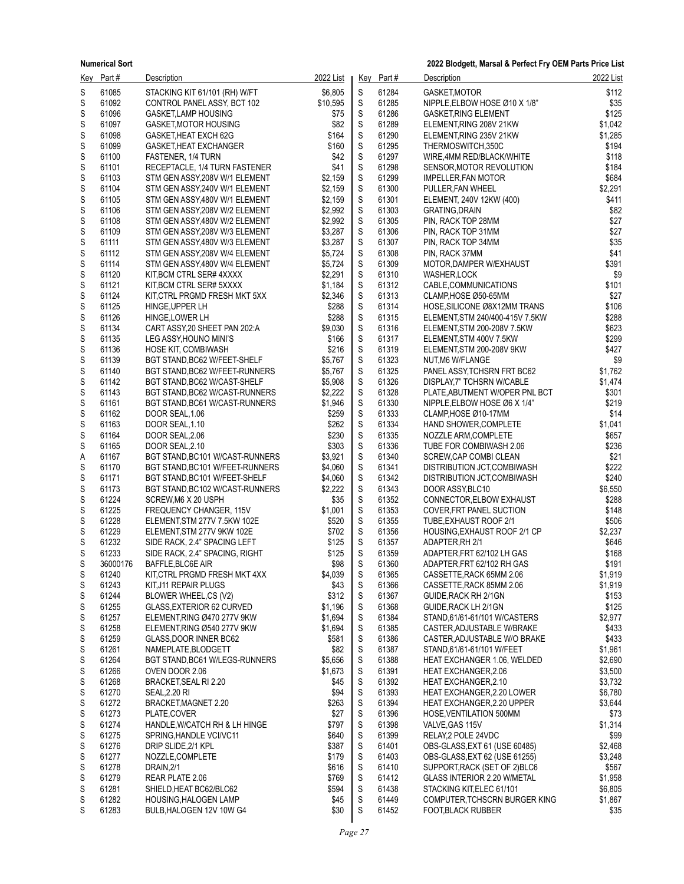|        | Key Part#      | Description                                                      | 2022 List          |                    | Key Part#      | Description                                     | 2022 List        |
|--------|----------------|------------------------------------------------------------------|--------------------|--------------------|----------------|-------------------------------------------------|------------------|
| S      | 61085          | STACKING KIT 61/101 (RH) W/FT                                    | \$6,805            | S                  | 61284          | GASKET, MOTOR                                   | \$112            |
| S      | 61092          | CONTROL PANEL ASSY, BCT 102                                      | \$10,595           | $\mathbb S$        | 61285          | NIPPLE, ELBOW HOSE Ø10 X 1/8"                   | \$35             |
| S      | 61096          | <b>GASKET, LAMP HOUSING</b>                                      | \$75               | $\mathsf S$        | 61286          | <b>GASKET, RING ELEMENT</b>                     | \$125            |
| S      | 61097          | <b>GASKET MOTOR HOUSING</b>                                      | \$82               | S                  | 61289          | ELEMENT, RING 208V 21KW                         | \$1,042          |
| S<br>S | 61098<br>61099 | GASKET, HEAT EXCH 62G                                            | \$164<br>\$160     | S<br>S             | 61290<br>61295 | ELEMENT RING 235V 21KW<br>THERMOSWITCH.350C     | \$1,285<br>\$194 |
| S      | 61100          | GASKET, HEAT EXCHANGER<br><b>FASTENER, 1/4 TURN</b>              | \$42               | $\mathbb S$        | 61297          | WIRE, 4MM RED/BLACK/WHITE                       | \$118            |
| S      | 61101          | RECEPTACLE, 1/4 TURN FASTENER                                    | \$41               | $\mathsf S$        | 61298          | SENSOR, MOTOR REVOLUTION                        | \$184            |
| S      | 61103          | STM GEN ASSY, 208V W/1 ELEMENT                                   | \$2,159            | S                  | 61299          | IMPELLER, FAN MOTOR                             | \$684            |
| S      | 61104          | STM GEN ASSY, 240V W/1 ELEMENT                                   | \$2,159            | S                  | 61300          | PULLER, FAN WHEEL                               | \$2,291          |
| S      | 61105          | STM GEN ASSY 480V W/1 ELEMENT                                    | \$2,159            | S                  | 61301          | ELEMENT, 240V 12KW (400)                        | \$411            |
| S      | 61106          | STM GEN ASSY, 208V W/2 ELEMENT                                   | \$2,992            | $\mathbb S$        | 61303          | <b>GRATING, DRAIN</b>                           | \$82             |
| S      | 61108          | STM GEN ASSY, 480V W/2 ELEMENT                                   | \$2.992            | $\mathbb S$        | 61305          | PIN, RACK TOP 28MM                              | \$27             |
| S      | 61109          | STM GEN ASSY, 208V W/3 ELEMENT                                   | \$3,287            | S                  | 61306          | PIN, RACK TOP 31MM                              | \$27             |
| S<br>S | 61111<br>61112 | STM GEN ASSY, 480V W/3 ELEMENT                                   | \$3,287<br>\$5,724 | S<br>S             | 61307<br>61308 | PIN, RACK TOP 34MM                              | \$35<br>\$41     |
| S      | 61114          | STM GEN ASSY, 208V W/4 ELEMENT<br>STM GEN ASSY, 480V W/4 ELEMENT | \$5,724            | $\mathbb S$        | 61309          | PIN, RACK 37MM<br>MOTOR, DAMPER W/EXHAUST       | \$391            |
| S      | 61120          | KIT, BCM CTRL SER# 4XXXX                                         | \$2,291            | S                  | 61310          | <b>WASHER,LOCK</b>                              | \$9              |
| S      | 61121          | KIT, BCM CTRL SER# 5XXXX                                         | \$1,184            | S                  | 61312          | CABLE, COMMUNICATIONS                           | \$101            |
| S      | 61124          | KIT, CTRL PRGMD FRESH MKT 5XX                                    | \$2,346            | S                  | 61313          | CLAMP, HOSE Ø50-65MM                            | \$27             |
| S      | 61125          | HINGE, UPPER LH                                                  | \$288              | S                  | 61314          | HOSE, SILICONE Ø8X12MM TRANS                    | \$106            |
| S      | 61126          | HINGE, LOWER LH                                                  | \$288              | $\mathbb S$        | 61315          | ELEMENT STM 240/400-415V 7.5KW                  | \$288            |
| S      | 61134          | CART ASSY, 20 SHEET PAN 202.A                                    | \$9,030            | S                  | 61316          | ELEMENT, STM 200-208V 7.5KW                     | \$623            |
| S      | 61135          | LEG ASSY, HOUNO MINI'S                                           | \$166              | S                  | 61317          | ELEMENT, STM 400V 7.5KW                         | \$299            |
| S      | 61136          | HOSE KIT, COMBIWASH                                              | \$216              | S                  | 61319          | ELEMENT, STM 200-208V 9KW                       | \$427            |
| S<br>S | 61139<br>61140 | BGT STAND, BC62 W/FEET-SHELF<br>BGT STAND, BC62 W/FEET-RUNNERS   | \$5,767<br>\$5,767 | S<br>$\mathbb S$   | 61323<br>61325 | NUT, M6 W/FLANGE<br>PANEL ASSY, TCHSRN FRT BC62 | \$9<br>\$1,762   |
| S      | 61142          | BGT STAND, BC62 W/CAST-SHELF                                     | \$5,908            | S                  | 61326          | DISPLAY.7" TCHSRN W/CABLE                       | \$1,474          |
| S      | 61143          | BGT STAND, BC62 W/CAST-RUNNERS                                   | \$2,222            | S                  | 61328          | PLATE, ABUTMENT W/OPER PNL BCT                  | \$301            |
| S      | 61161          | BGT STAND, BC61 W/CAST-RUNNERS                                   | \$1,946            | S                  | 61330          | NIPPLE, ELBOW HOSE Ø6 X 1/4"                    | \$219            |
| S      | 61162          | DOOR SEAL, 1.06                                                  | \$259              | S                  | 61333          | CLAMP, HOSE Ø10-17MM                            | \$14             |
| S      | 61163          | DOOR SEAL, 1.10                                                  | \$262              | $\mathbb S$        | 61334          | HAND SHOWER, COMPLETE                           | \$1,041          |
| S      | 61164          | DOOR SEAL, 2.06                                                  | \$230              | S                  | 61335          | NOZZLE ARM, COMPLETE                            | \$657            |
| S      | 61165          | DOOR SEAL, 2.10                                                  | \$303              | S                  | 61336          | TUBE FOR COMBIWASH 2.06                         | \$236            |
| Α      | 61167          | BGT STAND, BC101 W/CAST-RUNNERS                                  | \$3,921            | S                  | 61340          | SCREW, CAP COMBI CLEAN                          | \$21             |
| S      | 61170<br>61171 | BGT STAND, BC101 W/FEET-RUNNERS                                  | \$4,060<br>\$4,060 | S<br>$\mathbb S$   | 61341<br>61342 | DISTRIBUTION JCT,COMBIWASH                      | \$222<br>\$240   |
| S<br>S | 61173          | BGT STAND, BC101 W/FEET-SHELF<br>BGT STAND, BC102 W/CAST-RUNNERS | \$2,222            | ${\mathsf S}$      | 61343          | DISTRIBUTION JCT,COMBIWASH<br>DOOR ASSY, BLC10  | \$6,550          |
| S      | 61224          | SCREW, M6 X 20 USPH                                              | \$35               | S                  | 61352          | CONNECTOR, ELBOW EXHAUST                        | \$288            |
| S      | 61225          | <b>FREQUENCY CHANGER, 115V</b>                                   | \$1,001            | S                  | 61353          | COVER, FRT PANEL SUCTION                        | \$148            |
| S      | 61228          | ELEMENT, STM 277V 7.5KW 102E                                     | \$520              | S                  | 61355          | TUBE, EXHAUST ROOF 2/1                          | \$506            |
| S      | 61229          | ELEMENT, STM 277V 9KW 102E                                       | \$702              | $\mathsf S$        | 61356          | HOUSING, EXHAUST ROOF 2/1 CP                    | \$2,237          |
| S      | 61232          | SIDE RACK, 2.4" SPACING LEFT                                     | \$125              | S                  | 61357          | ADAPTER, RH 2/1                                 | \$646            |
| S      | 61233          | SIDE RACK, 2.4" SPACING, RIGHT                                   | \$125              | S                  | 61359          | ADAPTER, FRT 62/102 LH GAS                      | \$168            |
| S      | 36000176       | BAFFLE, BLC6E AIR                                                | \$98               | S                  | 61360          | ADAPTER, FRT 62/102 RH GAS                      | \$191            |
| S      | 61240          | KIT, CTRL PRGMD FRESH MKT 4XX                                    | \$4,039            | S                  | 61365          | CASSETTE, RACK 65MM 2.06                        | \$1,919          |
| S      | 61243<br>61244 | KIT, J11 REPAIR PLUGS                                            | \$43               | S                  | 61366          | CASSETTE, RACK 85MM 2.06                        | \$1,919          |
| S<br>S | 61255          | BLOWER WHEEL,CS (V2)<br>GLASS, EXTERIOR 62 CURVED                | \$312<br>\$1,196   | ${\mathsf S}$<br>S | 61367<br>61368 | GUIDE, RACK RH 2/1GN<br>GUIDE, RACK LH 2/1GN    | \$153<br>\$125   |
| S      | 61257          | ELEMENT, RING Ø470 277V 9KW                                      | \$1,694            | S                  | 61384          | STAND, 61/61-61/101 W/CASTERS                   | \$2,977          |
| S      | 61258          | ELEMENT.RING Ø540 277V 9KW                                       | \$1,694            | S                  | 61385          | CASTER ADJUSTABLE W/BRAKE                       | \$433            |
| S      | 61259          | GLASS, DOOR INNER BC62                                           | \$581              | S                  | 61386          | CASTER, ADJUSTABLE W/O BRAKE                    | \$433            |
| S      | 61261          | NAMEPLATE, BLODGETT                                              | \$82               | S                  | 61387          | STAND, 61/61-61/101 W/FEET                      | \$1,961          |
| S      | 61264          | BGT STAND, BC61 W/LEGS-RUNNERS                                   | \$5,656            | S                  | 61388          | HEAT EXCHANGER 1.06, WELDED                     | \$2,690          |
| S      | 61266          | OVEN DOOR 2.06                                                   | \$1,673            | S                  | 61391          | HEAT EXCHANGER, 2.06                            | \$3,500          |
| S      | 61268          | BRACKET, SEAL RI 2.20                                            | \$45               | S                  | 61392          | <b>HEAT EXCHANGER, 2.10</b>                     | \$3,732          |
| S      | 61270          | <b>SEAL, 2.20 RI</b>                                             | \$94               | S                  | 61393          | HEAT EXCHANGER, 2.20 LOWER                      | \$6,780          |
| S      | 61272          | BRACKET, MAGNET 2.20                                             | \$263              | S                  | 61394          | <b>HEAT EXCHANGER, 2.20 UPPER</b>               | \$3.644          |
| S<br>S | 61273<br>61274 | PLATE,COVER<br>HANDLE, W/CATCH RH & LH HINGE                     | \$27<br>\$797      | S<br>S             | 61396<br>61398 | HOSE, VENTILATION 500MM<br>VALVE, GAS 115V      | \$73<br>\$1,314  |
| S      | 61275          | SPRING, HANDLE VCI/VC11                                          | \$640              | S                  | 61399          | RELAY, 2 POLE 24VDC                             | \$99             |
| S      | 61276          | DRIP SLIDE, 2/1 KPL                                              | \$387              | S                  | 61401          | OBS-GLASS, EXT 61 (USE 60485)                   | \$2,468          |
| S      | 61277          | NOZZLE, COMPLETE                                                 | \$179              | S                  | 61403          | OBS-GLASS EXT 62 (USE 61255)                    | \$3,248          |
| S      | 61278          | DRAIN, 2/1                                                       | \$616              | S                  | 61410          | SUPPORT, RACK (SET OF 2) BLC6                   | \$567            |
| S      | 61279          | REAR PLATE 2.06                                                  | \$769              | S                  | 61412          | GLASS INTERIOR 2.20 W/METAL                     | \$1,958          |
| S      | 61281          | SHIELD, HEAT BC62/BLC62                                          | \$594              | S                  | 61438          | STACKING KIT, ELEC 61/101                       | \$6,805          |
| S      | 61282          | HOUSING, HALOGEN LAMP                                            | \$45               | S                  | 61449          | COMPUTER, TCHSCRN BURGER KING                   | \$1,867          |
| S      | 61283          | BULB, HALOGEN 12V 10W G4                                         | \$30               | S                  | 61452          | <b>FOOT, BLACK RUBBER</b>                       | \$35             |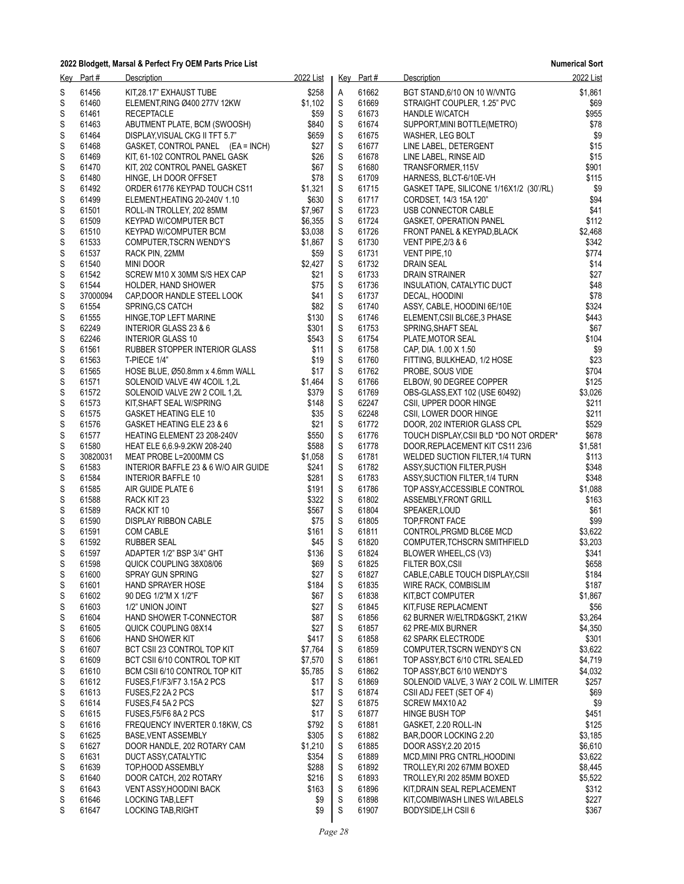|        | Key Part#      | Description                                                    | 2022 List          |             | Key Part#      | Description                                                  | 2022 List        |
|--------|----------------|----------------------------------------------------------------|--------------------|-------------|----------------|--------------------------------------------------------------|------------------|
| S      | 61456          | KIT.28.17" EXHAUST TUBE                                        | \$258              | Α           | 61662          | BGT STAND, 6/10 ON 10 W/VNTG                                 | \$1,861          |
| S      | 61460          | ELEMENT, RING Ø400 277V 12KW                                   | \$1,102            | S           | 61669          | STRAIGHT COUPLER, 1.25" PVC                                  | \$69             |
| S      | 61461          | <b>RECEPTACLE</b>                                              | \$59               | S           | 61673          | <b>HANDLE W/CATCH</b>                                        | \$955            |
| S      | 61463          | ABUTMENT PLATE, BCM (SWOOSH)                                   | \$840              | $\mathsf S$ | 61674          | SUPPORT, MINI BOTTLE(METRO)                                  | \$78             |
| S      | 61464          | DISPLAY VISUAL CKG II TFT 5.7"                                 | \$659              | S           | 61675          | WASHER, LEG BOLT                                             | \$9              |
| S      | 61468          | GASKET, CONTROL PANEL (EA = INCH)                              | \$27               | $\mathsf S$ | 61677          | LINE LABEL, DETERGENT                                        | \$15             |
| S      | 61469          | KIT, 61-102 CONTROL PANEL GASK                                 | \$26               | S           | 61678          | LINE LABEL, RINSE AID                                        | \$15             |
| S      | 61470          | KIT, 202 CONTROL PANEL GASKET                                  | \$67               | S           | 61680          | TRANSFORMER, 115V                                            | \$901            |
| S      | 61480          | HINGE, LH DOOR OFFSET                                          | \$78               | $\mathsf S$ | 61709          | HARNESS, BLCT-6/10E-VH                                       | \$115            |
| S      | 61492          | ORDER 61776 KEYPAD TOUCH CS11                                  | \$1,321            | S           | 61715          | GASKET TAPE, SILICONE 1/16X1/2 (30'/RL)                      | \$9              |
| S      | 61499          | ELEMENT, HEATING 20-240V 1.10                                  | \$630              | $\mathsf S$ | 61717          | CORDSET, 14/3 15A 120"                                       | \$94             |
| S      | 61501          | ROLL-IN TROLLEY, 202 85MM                                      | \$7,967            | S           | 61723          | USB CONNECTOR CABLE                                          | \$41             |
| S      | 61509          | KEYPAD W/COMPUTER BCT                                          | \$6,355            | S           | 61724          | <b>GASKET, OPERATION PANEL</b>                               | \$112            |
| S      | 61510          | KEYPAD W/COMPUTER BCM                                          | \$3,038            | $\mathbb S$ | 61726          | FRONT PANEL & KEYPAD, BLACK                                  | \$2,468          |
| S      | 61533          | COMPUTER, TSCRN WENDY'S                                        | \$1,867            | S           | 61730          | <b>VENT PIPE, 2/3 &amp; 6</b>                                | \$342            |
| S      | 61537          | RACK PIN, 22MM                                                 | \$59               | $\mathsf S$ | 61731<br>61732 | VENT PIPE, 10                                                | \$774            |
| S      | 61540<br>61542 | <b>MINI DOOR</b>                                               | \$2,427            | S<br>S      | 61733          | <b>DRAIN SEAL</b>                                            | \$14             |
| S<br>S | 61544          | SCREW M10 X 30MM S/S HEX CAP                                   | \$21<br>\$75       | $\mathsf S$ | 61736          | DRAIN STRAINER<br>INSULATION, CATALYTIC DUCT                 | \$27<br>\$48     |
| S      | 37000094       | HOLDER, HAND SHOWER<br>CAP, DOOR HANDLE STEEL LOOK             | \$41               | S           | 61737          | DECAL, HOODINI                                               | \$78             |
| S      | 61554          | <b>SPRING.CS CATCH</b>                                         | \$82               | $\mathsf S$ | 61740          | ASSY, CABLE, HOODINI 6E/10E                                  | \$324            |
| S      | 61555          | HINGE, TOP LEFT MARINE                                         | \$130              | S           | 61746          | ELEMENT, CSII BLC6E, 3 PHASE                                 | \$443            |
| S      | 62249          | INTERIOR GLASS 23 & 6                                          | \$301              | S           | 61753          | SPRING, SHAFT SEAL                                           | \$67             |
| S      | 62246          | <b>INTERIOR GLASS 10</b>                                       | \$543              | $\mathsf S$ | 61754          | PLATE, MOTOR SEAL                                            | \$104            |
| S      | 61561          | RUBBER STOPPER INTERIOR GLASS                                  | \$11               | S           | 61758          | CAP, DIA. 1.00 X 1.50                                        | \$9              |
| S      | 61563          | T-PIECE 1/4"                                                   | \$19               | $\mathsf S$ | 61760          | FITTING, BULKHEAD, 1/2 HOSE                                  | \$23             |
| S      | 61565          | HOSE BLUE, Ø50.8mm x 4.6mm WALL                                | \$17               | S           | 61762          | PROBE, SOUS VIDE                                             | \$704            |
| S      | 61571          | SOLENOID VALVE 4W 4COIL 1,2L                                   | \$1,464            | S           | 61766          | ELBOW, 90 DEGREE COPPER                                      | \$125            |
| S      | 61572          | SOLENOID VALVE 2W 2 COIL 1,2L                                  | \$379              | $\mathsf S$ | 61769          | OBS-GLASS, EXT 102 (USE 60492)                               | \$3,026          |
| S      | 61573          | KIT, SHAFT SEAL W/SPRING                                       | \$148              | S           | 62247          | CSII, UPPER DOOR HINGE                                       | \$211            |
| S      | 61575          | <b>GASKET HEATING ELE 10</b>                                   | \$35               | $\mathsf S$ | 62248          | CSII, LOWER DOOR HINGE                                       | \$211            |
| S      | 61576          | GASKET HEATING ELE 23 & 6                                      | \$21               | S           | 61772          | DOOR, 202 INTERIOR GLASS CPL                                 | \$529            |
| S      | 61577          | HEATING ELEMENT 23 208-240V                                    | \$550              | S           | 61776          | TOUCH DISPLAY, CSII BLD *DO NOT ORDER*                       | \$678            |
| S      | 61580          | HEAT ELE 6,6.9-9.2KW 208-240                                   | \$588              | $\mathsf S$ | 61778          | DOOR, REPLACEMENT KIT CS11 23/6                              | \$1,581          |
| S      | 30820031       | MEAT PROBE L=2000MM CS                                         | \$1,058            | S           | 61781          | WELDED SUCTION FILTER, 1/4 TURN                              | \$113            |
| S      | 61583          | INTERIOR BAFFLE 23 & 6 W/O AIR GUIDE                           | \$241              | $\mathsf S$ | 61782          | ASSY, SUCTION FILTER, PUSH                                   | \$348            |
| S      | 61584          | INTERIOR BAFFLE 10                                             | \$281              | S           | 61783          | ASSY, SUCTION FILTER, 1/4 TURN                               | \$348            |
| S      | 61585          | AIR GUIDE PLATE 6                                              | \$191              | S           | 61786          | TOP ASSY, ACCESSIBLE CONTROL                                 | \$1,088          |
| S      | 61588          | RACK KIT 23                                                    | \$322              | $\mathsf S$ | 61802          | ASSEMBLY, FRONT GRILL                                        | \$163            |
| S      | 61589          | RACK KIT 10                                                    | \$567              | S           | 61804          | SPEAKER, LOUD                                                | \$61             |
| S      | 61590          | DISPLAY RIBBON CABLE                                           | \$75               | S           | 61805          | TOP FRONT FACE                                               | \$99             |
| S      | 61591          | <b>COM CABLE</b>                                               | \$161              | S           | 61811          | CONTROL, PRGMD BLC6E MCD                                     | \$3,622          |
| S      | 61592          | RUBBER SEAL                                                    | \$45               | S           | 61820          | COMPUTER, TCHSCRN SMITHFIELD                                 | \$3,203          |
| S      | 61597          | ADAPTER 1/2" BSP 3/4" GHT                                      | \$136              | $\mathbb S$ | 61824          | BLOWER WHEEL,CS (V3)                                         | \$341            |
| S      | 61598          | QUICK COUPLING 38X08/06                                        | \$69               | S           | 61825          | FILTER BOX, CSII                                             | \$658            |
| S      | 61600          | SPRAY GUN SPRING                                               | \$27               | $\mathsf S$ | 61827          | CABLE, CABLE TOUCH DISPLAY, CSII                             | \$184            |
| S      | 61601          | HAND SPRAYER HOSE                                              | \$184              | S           | 61835          | WIRE RACK, COMBISLIM                                         | \$187            |
| S      | 61602          | 90 DEG 1/2"M X 1/2"F                                           | \$67               | S           | 61838          | KIT, BCT COMPUTER                                            | \$1,867          |
| S      | 61603          | 1/2" UNION JOINT                                               | \$27               | S           | 61845          | KIT, FUSE REPLACMENT                                         | \$56             |
| S      | 61604          | HAND SHOWER T-CONNECTOR                                        | \$87               | S           | 61856          | 62 BURNER W/ELTRD&GSKT, 21KW                                 | \$3,264          |
| S      | 61605          | QUICK COUPLING 08X14                                           | \$27               | S           | 61857          | 62 PRE-MIX BURNER                                            | \$4,350          |
| S      | 61606          | <b>HAND SHOWER KIT</b>                                         | \$417              | S           | 61858          | 62 SPARK ELECTRODE                                           | \$301            |
| S      | 61607          | BCT CSII 23 CONTROL TOP KIT                                    | \$7,764            | S<br>S      | 61859          | COMPUTER, TSCRN WENDY'S CN                                   | \$3,622          |
| S      | 61609<br>61610 | BCT CSII 6/10 CONTROL TOP KIT<br>BCM CSII 6/10 CONTROL TOP KIT | \$7,570<br>\$5,785 | S           | 61861<br>61862 | TOP ASSY, BCT 6/10 CTRL SEALED<br>TOP ASSY, BCT 6/10 WENDY'S | \$4,719          |
| S      | 61612          | FUSES, F1/F3/F7 3.15A 2 PCS                                    | \$17               | S           | 61869          | SOLENOID VALVE, 3 WAY 2 COIL W. LIMITER                      | \$4,032<br>\$257 |
| S<br>S | 61613          | FUSES, F2 2A 2 PCS                                             | \$17               | S           | 61874          | CSII ADJ FEET (SET OF 4)                                     | \$69             |
| S      | 61614          | FUSES, F4 5A 2 PCS                                             | \$27               | S           | 61875          | SCREW M4X10 A2                                               | \$9              |
| S      | 61615          | FUSES, F5/F6 8A 2 PCS                                          | \$17               | S           | 61877          | HINGE BUSH TOP                                               | \$451            |
| S      | 61616          | FREQUENCY INVERTER 0.18KW, CS                                  | \$792              | S           | 61881          | GASKET, 2.20 ROLL-IN                                         | \$125            |
| S      | 61625          | <b>BASE VENT ASSEMBLY</b>                                      | \$305              | S           | 61882          | BAR, DOOR LOCKING 2.20                                       | \$3,185          |
| S      | 61627          | DOOR HANDLE, 202 ROTARY CAM                                    | \$1,210            | S           | 61885          | DOOR ASSY, 2.20 2015                                         | \$6,610          |
| S      | 61631          | DUCT ASSY, CATALYTIC                                           | \$354              | S           | 61889          | MCD, MINI PRG CNTRL, HOODINI                                 | \$3,622          |
| S      | 61639          | TOP, HOOD ASSEMBLY                                             | \$288              | S           | 61892          | TROLLEY, RI 202 67MM BOXED                                   | \$8,445          |
| S      | 61640          | DOOR CATCH, 202 ROTARY                                         | \$216              | S           | 61893          | TROLLEY, RI 202 85MM BOXED                                   | \$5,522          |
| S      | 61643          | VENT ASSY HOODINI BACK                                         | \$163              | S           | 61896          | KIT, DRAIN SEAL REPLACEMENT                                  | \$312            |
| S      | 61646          | <b>LOCKING TAB, LEFT</b>                                       | \$9                | S           | 61898          | KIT, COMBIWASH LINES W/LABELS                                | \$227            |
| S      | 61647          | LOCKING TAB, RIGHT                                             | \$9                | S           | 61907          | BODYSIDE, LH CSII 6                                          | \$367            |
|        |                |                                                                |                    |             |                |                                                              |                  |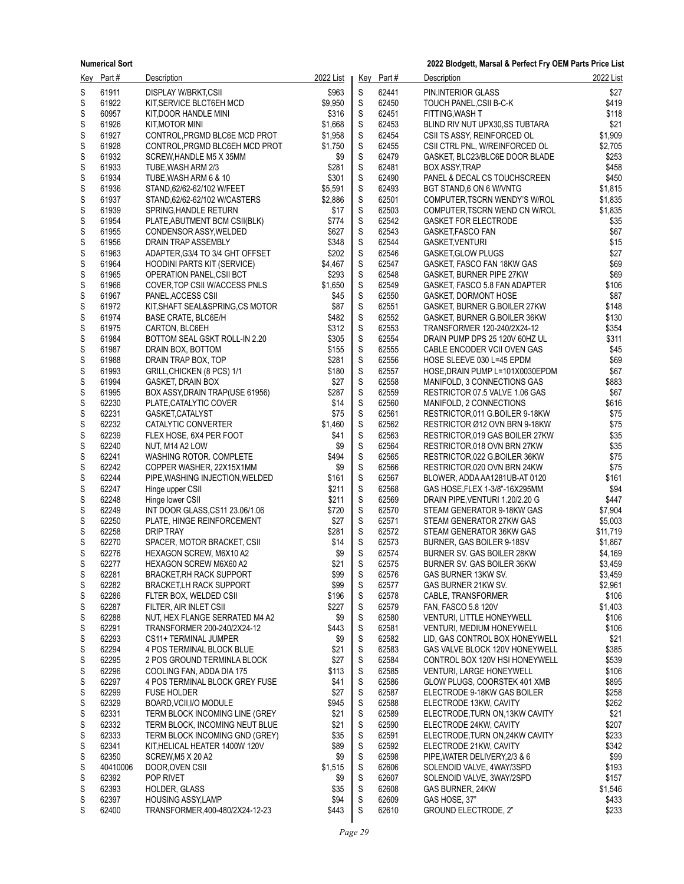| <u>Key</u> | Part #         | Description                                                     | 2022 List        |                  | Key Part#      | Description                                                     | 2022 List        |
|------------|----------------|-----------------------------------------------------------------|------------------|------------------|----------------|-----------------------------------------------------------------|------------------|
| S          | 61911          | DISPLAY W/BRKT,CSII                                             | \$963            | S                | 62441          | PIN.INTERIOR GLASS                                              | \$27             |
| S          | 61922          | KIT, SERVICE BLCT6EH MCD                                        | \$9,950          | $\mathbb S$      | 62450          | TOUCH PANEL, CSII B-C-K                                         | \$419            |
| S          | 60957          | KIT DOOR HANDLE MINI                                            | \$316            | $\mathbb S$      | 62451          | FITTING, WASH T                                                 | \$118            |
| S          | 61926          | KIT, MOTOR MINI                                                 | \$1,668          | $\mathbb S$      | 62453          | BLIND RIV NUT UPX30, SS TUBTARA                                 | \$21             |
| S          | 61927          | CONTROL, PRGMD BLC6E MCD PROT                                   | \$1,958          | S                | 62454          | CSII TS ASSY, REINFORCED OL                                     | \$1,909          |
| S<br>S     | 61928<br>61932 | CONTROL, PRGMD BLC6EH MCD PROT                                  | \$1,750<br>\$9   | S<br>$\mathsf S$ | 62455<br>62479 | CSII CTRL PNL, W/REINFORCED OL                                  | \$2,705<br>\$253 |
| S          | 61933          | SCREW, HANDLE M5 X 35MM<br>TUBE, WASH ARM 2/3                   | \$281            | S                | 62481          | GASKET, BLC23/BLC6E DOOR BLADE<br><b>BOX ASSY, TRAP</b>         | \$458            |
| S          | 61934          | TUBE, WASH ARM 6 & 10                                           | \$301            | S                | 62490          | PANEL & DECAL CS TOUCHSCREEN                                    | \$450            |
| S          | 61936          | STAND 62/62-62/102 W/FEET                                       | \$5,591          | S                | 62493          | BGT STAND,6 ON 6 W/VNTG                                         | \$1,815          |
| S          | 61937          | STAND, 62/62-62/102 W/CASTERS                                   | \$2,886          | S                | 62501          | COMPUTER, TSCRN WENDY'S W/ROL                                   | \$1,835          |
| S          | 61939          | SPRING HANDLE RETURN                                            | \$17             | $\mathsf S$      | 62503          | COMPUTER TSCRN WEND CN W/ROL                                    | \$1,835          |
| S          | 61954          | PLATE, ABUTMENT BCM CSII(BLK)                                   | \$774            | S                | 62542          | <b>GASKET FOR ELECTRODE</b>                                     | \$35             |
| S          | 61955          | CONDENSOR ASSY, WELDED                                          | \$627            | S                | 62543          | GASKET, FASCO FAN                                               | \$67             |
| S          | 61956          | DRAIN TRAP ASSEMBLY                                             | \$348            | S                | 62544          | GASKET, VENTURI                                                 | \$15             |
| S<br>S     | 61963<br>61964 | ADAPTER, G3/4 TO 3/4 GHT OFFSET                                 | \$202<br>\$4,467 | S<br>$\mathsf S$ | 62546<br>62547 | GASKET, GLOW PLUGS                                              | \$27<br>\$69     |
| S          | 61965          | <b>HOODINI PARTS KIT (SERVICE)</b><br>OPERATION PANEL, CSII BCT | \$293            | S                | 62548          | GASKET, FASCO FAN 18KW GAS<br>GASKET, BURNER PIPE 27KW          | \$69             |
| S          | 61966          | COVER, TOP CSII WACCESS PNLS                                    | \$1,650          | S                | 62549          | GASKET, FASCO 5.8 FAN ADAPTER                                   | \$106            |
| S          | 61967          | PANEL, ACCESS CSII                                              | \$45             | S                | 62550          | GASKET, DORMONT HOSE                                            | \$87             |
| S          | 61972          | KIT, SHAFT SEAL&SPRING, CS MOTOR                                | \$87             | S                | 62551          | GASKET, BURNER G.BOILER 27KW                                    | \$148            |
| S          | 61974          | <b>BASE CRATE, BLC6E/H</b>                                      | \$482            | $\mathbb S$      | 62552          | GASKET, BURNER G.BOILER 36KW                                    | \$130            |
| S          | 61975          | CARTON, BLC6EH                                                  | \$312            | S                | 62553          | TRANSFORMER 120-240/2X24-12                                     | \$354            |
| S          | 61984          | BOTTOM SEAL GSKT ROLL-IN 2.20                                   | \$305            | S                | 62554          | DRAIN PUMP DPS 25 120V 60HZ UL                                  | \$311            |
| S          | 61987          | DRAIN BOX, BOTTOM                                               | \$155            | S                | 62555          | CABLE ENCODER VCII OVEN GAS                                     | \$45             |
| S          | 61988          | DRAIN TRAP BOX, TOP                                             | \$281            | S<br>$\mathbb S$ | 62556<br>62557 | HOSE SLEEVE 030 L=45 EPDM                                       | \$69<br>\$67     |
| S<br>S     | 61993<br>61994 | GRILL, CHICKEN (8 PCS) 1/1<br><b>GASKET, DRAIN BOX</b>          | \$180<br>\$27    | S                | 62558          | HOSE, DRAIN PUMP L=101X0030EPDM<br>MANIFOLD, 3 CONNECTIONS GAS  | \$883            |
| S          | 61995          | BOX ASSY, DRAIN TRAP (USE 61956)                                | \$287            | S                | 62559          | RESTRICTOR 07.5 VALVE 1.06 GAS                                  | \$67             |
| S          | 62230          | PLATE, CATALYTIC COVER                                          | \$14             | S                | 62560          | MANIFOLD, 2 CONNECTIONS                                         | \$616            |
| S          | 62231          | GASKET, CATALYST                                                | \$75             | S                | 62561          | RESTRICTOR, 011 G.BOILER 9-18KW                                 | \$75             |
| S          | 62232          | CATALYTIC CONVERTER                                             | \$1,460          | $\mathsf S$      | 62562          | RESTRICTOR Ø12 OVN BRN 9-18KW                                   | \$75             |
| S          | 62239          | FLEX HOSE, 6X4 PER FOOT                                         | \$41             | S                | 62563          | RESTRICTOR, 019 GAS BOILER 27KW                                 | \$35             |
| S          | 62240          | NUT, M14 A2 LOW                                                 | \$9              | S                | 62564          | RESTRICTOR,018 OVN BRN 27KW                                     | \$35             |
| S          | 62241          | WASHING ROTOR. COMPLETE                                         | \$494            | S                | 62565          | RESTRICTOR, 022 G.BOILER 36KW                                   | \$75             |
| S          | 62242          | COPPER WASHER, 22X15X1MM                                        | \$9              | S<br>$\mathsf S$ | 62566          | RESTRICTOR,020 OVN BRN 24KW                                     | \$75<br>\$161    |
| S<br>S     | 62244<br>62247 | PIPE, WASHING INJECTION, WELDED<br>Hinge upper CSII             | \$161<br>\$211   | S                | 62567<br>62568 | BLOWER, ADDA AA1281UB-AT 0120<br>GAS HOSE, FLEX 1-3/8"-16X295MM | \$94             |
| S          | 62248          | Hinge lower CSII                                                | \$211            | S                | 62569          | DRAIN PIPE, VENTURI 1.20/2.20 G                                 | \$447            |
| S          | 62249          | INT DOOR GLASS, CS11 23.06/1.06                                 | \$720            | S                | 62570          | STEAM GENERATOR 9-18KW GAS                                      | \$7,904          |
| S          | 62250          | PLATE, HINGE REINFORCEMENT                                      | \$27             | S                | 62571          | STEAM GENERATOR 27KW GAS                                        | \$5,003          |
| S          | 62258          | DRIP TRAY                                                       | \$281            | $\mathbb S$      | 62572          | STEAM GENERATOR 36KW GAS                                        | \$11,719         |
| S          | 62270          | SPACER, MOTOR BRACKET, CSII                                     | \$14             | S                | 62573          | BURNER, GAS BOILER 9-18SV                                       | \$1,867          |
| S          | 62276          | HEXAGON SCREW, M6X10 A2                                         | \$9              | S                | 62574          | BURNER SV. GAS BOILER 28KW                                      | \$4,169          |
| S          | 62277          | <b>HEXAGON SCREW M6X60 A2</b>                                   | \$21             | S                | 62575          | BURNER SV. GAS BOILER 36KW                                      | \$3,459          |
| S          | 62281<br>62282 | BRACKET,RH RACK SUPPORT<br><b>BRACKET,LH RACK SUPPORT</b>       | \$99             | S<br>S           | 62576<br>62577 | GAS BURNER 13KW SV.                                             | \$3,459          |
| S<br>S     | 62286          | FLTER BOX, WELDED CSII                                          | \$99<br>\$196    | S                | 62578          | GAS BURNER 21KW SV.<br>CABLE, TRANSFORMER                       | \$2,961<br>\$106 |
| S          | 62287          | FILTER, AIR INLET CSII                                          | \$227            | S                | 62579          | FAN, FASCO 5.8 120V                                             | \$1,403          |
| S          | 62288          | NUT, HEX FLANGE SERRATED M4 A2                                  | \$9              | S                | 62580          | <b>VENTURI, LITTLE HONEYWELL</b>                                | \$106            |
| S          | 62291          | TRANSFORMER 200-240/2X24-12                                     | \$443            | S                | 62581          | VENTURI, MEDIUM HONEYWELL                                       | \$106            |
| S          | 62293          | CS11+ TERMINAL JUMPER                                           | \$9              | S                | 62582          | LID, GAS CONTROL BOX HONEYWELL                                  | \$21             |
| S          | 62294          | 4 POS TERMINAL BLOCK BLUE                                       | \$21             | S                | 62583          | GAS VALVE BLOCK 120V HONEYWELL                                  | \$385            |
| S          | 62295          | 2 POS GROUND TERMINLA BLOCK                                     | \$27             | S                | 62584          | CONTROL BOX 120V HSI HONEYWELL                                  | \$539            |
| S          | 62296          | COOLING FAN, ADDA DIA 175                                       | \$113            | S                | 62585          | <b>VENTURI, LARGE HONEYWELL</b>                                 | \$106            |
| S<br>S     | 62297<br>62299 | 4 POS TERMINAL BLOCK GREY FUSE                                  | \$41<br>\$27     | S<br>$\mathsf S$ | 62586<br>62587 | GLOW PLUGS, COORSTEK 401 XMB                                    | \$895<br>\$258   |
| S          | 62329          | <b>FUSE HOLDER</b><br>BOARD, VCII, I/O MODULE                   | \$945            | S                | 62588          | ELECTRODE 9-18KW GAS BOILER<br>ELECTRODE 13KW, CAVITY           | \$262            |
| S          | 62331          | TERM BLOCK INCOMING LINE (GREY                                  | \$21             | S                | 62589          | ELECTRODE, TURN ON, 13KW CAVITY                                 | \$21             |
| S          | 62332          | TERM BLOCK, INCOMING NEUT BLUE                                  | \$21             | S                | 62590          | ELECTRODE 24KW, CAVITY                                          | \$207            |
| S          | 62333          | TERM BLOCK INCOMING GND (GREY)                                  | \$35             | S                | 62591          | ELECTRODE, TURN ON, 24KW CAVITY                                 | \$233            |
| S          | 62341          | KIT, HELICAL HEATER 1400W 120V                                  | \$89             | S                | 62592          | ELECTRODE 21KW, CAVITY                                          | \$342            |
| S          | 62350          | SCREW, M5 X 20 A2                                               | \$9              | S                | 62598          | PIPE, WATER DELIVERY, 2/3 & 6                                   | \$99             |
| S          | 40410006       | DOOR, OVEN CSII                                                 | \$1,515          | S                | 62606          | SOLENOID VALVE, 4WAY/3SPD                                       | \$193            |
| S          | 62392          | POP RIVET                                                       | \$9              | S                | 62607          | SOLENOID VALVE, 3WAY/2SPD                                       | \$157            |
| S          | 62393          | HOLDER, GLASS                                                   | \$35<br>\$94     | S<br>S           | 62608          | GAS BURNER, 24KW                                                | \$1,546<br>\$433 |
| S<br>S     | 62397<br>62400 | HOUSING ASSY,LAMP<br>TRANSFORMER,400-480/2X24-12-23             | \$443            | S                | 62609<br>62610 | GAS HOSE, 37"<br><b>GROUND ELECTRODE, 2"</b>                    | \$233            |
|            |                |                                                                 |                  |                  |                |                                                                 |                  |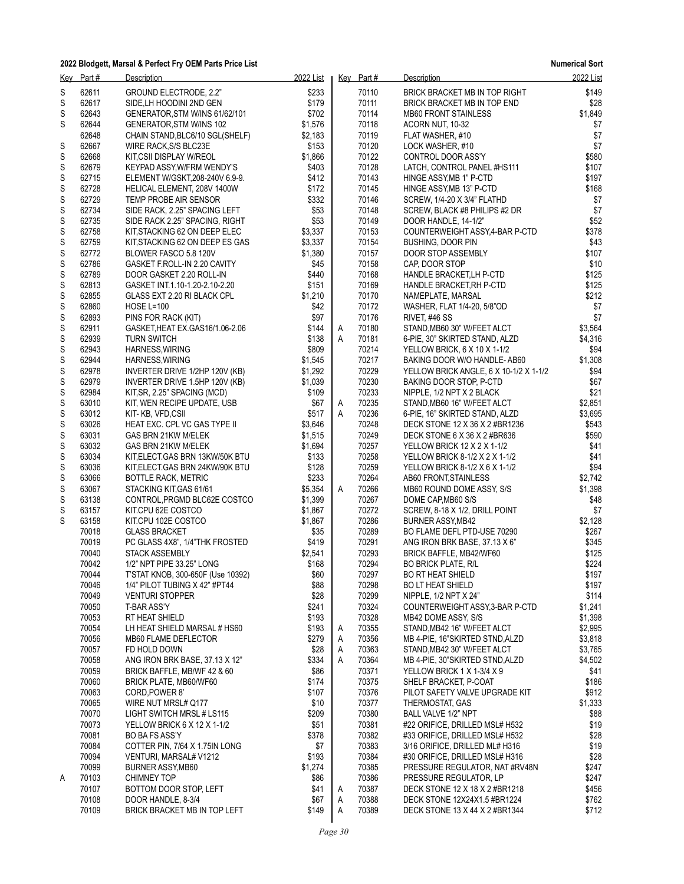**Numerical Sort**

|        | Key Part#      | <b>Description</b>                                                  | 2022 List      |   | Key Part#      | <b>Description</b>                                               | 2022 List        |
|--------|----------------|---------------------------------------------------------------------|----------------|---|----------------|------------------------------------------------------------------|------------------|
| S      | 62611          | GROUND ELECTRODE, 2.2"                                              | \$233          |   | 70110          | BRICK BRACKET MB IN TOP RIGHT                                    | \$149            |
| S      | 62617          | SIDE, LH HOODINI 2ND GEN                                            | \$179          |   | 70111          | BRICK BRACKET MB IN TOP END                                      | \$28             |
| S      | 62643          | GENERATOR, STM W/INS 61/62/101                                      | \$702          |   | 70114          | <b>MB60 FRONT STAINLESS</b>                                      | \$1,849          |
| S      | 62644          | GENERATOR, STM W/INS 102                                            | \$1,576        |   | 70118          | ACORN NUT, 10-32                                                 | \$7              |
|        | 62648          | CHAIN STAND, BLC6/10 SGL(SHELF)                                     | \$2.183        |   | 70119          | FLAT WASHER, #10                                                 | \$7              |
| S      | 62667          | WIRE RACK, S/S BLC23E                                               | \$153          |   | 70120          | LOCK WASHER, #10                                                 | \$7              |
| S      | 62668          | KIT, CSII DISPLAY W/REOL                                            | \$1,866        |   | 70122          | CONTROL DOOR ASS'Y                                               | \$580            |
| S<br>S | 62679<br>62715 | KEYPAD ASSY, W/FRM WENDY'S<br>ELEMENT W/GSKT, 208-240V 6.9-9.       | \$403<br>\$412 |   | 70128<br>70143 | LATCH, CONTROL PANEL #HS111<br>HINGE ASSY, MB 1" P-CTD           | \$107<br>\$197   |
| S      | 62728          | HELICAL ELEMENT, 208V 1400W                                         | \$172          |   | 70145          | HINGE ASSY, MB 13" P-CTD                                         | \$168            |
| S      | 62729          | TEMP PROBE AIR SENSOR                                               | \$332          |   | 70146          | SCREW, 1/4-20 X 3/4" FLATHD                                      | \$7              |
| S      | 62734          | SIDE RACK, 2.25" SPACING LEFT                                       | \$53           |   | 70148          | SCREW, BLACK #8 PHILIPS #2 DR                                    | \$7              |
| S      | 62735          | SIDE RACK 2.25" SPACING, RIGHT                                      | \$53           |   | 70149          | DOOR HANDLE, 14-1/2"                                             | \$52             |
| S      | 62758          | KIT, STACKING 62 ON DEEP ELEC                                       | \$3,337        |   | 70153          | COUNTERWEIGHT ASSY, 4-BAR P-CTD                                  | \$378            |
| S      | 62759          | KIT, STACKING 62 ON DEEP ES GAS                                     | \$3,337        |   | 70154          | <b>BUSHING, DOOR PIN</b>                                         | \$43             |
| S      | 62772          | BLOWER FASCO 5.8 120V                                               | \$1,380        |   | 70157          | DOOR STOP ASSEMBLY                                               | \$107            |
| S      | 62786          | GASKET F.ROLL-IN 2.20 CAVITY                                        | \$45           |   | 70158          | CAP, DOOR STOP                                                   | \$10             |
| S      | 62789          | DOOR GASKET 2.20 ROLL-IN                                            | \$440          |   | 70168          | HANDLE BRACKET, LH P-CTD                                         | \$125            |
| S      | 62813          | GASKET INT.1.10-1.20-2.10-2.20                                      | \$151          |   | 70169          | HANDLE BRACKET, RH P-CTD                                         | \$125            |
| S      | 62855          | GLASS EXT 2.20 RI BLACK CPL                                         | \$1,210        |   | 70170          | NAMEPLATE, MARSAL                                                | \$212            |
| S<br>S | 62860<br>62893 | <b>HOSE L=100</b>                                                   | \$42<br>\$97   |   | 70172<br>70176 | WASHER, FLAT 1/4-20, 5/8"OD                                      | \$7<br>\$7       |
| S      | 62911          | PINS FOR RACK (KIT)<br>GASKET, HEAT EX. GAS16/1.06-2.06             | \$144          | Α | 70180          | RIVET, #46 SS<br>STAND, MB60 30" W/FEET ALCT                     | \$3,564          |
| S      | 62939          | <b>TURN SWITCH</b>                                                  | \$138          | A | 70181          | 6-PIE, 30" SKIRTED STAND, ALZD                                   | \$4,316          |
| S      | 62943          | HARNESS, WIRING                                                     | \$809          |   | 70214          | YELLOW BRICK, 6 X 10 X 1-1/2                                     | \$94             |
| S      | 62944          | HARNESS, WIRING                                                     | \$1,545        |   | 70217          | BAKING DOOR W/O HANDLE-AB60                                      | \$1,308          |
| S      | 62978          | INVERTER DRIVE 1/2HP 120V (KB)                                      | \$1,292        |   | 70229          | YELLOW BRICK ANGLE, 6 X 10-1/2 X 1-1/2                           | \$94             |
| S      | 62979          | INVERTER DRIVE 1.5HP 120V (KB)                                      | \$1,039        |   | 70230          | BAKING DOOR STOP, P-CTD                                          | \$67             |
| S      | 62984          | KIT, SR, 2.25" SPACING (MCD)                                        | \$109          |   | 70233          | NIPPLE, 1/2 NPT X 2 BLACK                                        | \$21             |
| S      | 63010          | KIT, WEN RECIPE UPDATE, USB                                         | \$67           | A | 70235          | STAND, MB60 16" W/FEET ALCT                                      | \$2,851          |
| S      | 63012          | KIT-KB, VFD,CSII                                                    | \$517          | A | 70236          | 6-PIE, 16" SKIRTED STAND, ALZD                                   | \$3,695          |
| S      | 63026          | HEAT EXC. CPL VC GAS TYPE II                                        | \$3,646        |   | 70248          | DECK STONE 12 X 36 X 2 #BR1236                                   | \$543            |
| S      | 63031          | GAS BRN 21KW M/ELEK                                                 | \$1,515        |   | 70249          | DECK STONE 6 X 36 X 2 #BR636                                     | \$590            |
| S      | 63032          | GAS BRN 21KW M/ELEK                                                 | \$1,694        |   | 70257          | YELLOW BRICK 12 X 2 X 1-1/2                                      | \$41             |
| S<br>S | 63034<br>63036 | KIT, ELECT. GAS BRN 13KW/50K BTU<br>KIT, ELECT.GAS BRN 24KW/90K BTU | \$133<br>\$128 |   | 70258<br>70259 | YELLOW BRICK 8-1/2 X 2 X 1-1/2<br>YELLOW BRICK 8-1/2 X 6 X 1-1/2 | \$41<br>\$94     |
| S      | 63066          | <b>BOTTLE RACK, METRIC</b>                                          | \$233          |   | 70264          | AB60 FRONT, STAINLESS                                            | \$2,742          |
| S      | 63067          | STACKING KIT, GAS 61/61                                             | \$5,354        | A | 70266          | MB60 ROUND DOME ASSY, S/S                                        | \$1,398          |
| S      | 63138          | CONTROL, PRGMD BLC62E COSTCO                                        | \$1,399        |   | 70267          | DOME CAP, MB60 S/S                                               | \$48             |
| S      | 63157          | KIT.CPU 62E COSTCO                                                  | \$1,867        |   | 70272          | SCREW, 8-18 X 1/2, DRILL POINT                                   | \$7              |
| S      | 63158          | KIT.CPU 102E COSTCO                                                 | \$1,867        |   | 70286          | BURNER ASSY, MB42                                                | \$2,128          |
|        | 70018          | <b>GLASS BRACKET</b>                                                | \$35           |   | 70289          | BO FLAME DEFL PTD-USE 70290                                      | \$267            |
|        | 70019          | PC GLASS 4X8", 1/4"THK FROSTED                                      | \$419          |   | 70291          | ANG IRON BRK BASE, 37.13 X 6"                                    | \$345            |
|        | 70040          | <b>STACK ASSEMBLY</b>                                               | \$2,541        |   | 70293          | BRICK BAFFLE, MB42/WF60                                          | \$125            |
|        | 70042          | 1/2" NPT PIPE 33.25" LONG                                           | \$168          |   | 70294          | <b>BO BRICK PLATE, R/L</b>                                       | \$224            |
|        | 70044          | T'STAT KNOB, 300-650F (Use 10392)                                   | \$60           |   | 70297          | <b>BO RT HEAT SHIELD</b>                                         | \$197            |
|        | 70046          | 1/4" PILOT TUBING X 42" #PT44                                       | \$88           |   | 70298          | <b>BO LT HEAT SHIELD</b><br>NIPPLE. 1/2 NPT X 24"                | \$197            |
|        | 70049<br>70050 | <b>VENTURI STOPPER</b><br>T-BAR ASS'Y                               | \$28<br>\$241  |   | 70299<br>70324 | COUNTERWEIGHT ASSY, 3-BAR P-CTD                                  | \$114<br>\$1,241 |
|        | 70053          | RT HEAT SHIELD                                                      | \$193          |   | 70328          | MB42 DOME ASSY, S/S                                              | \$1,398          |
|        | 70054          | LH HEAT SHIELD MARSAL # HS60                                        | \$193          | Α | 70355          | STAND, MB42 16" W/FEET ALCT                                      | \$2.995          |
|        | 70056          | MB60 FLAME DEFLECTOR                                                | \$279          | Α | 70356          | MB 4-PIE, 16"SKIRTED STND, ALZD                                  | \$3,818          |
|        | 70057          | FD HOLD DOWN                                                        | \$28           | Α | 70363          | STAND, MB42 30" W/FEET ALCT                                      | \$3,765          |
|        | 70058          | ANG IRON BRK BASE, 37.13 X 12"                                      | \$334          | Α | 70364          | MB 4-PIE, 30"SKIRTED STND, ALZD                                  | \$4,502          |
|        | 70059          | BRICK BAFFLE, MB/WF 42 & 60                                         | \$86           |   | 70371          | YELLOW BRICK 1 X 1-3/4 X 9                                       | \$41             |
|        | 70060          | BRICK PLATE, MB60/WF60                                              | \$174          |   | 70375          | SHELF BRACKET. P-COAT                                            | \$186            |
|        | 70063          | CORD, POWER 8'                                                      | \$107          |   | 70376          | PILOT SAFETY VALVE UPGRADE KIT                                   | \$912            |
|        | 70065          | WIRE NUT MRSL# Q177                                                 | \$10           |   | 70377          | THERMOSTAT, GAS                                                  | \$1,333          |
|        | 70070<br>70073 | LIGHT SWITCH MRSL # LS115                                           | \$209          |   | 70380          | <b>BALL VALVE 1/2" NPT</b>                                       | \$88             |
|        |                | YELLOW BRICK 6 X 12 X 1-1/2                                         | \$51           |   | 70381          | #22 ORIFICE, DRILLED MSL# H532                                   | \$19             |
|        | 70081<br>70084 | <b>BO BA FS ASS'Y</b><br>COTTER PIN, 7/64 X 1.75IN LONG             | \$378<br>\$7   |   | 70382<br>70383 | #33 ORIFICE, DRILLED MSL# H532<br>3/16 ORIFICE, DRILLED ML# H316 | \$28<br>\$19     |
|        | 70094          | VENTURI, MARSAL# V1212                                              | \$193          |   | 70384          | #30 ORIFICE, DRILLED MSL# H316                                   | \$28             |
|        | 70099          | <b>BURNER ASSY MB60</b>                                             | \$1,274        |   | 70385          | PRESSURE REGULATOR, NAT #RV48N                                   | \$247            |
| Α      | 70103          | <b>CHIMNEY TOP</b>                                                  | \$86           |   | 70386          | PRESSURE REGULATOR, LP                                           | \$247            |
|        | 70107          | BOTTOM DOOR STOP, LEFT                                              | \$41           | Α | 70387          | DECK STONE 12 X 18 X 2 #BR1218                                   | \$456            |
|        | 70108          | DOOR HANDLE, 8-3/4                                                  | \$67           | Α | 70388          | DECK STONE 12X24X1.5 #BR1224                                     | \$762            |
|        | 70109          | BRICK BRACKET MB IN TOP LEFT                                        | \$149          | Α | 70389          | DECK STONE 13 X 44 X 2 #BR1344                                   | \$712            |
|        |                |                                                                     |                |   |                |                                                                  |                  |

*Page 30*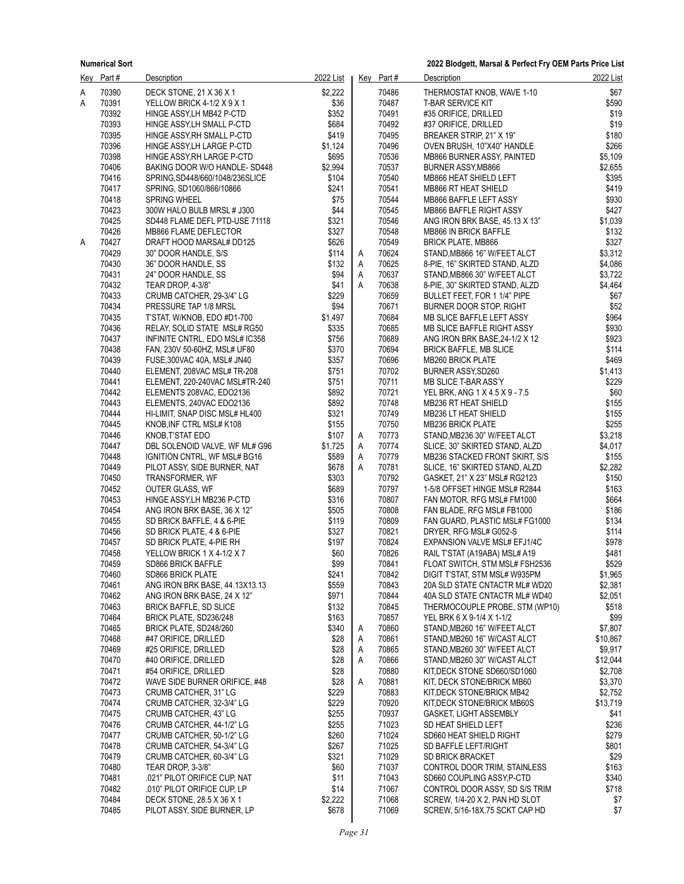**2022 Blodgett, Marsal & Perfect Fry OEM Parts Price List**

|   | Key Part#      | <b>Description</b>                                         | 2022 List      |   | Key Part#      | Description                                               | 2022 List      |
|---|----------------|------------------------------------------------------------|----------------|---|----------------|-----------------------------------------------------------|----------------|
| А | 70390          | DECK STONE, 21 X 36 X 1                                    | \$2,222        |   | 70486          | THERMOSTAT KNOB, WAVE 1-10                                | \$67           |
| А | 70391          | YELLOW BRICK 4-1/2 X 9 X 1                                 | \$36           |   | 70487          | <b>T-BAR SERVICE KIT</b>                                  | \$590          |
|   | 70392          | HINGE ASSY, LH MB42 P-CTD                                  | \$352          |   | 70491          | #35 ORIFICE, DRILLED                                      | \$19           |
|   | 70393          | HINGE ASSY, LH SMALL P-CTD                                 | \$684          |   | 70492          | #37 ORIFICE, DRILLED                                      | \$19           |
|   | 70395          | HINGE ASSY RH SMALL P-CTD                                  | \$419          |   | 70495          | BREAKER STRIP, 21" X 19"                                  | \$180          |
|   | 70396          | HINGE ASSY, LH LARGE P-CTD                                 | \$1,124        |   | 70496          | OVEN BRUSH, 10"X40" HANDLE                                | \$266          |
|   | 70398          | HINGE ASSY, RH LARGE P-CTD                                 | \$695          |   | 70536          | MB866 BURNER ASSY, PAINTED                                | \$5,109        |
|   | 70406          | BAKING DOOR W/O HANDLE- SD448                              | \$2,994        |   | 70537          | BURNER ASSY, MB866                                        | \$2,655        |
|   | 70416          | SPRING, SD448/660/1048/236SLICE                            | \$104          |   | 70540          | MB866 HEAT SHIELD LEFT                                    | \$395          |
|   | 70417          | SPRING, SD1060/866/10866                                   | \$241          |   | 70541          | MB866 RT HEAT SHIELD                                      | \$419          |
|   | 70418          | <b>SPRING WHEEL</b>                                        | \$75           |   | 70544          | MB866 BAFFLE LEFT ASSY                                    | \$930          |
|   | 70423          | 300W HALO BULB MRSL # J300                                 | \$44           |   | 70545          | MB866 BAFFLE RIGHT ASSY                                   | \$427          |
|   | 70425          | SD448 FLAME DEFL PTD-USE 71118                             | \$321          |   | 70546          | ANG IRON BRK BASE, 45.13 X 13"                            | \$1,039        |
|   | 70426          | MB866 FLAME DEFLECTOR                                      | \$327          |   | 70548          | MB866 IN BRICK BAFFLE                                     | \$132          |
| A | 70427          | DRAFT HOOD MARSAL# DD125                                   | \$626          |   | 70549          | <b>BRICK PLATE, MB866</b>                                 | \$327          |
|   | 70429          | 30" DOOR HANDLE, S/S                                       | \$114          | Α | 70624          | STAND, MB866 16" W/FEET ALCT                              | \$3,312        |
|   | 70430          | 36" DOOR HANDLE, SS                                        | \$132          | Α | 70625          | 8-PIE, 16" SKIRTED STAND, ALZD                            | \$4,086        |
|   | 70431          | 24" DOOR HANDLE, SS                                        | \$94           | Α | 70637          | STAND, MB866 30" W/FEET ALCT                              | \$3,722        |
|   | 70432          | TEAR DROP, 4-3/8"                                          | \$41           | Α | 70638          | 8-PIE, 30" SKIRTED STAND, ALZD                            | \$4,464        |
|   | 70433          | CRUMB CATCHER, 29-3/4" LG                                  | \$229          |   | 70659          | BULLET FEET, FOR 1 1/4" PIPE                              | \$67           |
|   | 70434          | PRESSURE TAP 1/8 MRSL                                      | \$94           |   | 70671          | BURNER DOOR STOP, RIGHT                                   | \$52           |
|   | 70435          | T'STAT, W/KNOB, EDO #D1-700                                | \$1,497        |   | 70684          | MB SLICE BAFFLE LEFT ASSY                                 | \$964          |
|   | 70436          | RELAY, SOLID STATE MSL# RG50                               | \$335          |   | 70685          | MB SLICE BAFFLE RIGHT ASSY                                | \$930          |
|   | 70437<br>70438 | INFINITE CNTRL, EDO MSL# IC358                             | \$756<br>\$370 |   | 70689<br>70694 | ANG IRON BRK BASE, 24-1/2 X 12                            | \$923<br>\$114 |
|   | 70439          | FAN, 230V 50-60HZ, MSL# UF80                               | \$357          |   | 70696          | <b>BRICK BAFFLE, MB SLICE</b><br><b>MB260 BRICK PLATE</b> | \$469          |
|   | 70440          | FUSE, 300VAC 40A, MSL# JN40<br>ELEMENT, 208VAC MSL# TR-208 | \$751          |   | 70702          | BURNER ASSY, SD260                                        | \$1,413        |
|   | 70441          | ELEMENT, 220-240VAC MSL#TR-240                             | \$751          |   | 70711          | MB SLICE T-BAR ASS'Y                                      | \$229          |
|   | 70442          | ELEMENTS 208VAC, EDO2136                                   | \$892          |   | 70721          | YEL BRK, ANG 1 X 4.5 X 9 - 7.5                            | \$60           |
|   | 70443          | ELEMENTS, 240VAC EDO2136                                   | \$892          |   | 70748          | MB236 RT HEAT SHIELD                                      | \$155          |
|   | 70444          | HI-LIMIT, SNAP DISC MSL# HL400                             | \$321          |   | 70749          | MB236 LT HEAT SHIELD                                      | \$155          |
|   | 70445          | KNOB, INF CTRL MSL# K108                                   | \$155          |   | 70750          | <b>MB236 BRICK PLATE</b>                                  | \$255          |
|   | 70446          | KNOB, T'STAT EDO                                           | \$107          | Α | 70773          | STAND, MB236 30" W/FEET ALCT                              | \$3,218        |
|   | 70447          | DBL SOLENOID VALVE, WF ML# G96                             | \$1,725        | Α | 70774          | SLICE, 30" SKIRTED STAND, ALZD                            | \$4,017        |
|   | 70448          | IGNITION CNTRL, WF MSL# BG16                               | \$589          | Α | 70779          | MB236 STACKED FRONT SKIRT, S/S                            | \$155          |
|   | 70449          | PILOT ASSY, SIDE BURNER, NAT                               | \$678          | A | 70781          | SLICE, 16" SKIRTED STAND, ALZD                            | \$2,282        |
|   | 70450          | TRANSFORMER, WF                                            | \$303          |   | 70792          | GASKET, 21" X 23" MSL# RG2123                             | \$150          |
|   | 70452          | <b>OUTER GLASS, WF</b>                                     | \$689          |   | 70797          | 1-5/8 OFFSET HINGE MSL# R2844                             | \$163          |
|   | 70453          | HINGE ASSY, LH MB236 P-CTD                                 | \$316          |   | 70807          | FAN MOTOR, RFG MSL# FM1000                                | \$664          |
|   | 70454          | ANG IRON BRK BASE, 36 X 12"                                | \$505          |   | 70808          | FAN BLADE, RFG MSL# FB1000                                | \$186          |
|   | 70455          | SD BRICK BAFFLE, 4 & 6-PIE                                 | \$119          |   | 70809          | FAN GUARD, PLASTIC MSL# FG1000                            | \$134          |
|   | 70456<br>70457 | SD BRICK PLATE, 4 & 6-PIE<br>SD BRICK PLATE, 4-PIE RH      | \$327<br>\$197 |   | 70821<br>70824 | DRYER, RFG MSL# G052-S<br>EXPANSION VALVE MSL# EFJ1/4C    | \$114<br>\$978 |
|   | 70458          | YELLOW BRICK 1 X 4-1/2 X 7                                 | \$60           |   | 70826          | RAIL T'STAT (A19ABA) MSL# A19                             | \$481          |
|   | 70459          | <b>SD866 BRICK BAFFLE</b>                                  | \$99           |   | 70841          | FLOAT SWITCH, STM MSL# FSH2536                            | \$529          |
|   | 70460          | SD866 BRICK PLATE                                          | \$241          |   | 70842          | DIGIT T'STAT, STM MSL# W935PM                             | \$1,965        |
|   | 70461          | ANG IRON BRK BASE, 44.13X13.13                             | \$559          |   | 70843          | 20A SLD STATE CNTACTR ML# WD20                            | \$2,381        |
|   | 70462          | ANG IRON BRK BASE, 24 X 12"                                | \$971          |   | 70844          | 40A SLD STATE CNTACTR ML# WD40                            | \$2,051        |
|   | 70463          | <b>BRICK BAFFLE, SD SLICE</b>                              | \$132          |   | 70845          | THERMOCOUPLE PROBE, STM (WP10)                            | \$518          |
|   | 70464          | BRICK PLATE, SD236/248                                     | \$163          |   | 70857          | YEL BRK 6 X 9-1/4 X 1-1/2                                 | \$99           |
|   | 70465          | BRICK PLATE, SD248/260                                     | \$340          | Α | 70860          | STAND, MB260 16" W/FEET ALCT                              | \$7,807        |
|   | 70468          | #47 ORIFICE, DRILLED                                       | \$28           | Α | 70861          | STAND, MB260 16" W/CAST ALCT                              | \$10,867       |
|   | 70469          | #25 ORIFICE, DRILLED                                       | \$28           | Α | 70865          | STAND, MB260 30" W/FEET ALCT                              | \$9,917        |
|   | 70470          | #40 ORIFICE, DRILLED                                       | \$28           | Α | 70866          | STAND, MB260 30" W/CAST ALCT                              | \$12,044       |
|   | 70471          | #54 ORIFICE, DRILLED                                       | \$28           |   | 70880          | KIT, DECK STONE SD660/SD1060                              | \$2,708        |
|   | 70472          | WAVE SIDE BURNER ORIFICE, #48                              | \$28           | Α | 70881          | KIT, DECK STONE/BRICK MB60                                | \$3,370        |
|   | 70473          | CRUMB CATCHER, 31" LG                                      | \$229          |   | 70883          | KIT, DECK STONE/BRICK MB42                                | \$2,752        |
|   | 70474          | CRUMB CATCHER, 32-3/4" LG                                  | \$229          |   | 70920          | KIT, DECK STONE/BRICK MB60S                               | \$13,719       |
|   | 70475          | CRUMB CATCHER, 43" LG                                      | \$255          |   | 70937          | GASKET, LIGHT ASSEMBLY                                    | \$41           |
|   | 70476          | CRUMB CATCHER, 44-1/2" LG                                  | \$255          |   | 71023          | SD HEAT SHIELD LEFT                                       | \$236          |
|   | 70477<br>70478 | CRUMB CATCHER, 50-1/2" LG                                  | \$260<br>\$267 |   | 71024<br>71025 | SD660 HEAT SHIELD RIGHT                                   | \$279<br>\$801 |
|   | 70479          | CRUMB CATCHER, 54-3/4" LG<br>CRUMB CATCHER, 60-3/4" LG     | \$321          |   | 71029          | SD BAFFLE LEFT/RIGHT                                      | \$29           |
|   | 70480          | TEAR DROP, 3-3/8"                                          | \$60           |   | 71037          | <b>SD BRICK BRACKET</b><br>CONTROL DOOR TRIM, STAINLESS   | \$163          |
|   | 70481          | .021" PILOT ORIFICE CUP, NAT                               | \$11           |   | 71043          | SD660 COUPLING ASSY, P-CTD                                | \$340          |
|   | 70482          | .010" PILOT ORIFICE CUP, LP                                | \$14           |   | 71067          | CONTROL DOOR ASSY, SD S/S TRIM                            | \$718          |
|   | 70484          | DECK STONE, 28.5 X 36 X 1                                  | \$2,222        |   | 71068          | SCREW, 1/4-20 X 2, PAN HD SLOT                            | \$7            |
|   | 70485          | PILOT ASSY, SIDE BURNER, LP                                | \$678          |   | 71069          | SCREW, 5/16-18X.75 SCKT CAP HD                            | \$7            |
|   |                |                                                            |                |   |                |                                                           |                |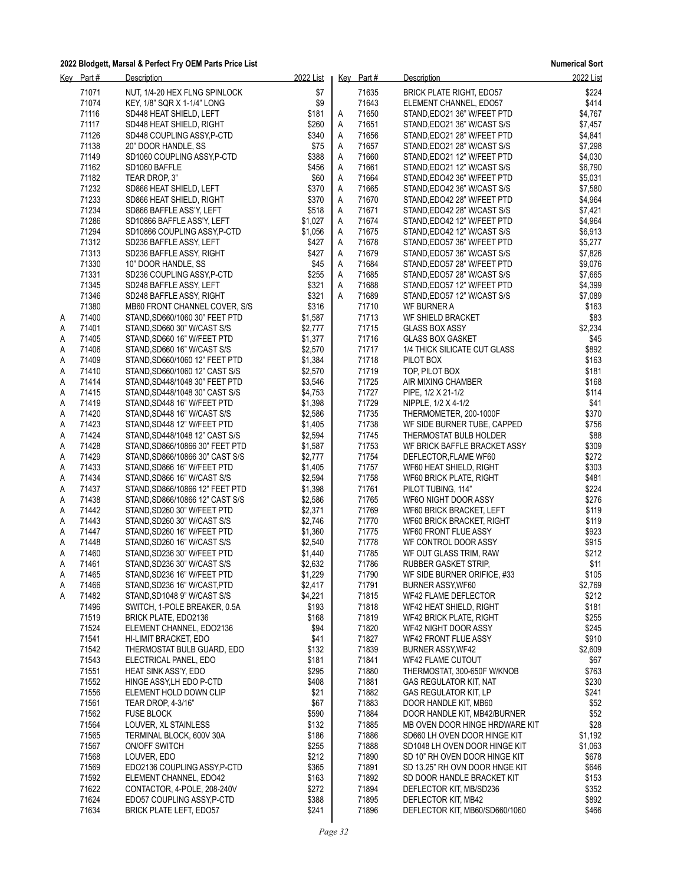|        | Key Part#      | Description                                                | 2022 List          |        | Key Part#      | Description                                                  | 2022 List          |
|--------|----------------|------------------------------------------------------------|--------------------|--------|----------------|--------------------------------------------------------------|--------------------|
|        | 71071          | NUT, 1/4-20 HEX FLNG SPINLOCK                              | \$7                |        | 71635          | BRICK PLATE RIGHT, EDO57                                     | \$224              |
|        | 71074          | KEY, 1/8" SQR X 1-1/4" LONG                                | \$9                |        | 71643          | ELEMENT CHANNEL, EDO57                                       | \$414              |
|        | 71116          | SD448 HEAT SHIELD, LEFT                                    | \$181              | А      | 71650          | STAND, EDO21 36" W/FEET PTD                                  | \$4,767            |
|        | 71117          | SD448 HEAT SHIELD, RIGHT                                   | \$260              | А      | 71651          | STAND, EDO21 36" W/CAST S/S                                  | \$7,457            |
|        | 71126          | SD448 COUPLING ASSY, P-CTD                                 | \$340              | Α      | 71656          | STAND, EDO21 28" W/FEET PTD                                  | \$4,841            |
|        | 71138          | 20" DOOR HANDLE, SS                                        | \$75               | Α      | 71657          | STAND, EDO21 28" W/CAST S/S                                  | \$7,298            |
|        | 71149<br>71162 | SD1060 COUPLING ASSY, P-CTD<br>SD1060 BAFFLE               | \$388<br>\$456     | Α<br>Α | 71660<br>71661 | STAND, EDO21 12" W/FEET PTD<br>STAND, EDO21 12" W/CAST S/S   | \$4,030<br>\$6,790 |
|        | 71182          | TEAR DROP, 3"                                              | \$60               | Α      | 71664          | STAND, EDO42 36" W/FEET PTD                                  | \$5,031            |
|        | 71232          | SD866 HEAT SHIELD, LEFT                                    | \$370              | Α      | 71665          | STAND, EDO42 36" W/CAST S/S                                  | \$7,580            |
|        | 71233          | SD866 HEAT SHIELD, RIGHT                                   | \$370              | А      | 71670          | STAND, EDO42 28" W/FEET PTD                                  | \$4,964            |
|        | 71234          | SD866 BAFFLE ASS'Y, LEFT                                   | \$518              | Α      | 71671          | STAND, EDO42 28" W/CAST S/S                                  | \$7,421            |
|        | 71286          | SD10866 BAFFLE ASS'Y, LEFT                                 | \$1,027            | Α      | 71674          | STAND, EDO42 12" W/FEET PTD                                  | \$4,964            |
|        | 71294          | SD10866 COUPLING ASSY, P-CTD                               | \$1,056            | A      | 71675          | STAND, EDO42 12" W/CAST S/S                                  | \$6,913            |
|        | 71312          | SD236 BAFFLE ASSY, LEFT                                    | \$427              | Α      | 71678          | STAND, EDO57 36" W/FEET PTD                                  | \$5,277            |
|        | 71313          | SD236 BAFFLE ASSY, RIGHT                                   | \$427              | Α      | 71679          | STAND, EDO57 36" W/CAST S/S                                  | \$7,826            |
|        | 71330          | 10" DOOR HANDLE, SS                                        | \$45               | A      | 71684          | STAND, EDO57 28" W/FEET PTD                                  | \$9,076            |
|        | 71331          | SD236 COUPLING ASSY P-CTD                                  | \$255<br>\$321     | Α      | 71685          | STAND, EDO57 28" W/CAST S/S                                  | \$7,665            |
|        | 71345<br>71346 | SD248 BAFFLE ASSY, LEFT<br>SD248 BAFFLE ASSY, RIGHT        | \$321              | A<br>A | 71688<br>71689 | STAND, EDO57 12" W/FEET PTD<br>STAND, EDO57 12" W/CAST S/S   | \$4,399<br>\$7,089 |
|        | 71380          | MB60 FRONT CHANNEL COVER, S/S                              | \$316              |        | 71710          | WF BURNER A                                                  | \$163              |
| Α      | 71400          | STAND, SD660/1060 30" FEET PTD                             | \$1,587            |        | 71713          | WF SHIELD BRACKET                                            | \$83               |
| Α      | 71401          | STAND, SD660 30" W/CAST S/S                                | \$2,777            |        | 71715          | <b>GLASS BOX ASSY</b>                                        | \$2,234            |
| Α      | 71405          | STAND, SD660 16" W/FEET PTD                                | \$1,377            |        | 71716          | <b>GLASS BOX GASKET</b>                                      | \$45               |
| Α      | 71406          | STAND, SD660 16" W/CAST S/S                                | \$2,570            |        | 71717          | 1/4 THICK SILICATE CUT GLASS                                 | \$892              |
| Α      | 71409          | STAND, SD660/1060 12" FEET PTD                             | \$1,384            |        | 71718          | PILOT BOX                                                    | \$163              |
| Α      | 71410          | STAND SD660/1060 12" CAST S/S                              | \$2,570            |        | 71719          | TOP, PILOT BOX                                               | \$181              |
| Α      | 71414          | STAND, SD448/1048 30" FEET PTD                             | \$3,546            |        | 71725          | AIR MIXING CHAMBER                                           | \$168              |
| Α      | 71415          | STAND, SD448/1048 30" CAST S/S                             | \$4,753            |        | 71727          | PIPE, 1/2 X 21-1/2                                           | \$114              |
| Α      | 71419<br>71420 | STAND, SD448 16" W/FEET PTD                                | \$1,398<br>\$2,586 |        | 71729<br>71735 | NIPPLE, 1/2 X 4-1/2                                          | \$41<br>\$370      |
| Α<br>Α | 71423          | STAND, SD448 16" W/CAST S/S<br>STAND, SD448 12" W/FEET PTD | \$1,405            |        | 71738          | THERMOMETER, 200-1000F<br>WF SIDE BURNER TUBE, CAPPED        | \$756              |
| Α      | 71424          | STAND, SD448/1048 12" CAST S/S                             | \$2,594            |        | 71745          | THERMOSTAT BULB HOLDER                                       | \$88               |
| Α      | 71428          | STAND, SD866/10866 30" FEET PTD                            | \$1,587            |        | 71753          | WF BRICK BAFFLE BRACKET ASSY                                 | \$309              |
| Α      | 71429          | STAND, SD866/10866 30" CAST S/S                            | \$2,777            |        | 71754          | DEFLECTOR, FLAME WF60                                        | \$272              |
| Α      | 71433          | STAND, SD866 16" W/FEET PTD                                | \$1,405            |        | 71757          | WF60 HEAT SHIELD, RIGHT                                      | \$303              |
| Α      | 71434          | STAND, SD866 16" W/CAST S/S                                | \$2,594            |        | 71758          | WF60 BRICK PLATE, RIGHT                                      | \$481              |
| Α      | 71437          | STAND, SD866/10866 12" FEET PTD                            | \$1,398            |        | 71761          | PILOT TUBING, 114"                                           | \$224              |
| Α      | 71438          | STAND, SD866/10866 12" CAST S/S                            | \$2,586            |        | 71765          | WF6O NIGHT DOOR ASSY                                         | \$276              |
| Α      | 71442          | STAND, SD260 30" W/FEET PTD                                | \$2,371            |        | 71769          | WF60 BRICK BRACKET, LEFT                                     | \$119              |
| Α      | 71443          | STAND, SD260 30" W/CAST S/S                                | \$2,746            |        | 71770          | WF60 BRICK BRACKET, RIGHT                                    | \$119              |
| Α<br>Α | 71447<br>71448 | STAND, SD260 16" W/FEET PTD<br>STAND, SD260 16" W/CAST S/S | \$1,360<br>\$2,540 |        | 71775<br>71778 | WF60 FRONT FLUE ASSY<br>WF CONTROL DOOR ASSY                 | \$923<br>\$915     |
| Α      | 71460          | STAND, SD236 30" W/FEET PTD                                | \$1,440            |        | 71785          | WF OUT GLASS TRIM, RAW                                       | \$212              |
| Α      | 71461          | STAND, SD236 30" W/CAST S/S                                | \$2,632            |        | 71786          | RUBBER GASKET STRIP,                                         | \$11               |
| Α      | 71465          | STAND,SD236 16" W/FEET PTD                                 | \$1,229            |        | 71790          | WF SIDE BURNER ORIFICE, #33                                  | \$105              |
| Α      | 71466          | STAND, SD236 16" W/CAST, PTD                               | \$2,417            |        | 71791          | BURNER ASSY, WF60                                            | \$2,769            |
| Α      | 71482          | STAND SD1048 9" W/CAST S/S                                 | \$4,221            |        | 71815          | WF42 FLAME DEFLECTOR                                         | \$212              |
|        | 71496          | SWITCH, 1-POLE BREAKER, 0.5A                               | \$193              |        | 71818          | WF42 HEAT SHIELD, RIGHT                                      | \$181              |
|        | 71519          | <b>BRICK PLATE, EDO2136</b>                                | \$168              |        | 71819          | WF42 BRICK PLATE, RIGHT                                      | \$255              |
|        | 71524          | ELEMENT CHANNEL, EDO2136                                   | \$94               |        | 71820          | WF42 NIGHT DOOR ASSY                                         | \$245              |
|        | 71541          | HI-LIMIT BRACKET, EDO                                      | \$41               |        | 71827          | WF42 FRONT FLUE ASSY                                         | \$910              |
|        | 71542<br>71543 | THERMOSTAT BULB GUARD, EDO<br>ELECTRICAL PANEL, EDO        | \$132<br>\$181     |        | 71839<br>71841 | <b>BURNER ASSY, WF42</b><br>WF42 FLAME CUTOUT                | \$2,609<br>\$67    |
|        | 71551          | HEAT SINK ASS'Y, EDO                                       | \$295              |        | 71880          | THERMOSTAT, 300-650F W/KNOB                                  | \$763              |
|        | 71552          | HINGE ASSYLH EDO P-CTD                                     | \$408              |        | 71881          | <b>GAS REGULATOR KIT, NAT</b>                                | \$230              |
|        | 71556          | ELEMENT HOLD DOWN CLIP                                     | \$21               |        | 71882          | <b>GAS REGULATOR KIT, LP</b>                                 | \$241              |
|        | 71561          | TEAR DROP, 4-3/16"                                         | \$67               |        | 71883          | DOOR HANDLE KIT, MB60                                        | \$52               |
|        | 71562          | <b>FUSE BLOCK</b>                                          | \$590              |        | 71884          | DOOR HANDLE KIT, MB42/BURNER                                 | \$52               |
|        | 71564          | LOUVER, XL STAINLESS                                       | \$132              |        | 71885          | MB OVEN DOOR HINGE HRDWARE KIT                               | \$28               |
|        | 71565          | TERMINAL BLOCK, 600V 30A                                   | \$186              |        | 71886          | SD660 LH OVEN DOOR HINGE KIT                                 | \$1,192            |
|        | 71567          | ON/OFF SWITCH                                              | \$255              |        | 71888          | SD1048 LH OVEN DOOR HINGE KIT                                | \$1,063            |
|        | 71568          | LOUVER, EDO                                                | \$212              |        | 71890          | SD 10" RH OVEN DOOR HINGE KIT                                | \$678              |
|        | 71569<br>71592 | EDO2136 COUPLING ASSY, P-CTD<br>ELEMENT CHANNEL, EDO42     | \$365<br>\$163     |        | 71891<br>71892 | SD 13.25" RH OVN DOOR HNGE KIT<br>SD DOOR HANDLE BRACKET KIT | \$646<br>\$153     |
|        | 71622          | CONTACTOR, 4-POLE, 208-240V                                | \$272              |        | 71894          | DEFLECTOR KIT, MB/SD236                                      | \$352              |
|        | 71624          | EDO57 COUPLING ASSY, P-CTD                                 | \$388              |        | 71895          | DEFLECTOR KIT, MB42                                          | \$892              |
|        | 71634          | <b>BRICK PLATE LEFT, EDO57</b>                             | \$241              |        | 71896          | DEFLECTOR KIT, MB60/SD660/1060                               | \$466              |
|        |                |                                                            |                    |        |                |                                                              |                    |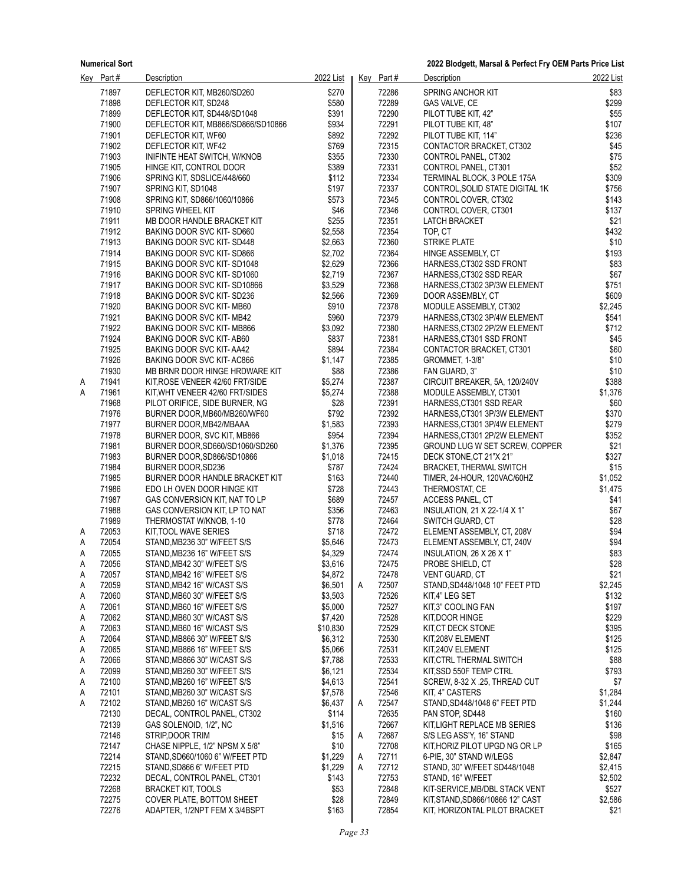**2022 Blodgett, Marsal & Perfect Fry OEM Parts Price List**

| <u>Key</u> | Part # | <b>Description</b>                 | 2022 List |   | Key Part# | <b>Description</b>               | 2022 List |
|------------|--------|------------------------------------|-----------|---|-----------|----------------------------------|-----------|
|            | 71897  | DEFLECTOR KIT, MB260/SD260         | \$270     |   | 72286     | SPRING ANCHOR KIT                | \$83      |
|            | 71898  | DEFLECTOR KIT, SD248               | \$580     |   | 72289     | GAS VALVE, CE                    | \$299     |
|            | 71899  | DEFLECTOR KIT, SD448/SD1048        | \$391     |   | 72290     | PILOT TUBE KIT, 42"              | \$55      |
|            | 71900  | DEFLECTOR KIT, MB866/SD866/SD10866 | \$934     |   | 72291     | PILOT TUBE KIT, 48"              | \$107     |
|            | 71901  | DEFLECTOR KIT, WF60                | \$892     |   | 72292     | PILOT TUBE KIT, 114"             | \$236     |
|            |        |                                    |           |   |           |                                  |           |
|            | 71902  | DEFLECTOR KIT, WF42                | \$769     |   | 72315     | CONTACTOR BRACKET, CT302         | \$45      |
|            | 71903  | INIFINTE HEAT SWITCH, W/KNOB       | \$355     |   | 72330     | CONTROL PANEL, CT302             | \$75      |
|            | 71905  | HINGE KIT, CONTROL DOOR            | \$389     |   | 72331     | CONTROL PANEL, CT301             | \$52      |
|            | 71906  | SPRING KIT, SDSLICE/448/660        | \$112     |   | 72334     | TERMINAL BLOCK, 3 POLE 175A      | \$309     |
|            | 71907  | SPRING KIT, SD1048                 | \$197     |   | 72337     | CONTROL, SOLID STATE DIGITAL 1K  | \$756     |
|            | 71908  | SPRING KIT, SD866/1060/10866       | \$573     |   | 72345     | CONTROL COVER, CT302             | \$143     |
|            | 71910  | <b>SPRING WHEEL KIT</b>            | \$46      |   | 72346     | CONTROL COVER, CT301             | \$137     |
|            | 71911  | MB DOOR HANDLE BRACKET KIT         | \$255     |   | 72351     | <b>LATCH BRACKET</b>             | \$21      |
|            | 71912  | BAKING DOOR SVC KIT-SD660          | \$2,558   |   | 72354     | TOP, CT                          | \$432     |
|            | 71913  | BAKING DOOR SVC KIT-SD448          | \$2,663   |   | 72360     | STRIKE PLATE                     | \$10      |
|            | 71914  | BAKING DOOR SVC KIT-SD866          | \$2,702   |   | 72364     | HINGE ASSEMBLY, CT               | \$193     |
|            | 71915  | BAKING DOOR SVC KIT-SD1048         | \$2,629   |   | 72366     | HARNESS, CT302 SSD FRONT         | \$83      |
|            | 71916  | BAKING DOOR SVC KIT-SD1060         | \$2,719   |   | 72367     | HARNESS, CT302 SSD REAR          | \$67      |
|            | 71917  | BAKING DOOR SVC KIT-SD10866        | \$3,529   |   | 72368     | HARNESS, CT302 3P/3W ELEMENT     | \$751     |
|            | 71918  |                                    |           |   | 72369     |                                  | \$609     |
|            |        | BAKING DOOR SVC KIT-SD236          | \$2,566   |   |           | DOOR ASSEMBLY, CT                |           |
|            | 71920  | BAKING DOOR SVC KIT-MB60           | \$910     |   | 72378     | MODULE ASSEMBLY, CT302           | \$2,245   |
|            | 71921  | BAKING DOOR SVC KIT-MB42           | \$960     |   | 72379     | HARNESS, CT302 3P/4W ELEMENT     | \$541     |
|            | 71922  | BAKING DOOR SVC KIT-MB866          | \$3,092   |   | 72380     | HARNESS, CT302 2P/2W ELEMENT     | \$712     |
|            | 71924  | BAKING DOOR SVC KIT-AB60           | \$837     |   | 72381     | HARNESS.CT301 SSD FRONT          | \$45      |
|            | 71925  | BAKING DOOR SVC KIT-AA42           | \$894     |   | 72384     | CONTACTOR BRACKET, CT301         | \$60      |
|            | 71926  | BAKING DOOR SVC KIT-AC866          | \$1,147   |   | 72385     | GROMMET, 1-3/8"                  | \$10      |
|            | 71930  | MB BRNR DOOR HINGE HRDWARE KIT     | \$88      |   | 72386     | FAN GUARD, 3"                    | \$10      |
| A          | 71941  | KIT, ROSE VENEER 42/60 FRT/SIDE    | \$5,274   |   | 72387     | CIRCUIT BREAKER, 5A, 120/240V    | \$388     |
| Α          | 71961  | KIT, WHT VENEER 42/60 FRT/SIDES    | \$5,274   |   | 72388     | MODULE ASSEMBLY, CT301           | \$1,376   |
|            | 71968  | PILOT ORIFICE, SIDE BURNER, NG     | \$28      |   | 72391     | HARNESS, CT301 SSD REAR          | \$60      |
|            | 71976  | BURNER DOOR, MB60/MB260/WF60       | \$792     |   | 72392     | HARNESS, CT301 3P/3W ELEMENT     | \$370     |
|            | 71977  | BURNER DOOR, MB42/MBAAA            | \$1,583   |   | 72393     | HARNESS, CT301 3P/4W ELEMENT     | \$279     |
|            | 71978  | BURNER DOOR, SVC KIT, MB866        | \$954     |   | 72394     | HARNESS, CT301 2P/2W ELEMENT     | \$352     |
|            | 71981  | BURNER DOOR, SD660/SD1060/SD260    | \$1,376   |   | 72395     | GROUND LUG W SET SCREW, COPPER   | \$21      |
|            | 71983  | BURNER DOOR, SD866/SD10866         | \$1,018   |   | 72415     | DECK STONE, CT 21"X 21"          | \$327     |
|            | 71984  |                                    |           |   | 72424     |                                  | \$15      |
|            |        | BURNER DOOR, SD236                 | \$787     |   |           | BRACKET, THERMAL SWITCH          |           |
|            | 71985  | BURNER DOOR HANDLE BRACKET KIT     | \$163     |   | 72440     | TIMER, 24-HOUR, 120VAC/60HZ      | \$1,052   |
|            | 71986  | EDO LH OVEN DOOR HINGE KIT         | \$728     |   | 72443     | THERMOSTAT, CE                   | \$1,475   |
|            | 71987  | GAS CONVERSION KIT, NAT TO LP      | \$689     |   | 72457     | ACCESS PANEL, CT                 | \$41      |
|            | 71988  | GAS CONVERSION KIT, LP TO NAT      | \$356     |   | 72463     | INSULATION, 21 X 22-1/4 X 1"     | \$67      |
|            | 71989  | THERMOSTAT W/KNOB, 1-10            | \$778     |   | 72464     | SWITCH GUARD, CT                 | \$28      |
| A          | 72053  | KIT, TOOL WAVE SERIES              | \$718     |   | 72472     | ELEMENT ASSEMBLY, CT, 208V       | \$94      |
| Α          | 72054  | STAND, MB236 30" W/FEET S/S        | \$5,646   |   | 72473     | ELEMENT ASSEMBLY, CT, 240V       | \$94      |
| Α          | 72055  | STAND, MB236 16" W/FEET S/S        | \$4,329   |   | 72474     | INSULATION, 26 X 26 X 1"         | \$83      |
| Α          | 72056  | STAND, MB42 30" W/FEET S/S         | \$3,616   |   | 72475     | PROBE SHIELD, CT                 | \$28      |
| A          | 72057  | STAND, MB42 16" W/FEET S/S         | \$4,872   |   | 72478     | VENT GUARD, CT                   | \$21      |
| A          | 72059  | STAND, MB42 16" W/CAST S/S         | \$6,501   | Α | 72507     | STAND SD448/1048 10" FEET PTD    | \$2,245   |
| A          | 72060  | STAND, MB60 30" W/FEET S/S         | \$3,503   |   | 72526     | KIT,4" LEG SET                   | \$132     |
| A          | 72061  | STAND, MB60 16" W/FEET S/S         | \$5,000   |   | 72527     | KIT,3" COOLING FAN               | \$197     |
| A          | 72062  | STAND, MB60 30" W/CAST S/S         | \$7,420   |   | 72528     | KIT, DOOR HINGE                  | \$229     |
| Α          | 72063  | STAND, MB60 16" W/CAST S/S         | \$10,830  |   | 72529     | KIT, CT DECK STONE               | \$395     |
|            | 72064  |                                    |           |   |           |                                  |           |
| A          |        | STAND, MB866 30" W/FEET S/S        | \$6,312   |   | 72530     | KIT,208V ELEMENT                 | \$125     |
| A          | 72065  | STAND, MB866 16" W/FEET S/S        | \$5,066   |   | 72531     | KIT,240V ELEMENT                 | \$125     |
| A          | 72066  | STAND, MB866 30" W/CAST S/S        | \$7,788   |   | 72533     | KIT, CTRL THERMAL SWITCH         | \$88      |
| A          | 72099  | STAND, MB260 30" W/FEET S/S        | \$6,121   |   | 72534     | KIT, SSD 550F TEMP CTRL          | \$793     |
| Α          | 72100  | STAND, MB260 16" W/FEET S/S        | \$4,613   |   | 72541     | SCREW, 8-32 X .25, THREAD CUT    | \$7       |
| A          | 72101  | STAND, MB260 30" W/CAST S/S        | \$7,578   |   | 72546     | KIT, 4" CASTERS                  | \$1,284   |
| A          | 72102  | STAND, MB260 16" W/CAST S/S        | \$6,437   | Α | 72547     | STAND, SD448/1048 6" FEET PTD    | \$1,244   |
|            | 72130  | DECAL, CONTROL PANEL, CT302        | \$114     |   | 72635     | PAN STOP, SD448                  | \$160     |
|            | 72139  | GAS SOLENOID, 1/2", NC             | \$1,516   |   | 72667     | KIT, LIGHT REPLACE MB SERIES     | \$136     |
|            | 72146  | STRIP, DOOR TRIM                   | \$15      | Α | 72687     | S/S LEG ASS'Y, 16" STAND         | \$98      |
|            | 72147  | CHASE NIPPLE, 1/2" NPSM X 5/8"     | \$10      |   | 72708     | KIT, HORIZ PILOT UPGD NG OR LP   | \$165     |
|            | 72214  | STAND, SD660/1060 6" W/FEET PTD    | \$1,229   | Α | 72711     | 6-PIE, 30" STAND W/LEGS          | \$2,847   |
|            | 72215  | STAND, SD866 6" W/FEET PTD         | \$1,229   | A | 72712     | STAND, 30" W/FEET SD448/1048     | \$2,415   |
|            | 72232  | DECAL, CONTROL PANEL, CT301        | \$143     |   | 72753     | STAND, 16" W/FEET                | \$2,502   |
|            | 72268  | <b>BRACKET KIT, TOOLS</b>          | \$53      |   | 72848     | KIT-SERVICE, MB/DBL STACK VENT   | \$527     |
|            | 72275  | COVER PLATE, BOTTOM SHEET          | \$28      |   | 72849     | KIT, STAND, SD866/10866 12" CAST | \$2,586   |
|            | 72276  | ADAPTER, 1/2NPT FEM X 3/4BSPT      | \$163     |   | 72854     | KIT, HORIZONTAL PILOT BRACKET    | \$21      |
|            |        |                                    |           |   |           |                                  |           |
|            |        |                                    |           |   |           |                                  |           |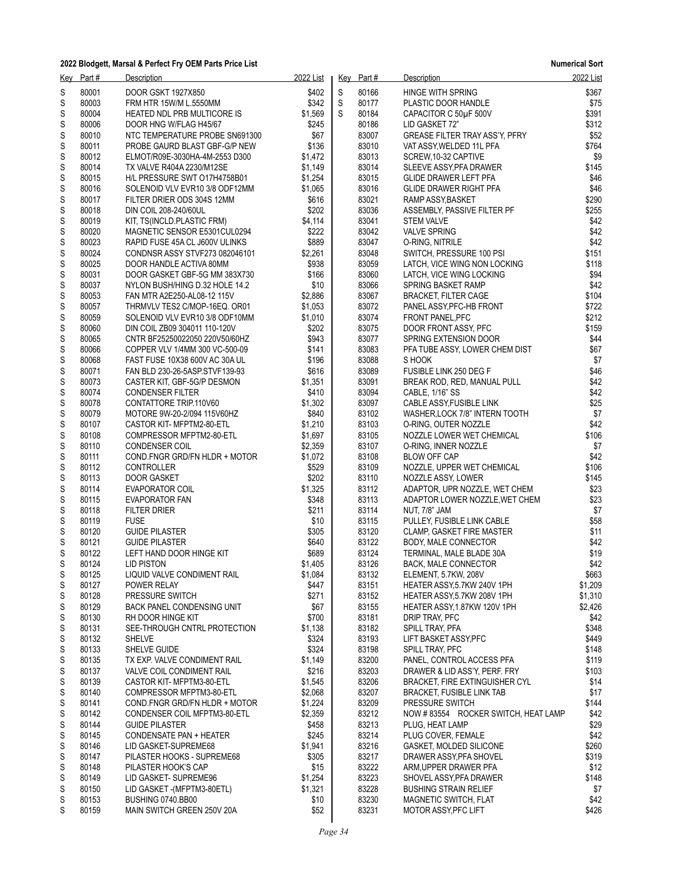| <u>Key</u> | Part #         | Description                                                   | 2022 List          |   | Key Part#      | Description                                                     | 2022 List      |
|------------|----------------|---------------------------------------------------------------|--------------------|---|----------------|-----------------------------------------------------------------|----------------|
| S          | 80001          | DOOR GSKT 1927X850                                            | \$402              | S | 80166          | <b>HINGE WITH SPRING</b>                                        | \$367          |
| S          | 80003          | FRM HTR 15W/M L.5550MM                                        | \$342              | S | 80177          | PLASTIC DOOR HANDLE                                             | \$75           |
| S          | 80004          | HEATED NDL PRB MULTICORE IS                                   | \$1,569            | S | 80184          | CAPACITOR C 50µF 500V                                           | \$391          |
| S          | 80006          | DOOR HNG W/FLAG H45/67                                        | \$245              |   | 80186          | LID GASKET 72"                                                  | \$312          |
| S          | 80010          | NTC TEMPERATURE PROBE SN691300                                | \$67               |   | 83007          | GREASE FILTER TRAY ASS'Y, PFRY                                  | \$52           |
| S          | 80011          | PROBE GAURD BLAST GBF-G/P NEW                                 | \$136              |   | 83010          | VAT ASSY, WELDED 11L PFA                                        | \$764          |
| S          | 80012          | ELMOT/R09E-3030HA-4M-2553 D300                                | \$1,472            |   | 83013          | SCREW, 10-32 CAPTIVE                                            | \$9            |
| S          | 80014          | TX VALVE R404A 2230/M12SE                                     | \$1,149            |   | 83014          | SLEEVE ASSY PFA DRAWER                                          | \$145          |
| S          | 80015          | H/L PRESSURE SWT 017H4758B01                                  | \$1,254            |   | 83015          | GLIDE DRAWER LEFT PFA                                           | \$46           |
| S          | 80016          | SOLENOID VLV EVR10 3/8 ODF12MM                                | \$1,065            |   | 83016          | GLIDE DRAWER RIGHT PFA                                          | \$46           |
| S          | 80017          | FILTER DRIER ODS 304S 12MM                                    | \$616              |   | 83021          | RAMP ASSY, BASKET                                               | \$290          |
| S          | 80018          | DIN COIL 208-240/60UL                                         | \$202              |   | 83036          | ASSEMBLY, PASSIVE FILTER PF                                     | \$255          |
| S          | 80019          | KIT, TS(INCLD.PLASTIC FRM)                                    | \$4,114            |   | 83041          | <b>STEM VALVE</b>                                               | \$42           |
| S          | 80020          | MAGNETIC SENSOR E5301CUL0294                                  | \$222              |   | 83042          | <b>VALVE SPRING</b>                                             | \$42           |
| S          | 80023          | RAPID FUSE 45A CL J600V ULINKS                                | \$889              |   | 83047          | O-RING, NITRILE                                                 | \$42           |
| S<br>S     | 80024<br>80025 | CONDNSR ASSY STVF273 082046101<br>DOOR HANDLE ACTIVA 80MM     | \$2,261<br>\$938   |   | 83048<br>83059 | SWITCH, PRESSURE 100 PSI                                        | \$151<br>\$118 |
| S          | 80031          | DOOR GASKET GBF-5G MM 383X730                                 | \$166              |   | 83060          | LATCH, VICE WING NON LOCKING<br>LATCH, VICE WING LOCKING        | \$94           |
| S          | 80037          |                                                               | \$10               |   | 83066          |                                                                 | \$42           |
| S          | 80053          | NYLON BUSH/HING D.32 HOLE 14.2<br>FAN MTR A2E250-AL08-12 115V | \$2,886            |   | 83067          | SPRING BASKET RAMP<br><b>BRACKET, FILTER CAGE</b>               | \$104          |
| S          | 80057          | THRMVLV TES2 C/MOP-16EQ. OR01                                 | \$1,053            |   | 83072          | PANEL ASSY, PFC-HB FRONT                                        | \$722          |
| S          | 80059          | SOLENOID VLV EVR10 3/8 ODF10MM                                | \$1,010            |   | 83074          | FRONT PANEL, PFC                                                | \$212          |
| S          | 80060          | DIN COIL ZB09 304011 110-120V                                 | \$202              |   | 83075          | DOOR FRONT ASSY, PFC                                            | \$159          |
| S          | 80065          | CNTR BF25250022050 220V50/60HZ                                | \$943              |   | 83077          | SPRING EXTENSION DOOR                                           | \$44           |
| S          | 80066          | COPPER VLV 1/4MM 300 VC-500-09                                | \$141              |   | 83083          | PFA TUBE ASSY, LOWER CHEM DIST                                  | \$67           |
| S          | 80068          | FAST FUSE 10X38 600V AC 30A UL                                | \$196              |   | 83088          | S HOOK                                                          | \$7            |
| S          | 80071          | FAN BLD 230-26-5ASP.STVF139-93                                | \$616              |   | 83089          | FUSIBLE LINK 250 DEG F                                          | \$46           |
| S          | 80073          | CASTER KIT, GBF-5G/P DESMON                                   | \$1,351            |   | 83091          | BREAK ROD, RED, MANUAL PULL                                     | \$42           |
| S          | 80074          | <b>CONDENSER FILTER</b>                                       | \$410              |   | 83094          | CABLE, 1/16" SS                                                 | \$42           |
| S          | 80078          | CONTATTORE TRIP.110V60                                        | \$1,302            |   | 83097          | CABLE ASSY, FUSIBLE LINK                                        | \$25           |
| S          | 80079          | MOTORE 9W-20-2/094 115V60HZ                                   | \$840              |   | 83102          | WASHER, LOCK 7/8" INTERN TOOTH                                  | \$7            |
| S          | 80107          | CASTOR KIT- MFPTM2-80-ETL                                     | \$1,210            |   | 83103          | O-RING, OUTER NOZZLE                                            | \$42           |
| S          | 80108          | COMPRESSOR MFPTM2-80-ETL                                      | \$1,697            |   | 83105          | NOZZLE LOWER WET CHEMICAL                                       | \$106          |
| S          | 80110          | <b>CONDENSER COIL</b>                                         | \$2,359            |   | 83107          | O-RING, INNER NOZZLE                                            | \$7            |
| S          | 80111          | COND.FNGR GRD/FN HLDR + MOTOR                                 | \$1,072            |   | 83108          | <b>BLOW OFF CAP</b>                                             | \$42           |
| S          | 80112          | <b>CONTROLLER</b>                                             | \$529              |   | 83109          | NOZZLE, UPPER WET CHEMICAL                                      | \$106          |
| S          | 80113          | <b>DOOR GASKET</b>                                            | \$202              |   | 83110          | NOZZLE ASSY, LOWER                                              | \$145          |
| S          | 80114          | EVAPORATOR COIL                                               | \$1,325            |   | 83112          | ADAPTOR, UPR NOZZLE, WET CHEM                                   | \$23           |
| S          | 80115          | EVAPORATOR FAN                                                | \$348              |   | 83113          | ADAPTOR LOWER NOZZLE, WET CHEM                                  | \$23           |
| S          | 80118          | <b>FILTER DRIER</b>                                           | \$211              |   | 83114          | NUT, 7/8" JAM                                                   | \$7            |
| S          | 80119          | <b>FUSE</b>                                                   | \$10               |   | 83115          | PULLEY, FUSIBLE LINK CABLE                                      | \$58           |
| S          | 80120          | <b>GUIDE PILASTER</b>                                         | \$305              |   | 83120          | CLAMP, GASKET FIRE MASTER                                       | \$11           |
| S          | 80121          | <b>GUIDE PILASTER</b>                                         | \$640              |   | 83122          | BODY, MALE CONNECTOR                                            | \$42           |
| S          | 80122          | LEFT HAND DOOR HINGE KIT                                      | \$689              |   | 83124          | TERMINAL, MALE BLADE 30A                                        | \$19           |
| S          | 80124          | LID PISTON                                                    | \$1,405            |   | 83126          | BACK, MALE CONNECTOR                                            | \$42           |
| S          | 80125          | LIQUID VALVE CONDIMENT RAIL                                   | \$1,084            |   | 83132          | ELEMENT, 5.7KW, 208V                                            | \$663          |
| S          | 80127          | POWER RELAY                                                   | \$447              |   | 83151          | HEATER ASSY, 5.7KW 240V 1PH                                     | \$1,209        |
| S          | 80128          | PRESSURE SWITCH                                               | \$271              |   | 83152          | HEATER ASSY, 5.7KW 208V 1PH                                     | \$1,310        |
| S          | 80129          | BACK PANEL CONDENSING UNIT                                    | \$67               |   | 83155          | HEATER ASSY, 1.87KW 120V 1PH                                    | \$2,426        |
| S          | 80130          | RH DOOR HINGE KIT                                             | \$700              |   | 83181          | DRIP TRAY, PFC                                                  | \$42           |
| S          | 80131          | SEE-THROUGH CNTRL PROTECTION                                  | \$1,138            |   | 83182          | SPILL TRAY, PFA                                                 | \$348          |
| S          | 80132          | <b>SHELVE</b>                                                 | \$324              |   | 83193          | LIFT BASKET ASSY PFC                                            | \$449          |
| S          | 80133          | SHELVE GUIDE                                                  | \$324              |   | 83198          | SPILL TRAY, PFC                                                 | \$148          |
| S          | 80135          | TX EXP. VALVE CONDIMENT RAIL                                  | \$1,149            |   | 83200          | PANEL, CONTROL ACCESS PFA                                       | \$119          |
| S          | 80137<br>80139 | VALVE COIL CONDIMENT RAIL                                     | \$216              |   | 83203          | DRAWER & LID ASS'Y, PERF. FRY<br>BRACKET, FIRE EXTINGUISHER CYL | \$103          |
| S          | 80140          | CASTOR KIT- MFPTM3-80-ETL                                     | \$1,545<br>\$2,068 |   | 83206<br>83207 | <b>BRACKET, FUSIBLE LINK TAB</b>                                | \$14<br>\$17   |
| S<br>S     | 80141          | COMPRESSOR MFPTM3-80-ETL                                      | \$1,224            |   | 83209          | PRESSURE SWITCH                                                 | \$144          |
|            | 80142          | COND.FNGR GRD/FN HLDR + MOTOR                                 | \$2,359            |   | 83212          | NOW #83554 ROCKER SWITCH, HEAT LAMP                             | \$42           |
| S<br>S     | 80144          | CONDENSER COIL MFPTM3-80-ETL<br><b>GUIDE PILASTER</b>         | \$458              |   | 83213          | PLUG, HEAT LAMP                                                 | \$29           |
| S          | 80145          | CONDENSATE PAN + HEATER                                       | \$245              |   | 83214          | PLUG COVER, FEMALE                                              | \$42           |
| S          | 80146          | LID GASKET-SUPREME68                                          | \$1,941            |   | 83216          | GASKET, MOLDED SILICONE                                         | \$260          |
| S          | 80147          | PILASTER HOOKS - SUPREME68                                    | \$305              |   | 83217          | DRAWER ASSY, PFA SHOVEL                                         | \$319          |
| S          | 80148          | PILASTER HOOK'S CAP                                           | \$15               |   | 83222          | ARM, UPPER DRAWER PFA                                           | \$12           |
| S          | 80149          | LID GASKET- SUPREME96                                         | \$1,254            |   | 83223          | SHOVEL ASSY, PFA DRAWER                                         | \$148          |
| S          | 80150          | LID GASKET - (MFPTM3-80ETL)                                   | \$1,321            |   | 83228          | <b>BUSHING STRAIN RELIEF</b>                                    | \$7            |
| S          | 80153          | BUSHING 0740.BB00                                             | \$10               |   | 83230          | MAGNETIC SWITCH, FLAT                                           | \$42           |
| S          | 80159          | MAIN SWITCH GREEN 250V 20A                                    | \$52               |   | 83231          | MOTOR ASSY, PFC LIFT                                            | \$426          |
|            |                |                                                               |                    |   |                |                                                                 |                |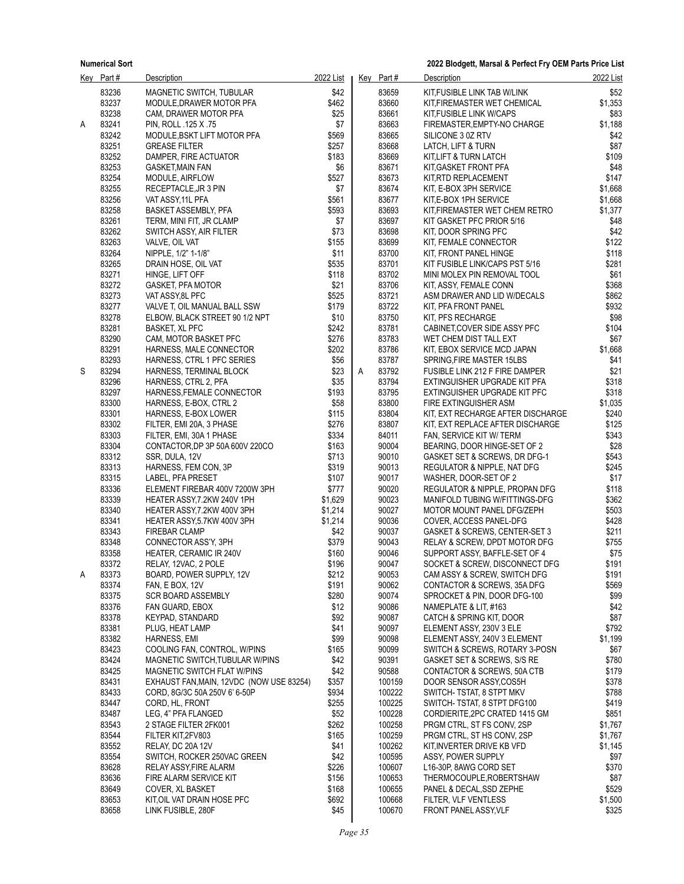**2022 Blodgett, Marsal & Perfect Fry OEM Parts Price List**

|   | Key Part#      | <b>Description</b>                              | 2022 List      |   | $Key$ Part#      | Description                                                  | 2022 List     |
|---|----------------|-------------------------------------------------|----------------|---|------------------|--------------------------------------------------------------|---------------|
|   | 83236          | MAGNETIC SWITCH, TUBULAR                        | \$42           |   | 83659            | KIT FUSIBLE LINK TAB W/LINK                                  | \$52          |
|   | 83237          | MODULE, DRAWER MOTOR PFA                        | \$462          |   | 83660            | KIT, FIREMASTER WET CHEMICAL                                 | \$1,353       |
|   | 83238          | CAM, DRAWER MOTOR PFA                           | \$25           |   | 83661            | KIT, FUSIBLE LINK W/CAPS                                     | \$83          |
| Α | 83241          | PIN, ROLL .125 X .75                            | \$7            |   | 83663            | FIREMASTER, EMPTY-NO CHARGE                                  | \$1,188       |
|   | 83242          | MODULE, BSKT LIFT MOTOR PFA                     | \$569          |   | 83665            | SILICONE 3 0Z RTV                                            | \$42          |
|   | 83251          | <b>GREASE FILTER</b>                            | \$257          |   | 83668            | LATCH, LIFT & TURN                                           | \$87          |
|   | 83252          | DAMPER, FIRE ACTUATOR                           | \$183          |   | 83669            | KIT,LIFT & TURN LATCH                                        | \$109         |
|   | 83253          | <b>GASKET, MAIN FAN</b>                         | \$6            |   | 83671            | KIT, GASKET FRONT PFA                                        | \$48          |
|   | 83254          | MODULE, AIRFLOW                                 | \$527          |   | 83673            | KIT,RTD REPLACEMENT                                          | \$147         |
|   | 83255          | RECEPTACLE, JR 3 PIN                            | \$7            |   | 83674            | KIT, E-BOX 3PH SERVICE                                       | \$1,668       |
|   | 83256          | VAT ASSY, 11L PFA                               | \$561          |   | 83677            | KIT, E-BOX 1PH SERVICE                                       | \$1,668       |
|   | 83258          | BASKET ASSEMBLY, PFA                            | \$593          |   | 83693            | KIT, FIREMASTER WET CHEM RETRO                               | \$1,377       |
|   | 83261          | TERM, MINI FIT, JR CLAMP                        | \$7            |   | 83697            | KIT GASKET PFC PRIOR 5/16                                    | \$48          |
|   | 83262          | SWITCH ASSY, AIR FILTER                         | \$73           |   | 83698            | KIT, DOOR SPRING PFC                                         | \$42          |
|   | 83263          | VALVE, OIL VAT                                  | \$155          |   | 83699            | KIT, FEMALE CONNECTOR                                        | \$122         |
|   | 83264          | NIPPLE, 1/2" 1-1/8"                             | \$11           |   | 83700            | KIT, FRONT PANEL HINGE                                       | \$118         |
|   | 83265          | DRAIN HOSE, OIL VAT                             | \$535          |   | 83701            | KIT FUSIBLE LINK/CAPS PST 5/16                               | \$281         |
|   | 83271          | HINGE, LIFT OFF                                 | \$118          |   | 83702            | MINI MOLEX PIN REMOVAL TOOL                                  | \$61          |
|   | 83272          | GASKET, PFA MOTOR                               | \$21           |   | 83706            | KIT, ASSY, FEMALE CONN                                       | \$368         |
|   | 83273          | VAT ASSY, 8L PFC                                | \$525          |   | 83721            | ASM DRAWER AND LID W/DECALS                                  | \$862         |
|   | 83277          | VALVE T, OIL MANUAL BALL SSW                    | \$179          |   | 83722            | KIT, PFA FRONT PANEL                                         | \$932         |
|   | 83278          | ELBOW, BLACK STREET 90 1/2 NPT                  | \$10           |   | 83750            | KIT, PFS RECHARGE                                            | \$98          |
|   | 83281          | <b>BASKET, XL PFC</b>                           | \$242          |   | 83781            | CABINET, COVER SIDE ASSY PFC                                 | \$104         |
|   | 83290          | CAM, MOTOR BASKET PFC                           | \$276          |   | 83783            | WET CHEM DIST TALL EXT                                       | \$67          |
|   | 83291          | HARNESS, MALE CONNECTOR                         | \$202          |   | 83786            | KIT, EBOX SERVICE MCD JAPAN                                  | \$1,668       |
|   | 83293          | HARNESS, CTRL 1 PFC SERIES                      | \$56           |   | 83787            | SPRING, FIRE MASTER 15LBS                                    | \$41          |
| S | 83294          | HARNESS, TERMINAL BLOCK                         | \$23           | Α | 83792            | FUSIBLE LINK 212 F FIRE DAMPER                               | \$21          |
|   | 83296          | HARNESS, CTRL 2, PFA                            | \$35           |   | 83794            | EXTINGUISHER UPGRADE KIT PFA                                 | \$318         |
|   | 83297          | HARNESS, FEMALE CONNECTOR                       | \$193          |   | 83795            | EXTINGUISHER UPGRADE KIT PFC                                 | \$318         |
|   | 83300          | HARNESS, E-BOX, CTRL 2                          | \$58           |   | 83800            | FIRE EXTINGUISHER ASM                                        | \$1,035       |
|   | 83301          | HARNESS, E-BOX LOWER                            | \$115          |   | 83804            | KIT, EXT RECHARGE AFTER DISCHARGE                            | \$240         |
|   | 83302          | FILTER, EMI 20A, 3 PHASE                        | \$276          |   | 83807            | KIT, EXT REPLACE AFTER DISCHARGE                             | \$125         |
|   | 83303          | FILTER, EMI, 30A 1 PHASE                        | \$334          |   | 84011            | FAN, SERVICE KIT W/TERM                                      | \$343         |
|   | 83304<br>83312 | CONTACTOR, DP 3P 50A 600V 220CO                 | \$163<br>\$713 |   | 90004<br>90010   | BEARING, DOOR HINGE-SET OF 2                                 | \$28<br>\$543 |
|   | 83313          | SSR, DULA, 12V<br>HARNESS, FEM CON, 3P          | \$319          |   | 90013            | GASKET SET & SCREWS, DR DFG-1<br>REGULATOR & NIPPLE, NAT DFG | \$245         |
|   | 83315          | LABEL, PFA PRESET                               | \$107          |   | 90017            | WASHER, DOOR-SET OF 2                                        | \$17          |
|   | 83336          | ELEMENT FIREBAR 400V 7200W 3PH                  | \$777          |   | 90020            | REGULATOR & NIPPLE, PROPAN DFG                               | \$118         |
|   | 83339          | HEATER ASSY 7.2KW 240V 1PH                      | \$1,629        |   | 90023            | MANIFOLD TUBING W/FITTINGS-DFG                               | \$362         |
|   | 83340          | HEATER ASSY 7.2KW 400V 3PH                      | \$1,214        |   | 90027            | MOTOR MOUNT PANEL DFG/ZEPH                                   | \$503         |
|   | 83341          | HEATER ASSY, 5.7KW 400V 3PH                     | \$1,214        |   | 90036            | COVER, ACCESS PANEL-DFG                                      | \$428         |
|   | 83343          | <b>FIREBAR CLAMP</b>                            | \$42           |   | 90037            | GASKET & SCREWS, CENTER-SET 3                                | \$211         |
|   | 83348          | CONNECTOR ASS'Y, 3PH                            | \$379          |   | 90043            | RELAY & SCREW, DPDT MOTOR DFG                                | \$755         |
|   | 83358          | HEATER, CERAMIC IR 240V                         | \$160          |   | 90046            | SUPPORT ASSY, BAFFLE-SET OF 4                                | \$75          |
|   | 83372          | RELAY, 12VAC, 2 POLE                            | \$196          |   | 90047            | SOCKET & SCREW, DISCONNECT DFG                               | \$191         |
|   | 83373          | BOARD, POWER SUPPLY, 12V                        | \$212          |   | 90053            | CAM ASSY & SCREW, SWITCH DFG                                 | \$191         |
|   | 83374          | FAN, E BOX, 12V                                 | \$191          |   | 90062            | CONTACTOR & SCREWS, 35A DFG                                  | \$569         |
|   | 83375          | <b>SCR BOARD ASSEMBLY</b>                       | \$280          |   | 90074            | SPROCKET & PIN, DOOR DFG-100                                 | \$99          |
|   | 83376          | FAN GUARD, EBOX                                 | \$12           |   | 90086            | NAMEPLATE & LIT, #163                                        | \$42          |
|   | 83378          | KEYPAD, STANDARD                                | \$92           |   | 90087            | CATCH & SPRING KIT, DOOR                                     | \$87          |
|   | 83381          | PLUG, HEAT LAMP                                 | \$41           |   | 90097            | ELEMENT ASSY, 230V 3 ELE                                     | \$792         |
|   | 83382          | HARNESS, EMI                                    | \$99           |   | 90098            | ELEMENT ASSY, 240V 3 ELEMENT                                 | \$1,199       |
|   | 83423          | COOLING FAN, CONTROL, W/PINS                    | \$165          |   | 90099            | SWITCH & SCREWS, ROTARY 3-POSN                               | \$67          |
|   | 83424          | MAGNETIC SWITCH TUBULAR W/PINS                  | \$42           |   | 90391            | GASKET SET & SCREWS, S/S RE                                  | \$780         |
|   | 83425          | MAGNETIC SWITCH FLAT W/PINS                     | \$42           |   | 90588            | CONTACTOR & SCREWS, 50A CTB                                  | \$179         |
|   | 83431          | EXHAUST FAN, MAIN, 12VDC (NOW USE 83254)        | \$357          |   | 100159           | DOOR SENSOR ASSY,COS5H                                       | \$378         |
|   | 83433          | CORD, 8G/3C 50A 250V 6' 6-50P                   | \$934          |   | 100222           | SWITCH- TSTAT 8 STPT MKV                                     | \$788         |
|   | 83447          | CORD, HL, FRONT                                 | \$255          |   | 100225           | SWITCH- TSTAT, 8 STPT DFG100                                 | \$419         |
|   | 83487          | LEG, 4" PFA FLANGED                             | \$52           |   | 100228           | CORDIERITE, 2PC CRATED 1415 GM                               | \$851         |
|   | 83543          | 2 STAGE FILTER 2FK001                           | \$262          |   | 100258           | PRGM CTRL, ST FS CONV, 2SP                                   | \$1,767       |
|   | 83544          | FILTER KIT, 2FV803                              | \$165          |   | 100259           | PRGM CTRL, ST HS CONV, 2SP                                   | \$1,767       |
|   | 83552          | RELAY, DC 20A 12V                               | \$41           |   | 100262           | KIT, INVERTER DRIVE KB VFD                                   | \$1,145       |
|   | 83554          | SWITCH, ROCKER 250VAC GREEN                     | \$42           |   | 100595           | ASSY, POWER SUPPLY                                           | \$97          |
|   | 83628          | RELAY ASSY, FIRE ALARM                          | \$226          |   | 100607           | L16-30P, 8AWG CORD SET                                       | \$370         |
|   | 83636<br>83649 | FIRE ALARM SERVICE KIT                          | \$156<br>\$168 |   | 100653           | THERMOCOUPLE, ROBERTSHAW                                     | \$87<br>\$529 |
|   | 83653          | COVER, XL BASKET<br>KIT, OIL VAT DRAIN HOSE PFC | \$692          |   | 100655<br>100668 | PANEL & DECAL, SSD ZEPHE<br>FILTER, VLF VENTLESS             | \$1,500       |
|   | 83658          | LINK FUSIBLE, 280F                              | \$45           |   | 100670           | <b>FRONT PANEL ASSY, VLF</b>                                 | \$325         |
|   |                |                                                 |                |   |                  |                                                              |               |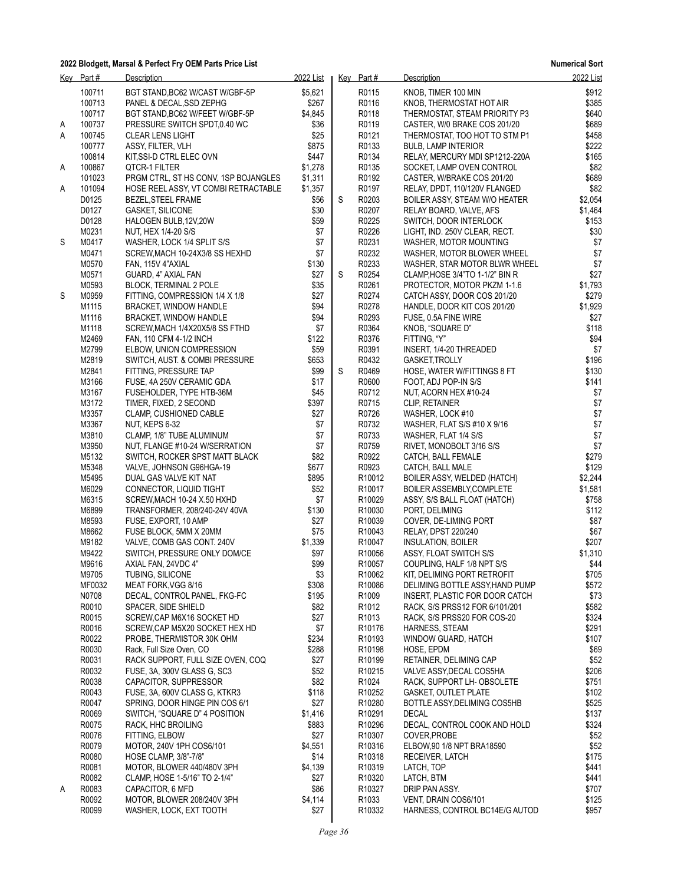|   | Key Part#      | Description                                           | 2022 List       |   | Key Part#          | Description                                               | 2022 List        |
|---|----------------|-------------------------------------------------------|-----------------|---|--------------------|-----------------------------------------------------------|------------------|
|   | 100711         | BGT STAND, BC62 W/CAST W/GBF-5P                       | \$5,621         |   | R0115              | KNOB, TIMER 100 MIN                                       | \$912            |
|   | 100713         | PANEL & DECAL, SSD ZEPHG                              | \$267           |   | R0116              | KNOB, THERMOSTAT HOT AIR                                  | \$385            |
|   | 100717         | BGT STAND, BC62 W/FEET W/GBF-5P                       | \$4,845         |   | R0118              | THERMOSTAT, STEAM PRIORITY P3                             | \$640            |
| A | 100737         | PRESSURE SWITCH SPDT,0.40 WC                          | \$36            |   | R0119              | CASTER, W/0 BRAKE COS 201/20                              | \$689            |
| Α | 100745         | <b>CLEAR LENS LIGHT</b>                               | \$25            |   | R0121              | THERMOSTAT, TOO HOT TO STM P1                             | \$458            |
|   | 100777         | ASSY, FILTER, VLH                                     | \$875           |   | R0133              | <b>BULB, LAMP INTERIOR</b>                                | \$222            |
|   | 100814         | KIT, SSI-D CTRL ELEC OVN                              | \$447           |   | R0134              | RELAY, MERCURY MDI SP1212-220A                            | \$165            |
| Α | 100867         | QTCR-1 FILTER                                         | \$1,278         |   | R0135              | SOCKET, LAMP OVEN CONTROL                                 | \$82             |
|   | 101023         | PRGM CTRL, ST HS CONV, 1SP BOJANGLES                  | \$1,311         |   | R0192              | CASTER, W/BRAKE COS 201/20                                | \$689            |
| A | 101094         | HOSE REELASSY, VT COMBI RETRACTABLE                   | \$1,357         |   | R0197              | RELAY, DPDT, 110/120V FLANGED                             | \$82             |
|   | D0125          | BEZEL, STEEL FRAME<br><b>GASKET SILICONE</b>          | \$56            | S | R0203<br>R0207     | BOILER ASSY, STEAM W/O HEATER                             | \$2,054          |
|   | D0127<br>D0128 |                                                       | \$30<br>\$59    |   | R0225              | RELAY BOARD, VALVE, AFS                                   | \$1,464<br>\$153 |
|   | M0231          | HALOGEN BULB, 12V, 20W<br><b>NUT, HEX 1/4-20 S/S</b>  | \$7             |   | R0226              | SWITCH, DOOR INTERLOCK<br>LIGHT, IND. 250V CLEAR, RECT.   | \$30             |
| S | M0417          | WASHER, LOCK 1/4 SPLIT S/S                            | \$7             |   | R0231              | WASHER, MOTOR MOUNTING                                    | \$7              |
|   | M0471          | SCREW, MACH 10-24X3/8 SS HEXHD                        | \$7             |   | R0232              | WASHER, MOTOR BLOWER WHEEL                                | \$7              |
|   | M0570          | FAN, 115V 4"AXIAL                                     | \$130           |   | R0233              | WASHER, STAR MOTOR BLWR WHEEL                             | \$7              |
|   | M0571          | GUARD, 4" AXIAL FAN                                   | \$27            | S | R0254              | CLAMP, HOSE 3/4"TO 1-1/2" BIN R                           | \$27             |
|   | M0593          | BLOCK, TERMINAL 2 POLE                                | \$35            |   | R0261              | PROTECTOR, MOTOR PKZM 1-1.6                               | \$1,793          |
| S | M0959          | FITTING, COMPRESSION 1/4 X 1/8                        | \$27            |   | R0274              | CATCH ASSY, DOOR COS 201/20                               | \$279            |
|   | M1115          | BRACKET, WINDOW HANDLE                                | \$94            |   | R0278              | HANDLE, DOOR KIT COS 201/20                               | \$1,929          |
|   | M1116          | <b>BRACKET, WINDOW HANDLE</b>                         | \$94            |   | R0293              | FUSE, 0.5A FINE WIRE                                      | \$27             |
|   | M1118          | SCREW, MACH 1/4X20X5/8 SS FTHD                        | \$7             |   | R0364              | KNOB, "SQUARE D"                                          | \$118            |
|   | M2469          | FAN, 110 CFM 4-1/2 INCH                               | \$122           |   | R0376              | FITTING, "Y"                                              | \$94             |
|   | M2799          | ELBOW, UNION COMPRESSION                              | \$59            |   | R0391              | INSERT, 1/4-20 THREADED                                   | \$7              |
|   | M2819          | SWITCH, AUST. & COMBI PRESSURE                        | \$653           |   | R0432              | GASKET, TROLLY                                            | \$196            |
|   | M2841          | FITTING, PRESSURE TAP                                 | \$99            | S | R0469              | HOSE, WATER W/FITTINGS 8 FT                               | \$130            |
|   | M3166<br>M3167 | FUSE, 4A 250V CERAMIC GDA<br>FUSEHOLDER, TYPE HTB-36M | \$17<br>\$45    |   | R0600<br>R0712     | FOOT, ADJ POP-IN S/S                                      | \$141            |
|   | M3172          | TIMER, FIXED, 2 SECOND                                | \$397           |   | R0715              | NUT, ACORN HEX #10-24<br><b>CLIP, RETAINER</b>            | \$7<br>$$7$      |
|   | M3357          | CLAMP, CUSHIONED CABLE                                | \$27            |   | R0726              | WASHER, LOCK #10                                          | $$7$             |
|   | M3367          | NUT, KEPS 6-32                                        | \$7             |   | R0732              | WASHER, FLAT S/S #10 X 9/16                               | $$7$             |
|   | M3810          | CLAMP, 1/8" TUBE ALUMINUM                             | \$7             |   | R0733              | WASHER, FLAT 1/4 S/S                                      | $$7$             |
|   | M3950          | NUT, FLANGE #10-24 W/SERRATION                        | \$7             |   | R0759              | RIVET, MONOBOLT 3/16 S/S                                  | \$7              |
|   | M5132          | SWITCH, ROCKER SPST MATT BLACK                        | \$82            |   | R0922              | CATCH, BALL FEMALE                                        | \$279            |
|   | M5348          | VALVE, JOHNSON G96HGA-19                              | \$677           |   | R0923              | CATCH, BALL MALE                                          | \$129            |
|   | M5495          | DUAL GAS VALVE KIT NAT                                | \$895           |   | R <sub>10012</sub> | BOILER ASSY, WELDED (HATCH)                               | \$2,244          |
|   | M6029          | CONNECTOR, LIQUID TIGHT                               | \$52            |   | R <sub>10017</sub> | BOILER ASSEMBLY, COMPLETE                                 | \$1,581          |
|   | M6315          | SCREW, MACH 10-24 X.50 HXHD                           | \$7             |   | R10029             | ASSY, S/S BALL FLOAT (HATCH)                              | \$758            |
|   | M6899          | TRANSFORMER, 208/240-24V 40VA                         | \$130           |   | R10030             | PORT, DELIMING                                            | \$112            |
|   | M8593          | FUSE, EXPORT, 10 AMP                                  | \$27            |   | R10039             | COVER, DE-LIMING PORT                                     | \$87             |
|   | M8662          | FUSE BLOCK, 5MM X 20MM                                | \$75            |   | R <sub>10043</sub> | RELAY, DPST 220/240                                       | \$67             |
|   | M9182          | VALVE, COMB GAS CONT. 240V                            | \$1,339         |   | R10047             | <b>INSULATION, BOILER</b>                                 | \$207            |
|   | M9422          | SWITCH, PRESSURE ONLY DOM/CE                          | \$97            |   | R10056             | ASSY, FLOAT SWITCH S/S                                    | \$1,310          |
|   | M9616<br>M9705 | AXIAL FAN, 24VDC 4"<br>TUBING, SILICONE               | \$99<br>\$3     |   | R10057<br>R10062   | COUPLING, HALF 1/8 NPT S/S<br>KIT, DELIMING PORT RETROFIT | \$44<br>\$705    |
|   | MF0032         | MEAT FORK, VGG 8/16                                   | \$308           |   | R10086             | DELIMING BOTTLE ASSY, HAND PUMP                           | \$572            |
|   | N0708          | DECAL, CONTROL PANEL, FKG-FC                          | \$195           |   | R1009              | INSERT, PLASTIC FOR DOOR CATCH                            | \$73             |
|   | R0010          | SPACER, SIDE SHIELD                                   | \$82            |   | R1012              | RACK, S/S PRSS12 FOR 6/101/201                            | \$582            |
|   | R0015          | SCREW, CAP M6X16 SOCKET HD                            | \$27            |   | R <sub>1013</sub>  | RACK, S/S PRSS20 FOR COS-20                               | \$324            |
|   | R0016          | SCREW, CAP M5X20 SOCKET HEX HD                        | \$7             |   | R10176             | HARNESS, STEAM                                            | \$291            |
|   | R0022          | PROBE, THERMISTOR 30K OHM                             | \$234           |   | R10193             | WINDOW GUARD, HATCH                                       | \$107            |
|   | R0030          | Rack, Full Size Oven, CO                              | \$288           |   | R <sub>10198</sub> | HOSE, EPDM                                                | \$69             |
|   | R0031          | RACK SUPPORT, FULL SIZE OVEN, COQ                     | \$27            |   | R <sub>10199</sub> | RETAINER, DELIMING CAP                                    | \$52             |
|   | R0032          | FUSE, 3A, 300V GLASS G, SC3                           | \$52            |   | R10215             | VALVE ASSY, DECAL COS5HA                                  | \$206            |
|   | R0038          | CAPACITOR, SUPPRESSOR                                 | \$82            |   | R1024              | RACK, SUPPORT LH- OBSOLETE                                | \$751            |
|   | R0043          | FUSE, 3A, 600V CLASS G, KTKR3                         | \$118           |   | R10252             | <b>GASKET, OUTLET PLATE</b>                               | \$102            |
|   | R0047          | SPRING, DOOR HINGE PIN COS 6/1                        | \$27            |   | R <sub>10280</sub> | BOTTLE ASSY, DELIMING COS5HB                              | \$525            |
|   | R0069          | SWITCH, "SQUARE D" 4 POSITION                         | \$1,416         |   | R10291             | <b>DECAL</b>                                              | \$137            |
|   | R0075          | RACK, HHC BROILING                                    | \$883           |   | R10296             | DECAL, CONTROL COOK AND HOLD                              | \$324            |
|   | R0076<br>R0079 | FITTING, ELBOW                                        | \$27<br>\$4,551 |   | R10307<br>R10316   | COVER, PROBE                                              | \$52<br>\$52     |
|   | R0080          | MOTOR, 240V 1PH COS6/101<br>HOSE CLAMP, 3/8"-7/8"     | \$14            |   | R <sub>10318</sub> | ELBOW, 90 1/8 NPT BRA18590<br>RECEIVER, LATCH             | \$175            |
|   | R0081          | MOTOR, BLOWER 440/480V 3PH                            | \$4,139         |   | R10319             | LATCH, TOP                                                | \$441            |
|   | R0082          | CLAMP, HOSE 1-5/16" TO 2-1/4"                         | \$27            |   | R10320             | LATCH, BTM                                                | \$441            |
| A | R0083          | CAPACITOR, 6 MFD                                      | \$86            |   | R10327             | DRIP PAN ASSY.                                            | \$707            |
|   | R0092          | MOTOR, BLOWER 208/240V 3PH                            | \$4,114         |   | R1033              | VENT, DRAIN COS6/101                                      | \$125            |
|   | R0099          | WASHER, LOCK, EXT TOOTH                               | \$27            |   | R <sub>10332</sub> | HARNESS, CONTROL BC14E/G AUTOD                            | \$957            |
|   |                |                                                       |                 |   |                    |                                                           |                  |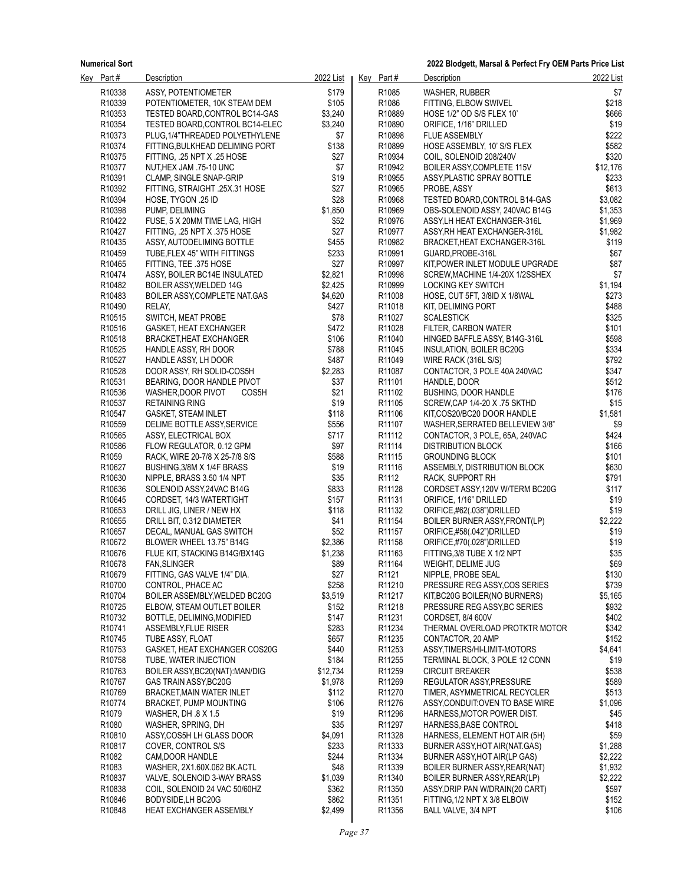**2022 Blodgett, Marsal & Perfect Fry OEM Parts Price List**

| Key Part#          | <b>Description</b>              | 2022 List | Key Part#          | <b>Description</b>                                           | 2022 List |
|--------------------|---------------------------------|-----------|--------------------|--------------------------------------------------------------|-----------|
| R10338             | ASSY, POTENTIOMETER             | \$179     | R <sub>1085</sub>  | WASHER, RUBBER                                               | \$7       |
| R10339             | POTENTIOMETER, 10K STEAM DEM    | \$105     | R <sub>1086</sub>  | FITTING, ELBOW SWIVEL                                        | \$218     |
| R10353             | TESTED BOARD, CONTROL BC14-GAS  | \$3,240   | R10889             | HOSE 1/2" OD S/S FLEX 10"                                    | \$666     |
| R10354             | TESTED BOARD, CONTROL BC14-ELEC | \$3,240   | R <sub>10890</sub> | ORIFICE, 1/16" DRILLED                                       | \$19      |
| R10373             | PLUG, 1/4"THREADED POLYETHYLENE | \$7       | R10898             | <b>FLUE ASSEMBLY</b>                                         | \$222     |
| R10374             | FITTING BULKHEAD DELIMING PORT  | \$138     | R10899             | HOSE ASSEMBLY, 10' S/S FLEX                                  | \$582     |
| R10375             | FITTING, .25 NPT X .25 HOSE     | \$27      | R10934             | COIL, SOLENOID 208/240V                                      | \$320     |
| R10377             | NUT, HEX JAM .75-10 UNC         | \$7       | R <sub>10942</sub> | BOILER ASSY, COMPLETE 115V                                   | \$12,176  |
| R10391             | <b>CLAMP, SINGLE SNAP-GRIP</b>  | \$19      | R <sub>10955</sub> | ASSY PLASTIC SPRAY BOTTLE                                    | \$233     |
| R10392             | FITTING, STRAIGHT .25X.31 HOSE  | \$27      | R10965             | PROBE, ASSY                                                  | \$613     |
| R10394             | HOSE. TYGON .25 ID              | \$28      | R <sub>10968</sub> | TESTED BOARD, CONTROL B14-GAS                                | \$3,082   |
| R10398             | PUMP, DELIMING                  | \$1,850   | R10969             | OBS-SOLENOID ASSY, 240VAC B14G                               | \$1,353   |
| R10422             | FUSE, 5 X 20MM TIME LAG, HIGH   | \$52      | R <sub>10976</sub> |                                                              | \$1,969   |
| R <sub>10427</sub> | FITTING, .25 NPT X .375 HOSE    | \$27      | R10977             | ASSY, LH HEAT EXCHANGER-316L<br>ASSY, RH HEAT EXCHANGER-316L | \$1,982   |
|                    |                                 |           |                    |                                                              |           |
| R10435             | ASSY, AUTODELIMING BOTTLE       | \$455     | R10982             | BRACKET, HEAT EXCHANGER-316L                                 | \$119     |
| R <sub>10459</sub> | TUBE, FLEX 45" WITH FITTINGS    | \$233     | R <sub>10991</sub> | GUARD, PROBE-316L                                            | \$67      |
| R <sub>10465</sub> | FITTING, TEE .375 HOSE          | \$27      | R10997             | KIT, POWER INLET MODULE UPGRADE                              | \$87      |
| R10474             | ASSY, BOILER BC14E INSULATED    | \$2,821   | R10998             | SCREW, MACHINE 1/4-20X 1/2SSHEX                              | \$7       |
| R10482             | BOILER ASSY, WELDED 14G         | \$2,425   | R <sub>10999</sub> | LOCKING KEY SWITCH                                           | \$1,194   |
| R10483             | BOILER ASSY, COMPLETE NAT.GAS   | \$4,620   | R11008             | HOSE, CUT 5FT, 3/8ID X 1/8WAL                                | \$273     |
| R10490             | RELAY,                          | \$427     | R <sub>11018</sub> | KIT, DELIMING PORT                                           | \$488     |
| R10515             | SWITCH, MEAT PROBE              | \$78      | R11027             | <b>SCALESTICK</b>                                            | \$325     |
| R10516             | GASKET, HEAT EXCHANGER          | \$472     | R11028             | FILTER, CARBON WATER                                         | \$101     |
| R10518             | <b>BRACKET, HEAT EXCHANGER</b>  | \$106     | R11040             | HINGED BAFFLE ASSY, B14G-316L                                | \$598     |
| R10525             | HANDLE ASSY, RH DOOR            | \$788     | R11045             | <b>INSULATION, BOILER BC20G</b>                              | \$334     |
| R10527             | HANDLE ASSY, LH DOOR            | \$487     | R11049             | WIRE RACK (316L S/S)                                         | \$792     |
| R10528             | DOOR ASSY, RH SOLID-COS5H       | \$2,283   | R11087             | CONTACTOR, 3 POLE 40A 240VAC                                 | \$347     |
| R10531             | BEARING, DOOR HANDLE PIVOT      | \$37      | R11101             | HANDLE, DOOR                                                 | \$512     |
| R10536             | WASHER, DOOR PIVOT<br>COS5H     | \$21      | R <sub>11102</sub> | <b>BUSHING, DOOR HANDLE</b>                                  | \$176     |
| R10537             | <b>RETAINING RING</b>           | \$19      | R11105             | SCREW, CAP 1/4-20 X .75 SKTHD                                | \$15      |
| R10547             | <b>GASKET, STEAM INLET</b>      | \$118     | R <sub>11106</sub> | KIT,COS20/BC20 DOOR HANDLE                                   | \$1,581   |
| R10559             | DELIME BOTTLE ASSY, SERVICE     | \$556     | R11107             | WASHER, SERRATED BELLEVIEW 3/8"                              | \$9       |
| R10565             | ASSY, ELECTRICAL BOX            | \$717     | R11112             | CONTACTOR, 3 POLE, 65A, 240VAC                               | \$424     |
| R10586             | FLOW REGULATOR, 0.12 GPM        | \$97      | R <sub>11114</sub> | <b>DISTRIBUTION BLOCK</b>                                    | \$166     |
| R1059              | RACK, WIRE 20-7/8 X 25-7/8 S/S  | \$588     | R <sub>11115</sub> | <b>GROUNDING BLOCK</b>                                       | \$101     |
| R10627             | BUSHING, 3/8M X 1/4F BRASS      | \$19      | R <sub>11116</sub> | ASSEMBLY, DISTRIBUTION BLOCK                                 | \$630     |
| R10630             | NIPPLE, BRASS 3.50 1/4 NPT      | \$35      | R <sub>1112</sub>  | RACK, SUPPORT RH                                             | \$791     |
| R10636             | SOLENOID ASSY, 24 VAC B14G      | \$833     | R11128             | CORDSET ASSY 120V W/TERM BC20G                               | \$117     |
| R10645             | CORDSET, 14/3 WATERTIGHT        | \$157     | R <sub>11131</sub> | ORIFICE, 1/16" DRILLED                                       | \$19      |
| R10653             | DRILL JIG, LINER / NEW HX       | \$118     | R11132             | ORIFICE,#62(.038")DRILLED                                    | \$19      |
| R <sub>10655</sub> | DRILL BIT, 0.312 DIAMETER       | \$41      | R <sub>11154</sub> | BOILER BURNER ASSY FRONT(LP)                                 | \$2,222   |
| R10657             | DECAL, MANUAL GAS SWITCH        | \$52      | R <sub>11157</sub> | ORIFICE,#58(.042")DRILLED                                    | \$19      |
|                    |                                 | \$2,386   |                    |                                                              |           |
| R10672             | BLOWER WHEEL 13.75" B14G        |           | R11158             | ORIFICE,#70(.028")DRILLED                                    | \$19      |
| R10676             | FLUE KIT, STACKING B14G/BX14G   | \$1,238   | R <sub>11163</sub> | FITTING, 3/8 TUBE X 1/2 NPT                                  | \$35      |
| R <sub>10678</sub> | <b>FAN, SLINGER</b>             | \$89      | R11164             | WEIGHT, DELIME JUG                                           | \$69      |
| R10679             | FITTING, GAS VALVE 1/4" DIA.    | \$27      | R1121              | NIPPLE, PROBE SEAL                                           | \$130     |
| R <sub>10700</sub> | CONTROL, PHACE AC               | \$258     | R <sub>11210</sub> | PRESSURE REG ASSY, COS SERIES                                | \$739     |
| R10704             | BOILER ASSEMBLY, WELDED BC20G   | \$3,519   | R11217             | KIT, BC20G BOILER (NO BURNERS)                               | \$5,165   |
| R <sub>10725</sub> | ELBOW, STEAM OUTLET BOILER      | \$152     | R <sub>11218</sub> | PRESSURE REG ASSY BC SERIES                                  | \$932     |
| R <sub>10732</sub> | BOTTLE, DELIMING, MODIFIED      | \$147     | R <sub>11231</sub> | CORDSET, 8/4 600V                                            | \$402     |
| R <sub>10741</sub> | ASSEMBLY, FLUE RISER            | \$283     | R <sub>11234</sub> | THERMAL OVERLOAD PROTKTR MOTOR                               | \$342     |
| R <sub>10745</sub> | TUBE ASSY, FLOAT                | \$657     | R <sub>11235</sub> | CONTACTOR, 20 AMP                                            | \$152     |
| R10753             | GASKET, HEAT EXCHANGER COS20G   | \$440     | R11253             | ASSY TIMERS/HI-LIMIT-MOTORS                                  | \$4,641   |
| R <sub>10758</sub> | TUBE, WATER INJECTION           | \$184     | R <sub>11255</sub> | TERMINAL BLOCK, 3 POLE 12 CONN                               | \$19      |
| R <sub>10763</sub> | BOILER ASSY, BC20(NAT): MAN/DIG | \$12,734  | R11259             | <b>CIRCUIT BREAKER</b>                                       | \$538     |
| R10767             | GAS TRAIN ASSY, BC20G           | \$1,978   | R <sub>11269</sub> | REGULATOR ASSY PRESSURE                                      | \$589     |
| R <sub>10769</sub> | BRACKET, MAIN WATER INLET       | \$112     | R <sub>11270</sub> | TIMER, ASYMMETRICAL RECYCLER                                 | \$513     |
| R <sub>10774</sub> | <b>BRACKET, PUMP MOUNTING</b>   | \$106     | R11276             | ASSY, CONDUIT: OVEN TO BASE WIRE                             | \$1,096   |
| R <sub>1079</sub>  | WASHER, DH .8 X 1.5             | \$19      | R <sub>11296</sub> | HARNESS, MOTOR POWER DIST.                                   | \$45      |
| R1080              | WASHER, SPRING, DH              | \$35      | R11297             | HARNESS, BASE CONTROL                                        | \$418     |
| R <sub>10810</sub> | ASSY, COS5H LH GLASS DOOR       | \$4,091   | R <sub>11328</sub> | HARNESS, ELEMENT HOT AIR (5H)                                | \$59      |
| R <sub>10817</sub> | COVER, CONTROL S/S              | \$233     | R <sub>11333</sub> | BURNER ASSY, HOT AIR (NAT.GAS)                               | \$1,288   |
| R1082              | CAM, DOOR HANDLE                | \$244     | R11334             | BURNER ASSY, HOT AIR(LP GAS)                                 | \$2,222   |
| R <sub>1083</sub>  | WASHER, 2X1.60X.062 BK.ACTL     | \$48      | R <sub>11339</sub> | BOILER BURNER ASSY, REAR(NAT)                                | \$1,932   |
| R <sub>10837</sub> | VALVE, SOLENOID 3-WAY BRASS     | \$1,039   | R <sub>11340</sub> | BOILER BURNER ASSY, REAR(LP)                                 | \$2,222   |
| R10838             | COIL, SOLENOID 24 VAC 50/60HZ   | \$362     | R <sub>11350</sub> | ASSY, DRIP PAN W/DRAIN(20 CART)                              | \$597     |
| R <sub>10846</sub> | BODYSIDE, LH BC20G              | \$862     | R <sub>11351</sub> | FITTING, 1/2 NPT X 3/8 ELBOW                                 | \$152     |
| R10848             |                                 |           | R11356             |                                                              | \$106     |
|                    | <b>HEAT EXCHANGER ASSEMBLY</b>  | \$2,499   |                    | BALL VALVE, 3/4 NPT                                          |           |
|                    |                                 |           |                    |                                                              |           |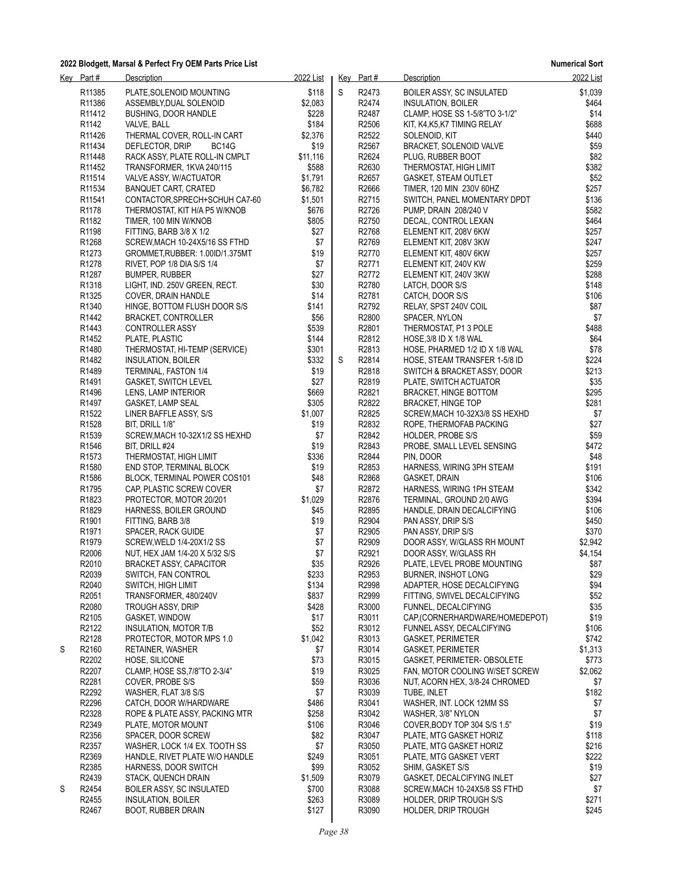|   | Key Part#          | <b>Description</b>               | 2022 List   |   | Key Part#         | Description                    | 2022 List |
|---|--------------------|----------------------------------|-------------|---|-------------------|--------------------------------|-----------|
|   | R <sub>11385</sub> | PLATE, SOLENOID MOUNTING         | \$118       | S | R2473             | BOILER ASSY, SC INSULATED      | \$1,039   |
|   | R <sub>11386</sub> | ASSEMBLY, DUAL SOLENOID          | \$2,083     |   | R2474             | <b>INSULATION, BOILER</b>      | \$464     |
|   | R <sub>11412</sub> | <b>BUSHING, DOOR HANDLE</b>      | \$228       |   | R2487             | CLAMP, HOSE SS 1-5/8"TO 3-1/2" | \$14      |
|   | R1142              | VALVE, BALL                      | \$184       |   | R2506             | KIT, K4,K5,K7 TIMING RELAY     | \$688     |
|   | R <sub>11426</sub> | THERMAL COVER, ROLL-IN CART      | \$2,376     |   | R2522             | SOLENOID, KIT                  | \$440     |
|   | R11434             | DEFLECTOR, DRIP<br>BC14G         | \$19        |   | R2567             | BRACKET, SOLENOID VALVE        | \$59      |
|   | R <sub>11448</sub> | RACK ASSY, PLATE ROLL-IN CMPLT   | \$11,116    |   | R2624             | PLUG, RUBBER BOOT              | \$82      |
|   | R11452             |                                  | \$588       |   | R2630             |                                | \$382     |
|   |                    | TRANSFORMER, 1KVA 240/115        |             |   |                   | THERMOSTAT, HIGH LIMIT         |           |
|   | R11514             | VALVE ASSY, W/ACTUATOR           | \$1,791     |   | R2657             | GASKET, STEAM OUTLET           | \$52      |
|   | R <sub>11534</sub> | <b>BANQUET CART, CRATED</b>      | \$6,782     |   | R2666             | TIMER, 120 MIN 230V 60HZ       | \$257     |
|   | R <sub>11541</sub> | CONTACTOR SPRECH+SCHUH CA7-60    | \$1,501     |   | R2715             | SWITCH, PANEL MOMENTARY DPDT   | \$136     |
|   | R <sub>1178</sub>  | THERMOSTAT, KIT H/A P5 W/KNOB    | \$676       |   | R2726             | PUMP, DRAIN 208/240 V          | \$582     |
|   | R <sub>1182</sub>  | TIMER, 100 MIN W/KNOB            | \$805       |   | R2750             | DECAL, CONTROL LEXAN           | \$464     |
|   | R1198              | FITTING, BARB 3/8 X 1/2          | \$27        |   | R2768             | ELEMENT KIT, 208V 6KW          | \$257     |
|   | R1268              | SCREW, MACH 10-24X5/16 SS FTHD   | \$7         |   | R2769             | ELEMENT KIT, 208V 3KW          | \$247     |
|   | R1273              | GROMMET, RUBBER: 1.00ID/1.375MT  | \$19        |   | R2770             | ELEMENT KIT, 480V 6KW          | \$257     |
|   | R <sub>1278</sub>  | RIVET, POP 1/8 DIA S/S 1/4       | \$7         |   | R2771             | ELEMENT KIT, 240V KW           | \$259     |
|   | R1287              | <b>BUMPER, RUBBER</b>            | \$27        |   | R2772             | ELEMENT KIT, 240V 3KW          | \$288     |
|   | R1318              | LIGHT, IND. 250V GREEN, RECT.    | \$30        |   | R2780             | LATCH, DOOR S/S                | \$148     |
|   | R1325              | COVER, DRAIN HANDLE              | \$14        |   | R2781             | CATCH, DOOR S/S                | \$106     |
|   | R1340              | HINGE, BOTTOM FLUSH DOOR S/S     | \$141       |   | R2792             | RELAY, SPST 240V COIL          | \$87      |
|   | R <sub>1442</sub>  | <b>BRACKET, CONTROLLER</b>       | \$56        |   | R2800             | SPACER, NYLON                  | \$7       |
|   | R1443              | CONTROLLER ASSY                  | \$539       |   | R <sub>2801</sub> | THERMOSTAT, P1 3 POLE          | \$488     |
|   | R <sub>1452</sub>  | PLATE, PLASTIC                   | \$144       |   | R2812             | HOSE, $3/8$ ID X 1/8 WAL       | \$64      |
|   | R1480              | THERMOSTAT, HI-TEMP (SERVICE)    | \$301       |   | R2813             | HOSE, PHARMED 1/2 ID X 1/8 WAL | \$78      |
|   | R1482              | <b>INSULATION, BOILER</b>        | \$332       | S | R2814             | HOSE, STEAM TRANSFER 1-5/8 ID  | \$224     |
|   | R1489              | TERMINAL, FASTON 1/4             | \$19        |   | R <sub>2818</sub> | SWITCH & BRACKET ASSY, DOOR    | \$213     |
|   | R1491              | <b>GASKET, SWITCH LEVEL</b>      | \$27        |   | R <sub>2819</sub> | PLATE, SWITCH ACTUATOR         | \$35      |
|   | R <sub>1496</sub>  | LENS, LAMP INTERIOR              | \$669       |   | R2821             | BRACKET, HINGE BOTTOM          | \$295     |
|   | R1497              | GASKET, LAMP SEAL                | \$305       |   | R2822             | <b>BRACKET, HINGE TOP</b>      | \$281     |
|   | R1522              |                                  | \$1,007     |   | R2825             |                                | \$7       |
|   |                    | LINER BAFFLE ASSY, S/S           |             |   | R2832             | SCREW, MACH 10-32X3/8 SS HEXHD | \$27      |
|   | R <sub>1528</sub>  | BIT, DRILL 1/8"                  | \$19        |   |                   | ROPE, THERMOFAB PACKING        |           |
|   | R1539              | SCREW, MACH 10-32X1/2 SS HEXHD   | \$7         |   | R <sub>2842</sub> | HOLDER, PROBE S/S              | \$59      |
|   | R1546              | BIT, DRILL #24                   | \$19        |   | R2843             | PROBE, SMALL LEVEL SENSING     | \$472     |
|   | R <sub>1573</sub>  | THERMOSTAT, HIGH LIMIT           | \$336       |   | R2844             | PIN, DOOR                      | \$48      |
|   | R1580              | <b>END STOP, TERMINAL BLOCK</b>  | \$19        |   | R2853             | HARNESS, WIRING 3PH STEAM      | \$191     |
|   | R1586              | BLOCK, TERMINAL POWER COS101     | \$48        |   | R2868             | GASKET, DRAIN                  | \$106     |
|   | R1795              | CAP, PLASTIC SCREW COVER         | \$7         |   | R <sub>2872</sub> | HARNESS, WIRING 1PH STEAM      | \$342     |
|   | R1823              | PROTECTOR, MOTOR 20/201          | \$1,029     |   | R2876             | TERMINAL, GROUND 2/0 AWG       | \$394     |
|   | R1829              | HARNESS, BOILER GROUND           | \$45        |   | R2895             | HANDLE, DRAIN DECALCIFYING     | \$106     |
|   | R1901              | FITTING, BARB 3/8                | \$19        |   | R2904             | PAN ASSY, DRIP S/S             | \$450     |
|   | R <sub>1971</sub>  | SPACER, RACK GUIDE               | \$7         |   | R2905             | PAN ASSY, DRIP S/S             | \$370     |
|   | R1979              | SCREW, WELD 1/4-20X1/2 SS        | \$7         |   | R2909             | DOOR ASSY, W/GLASS RH MOUNT    | \$2,942   |
|   | R2006              | NUT, HEX JAM 1/4-20 X 5/32 S/S   | \$7         |   | R2921             | DOOR ASSY, W/GLASS RH          | \$4,154   |
|   | R <sub>2010</sub>  | <b>BRACKET ASSY, CAPACITOR</b>   | \$35        |   | R2926             | PLATE, LEVEL PROBE MOUNTING    | \$87      |
|   | R2039              | SWITCH, FAN CONTROL              | \$233       |   | R2953             | BURNER, INSHOT LONG            | \$29      |
|   | R2040              | SWITCH, HIGH LIMIT               | \$134       |   | R2998             | ADAPTER, HOSE DECALCIFYING     | \$94      |
|   | R2051              | TRANSFORMER, 480/240V            | \$837       |   | R2999             | FITTING, SWIVEL DECALCIFYING   | \$52      |
|   | R2080              | TROUGH ASSY, DRIP                | \$428       |   | R3000             | FUNNEL, DECALCIFYING           | \$35      |
|   | R2105              | <b>GASKET, WINDOW</b>            | \$17        |   | R3011             | CAP,(CORNERHARDWARE/HOMEDEPOT) | \$19      |
|   | R2122              | INSULATION, MOTOR T/B            | \$52        |   | R3012             | FUNNEL ASSY, DECALCIFYING      | \$106     |
|   | R2128              | PROTECTOR, MOTOR MPS 1.0         | \$1,042     |   | R3013             | <b>GASKET, PERIMETER</b>       | \$742     |
| S | R2160              |                                  |             |   | R3014             |                                | \$1,313   |
|   | R2202              | RETAINER, WASHER                 | \$7<br>\$73 |   | R3015             | <b>GASKET, PERIMETER</b>       |           |
|   |                    | HOSE, SILICONE                   |             |   |                   | GASKET, PERIMETER-OBSOLETE     | \$773     |
|   | R2207              | CLAMP, HOSE SS, 7/8"TO 2-3/4"    | \$19        |   | R3025             | FAN, MOTOR COOLING W/SET SCREW | \$2,062   |
|   | R2281              | COVER, PROBE S/S                 | \$59        |   | R3036             | NUT, ACORN HEX, 3/8-24 CHROMED | \$7       |
|   | R2292              | WASHER, FLAT 3/8 S/S             | \$7         |   | R3039             | TUBE, INLET                    | \$182     |
|   | R2296              | CATCH, DOOR W/HARDWARE           | \$486       |   | R3041             | WASHER, INT. LOCK 12MM SS      | \$7       |
|   | R2328              | ROPE & PLATE ASSY, PACKING MTR   | \$258       |   | R3042             | WASHER, 3/8" NYLON             | \$7       |
|   | R2349              | PLATE, MOTOR MOUNT               | \$106       |   | R3046             | COVER, BODY TOP 304 S/S 1.5"   | \$19      |
|   | R2356              | SPACER, DOOR SCREW               | \$82        |   | R3047             | PLATE, MTG GASKET HORIZ        | \$118     |
|   | R2357              | WASHER, LOCK 1/4 EX. TOOTH SS    | \$7         |   | R3050             | PLATE, MTG GASKET HORIZ        | \$216     |
|   | R2369              | HANDLE, RIVET PLATE W/O HANDLE   | \$249       |   | R3051             | PLATE, MTG GASKET VERT         | \$222     |
|   | R2385              | HARNESS, DOOR SWITCH             | \$99        |   | R3052             | SHIM, GASKET S/S               | \$19      |
|   | R2439              | STACK, QUENCH DRAIN              | \$1,509     |   | R3079             | GASKET, DECALCIFYING INLET     | \$27      |
| S | R <sub>2454</sub>  | <b>BOILER ASSY, SC INSULATED</b> | \$700       |   | R3088             | SCREW, MACH 10-24X5/8 SS FTHD  | \$7       |
|   | R <sub>2455</sub>  | INSULATION, BOILER               | \$263       |   | R3089             | HOLDER, DRIP TROUGH S/S        | \$271     |
|   | R2467              | <b>BOOT, RUBBER DRAIN</b>        | \$127       |   | R3090             | HOLDER, DRIP TROUGH            | \$245     |
|   |                    |                                  |             |   |                   |                                |           |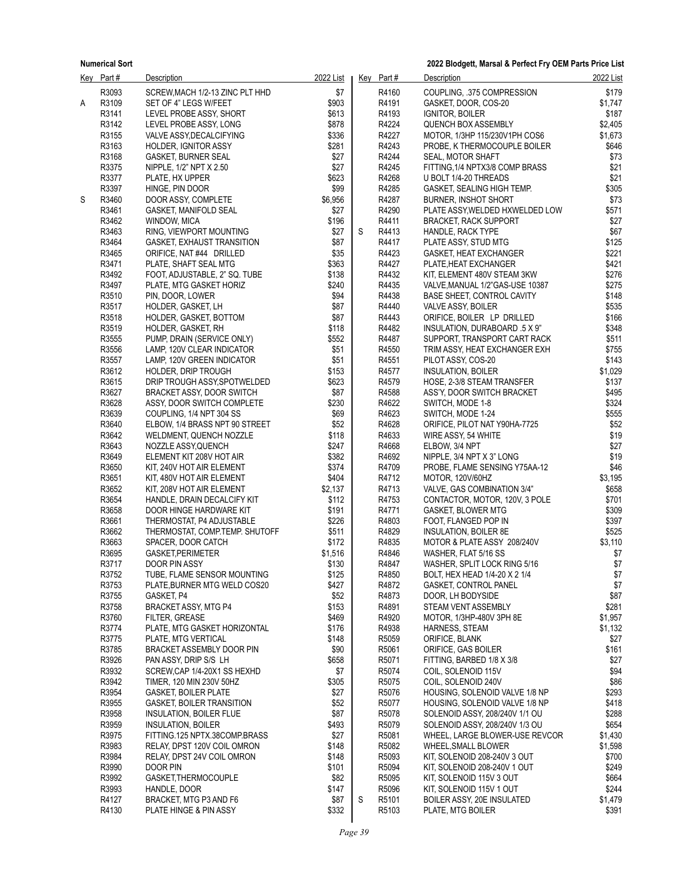**2022 Blodgett, Marsal & Perfect Fry OEM Parts Price List**

|   | Key Part#      | <b>Description</b>                               | 2022 List     |   | Key Part#      | Description                                                      | 2022 List      |
|---|----------------|--------------------------------------------------|---------------|---|----------------|------------------------------------------------------------------|----------------|
|   | R3093          | SCREW, MACH 1/2-13 ZINC PLT HHD                  | \$7           |   | R4160          | COUPLING, 375 COMPRESSION                                        | \$179          |
| Α | R3109          | SET OF 4" LEGS W/FEET                            | \$903         |   | R4191          | GASKET, DOOR, COS-20                                             | \$1,747        |
|   | R3141          | LEVEL PROBE ASSY, SHORT                          | \$613         |   | R4193          | IGNITOR, BOILER                                                  | \$187          |
|   | R3142          | LEVEL PROBE ASSY, LONG                           | \$878         |   | R4224          | QUENCH BOX ASSEMBLY                                              | \$2,405        |
|   | R3155          | VALVE ASSY, DECALCIFYING                         | \$336         |   | R4227          | MOTOR, 1/3HP 115/230V1PH COS6                                    | \$1,673        |
|   | R3163          | <b>HOLDER, IGNITOR ASSY</b>                      | \$281         |   | R4243          | PROBE, K THERMOCOUPLE BOILER                                     | \$646          |
|   | R3168          | <b>GASKET, BURNER SEAL</b>                       | \$27          |   | R4244          | SEAL, MOTOR SHAFT                                                | \$73           |
|   | R3375          | NIPPLE, 1/2" NPT X 2.50                          | \$27          |   | R4245          | FITTING, 1/4 NPTX3/8 COMP BRASS                                  | \$21           |
|   | R3377          | PLATE, HX UPPER                                  | \$623         |   | R4268          | U BOLT 1/4-20 THREADS                                            | \$21           |
|   | R3397          | HINGE, PIN DOOR                                  | \$99          |   | R4285          | GASKET, SEALING HIGH TEMP.                                       | \$305          |
| S | R3460          | DOOR ASSY, COMPLETE                              | \$6,956       |   | R4287          | <b>BURNER, INSHOT SHORT</b>                                      | \$73           |
|   | R3461          | GASKET, MANIFOLD SEAL                            | \$27          |   | R4290          | PLATE ASSY, WELDED HXWELDED LOW                                  | \$571          |
|   | R3462          | WINDOW, MICA                                     | \$196         |   | R4411          | <b>BRACKET, RACK SUPPORT</b>                                     | \$27           |
|   | R3463          | RING, VIEWPORT MOUNTING                          | \$27          | S | R4413          | HANDLE, RACK TYPE                                                | \$67           |
|   | R3464          | GASKET, EXHAUST TRANSITION                       | \$87          |   | R4417          | PLATE ASSY, STUD MTG                                             | \$125          |
|   | R3465          | ORIFICE, NAT #44 DRILLED                         | \$35          |   | R4423          | GASKET, HEAT EXCHANGER                                           | \$221          |
|   | R3471          | PLATE, SHAFT SEAL MTG                            | \$363         |   | R4427          | PLATE, HEAT EXCHANGER                                            | \$421          |
|   | R3492          | FOOT, ADJUSTABLE, 2" SQ. TUBE                    | \$138         |   | R4432          | KIT, ELEMENT 480V STEAM 3KW                                      | \$276          |
|   | R3497          | PLATE, MTG GASKET HORIZ                          | \$240         |   | R4435          | VALVE, MANUAL 1/2"GAS-USE 10387                                  | \$275          |
|   | R3510<br>R3517 | PIN, DOOR, LOWER                                 | \$94<br>\$87  |   | R4438<br>R4440 | BASE SHEET, CONTROL CAVITY<br>VALVE ASSY, BOILER                 | \$148<br>\$535 |
|   | R3518          | HOLDER, GASKET, LH<br>HOLDER, GASKET, BOTTOM     | \$87          |   | R4443          | ORIFICE, BOILER LP DRILLED                                       | \$166          |
|   | R3519          | HOLDER, GASKET, RH                               | \$118         |   | R4482          | INSULATION, DURABOARD .5 X 9"                                    | \$348          |
|   | R3555          | PUMP, DRAIN (SERVICE ONLY)                       | \$552         |   | R4487          | SUPPORT, TRANSPORT CART RACK                                     | \$511          |
|   | R3556          | LAMP, 120V CLEAR INDICATOR                       | \$51          |   | R4550          | TRIM ASSY, HEAT EXCHANGER EXH                                    | \$755          |
|   | R3557          | LAMP, 120V GREEN INDICATOR                       | \$51          |   | R4551          | PILOT ASSY, COS-20                                               | \$143          |
|   | R3612          | HOLDER, DRIP TROUGH                              | \$153         |   | R4577          | INSULATION, BOILER                                               | \$1,029        |
|   | R3615          | DRIP TROUGH ASSY, SPOTWELDED                     | \$623         |   | R4579          | HOSE, 2-3/8 STEAM TRANSFER                                       | \$137          |
|   | R3627          | BRACKET ASSY, DOOR SWITCH                        | \$87          |   | R4588          | ASS'Y, DOOR SWITCH BRACKET                                       | \$495          |
|   | R3628          | ASSY, DOOR SWITCH COMPLETE                       | \$230         |   | R4622          | SWITCH, MODE 1-8                                                 | \$324          |
|   | R3639          | COUPLING, 1/4 NPT 304 SS                         | \$69          |   | R4623          | SWITCH, MODE 1-24                                                | \$555          |
|   | R3640          | ELBOW, 1/4 BRASS NPT 90 STREET                   | \$52          |   | R4628          | ORIFICE, PILOT NAT Y90HA-7725                                    | \$52           |
|   | R3642          | WELDMENT, QUENCH NOZZLE                          | \$118         |   | R4633          | WIRE ASSY, 54 WHITE                                              | \$19           |
|   | R3643          | NOZZLE ASSY, QUENCH                              | \$247         |   | R4668          | ELBOW, 3/4 NPT                                                   | \$27           |
|   | R3649          | ELEMENT KIT 208V HOT AIR                         | \$382         |   | R4692          | NIPPLE, 3/4 NPT X 3" LONG                                        | \$19           |
|   | R3650          | KIT, 240V HOT AIR ELEMENT                        | \$374         |   | R4709          | PROBE, FLAME SENSING Y75AA-12                                    | \$46           |
|   | R3651          | KIT, 480V HOT AIR ELEMENT                        | \$404         |   | R4712          | MOTOR, 120V/60HZ                                                 | \$3,195        |
|   | R3652          | KIT, 208V HOT AIR ELEMENT                        | \$2,137       |   | R4713          | VALVE, GAS COMBINATION 3/4"                                      | \$658          |
|   | R3654          | HANDLE, DRAIN DECALCIFY KIT                      | \$112         |   | R4753          | CONTACTOR, MOTOR, 120V, 3 POLE                                   | \$701          |
|   | R3658          | DOOR HINGE HARDWARE KIT                          | \$191         |   | R4771          | GASKET, BLOWER MTG                                               | \$309          |
|   | R3661          | THERMOSTAT, P4 ADJUSTABLE                        | \$226         |   | R4803          | FOOT, FLANGED POP IN                                             | \$397          |
|   | R3662          | THERMOSTAT, COMP.TEMP. SHUTOFF                   | \$511         |   | R4829          | <b>INSULATION, BOILER 8E</b>                                     | \$525          |
|   | R3663          | SPACER, DOOR CATCH                               | \$172         |   | R4835          | MOTOR & PLATE ASSY 208/240V                                      | \$3,110        |
|   | R3695          | GASKET, PERIMETER                                | \$1,516       |   | R4846          | WASHER, FLAT 5/16 SS                                             | \$7            |
|   | R3717          | <b>DOOR PIN ASSY</b>                             | \$130         |   | R4847          | WASHER, SPLIT LOCK RING 5/16                                     | \$7            |
|   | R3752          | TUBE, FLAME SENSOR MOUNTING                      | \$125         |   | R4850          | BOLT, HEX HEAD 1/4-20 X 2 1/4                                    | \$7            |
|   | R3753          | PLATE, BURNER MTG WELD COS20                     | \$427         |   | R4872          | GASKET, CONTROL PANEL                                            | \$7            |
|   | R3755          | GASKET, P4                                       | \$52          |   | R4873          | DOOR, LH BODYSIDE                                                | \$87           |
|   | R3758          | <b>BRACKET ASSY, MTG P4</b>                      | \$153         |   | R4891          | STEAM VENT ASSEMBLY                                              | \$281          |
|   | R3760          | FILTER, GREASE                                   | \$469         |   | R4920          | MOTOR, 1/3HP-480V 3PH 8E                                         | \$1,957        |
|   | R3774          | PLATE, MTG GASKET HORIZONTAL                     | \$176         |   | R4938          | <b>HARNESS, STEAM</b>                                            | \$1,132        |
|   | R3775          | PLATE, MTG VERTICAL                              | \$148         |   | R5059          | ORIFICE, BLANK                                                   | \$27           |
|   | R3785          | BRACKET ASSEMBLY DOOR PIN                        | \$90          |   | R5061          | ORIFICE, GAS BOILER                                              | \$161          |
|   | R3926          | PAN ASSY, DRIP S/S LH                            | \$658         |   | R5071          | FITTING, BARBED 1/8 X 3/8                                        | \$27           |
|   | R3932          | SCREW, CAP 1/4-20X1 SS HEXHD                     | \$7           |   | R5074          | COIL, SOLENOID 115V                                              | \$94           |
|   | R3942          | TIMER. 120 MIN 230V 50HZ                         | \$305         |   | R5075          | COIL, SOLENOID 240V                                              | \$86           |
|   | R3954          | <b>GASKET, BOILER PLATE</b>                      | \$27          |   | R5076          | HOUSING, SOLENOID VALVE 1/8 NP                                   | \$293<br>\$418 |
|   | R3955          | GASKET, BOILER TRANSITION                        | \$52          |   | R5077          | HOUSING, SOLENOID VALVE 1/8 NP                                   |                |
|   | R3958<br>R3959 | INSULATION, BOILER FLUE                          | \$87<br>\$493 |   | R5078<br>R5079 | SOLENOID ASSY, 208/240V 1/1 OU<br>SOLENOID ASSY, 208/240V 1/3 OU | \$288<br>\$654 |
|   |                | INSULATION, BOILER                               |               |   | R5081          |                                                                  |                |
|   | R3975<br>R3983 | FITTING.125 NPTX.38COMP.BRASS                    | \$27<br>\$148 |   | R5082          | WHEEL, LARGE BLOWER-USE REVCOR                                   | \$1,430        |
|   |                | RELAY, DPST 120V COIL OMRON                      |               |   |                | WHEEL, SMALL BLOWER                                              | \$1,598        |
|   | R3984          | RELAY, DPST 24V COIL OMRON                       | \$148         |   | R5093<br>R5094 | KIT, SOLENOID 208-240V 3 OUT                                     | \$700<br>\$249 |
|   | R3990          | DOOR PIN                                         | \$101         |   |                | KIT, SOLENOID 208-240V 1 OUT                                     |                |
|   | R3992          | GASKET, THERMOCOUPLE                             | \$82          |   | R5095<br>R5096 | KIT, SOLENOID 115V 3 OUT                                         | \$664<br>\$244 |
|   | R3993<br>R4127 | HANDLE, DOOR                                     | \$147<br>\$87 | S | R5101          | KIT, SOLENOID 115V 1 OUT                                         | \$1,479        |
|   | R4130          | BRACKET, MTG P3 AND F6<br>PLATE HINGE & PIN ASSY | \$332         |   | R5103          | BOILER ASSY, 20E INSULATED<br>PLATE, MTG BOILER                  | \$391          |
|   |                |                                                  |               |   |                |                                                                  |                |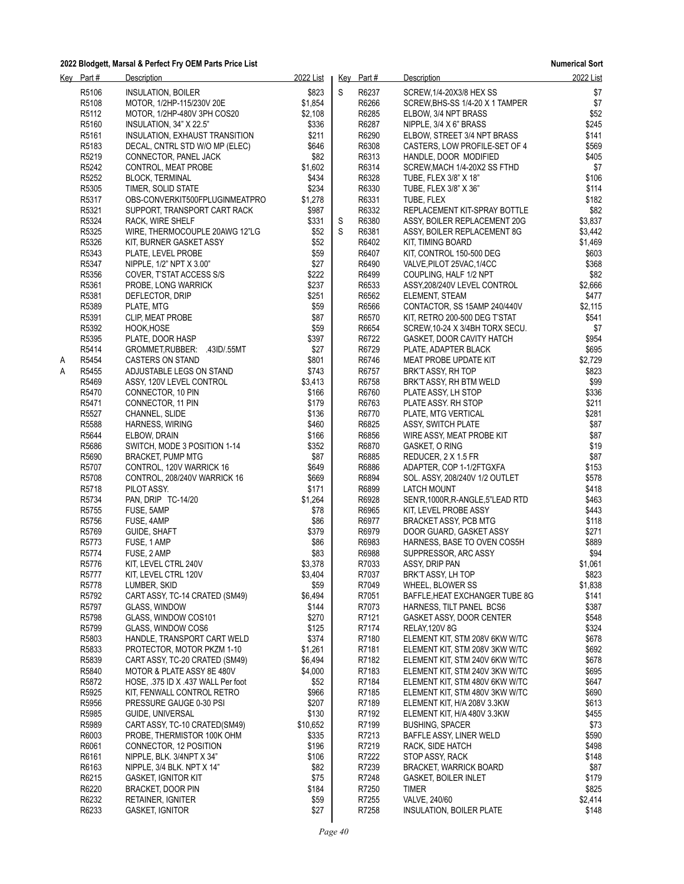|   | Key Part# | <b>Description</b>                 | 2022 List |   | Key Part# | <b>Description</b>                | 2022 List |
|---|-----------|------------------------------------|-----------|---|-----------|-----------------------------------|-----------|
|   | R5106     | <b>INSULATION, BOILER</b>          | \$823     | S | R6237     | SCREW, 1/4-20X3/8 HEX SS          | \$7       |
|   | R5108     | MOTOR, 1/2HP-115/230V 20E          | \$1,854   |   | R6266     | SCREW, BHS-SS 1/4-20 X 1 TAMPER   | \$7       |
|   | R5112     | MOTOR, 1/2HP-480V 3PH COS20        | \$2,108   |   | R6285     | ELBOW, 3/4 NPT BRASS              | \$52      |
|   | R5160     | INSULATION, 34" X 22.5"            | \$336     |   | R6287     | NIPPLE, 3/4 X 6" BRASS            | \$245     |
|   | R5161     | INSULATION, EXHAUST TRANSITION     | \$211     |   | R6290     | ELBOW, STREET 3/4 NPT BRASS       | \$141     |
|   | R5183     | DECAL, CNTRL STD W/O MP (ELEC)     | \$646     |   | R6308     | CASTERS, LOW PROFILE-SET OF 4     | \$569     |
|   | R5219     | CONNECTOR, PANEL JACK              | \$82      |   | R6313     | HANDLE, DOOR MODIFIED             | \$405     |
|   | R5242     | CONTROL, MEAT PROBE                | \$1,602   |   | R6314     | SCREW, MACH 1/4-20X2 SS FTHD      | \$7       |
|   | R5252     | <b>BLOCK, TERMINAL</b>             | \$434     |   | R6328     | TUBE, FLEX 3/8" X 18"             | \$106     |
|   | R5305     | TIMER, SOLID STATE                 | \$234     |   | R6330     | TUBE, FLEX 3/8" X 36"             | \$114     |
|   | R5317     | OBS-CONVERKIT500FPLUGINMEATPRO     | \$1,278   |   | R6331     | TUBE, FLEX                        | \$182     |
|   | R5321     | SUPPORT, TRANSPORT CART RACK       | \$987     |   | R6332     | REPLACEMENT KIT-SPRAY BOTTLE      | \$82      |
|   | R5324     | RACK, WIRE SHELF                   | \$331     | S | R6380     | ASSY, BOILER REPLACEMENT 20G      | \$3,837   |
|   | R5325     | WIRE, THERMOCOUPLE 20AWG 12"LG     | \$52      | S | R6381     | ASSY, BOILER REPLACEMENT 8G       | \$3,442   |
|   | R5326     | KIT, BURNER GASKET ASSY            | \$52      |   | R6402     | KIT, TIMING BOARD                 | \$1,469   |
|   | R5343     | PLATE, LEVEL PROBE                 | \$59      |   | R6407     | KIT, CONTROL 150-500 DEG          | \$603     |
|   | R5347     | NIPPLE, 1/2" NPT X 3.00"           | \$27      |   | R6490     | VALVE, PILOT 25VAC, 1/4CC         | \$368     |
|   | R5356     | COVER, T'STAT ACCESS S/S           | \$222     |   | R6499     | COUPLING, HALF 1/2 NPT            | \$82      |
|   | R5361     | PROBE, LONG WARRICK                | \$237     |   | R6533     | ASSY, 208/240V LEVEL CONTROL      | \$2,666   |
|   | R5381     | DEFLECTOR, DRIP                    | \$251     |   | R6562     | ELEMENT, STEAM                    | \$477     |
|   | R5389     | PLATE, MTG                         | \$59      |   | R6566     | CONTACTOR, SS 15AMP 240/440V      | \$2,115   |
|   | R5391     | CLIP, MEAT PROBE                   | \$87      |   | R6570     | KIT, RETRO 200-500 DEG T'STAT     | \$541     |
|   | R5392     | HOOK, HOSE                         | \$59      |   | R6654     | SCREW, 10-24 X 3/4BH TORX SECU.   | \$7       |
|   | R5395     | PLATE, DOOR HASP                   | \$397     |   | R6722     | GASKET, DOOR CAVITY HATCH         | \$954     |
|   | R5414     | GROMMET, RUBBER: .43ID/.55MT       | \$27      |   | R6729     | PLATE, ADAPTER BLACK              | \$695     |
| A | R5454     | CASTERS ON STAND                   | \$801     |   | R6746     | MEAT PROBE UPDATE KIT             | \$2,729   |
| A | R5455     | ADJUSTABLE LEGS ON STAND           | \$743     |   | R6757     | BRK'T ASSY, RH TOP                | \$823     |
|   | R5469     | ASSY, 120V LEVEL CONTROL           | \$3,413   |   | R6758     | BRK'T ASSY, RH BTM WELD           | \$99      |
|   | R5470     | CONNECTOR, 10 PIN                  | \$166     |   | R6760     | PLATE ASSY, LH STOP               | \$336     |
|   | R5471     | CONNECTOR, 11 PIN                  | \$179     |   | R6763     | PLATE ASSY. RH STOP               | \$211     |
|   | R5527     | CHANNEL, SLIDE                     | \$136     |   | R6770     | PLATE, MTG VERTICAL               | \$281     |
|   | R5588     | HARNESS, WIRING                    | \$460     |   | R6825     | ASSY, SWITCH PLATE                | \$87      |
|   | R5644     | ELBOW, DRAIN                       | \$166     |   | R6856     | WIRE ASSY, MEAT PROBE KIT         | \$87      |
|   | R5686     | SWITCH, MODE 3 POSITION 1-14       | \$352     |   | R6870     | GASKET, O RING                    | \$19      |
|   | R5690     | <b>BRACKET, PUMP MTG</b>           | \$87      |   | R6885     | REDUCER, 2 X 1.5 FR               | \$87      |
|   | R5707     | CONTROL, 120V WARRICK 16           | \$649     |   | R6886     | ADAPTER, COP 1-1/2FTGXFA          | \$153     |
|   | R5708     | CONTROL, 208/240V WARRICK 16       | \$669     |   | R6894     | SOL. ASSY, 208/240V 1/2 OUTLET    | \$578     |
|   | R5718     | PILOT ASSY.                        | \$171     |   | R6899     | LATCH MOUNT                       | \$418     |
|   | R5734     | PAN, DRIP TC-14/20                 | \$1,264   |   | R6928     | SEN'R, 1000R, R-ANGLE, 5"LEAD RTD | \$463     |
|   | R5755     | FUSE, 5AMP                         | \$78      |   | R6965     | KIT, LEVEL PROBE ASSY             | \$443     |
|   | R5756     | FUSE, 4AMP                         | \$86      |   | R6977     | BRACKET ASSY, PCB MTG             | \$118     |
|   | R5769     | GUIDE, SHAFT                       | \$379     |   | R6979     | DOOR GUARD, GASKET ASSY           | \$271     |
|   | R5773     | FUSE, 1 AMP                        | \$86      |   | R6983     | HARNESS, BASE TO OVEN COS5H       | \$889     |
|   | R5774     | FUSE, 2 AMP                        | \$83      |   | R6988     | SUPPRESSOR, ARC ASSY              | \$94      |
|   | R5776     | KIT, LEVEL CTRL 240V               | \$3,378   |   | R7033     | ASSY, DRIP PAN                    | \$1,061   |
|   | R5777     | KIT, LEVEL CTRL 120V               | \$3,404   |   | R7037     | BRK'T ASSY, LH TOP                | \$823     |
|   | R5778     | LUMBER, SKID                       | \$59      |   | R7049     | WHEEL, BLOWER SS                  | \$1,838   |
|   | R5792     | CART ASSY, TC-14 CRATED (SM49)     | \$6,494   |   | R7051     | BAFFLE, HEAT EXCHANGER TUBE 8G    | \$141     |
|   | R5797     | GLASS, WINDOW                      | \$144     |   | R7073     | HARNESS, TILT PANEL BCS6          | \$387     |
|   | R5798     | GLASS, WINDOW COS101               | \$270     |   | R7121     | GASKET ASSY, DOOR CENTER          | \$548     |
|   | R5799     | GLASS, WINDOW COS6                 | \$125     |   | R7174     | <b>RELAY, 120V 8G</b>             | \$324     |
|   | R5803     | HANDLE, TRANSPORT CART WELD        | \$374     |   | R7180     | ELEMENT KIT, STM 208V 6KW W/TC    | \$678     |
|   | R5833     | PROTECTOR, MOTOR PKZM 1-10         | \$1,261   |   | R7181     | ELEMENT KIT, STM 208V 3KW W/TC    | \$692     |
|   | R5839     | CART ASSY, TC-20 CRATED (SM49)     | \$6,494   |   | R7182     | ELEMENT KIT, STM 240V 6KW W/TC    | \$678     |
|   | R5840     | MOTOR & PLATE ASSY 8E 480V         | \$4,000   |   | R7183     | ELEMENT KIT, STM 240V 3KW W/TC    | \$695     |
|   | R5872     | HOSE, .375 ID X .437 WALL Per foot | \$52      |   | R7184     | ELEMENT KIT, STM 480V 6KW W/TC    | \$647     |
|   | R5925     | KIT, FENWALL CONTROL RETRO         | \$966     |   | R7185     | ELEMENT KIT, STM 480V 3KW W/TC    | \$690     |
|   | R5956     | PRESSURE GAUGE 0-30 PSI            | \$207     |   | R7189     | ELEMENT KIT, H/A 208V 3.3KW       | \$613     |
|   | R5985     | GUIDE, UNIVERSAL                   | \$130     |   | R7192     | ELEMENT KIT, H/A 480V 3.3KW       | \$455     |
|   | R5989     | CART ASSY, TC-10 CRATED(SM49)      | \$10,652  |   | R7199     | <b>BUSHING, SPACER</b>            | \$73      |
|   | R6003     | PROBE, THERMISTOR 100K OHM         | \$335     |   | R7213     | BAFFLE ASSY, LINER WELD           | \$590     |
|   | R6061     | CONNECTOR, 12 POSITION             | \$196     |   | R7219     | RACK, SIDE HATCH                  | \$498     |
|   | R6161     | NIPPLE, BLK. 3/4NPT X 34"          | \$106     |   | R7222     | STOP ASSY, RACK                   | \$148     |
|   | R6163     | NIPPLE, 3/4 BLK. NPT X 14"         | \$82      |   | R7239     | <b>BRACKET, WARRICK BOARD</b>     | \$87      |
|   | R6215     | <b>GASKET, IGNITOR KIT</b>         | \$75      |   | R7248     | <b>GASKET, BOILER INLET</b>       | \$179     |
|   | R6220     | BRACKET, DOOR PIN                  | \$184     |   | R7250     | TIMER                             | \$825     |
|   | R6232     | RETAINER, IGNITER                  | \$59      |   | R7255     | VALVE, 240/60                     | \$2,414   |
|   | R6233     | <b>GASKET, IGNITOR</b>             | \$27      |   | R7258     | <b>INSULATION, BOILER PLATE</b>   | \$148     |
|   |           |                                    |           |   |           |                                   |           |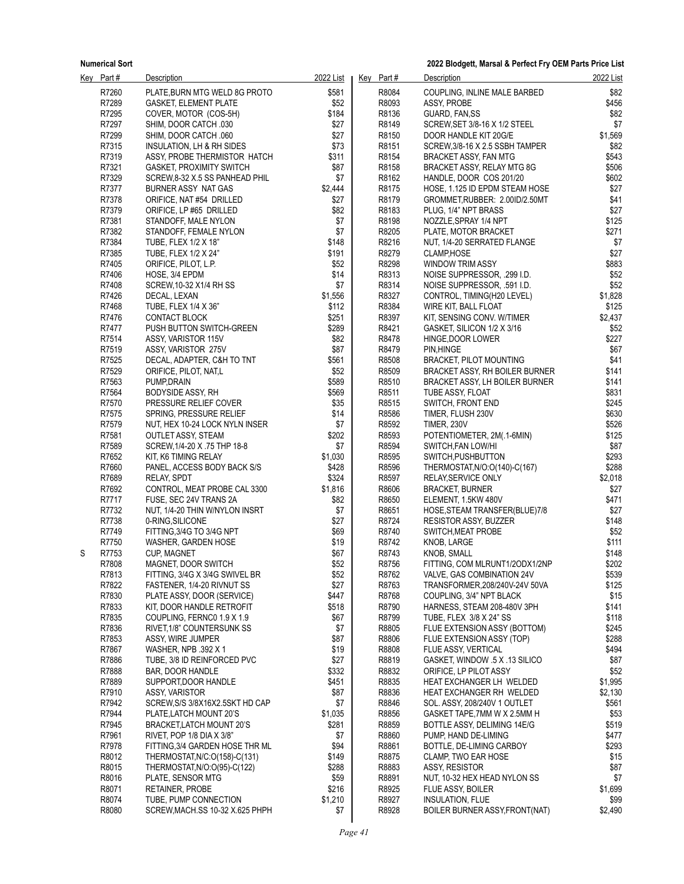**2022 Blodgett, Marsal & Perfect Fry OEM Parts Price List**

|   | Key Part# | <b>Description</b>              | 2022 List | Key Part# | Description                                            | 2022 List |
|---|-----------|---------------------------------|-----------|-----------|--------------------------------------------------------|-----------|
|   | R7260     | PLATE, BURN MTG WELD 8G PROTO   | \$581     | R8084     | COUPLING, INLINE MALE BARBED                           | \$82      |
|   | R7289     | <b>GASKET, ELEMENT PLATE</b>    | \$52      | R8093     | ASSY, PROBE                                            | \$456     |
|   | R7295     | COVER, MOTOR (COS-5H)           | \$184     | R8136     | GUARD, FAN.SS                                          | \$82      |
|   | R7297     | SHIM, DOOR CATCH .030           | \$27      | R8149     | SCREW, SET 3/8-16 X 1/2 STEEL                          | \$7       |
|   | R7299     | SHIM, DOOR CATCH .060           | \$27      | R8150     | DOOR HANDLE KIT 20G/E                                  | \$1,569   |
|   | R7315     | INSULATION, LH & RH SIDES       | \$73      | R8151     | SCREW, 3/8-16 X 2.5 SSBH TAMPER                        | \$82      |
|   | R7319     | ASSY, PROBE THERMISTOR HATCH    | \$311     | R8154     | BRACKET ASSY, FAN MTG                                  | \$543     |
|   | R7321     | <b>GASKET, PROXIMITY SWITCH</b> | \$87      | R8158     | BRACKET ASSY, RELAY MTG 8G                             | \$506     |
|   | R7329     | SCREW, 8-32 X.5 SS PANHEAD PHIL | \$7       | R8162     | HANDLE, DOOR COS 201/20                                | \$602     |
|   | R7377     | BURNER ASSY NAT GAS             | \$2,444   | R8175     | HOSE, 1.125 ID EPDM STEAM HOSE                         | \$27      |
|   | R7378     |                                 | \$27      | R8179     |                                                        | \$41      |
|   | R7379     | ORIFICE, NAT #54 DRILLED        | \$82      | R8183     | GROMMET, RUBBER: 2.00ID/2.50MT<br>PLUG, 1/4" NPT BRASS | \$27      |
|   |           | ORIFICE, LP #65 DRILLED         | \$7       |           |                                                        | \$125     |
|   | R7381     | STANDOFF, MALE NYLON            | \$7       | R8198     | NOZZLE, SPRAY 1/4 NPT                                  |           |
|   | R7382     | STANDOFF, FEMALE NYLON          |           | R8205     | PLATE, MOTOR BRACKET                                   | \$271     |
|   | R7384     | TUBE, FLEX 1/2 X 18"            | \$148     | R8216     | NUT, 1/4-20 SERRATED FLANGE                            | \$7       |
|   | R7385     | TUBE, FLEX 1/2 X 24"            | \$191     | R8279     | CLAMP, HOSE                                            | \$27      |
|   | R7405     | ORIFICE, PILOT, L.P.            | \$52      | R8298     | <b>WINDOW TRIM ASSY</b>                                | \$883     |
|   | R7406     | HOSE, 3/4 EPDM                  | \$14      | R8313     | NOISE SUPPRESSOR, .299 I.D.                            | \$52      |
|   | R7408     | SCREW, 10-32 X1/4 RH SS         | \$7       | R8314     | NOISE SUPPRESSOR, .591 I.D.                            | \$52      |
|   | R7426     | DECAL, LEXAN                    | \$1,556   | R8327     | CONTROL, TIMING(H20 LEVEL)                             | \$1,828   |
|   | R7468     | TUBE, FLEX 1/4 X 36"            | \$112     | R8384     | WIRE KIT, BALL FLOAT                                   | \$125     |
|   | R7476     | CONTACT BLOCK                   | \$251     | R8397     | KIT, SENSING CONV. W/TIMER                             | \$2,437   |
|   | R7477     | PUSH BUTTON SWITCH-GREEN        | \$289     | R8421     | GASKET, SILICON 1/2 X 3/16                             | \$52      |
|   | R7514     | ASSY, VARISTOR 115V             | \$82      | R8478     | HINGE, DOOR LOWER                                      | \$227     |
|   | R7519     | ASSY, VARISTOR 275V             | \$87      | R8479     | PIN, HINGE                                             | \$67      |
|   | R7525     | DECAL, ADAPTER, C&H TO TNT      | \$561     | R8508     | <b>BRACKET, PILOT MOUNTING</b>                         | \$41      |
|   | R7529     | ORIFICE, PILOT, NAT,L           | \$52      | R8509     | BRACKET ASSY, RH BOILER BURNER                         | \$141     |
|   | R7563     | PUMP, DRAIN                     | \$589     | R8510     | BRACKET ASSY, LH BOILER BURNER                         | \$141     |
|   | R7564     | <b>BODYSIDE ASSY, RH</b>        | \$569     | R8511     | TUBE ASSY, FLOAT                                       | \$831     |
|   | R7570     | PRESSURE RELIEF COVER           | \$35      | R8515     | SWITCH, FRONT END                                      | \$245     |
|   | R7575     | SPRING, PRESSURE RELIEF         | \$14      | R8586     | TIMER, FLUSH 230V                                      | \$630     |
|   | R7579     | NUT, HEX 10-24 LOCK NYLN INSER  | \$7       | R8592     | <b>TIMER, 230V</b>                                     | \$526     |
|   | R7581     | <b>OUTLET ASSY, STEAM</b>       | \$202     | R8593     | POTENTIOMETER, 2M(.1-6MIN)                             | \$125     |
|   | R7589     | SCREW, 1/4-20 X .75 THP 18-8    | \$7       | R8594     | SWITCH, FAN LOW/HI                                     | \$87      |
|   | R7652     | KIT, K6 TIMING RELAY            | \$1,030   | R8595     | SWITCH, PUSHBUTTON                                     | \$293     |
|   | R7660     | PANEL, ACCESS BODY BACK S/S     | \$428     | R8596     | THERMOSTAT, N/O: O(140)-C(167)                         | \$288     |
|   | R7689     | <b>RELAY, SPDT</b>              | \$324     | R8597     | RELAY, SERVICE ONLY                                    | \$2,018   |
|   | R7692     | CONTROL, MEAT PROBE CAL 3300    | \$1,816   | R8606     | <b>BRACKET, BURNER</b>                                 | \$27      |
|   | R7717     | FUSE, SEC 24V TRANS 2A          | \$82      | R8650     | ELEMENT, 1.5KW 480V                                    | \$471     |
|   | R7732     | NUT, 1/4-20 THIN W/NYLON INSRT  | \$7       | R8651     | HOSE, STEAM TRANSFER(BLUE)7/8                          | \$27      |
|   | R7738     | 0-RING, SILICONE                | \$27      | R8724     | <b>RESISTOR ASSY, BUZZER</b>                           | \$148     |
|   | R7749     | FITTING, 3/4G TO 3/4G NPT       | \$69      | R8740     | SWITCH, MEAT PROBE                                     | \$52      |
|   | R7750     | WASHER, GARDEN HOSE             | \$19      | R8742     | KNOB, LARGE                                            | \$111     |
| S | R7753     |                                 | \$67      | R8743     | KNOB, SMALL                                            | \$148     |
|   |           | <b>CUP, MAGNET</b>              |           |           |                                                        |           |
|   | R7808     | MAGNET, DOOR SWITCH             | \$52      | R8756     | FITTING, COM MLRUNT1/2ODX1/2NP                         | \$202     |
|   | R7813     | FITTING, 3/4G X 3/4G SWIVEL BR  | \$52      | R8762     | VALVE, GAS COMBINATION 24V                             | \$539     |
|   | R7822     | FASTENER, 1/4-20 RIVNUT SS      | \$27      | R8763     | TRANSFORMER, 208/240V-24V 50VA                         | \$125     |
|   | R7830     | PLATE ASSY, DOOR (SERVICE)      | \$447     | R8768     | COUPLING, 3/4" NPT BLACK                               | \$15      |
|   | R7833     | KIT, DOOR HANDLE RETROFIT       | \$518     | R8790     | HARNESS, STEAM 208-480V 3PH                            | \$141     |
|   | R7835     | COUPLING, FERNC0 1.9 X 1.9      | \$67      | R8799     | TUBE, FLEX 3/8 X 24" SS                                | \$118     |
|   | R7836     | RIVET, 1/8" COUNTERSUNK SS      | \$7       | R8805     | FLUE EXTENSION ASSY (BOTTOM)                           | \$245     |
|   | R7853     | ASSY, WIRE JUMPER               | \$87      | R8806     | FLUE EXTENSION ASSY (TOP)                              | \$288     |
|   | R7867     | WASHER, NPB .392 X 1            | \$19      | R8808     | FLUE ASSY, VERTICAL                                    | \$494     |
|   | R7886     | TUBE, 3/8 ID REINFORCED PVC     | \$27      | R8819     | GASKET, WINDOW .5 X .13 SILICO                         | \$87      |
|   | R7888     | <b>BAR, DOOR HANDLE</b>         | \$332     | R8832     | ORIFICE, LP PILOT ASSY                                 | \$52      |
|   | R7889     | SUPPORT, DOOR HANDLE            | \$451     | R8835     | HEAT EXCHANGER LH WELDED                               | \$1,995   |
|   | R7910     | ASSY, VARISTOR                  | \$87      | R8836     | HEAT EXCHANGER RH WELDED                               | \$2,130   |
|   | R7942     | SCREW, S/S 3/8X16X2.5SKT HD CAP | \$7       | R8846     | SOL. ASSY, 208/240V 1 OUTLET                           | \$561     |
|   | R7944     | PLATE, LATCH MOUNT 20'S         | \$1,035   | R8856     | GASKET TAPE, 7MM W X 2.5MM H                           | \$53      |
|   | R7945     | BRACKET, LATCH MOUNT 20'S       | \$281     | R8859     | BOTTLE ASSY, DELIMING 14E/G                            | \$519     |
|   | R7961     | RIVET, POP 1/8 DIA X 3/8"       | \$7       | R8860     | PUMP, HAND DE-LIMING                                   | \$477     |
|   | R7978     | FITTING, 3/4 GARDEN HOSE THR ML | \$94      | R8861     | BOTTLE, DE-LIMING CARBOY                               | \$293     |
|   | R8012     | THERMOSTAT, N/C: O(158)-C(131)  | \$149     | R8875     | CLAMP, TWO EAR HOSE                                    | \$15      |
|   | R8015     | THERMOSTAT, N/O:O(95)-C(122)    | \$288     | R8883     | ASSY, RESISTOR                                         | \$87      |
|   | R8016     | PLATE, SENSOR MTG               | \$59      | R8891     | NUT, 10-32 HEX HEAD NYLON SS                           | \$7       |
|   | R8071     | RETAINER, PROBE                 | \$216     | R8925     | FLUE ASSY, BOILER                                      | \$1,699   |
|   | R8074     | TUBE, PUMP CONNECTION           | \$1,210   | R8927     | INSULATION, FLUE                                       | \$99      |
|   | R8080     | SCREW, MACH.SS 10-32 X.625 PHPH | \$7       | R8928     | BOILER BURNER ASSY, FRONT (NAT)                        | \$2,490   |
|   |           |                                 |           |           |                                                        |           |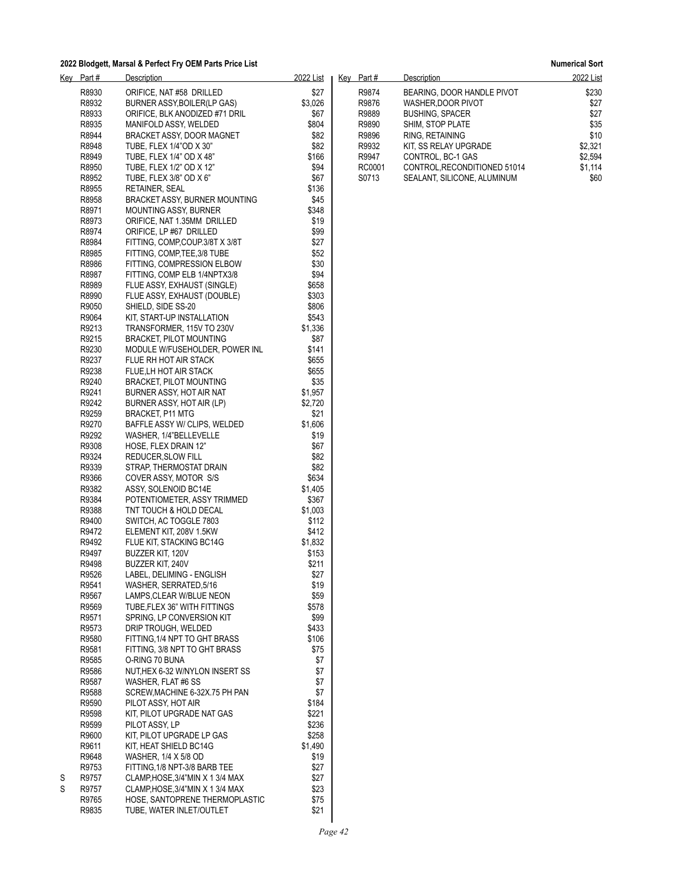| <u>Key</u> | <u>Part #</u>  | <u>Description</u>                                      | <u>2022 List</u> |  |
|------------|----------------|---------------------------------------------------------|------------------|--|
|            | R8930          | ORIFICE. NAT #58 DRILLED                                | \$27             |  |
|            | R8932          | BURNER ASSY, BOILER (LP GAS)                            | \$3,026          |  |
|            | R8933          | ORIFICE, BLK ANODIZED #71 DRIL                          | \$67             |  |
|            | R8935          | MANIFOLD ASSY, WELDED                                   | \$804            |  |
|            | R8944          | BRACKET ASSY, DOOR MAGNET                               | \$82             |  |
|            | R8948          | TUBE. FLEX 1/4"OD X 30"                                 | \$82             |  |
|            | R8949          | TUBE, FLEX 1/4" OD X 48"                                | \$166            |  |
|            | R8950          | TUBE, FLEX 1/2" OD X 12"                                | \$94             |  |
|            | R8952          | TUBE, FLEX 3/8" OD X 6"                                 | \$67             |  |
|            | R8955          | RETAINER, SEAL                                          | \$136            |  |
|            | R8958          | BRACKET ASSY, BURNER MOUNTING                           | \$45             |  |
|            | R8971          | MOUNTING ASSY, BURNER                                   | \$348            |  |
|            | R8973          | ORIFICE, NAT 1.35MM DRILLED                             | \$19             |  |
|            | R8974          | ORIFICE, LP #67 DRILLED                                 | \$99             |  |
|            | R8984          | FITTING, COMP, COUP.3/8T X 3/8T                         | \$27             |  |
|            | R8985          | FITTING, COMP, TEE, 3/8 TUBE                            | \$52             |  |
|            | R8986          | FITTING, COMPRESSION ELBOW                              | \$30             |  |
|            | R8987          | FITTING, COMP ELB 1/4NPTX3/8                            | \$94             |  |
|            | R8989          | FLUE ASSY, EXHAUST (SINGLE)                             | \$658            |  |
|            | R8990          | FLUE ASSY, EXHAUST (DOUBLE)                             | \$303            |  |
|            | R9050          | SHIELD, SIDE SS-20                                      | \$806            |  |
|            | R9064          | KIT, START-UP INSTALLATION                              | \$543            |  |
|            | R9213          | TRANSFORMER, 115V TO 230V                               | \$1,336          |  |
|            | R9215          | <b>BRACKET, PILOT MOUNTING</b>                          | \$87             |  |
|            | R9230          | MODULE W/FUSEHOLDER, POWER INL                          | \$141            |  |
|            | R9237          | FLUE RH HOT AIR STACK                                   | \$655            |  |
|            | R9238          | FLUE, LH HOT AIR STACK                                  | \$655            |  |
|            | R9240          | <b>BRACKET, PILOT MOUNTING</b>                          | \$35             |  |
|            | R9241          | BURNER ASSY, HOT AIR NAT                                | \$1,957          |  |
|            | R9242          | BURNER ASSY, HOT AIR (LP)                               | \$2,720<br>\$21  |  |
|            | R9259<br>R9270 | <b>BRACKET, P11 MTG</b><br>BAFFLE ASSY W/ CLIPS, WELDED | \$1,606          |  |
|            | R9292          | WASHER, 1/4"BELLEVELLE                                  | \$19             |  |
|            | R9308          | HOSE, FLEX DRAIN 12"                                    | \$67             |  |
|            | R9324          | REDUCER, SLOW FILL                                      | \$82             |  |
|            | R9339          | STRAP, THERMOSTAT DRAIN                                 | \$82             |  |
|            | R9366          | COVER ASSY, MOTOR S/S                                   | \$634            |  |
|            | R9382          | ASSY, SOLENOID BC14E                                    | \$1,405          |  |
|            | R9384          | POTENTIOMETER, ASSY TRIMMED                             | \$367            |  |
|            | R9388          | TNT TOUCH & HOLD DECAL                                  | \$1,003          |  |
|            | R9400          | SWITCH, AC TOGGLE 7803                                  | \$112            |  |
|            | R9472          | ELEMENT KIT, 208V 1.5KW                                 | \$412            |  |
|            | R9492          | FLUE KIT, STACKING BC14G                                | \$1,832          |  |
|            | R9497          | BUZZER KIT, 120V                                        | \$153            |  |
|            | R9498          | BUZZER KIT, 240V                                        | \$211            |  |
|            | R9526          | LABEL, DELIMING - ENGLISH                               | \$27             |  |
|            | R9541          | WASHER, SERRATED, 5/16                                  | \$19             |  |
|            | R9567          | LAMPS, CLEAR W/BLUE NEON                                | \$59             |  |
|            | R9569          | TUBE, FLEX 36" WITH FITTINGS                            | \$578            |  |
|            | R9571          | SPRING, LP CONVERSION KIT                               | \$99             |  |
|            | R9573          | DRIP TROUGH, WELDED                                     | \$433            |  |
|            | R9580          | FITTING 1/4 NPT TO GHT BRASS                            | \$106            |  |
|            | R9581          | FITTING, 3/8 NPT TO GHT BRASS                           | \$75             |  |
|            | R9585          | O-RING 70 BUNA                                          | \$7              |  |
|            | R9586          | NUTHEX 6-32 W/NYLON INSERT SS<br>WASHER, FLAT #6 SS     | \$7              |  |
|            | R9587<br>R9588 | SCREW, MACHINE 6-32X.75 PH PAN                          | \$7<br>\$7       |  |
|            | R9590          | PILOT ASSY, HOT AIR                                     | \$184            |  |
|            | R9598          | KIT, PILOT UPGRADE NAT GAS                              | \$221            |  |
|            | R9599          | PILOT ASSY, LP                                          | \$236            |  |
|            | R9600          | KIT, PILOT UPGRADE LP GAS                               | \$258            |  |
|            | R9611          | KIT, HEAT SHIELD BC14G                                  | \$1,490          |  |
|            | R9648          | WASHER, 1/4 X 5/8 OD                                    | \$19             |  |
|            | R9753          | FITTING, 1/8 NPT-3/8 BARB TEE                           | \$27             |  |
| S          | R9757          | CLAMP, HOSE, 3/4"MIN X 1 3/4 MAX                        | \$27             |  |
| S          | R9757          | CLAMP, HOSE, 3/4"MIN X 1 3/4 MAX                        | \$23             |  |
|            | R9765          | HOSE, SANTOPRENE THERMOPLASTIC                          | \$75             |  |
|            | R9835          | TUBE, WATER INLET/OUTLET                                | \$21             |  |
|            |                |                                                         |                  |  |

| Kev | Part#  | Description                 | 2022 List |
|-----|--------|-----------------------------|-----------|
|     | R9874  | BEARING. DOOR HANDLE PIVOT  | \$230     |
|     | R9876  | WASHER DOOR PIVOT           | \$27      |
|     | R9889  | <b>BUSHING, SPACER</b>      | \$27      |
|     | R9890  | SHIM, STOP PLATE            | \$35      |
|     | R9896  | RING. RETAINING             | \$10      |
|     | R9932  | KIT. SS RELAY UPGRADE       | \$2.321   |
|     | R9947  | CONTROL, BC-1 GAS           | \$2.594   |
|     | RC0001 | CONTROL.RECONDITIONED 51014 | \$1.114   |
|     | S0713  | SEALANT, SILICONE, ALUMINUM | \$60      |
|     |        |                             |           |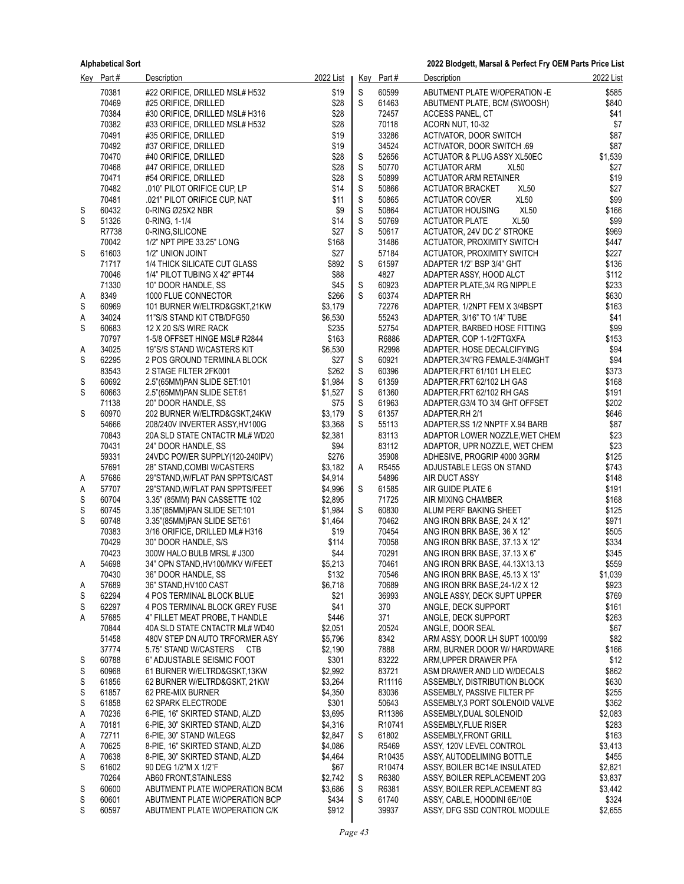|        | Key Part#      | Description                                                   | 2022 List          | <u>Key</u>       | Part#                       | Description                                                     | 2022 List      |
|--------|----------------|---------------------------------------------------------------|--------------------|------------------|-----------------------------|-----------------------------------------------------------------|----------------|
|        | 70381          | #22 ORIFICE, DRILLED MSL# H532                                | \$19               | S                | 60599                       | ABUTMENT PLATE W/OPERATION -E                                   | \$585          |
|        | 70469          | #25 ORIFICE, DRILLED                                          | \$28               | $\mathsf S$      | 61463                       | ABUTMENT PLATE, BCM (SWOOSH)                                    | \$840          |
|        | 70384          | #30 ORIFICE, DRILLED MSL# H316                                | \$28               |                  | 72457                       | ACCESS PANEL, CT                                                | \$41           |
|        | 70382          | #33 ORIFICE, DRILLED MSL# H532                                | \$28               |                  | 70118                       | ACORN NUT, 10-32                                                | \$7            |
|        | 70491          | #35 ORIFICE, DRILLED                                          | \$19               |                  | 33286                       | ACTIVATOR, DOOR SWITCH                                          | \$87           |
|        | 70492          | #37 ORIFICE, DRILLED                                          | \$19               |                  | 34524                       | ACTIVATOR, DOOR SWITCH .69                                      | \$87           |
|        | 70470          | #40 ORIFICE, DRILLED                                          | \$28               | S                | 52656                       | ACTUATOR & PLUG ASSY XL50EC                                     | \$1,539        |
|        | 70468          | #47 ORIFICE, DRILLED                                          | \$28<br>\$28       | S                | 50770<br>50899              | <b>XL50</b><br><b>ACTUATOR ARM</b>                              | \$27<br>\$19   |
|        | 70471<br>70482 | #54 ORIFICE, DRILLED<br>.010" PILOT ORIFICE CUP, LP           | \$14               | S<br>$\mathsf S$ | 50866                       | ACTUATOR ARM RETAINER<br><b>XL50</b><br><b>ACTUATOR BRACKET</b> | \$27           |
|        | 70481          | .021" PILOT ORIFICE CUP, NAT                                  | \$11               | $\mathbb S$      | 50865                       | XL <sub>50</sub><br><b>ACTUATOR COVER</b>                       | \$99           |
| S      | 60432          | 0-RING Ø25X2 NBR                                              | \$9                | S                | 50864                       | <b>XL50</b><br><b>ACTUATOR HOUSING</b>                          | \$166          |
| S      | 51326          | 0-RING, 1-1/4                                                 | \$14               | S                | 50769                       | <b>XL50</b><br><b>ACTUATOR PLATE</b>                            | \$99           |
|        | R7738          | 0-RING, SILICONE                                              | \$27               | S                | 50617                       | ACTUATOR, 24V DC 2" STROKE                                      | \$969          |
|        | 70042          | 1/2" NPT PIPE 33.25" LONG                                     | \$168              |                  | 31486                       | ACTUATOR, PROXIMITY SWITCH                                      | \$447          |
| S      | 61603          | 1/2" UNION JOINT                                              | \$27               |                  | 57184                       | <b>ACTUATOR, PROXIMITY SWITCH</b>                               | \$227          |
|        | 71717          | 1/4 THICK SILICATE CUT GLASS                                  | \$892              | S                | 61597                       | ADAPTER 1/2" BSP 3/4" GHT                                       | \$136          |
|        | 70046          | 1/4" PILOT TUBING X 42" #PT44                                 | \$88               |                  | 4827                        | ADAPTER ASSY, HOOD ALCT                                         | \$112          |
|        | 71330          | 10" DOOR HANDLE, SS                                           | \$45               | S                | 60923                       | ADAPTER PLATE, 3/4 RG NIPPLE                                    | \$233          |
| A      | 8349           | 1000 FLUE CONNECTOR                                           | \$266              | S                | 60374                       | ADAPTER RH                                                      | \$630          |
| S      | 60969          | 101 BURNER W/ELTRD&GSKT,21KW                                  | \$3,179            |                  | 72276                       | ADAPTER, 1/2NPT FEM X 3/4BSPT                                   | \$163          |
| Α<br>S | 34024<br>60683 | 11"S/S STAND KIT CTB/DFG50<br>12 X 20 S/S WIRE RACK           | \$6,530<br>\$235   |                  | 55243<br>52754              | ADAPTER, 3/16" TO 1/4" TUBE<br>ADAPTER, BARBED HOSE FITTING     | \$41<br>\$99   |
|        | 70797          | 1-5/8 OFFSET HINGE MSL# R2844                                 | \$163              |                  | R6886                       | ADAPTER, COP 1-1/2FTGXFA                                        | \$153          |
| A      | 34025          | 19"S/S STAND W/CASTERS KIT                                    | \$6,530            |                  | R2998                       | ADAPTER, HOSE DECALCIFYING                                      | \$94           |
| S      | 62295          | 2 POS GROUND TERMINLA BLOCK                                   | \$27               | S                | 60921                       | ADAPTER, 3/4"RG FEMALE-3/4MGHT                                  | \$94           |
|        | 83543          | 2 STAGE FILTER 2FK001                                         | \$262              | $\mathsf S$      | 60396                       | ADAPTER, FRT 61/101 LH ELEC                                     | \$373          |
| S      | 60692          | 2.5" (65MM) PAN SLIDE SET:101                                 | \$1,984            | S                | 61359                       | ADAPTER FRT 62/102 LH GAS                                       | \$168          |
| S      | 60663          | 2.5"(65MM)PAN SLIDE SET:61                                    | \$1,527            | S                | 61360                       | ADAPTER, FRT 62/102 RH GAS                                      | \$191          |
|        | 71138          | 20" DOOR HANDLE, SS                                           | \$75               | $\mathsf S$      | 61963                       | ADAPTER, G3/4 TO 3/4 GHT OFFSET                                 | \$202          |
| S      | 60970          | 202 BURNER W/ELTRD&GSKT,24KW                                  | \$3,179            | $\mathsf S$      | 61357                       | ADAPTER, RH 2/1                                                 | \$646          |
|        | 54666          | 208/240V INVERTER ASSY, HV100G                                | \$3,368            | S                | 55113                       | ADAPTER, SS 1/2 NNPTF X.94 BARB                                 | \$87           |
|        | 70843          | 20A SLD STATE CNTACTR ML# WD20                                | \$2,381            |                  | 83113                       | ADAPTOR LOWER NOZZLE, WET CHEM                                  | \$23           |
|        | 70431          | 24" DOOR HANDLE, SS                                           | \$94               |                  | 83112                       | ADAPTOR, UPR NOZZLE, WET CHEM                                   | \$23           |
|        | 59331<br>57691 | 24VDC POWER SUPPLY(120-240IPV)                                | \$276              |                  | 35908                       | ADHESIVE, PROGRIP 4000 3GRM                                     | \$125          |
| A      | 57686          | 28" STAND, COMBI W/CASTERS<br>29"STAND, W/FLAT PAN SPPTS/CAST | \$3,182<br>\$4,914 | Α                | R5455<br>54896              | ADJUSTABLE LEGS ON STAND<br>AIR DUCT ASSY                       | \$743<br>\$148 |
| A      | 57707          | 29"STAND, W/FLAT PAN SPPTS/FEET                               | \$4,996            | S                | 61585                       | AIR GUIDE PLATE 6                                               | \$191          |
| S      | 60704          | 3.35" (85MM) PAN CASSETTE 102                                 | \$2,895            |                  | 71725                       | AIR MIXING CHAMBER                                              | \$168          |
| S      | 60745          | 3.35"(85MM)PAN SLIDE SET.101                                  | \$1,984            | S                | 60830                       | ALUM PERF BAKING SHEET                                          | \$125          |
| S      | 60748          | 3.35"(85MM)PAN SLIDE SET.61                                   | \$1,464            |                  | 70462                       | ANG IRON BRK BASE, 24 X 12"                                     | \$971          |
|        | 70383          | 3/16 ORIFICE, DRILLED ML# H316                                | \$19               |                  | 70454                       | ANG IRON BRK BASE, 36 X 12"                                     | \$505          |
|        | 70429          | 30" DOOR HANDLE, S/S                                          | \$114              |                  | 70058                       | ANG IRON BRK BASE, 37.13 X 12"                                  | \$334          |
|        | 70423          | 300W HALO BULB MRSL # J300                                    | \$44               |                  | 70291                       | ANG IRON BRK BASE, 37.13 X 6"                                   | \$345          |
| A      | 54698          | 34" OPN STAND, HV100/MKV W/FEET                               | \$5,213            |                  | 70461                       | ANG IRON BRK BASE, 44.13X13.13                                  | \$559          |
|        | 70430          | 36" DOOR HANDLE, SS                                           | \$132              |                  | 70546                       | ANG IRON BRK BASE, 45.13 X 13"                                  | \$1,039        |
| A      | 57689<br>62294 | 36" STAND, HV100 CAST                                         | \$6,718<br>\$21    |                  | 70689<br>36993              | ANG IRON BRK BASE, 24-1/2 X 12<br>ANGLE ASSY, DECK SUPT UPPER   | \$923<br>\$769 |
| S<br>S | 62297          | 4 POS TERMINAL BLOCK BLUE<br>4 POS TERMINAL BLOCK GREY FUSE   | \$41               |                  | 370                         | ANGLE, DECK SUPPORT                                             | \$161          |
| Α      | 57685          | 4" FILLET MEAT PROBE, T HANDLE                                | \$446              |                  | 371                         | ANGLE, DECK SUPPORT                                             | \$263          |
|        | 70844          | 40A SLD STATE CNTACTR ML# WD40                                | \$2,051            |                  | 20524                       | ANGLE, DOOR SEAL                                                | \$67           |
|        | 51458          | 480V STEP DN AUTO TRFORMER ASY                                | \$5,796            |                  | 8342                        | ARM ASSY, DOOR LH SUPT 1000/99                                  | \$82           |
|        | 37774          | 5.75" STAND W/CASTERS CTB                                     | \$2,190            |                  | 7888                        | ARM, BURNER DOOR W/ HARDWARE                                    | \$166          |
| S      | 60788          | 6" ADJUSTABLE SEISMIC FOOT                                    | \$301              |                  | 83222                       | ARM, UPPER DRAWER PFA                                           | \$12           |
| S      | 60968          | 61 BURNER W/ELTRD&GSKT,13KW                                   | \$2,992            |                  | 83721                       | ASM DRAWER AND LID W/DECALS                                     | \$862          |
| S      | 61856          | 62 BURNER W/ELTRD&GSKT, 21KW                                  | \$3,264            |                  | R11116                      | ASSEMBLY, DISTRIBUTION BLOCK                                    | \$630          |
| S      | 61857          | 62 PRE-MIX BURNER                                             | \$4,350            |                  | 83036                       | ASSEMBLY, PASSIVE FILTER PF                                     | \$255          |
| S      | 61858          | 62 SPARK ELECTRODE                                            | \$301              |                  | 50643                       | ASSEMBLY.3 PORT SOLENOID VALVE                                  | \$362          |
| A      | 70236          | 6-PIE, 16" SKIRTED STAND, ALZD                                | \$3,695            |                  | R11386                      | ASSEMBLY, DUAL SOLENOID                                         | \$2,083        |
| A      | 70181<br>72711 | 6-PIE, 30" SKIRTED STAND, ALZD<br>6-PIE, 30" STAND W/LEGS     | \$4,316<br>\$2,847 | S                | R <sub>10741</sub><br>61802 | ASSEMBLY, FLUE RISER<br>ASSEMBLY, FRONT GRILL                   | \$283<br>\$163 |
| A<br>A | 70625          | 8-PIE, 16" SKIRTED STAND, ALZD                                | \$4,086            |                  | R5469                       | ASSY, 120V LEVEL CONTROL                                        | \$3,413        |
| A      | 70638          | 8-PIE, 30" SKIRTED STAND, ALZD                                | \$4,464            |                  | R10435                      | ASSY, AUTODELIMING BOTTLE                                       | \$455          |
| S      | 61602          | 90 DEG 1/2"M X 1/2"F                                          | \$67               |                  | R10474                      | ASSY, BOILER BC14E INSULATED                                    | \$2,821        |
|        | 70264          | AB60 FRONT, STAINLESS                                         | \$2,742            | S                | R6380                       | ASSY, BOILER REPLACEMENT 20G                                    | \$3,837        |
| S      | 60600          | ABUTMENT PLATE W/OPERATION BCM                                | \$3,686            | S                | R6381                       | ASSY, BOILER REPLACEMENT 8G                                     | \$3,442        |
| S      | 60601          | ABUTMENT PLATE W/OPERATION BCP                                | \$434              | S                | 61740                       | ASSY, CABLE, HOODINI 6E/10E                                     | \$324          |
| S      | 60597          | ABUTMENT PLATE W/OPERATION C/K                                | \$912              |                  | 39937                       | ASSY, DFG SSD CONTROL MODULE                                    | \$2,655        |
|        |                |                                                               |                    |                  |                             |                                                                 |                |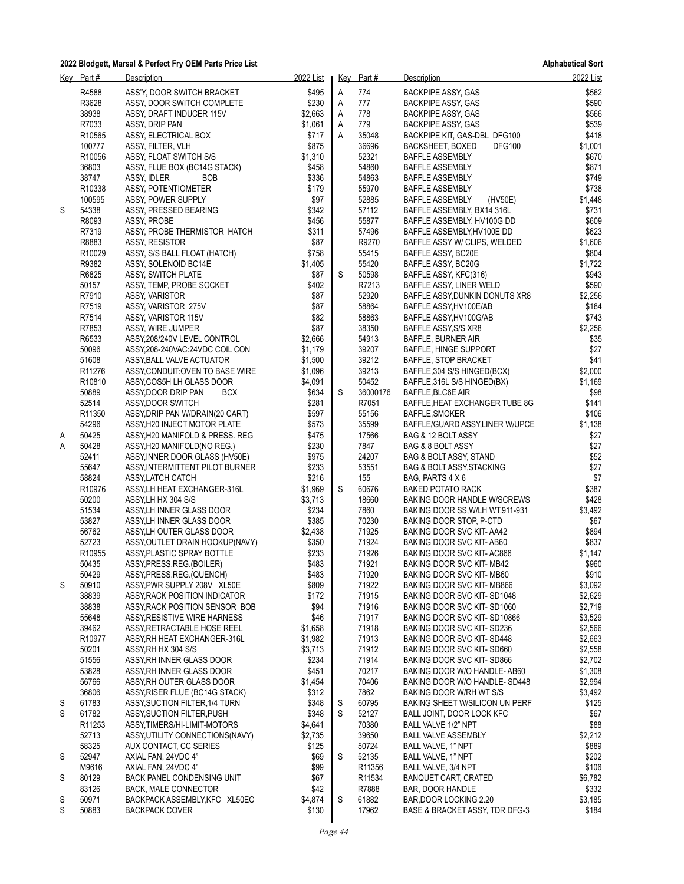|   | Key Part#                   | Description                                                   | 2022 List        |   | Key Part#      | Description                                                | 2022 List          |
|---|-----------------------------|---------------------------------------------------------------|------------------|---|----------------|------------------------------------------------------------|--------------------|
|   | R4588                       | ASS'Y, DOOR SWITCH BRACKET                                    | \$495            | Α | 774            | <b>BACKPIPE ASSY, GAS</b>                                  | \$562              |
|   | R3628                       | ASSY, DOOR SWITCH COMPLETE                                    | \$230            | A | 777            | <b>BACKPIPE ASSY, GAS</b>                                  | \$590              |
|   | 38938                       | ASSY, DRAFT INDUCER 115V                                      | \$2,663          | Α | 778            | BACKPIPE ASSY, GAS                                         | \$566              |
|   | R7033                       | ASSY, DRIP PAN                                                | \$1,061          | A | 779            | <b>BACKPIPE ASSY, GAS</b>                                  | \$539              |
|   | R10565                      | ASSY, ELECTRICAL BOX                                          | \$717            | A | 35048          | BACKPIPE KIT, GAS-DBL DFG100                               | \$418              |
|   | 100777                      | ASSY, FILTER, VLH                                             | \$875            |   | 36696          | <b>DFG100</b><br>BACKSHEET, BOXED                          | \$1,001            |
|   | R10056                      | ASSY, FLOAT SWITCH S/S                                        | \$1,310          |   | 52321          | <b>BAFFLE ASSEMBLY</b>                                     | \$670              |
|   | 36803                       | ASSY, FLUE BOX (BC14G STACK)                                  | \$458            |   | 54860          | <b>BAFFLE ASSEMBLY</b>                                     | \$871              |
|   | 38747                       | ASSY, IDLER<br><b>BOB</b>                                     | \$336            |   | 54863          | BAFFLE ASSEMBLY                                            | \$749              |
|   | R10338                      | ASSY, POTENTIOMETER                                           | \$179            |   | 55970          | <b>BAFFLE ASSEMBLY</b>                                     | \$738              |
|   | 100595                      | ASSY, POWER SUPPLY                                            | \$97             |   | 52885          | <b>BAFFLE ASSEMBLY</b><br>(HV50E)                          | \$1,448            |
| S | 54338                       | ASSY, PRESSED BEARING                                         | \$342            |   | 57112          | BAFFLE ASSEMBLY, BX14 316L                                 | \$731              |
|   | R8093                       | <b>ASSY PROBE</b>                                             | \$456            |   | 55877          | BAFFLE ASSEMBLY, HV100G DD                                 | \$609              |
|   | R7319                       | ASSY, PROBE THERMISTOR HATCH                                  | \$311            |   | 57496          | BAFFLE ASSEMBLY, HV100E DD                                 | \$623              |
|   | R8883                       | ASSY, RESISTOR                                                | \$87             |   | R9270          | BAFFLE ASSY W/ CLIPS, WELDED                               | \$1,606            |
|   | R10029                      | ASSY, S/S BALL FLOAT (HATCH)                                  | \$758            |   | 55415          | BAFFLE ASSY, BC20E                                         | \$804              |
|   | R9382                       | ASSY, SOLENOID BC14E                                          | \$1,405          |   | 55420          | BAFFLE ASSY, BC20G                                         | \$1,722            |
|   | R6825                       | ASSY, SWITCH PLATE                                            | \$87             | S | 50598          | BAFFLE ASSY, KFC(316)                                      | \$943              |
|   | 50157                       | ASSY, TEMP, PROBE SOCKET                                      | \$402            |   | R7213          | BAFFLE ASSY, LINER WELD                                    | \$590              |
|   | R7910                       | ASSY, VARISTOR                                                | \$87             |   | 52920          | BAFFLE ASSY DUNKIN DONUTS XR8                              | \$2,256            |
|   | R7519                       | ASSY, VARISTOR 275V                                           | \$87             |   | 58864          | BAFFLE ASSY, HV100E/AB                                     | \$184              |
|   | R7514                       | ASSY, VARISTOR 115V                                           | \$82             |   | 58863          | BAFFLE ASSY HV100G/AB                                      | \$743              |
|   | R7853                       | ASSY, WIRE JUMPER                                             | \$87             |   | 38350          | BAFFLE ASSY, S/S XR8                                       | \$2,256            |
|   | R6533                       | ASSY, 208/240V LEVEL CONTROL                                  | \$2.666          |   | 54913          | <b>BAFFLE, BURNER AIR</b>                                  | \$35               |
|   | 50096                       |                                                               | \$1,179          |   | 39207          | BAFFLE, HINGE SUPPORT                                      | \$27               |
|   | 51608                       | ASSY, 208-240VAC: 24VDC COIL CON<br>ASSY, BALL VALVE ACTUATOR | \$1,500          |   | 39212          | BAFFLE, STOP BRACKET                                       | \$41               |
|   | R <sub>11276</sub>          | ASSY CONDUIT OVEN TO BASE WIRE                                | \$1,096          |   | 39213          | BAFFLE, 304 S/S HINGED(BCX)                                | \$2,000            |
|   |                             |                                                               |                  |   | 50452          |                                                            |                    |
|   | R <sub>10810</sub><br>50889 | ASSY COS5H LH GLASS DOOR                                      | \$4,091<br>\$634 | S | 36000176       | BAFFLE, 316L S/S HINGED(BX)                                | \$1,169<br>\$98    |
|   |                             | ASSY, DOOR DRIP PAN<br><b>BCX</b>                             |                  |   |                | BAFFLE, BLC6E AIR                                          |                    |
|   | 52514                       | ASSY, DOOR SWITCH                                             | \$281<br>\$597   |   | R7051          | BAFFLE, HEAT EXCHANGER TUBE 8G                             | \$141              |
|   | R <sub>11350</sub>          | ASSY, DRIP PAN W/DRAIN(20 CART)                               |                  |   | 55156          | BAFFLE, SMOKER                                             | \$106              |
|   | 54296                       | ASSY, H20 INJECT MOTOR PLATE                                  | \$573<br>\$475   |   | 35599          | BAFFLE/GUARD ASSY, LINER W/UPCE                            | \$1,138            |
| Α | 50425<br>50428              | ASSY, H20 MANIFOLD & PRESS. REG                               | \$230            |   | 17566<br>7847  | BAG & 12 BOLT ASSY                                         | \$27<br>\$27       |
| Α | 52411                       | ASSY, H20 MANIFOLD (NO REG.)                                  | \$975            |   | 24207          | BAG & 8 BOLT ASSY                                          | \$52               |
|   |                             | ASSY, INNER DOOR GLASS (HV50E)                                |                  |   | 53551          | BAG & BOLT ASSY, STAND                                     |                    |
|   | 55647<br>58824              | ASSY, INTERMITTENT PILOT BURNER                               | \$233<br>\$216   |   | 155            | <b>BAG &amp; BOLT ASSY, STACKING</b><br>BAG, PARTS 4 X 6   | \$27<br>\$7        |
|   | R10976                      | ASSY, LATCH CATCH                                             | \$1,969          | S | 60676          |                                                            | \$387              |
|   | 50200                       | ASSY, LH HEAT EXCHANGER-316L<br>ASSYLH HX 304 S/S             | \$3,713          |   | 18660          | <b>BAKED POTATO RACK</b><br>BAKING DOOR HANDLE W/SCREWS    | \$428              |
|   | 51534                       |                                                               | \$234            |   | 7860           |                                                            | \$3,492            |
|   | 53827                       | ASSY, LH INNER GLASS DOOR<br>ASSYLH INNER GLASS DOOR          | \$385            |   | 70230          | BAKING DOOR SS, W/LH WT.911-931<br>BAKING DOOR STOP, P-CTD | \$67               |
|   | 56762                       |                                                               | \$2,438          |   | 71925          |                                                            | \$894              |
|   | 52723                       | ASSY, LH OUTER GLASS DOOR<br>ASSY OUTLET DRAIN HOOKUP (NAVY)  | \$350            |   | 71924          | BAKING DOOR SVC KIT-AA42                                   | \$837              |
|   | R10955                      | ASSY PLASTIC SPRAY BOTTLE                                     | \$233            |   | 71926          | BAKING DOOR SVC KIT-AB60                                   | \$1,147            |
|   |                             |                                                               | \$483            |   |                | BAKING DOOR SVC KIT-AC866                                  | \$960              |
|   | 50435                       | ASSY PRESS REG (BOILER)<br>ASSY, PRESS.REG. (QUENCH)          |                  |   | 71921          | BAKING DOOR SVC KIT-MB42                                   |                    |
|   | 50429                       |                                                               | \$483            |   | 71920          | BAKING DOOR SVC KIT-MB60                                   | \$910              |
| S | 50910                       | ASSY, PWR SUPPLY 208V XL50E                                   | \$809            |   | 71922          | BAKING DOOR SVC KIT-MB866                                  | \$3,092<br>\$2,629 |
|   | 38839<br>38838              | ASSY, RACK POSITION INDICATOR                                 | \$172<br>\$94    |   | 71915<br>71916 | BAKING DOOR SVC KIT-SD1048                                 | \$2,719            |
|   |                             | ASSY, RACK POSITION SENSOR BOB                                |                  |   |                | BAKING DOOR SVC KIT-SD1060                                 |                    |
|   | 55648                       | ASSY, RESISTIVE WIRE HARNESS                                  | \$46             |   | 71917          | BAKING DOOR SVC KIT-SD10866                                | \$3,529            |
|   | 39462                       | ASSY, RETRACTABLE HOSE REEL                                   | \$1,658          |   | 71918          | BAKING DOOR SVC KIT-SD236                                  | \$2,566            |
|   | R10977                      | ASSY, RH HEAT EXCHANGER-316L                                  | \$1,982          |   | 71913          | BAKING DOOR SVC KIT-SD448                                  | \$2,663            |
|   | 50201                       | ASSY, RH HX 304 S/S                                           | \$3,713          |   | 71912          | BAKING DOOR SVC KIT-SD660                                  | \$2,558            |
|   | 51556                       | ASSY RH INNER GLASS DOOR                                      | \$234            |   | 71914          | BAKING DOOR SVC KIT-SD866                                  | \$2,702            |
|   | 53828                       | ASSY, RH INNER GLASS DOOR                                     | \$451            |   | 70217          | BAKING DOOR W/O HANDLE-AB60                                | \$1,308            |
|   | 56766                       | ASSY, RH OUTER GLASS DOOR                                     | \$1,454          |   | 70406          | BAKING DOOR W/O HANDLE-SD448                               | \$2,994            |
|   | 36806                       | ASSY, RISER FLUE (BC14G STACK)                                | \$312            |   | 7862           | BAKING DOOR W/RH WT S/S                                    | \$3,492            |
| S | 61783                       | ASSY, SUCTION FILTER, 1/4 TURN                                | \$348            | S | 60795          | <b>BAKING SHEET W/SILICON UN PERF</b>                      | \$125              |
| S | 61782                       | ASSY, SUCTION FILTER, PUSH                                    | \$348            | S | 52127          | BALL JOINT, DOOR LOCK KFC                                  | \$67               |
|   | R11253                      | ASSY, TIMERS/HI-LIMIT-MOTORS                                  | \$4,641          |   | 70380          | BALL VALVE 1/2" NPT                                        | \$88               |
|   | 52713                       | ASSY, UTILITY CONNECTIONS (NAVY)                              | \$2,735          |   | 39650          | <b>BALL VALVE ASSEMBLY</b>                                 | \$2,212            |
|   | 58325                       | AUX CONTACT, CC SERIES                                        | \$125            |   | 50724          | BALL VALVE, 1" NPT                                         | \$889              |
| S | 52947                       | AXIAL FAN, 24VDC 4"                                           | \$69             | S | 52135          | BALL VALVE, 1" NPT                                         | \$202              |
|   | M9616                       | AXIAL FAN, 24VDC 4"                                           | \$99             |   | R11356         | BALL VALVE, 3/4 NPT                                        | \$106              |
| S | 80129                       | <b>BACK PANEL CONDENSING UNIT</b>                             | \$67             |   | R11534         | <b>BANQUET CART, CRATED</b>                                | \$6,782            |
|   | 83126                       | <b>BACK, MALE CONNECTOR</b>                                   | \$42             |   | R7888          | BAR, DOOR HANDLE                                           | \$332              |
| S | 50971                       | BACKPACK ASSEMBLY, KFC XL50EC                                 | \$4,874          | S | 61882          | BAR, DOOR LOCKING 2.20                                     | \$3,185            |
| S | 50883                       | <b>BACKPACK COVER</b>                                         | \$130            |   | 17962          | BASE & BRACKET ASSY, TDR DFG-3                             | \$184              |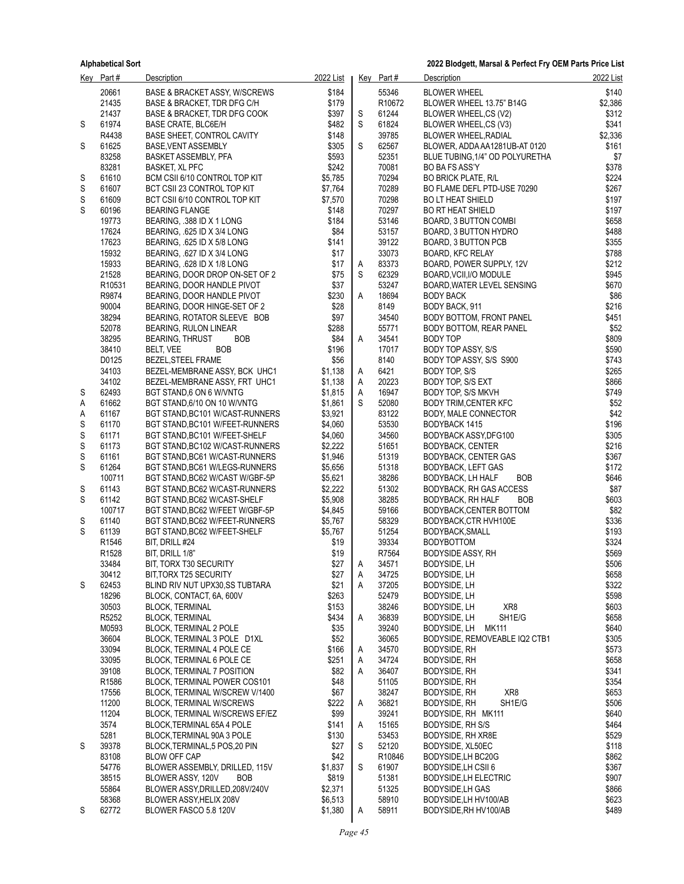|        | Key Part#         | <b>Description</b>                                                | 2022 List          |        | Key Part#      | <b>Description</b>                                        | 2022 List      |
|--------|-------------------|-------------------------------------------------------------------|--------------------|--------|----------------|-----------------------------------------------------------|----------------|
|        | 20661             | <b>BASE &amp; BRACKET ASSY, W/SCREWS</b>                          | \$184              |        | 55346          | <b>BLOWER WHEEL</b>                                       | \$140          |
|        | 21435             | BASE & BRACKET, TDR DFG C/H                                       | \$179              |        | R10672         | BLOWER WHEEL 13.75" B14G                                  | \$2,386        |
|        | 21437             | BASE & BRACKET, TDR DFG COOK                                      | \$397              | S      | 61244          | BLOWER WHEEL,CS (V2)                                      | \$312          |
| S      | 61974             | <b>BASE CRATE, BLC6E/H</b>                                        | \$482              | S      | 61824          | BLOWER WHEEL,CS (V3)                                      | \$341          |
|        | R4438             | BASE SHEET, CONTROL CAVITY                                        | \$148              |        | 39785          | <b>BLOWER WHEEL, RADIAL</b>                               | \$2,336        |
| S      | 61625             | BASE, VENT ASSEMBLY                                               | \$305              | S      | 62567          | BLOWER, ADDA AA1281UB-AT 0120                             | \$161          |
|        | 83258             | BASKET ASSEMBLY, PFA                                              | \$593              |        | 52351          | BLUE TUBING, 1/4" OD POLYURETHA                           | \$7            |
|        | 83281             | <b>BASKET, XL PFC</b>                                             | \$242              |        | 70081<br>70294 | <b>BO BA FS ASS'Y</b>                                     | \$378          |
| S<br>S | 61610<br>61607    | BCM CSII 6/10 CONTROL TOP KIT<br>BCT CSII 23 CONTROL TOP KIT      | \$5,785<br>\$7,764 |        | 70289          | <b>BO BRICK PLATE, R/L</b><br>BO FLAME DEFL PTD-USE 70290 | \$224<br>\$267 |
| S      | 61609             | BCT CSII 6/10 CONTROL TOP KIT                                     | \$7,570            |        | 70298          | <b>BO LT HEAT SHIELD</b>                                  | \$197          |
| S      | 60196             | <b>BEARING FLANGE</b>                                             | \$148              |        | 70297          | <b>BO RT HEAT SHIELD</b>                                  | \$197          |
|        | 19773             | BEARING, 388 ID X 1 LONG                                          | \$184              |        | 53146          | BOARD, 3 BUTTON COMBI                                     | \$658          |
|        | 17624             | BEARING, 625 ID X 3/4 LONG                                        | \$84               |        | 53157          | BOARD, 3 BUTTON HYDRO                                     | \$488          |
|        | 17623             | BEARING, 625 ID X 5/8 LONG                                        | \$141              |        | 39122          | BOARD, 3 BUTTON PCB                                       | \$355          |
|        | 15932             | BEARING, .627 ID X 3/4 LONG                                       | \$17               |        | 33073          | <b>BOARD, KFC RELAY</b>                                   | \$788          |
|        | 15933             | BEARING, 628 ID X 1/8 LONG                                        | \$17               | A      | 83373          | BOARD, POWER SUPPLY, 12V                                  | \$212          |
|        | 21528             | BEARING, DOOR DROP ON-SET OF 2                                    | \$75               | S      | 62329          | BOARD, VCII, I/O MODULE                                   | \$945          |
|        | R10531            | BEARING, DOOR HANDLE PIVOT                                        | \$37               |        | 53247          | BOARD, WATER LEVEL SENSING                                | \$670          |
|        | R9874             | BEARING, DOOR HANDLE PIVOT                                        | \$230              | Α      | 18694          | <b>BODY BACK</b>                                          | \$86           |
|        | 90004             | BEARING, DOOR HINGE-SET OF 2                                      | \$28               |        | 8149           | BODY BACK, 911                                            | \$216          |
|        | 38294<br>52078    | BEARING, ROTATOR SLEEVE BOB<br>BEARING, RULON LINEAR              | \$97<br>\$288      |        | 34540<br>55771 | BODY BOTTOM, FRONT PANEL<br>BODY BOTTOM, REAR PANEL       | \$451<br>\$52  |
|        | 38295             | <b>BOB</b><br><b>BEARING, THRUST</b>                              | \$84               | A      | 34541          | BODY TOP                                                  | \$809          |
|        | 38410             | <b>BOB</b><br>BELT, VEE                                           | \$196              |        | 17017          | <b>BODY TOP ASSY, S/S</b>                                 | \$590          |
|        | D0125             | <b>BEZEL, STEEL FRAME</b>                                         | \$56               |        | 8140           | BODY TOP ASSY, S/S S900                                   | \$743          |
|        | 34103             | BEZEL-MEMBRANE ASSY, BCK UHC1                                     | \$1,138            | A      | 6421           | BODY TOP, S/S                                             | \$265          |
|        | 34102             | BEZEL-MEMBRANE ASSY. FRT UHC1                                     | \$1,138            | A      | 20223          | BODY TOP, S/S EXT                                         | \$866          |
| S      | 62493             | BGT STAND,6 ON 6 W/VNTG                                           | \$1,815            | A      | 16947          | BODY TOP, S/S MKVH                                        | \$749          |
| Α      | 61662             | BGT STAND, 6/10 ON 10 W/VNTG                                      | \$1,861            | S      | 52080          | <b>BODY TRIM, CENTER KFC</b>                              | \$52           |
| Α      | 61167             | BGT STAND, BC101 W/CAST-RUNNERS                                   | \$3,921            |        | 83122          | BODY, MALE CONNECTOR                                      | \$42           |
| S      | 61170             | BGT STAND, BC101 W/FEET-RUNNERS                                   | \$4,060            |        | 53530          | BODYBACK 1415                                             | \$196          |
| S      | 61171<br>61173    | BGT STAND, BC101 W/FEET-SHELF                                     | \$4,060<br>\$2,222 |        | 34560<br>51651 | BODYBACK ASSY, DFG100                                     | \$305<br>\$216 |
| S<br>S | 61161             | BGT STAND, BC102 W/CAST-RUNNERS<br>BGT STAND, BC61 W/CAST-RUNNERS | \$1,946            |        | 51319          | <b>BODYBACK, CENTER</b><br>BODYBACK, CENTER GAS           | \$367          |
| S      | 61264             | BGT STAND, BC61 W/LEGS-RUNNERS                                    | \$5,656            |        | 51318          | <b>BODYBACK, LEFT GAS</b>                                 | \$172          |
|        | 100711            | BGT STAND, BC62 W/CAST W/GBF-5P                                   | \$5,621            |        | 38286          | BODYBACK, LH HALF<br>BOB                                  | \$646          |
| S      | 61143             | BGT STAND, BC62 W/CAST-RUNNERS                                    | \$2,222            |        | 51302          | BODYBACK, RH GAS ACCESS                                   | \$87           |
| S      | 61142             | BGT STAND, BC62 W/CAST-SHELF                                      | \$5,908            |        | 38285          | BODYBACK, RH HALF<br>BOB                                  | \$603          |
|        | 100717            | BGT STAND, BC62 W/FEET W/GBF-5P                                   | \$4,845            |        | 59166          | BODYBACK, CENTER BOTTOM                                   | \$82           |
| S      | 61140             | BGT STAND, BC62 W/FEET-RUNNERS                                    | \$5,767            |        | 58329          | BODYBACK, CTR HVH100E                                     | \$336          |
| S      | 61139             | BGT STAND, BC62 W/FEET-SHELF                                      | \$5,767            |        | 51254          | BODYBACK, SMALL                                           | \$193          |
|        | R <sub>1546</sub> | BIT, DRILL #24                                                    | \$19               |        | 39334          | <b>BODYBOTTOM</b>                                         | \$324          |
|        | R <sub>1528</sub> | BIT, DRILL 1/8"                                                   | \$19<br>\$27       |        | R7564          | <b>BODYSIDE ASSY, RH</b>                                  | \$569<br>\$506 |
|        | 33484<br>30412    | BIT, TORX T30 SECURITY<br>BIT, TORX T25 SECURITY                  | \$27               | Α<br>A | 34571<br>34725 | BODYSIDE, LH<br>BODYSIDE, LH                              | \$658          |
| S      | 62453             | BLIND RIV NUT UPX30,SS TUBTARA                                    | \$21               | Α      | 37205          | BODYSIDE, LH                                              | \$322          |
|        | 18296             | BLOCK, CONTACT, 6A, 600V                                          | \$263              |        | 52479          | BODYSIDE, LH                                              | \$598          |
|        | 30503             | <b>BLOCK, TERMINAL</b>                                            | \$153              |        | 38246          | XR8<br>BODYSIDE, LH                                       | \$603          |
|        | R5252             | <b>BLOCK, TERMINAL</b>                                            | \$434              | Α      | 36839          | BODYSIDE, LH<br>SH1E/G                                    | \$658          |
|        | M0593             | BLOCK, TERMINAL 2 POLE                                            | \$35               |        | 39240          | BODYSIDE, LH<br>MK111                                     | \$640          |
|        | 36604             | BLOCK, TERMINAL 3 POLE D1XL                                       | \$52               |        | 36065          | BODYSIDE, REMOVEABLE IQ2 CTB1                             | \$305          |
|        | 33094             | BLOCK, TERMINAL 4 POLE CE                                         | \$166              | A      | 34570          | <b>BODYSIDE, RH</b>                                       | \$573          |
|        | 33095             | <b>BLOCK, TERMINAL 6 POLE CE</b>                                  | \$251              | A      | 34724          | <b>BODYSIDE, RH</b>                                       | \$658          |
|        | 39108             | <b>BLOCK, TERMINAL 7 POSITION</b>                                 | \$82               | Α      | 36407          | BODYSIDE, RH                                              | \$341          |
|        | R1586<br>17556    | BLOCK, TERMINAL POWER COS101<br>BLOCK, TERMINAL W/SCREW V/1400    | \$48<br>\$67       |        | 51105<br>38247 | <b>BODYSIDE, RH</b><br>XR8<br><b>BODYSIDE, RH</b>         | \$354<br>\$653 |
|        | 11200             | <b>BLOCK, TERMINAL W/SCREWS</b>                                   | \$222              | A      | 36821          | BODYSIDE, RH<br>SH1E/G                                    | \$506          |
|        | 11204             | BLOCK, TERMINAL W/SCREWS EF/EZ                                    | \$99               |        | 39241          | BODYSIDE, RH MK111                                        | \$640          |
|        | 3574              | BLOCK, TERMINAL 65A 4 POLE                                        | \$141              | Α      | 15165          | BODYSIDE, RH S/S                                          | \$464          |
|        | 5281              | BLOCK, TERMINAL 90A 3 POLE                                        | \$130              |        | 53453          | BODYSIDE, RH XR8E                                         | \$529          |
| S      | 39378             | BLOCK, TERMINAL, 5 POS, 20 PIN                                    | \$27               | S      | 52120          | BODYSIDE, XL50EC                                          | \$118          |
|        | 83108             | <b>BLOW OFF CAP</b>                                               | \$42               |        | R10846         | BODYSIDE, LH BC20G                                        | \$862          |
|        | 54776             | BLOWER ASSEMBLY, DRILLED, 115V                                    | \$1,837            | S      | 61907          | BODYSIDE, LH CSII 6                                       | \$367          |
|        | 38515             | <b>BOB</b><br>BLOWER ASSY, 120V                                   | \$819              |        | 51381          | <b>BODYSIDE, LH ELECTRIC</b>                              | \$907          |
|        | 55864<br>58368    | BLOWER ASSY, DRILLED, 208 V/240 V                                 | \$2,371<br>\$6,513 |        | 51325<br>58910 | <b>BODYSIDE, LH GAS</b>                                   | \$866<br>\$623 |
| S      | 62772             | BLOWER ASSY, HELIX 208V<br>BLOWER FASCO 5.8 120V                  | \$1,380            | Α      | 58911          | BODYSIDE, LH HV100/AB<br>BODYSIDE, RH HV100/AB            | \$489          |
|        |                   |                                                                   |                    |        |                |                                                           |                |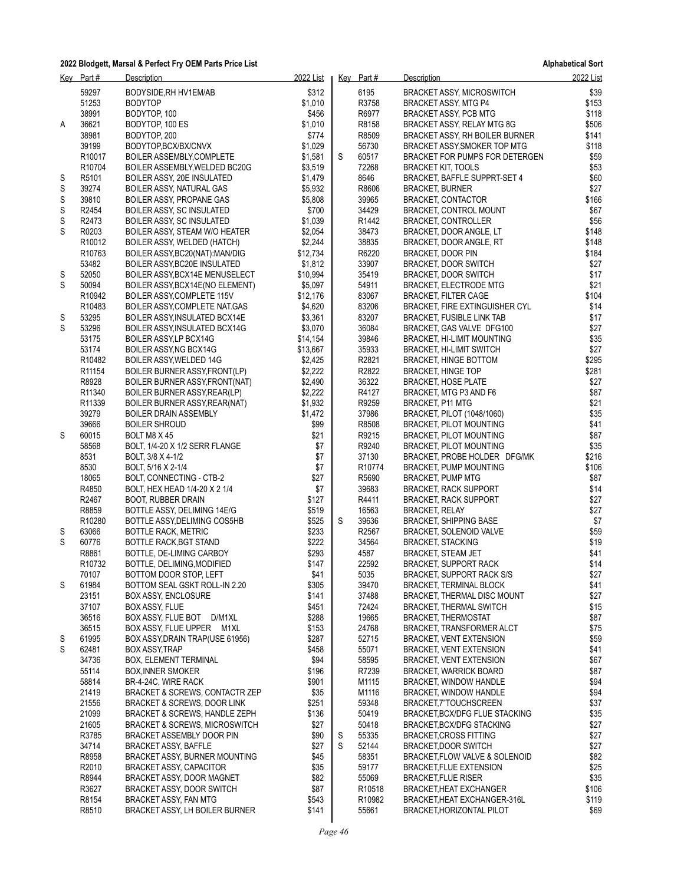**Alphabetical Sort**

|        | Key Part#          | Description                                                                         | 2022 List          |   | Key Part#          | Description                                                   | 2022 List     |
|--------|--------------------|-------------------------------------------------------------------------------------|--------------------|---|--------------------|---------------------------------------------------------------|---------------|
|        | 59297              | BODYSIDE, RH HV1EM/AB                                                               | \$312              |   | 6195               | <b>BRACKET ASSY, MICROSWITCH</b>                              | \$39          |
|        | 51253              | <b>BODYTOP</b>                                                                      | \$1,010            |   | R3758              | BRACKET ASSY, MTG P4                                          | \$153         |
|        | 38991              | BODYTOP, 100                                                                        | \$456              |   | R6977              | <b>BRACKET ASSY, PCB MTG</b>                                  | \$118         |
| A      | 36621              | BODYTOP, 100 ES                                                                     | \$1,010            |   | R8158              | BRACKET ASSY, RELAY MTG 8G                                    | \$506         |
|        | 38981              | BODYTOP, 200                                                                        | \$774              |   | R8509              | BRACKET ASSY, RH BOILER BURNER                                | \$141         |
|        | 39199              | BODYTOP, BCX/BX/CNVX                                                                | \$1,029            |   | 56730              | BRACKET ASSY, SMOKER TOP MTG                                  | \$118         |
|        | R <sub>10017</sub> | BOILER ASSEMBLY, COMPLETE                                                           | \$1,581            | S | 60517              | BRACKET FOR PUMPS FOR DETERGEN                                | \$59          |
|        | R <sub>10704</sub> | BOILER ASSEMBLY, WELDED BC20G                                                       | \$3,519            |   | 72268              | <b>BRACKET KIT, TOOLS</b>                                     | \$53          |
| S      | R5101              | BOILER ASSY, 20E INSULATED                                                          | \$1,479            |   | 8646               | BRACKET, BAFFLE SUPPRT-SET 4                                  | \$60<br>\$27  |
| S<br>S | 39274<br>39810     | <b>BOILER ASSY, NATURAL GAS</b><br>BOILER ASSY, PROPANE GAS                         | \$5,932<br>\$5,808 |   | R8606<br>39965     | <b>BRACKET, BURNER</b><br><b>BRACKET, CONTACTOR</b>           | \$166         |
| S      | R2454              | BOILER ASSY, SC INSULATED                                                           | \$700              |   | 34429              | BRACKET, CONTROL MOUNT                                        | \$67          |
| S      | R2473              | BOILER ASSY, SC INSULATED                                                           | \$1,039            |   | R1442              | <b>BRACKET, CONTROLLER</b>                                    | \$56          |
| S      | R0203              | BOILER ASSY, STEAM W/O HEATER                                                       | \$2,054            |   | 38473              | BRACKET, DOOR ANGLE, LT                                       | \$148         |
|        | R10012             | BOILER ASSY, WELDED (HATCH)                                                         | \$2,244            |   | 38835              | BRACKET, DOOR ANGLE, RT                                       | \$148         |
|        | R10763             | BOILER ASSY, BC20(NAT): MAN/DIG                                                     | \$12,734           |   | R6220              | BRACKET, DOOR PIN                                             | \$184         |
|        | 53482              | BOILER ASSY, BC20E INSULATED                                                        | \$1,812            |   | 33907              | BRACKET, DOOR SWITCH                                          | \$27          |
| S      | 52050              | BOILER ASSY, BCX14E MENUSELECT                                                      | \$10,994           |   | 35419              | <b>BRACKET, DOOR SWITCH</b>                                   | \$17          |
| S      | 50094              | BOILER ASSY, BCX14E (NO ELEMENT)                                                    | \$5,097            |   | 54911              | BRACKET, ELECTRODE MTG                                        | \$21          |
|        | R10942             | BOILER ASSY, COMPLETE 115V                                                          | \$12,176           |   | 83067              | <b>BRACKET, FILTER CAGE</b>                                   | \$104         |
|        | R10483             | BOILER ASSY, COMPLETE NAT.GAS                                                       | \$4,620            |   | 83206              | BRACKET, FIRE EXTINGUISHER CYL                                | \$14          |
| S<br>S | 53295<br>53296     | BOILER ASSY, INSULATED BCX14E                                                       | \$3,361<br>\$3,070 |   | 83207<br>36084     | <b>BRACKET, FUSIBLE LINK TAB</b>                              | \$17<br>\$27  |
|        | 53175              | BOILER ASSY, INSULATED BCX14G<br>BOILER ASSY, LP BCX14G                             | \$14,154           |   | 39846              | BRACKET, GAS VALVE DFG100<br>BRACKET, HI-LIMIT MOUNTING       | \$35          |
|        | 53174              | BOILER ASSY, NG BCX14G                                                              | \$13,667           |   | 35933              | <b>BRACKET, HI-LIMIT SWITCH</b>                               | \$27          |
|        | R10482             | BOILER ASSY, WELDED 14G                                                             | \$2,425            |   | R2821              | BRACKET, HINGE BOTTOM                                         | \$295         |
|        | R <sub>11154</sub> | BOILER BURNER ASSY, FRONT(LP)                                                       | \$2,222            |   | R2822              | <b>BRACKET, HINGE TOP</b>                                     | \$281         |
|        | R8928              | BOILER BURNER ASSY, FRONT (NAT)                                                     | \$2,490            |   | 36322              | <b>BRACKET, HOSE PLATE</b>                                    | \$27          |
|        | R11340             | BOILER BURNER ASSY, REAR(LP)                                                        | \$2,222            |   | R4127              | BRACKET, MTG P3 AND F6                                        | \$87          |
|        | R11339             | BOILER BURNER ASSY, REAR(NAT)                                                       | \$1,932            |   | R9259              | <b>BRACKET, P11 MTG</b>                                       | \$21          |
|        | 39279              | <b>BOILER DRAIN ASSEMBLY</b>                                                        | \$1,472            |   | 37986              | BRACKET, PILOT (1048/1060)                                    | \$35          |
|        | 39666              | <b>BOILER SHROUD</b>                                                                | \$99               |   | R8508              | <b>BRACKET, PILOT MOUNTING</b>                                | \$41          |
| S      | 60015              | BOLT M8 X 45                                                                        | \$21               |   | R9215              | BRACKET, PILOT MOUNTING                                       | \$87          |
|        | 58568<br>8531      | BOLT, 1/4-20 X 1/2 SERR FLANGE                                                      | \$7<br>\$7         |   | R9240<br>37130     | <b>BRACKET, PILOT MOUNTING</b>                                | \$35<br>\$216 |
|        | 8530               | BOLT, 3/8 X 4-1/2<br>BOLT, 5/16 X 2-1/4                                             | \$7                |   | R <sub>10774</sub> | BRACKET, PROBE HOLDER DFG/MK<br>BRACKET, PUMP MOUNTING        | \$106         |
|        | 18065              | BOLT, CONNECTING - CTB-2                                                            | \$27               |   | R5690              | <b>BRACKET, PUMP MTG</b>                                      | \$87          |
|        | R4850              | BOLT, HEX HEAD 1/4-20 X 2 1/4                                                       | \$7                |   | 39683              | <b>BRACKET, RACK SUPPORT</b>                                  | \$14          |
|        | R2467              | BOOT, RUBBER DRAIN                                                                  | \$127              |   | R4411              | <b>BRACKET, RACK SUPPORT</b>                                  | \$27          |
|        | R8859              | BOTTLE ASSY, DELIMING 14E/G                                                         | \$519              |   | 16563              | <b>BRACKET, RELAY</b>                                         | \$27          |
|        | R10280             | BOTTLE ASSY, DELIMING COS5HB                                                        | \$525              | S | 39636              | <b>BRACKET, SHIPPING BASE</b>                                 | \$7           |
| S      | 63066              | <b>BOTTLE RACK, METRIC</b>                                                          | \$233              |   | R <sub>2567</sub>  | BRACKET, SOLENOID VALVE                                       | \$59          |
| S      | 60776              | BOTTLE RACK, BGT STAND                                                              | \$222              |   | 34564              | <b>BRACKET, STACKING</b>                                      | \$19          |
|        | R8861              | BOTTLE, DE-LIMING CARBOY                                                            | \$293              |   | 4587               | <b>BRACKET, STEAM JET</b>                                     | \$41          |
|        | R <sub>10732</sub> | BOTTLE, DELIMING, MODIFIED                                                          | \$147              |   | 22592              | <b>BRACKET, SUPPORT RACK</b>                                  | \$14          |
| S      | 70107<br>61984     | BOTTOM DOOR STOP, LEFT<br>BOTTOM SEAL GSKT ROLL-IN 2.20                             | \$41<br>\$305      |   | 5035<br>39470      | BRACKET, SUPPORT RACK S/S<br><b>BRACKET, TERMINAL BLOCK</b>   | \$27<br>\$41  |
|        | 23151              | BOX ASSY, ENCLOSURE                                                                 | \$141              |   | 37488              | BRACKET, THERMAL DISC MOUNT                                   | \$27          |
|        | 37107              | BOX ASSY, FLUE                                                                      | \$451              |   | 72424              | <b>BRACKET, THERMAL SWITCH</b>                                | \$15          |
|        | 36516              | BOX ASSY, FLUE BOT D/M1XL                                                           | \$288              |   | 19665              | <b>BRACKET, THERMOSTAT</b>                                    | \$87          |
|        | 36515              | BOX ASSY, FLUE UPPER M1XL                                                           | \$153              |   | 24768              | <b>BRACKET, TRANSFORMER ALCT</b>                              | \$75          |
| S      | 61995              | BOX ASSY, DRAIN TRAP (USE 61956)                                                    | \$287              |   | 52715              | BRACKET, VENT EXTENSION                                       | \$59          |
| S      | 62481              | <b>BOX ASSY, TRAP</b>                                                               | \$458              |   | 55071              | <b>BRACKET, VENT EXTENSION</b>                                | \$41          |
|        | 34736              | BOX, ELEMENT TERMINAL                                                               | \$94               |   | 58595              | <b>BRACKET, VENT EXTENSION</b>                                | \$67          |
|        | 55114              | <b>BOX, INNER SMOKER</b>                                                            | \$196              |   | R7239              | <b>BRACKET, WARRICK BOARD</b>                                 | \$87          |
|        | 58814              | BR-4-24C, WIRE RACK                                                                 | \$901              |   | M1115              | BRACKET, WINDOW HANDLE                                        | \$94          |
|        | 21419<br>21556     | <b>BRACKET &amp; SCREWS, CONTACTR ZEP</b><br><b>BRACKET &amp; SCREWS, DOOR LINK</b> | \$35<br>\$251      |   | M1116<br>59348     | BRACKET, WINDOW HANDLE                                        | \$94<br>\$37  |
|        | 21099              | <b>BRACKET &amp; SCREWS, HANDLE ZEPH</b>                                            | \$136              |   | 50419              | BRACKET,7"TOUCHSCREEN<br><b>BRACKET BCX/DFG FLUE STACKING</b> | \$35          |
|        | 21605              | <b>BRACKET &amp; SCREWS, MICROSWITCH</b>                                            | \$27               |   | 50418              | <b>BRACKET, BCX/DFG STACKING</b>                              | \$27          |
|        | R3785              | BRACKET ASSEMBLY DOOR PIN                                                           | \$90               | S | 55335              | <b>BRACKET CROSS FITTING</b>                                  | \$27          |
|        | 34714              | <b>BRACKET ASSY, BAFFLE</b>                                                         | \$27               | S | 52144              | BRACKET, DOOR SWITCH                                          | \$27          |
|        | R8958              | BRACKET ASSY, BURNER MOUNTING                                                       | \$45               |   | 58351              | BRACKET, FLOW VALVE & SOLENOID                                | \$82          |
|        | R <sub>2010</sub>  | <b>BRACKET ASSY, CAPACITOR</b>                                                      | \$35               |   | 59177              | <b>BRACKET, FLUE EXTENSION</b>                                | \$25          |
|        | R8944              | BRACKET ASSY, DOOR MAGNET                                                           | \$82               |   | 55069              | <b>BRACKET, FLUE RISER</b>                                    | \$35          |
|        | R3627              | <b>BRACKET ASSY, DOOR SWITCH</b>                                                    | \$87               |   | R <sub>10518</sub> | <b>BRACKET, HEAT EXCHANGER</b>                                | \$106         |
|        | R8154              | <b>BRACKET ASSY, FAN MTG</b>                                                        | \$543              |   | R <sub>10982</sub> | BRACKET, HEAT EXCHANGER-316L                                  | \$119         |
|        | R8510              | BRACKET ASSY, LH BOILER BURNER                                                      | \$141              |   | 55661              | BRACKET, HORIZONTAL PILOT                                     | \$69          |

*Page 46*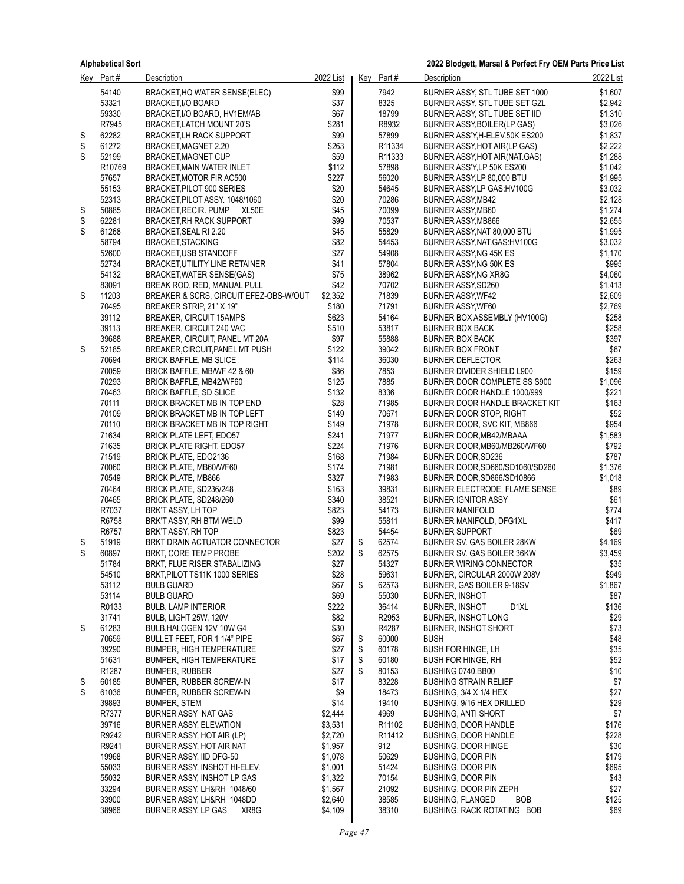|   | Key Part#          | <b>Description</b>                                                 | 2022 List          |        | $Key$ Part#        | Description                                                  | 2022 List          |
|---|--------------------|--------------------------------------------------------------------|--------------------|--------|--------------------|--------------------------------------------------------------|--------------------|
|   | 54140              | BRACKET, HQ WATER SENSE(ELEC)                                      | \$99               |        | 7942               | BURNER ASSY, STL TUBE SET 1000                               | \$1,607            |
|   | 53321              | <b>BRACKET, I/O BOARD</b>                                          | \$37               |        | 8325               | BURNER ASSY, STL TUBE SET GZL                                | \$2,942            |
|   | 59330              | BRACKET, I/O BOARD, HV1EM/AB                                       | \$67               |        | 18799              | BURNER ASSY, STL TUBE SET IID                                | \$1,310            |
|   | R7945              | BRACKET, LATCH MOUNT 20'S                                          | \$281              |        | R8932              | BURNER ASSY, BOILER (LP GAS)                                 | \$3,026            |
| S | 62282              | <b>BRACKET, LH RACK SUPPORT</b>                                    | \$99               |        | 57899              | BURNER ASS'Y, H-ELEV.50K ES200                               | \$1,837            |
| S | 61272              | BRACKET, MAGNET 2.20                                               | \$263              |        | R11334             | BURNER ASSY HOT AIR(LP GAS)                                  | \$2,222            |
| S | 52199              | <b>BRACKET, MAGNET CUP</b>                                         | \$59               |        | R <sub>11333</sub> | BURNER ASSY, HOT AIR (NAT. GAS)                              | \$1,288            |
|   | R <sub>10769</sub> | BRACKET, MAIN WATER INLET                                          | \$112              |        | 57898              | BURNER ASS'Y, LP 50K ES200                                   | \$1,042            |
|   | 57657              | BRACKET, MOTOR FIR AC500                                           | \$227              |        | 56020<br>54645     | BURNER ASSY,LP 80,000 BTU                                    | \$1,995            |
|   | 55153<br>52313     | BRACKET, PILOT 900 SERIES<br>BRACKET, PILOT ASSY. 1048/1060        | \$20<br>\$20       |        | 70286              | BURNER ASSY, LP GAS: HV100G<br>BURNER ASSY, MB42             | \$3,032<br>\$2,128 |
| S | 50885              | BRACKET, RECIR. PUMP XL50E                                         | \$45               |        | 70099              | BURNER ASSY, MB60                                            | \$1,274            |
| S | 62281              | <b>BRACKET, RH RACK SUPPORT</b>                                    | \$99               |        | 70537              | BURNER ASSY, MB866                                           | \$2,655            |
| S | 61268              | BRACKET, SEAL RI 2.20                                              | \$45               |        | 55829              | BURNER ASSY, NAT 80,000 BTU                                  | \$1,995            |
|   | 58794              | <b>BRACKET, STACKING</b>                                           | \$82               |        | 54453              | BURNER ASSY, NAT. GAS: HV100G                                | \$3,032            |
|   | 52600              | <b>BRACKET,USB STANDOFF</b>                                        | \$27               |        | 54908              | BURNER ASSY, NG 45K ES                                       | \$1,170            |
|   | 52734              | BRACKET, UTILITY LINE RETAINER                                     | \$41               |        | 57804              | BURNER ASSY, NG 50K ES                                       | \$995              |
|   | 54132              | BRACKET, WATER SENSE(GAS)                                          | \$75               |        | 38962              | BURNER ASSY, NG XR8G                                         | \$4,060            |
|   | 83091              | BREAK ROD, RED, MANUAL PULL                                        | \$42               |        | 70702              | BURNER ASSY, SD260                                           | \$1,413            |
| S | 11203              | BREAKER & SCRS, CIRCUIT EFEZ-OBS-W/OUT                             | \$2,352            |        | 71839              | BURNER ASSY, WF42                                            | \$2,609            |
|   | 70495              | BREAKER STRIP, 21" X 19"                                           | \$180              |        | 71791              | BURNER ASSY, WF60                                            | \$2,769            |
|   | 39112              | BREAKER, CIRCUIT 15AMPS                                            | \$623              |        | 54164              | BURNER BOX ASSEMBLY (HV100G)                                 | \$258              |
|   | 39113              | BREAKER, CIRCUIT 240 VAC                                           | \$510              |        | 53817              | <b>BURNER BOX BACK</b>                                       | \$258              |
|   | 39688              | BREAKER, CIRCUIT, PANEL MT 20A                                     | \$97               |        | 55888              | BURNER BOX BACK                                              | \$397              |
| S | 52185<br>70694     | BREAKER, CIRCUIT, PANEL MT PUSH                                    | \$122<br>\$114     |        | 39042<br>36030     | <b>BURNER BOX FRONT</b><br><b>BURNER DEFLECTOR</b>           | \$87<br>\$263      |
|   | 70059              | <b>BRICK BAFFLE, MB SLICE</b><br>BRICK BAFFLE, MB/WF 42 & 60       | \$86               |        | 7853               | BURNER DIVIDER SHIELD L900                                   | \$159              |
|   | 70293              | BRICK BAFFLE, MB42/WF60                                            | \$125              |        | 7885               | BURNER DOOR COMPLETE SS S900                                 | \$1,096            |
|   | 70463              | <b>BRICK BAFFLE, SD SLICE</b>                                      | \$132              |        | 8336               | BURNER DOOR HANDLE 1000/999                                  | \$221              |
|   | 70111              | BRICK BRACKET MB IN TOP END                                        | \$28               |        | 71985              | BURNER DOOR HANDLE BRACKET KIT                               | \$163              |
|   | 70109              | BRICK BRACKET MB IN TOP LEFT                                       | \$149              |        | 70671              | BURNER DOOR STOP, RIGHT                                      | \$52               |
|   | 70110              | BRICK BRACKET MB IN TOP RIGHT                                      | \$149              |        | 71978              | BURNER DOOR, SVC KIT, MB866                                  | \$954              |
|   | 71634              | BRICK PLATE LEFT, EDO57                                            | \$241              |        | 71977              | BURNER DOOR, MB42/MBAAA                                      | \$1,583            |
|   | 71635              | BRICK PLATE RIGHT, EDO57                                           | \$224              |        | 71976              | BURNER DOOR, MB60/MB260/WF60                                 | \$792              |
|   | 71519              | BRICK PLATE, EDO2136                                               | \$168              |        | 71984              | BURNER DOOR, SD236                                           | \$787              |
|   | 70060              | BRICK PLATE, MB60/WF60                                             | \$174              |        | 71981              | BURNER DOOR, SD660/SD1060/SD260                              | \$1,376            |
|   | 70549              | <b>BRICK PLATE, MB866</b>                                          | \$327              |        | 71983              | BURNER DOOR, SD866/SD10866                                   | \$1,018            |
|   | 70464              | BRICK PLATE, SD236/248                                             | \$163              |        | 39831              | BURNER ELECTRODE, FLAME SENSE                                | \$89               |
|   | 70465<br>R7037     | BRICK PLATE, SD248/260                                             | \$340              |        | 38521              | <b>BURNER IGNITOR ASSY</b>                                   | \$61               |
|   | R6758              | BRK'T ASSY, LH TOP<br>BRK'T ASSY, RH BTM WELD                      | \$823<br>\$99      |        | 54173<br>55811     | <b>BURNER MANIFOLD</b><br>BURNER MANIFOLD, DFG1XL            | \$774<br>\$417     |
|   | R6757              | BRK'T ASSY, RH TOP                                                 | \$823              |        | 54454              | <b>BURNER SUPPORT</b>                                        | \$69               |
| S | 51919              | BRKT DRAIN ACTUATOR CONNECTOR                                      | \$27               | S      | 62574              | BURNER SV. GAS BOILER 28KW                                   | \$4,169            |
| S | 60897              | BRKT, CORE TEMP PROBE                                              | \$202              | S      | 62575              | BURNER SV. GAS BOILER 36KW                                   | \$3,459            |
|   | 51784              | BRKT, FLUE RISER STABALIZING                                       | \$27               |        | 54327              | <b>BURNER WIRING CONNECTOR</b>                               | \$35               |
|   | 54510              | BRKT, PILOT TS11K 1000 SERIES                                      | \$28               |        | 59631              | BURNER, CIRCULAR 2000W 208V                                  | \$949              |
|   | 53112              | <b>BULB GUARD</b>                                                  | \$67               | S      | 62573              | BURNER, GAS BOILER 9-18SV                                    | \$1,867            |
|   | 53114              | <b>BULB GUARD</b>                                                  | \$69               |        | 55030              | <b>BURNER, INSHOT</b>                                        | \$87               |
|   | R0133              | <b>BULB, LAMP INTERIOR</b>                                         | \$222              |        | 36414              | D1XL<br><b>BURNER, INSHOT</b>                                | \$136              |
|   | 31741              | BULB, LIGHT 25W, 120V                                              | \$82               |        | R2953              | BURNER, INSHOT LONG                                          | \$29               |
| S | 61283              | BULB, HALOGEN 12V 10W G4                                           | \$30               |        | R4287              | <b>BURNER, INSHOT SHORT</b>                                  | \$73               |
|   | 70659              | BULLET FEET, FOR 1 1/4" PIPE                                       | \$67               | S      | 60000              | <b>BUSH</b>                                                  | \$48               |
|   | 39290<br>51631     | <b>BUMPER, HIGH TEMPERATURE</b><br><b>BUMPER, HIGH TEMPERATURE</b> | \$27<br>\$17       | S<br>S | 60178<br>60180     | <b>BUSH FOR HINGE, LH</b>                                    | \$35<br>\$52       |
|   | R1287              | <b>BUMPER, RUBBER</b>                                              | \$27               | S      | 80153              | <b>BUSH FOR HINGE, RH</b><br>BUSHING 0740.BB00               | \$10               |
| S | 60185              | <b>BUMPER, RUBBER SCREW-IN</b>                                     | \$17               |        | 83228              | <b>BUSHING STRAIN RELIEF</b>                                 | \$7                |
| S | 61036              | <b>BUMPER, RUBBER SCREW-IN</b>                                     | \$9                |        | 18473              | BUSHING, 3/4 X 1/4 HEX                                       | \$27               |
|   | 39893              | <b>BUMPER, STEM</b>                                                | \$14               |        | 19410              | BUSHING, 9/16 HEX DRILLED                                    | \$29               |
|   | R7377              | BURNER ASSY NAT GAS                                                | \$2,444            |        | 4969               | <b>BUSHING, ANTI SHORT</b>                                   | \$7                |
|   | 39716              | <b>BURNER ASSY, ELEVATION</b>                                      | \$3,531            |        | R11102             | <b>BUSHING, DOOR HANDLE</b>                                  | \$176              |
|   | R9242              | BURNER ASSY, HOT AIR (LP)                                          | \$2,720            |        | R <sub>11412</sub> | <b>BUSHING, DOOR HANDLE</b>                                  | \$228              |
|   | R9241              | BURNER ASSY, HOT AIR NAT                                           | \$1,957            |        | 912                | <b>BUSHING, DOOR HINGE</b>                                   | \$30               |
|   | 19968              | BURNER ASSY, IID DFG-50                                            | \$1,078            |        | 50629              | <b>BUSHING, DOOR PIN</b>                                     | \$179              |
|   | 55033              | BURNER ASSY, INSHOT HI-ELEV.                                       | \$1,001            |        | 51424              | <b>BUSHING, DOOR PIN</b>                                     | \$695              |
|   | 55032              | BURNER ASSY, INSHOT LP GAS                                         | \$1,322            |        | 70154              | <b>BUSHING, DOOR PIN</b>                                     | \$43               |
|   | 33294              | BURNER ASSY, LH&RH 1048/60                                         | \$1,567            |        | 21092              | BUSHING, DOOR PIN ZEPH                                       | \$27               |
|   | 33900              | BURNER ASSY, LH&RH 1048DD                                          | \$2,640<br>\$4,109 |        | 38585<br>38310     | <b>BUSHING, FLANGED</b><br>BOB<br>BUSHING, RACK ROTATING BOB | \$125<br>\$69      |
|   | 38966              | BURNER ASSY, LP GAS<br>XR8G                                        |                    |        |                    |                                                              |                    |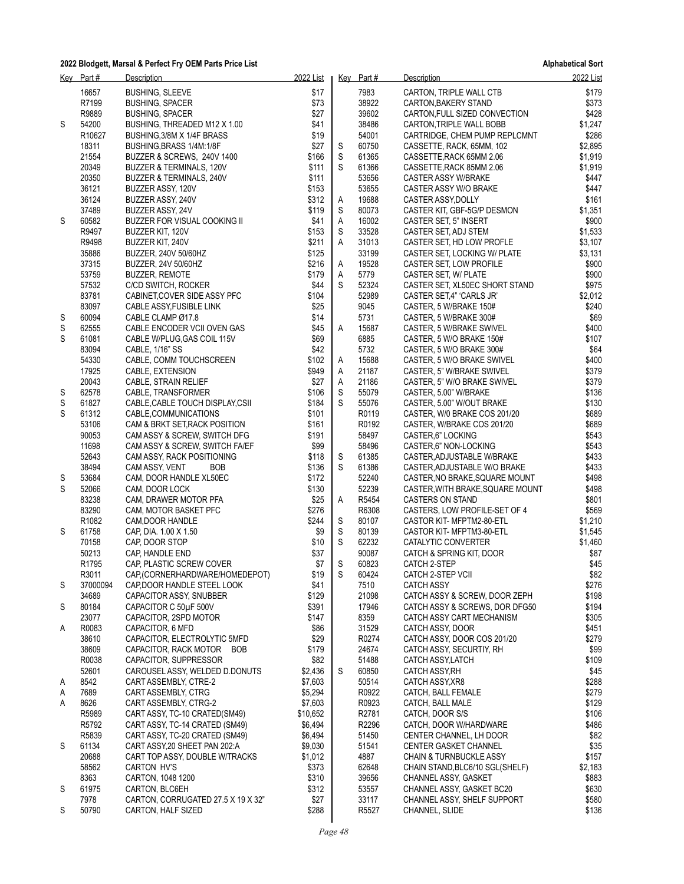|        | Key Part#                  | Description                                                  | 2022 List          |        | Key Part#      | Description                                         | 2022 List      |
|--------|----------------------------|--------------------------------------------------------------|--------------------|--------|----------------|-----------------------------------------------------|----------------|
|        | 16657                      | <b>BUSHING, SLEEVE</b>                                       | \$17               |        | 7983           | CARTON, TRIPLE WALL CTB                             | \$179          |
|        | R7199                      | <b>BUSHING, SPACER</b>                                       | \$73               |        | 38922          | CARTON, BAKERY STAND                                | \$373          |
|        | R9889                      | <b>BUSHING, SPACER</b>                                       | \$27               |        | 39602          | CARTON, FULL SIZED CONVECTION                       | \$428          |
| S      | 54200                      | BUSHING, THREADED M12 X 1.00                                 | \$41               |        | 38486          | CARTON, TRIPLE WALL BOBB                            | \$1,247        |
|        | R10627                     | BUSHING, 3/8M X 1/4F BRASS                                   | \$19               |        | 54001          | CARTRIDGE, CHEM PUMP REPLCMNT                       | \$286          |
|        | 18311                      | BUSHING, BRASS 1/4M: 1/8F                                    | \$27               | S      | 60750          | CASSETTE, RACK, 65MM, 102                           | \$2,895        |
|        | 21554                      | BUZZER & SCREWS, 240V 1400                                   | \$166              | S      | 61365          | CASSETTE, RACK 65MM 2.06                            | \$1,919        |
|        | 20349                      | BUZZER & TERMINALS, 120V                                     | \$111              | S      | 61366          | CASSETTE, RACK 85MM 2.06                            | \$1,919        |
|        | 20350<br>36121             | BUZZER & TERMINALS, 240V                                     | \$111<br>\$153     |        | 53656<br>53655 | <b>CASTER ASSY W/BRAKE</b>                          | \$447<br>\$447 |
|        | 36124                      | BUZZER ASSY, 120V<br>BUZZER ASSY, 240V                       | \$312              | A      | 19688          | CASTER ASSY W/O BRAKE<br>CASTER ASSY, DOLLY         | \$161          |
|        | 37489                      | BUZZER ASSY, 24V                                             | \$119              | S      | 80073          | CASTER KIT, GBF-5G/P DESMON                         | \$1,351        |
| S      | 60582                      | BUZZER FOR VISUAL COOKING II                                 | \$41               | Α      | 16002          | CASTER SET, 5" INSERT                               | \$900          |
|        | R9497                      | BUZZER KIT, 120V                                             | \$153              | S      | 33528          | CASTER SET, ADJ STEM                                | \$1,533        |
|        | R9498                      | BUZZER KIT, 240V                                             | \$211              | Α      | 31013          | CASTER SET, HD LOW PROFLE                           | \$3,107        |
|        | 35886                      | BUZZER, 240V 50/60HZ                                         | \$125              |        | 33199          | CASTER SET, LOCKING W/ PLATE                        | \$3,131        |
|        | 37315                      | BUZZER, 24V 50/60HZ                                          | \$216              | A      | 19528          | CASTER SET, LOW PROFILE                             | \$900          |
|        | 53759                      | <b>BUZZER, REMOTE</b>                                        | \$179              | Α      | 5779           | CASTER SET, W/ PLATE                                | \$900          |
|        | 57532                      | C/CD SWITCH, ROCKER                                          | \$44               | S      | 52324          | CASTER SET, XL50EC SHORT STAND                      | \$975          |
|        | 83781                      | CABINET, COVER SIDE ASSY PFC                                 | \$104              |        | 52989          | CASTER SET.4" 'CARLS JR'                            | \$2,012        |
|        | 83097<br>60094             | CABLE ASSY FUSIBLE LINK<br>CABLE CLAMP Ø17.8                 | \$25<br>\$14       |        | 9045<br>5731   | CASTER, 5 W/BRAKE 150#                              | \$240<br>\$69  |
| S<br>S | 62555                      | CABLE ENCODER VCII OVEN GAS                                  | \$45               | Α      | 15687          | CASTER, 5 W/BRAKE 300#<br>CASTER, 5 W/BRAKE SWIVEL  | \$400          |
| S      | 61081                      | CABLE W/PLUG, GAS COIL 115V                                  | \$69               |        | 6885           | CASTER, 5 W/O BRAKE 150#                            | \$107          |
|        | 83094                      | CABLE, 1/16" SS                                              | \$42               |        | 5732           | CASTER, 5 W/O BRAKE 300#                            | \$64           |
|        | 54330                      | CABLE, COMM TOUCHSCREEN                                      | \$102              | A      | 15688          | CASTER, 5 W/O BRAKE SWIVEL                          | \$400          |
|        | 17925                      | CABLE, EXTENSION                                             | \$949              | A      | 21187          | CASTER, 5" W/BRAKE SWIVEL                           | \$379          |
|        | 20043                      | CABLE, STRAIN RELIEF                                         | \$27               | A      | 21186          | CASTER, 5" W/O BRAKE SWIVEL                         | \$379          |
| S      | 62578                      | CABLE, TRANSFORMER                                           | \$106              | S      | 55079          | CASTER, 5.00" W/BRAKE                               | \$136          |
| S      | 61827                      | CABLE, CABLE TOUCH DISPLAY, CSII                             | \$184              | S      | 55076          | CASTER, 5.00" W/OUT BRAKE                           | \$130          |
| S      | 61312                      | CABLE, COMMUNICATIONS                                        | \$101              |        | R0119          | CASTER, W/0 BRAKE COS 201/20                        | \$689          |
|        | 53106                      | CAM & BRKT SET, RACK POSITION                                | \$161              |        | R0192          | CASTER, W/BRAKE COS 201/20                          | \$689          |
|        | 90053<br>11698             | CAM ASSY & SCREW, SWITCH DFG                                 | \$191<br>\$99      |        | 58497<br>58496 | CASTER,6" LOCKING                                   | \$543<br>\$543 |
|        | 52643                      | CAM ASSY & SCREW, SWITCH FA/EF<br>CAM ASSY, RACK POSITIONING | \$118              | S      | 61385          | CASTER,6" NON-LOCKING<br>CASTER, ADJUSTABLE W/BRAKE | \$433          |
|        | 38494                      | CAM ASSY, VENT<br>BOB                                        | \$136              | S      | 61386          | CASTER, ADJUSTABLE W/O BRAKE                        | \$433          |
| S      | 53684                      | CAM, DOOR HANDLE XL50EC                                      | \$172              |        | 52240          | CASTER, NO BRAKE, SQUARE MOUNT                      | \$498          |
| S      | 52066                      | CAM, DOOR LOCK                                               | \$130              |        | 52239          | CASTER, WITH BRAKE, SQUARE MOUNT                    | \$498          |
|        | 83238                      | CAM, DRAWER MOTOR PFA                                        | \$25               | Α      | R5454          | <b>CASTERS ON STAND</b>                             | \$801          |
|        | 83290                      | CAM, MOTOR BASKET PFC                                        | \$276              |        | R6308          | CASTERS, LOW PROFILE-SET OF 4                       | \$569          |
|        | R <sub>1082</sub>          | CAM, DOOR HANDLE                                             | \$244              | S      | 80107          | CASTOR KIT- MFPTM2-80-ETL                           | \$1,210        |
| S      | 61758                      | CAP, DIA. 1.00 X 1.50                                        | \$9                | S      | 80139          | CASTOR KIT- MFPTM3-80-ETL                           | \$1,545        |
|        | 70158                      | CAP, DOOR STOP                                               | \$10               | S      | 62232          | CATALYTIC CONVERTER                                 | \$1,460        |
|        | 50213                      | CAP, HANDLE END                                              | \$37               |        | 90087          | CATCH & SPRING KIT, DOOR                            | \$87           |
|        | R <sub>1795</sub><br>R3011 | CAP, PLASTIC SCREW COVER<br>CAP,(CORNERHARDWARE/HOMEDEPOT)   | \$7<br>\$19        | S<br>S | 60823<br>60424 | CATCH 2-STEP<br>CATCH 2-STEP VCII                   | \$45<br>\$82   |
| S      | 37000094                   | CAP, DOOR HANDLE STEEL LOOK                                  | \$41               |        | 7510           | <b>CATCH ASSY</b>                                   | \$276          |
|        | 34689                      | CAPACITOR ASSY, SNUBBER                                      | \$129              |        | 21098          | CATCH ASSY & SCREW, DOOR ZEPH                       | \$198          |
| S      | 80184                      | CAPACITOR C 50µF 500V                                        | \$391              |        | 17946          | CATCH ASSY & SCREWS, DOR DFG50                      | \$194          |
|        | 23077                      | CAPACITOR, 2SPD MOTOR                                        | \$147              |        | 8359           | CATCH ASSY CART MECHANISM                           | \$305          |
| A      | R0083                      | CAPACITOR, 6 MFD                                             | \$86               |        | 31529          | <b>CATCH ASSY, DOOR</b>                             | \$451          |
|        | 38610                      | CAPACITOR, ELECTROLYTIC 5MFD                                 | \$29               |        | R0274          | CATCH ASSY, DOOR COS 201/20                         | \$279          |
|        | 38609                      | CAPACITOR, RACK MOTOR<br><b>BOB</b>                          | \$179              |        | 24674          | CATCH ASSY, SECURTIY, RH                            | \$99           |
|        | R0038                      | CAPACITOR, SUPPRESSOR                                        | \$82               |        | 51488          | CATCH ASSY, LATCH                                   | \$109          |
|        | 52601                      | CAROUSEL ASSY, WELDED D.DONUTS                               | \$2,436            | S      | 60850          | CATCH ASSY, RH                                      | \$45           |
| A      | 8542                       | CART ASSEMBLY, CTRE-2                                        | \$7,603            |        | 50514          | CATCH ASSY, XR8                                     | \$288          |
| A<br>A | 7689<br>8626               | CART ASSEMBLY, CTRG<br>CART ASSEMBLY, CTRG-2                 | \$5,294<br>\$7,603 |        | R0922<br>R0923 | CATCH, BALL FEMALE<br>CATCH, BALL MALE              | \$279<br>\$129 |
|        | R5989                      | CART ASSY, TC-10 CRATED(SM49)                                | \$10,652           |        | R2781          | CATCH, DOOR S/S                                     | \$106          |
|        | R5792                      | CART ASSY, TC-14 CRATED (SM49)                               | \$6,494            |        | R2296          | CATCH, DOOR W/HARDWARE                              | \$486          |
|        | R5839                      | CART ASSY, TC-20 CRATED (SM49)                               | \$6,494            |        | 51450          | CENTER CHANNEL, LH DOOR                             | \$82           |
| S      | 61134                      | CART ASSY, 20 SHEET PAN 202: A                               | \$9,030            |        | 51541          | <b>CENTER GASKET CHANNEL</b>                        | \$35           |
|        | 20688                      | CART TOP ASSY, DOUBLE W/TRACKS                               | \$1,012            |        | 4887           | <b>CHAIN &amp; TURNBUCKLE ASSY</b>                  | \$157          |
|        | 58562                      | <b>CARTON HV'S</b>                                           | \$373              |        | 62648          | CHAIN STAND, BLC6/10 SGL(SHELF)                     | \$2,183        |
|        | 8363                       | CARTON, 1048 1200                                            | \$310              |        | 39656          | <b>CHANNEL ASSY, GASKET</b>                         | \$883          |
| S      | 61975                      | CARTON, BLC6EH                                               | \$312              |        | 53557          | CHANNEL ASSY, GASKET BC20                           | \$630          |
|        | 7978                       | CARTON, CORRUGATED 27.5 X 19 X 32"                           | \$27               |        | 33117          | CHANNEL ASSY, SHELF SUPPORT                         | \$580          |
| S      | 50790                      | CARTON, HALF SIZED                                           | \$288              |        | R5527          | CHANNEL, SLIDE                                      | \$136          |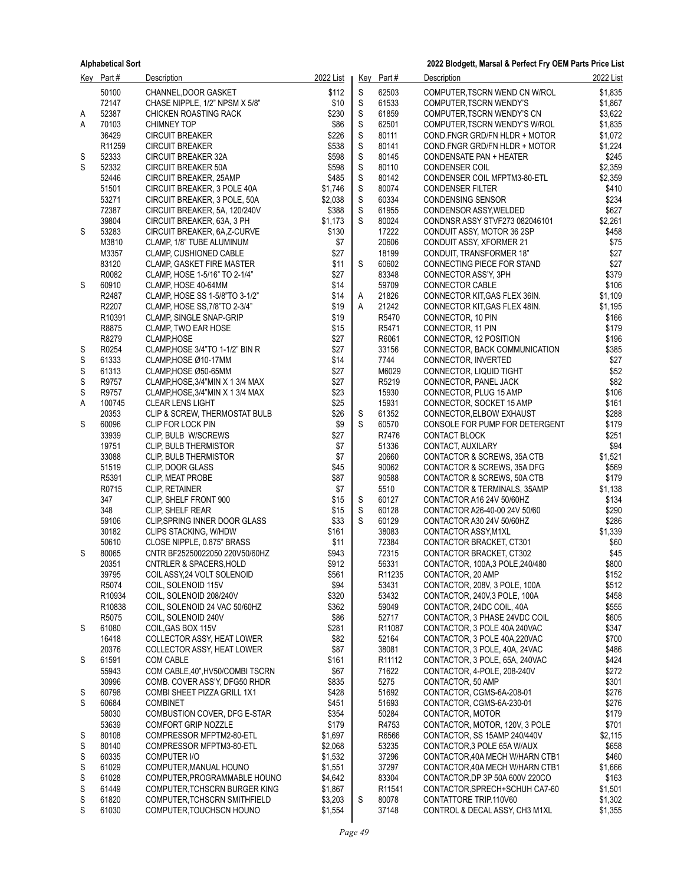|        | Key Part#          | Description                                                     | 2022 List     |             | Key Part#          | Description                                                    | 2022 List          |
|--------|--------------------|-----------------------------------------------------------------|---------------|-------------|--------------------|----------------------------------------------------------------|--------------------|
|        | 50100              | CHANNEL, DOOR GASKET                                            | \$112         | S           | 62503              | COMPUTER, TSCRN WEND CN W/ROL                                  | \$1,835            |
|        | 72147              | CHASE NIPPLE, 1/2" NPSM X 5/8"                                  | \$10          | S           | 61533              | COMPUTER, TSCRN WENDY'S                                        | \$1,867            |
| A      | 52387              | <b>CHICKEN ROASTING RACK</b>                                    | \$230         | $\mathsf S$ | 61859              | COMPUTER, TSCRN WENDY'S CN                                     | \$3,622            |
| Α      | 70103              | <b>CHIMNEY TOP</b>                                              | \$86          | $\mathsf S$ | 62501              | COMPUTER, TSCRN WENDY'S W/ROL                                  | \$1,835            |
|        | 36429              | <b>CIRCUIT BREAKER</b>                                          | \$226         | S           | 80111              | COND.FNGR GRD/FN HLDR + MOTOR                                  | \$1,072            |
|        | R <sub>11259</sub> | <b>CIRCUIT BREAKER</b>                                          | \$538         | S           | 80141              | COND.FNGR GRD/FN HLDR + MOTOR                                  | \$1,224            |
| S      | 52333              | <b>CIRCUIT BREAKER 32A</b>                                      | \$598         | S           | 80145              | <b>CONDENSATE PAN + HEATER</b>                                 | \$245              |
| S      | 52332              | <b>CIRCUIT BREAKER 50A</b>                                      | \$598         | $\mathsf S$ | 80110              | <b>CONDENSER COIL</b>                                          | \$2,359            |
|        | 52446              | CIRCUIT BREAKER, 25AMP                                          | \$485         | $\mathsf S$ | 80142              | CONDENSER COIL MFPTM3-80-ETL                                   | \$2,359            |
|        | 51501              | CIRCUIT BREAKER, 3 POLE 40A                                     | \$1,746       | $\mathsf S$ | 80074              | <b>CONDENSER FILTER</b>                                        | \$410              |
|        | 53271              | CIRCUIT BREAKER, 3 POLE, 50A                                    | \$2,038       | S           | 60334              | <b>CONDENSING SENSOR</b>                                       | \$234              |
|        | 72387              | CIRCUIT BREAKER, 5A, 120/240V                                   | \$388         | S           | 61955              | CONDENSOR ASSY, WELDED                                         | \$627              |
|        | 39804              | CIRCUIT BREAKER, 63A, 3 PH                                      | \$1,173       | S           | 80024              | CONDNSR ASSY STVF273 082046101                                 | \$2,261            |
| S      | 53283              | CIRCUIT BREAKER, 6A, Z-CURVE                                    | \$130         |             | 17222              | CONDUIT ASSY, MOTOR 36 2SP                                     | \$458              |
|        | M3810              | CLAMP, 1/8" TUBE ALUMINUM                                       | \$7           |             | 20606              | CONDUIT ASSY, XFORMER 21                                       | \$75               |
|        | M3357              | <b>CLAMP, CUSHIONED CABLE</b>                                   | \$27          |             | 18199              | CONDUIT, TRANSFORMER 18"                                       | \$27               |
|        | 83120              | CLAMP, GASKET FIRE MASTER                                       | \$11          | S           | 60602              | CONNECTING PIECE FOR STAND                                     | \$27               |
|        | R0082              | CLAMP, HOSE 1-5/16" TO 2-1/4"                                   | \$27          |             | 83348              | CONNECTOR ASS'Y, 3PH                                           | \$379              |
| S      | 60910              | CLAMP, HOSE 40-64MM                                             | \$14          |             | 59709              | CONNECTOR CABLE                                                | \$106              |
|        | R2487<br>R2207     | CLAMP, HOSE SS 1-5/8"TO 3-1/2"                                  | \$14<br>\$19  | A<br>A      | 21826<br>21242     | CONNECTOR KIT, GAS FLEX 36IN.                                  | \$1,109<br>\$1,195 |
|        | R10391             | CLAMP, HOSE SS, 7/8"TO 2-3/4"<br><b>CLAMP, SINGLE SNAP-GRIP</b> | \$19          |             | R5470              | CONNECTOR KIT, GAS FLEX 48IN.<br>CONNECTOR, 10 PIN             | \$166              |
|        | R8875              | CLAMP, TWO EAR HOSE                                             | \$15          |             | R5471              | CONNECTOR, 11 PIN                                              | \$179              |
|        | R8279              | CLAMP, HOSE                                                     | \$27          |             | R6061              | CONNECTOR, 12 POSITION                                         | \$196              |
| S      | R0254              | CLAMP, HOSE 3/4"TO 1-1/2" BIN R                                 | \$27          |             | 33156              | CONNECTOR, BACK COMMUNICATION                                  | \$385              |
| S      | 61333              | CLAMP HOSE Ø10-17MM                                             | \$14          |             | 7744               | CONNECTOR, INVERTED                                            | \$27               |
| S      | 61313              | CLAMP HOSE Ø50-65MM                                             | \$27          |             | M6029              | CONNECTOR, LIQUID TIGHT                                        | \$52               |
| S      | R9757              | CLAMP, HOSE, 3/4"MIN X 1 3/4 MAX                                | \$27          |             | R5219              | CONNECTOR, PANEL JACK                                          | \$82               |
| S      | R9757              | CLAMP, HOSE, 3/4"MIN X 1 3/4 MAX                                | \$23          |             | 15930              | CONNECTOR, PLUG 15 AMP                                         | \$106              |
| Α      | 100745             | <b>CLEAR LENS LIGHT</b>                                         | \$25          |             | 15931              | CONNECTOR, SOCKET 15 AMP                                       | \$161              |
|        | 20353              | CLIP & SCREW, THERMOSTAT BULB                                   | \$26          | S           | 61352              | CONNECTOR, ELBOW EXHAUST                                       | \$288              |
| S      | 60096              | CLIP FOR LOCK PIN                                               | \$9           | S           | 60570              | CONSOLE FOR PUMP FOR DETERGENT                                 | \$179              |
|        | 33939              | CLIP, BULB W/SCREWS                                             | \$27          |             | R7476              | <b>CONTACT BLOCK</b>                                           | \$251              |
|        | 19751              | CLIP, BULB THERMISTOR                                           | \$7           |             | 51336              | CONTACT, AUXILARY                                              | \$94               |
|        | 33088              | CLIP, BULB THERMISTOR                                           | \$7           |             | 20660              | CONTACTOR & SCREWS, 35A CTB                                    | \$1,521            |
|        | 51519              | CLIP, DOOR GLASS                                                | \$45          |             | 90062              | CONTACTOR & SCREWS, 35A DFG                                    | \$569              |
|        | R5391              | CLIP, MEAT PROBE                                                | \$87          |             | 90588              | CONTACTOR & SCREWS, 50A CTB                                    | \$179              |
|        | R0715              | <b>CLIP, RETAINER</b>                                           | \$7           |             | 5510               | CONTACTOR & TERMINALS, 35AMP                                   | \$1,138            |
|        | 347                | CLIP, SHELF FRONT 900                                           | \$15          | S           | 60127              | CONTACTOR A16 24V 50/60HZ                                      | \$134              |
|        | 348                | CLIP, SHELF REAR                                                | \$15          | $\mathsf S$ | 60128              | CONTACTOR A26-40-00 24V 50/60                                  | \$290              |
|        | 59106              | CLIP, SPRING INNER DOOR GLASS                                   | \$33          | S           | 60129              | CONTACTOR A30 24V 50/60HZ                                      | \$286              |
|        | 30182              | CLIPS STACKING, W/HDW                                           | \$161         |             | 38083              | CONTACTOR ASSY, M1XL                                           | \$1,339            |
|        | 50610              | CLOSE NIPPLE, 0.875" BRASS                                      | \$11          |             | 72384              | CONTACTOR BRACKET, CT301                                       | \$60               |
| S      | 80065              | CNTR BF25250022050 220V50/60HZ                                  | \$943         |             | 72315              | CONTACTOR BRACKET, CT302                                       | \$45               |
|        | 20351              | <b>CNTRLER &amp; SPACERS, HOLD</b>                              | \$912         |             | 56331              | CONTACTOR, 100A,3 POLE, 240/480                                | \$800              |
|        | 39795              | COIL ASSY, 24 VOLT SOLENOID                                     | \$561         |             | R11235             | CONTACTOR, 20 AMP                                              | \$152              |
|        | R5074<br>R10934    | COIL, SOLENOID 115V<br>COIL, SOLENOID 208/240V                  | \$94<br>\$320 |             | 53431<br>53432     | CONTACTOR, 208V, 3 POLE, 100A<br>CONTACTOR, 240V, 3 POLE, 100A | \$512<br>\$458     |
|        | R10838             | COIL, SOLENOID 24 VAC 50/60HZ                                   | \$362         |             | 59049              | CONTACTOR, 24DC COIL, 40A                                      | \$555              |
|        | R5075              | COIL, SOLENOID 240V                                             | \$86          |             | 52717              | CONTACTOR, 3 PHASE 24VDC COIL                                  | \$605              |
| S      | 61080              | COIL GAS BOX 115V                                               | \$281         |             | R11087             | CONTACTOR, 3 POLE 40A 240VAC                                   | \$347              |
|        | 16418              | COLLECTOR ASSY, HEAT LOWER                                      | \$82          |             | 52164              | CONTACTOR, 3 POLE 40A,220VAC                                   | \$700              |
|        | 20376              | COLLECTOR ASSY, HEAT LOWER                                      | \$87          |             | 38081              | CONTACTOR, 3 POLE, 40A, 24VAC                                  | \$486              |
| S      | 61591              | COM CABLE                                                       | \$161         |             | R11112             | CONTACTOR, 3 POLE, 65A, 240VAC                                 | \$424              |
|        | 55943              | COM CABLE, 40", HV50/COMBI TSCRN                                | \$67          |             | 71622              | CONTACTOR, 4-POLE, 208-240V                                    | \$272              |
|        | 30996              | COMB. COVER ASS'Y, DFG50 RHDR                                   | \$835         |             | 5275               | CONTACTOR, 50 AMP                                              | \$301              |
| S      | 60798              | COMBI SHEET PIZZA GRILL 1X1                                     | \$428         |             | 51692              | CONTACTOR, CGMS-6A-208-01                                      | \$276              |
| S      | 60684              | <b>COMBINET</b>                                                 | \$451         |             | 51693              | CONTACTOR, CGMS-6A-230-01                                      | \$276              |
|        | 58030              | COMBUSTION COVER, DFG E-STAR                                    | \$354         |             | 50284              | CONTACTOR, MOTOR                                               | \$179              |
|        | 53639              | COMFORT GRIP NOZZLE                                             | \$179         |             | R4753              | CONTACTOR, MOTOR, 120V, 3 POLE                                 | \$701              |
| S      | 80108              | COMPRESSOR MFPTM2-80-ETL                                        | \$1,697       |             | R6566              | CONTACTOR, SS 15AMP 240/440V                                   | \$2,115            |
| S      | 80140              | COMPRESSOR MFPTM3-80-ETL                                        | \$2,068       |             | 53235              | CONTACTOR, 3 POLE 65A W/AUX                                    | \$658              |
| S      | 60335              | COMPUTER I/O                                                    | \$1,532       |             | 37296              | CONTACTOR, 40A MECH W/HARN CTB1                                | \$460              |
| S      | 61029              | COMPUTER, MANUAL HOUNO                                          | \$1,551       |             | 37297              | CONTACTOR, 40A MECH W/HARN CTB1                                | \$1,666            |
| S      | 61028              | COMPUTER, PROGRAMMABLE HOUNO                                    | \$4,642       |             | 83304              | CONTACTOR, DP 3P 50A 600V 220CO                                | \$163              |
| S      | 61449              | COMPUTER TCHSCRN BURGER KING                                    | \$1,867       |             | R <sub>11541</sub> | CONTACTOR, SPRECH+SCHUH CA7-60                                 | \$1,501            |
| S<br>S | 61820<br>61030     | COMPUTER, TCHSCRN SMITHFIELD                                    | \$3,203       | S           | 80078<br>37148     | CONTATTORE TRIP.110V60                                         | \$1,302            |
|        |                    | COMPUTER TOUCHSCN HOUNO                                         | \$1,554       |             |                    | CONTROL & DECAL ASSY, CH3 M1XL                                 | \$1,355            |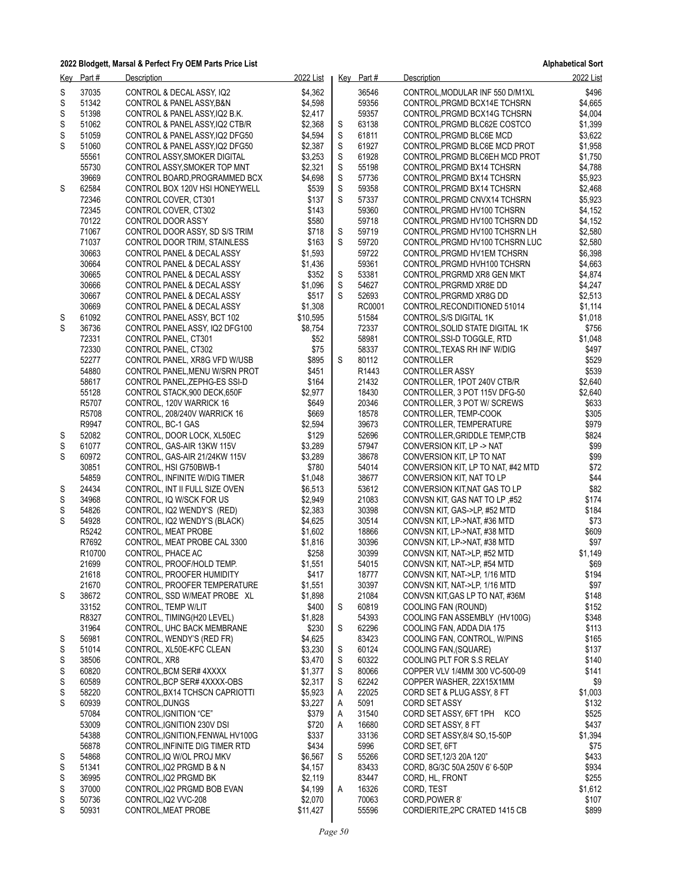| Key    | Part#          | Description                                                    | 2022 List          |        | Key Part#      | Description                                                     | 2022 List          |
|--------|----------------|----------------------------------------------------------------|--------------------|--------|----------------|-----------------------------------------------------------------|--------------------|
| S      | 37035          | CONTROL & DECAL ASSY, IQ2                                      | \$4,362            |        | 36546          | CONTROL, MODULAR INF 550 D/M1XL                                 | \$496              |
| S      | 51342          | CONTROL & PANEL ASSY, B&N                                      | \$4,598            |        | 59356          | CONTROL, PRGMD BCX14E TCHSRN                                    | \$4,665            |
| S      | 51398          | CONTROL & PANEL ASSY IQ2 B.K.                                  | \$2,417            |        | 59357          | CONTROL, PRGMD BCX14G TCHSRN                                    | \$4,004            |
| S      | 51062          | CONTROL & PANEL ASSY, IQ2 CTB/R                                | \$2,368            | S      | 63138          | CONTROL, PRGMD BLC62E COSTCO                                    | \$1,399            |
| S      | 51059<br>51060 | CONTROL & PANEL ASSY, IQ2 DFG50                                | \$4,594            | S      | 61811<br>61927 | CONTROL, PRGMD BLC6E MCD                                        | \$3,622            |
| S      | 55561          | CONTROL & PANEL ASSY IQ2 DFG50<br>CONTROL ASSY, SMOKER DIGITAL | \$2,387<br>\$3,253 | S<br>S | 61928          | CONTROL, PRGMD BLC6E MCD PROT<br>CONTROL, PRGMD BLC6EH MCD PROT | \$1,958<br>\$1,750 |
|        | 55730          | CONTROL ASSY, SMOKER TOP MNT                                   | \$2,321            | S      | 55198          | CONTROL, PRGMD BX14 TCHSRN                                      | \$4,788            |
|        | 39669          | CONTROL BOARD, PROGRAMMED BCX                                  | \$4,698            | S      | 57736          | CONTROL, PRGMD BX14 TCHSRN                                      | \$5,923            |
| S      | 62584          | CONTROL BOX 120V HSI HONEYWELL                                 | \$539              | S      | 59358          | CONTROL, PRGMD BX14 TCHSRN                                      | \$2,468            |
|        | 72346          | CONTROL COVER, CT301                                           | \$137              | S      | 57337          | CONTROL, PRGMD CNVX14 TCHSRN                                    | \$5,923            |
|        | 72345          | CONTROL COVER, CT302                                           | \$143              |        | 59360          | CONTROL, PRGMD HV100 TCHSRN                                     | \$4,152            |
|        | 70122          | CONTROL DOOR ASS'Y                                             | \$580              |        | 59718          | CONTROL, PRGMD HV100 TCHSRN DD                                  | \$4,152            |
|        | 71067          | CONTROL DOOR ASSY, SD S/S TRIM                                 | \$718              | S      | 59719          | CONTROL, PRGMD HV100 TCHSRN LH                                  | \$2,580            |
|        | 71037          | CONTROL DOOR TRIM, STAINLESS                                   | \$163              | S      | 59720          | CONTROL, PRGMD HV100 TCHSRN LUC                                 | \$2,580            |
|        | 30663          | CONTROL PANEL & DECAL ASSY                                     | \$1,593            |        | 59722          | CONTROL, PRGMD HV1EM TCHSRN                                     | \$6,398            |
|        | 30664<br>30665 | CONTROL PANEL & DECAL ASSY                                     | \$1,436<br>\$352   | S      | 59361<br>53381 | CONTROL, PRGMD HVH100 TCHSRN                                    | \$4,663<br>\$4,874 |
|        | 30666          | CONTROL PANEL & DECAL ASSY<br>CONTROL PANEL & DECAL ASSY       | \$1,096            | S      | 54627          | CONTROL, PRGRMD XR8 GEN MKT<br>CONTROL, PRGRMD XR8E DD          | \$4,247            |
|        | 30667          | CONTROL PANEL & DECAL ASSY                                     | \$517              | S      | 52693          | CONTROL, PRGRMD XR8G DD                                         | \$2,513            |
|        | 30669          | CONTROL PANEL & DECAL ASSY                                     | \$1,308            |        | RC0001         | CONTROL, RECONDITIONED 51014                                    | \$1,114            |
| S      | 61092          | CONTROL PANEL ASSY, BCT 102                                    | \$10,595           |        | 51584          | CONTROL, S/S DIGITAL 1K                                         | \$1,018            |
| S      | 36736          | CONTROL PANEL ASSY, IQ2 DFG100                                 | \$8,754            |        | 72337          | CONTROL, SOLID STATE DIGITAL 1K                                 | \$756              |
|        | 72331          | CONTROL PANEL, CT301                                           | \$52               |        | 58981          | CONTROL, SSI-D TOGGLE, RTD                                      | \$1,048            |
|        | 72330          | CONTROL PANEL, CT302                                           | \$75               |        | 58337          | CONTROL, TEXAS RH INF W/DIG                                     | \$497              |
|        | 52277          | CONTROL PANEL, XR8G VFD W/USB                                  | \$895              | S      | 80112          | CONTROLLER                                                      | \$529              |
|        | 54880          | CONTROL PANEL, MENU W/SRN PROT                                 | \$451              |        | R1443          | <b>CONTROLLER ASSY</b>                                          | \$539              |
|        | 58617<br>55128 | CONTROL PANEL, ZEPHG-ES SSI-D                                  | \$164<br>\$2,977   |        | 21432<br>18430 | CONTROLLER, 1POT 240V CTB/R                                     | \$2,640<br>\$2,640 |
|        | R5707          | CONTROL STACK, 900 DECK, 650F<br>CONTROL, 120V WARRICK 16      | \$649              |        | 20346          | CONTROLLER, 3 POT 115V DFG-50<br>CONTROLLER, 3 POT W/ SCREWS    | \$633              |
|        | R5708          | CONTROL, 208/240V WARRICK 16                                   | \$669              |        | 18578          | CONTROLLER, TEMP-COOK                                           | \$305              |
|        | R9947          | CONTROL, BC-1 GAS                                              | \$2,594            |        | 39673          | CONTROLLER, TEMPERATURE                                         | \$979              |
| S      | 52082          | CONTROL, DOOR LOCK, XL50EC                                     | \$129              |        | 52696          | CONTROLLER, GRIDDLE TEMP, CTB                                   | \$824              |
| S      | 61077          | CONTROL, GAS-AIR 13KW 115V                                     | \$3,289            |        | 57947          | CONVERSION KIT, LP -> NAT                                       | \$99               |
| S      | 60972          | CONTROL, GAS-AIR 21/24KW 115V                                  | \$3,289            |        | 38678          | CONVERSION KIT, LP TO NAT                                       | \$99               |
|        | 30851          | CONTROL, HSI G750BWB-1                                         | \$780              |        | 54014          | CONVERSION KIT, LP TO NAT, #42 MTD                              | \$72               |
|        | 54859          | CONTROL, INFINITE W/DIG TIMER                                  | \$1,048            |        | 38677          | CONVERSION KIT, NAT TO LP                                       | \$44               |
| S      | 24434          | CONTROL, INT II FULL SIZE OVEN                                 | \$6,513            |        | 53612          | CONVERSION KIT, NAT GAS TO LP                                   | \$82               |
| S      | 34968<br>54826 | CONTROL, IQ W/SCK FOR US                                       | \$2,949<br>\$2,383 |        | 21083<br>30398 | CONVSN KIT, GAS NAT TO LP,#52                                   | \$174<br>\$184     |
| S<br>S | 54928          | CONTROL, IQ2 WENDY'S (RED)<br>CONTROL, IQ2 WENDY'S (BLACK)     | \$4,625            |        | 30514          | CONVSN KIT, GAS->LP, #52 MTD<br>CONVSN KIT, LP->NAT, #36 MTD    | \$73               |
|        | R5242          | CONTROL, MEAT PROBE                                            | \$1,602            |        | 18866          | CONVSN KIT, LP->NAT, #38 MTD                                    | \$609              |
|        | R7692          | CONTROL, MEAT PROBE CAL 3300                                   | \$1,816            |        | 30396          | CONVSN KIT, LP->NAT, #38 MTD                                    | \$97               |
|        | R10700         | CONTROL, PHACE AC                                              | \$258              |        | 30399          | CONVSN KIT, NAT->LP, #52 MTD                                    | \$1,149            |
|        | 21699          | CONTROL, PROOF/HOLD TEMP.                                      | \$1,551            |        | 54015          | CONVSN KIT, NAT->LP, #54 MTD                                    | \$69               |
|        | 21618          | CONTROL, PROOFER HUMIDITY                                      | \$417              |        | 18777          | CONVSN KIT, NAT->LP, 1/16 MTD                                   | \$194              |
|        | 21670          | CONTROL, PROOFER TEMPERATURE                                   | \$1,551            |        | 30397          | CONVSN KIT, NAT->LP, 1/16 MTD                                   | \$97               |
| S      | 38672          | CONTROL, SSD W/MEAT PROBE XL                                   | \$1,898            |        | 21084          | CONVSN KIT, GAS LP TO NAT, #36M                                 | \$148              |
|        | 33152          | CONTROL, TEMP W/LIT                                            | \$400              | S      | 60819          | COOLING FAN (ROUND)                                             | \$152              |
|        | R8327<br>31964 | CONTROL, TIMING(H20 LEVEL)<br>CONTROL, UHC BACK MEMBRANE       | \$1,828<br>\$230   | S      | 54393<br>62296 | COOLING FAN ASSEMBLY (HV100G)<br>COOLING FAN, ADDA DIA 175      | \$348<br>\$113     |
| S      | 56981          | CONTROL, WENDY'S (RED FR)                                      | \$4,625            |        | 83423          | COOLING FAN, CONTROL, W/PINS                                    | \$165              |
| S      | 51014          | CONTROL, XL50E-KFC CLEAN                                       | \$3,230            | S      | 60124          | COOLING FAN, (SQUARE)                                           | \$137              |
| S      | 38506          | CONTROL, XR8                                                   | \$3,470            | S      | 60322          | COOLING PLT FOR S.S RELAY                                       | \$140              |
| S      | 60820          | CONTROL, BCM SER# 4XXXX                                        | \$1,377            | S      | 80066          | COPPER VLV 1/4MM 300 VC-500-09                                  | \$141              |
| S      | 60589          | CONTROL BCP SER# 4XXXX-OBS                                     | \$2,317            | S      | 62242          | COPPER WASHER, 22X15X1MM                                        | \$9                |
| S      | 58220          | CONTROL, BX14 TCHSCN CAPRIOTTI                                 | \$5,923            | A      | 22025          | CORD SET & PLUG ASSY, 8 FT                                      | \$1,003            |
| S      | 60939          | CONTROL, DUNGS                                                 | \$3,227            | A      | 5091           | CORD SET ASSY                                                   | \$132              |
|        | 57084          | CONTROL, IGNITION "CE"                                         | \$379              | Α      | 31540          | CORD SET ASSY, 6FT 1PH<br>KCO                                   | \$525              |
|        | 53009          | CONTROL, IGNITION 230V DSI                                     | \$720              | Α      | 16680          | CORD SET ASSY, 8 FT                                             | \$437              |
|        | 54388          | CONTROL, IGNITION, FENWAL HV100G                               | \$337              |        | 33136          | CORD SET ASSY, 8/4 SO, 15-50P                                   | \$1,394            |
| S      | 56878<br>54868 | CONTROL, INFINITE DIG TIMER RTD<br>CONTROL, IQ W/OL PROJ MKV   | \$434<br>\$6,567   | S      | 5996<br>55266  | CORD SET, 6FT<br>CORD SET, 12/3 20A 120"                        | \$75<br>\$433      |
| S      | 51341          | CONTROL, IQ2 PRGMD B & N                                       | \$4,157            |        | 83433          | CORD, 8G/3C 50A 250V 6' 6-50P                                   | \$934              |
| S      | 36995          | CONTROL, IQ2 PRGMD BK                                          | \$2,119            |        | 83447          | CORD, HL, FRONT                                                 | \$255              |
| S      | 37000          | CONTROL, IQ2 PRGMD BOB EVAN                                    | \$4,199            | Α      | 16326          | CORD, TEST                                                      | \$1,612            |
| S      | 50736          | CONTROL, IQ2 VVC-208                                           | \$2,070            |        | 70063          | CORD, POWER 8'                                                  | \$107              |
| S      | 50931          | CONTROL, MEAT PROBE                                            | \$11,427           |        | 55596          | CORDIERITE, 2PC CRATED 1415 CB                                  | \$899              |
|        |                |                                                                |                    |        |                |                                                                 |                    |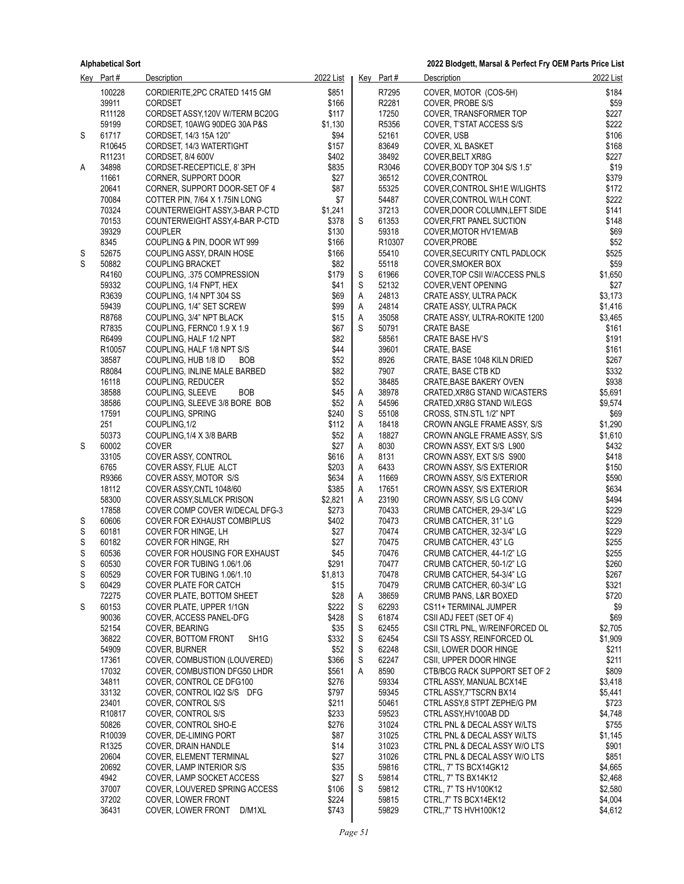|        | Key Part#          | <b>Description</b>                                                 | 2022 List      |        | Key Part#      | Description                                                    | 2022 List      |
|--------|--------------------|--------------------------------------------------------------------|----------------|--------|----------------|----------------------------------------------------------------|----------------|
|        | 100228             | CORDIERITE, 2PC CRATED 1415 GM                                     | \$851          |        | R7295          | COVER, MOTOR (COS-5H)                                          | \$184          |
|        | 39911              | <b>CORDSET</b>                                                     | \$166          |        | R2281          | COVER, PROBE S/S                                               | \$59           |
|        | R <sub>11128</sub> | CORDSET ASSY, 120V W/TERM BC20G                                    | \$117          |        | 17250          | COVER, TRANSFORMER TOP                                         | \$227          |
|        | 59199              | CORDSET, 10AWG 90DEG 30A P&S                                       | \$1,130        |        | R5356          | COVER, T'STAT ACCESS S/S                                       | \$222          |
| S      | 61717              | CORDSET, 14/3 15A 120"                                             | \$94           |        | 52161<br>83649 | COVER, USB                                                     | \$106          |
|        | R10645<br>R11231   | CORDSET, 14/3 WATERTIGHT<br>CORDSET, 8/4 600V                      | \$157<br>\$402 |        | 38492          | COVER, XL BASKET<br>COVER, BELT XR8G                           | \$168<br>\$227 |
| Α      | 34898              | CORDSET-RECEPTICLE, 8'3PH                                          | \$835          |        | R3046          | COVER, BODY TOP 304 S/S 1.5"                                   | \$19           |
|        | 11661              | CORNER, SUPPORT DOOR                                               | \$27           |        | 36512          | COVER, CONTROL                                                 | \$379          |
|        | 20641              | CORNER, SUPPORT DOOR-SET OF 4                                      | \$87           |        | 55325          | COVER CONTROL SH1E W/LIGHTS                                    | \$172          |
|        | 70084              | COTTER PIN, 7/64 X 1.75IN LONG                                     | \$7            |        | 54487          | COVER, CONTROL W/LH CONT.                                      | \$222          |
|        | 70324              | COUNTERWEIGHT ASSY, 3-BAR P-CTD                                    | \$1,241        |        | 37213          | COVER, DOOR COLUMN, LEFT SIDE                                  | \$141          |
|        | 70153              | COUNTERWEIGHT ASSY, 4-BAR P-CTD                                    | \$378          | S      | 61353          | COVER, FRT PANEL SUCTION                                       | \$148          |
|        | 39329              | <b>COUPLER</b>                                                     | \$130          |        | 59318          | COVER, MOTOR HV1EM/AB                                          | \$69           |
|        | 8345<br>52675      | COUPLING & PIN, DOOR WT 999                                        | \$166          |        | R10307         | COVER, PROBE                                                   | \$52           |
| S<br>S | 50882              | COUPLING ASSY, DRAIN HOSE<br><b>COUPLING BRACKET</b>               | \$166<br>\$82  |        | 55410<br>55118 | COVER, SECURITY CNTL PADLOCK<br>COVER, SMOKER BOX              | \$525<br>\$59  |
|        | R4160              | COUPLING, 375 COMPRESSION                                          | \$179          | S      | 61966          | COVER, TOP CSII WACCESS PNLS                                   | \$1,650        |
|        | 59332              | COUPLING, 1/4 FNPT, HEX                                            | \$41           | S      | 52132          | COVER, VENT OPENING                                            | \$27           |
|        | R3639              | COUPLING, 1/4 NPT 304 SS                                           | \$69           | A      | 24813          | CRATE ASSY, ULTRA PACK                                         | \$3,173        |
|        | 59439              | COUPLING, 1/4" SET SCREW                                           | \$99           | А      | 24814          | CRATE ASSY, ULTRA PACK                                         | \$1,416        |
|        | R8768              | COUPLING, 3/4" NPT BLACK                                           | \$15           | A      | 35058          | CRATE ASSY, ULTRA-ROKITE 1200                                  | \$3,465        |
|        | R7835              | COUPLING, FERNC0 1.9 X 1.9                                         | \$67           | S      | 50791          | <b>CRATE BASE</b>                                              | \$161          |
|        | R6499              | COUPLING, HALF 1/2 NPT                                             | \$82           |        | 58561          | CRATE BASE HV'S                                                | \$191          |
|        | R10057             | COUPLING, HALF 1/8 NPT S/S                                         | \$44           |        | 39601          | CRATE, BASE                                                    | \$161<br>\$267 |
|        | 38587<br>R8084     | COUPLING, HUB 1/8 ID<br><b>BOB</b><br>COUPLING, INLINE MALE BARBED | \$52<br>\$82   |        | 8926<br>7907   | CRATE, BASE 1048 KILN DRIED<br><b>CRATE, BASE CTB KD</b>       | \$332          |
|        | 16118              | COUPLING, REDUCER                                                  | \$52           |        | 38485          | <b>CRATE BASE BAKERY OVEN</b>                                  | \$938          |
|        | 38588              | <b>BOB</b><br>COUPLING, SLEEVE                                     | \$45           | A      | 38978          | CRATED, XR8G STAND W/CASTERS                                   | \$5,691        |
|        | 38586              | COUPLING, SLEEVE 3/8 BORE BOB                                      | \$52           | A      | 54596          | CRATED, XR8G STAND W/LEGS                                      | \$9,574        |
|        | 17591              | COUPLING, SPRING                                                   | \$240          | S      | 55108          | CROSS, STN.STL 1/2" NPT                                        | \$69           |
|        | 251                | COUPLING, 1/2                                                      | \$112          | A      | 18418          | CROWN ANGLE FRAME ASSY, S/S                                    | \$1,290        |
|        | 50373              | COUPLING, 1/4 X 3/8 BARB                                           | \$52           | A      | 18827          | CROWN ANGLE FRAME ASSY, S/S                                    | \$1,610        |
| S      | 60002<br>33105     | <b>COVER</b><br>COVER ASSY, CONTROL                                | \$27<br>\$616  | A      | 8030<br>8131   | CROWN ASSY, EXT S/S L900                                       | \$432<br>\$418 |
|        | 6765               | COVER ASSY, FLUE ALCT                                              | \$203          | Α<br>Α | 6433           | CROWN ASSY, EXT S/S S900<br>CROWN ASSY, S/S EXTERIOR           | \$150          |
|        | R9366              | COVER ASSY, MOTOR S/S                                              | \$634          | A      | 11669          | CROWN ASSY, S/S EXTERIOR                                       | \$590          |
|        | 18112              | COVER ASSY, CNTL 1048/60                                           | \$385          | Α      | 17651          | CROWN ASSY, S/S EXTERIOR                                       | \$634          |
|        | 58300              | COVER ASSY, SLMLCK PRISON                                          | \$2,821        | Α      | 23190          | CROWN ASSY, S/S LG CONV                                        | \$494          |
|        | 17858              | COVER COMP COVER W/DECAL DFG-3                                     | \$273          |        | 70433          | CRUMB CATCHER, 29-3/4" LG                                      | \$229          |
| S      | 60606              | <b>COVER FOR EXHAUST COMBIPLUS</b>                                 | \$402          |        | 70473          | CRUMB CATCHER, 31" LG                                          | \$229          |
| S      | 60181              | COVER FOR HINGE, LH                                                | \$27           |        | 70474          | CRUMB CATCHER, 32-3/4" LG                                      | \$229          |
| S      | 60182<br>60536     | COVER FOR HINGE, RH                                                | \$27<br>\$45   |        | 70475<br>70476 | CRUMB CATCHER, 43" LG                                          | \$255<br>\$255 |
| S<br>S | 60530              | COVER FOR HOUSING FOR EXHAUST<br>COVER FOR TUBING 1.06/1.06        | \$291          |        | 70477          | CRUMB CATCHER, 44-1/2" LG<br>CRUMB CATCHER, 50-1/2" LG         | \$260          |
| S      | 60529              | COVER FOR TUBING 1.06/1.10                                         | \$1,813        |        | 70478          | CRUMB CATCHER, 54-3/4" LG                                      | \$267          |
| S      | 60429              | COVER PLATE FOR CATCH                                              | \$15           |        | 70479          | CRUMB CATCHER, 60-3/4" LG                                      | \$321          |
|        | 72275              | COVER PLATE, BOTTOM SHEET                                          | \$28           | A      | 38659          | <b>CRUMB PANS, L&amp;R BOXED</b>                               | \$720          |
| S      | 60153              | COVER PLATE, UPPER 1/1GN                                           | \$222          | S      | 62293          | CS11+ TERMINAL JUMPER                                          | \$9            |
|        | 90036              | COVER, ACCESS PANEL-DFG                                            | \$428          | S      | 61874          | CSII ADJ FEET (SET OF 4)                                       | \$69           |
|        | 52154              | COVER, BEARING                                                     | \$35           | S      | 62455          | CSII CTRL PNL, W/REINFORCED OL                                 | \$2,705        |
|        | 36822              | COVER, BOTTOM FRONT<br>SH <sub>1</sub> G                           | \$332          | S      | 62454          | CSII TS ASSY, REINFORCED OL                                    | \$1,909        |
|        | 54909<br>17361     | COVER, BURNER<br>COVER, COMBUSTION (LOUVERED)                      | \$52<br>\$366  | S<br>S | 62248<br>62247 | CSII, LOWER DOOR HINGE<br>CSII, UPPER DOOR HINGE               | \$211<br>\$211 |
|        | 17032              | COVER, COMBUSTION DFG50 LHDR                                       | \$561          | Α      | 8590           | CTB/BCG RACK SUPPORT SET OF 2                                  | \$809          |
|        | 34811              | COVER, CONTROL CE DFG100                                           | \$276          |        | 59334          | CTRL ASSY, MANUAL BCX14E                                       | \$3,418        |
|        | 33132              | COVER, CONTROL IQ2 S/S DFG                                         | \$797          |        | 59345          | CTRL ASSY 7"TSCRN BX14                                         | \$5,441        |
|        | 23401              | COVER, CONTROL S/S                                                 | \$211          |        | 50461          | CTRL ASSY, 8 STPT ZEPHE/G PM                                   | \$723          |
|        | R10817             | COVER, CONTROL S/S                                                 | \$233          |        | 59523          | CTRL ASSY, HV100AB DD                                          | \$4,748        |
|        | 50826              | COVER, CONTROL SHO-E                                               | \$276          |        | 31024          | CTRL PNL & DECAL ASSY W/LTS                                    | \$755          |
|        | R10039             | COVER, DE-LIMING PORT                                              | \$87           |        | 31025          | CTRL PNL & DECAL ASSY W/LTS                                    | \$1,145        |
|        | R1325<br>20604     | COVER, DRAIN HANDLE<br>COVER, ELEMENT TERMINAL                     | \$14<br>\$27   |        | 31023<br>31026 | CTRL PNL & DECAL ASSY W/O LTS<br>CTRL PNL & DECAL ASSY W/O LTS | \$901<br>\$851 |
|        | 20692              | COVER, LAMP INTERIOR S/S                                           | \$35           |        | 59816          | CTRL, 7" TS BCX14GK12                                          | \$4,665        |
|        | 4942               | COVER, LAMP SOCKET ACCESS                                          | \$27           | S      | 59814          | CTRL, 7" TS BX14K12                                            | \$2,468        |
|        | 37007              | COVER, LOUVERED SPRING ACCESS                                      | \$106          | S      | 59812          | CTRL, 7" TS HV100K12                                           | \$2,580        |
|        | 37202              | COVER, LOWER FRONT                                                 | \$224          |        | 59815          | CTRL, 7" TS BCX14EK12                                          | \$4,004        |
|        | 36431              | COVER, LOWER FRONT D/M1XL                                          | \$743          |        | 59829          | CTRL, 7" TS HVH100K12                                          | \$4,612        |
|        |                    |                                                                    |                |        |                |                                                                |                |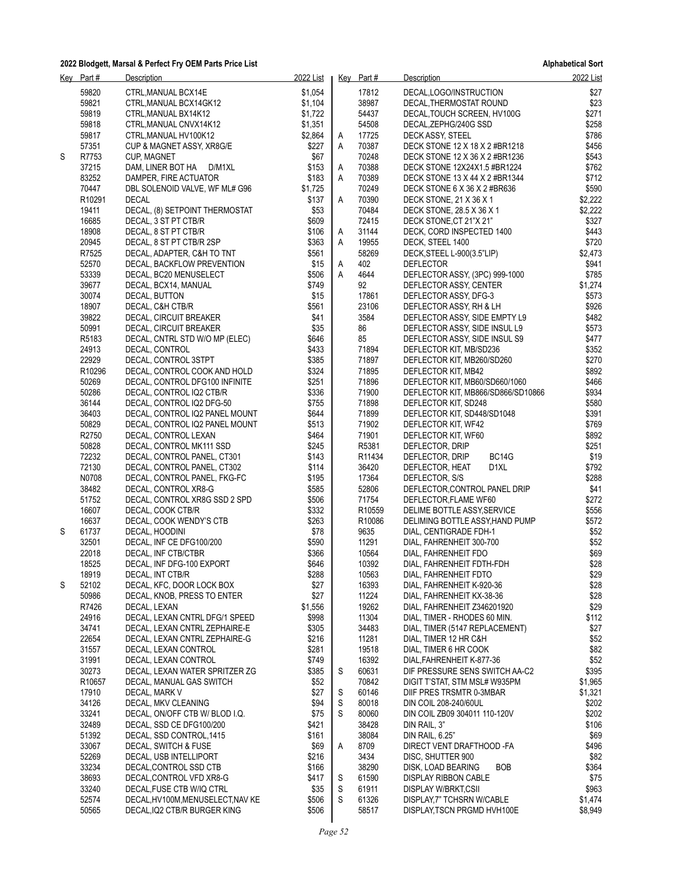|   | Key Part#      | Description                                                 | 2022 List      |   | Key Part#          | Description                               | 2022 List      |
|---|----------------|-------------------------------------------------------------|----------------|---|--------------------|-------------------------------------------|----------------|
|   | 59820          | CTRL, MANUAL BCX14E                                         | \$1.054        |   | 17812              | DECAL, LOGO/INSTRUCTION                   | \$27           |
|   | 59821          | CTRL, MANUAL BCX14GK12                                      | \$1,104        |   | 38987              | DECAL, THERMOSTAT ROUND                   | \$23           |
|   | 59819          | CTRL, MANUAL BX14K12                                        | \$1,722        |   | 54437              | DECAL, TOUCH SCREEN, HV100G               | \$271          |
|   | 59818          | CTRL, MANUAL CNVX14K12                                      | \$1,351        |   | 54508              | DECAL, ZEPHG/240G SSD                     | \$258          |
|   | 59817          | CTRL, MANUAL HV100K12                                       | \$2,864        | A | 17725              | DECK ASSY, STEEL                          | \$786          |
|   | 57351          | CUP & MAGNET ASSY, XR8G/E                                   | \$227          | Α | 70387              | DECK STONE 12 X 18 X 2 #BR1218            | \$456          |
| S | R7753          | <b>CUP, MAGNET</b>                                          | \$67           |   | 70248              | DECK STONE 12 X 36 X 2 #BR1236            | \$543          |
|   | 37215          | D/M1XL<br>DAM, LINER BOT HA                                 | \$153          | Α | 70388              | DECK STONE 12X24X1.5 #BR1224              | \$762          |
|   | 83252          | DAMPER, FIRE ACTUATOR                                       | \$183          | Α | 70389              | DECK STONE 13 X 44 X 2 #BR1344            | \$712          |
|   | 70447          | DBL SOLENOID VALVE, WF ML# G96                              | \$1,725        |   | 70249              | DECK STONE 6 X 36 X 2 #BR636              | \$590          |
|   | R10291         | <b>DECAL</b>                                                | \$137          | Α | 70390              | DECK STONE, 21 X 36 X 1                   | \$2,222        |
|   | 19411          | DECAL, (8) SETPOINT THERMOSTAT                              | \$53           |   | 70484              | DECK STONE, 28.5 X 36 X 1                 | \$2,222        |
|   | 16685          | DECAL, 3 ST PT CTB/R                                        | \$609          |   | 72415              | DECK STONE, CT 21"X 21"                   | \$327          |
|   | 18908          | DECAL, 8 ST PT CTB/R                                        | \$106          | A | 31144              | DECK, CORD INSPECTED 1400                 | \$443          |
|   | 20945          | DECAL, 8 ST PT CTB/R 2SP                                    | \$363          | Α | 19955              | DECK, STEEL 1400                          | \$720          |
|   | R7525          | DECAL, ADAPTER, C&H TO TNT                                  | \$561          |   | 58269              | DECK, STEEL L-900(3.5"LIP)                | \$2,473        |
|   | 52570          | DECAL, BACKFLOW PREVENTION                                  | \$15           | A | 402                | <b>DEFLECTOR</b>                          | \$941          |
|   | 53339          | DECAL, BC20 MENUSELECT                                      | \$506          | A | 4644               | DEFLECTOR ASSY, (3PC) 999-1000            | \$785          |
|   | 39677          | DECAL, BCX14, MANUAL                                        | \$749          |   | 92                 | DEFLECTOR ASSY, CENTER                    | \$1,274        |
|   | 30074          | DECAL, BUTTON                                               | \$15           |   | 17861              | DEFLECTOR ASSY, DFG-3                     | \$573          |
|   | 18907          | DECAL, C&H CTB/R                                            | \$561          |   | 23106              | DEFLECTOR ASSY, RH & LH                   | \$926          |
|   | 39822          | DECAL, CIRCUIT BREAKER                                      | \$41           |   | 3584               | DEFLECTOR ASSY, SIDE EMPTY L9             | \$482          |
|   | 50991          | DECAL, CIRCUIT BREAKER                                      | \$35           |   | 86                 | DEFLECTOR ASSY, SIDE INSUL L9             | \$573          |
|   | R5183          | DECAL, CNTRL STD W/O MP (ELEC)                              | \$646          |   | 85                 | DEFLECTOR ASSY, SIDE INSUL S9             | \$477          |
|   | 24913          | DECAL, CONTROL                                              | \$433          |   | 71894              | DEFLECTOR KIT, MB/SD236                   | \$352          |
|   | 22929          | DECAL, CONTROL 3STPT                                        | \$385          |   | 71897              | DEFLECTOR KIT, MB260/SD260                | \$270          |
|   | R10296         | DECAL, CONTROL COOK AND HOLD                                | \$324          |   | 71895<br>71896     | DEFLECTOR KIT, MB42                       | \$892          |
|   | 50269          | DECAL, CONTROL DFG100 INFINITE                              | \$251          |   |                    | DEFLECTOR KIT, MB60/SD660/1060            | \$466          |
|   | 50286          | DECAL, CONTROL IQ2 CTB/R                                    | \$336          |   | 71900              | DEFLECTOR KIT, MB866/SD866/SD10866        | \$934          |
|   | 36144          | DECAL, CONTROL IQ2 DFG-50                                   | \$755          |   | 71898<br>71899     | DEFLECTOR KIT, SD248                      | \$580          |
|   | 36403          | DECAL, CONTROL IQ2 PANEL MOUNT                              | \$644          |   |                    | DEFLECTOR KIT, SD448/SD1048               | \$391          |
|   | 50829          | DECAL, CONTROL IQ2 PANEL MOUNT                              | \$513          |   | 71902              | DEFLECTOR KIT, WF42                       | \$769          |
|   | R2750          | DECAL, CONTROL LEXAN                                        | \$464          |   | 71901              | DEFLECTOR KIT, WF60                       | \$892          |
|   | 50828          | DECAL, CONTROL MK111 SSD                                    | \$245          |   | R5381              | DEFLECTOR, DRIP                           | \$251          |
|   | 72232<br>72130 | DECAL, CONTROL PANEL, CT301                                 | \$143          |   | R11434<br>36420    | DEFLECTOR, DRIP<br>BC <sub>14</sub> G     | \$19           |
|   | N0708          | DECAL, CONTROL PANEL, CT302<br>DECAL, CONTROL PANEL, FKG-FC | \$114<br>\$195 |   | 17364              | DEFLECTOR, HEAT<br>D1XL<br>DEFLECTOR, S/S | \$792<br>\$288 |
|   | 38482          | DECAL, CONTROL XR8-G                                        | \$585          |   | 52806              | DEFLECTOR, CONTROL PANEL DRIP             | \$41           |
|   | 51752          | DECAL, CONTROL XR8G SSD 2 SPD                               | \$506          |   | 71754              | DEFLECTOR, FLAME WF60                     | \$272          |
|   | 16607          | DECAL, COOK CTB/R                                           | \$332          |   | R <sub>10559</sub> | DELIME BOTTLE ASSY SERVICE                | \$556          |
|   | 16637          | DECAL, COOK WENDY'S CTB                                     | \$263          |   | R10086             | DELIMING BOTTLE ASSY, HAND PUMP           | \$572          |
| S | 61737          | DECAL, HOODINI                                              | \$78           |   | 9635               | DIAL, CENTIGRADE FDH-1                    | \$52           |
|   | 32501          | DECAL, INF CE DFG100/200                                    | \$590          |   | 11291              | DIAL, FAHRENHEIT 300-700                  | \$52           |
|   | 22018          | DECAL, INF CTB/CTBR                                         | \$366          |   | 10564              | DIAL, FAHRENHEIT FDO                      | \$69           |
|   | 18525          | DECAL, INF DFG-100 EXPORT                                   | \$646          |   | 10392              | DIAL, FAHRENHEIT FDTH-FDH                 | \$28           |
|   | 18919          | DECAL, INT CTB/R                                            | \$288          |   | 10563              | DIAL, FAHRENHEIT FDTO                     | \$29           |
| S | 52102          | DECAL, KFC, DOOR LOCK BOX                                   | \$27           |   | 16393              | DIAL, FAHRENHEIT K-920-36                 | \$28           |
|   | 50986          | DECAL, KNOB, PRESS TO ENTER                                 | \$27           |   | 11224              | DIAL, FAHRENHEIT KX-38-36                 | \$28           |
|   | R7426          | DECAL, LEXAN                                                | \$1,556        |   | 19262              | DIAL, FAHRENHEIT Z346201920               | \$29           |
|   | 24916          | DECAL, LEXAN CNTRL DFG/1 SPEED                              | \$998          |   | 11304              | DIAL, TIMER - RHODES 60 MIN.              | \$112          |
|   | 34741          | DECAL, LEXAN CNTRL ZEPHAIRE-E                               | \$305          |   | 34483              | DIAL, TIMER (5147 REPLACEMENT)            | \$27           |
|   | 22654          | DECAL, LEXAN CNTRL ZEPHAIRE-G                               | \$216          |   | 11281              | DIAL, TIMER 12 HR C&H                     | \$52           |
|   | 31557          | DECAL, LEXAN CONTROL                                        | \$281          |   | 19518              | DIAL, TIMER 6 HR COOK                     | \$82           |
|   | 31991          | DECAL, LEXAN CONTROL                                        | \$749          |   | 16392              | DIAL, FAHRENHEIT K-877-36                 | \$52           |
|   | 30273          | DECAL, LEXAN WATER SPRITZER ZG                              | \$385          | S | 60631              | DIF PRESSURE SENS SWITCH AA-C2            | \$395          |
|   | R10657         | DECAL, MANUAL GAS SWITCH                                    | \$52           |   | 70842              | DIGIT T'STAT, STM MSL# W935PM             | \$1,965        |
|   | 17910          | DECAL, MARK V                                               | \$27           | S | 60146              | DIIF PRES TRSMTR 0-3MBAR                  | \$1,321        |
|   | 34126          | DECAL, MKV CLEANING                                         | \$94           | S | 80018              | DIN COIL 208-240/60UL                     | \$202          |
|   | 33241          | DECAL, ON/OFF CTB W/ BLOD I.Q.                              | \$75           | S | 80060              | DIN COIL ZB09 304011 110-120V             | \$202          |
|   | 32489          | DECAL, SSD CE DFG100/200                                    | \$421          |   | 38428              | DIN RAIL, 3"                              | \$106          |
|   | 51392          | DECAL, SSD CONTROL, 1415                                    | \$161          |   | 38084              | DIN RAIL, 6.25"                           | \$69           |
|   | 33067          | DECAL, SWITCH & FUSE                                        | \$69           | A | 8709               | DIRECT VENT DRAFTHOOD -FA                 | \$496          |
|   | 52269          | DECAL, USB INTELLIPORT                                      | \$216          |   | 3434               | DISC, SHUTTER 900                         | \$82           |
|   | 33234          | DECAL, CONTROL SSD CTB                                      | \$166          |   | 38290              | DISK, LOAD BEARING<br><b>BOB</b>          | \$364          |
|   | 38693          | DECAL, CONTROL VFD XR8-G                                    | \$417          | S | 61590              | DISPLAY RIBBON CABLE                      | \$75           |
|   | 33240          | DECAL, FUSE CTB W/IQ CTRL                                   | \$35           | S | 61911              | <b>DISPLAY W/BRKT,CSII</b>                | \$963          |
|   | 52574          | DECAL, HV100M, MENUSELECT, NAV KE                           | \$506          | S | 61326              | DISPLAY, 7" TCHSRN W/CABLE                | \$1,474        |
|   | 50565          | DECAL, IQ2 CTB/R BURGER KING                                | \$506          |   | 58517              | DISPLAY, TSCN PRGMD HVH100E               | \$8,949        |
|   |                |                                                             |                |   |                    |                                           |                |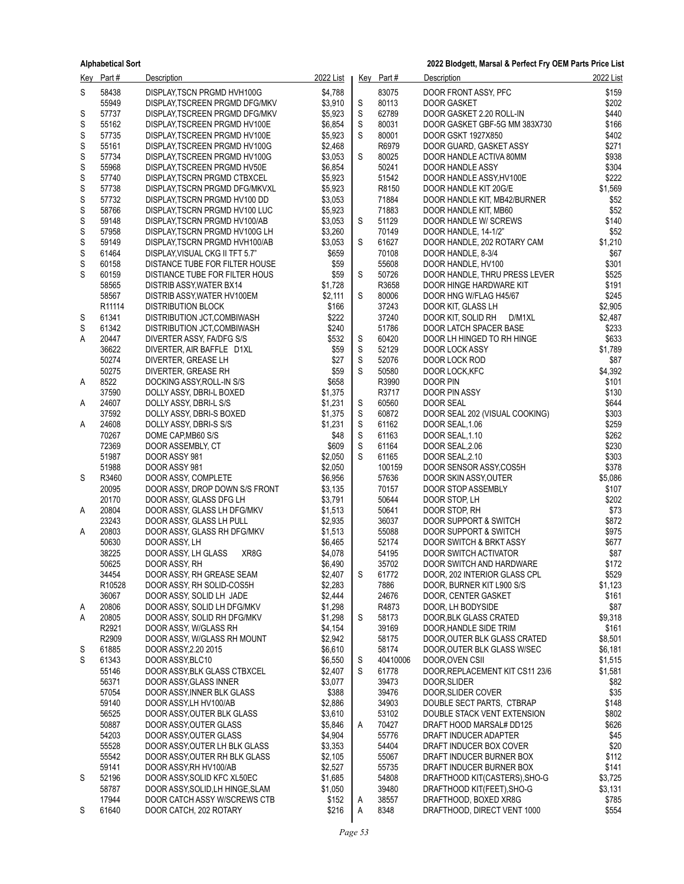|        | Key Part#      | <b>Description</b>                                             | 2022 List          |             | Key Part#      | <b>Description</b>                                        | 2022 List        |
|--------|----------------|----------------------------------------------------------------|--------------------|-------------|----------------|-----------------------------------------------------------|------------------|
| S      | 58438          | DISPLAY, TSCN PRGMD HVH100G                                    | \$4,788            |             | 83075          | DOOR FRONT ASSY, PFC                                      | \$159            |
|        | 55949          | DISPLAY, TSCREEN PRGMD DFG/MKV                                 | \$3,910            | S           | 80113          | <b>DOOR GASKET</b>                                        | \$202            |
| S      | 57737          | DISPLAY, TSCREEN PRGMD DFG/MKV                                 | \$5,923            | $\mathbb S$ | 62789          | DOOR GASKET 2.20 ROLL-IN                                  | \$440            |
| S      | 55162          | DISPLAY, TSCREEN PRGMD HV100E                                  | \$6,854            | $\mathbb S$ | 80031          | DOOR GASKET GBF-5G MM 383X730                             | \$166            |
| S      | 57735          | DISPLAY, TSCREEN PRGMD HV100E                                  | \$5,923            | S           | 80001          | <b>DOOR GSKT 1927X850</b>                                 | \$402            |
| S      | 55161          | DISPLAY, TSCREEN PRGMD HV100G                                  | \$2,468            |             | R6979          | DOOR GUARD, GASKET ASSY                                   | \$271            |
| S      | 57734          | DISPLAY, TSCREEN PRGMD HV100G                                  | \$3,053            | S           | 80025          | DOOR HANDLE ACTIVA 80MM                                   | \$938            |
| S<br>S | 55968<br>57740 | DISPLAY, TSCREEN PRGMD HV50E                                   | \$6,854<br>\$5,923 |             | 50241<br>51542 | DOOR HANDLE ASSY                                          | \$304<br>\$222   |
| S      | 57738          | DISPLAY, TSCRN PRGMD CTBXCEL<br>DISPLAY, TSCRN PRGMD DFG/MKVXL | \$5,923            |             | R8150          | DOOR HANDLE ASSY, HV100E<br>DOOR HANDLE KIT 20G/E         | \$1,569          |
| S      | 57732          | DISPLAY, TSCRN PRGMD HV100 DD                                  | \$3,053            |             | 71884          | DOOR HANDLE KIT, MB42/BURNER                              | \$52             |
| S      | 58766          | DISPLAY, TSCRN PRGMD HV100 LUC                                 | \$5,923            |             | 71883          | DOOR HANDLE KIT, MB60                                     | \$52             |
| S      | 59148          | DISPLAY, TSCRN PRGMD HV100/AB                                  | \$3,053            | S           | 51129          | DOOR HANDLE W/ SCREWS                                     | \$140            |
| S      | 57958          | DISPLAY, TSCRN PRGMD HV100G LH                                 | \$3,260            |             | 70149          | DOOR HANDLE, 14-1/2"                                      | \$52             |
| S      | 59149          | DISPLAY, TSCRN PRGMD HVH100/AB                                 | \$3,053            | S           | 61627          | DOOR HANDLE, 202 ROTARY CAM                               | \$1,210          |
| S      | 61464          | DISPLAY, VISUAL CKG II TFT 5.7"                                | \$659              |             | 70108          | DOOR HANDLE, 8-3/4                                        | \$67             |
| S      | 60158          | DISTANCE TUBE FOR FILTER HOUSE                                 | \$59               |             | 55608          | DOOR HANDLE, HV100                                        | \$301            |
| S      | 60159          | DISTIANCE TUBE FOR FILTER HOUS                                 | \$59               | S           | 50726          | DOOR HANDLE, THRU PRESS LEVER                             | \$525            |
|        | 58565          | DISTRIB ASSY, WATER BX14                                       | \$1,728            |             | R3658          | DOOR HINGE HARDWARE KIT                                   | \$191            |
|        | 58567          | DISTRIB ASSY, WATER HV100EM                                    | \$2,111            | S           | 80006          | DOOR HNG W/FLAG H45/67                                    | \$245            |
|        | R11114         | <b>DISTRIBUTION BLOCK</b>                                      | \$166              |             | 37243          | DOOR KIT, GLASS LH                                        | \$2,905          |
| S      | 61341          | DISTRIBUTION JCT,COMBIWASH                                     | \$222              |             | 37240          | D/M1XL<br>DOOR KIT, SOLID RH                              | \$2,487          |
| S<br>А | 61342<br>20447 | DISTRIBUTION JCT,COMBIWASH                                     | \$240<br>\$532     | S           | 51786<br>60420 | DOOR LATCH SPACER BASE<br>DOOR LH HINGED TO RH HINGE      | \$233<br>\$633   |
|        | 36622          | DIVERTER ASSY, FA/DFG S/S<br>DIVERTER, AIR BAFFLE D1XL         | \$59               | S           | 52129          | DOOR LOCK ASSY                                            | \$1,789          |
|        | 50274          | DIVERTER, GREASE LH                                            | \$27               | $\mathbb S$ | 52076          | DOOR LOCK ROD                                             | \$87             |
|        | 50275          | DIVERTER, GREASE RH                                            | \$59               | S           | 50580          | DOOR LOCK, KFC                                            | \$4,392          |
| A      | 8522           | DOCKING ASSY, ROLL-IN S/S                                      | \$658              |             | R3990          | DOOR PIN                                                  | \$101            |
|        | 37590          | DOLLY ASSY, DBRI-L BOXED                                       | \$1,375            |             | R3717          | DOOR PIN ASSY                                             | \$130            |
| A      | 24607          | DOLLY ASSY, DBRI-L S/S                                         | \$1,231            | S           | 60560          | DOOR SEAL                                                 | \$644            |
|        | 37592          | DOLLY ASSY, DBRI-S BOXED                                       | \$1,375            | S           | 60872          | DOOR SEAL 202 (VISUAL COOKING)                            | \$303            |
| Α      | 24608          | DOLLY ASSY, DBRI-S S/S                                         | \$1,231            | $\mathbb S$ | 61162          | DOOR SEAL, 1.06                                           | \$259            |
|        | 70267          | DOME CAP, MB60 S/S                                             | \$48               | $\mathbb S$ | 61163          | DOOR SEAL, 1.10                                           | \$262            |
|        | 72369          | DOOR ASSEMBLY, CT                                              | \$609              | $\mathbb S$ | 61164          | DOOR SEAL, 2.06                                           | \$230            |
|        | 51987          | DOOR ASSY 981                                                  | \$2,050            | S           | 61165          | DOOR SEAL, 2.10                                           | \$303            |
|        | 51988          | DOOR ASSY 981                                                  | \$2,050            |             | 100159         | DOOR SENSOR ASSY, COS5H                                   | \$378            |
| S      | R3460<br>20095 | DOOR ASSY, COMPLETE<br>DOOR ASSY, DROP DOWN S/S FRONT          | \$6,956<br>\$3,135 |             | 57636<br>70157 | DOOR SKIN ASSY, OUTER<br>DOOR STOP ASSEMBLY               | \$5,086<br>\$107 |
|        | 20170          | DOOR ASSY, GLASS DFG LH                                        | \$3,791            |             | 50644          | DOOR STOP, LH                                             | \$202            |
| A      | 20804          | DOOR ASSY, GLASS LH DFG/MKV                                    | \$1,513            |             | 50641          | DOOR STOP, RH                                             | \$73             |
|        | 23243          | DOOR ASSY, GLASS LH PULL                                       | \$2,935            |             | 36037          | <b>DOOR SUPPORT &amp; SWITCH</b>                          | \$872            |
| A      | 20803          | DOOR ASSY, GLASS RH DFG/MKV                                    | \$1,513            |             | 55088          | DOOR SUPPORT & SWITCH                                     | \$975            |
|        | 50630          | DOOR ASSY, LH                                                  | \$6,465            |             | 52174          | DOOR SWITCH & BRKT ASSY                                   | \$677            |
|        | 38225          | XR8G<br>DOOR ASSY, LH GLASS                                    | \$4,078            |             | 54195          | DOOR SWITCH ACTIVATOR                                     | \$87             |
|        | 50625          | DOOR ASSY, RH                                                  | \$6,490            |             | 35702          | DOOR SWITCH AND HARDWARE                                  | \$172            |
|        | 34454          | DOOR ASSY, RH GREASE SEAM                                      | \$2,407            | S           | 61772          | DOOR, 202 INTERIOR GLASS CPL                              | \$529            |
|        | R10528         | DOOR ASSY, RH SOLID-COS5H                                      | \$2,283            |             | 7886           | DOOR, BURNER KIT L900 S/S                                 | \$1,123          |
|        | 36067          | DOOR ASSY, SOLID LH JADE                                       | \$2,444            |             | 24676          | DOOR, CENTER GASKET                                       | \$161            |
| A      | 20806          | DOOR ASSY, SOLID LH DFG/MKV                                    | \$1,298            |             | R4873          | DOOR, LH BODYSIDE                                         | \$87             |
| A      | 20805<br>R2921 | DOOR ASSY, SOLID RH DFG/MKV<br>DOOR ASSY, W/GLASS RH           | \$1,298<br>\$4,154 | S           | 58173<br>39169 | DOOR, BLK GLASS CRATED<br>DOOR, HANDLE SIDE TRIM          | \$9,318<br>\$161 |
|        | R2909          | DOOR ASSY, W/GLASS RH MOUNT                                    | \$2,942            |             | 58175          | DOOR, OUTER BLK GLASS CRATED                              | \$8,501          |
| S      | 61885          | DOOR ASSY, 2.20 2015                                           | \$6,610            |             | 58174          | DOOR, OUTER BLK GLASS W/SEC                               | \$6,181          |
| S      | 61343          | DOOR ASSY, BLC10                                               | \$6,550            | S           | 40410006       | DOOR, OVEN CSII                                           | \$1,515          |
|        | 55146          | DOOR ASSY, BLK GLASS CTBXCEL                                   | \$2,407            | S           | 61778          | DOOR, REPLACEMENT KIT CS11 23/6                           | \$1,581          |
|        | 56371          | DOOR ASSY, GLASS INNER                                         | \$3,077            |             | 39473          | DOOR, SLIDER                                              | \$82             |
|        | 57054          | DOOR ASSY, INNER BLK GLASS                                     | \$388              |             | 39476          | DOOR, SLIDER COVER                                        | \$35             |
|        | 59140          | DOOR ASSY, LH HV100/AB                                         | \$2,886            |             | 34903          | DOUBLE SECT PARTS, CTBRAP                                 | \$148            |
|        | 56525          | DOOR ASSY OUTER BLK GLASS                                      | \$3,610            |             | 53102          | DOUBLE STACK VENT EXTENSION                               | \$802            |
|        | 50887          | DOOR ASSY, OUTER GLASS                                         | \$5,846            | A           | 70427          | DRAFT HOOD MARSAL# DD125                                  | \$626            |
|        | 54203          | DOOR ASSY OUTER GLASS                                          | \$4,904            |             | 55776          | DRAFT INDUCER ADAPTER                                     | \$45             |
|        | 55528          | DOOR ASSY, OUTER LH BLK GLASS                                  | \$3,353            |             | 54404          | DRAFT INDUCER BOX COVER                                   | \$20             |
|        | 55542<br>59141 | DOOR ASSY, OUTER RH BLK GLASS                                  | \$2,105            |             | 55067<br>55735 | DRAFT INDUCER BURNER BOX                                  | \$112<br>\$141   |
| S      | 52196          | DOOR ASSY, RH HV100/AB<br>DOOR ASSY, SOLID KFC XL50EC          | \$2,527<br>\$1,685 |             | 54808          | DRAFT INDUCER BURNER BOX<br>DRAFTHOOD KIT(CASTERS), SHO-G | \$3,725          |
|        | 58787          | DOOR ASSY, SOLID, LH HINGE, SLAM                               | \$1,050            |             | 39480          | DRAFTHOOD KIT(FEET), SHO-G                                | \$3,131          |
|        | 17944          | DOOR CATCH ASSY W/SCREWS CTB                                   | \$152              | Α           | 38557          | DRAFTHOOD, BOXED XR8G                                     | \$785            |
| S      | 61640          | DOOR CATCH, 202 ROTARY                                         | \$216              | Α           | 8348           | DRAFTHOOD, DIRECT VENT 1000                               | \$554            |
|        |                |                                                                |                    |             |                |                                                           |                  |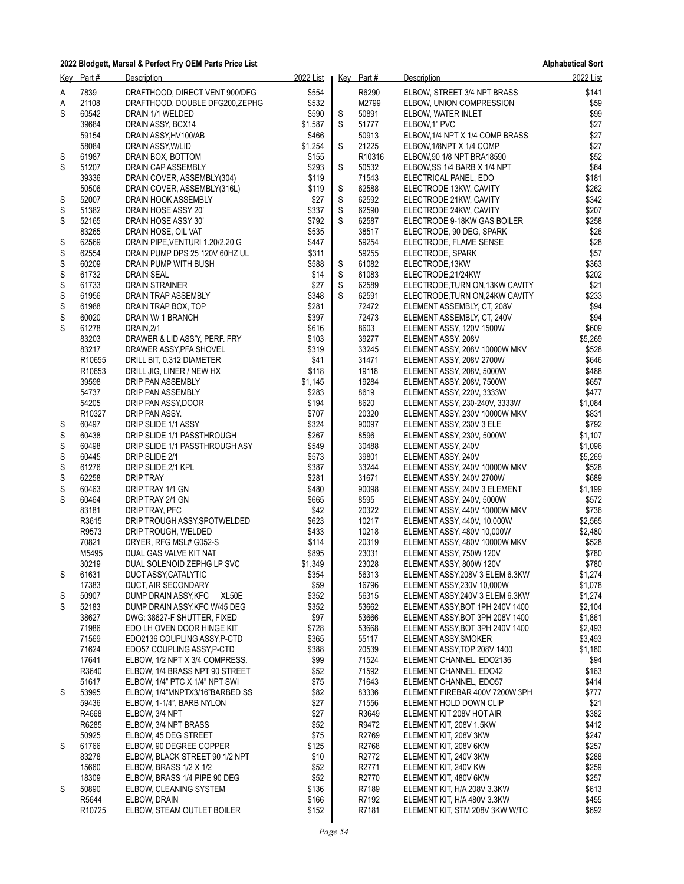|             | Key Part#          | Description                                                 | 2022 List      |             | Key Part#      | Description                                                   | 2022 List          |
|-------------|--------------------|-------------------------------------------------------------|----------------|-------------|----------------|---------------------------------------------------------------|--------------------|
| Α           | 7839               | DRAFTHOOD, DIRECT VENT 900/DFG                              | \$554          |             | R6290          | ELBOW, STREET 3/4 NPT BRASS                                   | \$141              |
| Α           | 21108              | DRAFTHOOD, DOUBLE DFG200, ZEPHG                             | \$532          |             | M2799          | ELBOW, UNION COMPRESSION                                      | \$59               |
| S           | 60542              | DRAIN 1/1 WELDED                                            | \$590          | S           | 50891          | ELBOW, WATER INLET                                            | \$99               |
|             | 39684              | DRAIN ASSY, BCX14                                           | \$1,587        | S           | 51777          | ELBOW, 1" PVC                                                 | \$27               |
|             | 59154              | DRAIN ASSY, HV100/AB                                        | \$466          |             | 50913          | ELBOW, 1/4 NPT X 1/4 COMP BRASS                               | \$27               |
|             | 58084              | DRAIN ASSY, W/LID                                           | \$1,254        | S           | 21225          | ELBOW 1/8NPT X 1/4 COMP                                       | \$27               |
| S           | 61987              | DRAIN BOX, BOTTOM                                           | \$155          |             | R10316         | ELBOW, 90 1/8 NPT BRA18590                                    | \$52               |
| S           | 51207              | DRAIN CAP ASSEMBLY                                          | \$293          | S           | 50532          | ELBOW, SS 1/4 BARB X 1/4 NPT                                  | \$64               |
|             | 39336<br>50506     | DRAIN COVER, ASSEMBLY(304)<br>DRAIN COVER, ASSEMBLY(316L)   | \$119<br>\$119 | S           | 71543<br>62588 | ELECTRICAL PANEL, EDO<br>ELECTRODE 13KW, CAVITY               | \$181<br>\$262     |
| S           | 52007              | DRAIN HOOK ASSEMBLY                                         | \$27           | S           | 62592          | ELECTRODE 21KW, CAVITY                                        | \$342              |
| S           | 51382              | DRAIN HOSE ASSY 20'                                         | \$337          | S           | 62590          | ELECTRODE 24KW, CAVITY                                        | \$207              |
| S           | 52165              | DRAIN HOSE ASSY 30'                                         | \$792          | S           | 62587          | ELECTRODE 9-18KW GAS BOILER                                   | \$258              |
|             | 83265              | DRAIN HOSE, OIL VAT                                         | \$535          |             | 38517          | ELECTRODE, 90 DEG, SPARK                                      | \$26               |
| S           | 62569              | DRAIN PIPE, VENTURI 1.20/2.20 G                             | \$447          |             | 59254          | ELECTRODE, FLAME SENSE                                        | \$28               |
| S           | 62554              | DRAIN PUMP DPS 25 120V 60HZ UL                              | \$311          |             | 59255          | ELECTRODE, SPARK                                              | \$57               |
| S           | 60209              | DRAIN PUMP WITH BUSH                                        | \$588          | S           | 61082          | ELECTRODE, 13KW                                               | \$363              |
| S           | 61732              | DRAIN SEAL                                                  | \$14           | S           | 61083          | ELECTRODE, 21/24KW                                            | \$202              |
| $\mathbb S$ | 61733              | DRAIN STRAINER                                              | \$27           | $\mathbb S$ | 62589          | ELECTRODE, TURN ON, 13KW CAVITY                               | \$21               |
| S           | 61956              | DRAIN TRAP ASSEMBLY                                         | \$348          | S           | 62591<br>72472 | ELECTRODE, TURN ON, 24KW CAVITY<br>ELEMENT ASSEMBLY, CT, 208V | \$233<br>\$94      |
| S<br>S      | 61988<br>60020     | DRAIN TRAP BOX, TOP<br>DRAIN W/ 1 BRANCH                    | \$281<br>\$397 |             | 72473          | ELEMENT ASSEMBLY, CT, 240V                                    | \$94               |
| S           | 61278              | DRAIN, 2/1                                                  | \$616          |             | 8603           | ELEMENT ASSY, 120V 1500W                                      | \$609              |
|             | 83203              | DRAWER & LID ASS'Y, PERF. FRY                               | \$103          |             | 39277          | ELEMENT ASSY, 208V                                            | \$5,269            |
|             | 83217              | DRAWER ASSY, PFA SHOVEL                                     | \$319          |             | 33245          | ELEMENT ASSY, 208V 10000W MKV                                 | \$528              |
|             | R10655             | DRILL BIT, 0.312 DIAMETER                                   | \$41           |             | 31471          | ELEMENT ASSY, 208V 2700W                                      | \$646              |
|             | R <sub>10653</sub> | DRILL JIG, LINER / NEW HX                                   | \$118          |             | 19118          | ELEMENT ASSY, 208V, 5000W                                     | \$488              |
|             | 39598              | DRIP PAN ASSEMBLY                                           | \$1,145        |             | 19284          | ELEMENT ASSY, 208V, 7500W                                     | \$657              |
|             | 54737              | DRIP PAN ASSEMBLY                                           | \$283          |             | 8619           | ELEMENT ASSY, 220V, 3333W                                     | \$477              |
|             | 54205              | DRIP PAN ASSY, DOOR                                         | \$194          |             | 8620           | ELEMENT ASSY, 230-240V, 3333W                                 | \$1,084            |
|             | R10327             | DRIP PAN ASSY.                                              | \$707          |             | 20320          | ELEMENT ASSY, 230V 10000W MKV                                 | \$831<br>\$792     |
| S<br>S      | 60497<br>60438     | DRIP SLIDE 1/1 ASSY<br>DRIP SLIDE 1/1 PASSTHROUGH           | \$324<br>\$267 |             | 90097<br>8596  | ELEMENT ASSY, 230V 3 ELE<br>ELEMENT ASSY, 230V, 5000W         | \$1,107            |
| S           | 60498              | DRIP SLIDE 1/1 PASSTHROUGH ASY                              | \$549          |             | 30488          | ELEMENT ASSY, 240V                                            | \$1,096            |
| S           | 60445              | DRIP SLIDE 2/1                                              | \$573          |             | 39801          | ELEMENT ASSY, 240V                                            | \$5,269            |
| S           | 61276              | DRIP SLIDE, 2/1 KPL                                         | \$387          |             | 33244          | ELEMENT ASSY, 240V 10000W MKV                                 | \$528              |
| S           | 62258              | <b>DRIP TRAY</b>                                            | \$281          |             | 31671          | ELEMENT ASSY, 240V 2700W                                      | \$689              |
| S           | 60463              | DRIP TRAY 1/1 GN                                            | \$480          |             | 90098          | ELEMENT ASSY, 240V 3 ELEMENT                                  | \$1,199            |
| S           | 60464              | DRIP TRAY 2/1 GN                                            | \$665          |             | 8595           | ELEMENT ASSY, 240V, 5000W                                     | \$572              |
|             | 83181              | DRIP TRAY, PFC                                              | \$42           |             | 20322          | ELEMENT ASSY, 440V 10000W MKV                                 | \$736              |
|             | R3615<br>R9573     | DRIP TROUGH ASSY SPOTWELDED                                 | \$623<br>\$433 |             | 10217<br>10218 | ELEMENT ASSY, 440V, 10,000W                                   | \$2,565<br>\$2,480 |
|             | 70821              | DRIP TROUGH, WELDED<br>DRYER, RFG MSL# G052-S               | \$114          |             | 20319          | ELEMENT ASSY, 480V 10,000W<br>ELEMENT ASSY, 480V 10000W MKV   | \$528              |
|             | M5495              | DUAL GAS VALVE KIT NAT                                      | \$895          |             | 23031          | ELEMENT ASSY, 750W 120V                                       | \$780              |
|             | 30219              | DUAL SOLENOID ZEPHG LP SVC                                  | \$1,349        |             | 23028          | ELEMENT ASSY, 800W 120V                                       | \$780              |
| S           | 61631              | DUCT ASSY, CATALYTIC                                        | \$354          |             | 56313          | ELEMENT ASSY, 208V 3 ELEM 6.3KW                               | \$1,274            |
|             | 17383              | DUCT, AIR SECONDARY                                         | \$59           |             | 16796          | ELEMENT ASSY, 230V 10,000W                                    | \$1,078            |
| S           | 50907              | DUMP DRAIN ASSY, KFC<br>XL50E                               | \$352          |             | 56315          | ELEMENT ASSY, 240V 3 ELEM 6.3KW                               | \$1,274            |
| S           | 52183              | DUMP DRAIN ASSY, KFC W/45 DEG                               | \$352          |             | 53662          | ELEMENT ASSY, BOT 1PH 240V 1400                               | \$2,104            |
|             | 38627              | DWG: 38627-F SHUTTER, FIXED                                 | \$97           |             | 53666          | ELEMENT ASSY, BOT 3PH 208V 1400                               | \$1,861            |
|             | 71986              | EDO LH OVEN DOOR HINGE KIT                                  | \$728          |             | 53668          | ELEMENT ASSY, BOT 3PH 240V 1400                               | \$2.493            |
|             | 71569              | EDO2136 COUPLING ASSY, P-CTD                                | \$365          |             | 55117          | ELEMENT ASSY, SMOKER                                          | \$3,493            |
|             | 71624<br>17641     | EDO57 COUPLING ASSY P-CTD<br>ELBOW, 1/2 NPT X 3/4 COMPRESS. | \$388<br>\$99  |             | 20539<br>71524 | ELEMENT ASSY, TOP 208V 1400<br>ELEMENT CHANNEL, EDO2136       | \$1,180<br>\$94    |
|             | R3640              | ELBOW, 1/4 BRASS NPT 90 STREET                              | \$52           |             | 71592          | ELEMENT CHANNEL, EDO42                                        | \$163              |
|             | 51617              | ELBOW, 1/4" PTC X 1/4" NPT SWI                              | \$75           |             | 71643          | ELEMENT CHANNEL, EDO57                                        | \$414              |
| S           | 53995              | ELBOW, 1/4"MNPTX3/16"BARBED SS                              | \$82           |             | 83336          | ELEMENT FIREBAR 400V 7200W 3PH                                | \$777              |
|             | 59436              | ELBOW, 1-1/4", BARB NYLON                                   | \$27           |             | 71556          | ELEMENT HOLD DOWN CLIP                                        | \$21               |
|             | R4668              | ELBOW, 3/4 NPT                                              | \$27           |             | R3649          | ELEMENT KIT 208V HOT AIR                                      | \$382              |
|             | R6285              | ELBOW, 3/4 NPT BRASS                                        | \$52           |             | R9472          | ELEMENT KIT, 208V 1.5KW                                       | \$412              |
|             | 50925              | ELBOW, 45 DEG STREET                                        | \$75           |             | R2769          | ELEMENT KIT, 208V 3KW                                         | \$247              |
| S           | 61766              | ELBOW, 90 DEGREE COPPER                                     | \$125          |             | R2768          | ELEMENT KIT, 208V 6KW                                         | \$257              |
|             | 83278              | ELBOW, BLACK STREET 90 1/2 NPT                              | \$10           |             | R2772          | ELEMENT KIT, 240V 3KW                                         | \$288              |
|             | 15660<br>18309     | ELBOW, BRASS 1/2 X 1/2                                      | \$52<br>\$52   |             | R2771<br>R2770 | ELEMENT KIT, 240V KW                                          | \$259<br>\$257     |
| S           | 50890              | ELBOW, BRASS 1/4 PIPE 90 DEG<br>ELBOW, CLEANING SYSTEM      | \$136          |             | R7189          | ELEMENT KIT, 480V 6KW<br>ELEMENT KIT, H/A 208V 3.3KW          | \$613              |
|             | R5644              | ELBOW, DRAIN                                                | \$166          |             | R7192          | ELEMENT KIT, H/A 480V 3.3KW                                   | \$455              |
|             | R <sub>10725</sub> | ELBOW, STEAM OUTLET BOILER                                  | \$152          |             | R7181          | ELEMENT KIT, STM 208V 3KW W/TC                                | \$692              |
|             |                    |                                                             |                |             |                |                                                               |                    |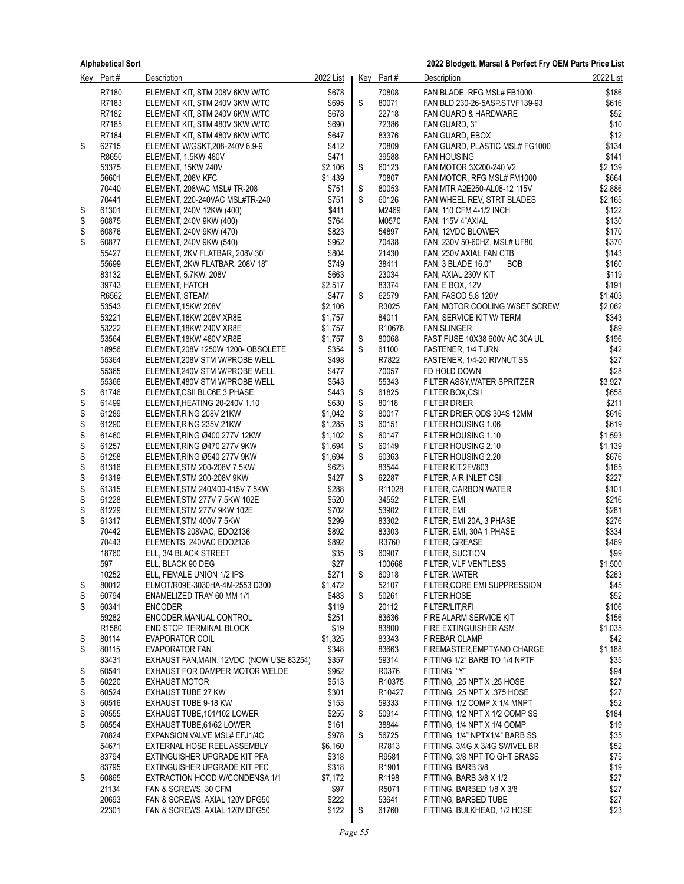|        | Key Part#         | Description                                                      | 2022 List          |             | Key Part#          | Description                                                 | 2022 List          |
|--------|-------------------|------------------------------------------------------------------|--------------------|-------------|--------------------|-------------------------------------------------------------|--------------------|
|        | R7180             | ELEMENT KIT, STM 208V 6KW W/TC                                   | \$678              |             | 70808              | FAN BLADE, RFG MSL# FB1000                                  | \$186              |
|        | R7183             | ELEMENT KIT, STM 240V 3KW W/TC                                   | \$695              | S           | 80071              | FAN BLD 230-26-5ASP.STVF139-93                              | \$616              |
|        | R7182             | ELEMENT KIT, STM 240V 6KW W/TC                                   | \$678              |             | 22718              | <b>FAN GUARD &amp; HARDWARE</b>                             | \$52               |
|        | R7185             | ELEMENT KIT, STM 480V 3KW W/TC                                   | \$690              |             | 72386              | FAN GUARD, 3"                                               | \$10               |
|        | R7184             | ELEMENT KIT, STM 480V 6KW W/TC                                   | \$647              |             | 83376              | FAN GUARD, EBOX                                             | \$12               |
| S      | 62715             | ELEMENT W/GSKT, 208-240V 6.9-9.                                  | \$412              |             | 70809              | FAN GUARD, PLASTIC MSL# FG1000                              | \$134              |
|        | R8650<br>53375    | ELEMENT, 1.5KW 480V                                              | \$471              | S           | 39588<br>60123     | <b>FAN HOUSING</b>                                          | \$141              |
|        | 56601             | ELEMENT, 15KW 240V<br>ELEMENT, 208V KFC                          | \$2,106<br>\$1,439 |             | 70807              | FAN MOTOR 3X200-240 V2<br>FAN MOTOR, RFG MSL# FM1000        | \$2,139<br>\$664   |
|        | 70440             | ELEMENT, 208VAC MSL# TR-208                                      | \$751              | S           | 80053              | FAN MTR A2E250-AL08-12 115V                                 | \$2,886            |
|        | 70441             | ELEMENT, 220-240VAC MSL#TR-240                                   | \$751              | S           | 60126              | FAN WHEEL REV, STRT BLADES                                  | \$2,165            |
| S      | 61301             | ELEMENT, 240V 12KW (400)                                         | \$411              |             | M2469              | FAN, 110 CFM 4-1/2 INCH                                     | \$122              |
| S      | 60875             | ELEMENT, 240V 9KW (400)                                          | \$764              |             | M0570              | FAN, 115V 4"AXIAL                                           | \$130              |
| S      | 60876             | ELEMENT, 240V 9KW (470)                                          | \$823              |             | 54897              | FAN, 12VDC BLOWER                                           | \$170              |
| S      | 60877             | ELEMENT, 240V 9KW (540)                                          | \$962              |             | 70438              | FAN, 230V 50-60HZ, MSL# UF80                                | \$370              |
|        | 55427             | ELEMENT, 2KV FLATBAR, 208V 30"                                   | \$804              |             | 21430              | FAN, 230V AXIAL FAN CTB                                     | \$143              |
|        | 55699             | ELEMENT, 2KW FLATBAR, 208V 18"                                   | \$749              |             | 38411              | <b>BOB</b><br>FAN, 3 BLADE 16.0"                            | \$160              |
|        | 83132             | ELEMENT, 5.7KW, 208V                                             | \$663              |             | 23034              | FAN, AXIAL 230V KIT                                         | \$119              |
|        | 39743             | ELEMENT, HATCH                                                   | \$2,517            |             | 83374              | <b>FAN, E BOX, 12V</b>                                      | \$191              |
|        | R6562             | ELEMENT, STEAM                                                   | \$477              | S           | 62579              | FAN, FASCO 5.8 120V                                         | \$1,403            |
|        | 53543             | ELEMENT, 15KW 208V                                               | \$2,106            |             | R3025<br>84011     | FAN, MOTOR COOLING W/SET SCREW                              | \$2,062            |
|        | 53221<br>53222    | ELEMENT, 18KW 208V XR8E<br>ELEMENT, 18KW 240V XR8E               | \$1,757<br>\$1.757 |             | R <sub>10678</sub> | FAN, SERVICE KIT W/ TERM<br><b>FAN, SLINGER</b>             | \$343<br>\$89      |
|        | 53564             | ELEMENT, 18KW 480V XR8E                                          | \$1,757            | S           | 80068              | FAST FUSE 10X38 600V AC 30A UL                              | \$196              |
|        | 18956             | ELEMENT, 208V 1250W 1200- OBSOLETE                               | \$354              | S           | 61100              | <b>FASTENER, 1/4 TURN</b>                                   | \$42               |
|        | 55364             | ELEMENT, 208V STM W/PROBE WELL                                   | \$498              |             | R7822              | FASTENER, 1/4-20 RIVNUT SS                                  | \$27               |
|        | 55365             | ELEMENT, 240V STM W/PROBE WELL                                   | \$477              |             | 70057              | FD HOLD DOWN                                                | \$28               |
|        | 55366             | ELEMENT, 480V STM W/PROBE WELL                                   | \$543              |             | 55343              | FILTER ASSY, WATER SPRITZER                                 | \$3,927            |
| S      | 61746             | ELEMENT, CSII BLC6E, 3 PHASE                                     | \$443              | S           | 61825              | FILTER BOX,CSII                                             | \$658              |
| S      | 61499             | ELEMENT, HEATING 20-240V 1.10                                    | \$630              | S           | 80118              | <b>FILTER DRIER</b>                                         | \$211              |
| S      | 61289             | ELEMENT, RING 208V 21KW                                          | \$1,042            | S           | 80017              | FILTER DRIER ODS 304S 12MM                                  | \$616              |
| S      | 61290             | ELEMENT, RING 235V 21KW                                          | \$1,285            | $\mathsf S$ | 60151              | FILTER HOUSING 1.06                                         | \$619              |
| S<br>S | 61460<br>61257    | ELEMENT, RING Ø400 277V 12KW<br>ELEMENT, RING Ø470 277V 9KW      | \$1,102<br>\$1,694 | S<br>S      | 60147<br>60149     | FILTER HOUSING 1.10<br>FILTER HOUSING 2.10                  | \$1,593<br>\$1,139 |
| S      | 61258             | ELEMENT, RING Ø540 277V 9KW                                      | \$1,694            | S           | 60363              | FILTER HOUSING 2.20                                         | \$676              |
| S      | 61316             | ELEMENT, STM 200-208V 7.5KW                                      | \$623              |             | 83544              | FILTER KIT, 2FV803                                          | \$165              |
| S      | 61319             | ELEMENT, STM 200-208V 9KW                                        | \$427              | S           | 62287              | FILTER, AIR INLET CSII                                      | \$227              |
| S      | 61315             | ELEMENT, STM 240/400-415V 7.5KW                                  | \$288              |             | R <sub>11028</sub> | FILTER, CARBON WATER                                        | \$101              |
| S      | 61228             | ELEMENT, STM 277V 7.5KW 102E                                     | \$520              |             | 34552              | FILTER, EMI                                                 | \$216              |
| S      | 61229             | ELEMENT, STM 277V 9KW 102E                                       | \$702              |             | 53902              | FILTER, EMI                                                 | \$281              |
| S      | 61317             | ELEMENT, STM 400V 7.5KW                                          | \$299              |             | 83302              | FILTER, EMI 20A, 3 PHASE                                    | \$276              |
|        | 70442             | ELEMENTS 208VAC, EDO2136                                         | \$892              |             | 83303              | FILTER, EMI, 30A 1 PHASE                                    | \$334              |
|        | 70443             | ELEMENTS, 240VAC EDO2136                                         | \$892              |             | R3760              | <b>FILTER, GREASE</b>                                       | \$469              |
|        | 18760<br>597      | ELL, 3/4 BLACK STREET<br>ELL, BLACK 90 DEG                       | \$35<br>\$27       | S           | 60907<br>100668    | FILTER, SUCTION                                             | \$99<br>\$1,500    |
|        | 10252             | ELL, FEMALE UNION 1/2 IPS                                        | \$271              | S           | 60918              | FILTER, VLF VENTLESS<br>FILTER, WATER                       | \$263              |
| S      | 80012             | ELMOT/R09E-3030HA-4M-2553 D300                                   | \$1,472            |             | 52107              | FILTER, CORE EMI SUPPRESSION                                | \$45               |
| S      | 60794             | ENAMELIZED TRAY 60 MM 1/1                                        | \$483              | S           | 50261              | FILTER, HOSE                                                | \$52               |
| S      | 60341             | <b>ENCODER</b>                                                   | \$119              |             | 20112              | <b>FILTER/LIT, RFI</b>                                      | \$106              |
|        | 59282             | ENCODER, MANUAL CONTROL                                          | \$251              |             | 83636              | FIRE ALARM SERVICE KIT                                      | \$156              |
|        | R <sub>1580</sub> | END STOP, TERMINAL BLOCK                                         | \$19               |             | 83800              | FIRE EXTINGUISHER ASM                                       | \$1,035            |
| S      | 80114             | <b>EVAPORATOR COIL</b>                                           | \$1,325            |             | 83343              | <b>FIREBAR CLAMP</b>                                        | \$42               |
| S      | 80115             | EVAPORATOR FAN                                                   | \$348              |             | 83663              | FIREMASTER, EMPTY-NO CHARGE                                 | \$1,188            |
|        | 83431             | EXHAUST FAN, MAIN, 12VDC (NOW USE 83254)                         | \$357              |             | 59314              | FITTING 1/2" BARB TO 1/4 NPTF                               | \$35               |
| S      | 60541             | EXHAUST FOR DAMPER MOTOR WELDE                                   | \$962              |             | R0376              | FITTING, "Y"                                                | \$94               |
| S<br>S | 60220<br>60524    | <b>EXHAUST MOTOR</b><br><b>EXHAUST TUBE 27 KW</b>                | \$513<br>\$301     |             | R10375<br>R10427   | FITTING, .25 NPT X .25 HOSE<br>FITTING, .25 NPT X .375 HOSE | \$27<br>\$27       |
| S      | 60516             | EXHAUST TUBE 9-18 KW                                             | \$153              |             | 59333              | FITTING, 1/2 COMP X 1/4 MNPT                                | \$52               |
| S      | 60555             | EXHAUST TUBE, 101/102 LOWER                                      | \$255              | S           | 50914              | FITTING, 1/2 NPT X 1/2 COMP SS                              | \$184              |
| S      | 60554             | EXHAUST TUBE, 61/62 LOWER                                        | \$161              |             | 38844              | FITTING, 1/4 NPT X 1/4 COMP                                 | \$19               |
|        | 70824             | EXPANSION VALVE MSL# EFJ1/4C                                     | \$978              | S           | 56725              | FITTING, 1/4" NPTX1/4" BARB SS                              | \$35               |
|        | 54671             | EXTERNAL HOSE REEL ASSEMBLY                                      | \$6,160            |             | R7813              | FITTING, 3/4G X 3/4G SWIVEL BR                              | \$52               |
|        | 83794             | EXTINGUISHER UPGRADE KIT PFA                                     | \$318              |             | R9581              | FITTING, 3/8 NPT TO GHT BRASS                               | \$75               |
|        | 83795             | EXTINGUISHER UPGRADE KIT PFC                                     | \$318              |             | R1901              | FITTING, BARB 3/8                                           | \$19               |
| S      | 60865             | EXTRACTION HOOD W/CONDENSA 1/1                                   | \$7,172            |             | R1198              | FITTING, BARB 3/8 X 1/2                                     | \$27               |
|        | 21134<br>20693    | FAN & SCREWS, 30 CFM                                             | \$97<br>\$222      |             | R5071<br>53641     | FITTING, BARBED 1/8 X 3/8                                   | \$27<br>\$27       |
|        | 22301             | FAN & SCREWS, AXIAL 120V DFG50<br>FAN & SCREWS, AXIAL 120V DFG50 | \$122              | S           | 61760              | FITTING, BARBED TUBE<br>FITTING, BULKHEAD, 1/2 HOSE         | \$23               |
|        |                   |                                                                  |                    |             |                    |                                                             |                    |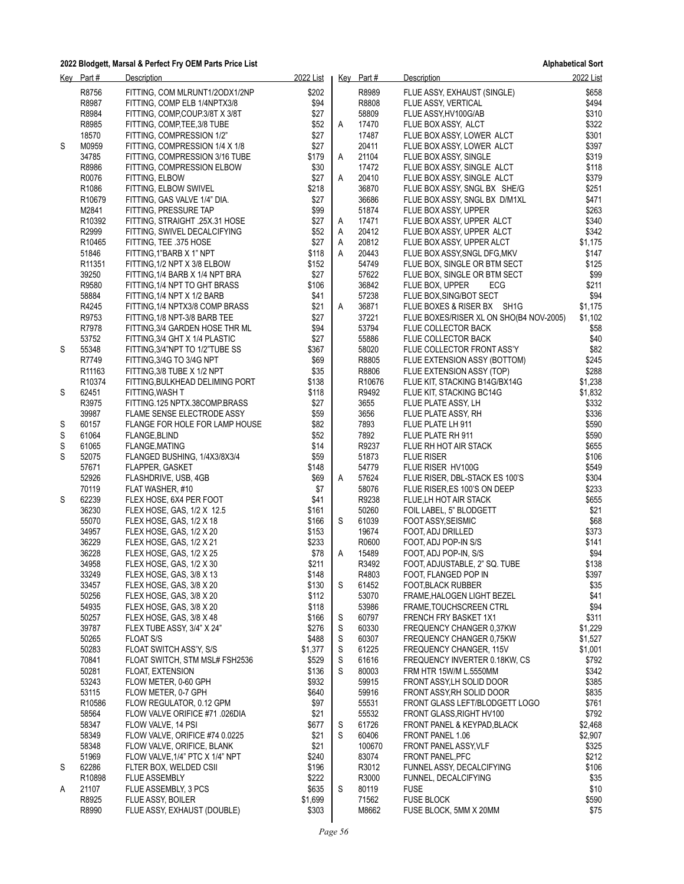|   | Key Part#          | Description                                                      | 2022 List      |   | Key Part#      | Description                                                | 2022 List      |
|---|--------------------|------------------------------------------------------------------|----------------|---|----------------|------------------------------------------------------------|----------------|
|   | R8756              | FITTING, COM MLRUNT1/2ODX1/2NP                                   | \$202          |   | R8989          | FLUE ASSY, EXHAUST (SINGLE)                                | \$658          |
|   | R8987              | FITTING, COMP ELB 1/4NPTX3/8                                     | \$94           |   | R8808          | FLUE ASSY, VERTICAL                                        | \$494          |
|   | R8984              | FITTING, COMP, COUP.3/8T X 3/8T                                  | \$27           |   | 58809          | FLUE ASSY, HV100G/AB                                       | \$310          |
|   | R8985              | FITTING, COMP, TEE, 3/8 TUBE                                     | \$52           | Α | 17470          | FLUE BOX ASSY, ALCT                                        | \$322          |
|   | 18570              | FITTING, COMPRESSION 1/2"                                        | \$27           |   | 17487          | FLUE BOX ASSY, LOWER ALCT                                  | \$301          |
| S | M0959              | FITTING, COMPRESSION 1/4 X 1/8                                   | \$27           |   | 20411          | FLUE BOX ASSY, LOWER ALCT                                  | \$397          |
|   | 34785              | FITTING, COMPRESSION 3/16 TUBE                                   | \$179          | Α | 21104          | FLUE BOX ASSY, SINGLE                                      | \$319          |
|   | R8986              | FITTING, COMPRESSION ELBOW                                       | \$30           |   | 17472          | FLUE BOX ASSY, SINGLE ALCT                                 | \$118          |
|   | R0076              | FITTING, ELBOW                                                   | \$27           | Α | 20410          | FLUE BOX ASSY, SINGLE ALCT                                 | \$379          |
|   | R <sub>1086</sub>  | FITTING, ELBOW SWIVEL                                            | \$218          |   | 36870<br>36686 | FLUE BOX ASSY, SNGL BX SHE/G                               | \$251          |
|   | R10679<br>M2841    | FITTING, GAS VALVE 1/4" DIA.<br>FITTING, PRESSURE TAP            | \$27<br>\$99   |   | 51874          | FLUE BOX ASSY, SNGL BX D/M1XL<br>FLUE BOX ASSY, UPPER      | \$471<br>\$263 |
|   | R10392             | FITTING, STRAIGHT .25X.31 HOSE                                   | \$27           | A | 17471          | FLUE BOX ASSY, UPPER ALCT                                  | \$340          |
|   | R2999              | FITTING, SWIVEL DECALCIFYING                                     | \$52           | A | 20412          | FLUE BOX ASSY, UPPER ALCT                                  | \$342          |
|   | R <sub>10465</sub> | FITTING, TEE .375 HOSE                                           | \$27           | A | 20812          | FLUE BOX ASSY, UPPER ALCT                                  | \$1,175        |
|   | 51846              | FITTING, 1"BARB X 1" NPT                                         | \$118          | A | 20443          | FLUE BOX ASSY, SNGL DFG, MKV                               | \$147          |
|   | R <sub>11351</sub> | FITTING, 1/2 NPT X 3/8 ELBOW                                     | \$152          |   | 54749          | FLUE BOX, SINGLE OR BTM SECT                               | \$125          |
|   | 39250              | FITTING, 1/4 BARB X 1/4 NPT BRA                                  | \$27           |   | 57622          | FLUE BOX, SINGLE OR BTM SECT                               | \$99           |
|   | R9580              | FITTING, 1/4 NPT TO GHT BRASS                                    | \$106          |   | 36842          | FLUE BOX, UPPER<br>ECG                                     | \$211          |
|   | 58884              | FITTING, 1/4 NPT X 1/2 BARB                                      | \$41           |   | 57238          | FLUE BOX, SING/BOT SECT                                    | \$94           |
|   | R4245              | FITTING, 1/4 NPTX3/8 COMP BRASS                                  | \$21           | Α | 36871          | FLUE BOXES & RISER BX SH1G                                 | \$1,175        |
|   | R9753              | FITTING 1/8 NPT-3/8 BARB TEE                                     | \$27           |   | 37221          | FLUE BOXES/RISER XL ON SHO(B4 NOV-2005)                    | \$1,102        |
|   | R7978<br>53752     | FITTING 3/4 GARDEN HOSE THR ML<br>FITTING, 3/4 GHT X 1/4 PLASTIC | \$94<br>\$27   |   | 53794<br>55886 | FLUE COLLECTOR BACK<br>FLUE COLLECTOR BACK                 | \$58<br>\$40   |
| S | 55348              | FITTING, 3/4"NPT TO 1/2"TUBE SS                                  | \$367          |   | 58020          | FLUE COLLECTOR FRONT ASS'Y                                 | \$82           |
|   | R7749              | FITTING, 3/4G TO 3/4G NPT                                        | \$69           |   | R8805          | FLUE EXTENSION ASSY (BOTTOM)                               | \$245          |
|   | R <sub>11163</sub> | FITTING, 3/8 TUBE X 1/2 NPT                                      | \$35           |   | R8806          | FLUE EXTENSION ASSY (TOP)                                  | \$288          |
|   | R10374             | FITTING, BULKHEAD DELIMING PORT                                  | \$138          |   | R10676         | FLUE KIT, STACKING B14G/BX14G                              | \$1,238        |
| S | 62451              | FITTING, WASH T                                                  | \$118          |   | R9492          | FLUE KIT, STACKING BC14G                                   | \$1,832        |
|   | R3975              | FITTING.125 NPTX.38COMP.BRASS                                    | \$27           |   | 3655           | FLUE PLATE ASSY, LH                                        | \$332          |
|   | 39987              | FLAME SENSE ELECTRODE ASSY                                       | \$59           |   | 3656           | FLUE PLATE ASSY, RH                                        | \$336          |
| S | 60157              | FLANGE FOR HOLE FOR LAMP HOUSE                                   | \$82           |   | 7893           | FLUE PLATE LH 911                                          | \$590          |
| S | 61064              | FLANGE, BLIND                                                    | \$52           |   | 7892           | FLUE PLATE RH 911                                          | \$590          |
| S | 61065              | FLANGE, MATING                                                   | \$14           |   | R9237          | FLUE RH HOT AIR STACK                                      | \$655          |
| S | 52075<br>57671     | FLANGED BUSHING, 1/4X3/8X3/4                                     | \$59<br>\$148  |   | 51873<br>54779 | <b>FLUE RISER</b>                                          | \$106<br>\$549 |
|   | 52926              | <b>FLAPPER, GASKET</b><br>FLASHDRIVE, USB, 4GB                   | \$69           | Α | 57624          | FLUE RISER HV100G<br>FLUE RISER, DBL-STACK ES 100'S        | \$304          |
|   | 70119              | FLAT WASHER, #10                                                 | \$7            |   | 58076          | FLUE RISER, ES 100'S ON DEEP                               | \$233          |
| S | 62239              | FLEX HOSE, 6X4 PER FOOT                                          | \$41           |   | R9238          | FLUE, LH HOT AIR STACK                                     | \$655          |
|   | 36230              | FLEX HOSE, GAS, 1/2 X 12.5                                       | \$161          |   | 50260          | FOIL LABEL, 5" BLODGETT                                    | \$21           |
|   | 55070              | FLEX HOSE, GAS, 1/2 X 18                                         | \$166          | S | 61039          | FOOT ASSY, SEISMIC                                         | \$68           |
|   | 34957              | FLEX HOSE, GAS, 1/2 X 20                                         | \$153          |   | 19674          | FOOT, ADJ DRILLED                                          | \$373          |
|   | 36229              | FLEX HOSE, GAS, 1/2 X 21                                         | \$233          |   | R0600          | FOOT, ADJ POP-IN S/S                                       | \$141          |
|   | 36228              | FLEX HOSE, GAS, 1/2 X 25                                         | \$78           | Α | 15489          | FOOT, ADJ POP-IN, S/S                                      | \$94           |
|   | 34958              | FLEX HOSE, GAS, 1/2 X 30                                         | \$211          |   | R3492          | FOOT, ADJUSTABLE, 2" SQ. TUBE                              | \$138          |
|   | 33249<br>33457     | FLEX HOSE, GAS, 3/8 X 13<br>FLEX HOSE, GAS, 3/8 X 20             | \$148<br>\$130 | S | R4803<br>61452 | FOOT, FLANGED POP IN<br>FOOT, BLACK RUBBER                 | \$397<br>\$35  |
|   | 50256              | FLEX HOSE, GAS, 3/8 X 20                                         | \$112          |   | 53070          | FRAME, HALOGEN LIGHT BEZEL                                 | \$41           |
|   | 54935              | FLEX HOSE, GAS, 3/8 X 20                                         | \$118          |   | 53986          | FRAME, TOUCHSCREEN CTRL                                    | \$94           |
|   | 50257              | FLEX HOSE, GAS, 3/8 X 48                                         | \$166          | S | 60797          | FRENCH FRY BASKET 1X1                                      | \$311          |
|   | 39787              | FLEX TUBE ASSY, 3/4" X 24"                                       | \$276          | S | 60330          | FREQUENCY CHANGER 0,37KW                                   | \$1,229        |
|   | 50265              | <b>FLOAT S/S</b>                                                 | \$488          | S | 60307          | FREQUENCY CHANGER 0,75KW                                   | \$1,527        |
|   | 50283              | FLOAT SWITCH ASS'Y, S/S                                          | \$1,377        | S | 61225          | FREQUENCY CHANGER, 115V                                    | \$1,001        |
|   | 70841              | FLOAT SWITCH, STM MSL# FSH2536                                   | \$529          | S | 61616          | FREQUENCY INVERTER 0.18KW, CS                              | \$792          |
|   | 50281              | FLOAT, EXTENSION                                                 | \$136          | S | 80003          | FRM HTR 15W/M L.5550MM                                     | \$342          |
|   | 53243              | FLOW METER, 0-60 GPH                                             | \$932          |   | 59915          | FRONT ASSY, LH SOLID DOOR                                  | \$385          |
|   | 53115              | FLOW METER, 0-7 GPH<br>FLOW REGULATOR, 0.12 GPM                  | \$640          |   | 59916          | FRONT ASSY, RH SOLID DOOR                                  | \$835          |
|   | R10586<br>58564    | FLOW VALVE ORIFICE #71 .026DIA                                   | \$97<br>\$21   |   | 55531<br>55532 | FRONT GLASS LEFT/BLODGETT LOGO<br>FRONT GLASS, RIGHT HV100 | \$761<br>\$792 |
|   | 58347              | FLOW VALVE, 14 PSI                                               | \$677          | S | 61726          | FRONT PANEL & KEYPAD, BLACK                                | \$2,468        |
|   | 58349              | FLOW VALVE, ORIFICE #74 0.0225                                   | \$21           | S | 60406          | FRONT PANEL 1.06                                           | \$2,907        |
|   | 58348              | FLOW VALVE, ORIFICE, BLANK                                       | \$21           |   | 100670         | FRONT PANEL ASSY, VLF                                      | \$325          |
|   | 51969              | FLOW VALVE, 1/4" PTC X 1/4" NPT                                  | \$240          |   | 83074          | FRONT PANEL, PFC                                           | \$212          |
| S | 62286              | FLTER BOX, WELDED CSII                                           | \$196          |   | R3012          | FUNNEL ASSY, DECALCIFYING                                  | \$106          |
|   | R10898             | <b>FLUE ASSEMBLY</b>                                             | \$222          |   | R3000          | FUNNEL, DECALCIFYING                                       | \$35           |
| A | 21107              | FLUE ASSEMBLY, 3 PCS                                             | \$635          | S | 80119          | <b>FUSE</b>                                                | \$10           |
|   | R8925              | FLUE ASSY, BOILER                                                | \$1,699        |   | 71562          | <b>FUSE BLOCK</b>                                          | \$590          |
|   | R8990              | FLUE ASSY, EXHAUST (DOUBLE)                                      | \$303          |   | M8662          | FUSE BLOCK, 5MM X 20MM                                     | \$75           |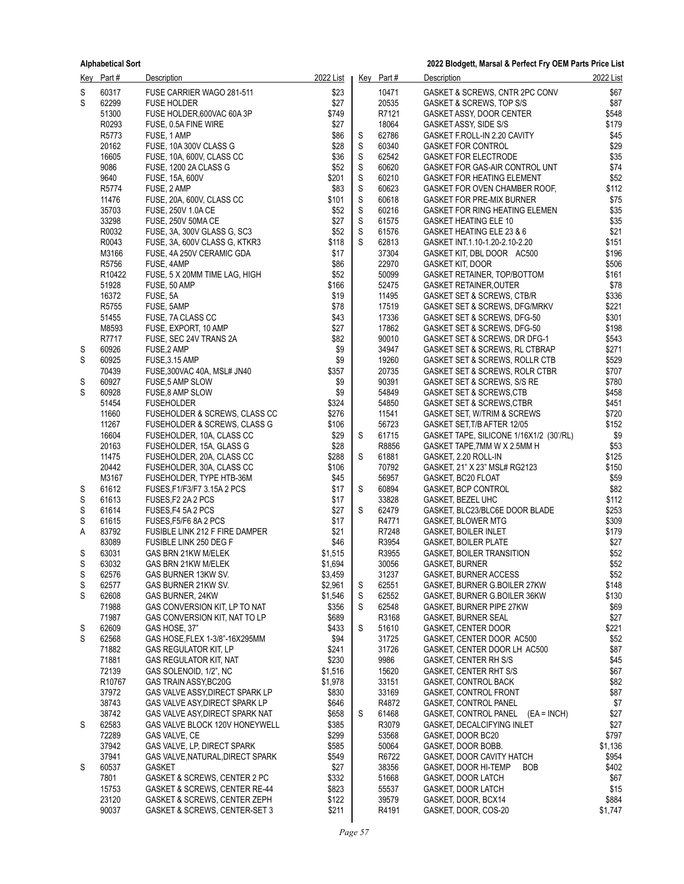|        | Key Part #         | <b>Description</b>                              | 2022 List       |                  | Key Part#      | <b>Description</b>                                                 | 2022 List      |
|--------|--------------------|-------------------------------------------------|-----------------|------------------|----------------|--------------------------------------------------------------------|----------------|
| S      | 60317              | FUSE CARRIER WAGO 281-511                       | \$23            |                  | 10471          | GASKET & SCREWS, CNTR 2PC CONV                                     | \$67           |
| S      | 62299              | <b>FUSE HOLDER</b>                              | \$27            |                  | 20535          | GASKET & SCREWS, TOP S/S                                           | \$87           |
|        | 51300              | FUSE HOLDER,600VAC 60A 3P                       | \$749           |                  | R7121          | GASKET ASSY, DOOR CENTER                                           | \$548          |
|        | R0293              | FUSE, 0.5A FINE WIRE                            | \$27            |                  | 18064          | GASKET ASSY, SIDE S/S                                              | \$179          |
|        | R5773              | FUSE, 1 AMP                                     | \$86            | S                | 62786          | GASKET F.ROLL-IN 2.20 CAVITY                                       | \$45           |
|        | 20162              | FUSE, 10A 300V CLASS G                          | \$28            | $\mathsf S$      | 60340          | <b>GASKET FOR CONTROL</b>                                          | \$29           |
|        | 16605              | FUSE, 10A, 600V, CLASS CC                       | \$36            | S                | 62542          | <b>GASKET FOR ELECTRODE</b>                                        | \$35           |
|        | 9086               | FUSE, 1200 2A CLASS G                           | \$52            | $\mathsf S$      | 60620          | GASKET FOR GAS-AIR CONTROL UNT                                     | \$74           |
|        | 9640               | <b>FUSE, 15A, 600V</b>                          | \$201           | S                | 60210          | <b>GASKET FOR HEATING ELEMENT</b>                                  | \$52           |
|        | R5774              | FUSE, 2 AMP                                     | \$83            | S                | 60623          | GASKET FOR OVEN CHAMBER ROOF,                                      | \$112          |
|        | 11476<br>35703     | FUSE, 20A, 600V, CLASS CC<br>FUSE, 250V 1.0A CE | \$101<br>\$52   | $\mathsf S$<br>S | 60618<br>60216 | <b>GASKET FOR PRE-MIX BURNER</b><br>GASKET FOR RING HEATING ELEMEN | \$75<br>\$35   |
|        | 33298              | FUSE, 250V 50MA CE                              | \$27            | $\mathsf S$      | 61575          | <b>GASKET HEATING ELE 10</b>                                       | \$35           |
|        | R0032              | FUSE, 3A, 300V GLASS G, SC3                     | \$52            | $\mathsf S$      | 61576          | GASKET HEATING ELE 23 & 6                                          | \$21           |
|        | R0043              | FUSE, 3A, 600V CLASS G, KTKR3                   | \$118           | S                | 62813          | GASKET INT.1.10-1.20-2.10-2.20                                     | \$151          |
|        | M3166              | FUSE, 4A 250V CERAMIC GDA                       | \$17            |                  | 37304          | GASKET KIT, DBL DOOR AC500                                         | \$196          |
|        | R5756              | FUSE, 4AMP                                      | \$86            |                  | 22970          | <b>GASKET KIT, DOOR</b>                                            | \$506          |
|        | R <sub>10422</sub> | FUSE, 5 X 20MM TIME LAG, HIGH                   | \$52            |                  | 50099          | GASKET RETAINER, TOP/BOTTOM                                        | \$161          |
|        | 51928              | FUSE, 50 AMP                                    | \$166           |                  | 52475          | <b>GASKET RETAINER, OUTER</b>                                      | \$78           |
|        | 16372              | FUSE, 5A                                        | \$19            |                  | 11495          | GASKET SET & SCREWS, CTB/R                                         | \$336          |
|        | R5755              | FUSE, 5AMP                                      | \$78            |                  | 17519          | GASKET SET & SCREWS, DFG/MRKV                                      | \$221          |
|        | 51455              | FUSE, 7A CLASS CC                               | \$43            |                  | 17336          | GASKET SET & SCREWS, DFG-50                                        | \$301          |
|        | M8593              | FUSE, EXPORT, 10 AMP                            | \$27            |                  | 17862          | GASKET SET & SCREWS, DFG-50                                        | \$198          |
|        | R7717              | FUSE, SEC 24V TRANS 2A                          | \$82            |                  | 90010          | GASKET SET & SCREWS, DR DFG-1                                      | \$543          |
| S      | 60926              | FUSE, 2 AMP                                     | \$9             |                  | 34947          | GASKET SET & SCREWS, RL CTBRAP                                     | \$271          |
| S      | 60925              | FUSE, 3.15 AMP                                  | \$9             |                  | 19260          | GASKET SET & SCREWS, ROLLR CTB                                     | \$529          |
|        | 70439              | FUSE, 300VAC 40A, MSL# JN40                     | \$357           |                  | 20735<br>90391 | GASKET SET & SCREWS, ROLR CTBR                                     | \$707          |
| S<br>S | 60927<br>60928     | FUSE,5 AMP SLOW<br>FUSE,8 AMP SLOW              | \$9<br>\$9      |                  | 54849          | GASKET SET & SCREWS, S/S RE<br>GASKET SET & SCREWS, CTB            | \$780<br>\$458 |
|        | 51454              | <b>FUSEHOLDER</b>                               | \$324           |                  | 54850          | GASKET SET & SCREWS, CTBR                                          | \$451          |
|        | 11660              | FUSEHOLDER & SCREWS, CLASS CC                   | \$276           |                  | 11541          | GASKET SET, W/TRIM & SCREWS                                        | \$720          |
|        | 11267              | FUSEHOLDER & SCREWS, CLASS G                    | \$106           |                  | 56723          | GASKET SET, T/B AFTER 12/05                                        | \$152          |
|        | 16604              | FUSEHOLDER, 10A, CLASS CC                       | \$29            | S                | 61715          | GASKET TAPE, SILICONE 1/16X1/2 (30'/RL)                            | \$9            |
|        | 20163              | FUSEHOLDER, 15A, GLASS G                        | \$28            |                  | R8856          | GASKET TAPE, 7MM W X 2.5MM H                                       | \$53           |
|        | 11475              | FUSEHOLDER, 20A, CLASS CC                       | \$288           | S                | 61881          | GASKET, 2.20 ROLL-IN                                               | \$125          |
|        | 20442              | FUSEHOLDER, 30A, CLASS CC                       | \$106           |                  | 70792          | GASKET, 21" X 23" MSL# RG2123                                      | \$150          |
|        | M3167              | FUSEHOLDER, TYPE HTB-36M                        | \$45            |                  | 56957          | GASKET, BC20 FLOAT                                                 | \$59           |
| S      | 61612              | FUSES, F1/F3/F7 3.15A 2 PCS                     | \$17            | S                | 60894          | GASKET, BCP CONTROL                                                | \$82           |
| S      | 61613              | FUSES, F2 2A 2 PCS                              | \$17            |                  | 33828          | GASKET, BEZEL UHC                                                  | \$112          |
| S      | 61614              | FUSES, F4 5A 2 PCS                              | \$27            | S                | 62479          | GASKET, BLC23/BLC6E DOOR BLADE                                     | \$253          |
| S      | 61615              | FUSES, F5/F6 8A 2 PCS                           | \$17            |                  | R4771          | <b>GASKET, BLOWER MTG</b>                                          | \$309          |
| Α      | 83792              | FUSIBLE LINK 212 F FIRE DAMPER                  | \$21            |                  | R7248          | <b>GASKET, BOILER INLET</b>                                        | \$179          |
| S      | 83089<br>63031     | FUSIBLE LINK 250 DEG F<br>GAS BRN 21KW M/ELEK   | \$46<br>\$1,515 |                  | R3954<br>R3955 | <b>GASKET, BOILER PLATE</b><br>GASKET, BOILER TRANSITION           | \$27<br>\$52   |
| S      | 63032              | GAS BRN 21KW M/ELEK                             | \$1,694         |                  | 30056          | <b>GASKET, BURNER</b>                                              | \$52           |
| S      | 62576              | GAS BURNER 13KW SV.                             | \$3,459         |                  | 31237          | <b>GASKET, BURNER ACCESS</b>                                       | \$52           |
| S      | 62577              | GAS BURNER 21KW SV.                             | \$2,961         | S                | 62551          | GASKET, BURNER G.BOILER 27KW                                       | \$148          |
| S      | 62608              | GAS BURNER, 24KW                                | \$1,546         | S                | 62552          | GASKET, BURNER G.BOILER 36KW                                       | \$130          |
|        | 71988              | GAS CONVERSION KIT, LP TO NAT                   | \$356           | S                | 62548          | GASKET, BURNER PIPE 27KW                                           | \$69           |
|        | 71987              | GAS CONVERSION KIT, NAT TO LP                   | \$689           |                  | R3168          | <b>GASKET, BURNER SEAL</b>                                         | \$27           |
| S      | 62609              | GAS HOSE, 37"                                   | \$433           | S                | 51610          | GASKET, CENTER DOOR                                                | \$221          |
| S      | 62568              | GAS HOSE, FLEX 1-3/8"-16X295MM                  | \$94            |                  | 31725          | GASKET, CENTER DOOR AC500                                          | \$52           |
|        | 71882              | <b>GAS REGULATOR KIT, LP</b>                    | \$241           |                  | 31726          | GASKET, CENTER DOOR LH AC500                                       | \$87           |
|        | 71881              | <b>GAS REGULATOR KIT, NAT</b>                   | \$230           |                  | 9986           | GASKET, CENTER RH S/S                                              | \$45           |
|        | 72139              | GAS SOLENOID, 1/2", NC                          | \$1,516         |                  | 15620          | GASKET, CENTER RHT S/S                                             | \$67           |
|        | R <sub>10767</sub> | GAS TRAIN ASSY BC20G                            | \$1,978         |                  | 33151          | <b>GASKET, CONTROL BACK</b>                                        | \$82           |
|        | 37972              | GAS VALVE ASSY, DIRECT SPARK LP                 | \$830           |                  | 33169          | <b>GASKET, CONTROL FRONT</b>                                       | \$87           |
|        | 38743              | GAS VALVE ASY, DIRECT SPARK LP                  | \$646           |                  | R4872          | GASKET, CONTROL PANEL                                              | \$7            |
|        | 38742              | GAS VALVE ASY, DIRECT SPARK NAT                 | \$658           | S                | 61468          | GASKET, CONTROL PANEL (EA = INCH)                                  | \$27           |
| S      | 62583<br>72289     | GAS VALVE BLOCK 120V HONEYWELL<br>GAS VALVE, CE | \$385<br>\$299  |                  | R3079<br>53568 | GASKET, DECALCIFYING INLET<br>GASKET, DOOR BC20                    | \$27<br>\$797  |
|        | 37942              | GAS VALVE, LP, DIRECT SPARK                     | \$585           |                  | 50064          | GASKET, DOOR BOBB.                                                 | \$1,136        |
|        | 37941              | GAS VALVE, NATURAL, DIRECT SPARK                | \$549           |                  | R6722          | GASKET, DOOR CAVITY HATCH                                          | \$954          |
| S      | 60537              | GASKET                                          | \$27            |                  | 38356          | GASKET, DOOR HI-TEMP<br><b>BOB</b>                                 | \$402          |
|        | 7801               | GASKET & SCREWS, CENTER 2 PC                    | \$332           |                  | 51668          | GASKET, DOOR LATCH                                                 | \$67           |
|        | 15753              | GASKET & SCREWS, CENTER RE-44                   | \$823           |                  | 55537          | GASKET, DOOR LATCH                                                 | \$15           |
|        | 23120              | GASKET & SCREWS, CENTER ZEPH                    | \$122           |                  | 39579          | GASKET, DOOR, BCX14                                                | \$884          |
|        | 90037              | GASKET & SCREWS, CENTER-SET 3                   | \$211           |                  | R4191          | GASKET, DOOR, COS-20                                               | \$1,747        |
|        |                    |                                                 |                 |                  |                |                                                                    |                |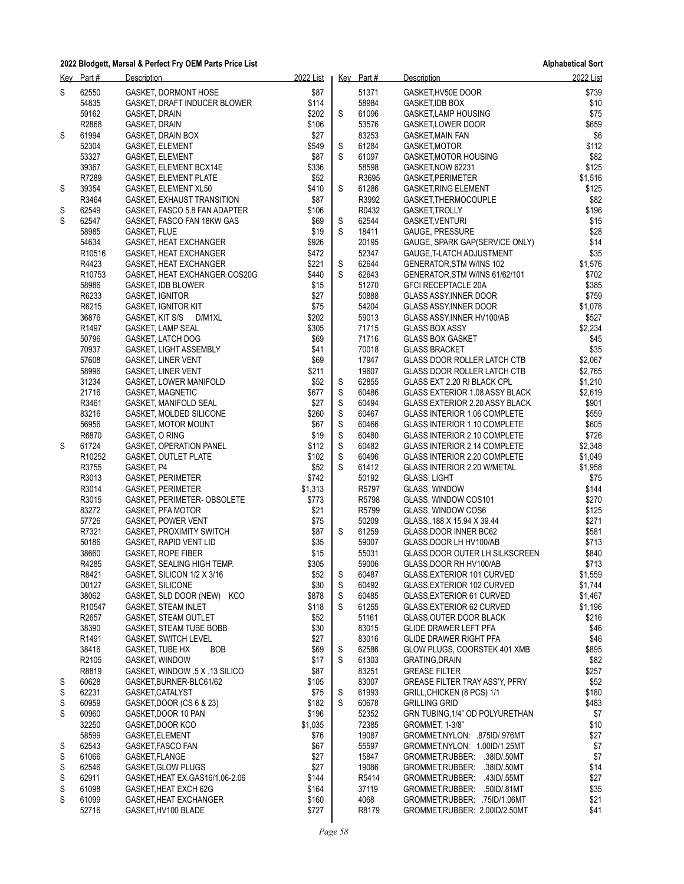| Key | Part#              | Description                                                   | 2022 List      |                  | Key Part#      | Description                                                       | 2022 List          |
|-----|--------------------|---------------------------------------------------------------|----------------|------------------|----------------|-------------------------------------------------------------------|--------------------|
| S   | 62550              | GASKET, DORMONT HOSE                                          | \$87           |                  | 51371          | GASKET, HV50E DOOR                                                | \$739              |
|     | 54835              | GASKET, DRAFT INDUCER BLOWER                                  | \$114          |                  | 58984          | <b>GASKET, IDB BOX</b>                                            | \$10               |
|     | 59162              | GASKET, DRAIN                                                 | \$202          | S                | 61096          | GASKET,LAMP HOUSING                                               | \$75               |
|     | R2868              | GASKET, DRAIN                                                 | \$106          |                  | 53576          | GASKET,LOWER DOOR                                                 | \$659              |
| S   | 61994              | GASKET, DRAIN BOX                                             | \$27           |                  | 83253          | <b>GASKET, MAIN FAN</b>                                           | \$6                |
|     | 52304<br>53327     | <b>GASKET, ELEMENT</b><br><b>GASKET, ELEMENT</b>              | \$549<br>\$87  | S<br>S           | 61284<br>61097 | GASKET, MOTOR<br>GASKET, MOTOR HOUSING                            | \$112<br>\$82      |
|     | 39367              | GASKET, ELEMENT BCX14E                                        | \$336          |                  | 58598          | GASKET, NOW 62231                                                 | \$125              |
|     | R7289              | <b>GASKET, ELEMENT PLATE</b>                                  | \$52           |                  | R3695          | GASKET, PERIMETER                                                 | \$1,516            |
| S   | 39354              | GASKET, ELEMENT XL50                                          | \$410          | S                | 61286          | <b>GASKET RING ELEMENT</b>                                        | \$125              |
|     | R3464              | GASKET, EXHAUST TRANSITION                                    | \$87           |                  | R3992          | GASKET, THERMOCOUPLE                                              | \$82               |
| S   | 62549              | GASKET, FASCO 5.8 FAN ADAPTER                                 | \$106          |                  | R0432          | GASKET, TROLLY                                                    | \$196              |
| S   | 62547              | GASKET, FASCO FAN 18KW GAS                                    | \$69           | S                | 62544          | <b>GASKET, VENTURI</b>                                            | \$15               |
|     | 58985              | <b>GASKET, FLUE</b>                                           | \$19           | S                | 18411          | <b>GAUGE, PRESSURE</b>                                            | \$28               |
|     | 54634              | GASKET, HEAT EXCHANGER                                        | \$926          |                  | 20195<br>52347 | GAUGE, SPARK GAP(SERVICE ONLY)                                    | \$14<br>\$35       |
|     | R10516<br>R4423    | GASKET, HEAT EXCHANGER<br>GASKET, HEAT EXCHANGER              | \$472<br>\$221 | S                | 62644          | GAUGE, T-LATCH ADJUSTMENT<br>GENERATOR, STM W/INS 102             | \$1,576            |
|     | R <sub>10753</sub> | GASKET, HEAT EXCHANGER COS20G                                 | \$440          | S                | 62643          | GENERATOR, STM W/INS 61/62/101                                    | \$702              |
|     | 58986              | GASKET, IDB BLOWER                                            | \$15           |                  | 51270          | <b>GFCI RECEPTACLE 20A</b>                                        | \$385              |
|     | R6233              | <b>GASKET, IGNITOR</b>                                        | \$27           |                  | 50888          | <b>GLASS ASSY, INNER DOOR</b>                                     | \$759              |
|     | R6215              | <b>GASKET, IGNITOR KIT</b>                                    | \$75           |                  | 54204          | GLASS ASSY, INNER DOOR                                            | \$1,078            |
|     | 36876              | GASKET, KIT S/S D/M1XL                                        | \$202          |                  | 59013          | GLASS ASSY, INNER HV100/AB                                        | \$527              |
|     | R <sub>1497</sub>  | GASKET, LAMP SEAL                                             | \$305          |                  | 71715          | <b>GLASS BOX ASSY</b>                                             | \$2,234            |
|     | 50796              | <b>GASKET, LATCH DOG</b>                                      | \$69           |                  | 71716          | <b>GLASS BOX GASKET</b>                                           | \$45               |
|     | 70937<br>57608     | <b>GASKET, LIGHT ASSEMBLY</b><br><b>GASKET, LINER VENT</b>    | \$41<br>\$69   |                  | 70018<br>17947 | <b>GLASS BRACKET</b><br><b>GLASS DOOR ROLLER LATCH CTB</b>        | \$35<br>\$2,067    |
|     | 58996              | <b>GASKET, LINER VENT</b>                                     | \$211          |                  | 19607          | <b>GLASS DOOR ROLLER LATCH CTB</b>                                | \$2,765            |
|     | 31234              | <b>GASKET, LOWER MANIFOLD</b>                                 | \$52           | S                | 62855          | GLASS EXT 2.20 RI BLACK CPL                                       | \$1,210            |
|     | 21716              | <b>GASKET, MAGNETIC</b>                                       | \$677          | $\mathsf S$      | 60486          | GLASS EXTERIOR 1.08 ASSY BLACK                                    | \$2,619            |
|     | R3461              | GASKET, MANIFOLD SEAL                                         | \$27           | S                | 60494          | GLASS EXTERIOR 2.20 ASSY BLACK                                    | \$901              |
|     | 83216              | GASKET, MOLDED SILICONE                                       | \$260          | $\mathsf S$      | 60467          | <b>GLASS INTERIOR 1.06 COMPLETE</b>                               | \$559              |
|     | 56956              | <b>GASKET, MOTOR MOUNT</b>                                    | \$67           | $\mathbb S$      | 60466          | <b>GLASS INTERIOR 1.10 COMPLETE</b>                               | \$605              |
|     | R6870              | GASKET, O RING                                                | \$19           | $\mathsf S$      | 60480          | <b>GLASS INTERIOR 2.10 COMPLETE</b>                               | \$726              |
| S   | 61724<br>R10252    | <b>GASKET, OPERATION PANEL</b><br><b>GASKET, OUTLET PLATE</b> | \$112<br>\$102 | $\mathbb S$<br>S | 60482<br>60496 | GLASS INTERIOR 2.14 COMPLETE<br>GLASS INTERIOR 2.20 COMPLETE      | \$2,348<br>\$1,049 |
|     | R3755              | GASKET, P4                                                    | \$52           | S                | 61412          | GLASS INTERIOR 2.20 W/METAL                                       | \$1,958            |
|     | R3013              | <b>GASKET, PERIMETER</b>                                      | \$742          |                  | 50192          | <b>GLASS, LIGHT</b>                                               | \$75               |
|     | R3014              | <b>GASKET, PERIMETER</b>                                      | \$1,313        |                  | R5797          | GLASS, WINDOW                                                     | \$144              |
|     | R3015              | GASKET, PERIMETER-OBSOLETE                                    | \$773          |                  | R5798          | GLASS, WINDOW COS101                                              | \$270              |
|     | 83272              | <b>GASKET, PFA MOTOR</b>                                      | \$21           |                  | R5799          | GLASS, WINDOW COS6                                                | \$125              |
|     | 57726              | <b>GASKET, POWER VENT</b>                                     | \$75           |                  | 50209          | GLASS, 188 X 15.94 X 39.44                                        | \$271              |
|     | R7321              | <b>GASKET, PROXIMITY SWITCH</b>                               | \$87           | S                | 61259          | GLASS, DOOR INNER BC62                                            | \$581              |
|     | 50186<br>38660     | <b>GASKET, RAPID VENT LID</b><br><b>GASKET, ROPE FIBER</b>    | \$35<br>\$15   |                  | 59007<br>55031 | GLASS, DOOR LH HV100/AB<br><b>GLASS, DOOR OUTER LH SILKSCREEN</b> | \$713<br>\$840     |
|     | R4285              | GASKET, SEALING HIGH TEMP.                                    | \$305          |                  | 59006          | GLASS, DOOR RH HV100/AB                                           | \$713              |
|     | R8421              | GASKET, SILICON 1/2 X 3/16                                    | \$52           | S                | 60487          | GLASS, EXTERIOR 101 CURVED                                        | \$1,559            |
|     | D0127              | <b>GASKET, SILICONE</b>                                       | \$30           | S                | 60492          | GLASS, EXTERIOR 102 CURVED                                        | \$1,744            |
|     | 38062              | GASKET, SLD DOOR (NEW) KCO                                    | \$878          | S                | 60485          | GLASS EXTERIOR 61 CURVED                                          | \$1,467            |
|     | R10547             | <b>GASKET, STEAM INLET</b>                                    | \$118          | S                | 61255          | GLASS, EXTERIOR 62 CURVED                                         | \$1,196            |
|     | R2657              | GASKET, STEAM OUTLET                                          | \$52           |                  | 51161          | <b>GLASS OUTER DOOR BLACK</b>                                     | \$216              |
|     | 38390              | GASKET, STEAM TUBE BOBB                                       | \$30           |                  | 83015          | <b>GLIDE DRAWER LEFT PFA</b>                                      | \$46               |
|     | R1491<br>38416     | <b>GASKET, SWITCH LEVEL</b><br>GASKET, TUBE HX<br><b>BOB</b>  | \$27<br>\$69   | S                | 83016<br>62586 | <b>GLIDE DRAWER RIGHT PFA</b><br>GLOW PLUGS, COORSTEK 401 XMB     | \$46<br>\$895      |
|     | R2105              | GASKET, WINDOW                                                | \$17           | S                | 61303          | <b>GRATING, DRAIN</b>                                             | \$82               |
|     | R8819              | GASKET, WINDOW .5 X .13 SILICO                                | \$87           |                  | 83251          | <b>GREASE FILTER</b>                                              | \$257              |
| S   | 60628              | GASKET.BURNER-BLC61/62                                        | \$105          |                  | 83007          | <b>GREASE FILTER TRAY ASS'Y, PFRY</b>                             | \$52               |
| S   | 62231              | GASKET, CATALYST                                              | \$75           | S                | 61993          | GRILL, CHICKEN (8 PCS) 1/1                                        | \$180              |
| S   | 60959              | GASKET, DOOR (CS 6 & 23)                                      | \$182          | S                | 60678          | <b>GRILLING GRID</b>                                              | \$483              |
| S   | 60960              | GASKET, DOOR 10 PAN                                           | \$196          |                  | 52352          | GRN TUBING, 1/4" OD POLYURETHAN                                   | \$7                |
|     | 32250              | GASKET, DOOR KCO                                              | \$1,035        |                  | 72385          | GROMMET, 1-3/8"                                                   | \$10               |
| S   | 58599<br>62543     | GASKET, ELEMENT<br>GASKET, FASCO FAN                          | \$76<br>\$67   |                  | 19087<br>55597 | GROMMET, NYLON: .875ID/.976MT<br>GROMMET, NYLON: 1.00ID/1.25MT    | \$27<br>\$7        |
| S   | 61066              | GASKET, FLANGE                                                | \$27           |                  | 15847          | GROMMET, RUBBER: .38ID/.50MT                                      | \$7                |
| S   | 62546              | <b>GASKET, GLOW PLUGS</b>                                     | \$27           |                  | 19086          | GROMMET, RUBBER: .38ID/.50MT                                      | \$14               |
| S   | 62911              | GASKET, HEAT EX. GAS16/1.06-2.06                              | \$144          |                  | R5414          | GROMMET, RUBBER: .43ID/.55MT                                      | \$27               |
| S   | 61098              | GASKET, HEAT EXCH 62G                                         | \$164          |                  | 37119          | GROMMET, RUBBER: .50ID/.81MT                                      | \$35               |
| S   | 61099              | GASKET, HEAT EXCHANGER                                        | \$160          |                  | 4068           | GROMMET, RUBBER: .75ID/1.06MT                                     | \$21               |
|     | 52716              | GASKET, HV100 BLADE                                           | \$727          |                  | R8179          | GROMMET, RUBBER: 2.00ID/2.50MT                                    | \$41               |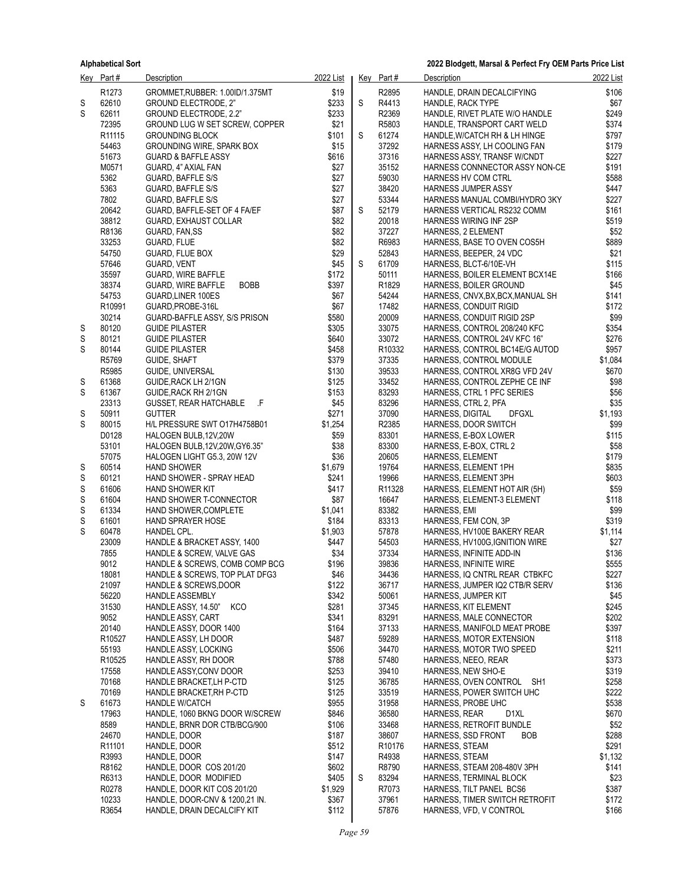|   | Key Part#                   | <b>Description</b>                                             | 2022 List      |   | Key Part#          | <b>Description</b>                                              | 2022 List      |
|---|-----------------------------|----------------------------------------------------------------|----------------|---|--------------------|-----------------------------------------------------------------|----------------|
|   | R1273                       | GROMMET, RUBBER: 1.00ID/1.375MT                                | \$19           |   | R2895              | HANDLE, DRAIN DECALCIFYING                                      | \$106          |
| S | 62610                       | <b>GROUND ELECTRODE, 2"</b>                                    | \$233          | S | R4413              | <b>HANDLE, RACK TYPE</b>                                        | \$67           |
| S | 62611                       | GROUND ELECTRODE, 2.2"                                         | \$233          |   | R2369              | HANDLE, RIVET PLATE W/O HANDLE                                  | \$249          |
|   | 72395                       | GROUND LUG W SET SCREW, COPPER                                 | \$21           |   | R5803              | HANDLE, TRANSPORT CART WELD                                     | \$374          |
|   | R11115                      | <b>GROUNDING BLOCK</b>                                         | \$101          | S | 61274              | HANDLE, W/CATCH RH & LH HINGE                                   | \$797          |
|   | 54463                       | <b>GROUNDING WIRE, SPARK BOX</b>                               | \$15           |   | 37292              | HARNESS ASSY, LH COOLING FAN                                    | \$179          |
|   | 51673<br>M0571              | <b>GUARD &amp; BAFFLE ASSY</b><br>GUARD, 4" AXIAL FAN          | \$616<br>\$27  |   | 37316<br>35152     | HARNESS ASSY, TRANSF W/CNDT<br>HARNESS CONNNECTOR ASSY NON-CE   | \$227<br>\$191 |
|   | 5362                        | <b>GUARD, BAFFLE S/S</b>                                       | \$27           |   | 59030              | HARNESS HV COM CTRL                                             | \$588          |
|   | 5363                        | <b>GUARD, BAFFLE S/S</b>                                       | \$27           |   | 38420              | <b>HARNESS JUMPER ASSY</b>                                      | \$447          |
|   | 7802                        | GUARD, BAFFLE S/S                                              | \$27           |   | 53344              | HARNESS MANUAL COMBI/HYDRO 3KY                                  | \$227          |
|   | 20642                       | GUARD, BAFFLE-SET OF 4 FA/EF                                   | \$87           | S | 52179              | HARNESS VERTICAL RS232 COMM                                     | \$161          |
|   | 38812                       | GUARD, EXHAUST COLLAR                                          | \$82           |   | 20018              | <b>HARNESS WIRING INF 2SP</b>                                   | \$519          |
|   | R8136                       | GUARD, FAN, SS                                                 | \$82           |   | 37227              | HARNESS, 2 ELEMENT                                              | \$52           |
|   | 33253                       | GUARD, FLUE                                                    | \$82           |   | R6983              | HARNESS, BASE TO OVEN COS5H                                     | \$889          |
|   | 54750                       | GUARD, FLUE BOX                                                | \$29           |   | 52843              | HARNESS, BEEPER, 24 VDC                                         | \$21           |
|   | 57646                       | GUARD, VENT                                                    | \$45           | S | 61709              | HARNESS, BLCT-6/10E-VH                                          | \$115          |
|   | 35597                       | <b>GUARD, WIRE BAFFLE</b>                                      | \$172          |   | 50111              | HARNESS, BOILER ELEMENT BCX14E                                  | \$166          |
|   | 38374                       | <b>BOBB</b><br>GUARD, WIRE BAFFLE                              | \$397          |   | R1829              | HARNESS, BOILER GROUND                                          | \$45           |
|   | 54753                       | GUARD, LINER 100ES                                             | \$67           |   | 54244              | HARNESS, CNVX, BX, BCX, MANUAL SH                               | \$141          |
|   | R <sub>10991</sub><br>30214 | GUARD, PROBE-316L<br>GUARD-BAFFLE ASSY, S/S PRISON             | \$67<br>\$580  |   | 17482<br>20009     | HARNESS, CONDUIT RIGID<br>HARNESS, CONDUIT RIGID 2SP            | \$172<br>\$99  |
| S | 80120                       | <b>GUIDE PILASTER</b>                                          | \$305          |   | 33075              | HARNESS, CONTROL 208/240 KFC                                    | \$354          |
| S | 80121                       | <b>GUIDE PILASTER</b>                                          | \$640          |   | 33072              | HARNESS, CONTROL 24V KFC 16"                                    | \$276          |
| S | 80144                       | <b>GUIDE PILASTER</b>                                          | \$458          |   | R10332             | HARNESS, CONTROL BC14E/G AUTOD                                  | \$957          |
|   | R5769                       | GUIDE, SHAFT                                                   | \$379          |   | 37335              | HARNESS, CONTROL MODULE                                         | \$1,084        |
|   | R5985                       | GUIDE, UNIVERSAL                                               | \$130          |   | 39533              | HARNESS, CONTROL XR8G VFD 24V                                   | \$670          |
| S | 61368                       | GUIDE, RACK LH 2/1GN                                           | \$125          |   | 33452              | HARNESS, CONTROL ZEPHE CE INF                                   | \$98           |
| S | 61367                       | GUIDE, RACK RH 2/1GN                                           | \$153          |   | 83293              | HARNESS, CTRL 1 PFC SERIES                                      | \$56           |
|   | 23313                       | -.F<br><b>GUSSET, REAR HATCHABLE</b>                           | \$45           |   | 83296              | HARNESS, CTRL 2, PFA                                            | \$35           |
| S | 50911                       | <b>GUTTER</b>                                                  | \$271          |   | 37090              | HARNESS, DIGITAL<br><b>DFGXL</b>                                | \$1,193        |
| S | 80015                       | H/L PRESSURE SWT 017H4758B01                                   | \$1,254        |   | R2385              | HARNESS, DOOR SWITCH                                            | \$99           |
|   | D0128                       | HALOGEN BULB, 12V, 20W                                         | \$59           |   | 83301              | HARNESS, E-BOX LOWER                                            | \$115          |
|   | 53101<br>57075              | HALOGEN BULB, 12V, 20W, GY6.35"<br>HALOGEN LIGHT G5.3, 20W 12V | \$38<br>\$36   |   | 83300<br>20605     | HARNESS, E-BOX, CTRL 2<br>HARNESS, ELEMENT                      | \$58<br>\$179  |
| S | 60514                       | <b>HAND SHOWER</b>                                             | \$1,679        |   | 19764              | HARNESS, ELEMENT 1PH                                            | \$835          |
| S | 60121                       | HAND SHOWER - SPRAY HEAD                                       | \$241          |   | 19966              | HARNESS, ELEMENT 3PH                                            | \$603          |
| S | 61606                       | <b>HAND SHOWER KIT</b>                                         | \$417          |   | R <sub>11328</sub> | HARNESS, ELEMENT HOT AIR (5H)                                   | \$59           |
| S | 61604                       | HAND SHOWER T-CONNECTOR                                        | \$87           |   | 16647              | HARNESS, ELEMENT-3 ELEMENT                                      | \$118          |
| S | 61334                       | HAND SHOWER, COMPLETE                                          | \$1,041        |   | 83382              | HARNESS, EMI                                                    | \$99           |
| S | 61601                       | HAND SPRAYER HOSE                                              | \$184          |   | 83313              | HARNESS, FEM CON, 3P                                            | \$319          |
| S | 60478                       | HANDEL CPL.                                                    | \$1,903        |   | 57878              | HARNESS, HV100E BAKERY REAR                                     | \$1,114        |
|   | 23009                       | HANDLE & BRACKET ASSY, 1400                                    | \$447          |   | 54503              | HARNESS, HV100G, IGNITION WIRE                                  | \$27           |
|   | 7855                        | HANDLE & SCREW, VALVE GAS                                      | \$34           |   | 37334              | HARNESS, INFINITE ADD-IN                                        | \$136          |
|   | 9012                        | HANDLE & SCREWS, COMB COMP BCG                                 | \$196          |   | 39836              | HARNESS, INFINITE WIRE                                          | \$555          |
|   | 18081<br>21097              | HANDLE & SCREWS, TOP PLAT DFG3<br>HANDLE & SCREWS, DOOR        | \$46<br>\$122  |   | 34436<br>36717     | HARNESS, IQ CNTRL REAR CTBKFC<br>HARNESS, JUMPER IQ2 CTB/R SERV | \$227<br>\$136 |
|   | 56220                       | <b>HANDLE ASSEMBLY</b>                                         | \$342          |   | 50061              | HARNESS, JUMPER KIT                                             | \$45           |
|   | 31530                       | HANDLE ASSY, 14.50"<br>KCO                                     | \$281          |   | 37345              | HARNESS, KIT ELEMENT                                            | \$245          |
|   | 9052                        | <b>HANDLE ASSY, CART</b>                                       | \$341          |   | 83291              | HARNESS, MALE CONNECTOR                                         | \$202          |
|   | 20140                       | HANDLE ASSY, DOOR 1400                                         | \$164          |   | 37133              | HARNESS, MANIFOLD MEAT PROBE                                    | \$397          |
|   | R10527                      | HANDLE ASSY, LH DOOR                                           | \$487          |   | 59289              | HARNESS, MOTOR EXTENSION                                        | \$118          |
|   | 55193                       | HANDLE ASSY, LOCKING                                           | \$506          |   | 34470              | HARNESS, MOTOR TWO SPEED                                        | \$211          |
|   | R10525                      | HANDLE ASSY, RH DOOR                                           | \$788          |   | 57480              | HARNESS, NEEO, REAR                                             | \$373          |
|   | 17558                       | HANDLE ASSY, CONV DOOR                                         | \$253          |   | 39410              | HARNESS, NEW SHO-E                                              | \$319          |
|   | 70168                       | HANDLE BRACKET, LH P-CTD                                       | \$125          |   | 36785              | HARNESS, OVEN CONTROL SH1                                       | \$258          |
|   | 70169                       | HANDLE BRACKET, RH P-CTD                                       | \$125          |   | 33519              | HARNESS, POWER SWITCH UHC                                       | \$222          |
| S | 61673<br>17963              | <b>HANDLE W/CATCH</b><br>HANDLE, 1060 BKNG DOOR W/SCREW        | \$955<br>\$846 |   | 31958<br>36580     | HARNESS, PROBE UHC                                              | \$538<br>\$670 |
|   | 8589                        | HANDLE, BRNR DOR CTB/BCG/900                                   | \$106          |   | 33468              | HARNESS, REAR<br>D1XL<br>HARNESS, RETROFIT BUNDLE               | \$52           |
|   | 24670                       | HANDLE, DOOR                                                   | \$187          |   | 38607              | HARNESS, SSD FRONT<br>BOB                                       | \$288          |
|   | R11101                      | HANDLE, DOOR                                                   | \$512          |   | R10176             | HARNESS, STEAM                                                  | \$291          |
|   | R3993                       | HANDLE, DOOR                                                   | \$147          |   | R4938              | <b>HARNESS, STEAM</b>                                           | \$1,132        |
|   | R8162                       | HANDLE, DOOR COS 201/20                                        | \$602          |   | R8790              | HARNESS, STEAM 208-480V 3PH                                     | \$141          |
|   | R6313                       | HANDLE, DOOR MODIFIED                                          | \$405          | S | 83294              | HARNESS, TERMINAL BLOCK                                         | \$23           |
|   | R0278                       | HANDLE, DOOR KIT COS 201/20                                    | \$1,929        |   | R7073              | HARNESS, TILT PANEL BCS6                                        | \$387          |
|   | 10233                       | HANDLE, DOOR-CNV & 1200,21 IN.                                 | \$367          |   | 37961              | HARNESS, TIMER SWITCH RETROFIT                                  | \$172          |
|   | R3654                       | HANDLE, DRAIN DECALCIFY KIT                                    | \$112          |   | 57876              | HARNESS, VFD, V CONTROL                                         | \$166          |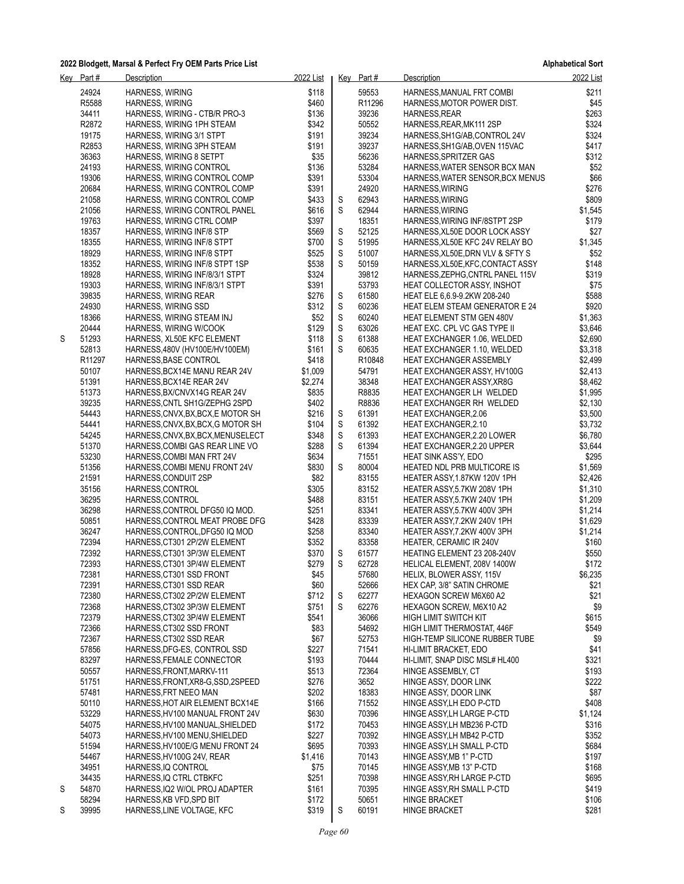**Alphabetical Sort**

|   | Key Part#          | Description                                             | 2022 List      |   | Key Part#          | Description                                                 | 2022 List     |
|---|--------------------|---------------------------------------------------------|----------------|---|--------------------|-------------------------------------------------------------|---------------|
|   | 24924              | <b>HARNESS, WIRING</b>                                  | \$118          |   | 59553              | HARNESS, MANUAL FRT COMBI                                   | \$211         |
|   | R5588              | <b>HARNESS, WIRING</b>                                  | \$460          |   | R <sub>11296</sub> | HARNESS, MOTOR POWER DIST.                                  | \$45          |
|   | 34411              | HARNESS, WIRING - CTB/R PRO-3                           | \$136          |   | 39236              | HARNESS, REAR                                               | \$263         |
|   | R2872              | HARNESS, WIRING 1PH STEAM                               | \$342          |   | 50552              | HARNESS, REAR, MK111 2SP                                    | \$324         |
|   | 19175              | HARNESS, WIRING 3/1 STPT                                | \$191          |   | 39234              | HARNESS, SH1G/AB, CONTROL 24V                               | \$324         |
|   | R2853              | HARNESS, WIRING 3PH STEAM                               | \$191          |   | 39237              | HARNESS, SH1G/AB, OVEN 115VAC                               | \$417         |
|   | 36363              | HARNESS, WIRING 8 SETPT                                 | \$35           |   | 56236              | HARNESS, SPRITZER GAS                                       | \$312         |
|   | 24193              | HARNESS, WIRING CONTROL                                 | \$136          |   | 53284              | HARNESS, WATER SENSOR BCX MAN                               | \$52          |
|   | 19306              | HARNESS, WIRING CONTROL COMP                            | \$391          |   | 53304              | HARNESS, WATER SENSOR, BCX MENUS                            | \$66          |
|   | 20684              | HARNESS, WIRING CONTROL COMP                            | \$391          |   | 24920              | HARNESS, WIRING                                             | \$276         |
|   | 21058              | HARNESS, WIRING CONTROL COMP                            | \$433          | S | 62943              | HARNESS, WIRING                                             | \$809         |
|   | 21056              | HARNESS, WIRING CONTROL PANEL                           | \$616          | S | 62944              | HARNESS, WIRING                                             | \$1,545       |
|   | 19763              | HARNESS, WIRING CTRL COMP                               | \$397          |   | 18351              | HARNESS, WIRING INF/8STPT 2SP                               | \$179         |
|   | 18357              | HARNESS, WIRING INF/8 STP                               | \$569          | S | 52125              | HARNESS, XL50E DOOR LOCK ASSY                               | \$27          |
|   | 18355              | HARNESS, WIRING INF/8 STPT                              | \$700          | S | 51995              | HARNESS, XL50E KFC 24V RELAY BO                             | \$1,345       |
|   | 18929              | HARNESS, WIRING INF/8 STPT                              | \$525          | S | 51007              | HARNESS, XL50E, DRN VLV & SFTY S                            | \$52          |
|   | 18352<br>18928     | HARNESS, WIRING INF/8 STPT 1SP                          | \$538          | S | 50159<br>39812     | HARNESS, XL50E, KFC, CONTACT ASSY                           | \$148         |
|   | 19303              | HARNESS, WIRING INF/8/3/1 STPT                          | \$324<br>\$391 |   | 53793              | HARNESS, ZEPHG, CNTRL PANEL 115V                            | \$319<br>\$75 |
|   | 39835              | HARNESS, WIRING INF/8/3/1 STPT<br>HARNESS, WIRING REAR  | \$276          | S | 61580              | HEAT COLLECTOR ASSY, INSHOT<br>HEAT ELE 6,6.9-9.2KW 208-240 | \$588         |
|   | 24930              | HARNESS, WIRING SSD                                     | \$312          | S | 60236              | <b>HEAT ELEM STEAM GENERATOR E 24</b>                       | \$920         |
|   | 18366              | HARNESS, WIRING STEAM INJ                               | \$52           | S | 60240              | <b>HEAT ELEMENT STM GEN 480V</b>                            | \$1,363       |
|   | 20444              | HARNESS, WIRING W/COOK                                  | \$129          | S | 63026              | HEAT EXC. CPL VC GAS TYPE II                                | \$3,646       |
| S | 51293              | HARNESS, XL50E KFC ELEMENT                              | \$118          | S | 61388              | <b>HEAT EXCHANGER 1.06, WELDED</b>                          | \$2,690       |
|   | 52813              | HARNESS, 480V (HV100E/HV100EM)                          | \$161          | S | 60635              | HEAT EXCHANGER 1.10, WELDED                                 | \$3,318       |
|   | R <sub>11297</sub> | HARNESS, BASE CONTROL                                   | \$418          |   | R10848             | HEAT EXCHANGER ASSEMBLY                                     | \$2,499       |
|   | 50107              | HARNESS, BCX14E MANU REAR 24V                           | \$1,009        |   | 54791              | HEAT EXCHANGER ASSY, HV100G                                 | \$2,413       |
|   | 51391              | HARNESS, BCX14E REAR 24V                                | \$2,274        |   | 38348              | <b>HEAT EXCHANGER ASSY, XR8G</b>                            | \$8,462       |
|   | 51373              | HARNESS, BX/CNVX14G REAR 24V                            | \$835          |   | R8835              | HEAT EXCHANGER LH WELDED                                    | \$1,995       |
|   | 39235              | HARNESS, CNTL SH1G/ZEPHG 2SPD                           | \$402          |   | R8836              | HEAT EXCHANGER RH WELDED                                    | \$2,130       |
|   | 54443              | HARNESS, CNVX, BX, BCX, E MOTOR SH                      | \$216          | S | 61391              | <b>HEAT EXCHANGER, 2.06</b>                                 | \$3,500       |
|   | 54441              | HARNESS, CNVX, BX, BCX, G MOTOR SH                      | \$104          | S | 61392              | HEAT EXCHANGER, 2.10                                        | \$3,732       |
|   | 54245              | HARNESS,CNVX,BX,BCX,MENUSELECT                          | \$348          | S | 61393              | <b>HEAT EXCHANGER, 2.20 LOWER</b>                           | \$6,780       |
|   | 51370              | HARNESS, COMBI GAS REAR LINE VO                         | \$288          | S | 61394              | HEAT EXCHANGER, 2.20 UPPER                                  | \$3,644       |
|   | 53230              | HARNESS, COMBI MAN FRT 24V                              | \$634          |   | 71551              | HEAT SINK ASS'Y, EDO                                        | \$295         |
|   | 51356              | HARNESS, COMBI MENU FRONT 24V                           | \$830          | S | 80004              | HEATED NDL PRB MULTICORE IS                                 | \$1,569       |
|   | 21591              | HARNESS, CONDUIT 2SP                                    | \$82           |   | 83155              | HEATER ASSY, 1.87KW 120V 1PH                                | \$2,426       |
|   | 35156              | HARNESS, CONTROL                                        | \$305          |   | 83152              | HEATER ASSY,5.7KW 208V 1PH                                  | \$1,310       |
|   | 36295              | HARNESS, CONTROL                                        | \$488          |   | 83151              | HEATER ASSY,5.7KW 240V 1PH                                  | \$1,209       |
|   | 36298              | HARNESS, CONTROL DFG50 IQ MOD.                          | \$251          |   | 83341              | HEATER ASSY,5.7KW 400V 3PH                                  | \$1,214       |
|   | 50851              | HARNESS, CONTROL MEAT PROBE DFG                         | \$428          |   | 83339              | HEATER ASSY 7.2KW 240V 1PH                                  | \$1,629       |
|   | 36247              | HARNESS, CONTROL, DFG50 IQ MOD                          | \$258          |   | 83340              | HEATER ASSY, 7.2KW 400V 3PH                                 | \$1,214       |
|   | 72394              | HARNESS, CT301 2P/2W ELEMENT                            | \$352          |   | 83358              | HEATER, CERAMIC IR 240V                                     | \$160         |
|   | 72392              | HARNESS, CT301 3P/3W ELEMENT                            | \$370          | S | 61577              | HEATING ELEMENT 23 208-240V                                 | \$550         |
|   | 72393              | HARNESS, CT301 3P/4W ELEMENT                            | \$279          | S | 62728              | HELICAL ELEMENT, 208V 1400W                                 | \$172         |
|   | 72381              | HARNESS, CT301 SSD FRONT                                | \$45           |   | 57680              | HELIX, BLOWER ASSY, 115V<br>HEX CAP, 3/8" SATIN CHROME      | \$6,235       |
|   | 72391<br>72380     | HARNESS, CT301 SSD REAR<br>HARNESS, CT302 2P/2W ELEMENT | \$60<br>\$712  | S | 52666<br>62277     | HEXAGON SCREW M6X60 A2                                      | \$21<br>\$21  |
|   | 72368              | HARNESS, CT302 3P/3W ELEMENT                            | \$751          | S | 62276              | HEXAGON SCREW, M6X10 A2                                     | \$9           |
|   | 72379              | HARNESS, CT302 3P/4W ELEMENT                            | \$541          |   | 36066              | HIGH LIMIT SWITCH KIT                                       | \$615         |
|   | 72366              | HARNESS, CT302 SSD FRONT                                | \$83           |   | 54692              | HIGH LIMIT THERMOSTAT, 446F                                 | \$549         |
|   | 72367              | HARNESS, CT302 SSD REAR                                 | \$67           |   | 52753              | HIGH-TEMP SILICONE RUBBER TUBE                              | \$9           |
|   | 57856              | HARNESS, DFG-ES, CONTROL SSD                            | \$227          |   | 71541              | HI-LIMIT BRACKET, EDO                                       | \$41          |
|   | 83297              | HARNESS, FEMALE CONNECTOR                               | \$193          |   | 70444              | HI-LIMIT, SNAP DISC MSL# HL400                              | \$321         |
|   | 50557              | HARNESS, FRONT, MARKV-111                               | \$513          |   | 72364              | HINGE ASSEMBLY, CT                                          | \$193         |
|   | 51751              | HARNESS, FRONT, XR8-G, SSD, 2SPEED                      | \$276          |   | 3652               | HINGE ASSY, DOOR LINK                                       | \$222         |
|   | 57481              | HARNESS, FRT NEEO MAN                                   | \$202          |   | 18383              | HINGE ASSY, DOOR LINK                                       | \$87          |
|   | 50110              | HARNESS, HOT AIR ELEMENT BCX14E                         | \$166          |   | 71552              | HINGE ASSY,LH EDO P-CTD                                     | \$408         |
|   | 53229              | HARNESS, HV100 MANUAL FRONT 24V                         | \$630          |   | 70396              | HINGE ASSY, LH LARGE P-CTD                                  | \$1,124       |
|   | 54075              | HARNESS, HV100 MANUAL, SHIELDED                         | \$172          |   | 70453              | HINGE ASSY,LH MB236 P-CTD                                   | \$316         |
|   | 54073              | HARNESS, HV100 MENU, SHIELDED                           | \$227          |   | 70392              | HINGE ASSY, LH MB42 P-CTD                                   | \$352         |
|   | 51594              | HARNESS, HV100E/G MENU FRONT 24                         | \$695          |   | 70393              | HINGE ASSY, LH SMALL P-CTD                                  | \$684         |
|   | 54467              | HARNESS, HV100G 24V, REAR                               | \$1,416        |   | 70143              | HINGE ASSY, MB 1" P-CTD                                     | \$197         |
|   | 34951              | HARNESS, IQ CONTROL                                     | \$75           |   | 70145              | HINGE ASSY, MB 13" P-CTD                                    | \$168         |
|   | 34435              | HARNESS, IQ CTRL CTBKFC                                 | \$251          |   | 70398              | HINGE ASSY, RH LARGE P-CTD                                  | \$695         |
| S | 54870              | HARNESS, IQ2 W/OL PROJ ADAPTER                          | \$161          |   | 70395              | HINGE ASSY, RH SMALL P-CTD                                  | \$419         |
|   | 58294              | HARNESS, KB VFD, SPD BIT                                | \$172          |   | 50651              | <b>HINGE BRACKET</b>                                        | \$106         |
| S | 39995              | HARNESS, LINE VOLTAGE, KFC                              | \$319          | S | 60191              | <b>HINGE BRACKET</b>                                        | \$281         |

*Page 60*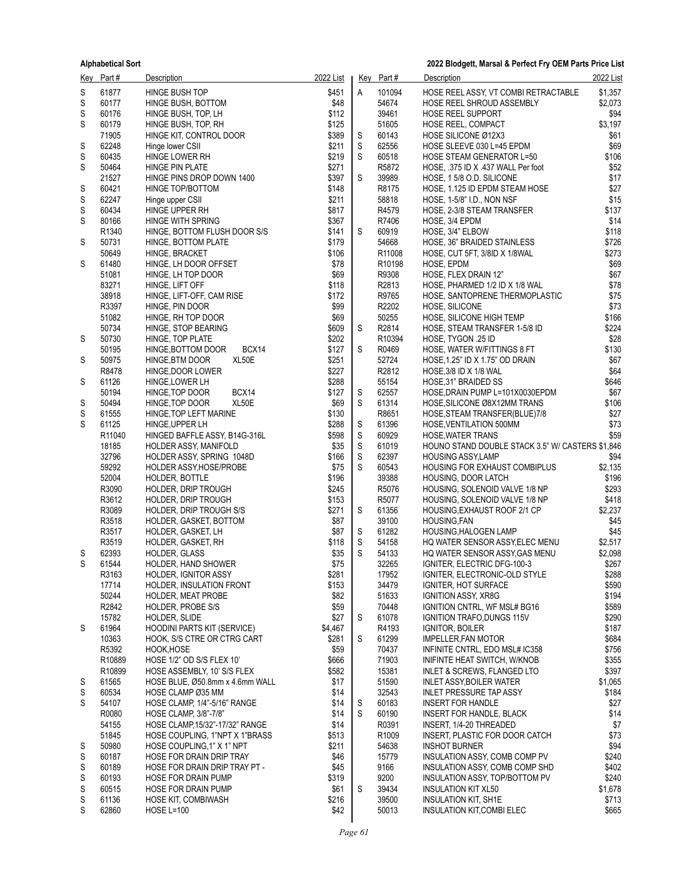| <u>Key</u> | Part #            | Description                                              | 2022 List      |                            | Key Part#                                | Description                                                            | 2022 List       |
|------------|-------------------|----------------------------------------------------------|----------------|----------------------------|------------------------------------------|------------------------------------------------------------------------|-----------------|
| S          | 61877             | HINGE BUSH TOP                                           | \$451          | Α                          | 101094                                   | HOSE REEL ASSY, VT COMBI RETRACTABLE                                   | \$1,357         |
| S          | 60177             | HINGE BUSH, BOTTOM                                       | \$48           |                            | 54674                                    | HOSE REEL SHROUD ASSEMBLY                                              | \$2,073         |
| S          | 60176             | HINGE BUSH, TOP, LH                                      | \$112          |                            | 39461                                    | <b>HOSE REEL SUPPORT</b>                                               | \$94            |
| S          | 60179             | HINGE BUSH, TOP, RH                                      | \$125          |                            | 51605                                    | <b>HOSE REEL, COMPACT</b>                                              | \$3,197         |
|            | 71905             | HINGE KIT, CONTROL DOOR                                  | \$389          | S                          | 60143                                    | HOSE SILICONE Ø12X3                                                    | \$61            |
| S<br>S     | 62248<br>60435    | Hinge lower CSII<br>HINGE LOWER RH                       | \$211<br>\$219 | $\mathbb S$<br>$\mathbb S$ | 62556<br>60518                           | HOSE SLEEVE 030 L=45 EPDM                                              | \$69<br>\$106   |
| S          | 50464             | HINGE PIN PLATE                                          | \$271          |                            | R5872                                    | HOSE STEAM GENERATOR L=50<br>HOSE, .375 ID X .437 WALL Per foot        | \$52            |
|            | 21527             | HINGE PINS DROP DOWN 1400                                | \$397          | S                          | 39989                                    | HOSE, 1 5/8 O.D. SILICONE                                              | \$17            |
| S          | 60421             | HINGE TOP/BOTTOM                                         | \$148          |                            | R8175                                    | HOSE, 1.125 ID EPDM STEAM HOSE                                         | \$27            |
| S          | 62247             | Hinge upper CSII                                         | \$211          |                            | 58818                                    | HOSE, 1-5/8" I.D., NON NSF                                             | \$15            |
| S          | 60434             | HINGE UPPER RH                                           | \$817          |                            | R4579                                    | HOSE, 2-3/8 STEAM TRANSFER                                             | \$137           |
| S          | 80166             | HINGE WITH SPRING                                        | \$367          |                            | R7406                                    | HOSE, 3/4 EPDM                                                         | \$14            |
|            | R <sub>1340</sub> | HINGE, BOTTOM FLUSH DOOR S/S                             | \$141          | S                          | 60919                                    | HOSE, 3/4" ELBOW                                                       | \$118           |
| S          | 50731             | HINGE, BOTTOM PLATE                                      | \$179          |                            | 54668                                    | HOSE, 36" BRAIDED STAINLESS                                            | \$726           |
| S          | 50649<br>61480    | HINGE, BRACKET<br>HINGE, LH DOOR OFFSET                  | \$106<br>\$78  |                            | R <sub>11008</sub><br>R <sub>10198</sub> | HOSE, CUT 5FT, 3/8ID X 1/8WAL<br>HOSE, EPDM                            | \$273<br>\$69   |
|            | 51081             | HINGE, LH TOP DOOR                                       | \$69           |                            | R9308                                    | HOSE, FLEX DRAIN 12"                                                   | \$67            |
|            | 83271             | HINGE, LIFT OFF                                          | \$118          |                            | R2813                                    | HOSE, PHARMED 1/2 ID X 1/8 WAL                                         | \$78            |
|            | 38918             | HINGE, LIFT-OFF, CAM RISE                                | \$172          |                            | R9765                                    | HOSE, SANTOPRENE THERMOPLASTIC                                         | \$75            |
|            | R3397             | HINGE, PIN DOOR                                          | \$99           |                            | R2202                                    | HOSE, SILICONE                                                         | \$73            |
|            | 51082             | HINGE, RH TOP DOOR                                       | \$69           |                            | 50255                                    | HOSE, SILICONE HIGH TEMP                                               | \$166           |
|            | 50734             | HINGE, STOP BEARING                                      | \$609          | S                          | R2814                                    | HOSE, STEAM TRANSFER 1-5/8 ID                                          | \$224           |
| S          | 50730             | HINGE, TOP PLATE                                         | \$202          |                            | R10394                                   | HOSE, TYGON .25 ID                                                     | \$28            |
|            | 50195             | BCX14<br>HINGE, BOTTOM DOOR                              | \$127          | S                          | R0469                                    | HOSE, WATER W/FITTINGS 8 FT                                            | \$130           |
| S          | 50975<br>R8478    | XL50E<br>HINGE, BTM DOOR<br>HINGE, DOOR LOWER            | \$251<br>\$227 |                            | 52724<br>R2812                           | HOSE, 1.25" ID X 1.75" OD DRAIN<br>HOSE, $3/8$ ID X 1/8 WAL            | \$67<br>\$64    |
| S          | 61126             | HINGE, LOWER LH                                          | \$288          |                            | 55154                                    | HOSE, 31" BRAIDED SS                                                   | \$646           |
|            | 50194             | BCX14<br>HINGE, TOP DOOR                                 | \$127          | S                          | 62557                                    | HOSE, DRAIN PUMP L=101X0030EPDM                                        | \$67            |
| S          | 50494             | XL50E<br>HINGE, TOP DOOR                                 | \$69           | S                          | 61314                                    | HOSE, SILICONE Ø8X12MM TRANS                                           | \$106           |
| S          | 61555             | HINGE, TOP LEFT MARINE                                   | \$130          |                            | R8651                                    | HOSE, STEAM TRANSFER(BLUE)7/8                                          | \$27            |
| S          | 61125             | HINGE, UPPER LH                                          | \$288          | $\mathbb S$                | 61396                                    | HOSE, VENTILATION 500MM                                                | \$73            |
|            | R11040            | HINGED BAFFLE ASSY, B14G-316L                            | \$598          | S                          | 60929                                    | <b>HOSE, WATER TRANS</b>                                               | \$59            |
|            | 18185             | HOLDER ASSY, MANIFOLD                                    | \$35           | $\mathbb S$                | 61019                                    | HOUNO STAND DOUBLE STACK 3.5" W/ CASTERS \$1,846                       |                 |
|            | 32796             | HOLDER ASSY, SPRING 1048D                                | \$166<br>\$75  | S<br>S                     | 62397<br>60543                           | <b>HOUSING ASSY,LAMP</b>                                               | \$94<br>\$2,135 |
|            | 59292<br>52004    | HOLDER ASSY, HOSE/PROBE<br>HOLDER, BOTTLE                | \$196          |                            | 39388                                    | HOUSING FOR EXHAUST COMBIPLUS<br>HOUSING, DOOR LATCH                   | \$196           |
|            | R3090             | <b>HOLDER, DRIP TROUGH</b>                               | \$245          |                            | R5076                                    | HOUSING, SOLENOID VALVE 1/8 NP                                         | \$293           |
|            | R3612             | <b>HOLDER, DRIP TROUGH</b>                               | \$153          |                            | R5077                                    | HOUSING, SOLENOID VALVE 1/8 NP                                         | \$418           |
|            | R3089             | <b>HOLDER, DRIP TROUGH S/S</b>                           | \$271          | S                          | 61356                                    | HOUSING, EXHAUST ROOF 2/1 CP                                           | \$2,237         |
|            | R3518             | HOLDER, GASKET, BOTTOM                                   | \$87           |                            | 39100                                    | HOUSING, FAN                                                           | \$45            |
|            | R3517             | HOLDER, GASKET, LH                                       | \$87           | S                          | 61282                                    | HOUSING, HALOGEN LAMP                                                  | \$45            |
|            | R3519             | HOLDER, GASKET, RH                                       | \$118          | S                          | 54158                                    | HQ WATER SENSOR ASSY, ELEC MENU                                        | \$2,517         |
| S<br>S     | 62393             | HOLDER, GLASS                                            | \$35<br>\$75   | S                          | 54133<br>32265                           | HQ WATER SENSOR ASSY, GAS MENU                                         | \$2,098         |
|            | 61544<br>R3163    | HOLDER, HAND SHOWER<br>HOLDER, IGNITOR ASSY              | \$281          |                            | 17952                                    | IGNITER, ELECTRIC DFG-100-3<br>IGNITER, ELECTRONIC-OLD STYLE           | \$267<br>\$288  |
|            | 17714             | HOLDER, INSULATION FRONT                                 | \$153          |                            | 34479                                    | <b>IGNITER, HOT SURFACE</b>                                            | \$590           |
|            | 50244             | HOLDER, MEAT PROBE                                       | \$82           |                            | 51633                                    | <b>IGNITION ASSY, XR8G</b>                                             | \$194           |
|            | R2842             | HOLDER, PROBE S/S                                        | \$59           |                            | 70448                                    | IGNITION CNTRL, WF MSL# BG16                                           | \$589           |
|            | 15782             | HOLDER, SLIDE                                            | \$27           | S                          | 61078                                    | IGNITION TRAFO, DUNGS 115V                                             | \$290           |
| S          | 61964             | <b>HOODINI PARTS KIT (SERVICE)</b>                       | \$4,467        |                            | R4193                                    | IGNITOR, BOILER                                                        | \$187           |
|            | 10363             | HOOK, S/S CTRE OR CTRG CART                              | \$281          | S                          | 61299                                    | <b>IMPELLER, FAN MOTOR</b>                                             | \$684           |
|            | R5392             | HOOK, HOSE                                               | \$59           |                            | 70437                                    | INFINITE CNTRL, EDO MSL# IC358                                         | \$756           |
|            | R10889<br>R10899  | HOSE 1/2" OD S/S FLEX 10"<br>HOSE ASSEMBLY, 10' S/S FLEX | \$666<br>\$582 |                            | 71903<br>15381                           | INIFINTE HEAT SWITCH, W/KNOB<br><b>INLET &amp; SCREWS, FLANGED LTO</b> | \$355<br>\$397  |
| S          | 61565             | HOSE BLUE, Ø50.8mm x 4.6mm WALL                          | \$17           |                            | 51590                                    | INLET ASSY, BOILER WATER                                               | \$1,065         |
| S          | 60534             | HOSE CLAMP Ø35 MM                                        | \$14           |                            | 32543                                    | <b>INLET PRESSURE TAP ASSY</b>                                         | \$184           |
| S          | 54107             | HOSE CLAMP, 1/4"-5/16" RANGE                             | \$14           | S                          | 60183                                    | <b>INSERT FOR HANDLE</b>                                               | \$27            |
|            | R0080             | HOSE CLAMP, 3/8"-7/8"                                    | \$14           | S                          | 60190                                    | INSERT FOR HANDLE, BLACK                                               | \$14            |
|            | 54155             | HOSE CLAMP, 15/32"-17/32" RANGE                          | \$14           |                            | R0391                                    | INSERT, 1/4-20 THREADED                                                | \$7             |
|            | 51845             | HOSE COUPLING, 1"NPT X 1"BRASS                           | \$513          |                            | R <sub>1009</sub>                        | INSERT, PLASTIC FOR DOOR CATCH                                         | \$73            |
| S          | 50980             | HOSE COUPLING, 1" X 1" NPT                               | \$211          |                            | 54638                                    | <b>INSHOT BURNER</b>                                                   | \$94            |
| S          | 60187<br>60189    | HOSE FOR DRAIN DRIP TRAY                                 | \$46<br>\$45   |                            | 15779<br>9166                            | INSULATION ASSY, COMB COMP PV<br>INSULATION ASSY, COMB COMP SHD        | \$240<br>\$402  |
| S<br>S     | 60193             | HOSE FOR DRAIN DRIP TRAY PT -<br>HOSE FOR DRAIN PUMP     | \$319          |                            | 9200                                     | INSULATION ASSY, TOP/BOTTOM PV                                         | \$240           |
| S          | 60515             | <b>HOSE FOR DRAIN PUMP</b>                               | \$61           | S                          | 39434                                    | INSULATION KIT XL50                                                    | \$1,678         |
| S          | 61136             | HOSE KIT, COMBIWASH                                      | \$216          |                            | 39500                                    | INSULATION KIT, SH1E                                                   | \$713           |
| S          | 62860             | <b>HOSE L=100</b>                                        | \$42           |                            | 50013                                    | INSULATION KIT, COMBI ELEC                                             | \$665           |
|            |                   |                                                          |                |                            |                                          |                                                                        |                 |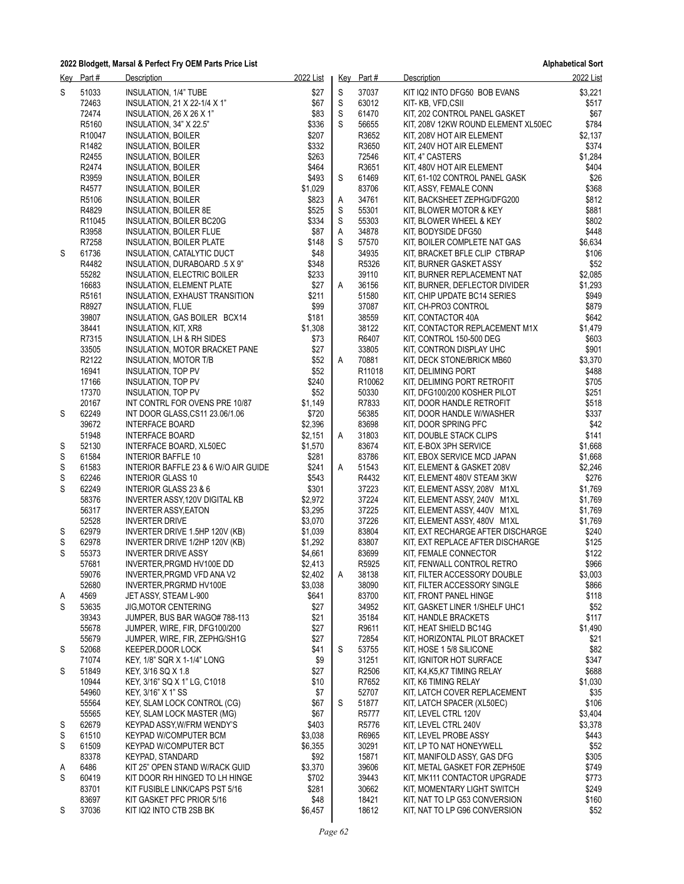|   | Key Part# | <b>Description</b>                    | 2022 List |    | Key Part# | Description                         | 2022 List |
|---|-----------|---------------------------------------|-----------|----|-----------|-------------------------------------|-----------|
| S | 51033     | INSULATION, 1/4" TUBE                 | \$27      | S  | 37037     | KIT IQ2 INTO DFG50 BOB EVANS        | \$3,221   |
|   | 72463     | INSULATION, 21 X 22-1/4 X 1"          | \$67      | S  | 63012     | KIT-KB, VFD,CSII                    | \$517     |
|   | 72474     | INSULATION, $26 \times 26 \times 1$ " | \$83      | S  | 61470     | KIT, 202 CONTROL PANEL GASKET       | \$67      |
|   | R5160     | INSULATION, 34" X 22.5"               | \$336     | S  | 56655     | KIT, 208V 12KW ROUND ELEMENT XL50EC | \$784     |
|   | R10047    | <b>INSULATION, BOILER</b>             | \$207     |    | R3652     | KIT, 208V HOT AIR ELEMENT           | \$2,137   |
|   | R1482     | <b>INSULATION, BOILER</b>             | \$332     |    | R3650     | KIT, 240V HOT AIR ELEMENT           | \$374     |
|   | R2455     | INSULATION, BOILER                    | \$263     |    | 72546     | KIT, 4" CASTERS                     | \$1,284   |
|   | R2474     |                                       | \$464     |    | R3651     | KIT, 480V HOT AIR ELEMENT           | \$404     |
|   |           | INSULATION, BOILER                    |           |    |           |                                     |           |
|   | R3959     | INSULATION, BOILER                    | \$493     | S  | 61469     | KIT, 61-102 CONTROL PANEL GASK      | \$26      |
|   | R4577     | INSULATION, BOILER                    | \$1,029   |    | 83706     | KIT, ASSY, FEMALE CONN              | \$368     |
|   | R5106     | <b>INSULATION, BOILER</b>             | \$823     | A  | 34761     | KIT, BACKSHEET ZEPHG/DFG200         | \$812     |
|   | R4829     | <b>INSULATION, BOILER 8E</b>          | \$525     | S  | 55301     | KIT, BLOWER MOTOR & KEY             | \$881     |
|   | R11045    | INSULATION, BOILER BC20G              | \$334     | S  | 55303     | KIT, BLOWER WHEEL & KEY             | \$802     |
|   | R3958     | <b>INSULATION, BOILER FLUE</b>        | \$87      | A  | 34878     | KIT, BODYSIDE DFG50                 | \$448     |
|   | R7258     | <b>INSULATION, BOILER PLATE</b>       | \$148     | S  | 57570     | KIT, BOILER COMPLETE NAT GAS        | \$6,634   |
| S | 61736     | INSULATION, CATALYTIC DUCT            | \$48      |    | 34935     | KIT, BRACKET BFLE CLIP CTBRAP       | \$106     |
|   | R4482     | INSULATION, DURABOARD .5 X 9"         | \$348     |    | R5326     | KIT, BURNER GASKET ASSY             | \$52      |
|   | 55282     | INSULATION, ELECTRIC BOILER           | \$233     |    | 39110     | KIT, BURNER REPLACEMENT NAT         | \$2,085   |
|   | 16683     | <b>INSULATION, ELEMENT PLATE</b>      | \$27      | Α  | 36156     | KIT, BURNER, DEFLECTOR DIVIDER      | \$1,293   |
|   | R5161     | INSULATION, EXHAUST TRANSITION        | \$211     |    | 51580     | KIT, CHIP UPDATE BC14 SERIES        | \$949     |
|   | R8927     | INSULATION, FLUE                      | \$99      |    | 37087     | KIT, CH-PRO3 CONTROL                | \$879     |
|   | 39807     | INSULATION, GAS BOILER BCX14          | \$181     |    | 38559     | KIT, CONTACTOR 40A                  | \$642     |
|   | 38441     | INSULATION, KIT, XR8                  | \$1,308   |    | 38122     | KIT, CONTACTOR REPLACEMENT M1X      | \$1,479   |
|   | R7315     | INSULATION, LH & RH SIDES             | \$73      |    | R6407     | KIT, CONTROL 150-500 DEG            | \$603     |
|   |           |                                       |           |    |           |                                     | \$901     |
|   | 33505     | INSULATION, MOTOR BRACKET PANE        | \$27      |    | 33805     | KIT, CONTRON DISPLAY UHC            |           |
|   | R2122     | INSULATION, MOTOR T/B                 | \$52      | A  | 70881     | KIT, DECK STONE/BRICK MB60          | \$3,370   |
|   | 16941     | INSULATION, TOP PV                    | \$52      |    | R11018    | KIT, DELIMING PORT                  | \$488     |
|   | 17166     | <b>INSULATION, TOP PV</b>             | \$240     |    | R10062    | KIT, DELIMING PORT RETROFIT         | \$705     |
|   | 17370     | INSULATION, TOP PV                    | \$52      |    | 50330     | KIT, DFG100/200 KOSHER PILOT        | \$251     |
|   | 20167     | INT CONTRL FOR OVENS PRE 10/87        | \$1,149   |    | R7833     | KIT, DOOR HANDLE RETROFIT           | \$518     |
| S | 62249     | INT DOOR GLASS, CS11 23.06/1.06       | \$720     |    | 56385     | KIT, DOOR HANDLE W/WASHER           | \$337     |
|   | 39672     | <b>INTERFACE BOARD</b>                | \$2,396   |    | 83698     | KIT, DOOR SPRING PFC                | \$42      |
|   | 51948     | <b>INTERFACE BOARD</b>                | \$2,151   | A  | 31803     | KIT, DOUBLE STACK CLIPS             | \$141     |
| S | 52130     | INTERFACE BOARD, XL50EC               | \$1,570   |    | 83674     | KIT, E-BOX 3PH SERVICE              | \$1,668   |
| S | 61584     | INTERIOR BAFFLE 10                    | \$281     |    | 83786     | KIT, EBOX SERVICE MCD JAPAN         | \$1,668   |
| S | 61583     | INTERIOR BAFFLE 23 & 6 W/O AIR GUIDE  | \$241     | A  | 51543     | KIT, ELEMENT & GASKET 208V          | \$2,246   |
| S | 62246     | <b>INTERIOR GLASS 10</b>              | \$543     |    | R4432     | KIT, ELEMENT 480V STEAM 3KW         | \$276     |
| S | 62249     | <b>INTERIOR GLASS 23 &amp; 6</b>      | \$301     |    | 37223     | KIT, ELEMENT ASSY, 208V M1XL        | \$1,769   |
|   | 58376     | INVERTER ASSY, 120V DIGITAL KB        | \$2,972   |    | 37224     | KIT, ELEMENT ASSY, 240V M1XL        | \$1,769   |
|   | 56317     | <b>INVERTER ASSY, EATON</b>           | \$3,295   |    | 37225     | KIT, ELEMENT ASSY, 440V M1XL        | \$1,769   |
|   | 52528     | <b>INVERTER DRIVE</b>                 | \$3,070   |    | 37226     | KIT, ELEMENT ASSY, 480V M1XL        | \$1,769   |
| S | 62979     | INVERTER DRIVE 1.5HP 120V (KB)        | \$1,039   |    | 83804     | KIT, EXT RECHARGE AFTER DISCHARGE   | \$240     |
| S | 62978     | INVERTER DRIVE 1/2HP 120V (KB)        | \$1,292   |    | 83807     | KIT, EXT REPLACE AFTER DISCHARGE    | \$125     |
| S | 55373     | <b>INVERTER DRIVE ASSY</b>            | \$4,661   |    | 83699     | KIT, FEMALE CONNECTOR               | \$122     |
|   | 57681     |                                       | \$2,413   |    | R5925     | KIT, FENWALL CONTROL RETRO          | \$966     |
|   |           | INVERTER, PRGMD HV100E DD             |           |    |           |                                     |           |
|   | 59076     | INVERTER, PRGMD VFD ANA V2            | \$2,402   | ΙA | 38138     | KIT, FILTER ACCESSORY DOUBLE        | \$3,003   |
|   | 52680     | INVERTER, PRGRMD HV100E               | \$3,038   |    | 38090     | KIT, FILTER ACCESSORY SINGLE        | \$866     |
| A | 4569      | JET ASSY, STEAM L-900                 | \$641     |    | 83700     | KIT, FRONT PANEL HINGE              | \$118     |
| S | 53635     | <b>JIG, MOTOR CENTERING</b>           | \$27      |    | 34952     | KIT, GASKET LINER 1/SHELF UHC1      | \$52      |
|   | 39343     | JUMPER, BUS BAR WAGO# 788-113         | \$21      |    | 35184     | KIT, HANDLE BRACKETS                | \$117     |
|   | 55678     | JUMPER, WIRE, FIR, DFG100/200         | \$27      |    | R9611     | KIT, HEAT SHIELD BC14G              | \$1,490   |
|   | 55679     | JUMPER, WIRE, FIR, ZEPHG/SH1G         | \$27      |    | 72854     | KIT, HORIZONTAL PILOT BRACKET       | \$21      |
| S | 52068     | KEEPER, DOOR LOCK                     | \$41      | S  | 53755     | KIT, HOSE 1 5/8 SILICONE            | \$82      |
|   | 71074     | KEY, 1/8" SQR X 1-1/4" LONG           | \$9       |    | 31251     | KIT, IGNITOR HOT SURFACE            | \$347     |
| S | 51849     | KEY, 3/16 SQ X 1.8                    | \$27      |    | R2506     | KIT, K4,K5,K7 TIMING RELAY          | \$688     |
|   | 10944     | KEY, 3/16" SQ X 1" LG, C1018          | \$10      |    | R7652     | KIT, K6 TIMING RELAY                | \$1,030   |
|   | 54960     | KEY, 3/16" X 1" SS                    | \$7       |    | 52707     | KIT, LATCH COVER REPLACEMENT        | \$35      |
|   | 55564     | KEY, SLAM LOCK CONTROL (CG)           | \$67      | S  | 51877     | KIT, LATCH SPACER (XL50EC)          | \$106     |
|   | 55565     | KEY, SLAM LOCK MASTER (MG)            | \$67      |    | R5777     | KIT, LEVEL CTRL 120V                | \$3,404   |
| S | 62679     | KEYPAD ASSY, W/FRM WENDY'S            | \$403     |    | R5776     | KIT, LEVEL CTRL 240V                | \$3,378   |
| S | 61510     | <b>KEYPAD W/COMPUTER BCM</b>          | \$3,038   |    | R6965     | KIT, LEVEL PROBE ASSY               | \$443     |
| S | 61509     | <b>KEYPAD W/COMPUTER BCT</b>          | \$6,355   |    | 30291     | KIT, LP TO NAT HONEYWELL            | \$52      |
|   | 83378     | KEYPAD, STANDARD                      | \$92      |    | 15871     | KIT, MANIFOLD ASSY, GAS DFG         | \$305     |
| A | 6486      | KIT 25" OPEN STAND W/RACK GUID        | \$3,370   |    | 39606     | KIT, METAL GASKET FOR ZEPH50E       | \$749     |
| S | 60419     | KIT DOOR RH HINGED TO LH HINGE        | \$702     |    | 39443     | KIT, MK111 CONTACTOR UPGRADE        | \$773     |
|   | 83701     | KIT FUSIBLE LINK/CAPS PST 5/16        | \$281     |    | 30662     | KIT, MOMENTARY LIGHT SWITCH         | \$249     |
|   | 83697     |                                       |           |    | 18421     |                                     | \$160     |
|   |           | KIT GASKET PFC PRIOR 5/16             | \$48      |    |           | KIT, NAT TO LP G53 CONVERSION       |           |
| S | 37036     | KIT IQ2 INTO CTB 2SB BK               | \$6,457   |    | 18612     | KIT, NAT TO LP G96 CONVERSION       | \$52      |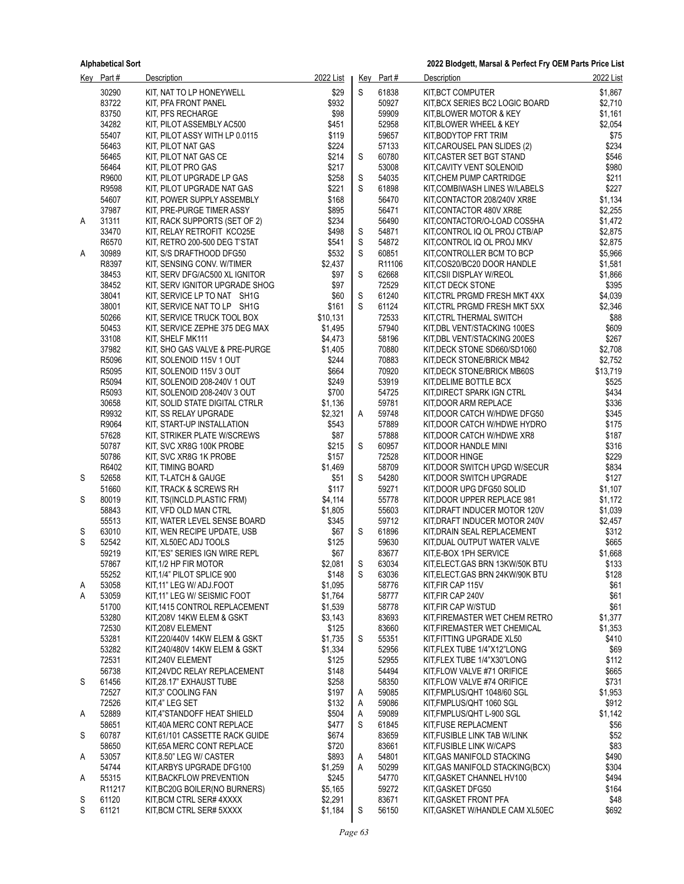|   | Key Part#                   | Description                                                | 2022 List          |             | Key Part#      | Description                                                  | 2022 List          |
|---|-----------------------------|------------------------------------------------------------|--------------------|-------------|----------------|--------------------------------------------------------------|--------------------|
|   | 30290                       | KIT, NAT TO LP HONEYWELL                                   | \$29               | S           | 61838          | KIT, BCT COMPUTER                                            | \$1,867            |
|   | 83722                       | KIT, PFA FRONT PANEL                                       | \$932              |             | 50927          | KIT, BCX SERIES BC2 LOGIC BOARD                              | \$2,710            |
|   | 83750                       | KIT, PFS RECHARGE                                          | \$98               |             | 59909          | KIT BLOWER MOTOR & KEY                                       | \$1,161            |
|   | 34282                       | KIT, PILOT ASSEMBLY AC500                                  | \$451              |             | 52958          | KIT, BLOWER WHEEL & KEY                                      | \$2,054            |
|   | 55407                       | KIT, PILOT ASSY WITH LP 0.0115                             | \$119              |             | 59657          | KIT, BODYTOP FRT TRIM                                        | \$75               |
|   | 56463                       | KIT. PILOT NAT GAS                                         | \$224              |             | 57133          | KIT, CAROUSEL PAN SLIDES (2)                                 | \$234              |
|   | 56465                       | KIT, PILOT NAT GAS CE                                      | \$214              | S           | 60780          | KIT, CASTER SET BGT STAND                                    | \$546              |
|   | 56464                       | KIT, PILOT PRO GAS                                         | \$217              |             | 53008          | KIT, CAVITY VENT SOLENOID                                    | \$980              |
|   | R9600<br>R9598              | KIT, PILOT UPGRADE LP GAS<br>KIT, PILOT UPGRADE NAT GAS    | \$258<br>\$221     | S<br>S      | 54035<br>61898 | KIT, CHEM PUMP CARTRIDGE<br>KIT COMBIWASH LINES W/LABELS     | \$211<br>\$227     |
|   | 54607                       | KIT, POWER SUPPLY ASSEMBLY                                 | \$168              |             | 56470          | KIT.CONTACTOR 208/240V XR8E                                  | \$1,134            |
|   | 37987                       | KIT, PRE-PURGE TIMER ASSY                                  | \$895              |             | 56471          | KIT, CONTACTOR 480V XR8E                                     | \$2,255            |
| A | 31311                       | KIT, RACK SUPPORTS (SET OF 2)                              | \$234              |             | 56490          | KIT, CONTACTOR/O-LOAD COS5HA                                 | \$1,472            |
|   | 33470                       | KIT, RELAY RETROFIT KCO25E                                 | \$498              | S           | 54871          | KIT, CONTROL IQ OL PROJ CTB/AP                               | \$2,875            |
|   | R6570                       | KIT, RETRO 200-500 DEG T'STAT                              | \$541              | $\mathsf S$ | 54872          | KIT, CONTROL IQ OL PROJ MKV                                  | \$2,875            |
| A | 30989                       | KIT, S/S DRAFTHOOD DFG50                                   | \$532              | S           | 60851          | KIT, CONTROLLER BCM TO BCP                                   | \$5,966            |
|   | R8397                       | KIT, SENSING CONV. W/TIMER                                 | \$2,437            |             | R11106         | KIT,COS20/BC20 DOOR HANDLE                                   | \$1,581            |
|   | 38453                       | KIT, SERV DFG/AC500 XL IGNITOR                             | \$97               | S           | 62668          | KIT, CSII DISPLAY W/REOL                                     | \$1,866            |
|   | 38452                       | KIT, SERV IGNITOR UPGRADE SHOG                             | \$97               |             | 72529          | KIT, CT DECK STONE                                           | \$395              |
|   | 38041                       | KIT, SERVICE LP TO NAT SH1G                                | \$60               | S           | 61240          | KIT, CTRL PRGMD FRESH MKT 4XX                                | \$4,039            |
|   | 38001                       | KIT, SERVICE NAT TO LP SH1G                                | \$161              | S           | 61124          | KIT, CTRL PRGMD FRESH MKT 5XX                                | \$2,346            |
|   | 50266                       | KIT, SERVICE TRUCK TOOL BOX                                | \$10,131           |             | 72533          | KIT, CTRL THERMAL SWITCH                                     | \$88               |
|   | 50453<br>33108              | KIT, SERVICE ZEPHE 375 DEG MAX                             | \$1,495<br>\$4,473 |             | 57940<br>58196 | KIT, DBL VENT/STACKING 100ES                                 | \$609<br>\$267     |
|   | 37982                       | KIT, SHELF MK111<br>KIT, SHO GAS VALVE & PRE-PURGE         | \$1,405            |             | 70880          | KIT, DBL VENT/STACKING 200ES<br>KIT, DECK STONE SD660/SD1060 | \$2,708            |
|   | R5096                       | KIT, SOLENOID 115V 1 OUT                                   | \$244              |             | 70883          | KIT. DECK STONE/BRICK MB42                                   | \$2,752            |
|   | R5095                       | KIT, SOLENOID 115V 3 OUT                                   | \$664              |             | 70920          | KIT, DECK STONE/BRICK MB60S                                  | \$13,719           |
|   | R5094                       | KIT, SOLENOID 208-240V 1 OUT                               | \$249              |             | 53919          | KIT, DELIME BOTTLE BCX                                       | \$525              |
|   | R5093                       | KIT, SOLENOID 208-240V 3 OUT                               | \$700              |             | 54725          | KIT, DIRECT SPARK IGN CTRL                                   | \$434              |
|   | 30658                       | KIT, SOLID STATE DIGITAL CTRLR                             | \$1,136            |             | 59781          | KIT, DOOR ARM REPLACE                                        | \$336              |
|   | R9932                       | KIT, SS RELAY UPGRADE                                      | \$2,321            | A           | 59748          | KIT, DOOR CATCH W/HDWE DFG50                                 | \$345              |
|   | R9064                       | KIT, START-UP INSTALLATION                                 | \$543              |             | 57889          | KIT, DOOR CATCH W/HDWE HYDRO                                 | \$175              |
|   | 57628                       | KIT, STRIKER PLATE W/SCREWS                                | \$87               |             | 57888          | KIT, DOOR CATCH W/HDWE XR8                                   | \$187              |
|   | 50787                       | KIT, SVC XR8G 100K PROBE                                   | \$215              | S           | 60957          | KIT, DOOR HANDLE MINI                                        | \$316              |
|   | 50786                       | KIT, SVC XR8G 1K PROBE                                     | \$157              |             | 72528          | KIT, DOOR HINGE                                              | \$229              |
|   | R6402                       | KIT, TIMING BOARD                                          | \$1,469            |             | 58709          | KIT, DOOR SWITCH UPGD W/SECUR                                | \$834              |
| S | 52658<br>51660              | KIT, T-LATCH & GAUGE                                       | \$51               | S           | 54280<br>59271 | KIT, DOOR SWITCH UPGRADE                                     | \$127              |
| S | 80019                       | KIT, TRACK & SCREWS RH<br>KIT, TS(INCLD.PLASTIC FRM)       | \$117<br>\$4,114   |             | 55778          | KIT, DOOR UPG DFG50 SOLID<br>KIT, DOOR UPPER REPLACE 981     | \$1,107<br>\$1,172 |
|   | 58843                       | KIT, VFD OLD MAN CTRL                                      | \$1,805            |             | 55603          | KIT, DRAFT INDUCER MOTOR 120V                                | \$1,039            |
|   | 55513                       | KIT, WATER LEVEL SENSE BOARD                               | \$345              |             | 59712          | KIT, DRAFT INDUCER MOTOR 240V                                | \$2,457            |
| S | 63010                       | KIT, WEN RECIPE UPDATE, USB                                | \$67               | S           | 61896          | KIT, DRAIN SEAL REPLACEMENT                                  | \$312              |
| S | 52542                       | KIT. XL50EC ADJ TOOLS                                      | \$125              |             | 59630          | KIT, DUAL OUTPUT WATER VALVE                                 | \$665              |
|   | 59219                       | KIT,"ES" SERIES IGN WIRE REPL                              | \$67               |             | 83677          | KIT, E-BOX 1PH SERVICE                                       | \$1,668            |
|   | 57867                       | KIT, 1/2 HP FIR MOTOR                                      | \$2,081            | S           | 63034          | KIT, ELECT. GAS BRN 13KW/50K BTU                             | \$133              |
|   | 55252                       | KIT, 1/4" PILOT SPLICE 900                                 | \$148              | S           | 63036          | KIT, ELECT. GAS BRN 24KW/90K BTU                             | \$128              |
| A | 53058                       | KIT 11" LEG W/ ADJ.FOOT                                    | \$1,095            |             | 58776          | KIT, FIR CAP 115V                                            | \$61               |
| A | 53059                       | KIT.11" LEG W/ SEISMIC FOOT                                | \$1,764            |             | 58777          | KIT, FIR CAP 240V                                            | \$61               |
|   | 51700                       | KIT 1415 CONTROL REPLACEMENT                               | \$1,539            |             | 58778          | KIT, FIR CAP W/STUD                                          | \$61               |
|   | 53280                       | KIT,208V 14KW ELEM & GSKT                                  | \$3,143            |             | 83693          | KIT, FIREMASTER WET CHEM RETRO                               | \$1,377            |
|   | 72530<br>53281              | KIT,208V ELEMENT<br>KIT 220/440V 14KW ELEM & GSKT          | \$125<br>\$1,735   | S           | 83660<br>55351 | KIT, FIREMASTER WET CHEMICAL<br>KIT, FITTING UPGRADE XL50    | \$1,353<br>\$410   |
|   | 53282                       | KIT,240/480V 14KW ELEM & GSKT                              | \$1,334            |             | 52956          | KIT, FLEX TUBE 1/4"X12"LONG                                  | \$69               |
|   | 72531                       | KIT,240V ELEMENT                                           | \$125              |             | 52955          | KIT, FLEX TUBE 1/4"X30"LONG                                  | \$112              |
|   | 56738                       | KIT,24VDC RELAY REPLACEMENT                                | \$148              |             | 54494          | KIT, FLOW VALVE #71 ORIFICE                                  | \$665              |
| S | 61456                       | KIT,28.17" EXHAUST TUBE                                    | \$258              |             | 58350          | KIT, FLOW VALVE #74 ORIFICE                                  | \$731              |
|   | 72527                       | KIT,3" COOLING FAN                                         | \$197              | A           | 59085          | KIT, FMPLUS/QHT 1048/60 SGL                                  | \$1,953            |
|   | 72526                       | KIT.4" LEG SET                                             | \$132              | Α           | 59086          | KIT, FMPLUS/QHT 1060 SGL                                     | \$912              |
| A | 52889                       | KIT,4"STANDOFF HEAT SHIELD                                 | \$504              | Α           | 59089          | KIT, FMPLUS/QHT L-900 SGL                                    | \$1,142            |
|   | 58651                       | KIT,40A MERC CONT REPLACE                                  | \$477              | S           | 61845          | KIT, FUSE REPLACMENT                                         | \$56               |
| S | 60787                       | KIT.61/101 CASSETTE RACK GUIDE                             | \$674              |             | 83659          | KIT, FUSIBLE LINK TAB W/LINK                                 | \$52               |
|   | 58650                       | KIT 65A MERC CONT REPLACE                                  | \$720              |             | 83661          | KIT, FUSIBLE LINK W/CAPS                                     | \$83               |
| A | 53057                       | KIT.8.50" LEG W/ CASTER                                    | \$893              | Α           | 54801          | KIT, GAS MANIFOLD STACKING                                   | \$490              |
|   | 54744                       | KIT, ARBYS UPGRADE DFG100                                  | \$1,259            | Α           | 50299          | KIT, GAS MANIFOLD STACKING(BCX)                              | \$304              |
| A | 55315<br>R <sub>11217</sub> | KIT, BACKFLOW PREVENTION<br>KIT, BC20G BOILER (NO BURNERS) | \$245<br>\$5,165   |             | 54770<br>59272 | KIT, GASKET CHANNEL HV100<br>KIT, GASKET DFG50               | \$494<br>\$164     |
| S | 61120                       | KIT BCM CTRL SER# 4XXXX                                    | \$2,291            |             | 83671          | KIT, GASKET FRONT PFA                                        | \$48               |
| S | 61121                       | KIT, BCM CTRL SER# 5XXXX                                   | \$1,184            | S           | 56150          | KIT, GASKET W/HANDLE CAM XL50EC                              | \$692              |
|   |                             |                                                            |                    |             |                |                                                              |                    |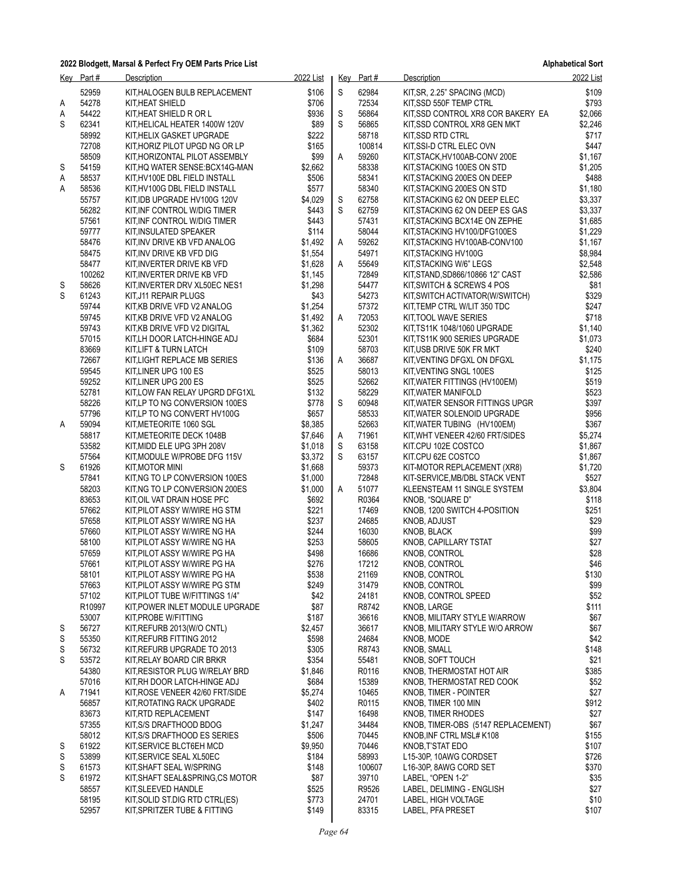|        | Key Part#      | Description                                                    | 2022 List          |   | Key Part#       | Description                                                    | 2022 List          |
|--------|----------------|----------------------------------------------------------------|--------------------|---|-----------------|----------------------------------------------------------------|--------------------|
|        | 52959          | KIT, HALOGEN BULB REPLACEMENT                                  | \$106              | S | 62984           | KIT, SR, 2.25" SPACING (MCD)                                   | \$109              |
| A      | 54278          | KIT.HEAT SHIELD                                                | \$706              |   | 72534           | KIT, SSD 550F TEMP CTRL                                        | \$793              |
| Α      | 54422          | KIT,HEAT SHIELD R OR L                                         | \$936              | S | 56864           | KIT, SSD CONTROL XR8 COR BAKERY EA                             | \$2,066            |
| S      | 62341          | KIT, HELICAL HEATER 1400W 120V                                 | \$89               | S | 56865           | KIT, SSD CONTROL XR8 GEN MKT                                   | \$2,246            |
|        | 58992<br>72708 | KIT.HELIX GASKET UPGRADE<br>KIT HORIZ PILOT UPGD NG OR LP      | \$222<br>\$165     |   | 58718<br>100814 | KIT, SSD RTD CTRL<br>KIT, SSI-D CTRL ELEC OVN                  | \$717<br>\$447     |
|        | 58509          | KIT, HORIZONTAL PILOT ASSEMBLY                                 | \$99               | A | 59260           | KIT, STACK, HV100AB-CONV 200E                                  | \$1,167            |
| S      | 54159          | KIT,HQ WATER SENSE:BCX14G-MAN                                  | \$2,662            |   | 58338           | KIT, STACKING 100ES ON STD                                     | \$1,205            |
| Α      | 58537          | KIT,HV100E DBL FIELD INSTALL                                   | \$506              |   | 58341           | KIT, STACKING 200ES ON DEEP                                    | \$488              |
| Α      | 58536          | KIT,HV100G DBL FIELD INSTALL                                   | \$577              |   | 58340           | KIT, STACKING 200ES ON STD                                     | \$1,180            |
|        | 55757          | KIT IDB UPGRADE HV100G 120V                                    | \$4,029            | S | 62758           | KIT, STACKING 62 ON DEEP ELEC                                  | \$3,337            |
|        | 56282          | KIT INF CONTROL W/DIG TIMER                                    | \$443              | S | 62759           | KIT, STACKING 62 ON DEEP ES GAS                                | \$3,337            |
|        | 57561<br>59777 | KIT, INF CONTROL W/DIG TIMER<br>KIT, INSULATED SPEAKER         | \$443<br>\$114     |   | 57431<br>58044  | KIT, STACKING BCX14E ON ZEPHE                                  | \$1,685<br>\$1,229 |
|        | 58476          | KIT,INV DRIVE KB VFD ANALOG                                    | \$1,492            | A | 59262           | KIT, STACKING HV100/DFG100ES<br>KIT, STACKING HV100AB-CONV100  | \$1,167            |
|        | 58475          | KIT, INV DRIVE KB VFD DIG                                      | \$1,554            |   | 54971           | KIT, STACKING HV100G                                           | \$8,984            |
|        | 58477          | KIT, INVERTER DRIVE KB VFD                                     | \$1,628            | A | 55649           | KIT, STACKING W/6" LEGS                                        | \$2,548            |
|        | 100262         | KIT,INVERTER DRIVE KB VFD                                      | \$1,145            |   | 72849           | KIT, STAND, SD866/10866 12" CAST                               | \$2,586            |
| S      | 58626          | KIT, INVERTER DRV XL50EC NES1                                  | \$1,298            |   | 54477           | KIT, SWITCH & SCREWS 4 POS                                     | \$81               |
| S      | 61243          | KIT,J11 REPAIR PLUGS                                           | \$43               |   | 54273           | KIT, SWITCH ACTIVATOR (W/SWITCH)                               | \$329              |
|        | 59744<br>59745 | KIT, KB DRIVE VFD V2 ANALOG                                    | \$1,254            |   | 57372<br>72053  | KIT, TEMP CTRL W/LIT 350 TDC                                   | \$247              |
|        | 59743          | KIT, KB DRIVE VFD V2 ANALOG<br>KIT,KB DRIVE VFD V2 DIGITAL     | \$1,492<br>\$1,362 | A | 52302           | KIT, TOOL WAVE SERIES<br>KIT,TS11K 1048/1060 UPGRADE           | \$718<br>\$1,140   |
|        | 57015          | KIT, LH DOOR LATCH-HINGE ADJ                                   | \$684              |   | 52301           | KIT, TS11K 900 SERIES UPGRADE                                  | \$1,073            |
|        | 83669          | KIT,LIFT & TURN LATCH                                          | \$109              |   | 58703           | KIT, USB DRIVE 50K FR MKT                                      | \$240              |
|        | 72667          | KIT, LIGHT REPLACE MB SERIES                                   | \$136              | A | 36687           | KIT, VENTING DFGXL ON DFGXL                                    | \$1,175            |
|        | 59545          | KIT, LINER UPG 100 ES                                          | \$525              |   | 58013           | KIT, VENTING SNGL 100ES                                        | \$125              |
|        | 59252          | KIT, LINER UPG 200 ES                                          | \$525              |   | 52662           | KIT, WATER FITTINGS (HV100EM)                                  | \$519              |
|        | 52781          | KIT, LOW FAN RELAY UPGRD DFG1XL                                | \$132              |   | 58229           | KIT, WATER MANIFOLD                                            | \$523              |
|        | 58226<br>57796 | KIT, LP TO NG CONVERSION 100ES<br>KIT, LP TO NG CONVERT HV100G | \$778<br>\$657     | S | 60948<br>58533  | KIT, WATER SENSOR FITTINGS UPGR<br>KIT, WATER SOLENOID UPGRADE | \$397<br>\$956     |
| A      | 59094          | KIT, METEORITE 1060 SGL                                        | \$8,385            |   | 52663           | KIT, WATER TUBING (HV100EM)                                    | \$367              |
|        | 58817          | KIT, METEORITE DECK 1048B                                      | \$7,646            | A | 71961           | KIT, WHT VENEER 42/60 FRT/SIDES                                | \$5,274            |
|        | 53582          | KIT, MIDD ELE UPG 3PH 208V                                     | \$1,018            | S | 63158           | KIT.CPU 102E COSTCO                                            | \$1,867            |
|        | 57564          | KIT, MODULE W/PROBE DFG 115V                                   | \$3,372            | S | 63157           | KIT.CPU 62E COSTCO                                             | \$1,867            |
| S      | 61926          | KIT, MOTOR MINI                                                | \$1,668            |   | 59373           | KIT-MOTOR REPLACEMENT (XR8)                                    | \$1,720            |
|        | 57841          | KIT, NG TO LP CONVERSION 100ES                                 | \$1,000            |   | 72848           | KIT-SERVICE, MB/DBL STACK VENT                                 | \$527              |
|        | 58203<br>83653 | KIT, NG TO LP CONVERSION 200ES<br>KIT, OIL VAT DRAIN HOSE PFC  | \$1,000<br>\$692   | A | 51077<br>R0364  | KLEENSTEAM 11 SINGLE SYSTEM<br>KNOB, "SQUARE D"                | \$3,804<br>\$118   |
|        | 57662          | KIT, PILOT ASSY W/WIRE HG STM                                  | \$221              |   | 17469           | KNOB, 1200 SWITCH 4-POSITION                                   | \$251              |
|        | 57658          | KIT, PILOT ASSY W/WIRE NG HA                                   | \$237              |   | 24685           | KNOB, ADJUST                                                   | \$29               |
|        | 57660          | KIT, PILOT ASSY W/WIRE NG HA                                   | \$244              |   | 16030           | KNOB, BLACK                                                    | \$99               |
|        | 58100          | KIT,PILOT ASSY W/WIRE NG HA                                    | \$253              |   | 58605           | KNOB, CAPILLARY TSTAT                                          | \$27               |
|        | 57659          | KIT, PILOT ASSY W/WIRE PG HA                                   | \$498              |   | 16686           | KNOB, CONTROL                                                  | \$28               |
|        | 57661          | KIT, PILOT ASSY W/WIRE PG HA                                   | \$276              |   | 17212           | KNOB, CONTROL                                                  | \$46               |
|        | 58101<br>57663 | KIT, PILOT ASSY W/WIRE PG HA<br>KIT, PILOT ASSY W/WIRE PG STM  | \$538<br>\$249     |   | 21169<br>31479  | KNOB, CONTROL<br>KNOB, CONTROL                                 | \$130<br>\$99      |
|        | 57102          | KIT,PILOT TUBE W/FITTINGS 1/4"                                 | \$42               |   | 24181           | KNOB, CONTROL SPEED                                            | \$52               |
|        | R10997         | KIT,POWER INLET MODULE UPGRADE                                 | \$87               |   | R8742           | KNOB, LARGE                                                    | \$111              |
|        | 53007          | KIT, PROBE W/FITTING                                           | \$187              |   | 36616           | KNOB, MILITARY STYLE W/ARROW                                   | \$67               |
| S      | 56727          | KIT, REFURB 2013 (W/O CNTL)                                    | \$2,457            |   | 36617           | KNOB, MILITARY STYLE W/O ARROW                                 | \$67               |
| S      | 55350          | KIT, REFURB FITTING 2012                                       | \$598              |   | 24684           | KNOB, MODE                                                     | \$42               |
| S      | 56732          | KIT,REFURB UPGRADE TO 2013                                     | \$305              |   | R8743           | KNOB, SMALL                                                    | \$148              |
| S      | 53572<br>54380 | KIT,RELAY BOARD CIR BRKR<br>KIT,RESISTOR PLUG W/RELAY BRD      | \$354<br>\$1,846   |   | 55481<br>R0116  | KNOB, SOFT TOUCH<br>KNOB, THERMOSTAT HOT AIR                   | \$21<br>\$385      |
|        | 57016          | KIT, RH DOOR LATCH-HINGE ADJ                                   | \$684              |   | 15389           | KNOB, THERMOSTAT RED COOK                                      | \$52               |
| Α      | 71941          | KIT, ROSE VENEER 42/60 FRT/SIDE                                | \$5,274            |   | 10465           | KNOB, TIMER - POINTER                                          | \$27               |
|        | 56857          | KIT,ROTATING RACK UPGRADE                                      | \$402              |   | R0115           | KNOB, TIMER 100 MIN                                            | \$912              |
|        | 83673          | KIT,RTD REPLACEMENT                                            | \$147              |   | 16498           | KNOB, TIMER RHODES                                             | \$27               |
|        | 57355          | KIT,S/S DRAFTHOOD BDOG                                         | \$1,247            |   | 34484           | KNOB, TIMER-OBS (5147 REPLACEMENT)                             | \$67               |
|        | 58012          | KIT, S/S DRAFTHOOD ES SERIES                                   | \$506              |   | 70445           | KNOB, INF CTRL MSL# K108                                       | \$155              |
| S<br>S | 61922<br>53899 | KIT, SERVICE BLCT6EH MCD<br>KIT, SERVICE SEAL XL50EC           | \$9,950<br>\$184   |   | 70446<br>58993  | KNOB, T'STAT EDO<br>L15-30P, 10AWG CORDSET                     | \$107<br>\$726     |
| S      | 61573          | KIT,SHAFT SEAL W/SPRING                                        | \$148              |   | 100607          | L16-30P, 8AWG CORD SET                                         | \$370              |
| S      | 61972          | KIT,SHAFT SEAL&SPRING,CS MOTOR                                 | \$87               |   | 39710           | LABEL, "OPEN 1-2"                                              | \$35               |
|        | 58557          | KIT, SLEEVED HANDLE                                            | \$525              |   | R9526           | LABEL, DELIMING - ENGLISH                                      | \$27               |
|        | 58195          | KIT, SOLID ST.DIG RTD CTRL(ES)                                 | \$773              |   | 24701           | LABEL, HIGH VOLTAGE                                            | \$10               |
|        | 52957          | KIT,SPRITZER TUBE & FITTING                                    | \$149              |   | 83315           | LABEL, PFA PRESET                                              | \$107              |
|        |                |                                                                |                    |   |                 |                                                                |                    |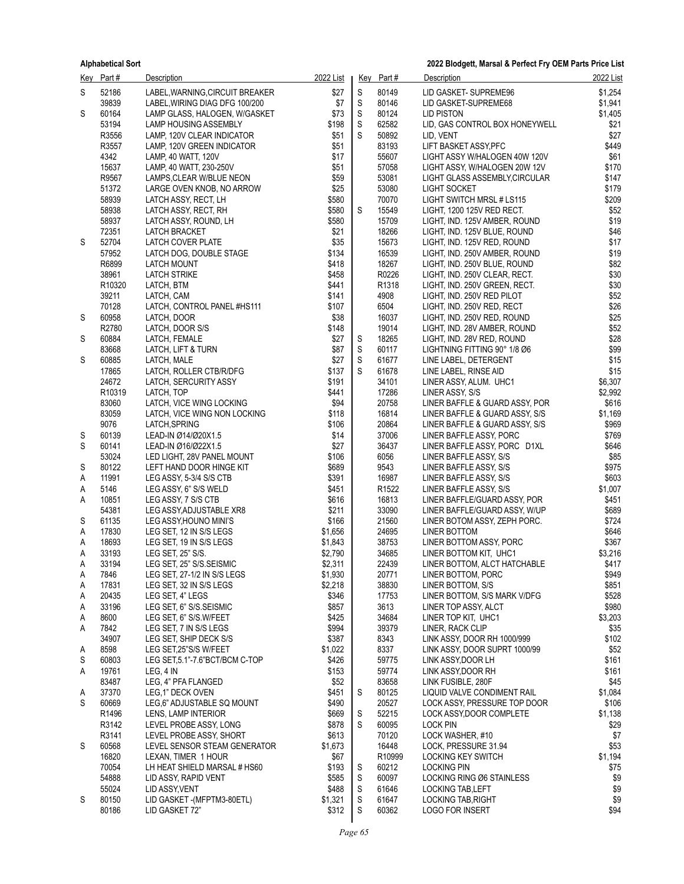|        | Key Part#      | <b>Description</b>                                 | 2022 List          |             | Key Part#         | <b>Description</b>                                             | 2022 List      |
|--------|----------------|----------------------------------------------------|--------------------|-------------|-------------------|----------------------------------------------------------------|----------------|
| S      | 52186          | LABEL, WARNING, CIRCUIT BREAKER                    | \$27               | S           | 80149             | LID GASKET-SUPREME96                                           | \$1,254        |
|        | 39839          | LABEL, WIRING DIAG DFG 100/200                     | \$7                | $\mathsf S$ | 80146             | LID GASKET-SUPREME68                                           | \$1,941        |
| S      | 60164          | LAMP GLASS, HALOGEN, W/GASKET                      | \$73               | S           | 80124             | <b>LID PISTON</b>                                              | \$1,405        |
|        | 53194          | LAMP HOUSING ASSEMBLY                              | \$198              | $\mathsf S$ | 62582             | LID, GAS CONTROL BOX HONEYWELL                                 | \$21           |
|        | R3556          | LAMP. 120V CLEAR INDICATOR                         | \$51               | S           | 50892             | LID. VENT                                                      | \$27           |
|        | R3557<br>4342  | LAMP, 120V GREEN INDICATOR                         | \$51<br>\$17       |             | 83193<br>55607    | LIFT BASKET ASSY, PFC                                          | \$449<br>\$61  |
|        | 15637          | LAMP, 40 WATT, 120V<br>LAMP, 40 WATT, 230-250V     | \$51               |             | 57058             | LIGHT ASSY W/HALOGEN 40W 120V<br>LIGHT ASSY, W/HALOGEN 20W 12V | \$170          |
|        | R9567          | LAMPS, CLEAR W/BLUE NEON                           | \$59               |             | 53081             | LIGHT GLASS ASSEMBLY, CIRCULAR                                 | \$147          |
|        | 51372          | LARGE OVEN KNOB, NO ARROW                          | \$25               |             | 53080             | <b>LIGHT SOCKET</b>                                            | \$179          |
|        | 58939          | LATCH ASSY, RECT, LH                               | \$580              |             | 70070             | LIGHT SWITCH MRSL # LS115                                      | \$209          |
|        | 58938          | LATCH ASSY, RECT, RH                               | \$580              | $\mathbb S$ | 15549             | LIGHT, 1200 125V RED RECT.                                     | \$52           |
|        | 58937          | LATCH ASSY, ROUND, LH                              | \$580              |             | 15709             | LIGHT, IND. 125V AMBER, ROUND                                  | \$19           |
|        | 72351          | <b>LATCH BRACKET</b>                               | \$21               |             | 18266             | LIGHT, IND. 125V BLUE, ROUND                                   | \$46           |
| S      | 52704          | LATCH COVER PLATE                                  | \$35               |             | 15673             | LIGHT, IND. 125V RED, ROUND                                    | \$17<br>\$19   |
|        | 57952<br>R6899 | LATCH DOG, DOUBLE STAGE<br><b>LATCH MOUNT</b>      | \$134<br>\$418     |             | 16539<br>18267    | LIGHT, IND. 250V AMBER, ROUND<br>LIGHT, IND. 250V BLUE, ROUND  | \$82           |
|        | 38961          | <b>LATCH STRIKE</b>                                | \$458              |             | R0226             | LIGHT, IND. 250V CLEAR, RECT.                                  | \$30           |
|        | R10320         | LATCH, BTM                                         | \$441              |             | R1318             | LIGHT, IND. 250V GREEN, RECT.                                  | \$30           |
|        | 39211          | LATCH, CAM                                         | \$141              |             | 4908              | LIGHT, IND. 250V RED PILOT                                     | \$52           |
|        | 70128          | LATCH, CONTROL PANEL #HS111                        | \$107              |             | 6504              | LIGHT, IND. 250V RED, RECT                                     | \$26           |
| S      | 60958          | LATCH, DOOR                                        | \$38               |             | 16037             | LIGHT, IND. 250V RED, ROUND                                    | \$25           |
|        | R2780          | LATCH, DOOR S/S                                    | \$148              |             | 19014             | LIGHT, IND. 28V AMBER, ROUND                                   | \$52           |
| S      | 60884<br>83668 | LATCH, FEMALE                                      | \$27<br>\$87       | $\mathsf S$ | 18265             | LIGHT, IND. 28V RED, ROUND                                     | \$28<br>\$99   |
| S      | 60885          | LATCH, LIFT & TURN<br>LATCH, MALE                  | \$27               | S<br>S      | 60117<br>61677    | LIGHTNING FITTING 90° 1/8 Ø6<br>LINE LABEL, DETERGENT          | \$15           |
|        | 17865          | LATCH, ROLLER CTB/R/DFG                            | \$137              | S           | 61678             | LINE LABEL, RINSE AID                                          | \$15           |
|        | 24672          | LATCH, SERCURITY ASSY                              | \$191              |             | 34101             | LINER ASSY, ALUM. UHC1                                         | \$6,307        |
|        | R10319         | LATCH, TOP                                         | \$441              |             | 17286             | LINER ASSY, S/S                                                | \$2,992        |
|        | 83060          | LATCH, VICE WING LOCKING                           | \$94               |             | 20758             | LINER BAFFLE & GUARD ASSY, POR                                 | \$616          |
|        | 83059          | LATCH, VICE WING NON LOCKING                       | \$118              |             | 16814             | LINER BAFFLE & GUARD ASSY, S/S                                 | \$1,169        |
|        | 9076           | LATCH, SPRING                                      | \$106              |             | 20864             | LINER BAFFLE & GUARD ASSY, S/S                                 | \$969          |
| S      | 60139          | LEAD-IN Ø14/Ø20X1.5                                | \$14               |             | 37006             | LINER BAFFLE ASSY, PORC                                        | \$769          |
| S      | 60141<br>53024 | LEAD-IN Ø16/Ø22X1.5<br>LED LIGHT, 28V PANEL MOUNT  | \$27<br>\$106      |             | 36437<br>6056     | LINER BAFFLE ASSY, PORC D1XL<br>LINER BAFFLE ASSY, S/S         | \$646<br>\$85  |
| S      | 80122          | LEFT HAND DOOR HINGE KIT                           | \$689              |             | 9543              | LINER BAFFLE ASSY, S/S                                         | \$975          |
| Α      | 11991          | LEG ASSY, 5-3/4 S/S CTB                            | \$391              |             | 16987             | LINER BAFFLE ASSY, S/S                                         | \$603          |
| Α      | 5146           | LEG ASSY, 6" S/S WELD                              | \$451              |             | R <sub>1522</sub> | LINER BAFFLE ASSY, S/S                                         | \$1,007        |
| Α      | 10851          | LEG ASSY, 7 S/S CTB                                | \$616              |             | 16813             | LINER BAFFLE/GUARD ASSY, POR                                   | \$451          |
|        | 54381          | LEG ASSY, ADJUSTABLE XR8                           | \$211              |             | 33090             | LINER BAFFLE/GUARD ASSY, W/UP                                  | \$689          |
| S      | 61135          | LEG ASSY, HOUNO MINI'S                             | \$166              |             | 21560             | LINER BOTOM ASSY, ZEPH PORC.                                   | \$724          |
| Α      | 17830<br>18693 | LEG SET, 12 IN S/S LEGS<br>LEG SET, 19 IN S/S LEGS | \$1,656<br>\$1,843 |             | 24695<br>38753    | LINER BOTTOM<br>LINER BOTTOM ASSY, PORC                        | \$646<br>\$367 |
| Α<br>Α | 33193          | LEG SET, 25" S/S.                                  | \$2,790            |             | 34685             | LINER BOTTOM KIT, UHC1                                         | \$3,216        |
| Α      | 33194          | LEG SET, 25" S/S.SEISMIC                           | \$2,311            |             | 22439             | LINER BOTTOM, ALCT HATCHABLE                                   | \$417          |
| Α      | 7846           | LEG SET, 27-1/2 IN S/S LEGS                        | \$1,930            |             | 20771             | LINER BOTTOM, PORC                                             | \$949          |
| Α      | 17831          | LEG SET, 32 IN S/S LEGS                            | \$2,218            |             | 38830             | LINER BOTTOM, S/S                                              | \$851          |
| Α      | 20435          | LEG SET, 4" LEGS                                   | \$346              |             | 17753             | LINER BOTTOM, S/S MARK V/DFG                                   | \$528          |
| Α      | 33196          | LEG SET, 6" S/S.SEISMIC                            | \$857              |             | 3613              | LINER TOP ASSY, ALCT                                           | \$980          |
| A      | 8600           | LEG SET, 6" S/S.W/FEET                             | \$425              |             | 34684             | LINER TOP KIT, UHC1                                            | \$3,203        |
| Α      | 7842<br>34907  | LEG SET, 7 IN S/S LEGS<br>LEG SET, SHIP DECK S/S   | \$994<br>\$387     |             | 39379<br>8343     | LINER, RACK CLIP<br>LINK ASSY, DOOR RH 1000/999                | \$35<br>\$102  |
| A      | 8598           | LEG SET, 25"S/S W/FEET                             | \$1,022            |             | 8337              | LINK ASSY, DOOR SUPRT 1000/99                                  | \$52           |
| S      | 60803          | LEG SET, 5.1"-7.6" BCT/BCM C-TOP                   | \$426              |             | 59775             | LINK ASSY, DOOR LH                                             | \$161          |
| Α      | 19761          | LEG, 4 IN                                          | \$153              |             | 59774             | LINK ASSY, DOOR RH                                             | \$161          |
|        | 83487          | LEG, 4" PFA FLANGED                                | \$52               |             | 83658             | LINK FUSIBLE, 280F                                             | \$45           |
| A      | 37370          | LEG,1" DECK OVEN                                   | \$451              | S           | 80125             | LIQUID VALVE CONDIMENT RAIL                                    | \$1,084        |
| S      | 60669          | LEG.6" ADJUSTABLE SQ MOUNT                         | \$490              |             | 20527             | LOCK ASSY, PRESSURE TOP DOOR                                   | \$106          |
|        | R1496          | LENS, LAMP INTERIOR                                | \$669              | S           | 52215             | LOCK ASSY, DOOR COMPLETE                                       | \$1,138        |
|        | R3142<br>R3141 | LEVEL PROBE ASSY, LONG<br>LEVEL PROBE ASSY, SHORT  | \$878<br>\$613     | S           | 60095<br>70120    | <b>LOCK PIN</b><br>LOCK WASHER, #10                            | \$29<br>\$7    |
| S      | 60568          | LEVEL SENSOR STEAM GENERATOR                       | \$1,673            |             | 16448             | LOCK, PRESSURE 31.94                                           | \$53           |
|        | 16820          | LEXAN, TIMER 1 HOUR                                | \$67               |             | R10999            | LOCKING KEY SWITCH                                             | \$1,194        |
|        | 70054          | LH HEAT SHIELD MARSAL # HS60                       | \$193              | S           | 60212             | <b>LOCKING PIN</b>                                             | \$75           |
|        | 54888          | LID ASSY, RAPID VENT                               | \$585              | S           | 60097             | LOCKING RING Ø6 STAINLESS                                      | \$9            |
|        | 55024          | LID ASSY, VENT                                     | \$488              | S           | 61646             | LOCKING TAB, LEFT                                              | \$9            |
| S      | 80150          | LID GASKET - (MFPTM3-80ETL)                        | \$1,321            | S           | 61647             | LOCKING TAB, RIGHT                                             | \$9            |
|        | 80186          | LID GASKET 72"                                     | \$312              | S           | 60362             | <b>LOGO FOR INSERT</b>                                         | \$94           |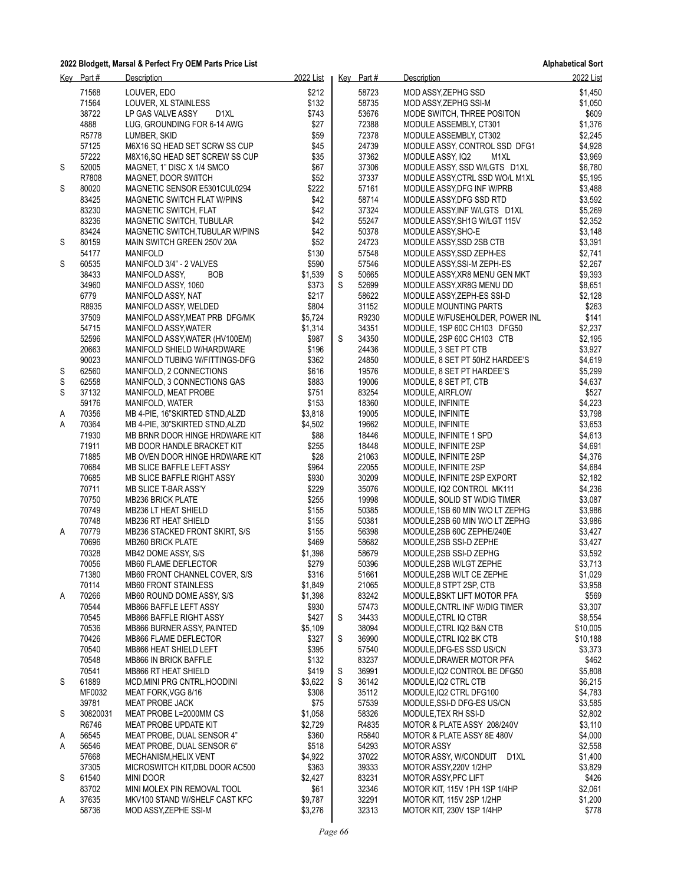|        | Key Part#       | Description                                                  | 2022 List          |   | $Key$ Part #   | <b>Description</b>                                 | 2022 List          |
|--------|-----------------|--------------------------------------------------------------|--------------------|---|----------------|----------------------------------------------------|--------------------|
|        | 71568           | LOUVER, EDO                                                  | \$212              |   | 58723          | MOD ASSY, ZEPHG SSD                                | \$1,450            |
|        | 71564           | LOUVER, XL STAINLESS                                         | \$132              |   | 58735          | MOD ASSY, ZEPHG SSI-M                              | \$1,050            |
|        | 38722           | LP GAS VALVE ASSY<br>D1XL                                    | \$743              |   | 53676          | MODE SWITCH, THREE POSITON                         | \$609              |
|        | 4888            | LUG, GROUNDING FOR 6-14 AWG                                  | \$27               |   | 72388          | MODULE ASSEMBLY, CT301                             | \$1,376            |
|        | R5778           | LUMBER, SKID                                                 | \$59               |   | 72378          | MODULE ASSEMBLY, CT302                             | \$2,245            |
|        | 57125           | M6X16 SQ HEAD SET SCRW SS CUP                                | \$45               |   | 24739          | MODULE ASSY, CONTROL SSD DFG1                      | \$4,928            |
|        | 57222           | M8X16, SQ HEAD SET SCREW SS CUP                              | \$35               |   | 37362          | MODULE ASSY, IQ2<br>M1XL                           | \$3,969            |
| S      | 52005           | MAGNET, 1" DISC X 1/4 SMCO                                   | \$67               |   | 37306          | MODULE ASSY, SSD W/LGTS D1XL                       | \$6,780            |
|        | R7808           | MAGNET, DOOR SWITCH                                          | \$52               |   | 37337          | MODULE ASSY, CTRL SSD WO/L M1XL                    | \$5,195            |
| S      | 80020           | MAGNETIC SENSOR E5301CUL0294                                 | \$222              |   | 57161          | MODULE ASSY, DFG INF W/PRB                         | \$3,488            |
|        | 83425           | MAGNETIC SWITCH FLAT W/PINS                                  | \$42               |   | 58714          | MODULE ASSY, DFG SSD RTD                           | \$3,592            |
|        | 83230           | MAGNETIC SWITCH, FLAT                                        | \$42               |   | 37324          | MODULE ASSY, INF W/LGTS D1XL                       | \$5,269            |
|        | 83236           | MAGNETIC SWITCH, TUBULAR                                     | \$42               |   | 55247          | MODULE ASSY, SH1G W/LGT 115V                       | \$2,352            |
|        | 83424           | MAGNETIC SWITCH, TUBULAR W/PINS                              | \$42               |   | 50378          | MODULE ASSY, SHO-E                                 | \$3,148            |
| S      | 80159           | MAIN SWITCH GREEN 250V 20A                                   | \$52               |   | 24723          | MODULE ASSY, SSD 2SB CTB                           | \$3,391            |
|        | 54177           | <b>MANIFOLD</b>                                              | \$130              |   | 57548          | MODULE ASSY, SSD ZEPH-ES                           | \$2,741            |
| S      | 60535           | MANIFOLD 3/4" - 2 VALVES                                     | \$590              |   | 57546          | MODULE ASSY, SSI-M ZEPH-ES                         | \$2,267            |
|        | 38433           | MANIFOLD ASSY,<br><b>BOB</b>                                 | \$1,539            | S | 50665          | MODULE ASSY, XR8 MENU GEN MKT                      | \$9,393            |
|        | 34960           | MANIFOLD ASSY, 1060                                          | \$373              | S | 52699          | MODULE ASSY, XR8G MENU DD                          | \$8,651            |
|        | 6779            | MANIFOLD ASSY, NAT                                           | \$217              |   | 58622          | MODULE ASSY, ZEPH-ES SSI-D                         | \$2,128            |
|        | R8935           | MANIFOLD ASSY, WELDED                                        | \$804              |   | 31152          | MODULE MOUNTING PARTS                              | \$263              |
|        | 37509           | MANIFOLD ASSY, MEAT PRB DFG/MK                               | \$5,724            |   | R9230          | MODULE W/FUSEHOLDER, POWER INL                     | \$141              |
|        | 54715           | MANIFOLD ASSY, WATER                                         | \$1,314            |   | 34351          | MODULE, 1SP 60C CH103 DFG50                        | \$2,237            |
|        | 52596           | MANIFOLD ASSY, WATER (HV100EM)                               | \$987              | S | 34350          | MODULE, 2SP 60C CH103 CTB                          | \$2,195            |
|        | 20663           | MANIFOLD SHIELD W/HARDWARE                                   | \$196              |   | 24436          | MODULE, 3 SET PT CTB                               | \$3,927            |
|        | 90023           | MANIFOLD TUBING W/FITTINGS-DFG                               | \$362              |   | 24850          | MODULE, 8 SET PT 50HZ HARDEE'S                     | \$4,619            |
| S      | 62560           | MANIFOLD, 2 CONNECTIONS                                      | \$616              |   | 19576          | MODULE, 8 SET PT HARDEE'S                          | \$5,299            |
| S      | 62558           | MANIFOLD, 3 CONNECTIONS GAS                                  | \$883              |   | 19006          | MODULE, 8 SET PT, CTB                              | \$4,637            |
| S      | 37132           | MANIFOLD, MEAT PROBE                                         | \$751              |   | 83254          | MODULE, AIRFLOW                                    | \$527              |
|        | 59176<br>70356  | MANIFOLD, WATER                                              | \$153              |   | 18360<br>19005 | MODULE, INFINITE                                   | \$4,223            |
| A<br>Α | 70364           | MB 4-PIE, 16"SKIRTED STND, ALZD                              | \$3,818<br>\$4,502 |   | 19662          | MODULE, INFINITE                                   | \$3,798<br>\$3,653 |
|        | 71930           | MB 4-PIE, 30"SKIRTED STND, ALZD                              | \$88               |   | 18446          | MODULE, INFINITE                                   | \$4,613            |
|        | 71911           | MB BRNR DOOR HINGE HRDWARE KIT<br>MB DOOR HANDLE BRACKET KIT | \$255              |   | 18448          | MODULE, INFINITE 1 SPD<br>MODULE, INFINITE 2SP     | \$4,691            |
|        | 71885           | MB OVEN DOOR HINGE HRDWARE KIT                               | \$28               |   | 21063          | MODULE, INFINITE 2SP                               | \$4,376            |
|        | 70684           | MB SLICE BAFFLE LEFT ASSY                                    | \$964              |   | 22055          | MODULE, INFINITE 2SP                               | \$4,684            |
|        | 70685           | MB SLICE BAFFLE RIGHT ASSY                                   | \$930              |   | 30209          | MODULE, INFINITE 2SP EXPORT                        | \$2,182            |
|        | 70711           | MB SLICE T-BAR ASS'Y                                         | \$229              |   | 35076          | MODULE, IQ2 CONTROL MK111                          | \$4,236            |
|        | 70750           | <b>MB236 BRICK PLATE</b>                                     | \$255              |   | 19998          | MODULE, SOLID ST W/DIG TIMER                       | \$3,087            |
|        | 70749           | MB236 LT HEAT SHIELD                                         | \$155              |   | 50385          | MODULE, 1SB 60 MIN W/O LT ZEPHG                    | \$3,986            |
|        | 70748           | MB236 RT HEAT SHIELD                                         | \$155              |   | 50381          | MODULE,2SB 60 MIN W/O LT ZEPHG                     | \$3,986            |
| A      | 70779           | MB236 STACKED FRONT SKIRT, S/S                               | \$155              |   | 56398          | MODULE, 2SB 60C ZEPHE/240E                         | \$3,427            |
|        | 70696           | <b>MB260 BRICK PLATE</b>                                     | \$469              |   | 58682          | MODULE, 2SB SSI-D ZEPHE                            | \$3,427            |
|        | 70328           | MB42 DOME ASSY, S/S                                          | \$1,398            |   | 58679          | MODULE, 2SB SSI-D ZEPHG                            | \$3,592            |
|        | 70056           | MB60 FLAME DEFLECTOR                                         | \$279              |   | 50396          | MODULE,2SB W/LGT ZEPHE                             | \$3,713            |
|        | 71380           | MB60 FRONT CHANNEL COVER, S/S                                | \$316              |   | 51661          | MODULE, 2SB W/LT CE ZEPHE                          | \$1,029            |
|        | 70114           | MB60 FRONT STAINLESS                                         | \$1,849            |   | 21065          | MODULE, 8 STPT 2SP, CTB                            | \$3,958            |
| Α      | 70266           | MB60 ROUND DOME ASSY, S/S                                    | \$1,398            |   | 83242          | MODULE, BSKT LIFT MOTOR PFA                        | \$569              |
|        | 70544           | MB866 BAFFLE LEFT ASSY                                       | \$930              |   | 57473          | MODULE, CNTRL INF W/DIG TIMER                      | \$3,307            |
|        | 70545           | MB866 BAFFLE RIGHT ASSY                                      | \$427              | S | 34433          | MODULE, CTRL IQ CTBR                               | \$8,554            |
|        | 70536           | MB866 BURNER ASSY, PAINTED                                   | \$5,109            |   | 38094          | MODULE, CTRL IQ2 B&N CTB                           | \$10,005           |
|        | 70426           | MB866 FLAME DEFLECTOR                                        | \$327              | S | 36990          | MODULE, CTRL IQ2 BK CTB                            | \$10,188           |
|        | 70540           | MB866 HEAT SHIELD LEFT                                       | \$395              |   | 57540          | MODULE, DFG-ES SSD US/CN                           | \$3,373            |
|        | 70548           | MB866 IN BRICK BAFFLE                                        | \$132              |   | 83237          | MODULE, DRAWER MOTOR PFA                           | \$462              |
|        | 70541           | MB866 RT HEAT SHIELD                                         | \$419              | S | 36991          | MODULE, IQ2 CONTROL BE DFG50                       | \$5,808            |
| S      | 61889<br>MF0032 | MCD, MINI PRG CNTRL, HOODINI                                 | \$3,622            | S | 36142          | MODULE, IQ2 CTRL CTB                               | \$6,215            |
|        | 39781           | MEAT FORK, VGG 8/16                                          | \$308              |   | 35112<br>57539 | MODULE, IQ2 CTRL DFG100                            | \$4,783            |
|        | 30820031        | <b>MEAT PROBE JACK</b><br>MEAT PROBE L=2000MM CS             | \$75<br>\$1,058    |   | 58326          | MODULE, SSI-D DFG-ES US/CN<br>MODULE, TEX RH SSI-D | \$3,585<br>\$2,802 |
| S      | R6746           | MEAT PROBE UPDATE KIT                                        | \$2,729            |   | R4835          | MOTOR & PLATE ASSY 208/240V                        | \$3,110            |
| A      | 56545           | MEAT PROBE, DUAL SENSOR 4"                                   | \$360              |   | R5840          | MOTOR & PLATE ASSY 8E 480V                         | \$4,000            |
| Α      | 56546           | MEAT PROBE, DUAL SENSOR 6"                                   | \$518              |   | 54293          | <b>MOTOR ASSY</b>                                  | \$2,558            |
|        | 57668           | MECHANISM, HELIX VENT                                        | \$4,922            |   | 37022          | MOTOR ASSY, W/CONDUIT<br>D1XL                      | \$1,400            |
|        | 37305           | MICROSWITCH KIT, DBL DOOR AC500                              | \$363              |   | 39333          | MOTOR ASSY, 220V 1/2HP                             | \$3,829            |
| S      | 61540           | MINI DOOR                                                    | \$2,427            |   | 83231          | MOTOR ASSY, PFC LIFT                               | \$426              |
|        | 83702           | MINI MOLEX PIN REMOVAL TOOL                                  | \$61               |   | 32346          | MOTOR KIT, 115V 1PH 1SP 1/4HP                      | \$2,061            |
| A      | 37635           | MKV100 STAND W/SHELF CAST KFC                                | \$9,787            |   | 32291          | MOTOR KIT, 115V 2SP 1/2HP                          | \$1,200            |
|        | 58736           | MOD ASSY, ZEPHE SSI-M                                        | \$3,276            |   | 32313          | MOTOR KIT, 230V 1SP 1/4HP                          | \$778              |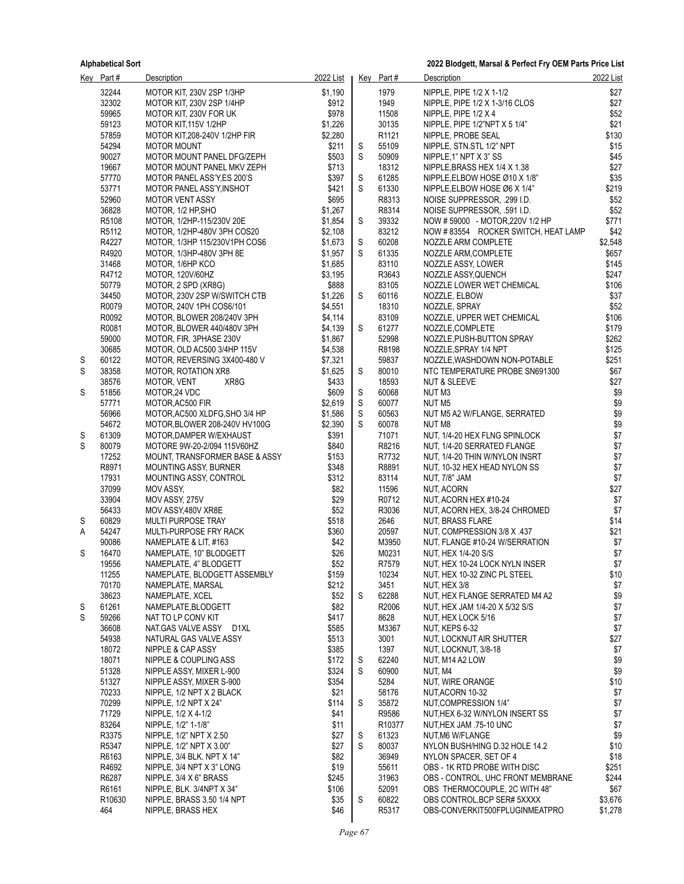|        | Key Part#                 | <b>Description</b>                                              | 2022 List          |        | Key Part#         | Description                                                    | 2022 List          |
|--------|---------------------------|-----------------------------------------------------------------|--------------------|--------|-------------------|----------------------------------------------------------------|--------------------|
|        | 32244                     | MOTOR KIT, 230V 2SP 1/3HP                                       | \$1,190            |        | 1979              | NIPPLE, PIPE 1/2 X 1-1/2                                       | \$27               |
|        | 32302                     | MOTOR KIT, 230V 2SP 1/4HP                                       | \$912              |        | 1949              | NIPPLE, PIPE 1/2 X 1-3/16 CLOS                                 | \$27               |
|        | 59965                     | MOTOR KIT, 230V FOR UK                                          | \$978              |        | 11508             | NIPPLE, PIPE 1/2 X 4                                           | \$52               |
|        | 59123                     | MOTOR KIT, 115V 1/2HP                                           | \$1,226            |        | 30135             | NIPPLE, PIPE 1/2"NPT X 5 1/4"                                  | \$21               |
|        | 57859                     | MOTOR KIT, 208-240V 1/2HP FIR                                   | \$2,280            |        | R <sub>1121</sub> | NIPPLE, PROBE SEAL                                             | \$130              |
|        | 54294                     | <b>MOTOR MOUNT</b>                                              | \$211              | S      | 55109             | NIPPLE, STN.STL 1/2" NPT                                       | \$15               |
|        | 90027                     | MOTOR MOUNT PANEL DFG/ZEPH                                      | \$503              | S      | 50909             | NIPPLE, 1" NPT X 3" SS                                         | \$45               |
|        | 19667                     | MOTOR MOUNT PANEL MKV ZEPH                                      | \$713              |        | 18312             | NIPPLE, BRASS HEX 1/4 X 1.38                                   | \$27               |
|        | 57770                     | MOTOR PANEL ASS'Y, ES 200'S                                     | \$397              | S      | 61285             | NIPPLE, ELBOW HOSE Ø10 X 1/8"                                  | \$35               |
|        | 53771                     | MOTOR PANEL ASS'Y, INSHOT                                       | \$421              | S      | 61330             | NIPPLE, ELBOW HOSE Ø6 X 1/4"                                   | \$219              |
|        | 52960<br>36828            | <b>MOTOR VENT ASSY</b><br>MOTOR, 1/2 HP, SHO                    | \$695<br>\$1,267   |        | R8313<br>R8314    | NOISE SUPPRESSOR, .299 I.D.                                    | \$52<br>\$52       |
|        | R5108                     | MOTOR, 1/2HP-115/230V 20E                                       | \$1,854            | S      | 39332             | NOISE SUPPRESSOR, .591 I.D.<br>NOW #59000 - MOTOR, 220V 1/2 HP | \$771              |
|        | R5112                     | MOTOR, 1/2HP-480V 3PH COS20                                     | \$2,108            |        | 83212             | NOW #83554 ROCKER SWITCH, HEAT LAMP                            | \$42               |
|        | R4227                     | MOTOR, 1/3HP 115/230V1PH COS6                                   | \$1,673            | S      | 60208             | NOZZLE ARM COMPLETE                                            | \$2,548            |
|        | R4920                     | MOTOR, 1/3HP-480V 3PH 8E                                        | \$1,957            | S      | 61335             | NOZZLE ARM, COMPLETE                                           | \$657              |
|        | 31468                     | MOTOR, 1/6HP KCO                                                | \$1,685            |        | 83110             | NOZZLE ASSY, LOWER                                             | \$145              |
|        | R4712                     | MOTOR, 120V/60HZ                                                | \$3,195            |        | R3643             | NOZZLE ASSY, QUENCH                                            | \$247              |
|        | 50779                     | MOTOR, 2 SPD (XR8G)                                             | \$888              |        | 83105             | NOZZLE LOWER WET CHEMICAL                                      | \$106              |
|        | 34450                     | MOTOR, 230V 2SP W/SWITCH CTB                                    | \$1,226            | S      | 60116             | NOZZLE, ELBOW                                                  | \$37               |
|        | R0079                     | MOTOR, 240V 1PH COS6/101                                        | \$4,551            |        | 18310             | NOZZLE, SPRAY                                                  | \$52               |
|        | R0092                     | MOTOR, BLOWER 208/240V 3PH                                      | \$4,114            |        | 83109             | NOZZLE, UPPER WET CHEMICAL                                     | \$106              |
|        | R0081                     | MOTOR, BLOWER 440/480V 3PH                                      | \$4,139            | S      | 61277             | NOZZLE, COMPLETE                                               | \$179              |
|        | 59000                     | MOTOR, FIR, 3PHASE 230V                                         | \$1,867            |        | 52998             | NOZZLE, PUSH-BUTTON SPRAY                                      | \$262              |
|        | 30685                     | MOTOR, OLD AC500 3/4HP 115V                                     | \$4,538            |        | R8198             | NOZZLE, SPRAY 1/4 NPT                                          | \$125              |
| S      | 60122                     | MOTOR, REVERSING 3X400-480 V                                    | \$7,321            |        | 59837             | NOZZLE, WASHDOWN NON-POTABLE                                   | \$251              |
| S      | 38358                     | <b>MOTOR, ROTATION XR8</b>                                      | \$1,625            | S      | 80010             | NTC TEMPERATURE PROBE SN691300                                 | \$67               |
|        | 38576                     | MOTOR, VENT<br>XR8G                                             | \$433              |        | 18593             | <b>NUT &amp; SLEEVE</b>                                        | \$27               |
| S      | 51856                     | MOTOR, 24 VDC                                                   | \$609              | S      | 60068             | NUT M3                                                         | \$9                |
|        | 57771<br>56966            | MOTOR, AC500 FIR                                                | \$2,619            | S      | 60077<br>60563    | NUT M5                                                         | \$9<br>\$9         |
|        | 54672                     | MOTOR, AC500 XLDFG, SHO 3/4 HP<br>MOTOR, BLOWER 208-240V HV100G | \$1,586<br>\$2,390 | S<br>S | 60078             | NUT M5 A2 W/FLANGE, SERRATED<br>NUT M8                         | \$9                |
| S      | 61309                     | MOTOR, DAMPER W/EXHAUST                                         | \$391              |        | 71071             | NUT, 1/4-20 HEX FLNG SPINLOCK                                  | \$7                |
| S      | 80079                     | MOTORE 9W-20-2/094 115V60HZ                                     | \$840              |        | R8216             | NUT, 1/4-20 SERRATED FLANGE                                    | \$7                |
|        | 17252                     | MOUNT, TRANSFORMER BASE & ASSY                                  | \$153              |        | R7732             | NUT, 1/4-20 THIN W/NYLON INSRT                                 | $$7$               |
|        | R8971                     | MOUNTING ASSY, BURNER                                           | \$348              |        | R8891             | NUT, 10-32 HEX HEAD NYLON SS                                   | \$7                |
|        | 17931                     | MOUNTING ASSY, CONTROL                                          | \$312              |        | 83114             | NUT, 7/8" JAM                                                  | \$7                |
|        | 37099                     | <b>MOV ASSY.</b>                                                | \$82               |        | 11596             | <b>NUT, ACORN</b>                                              | \$27               |
|        | 33904                     | MOV ASSY, 275V                                                  | \$29               |        | R0712             | NUT, ACORN HEX #10-24                                          | \$7                |
|        | 56433                     | MOV ASSY,480V XR8E                                              | \$52               |        | R3036             | NUT, ACORN HEX, 3/8-24 CHROMED                                 | \$7                |
| S      | 60829                     | <b>MULTI PURPOSE TRAY</b>                                       | \$518              |        | 2646              | NUT, BRASS FLARE                                               | \$14               |
| А      | 54247                     | MULTI-PURPOSE FRY RACK                                          | \$360              |        | 20597             | NUT, COMPRESSION 3/8 X .437                                    | \$21               |
|        | 90086                     | NAMEPLATE & LIT, #163                                           | \$42               |        | M3950             | NUT, FLANGE #10-24 W/SERRATION                                 | \$7                |
| S      | 16470                     | NAMEPLATE, 10" BLODGETT                                         | \$26               |        | M0231             | NUT, HEX 1/4-20 S/S                                            | \$7                |
|        | 19556                     | NAMEPLATE, 4" BLODGETT                                          | \$52               |        | R7579             | NUT, HEX 10-24 LOCK NYLN INSER                                 | \$7                |
|        | 11255                     | NAMEPLATE, BLODGETT ASSEMBLY                                    | \$159              |        | 10234             | NUT, HEX 10-32 ZINC PL STEEL                                   | \$10               |
|        | 70170                     | NAMEPLATE, MARSAL                                               | \$212              |        | 3451              | NUT, HEX 3/8                                                   | \$7                |
|        | 38623<br>61261            | NAMEPLATE, XCEL<br>NAMEPLATE, BLODGETT                          | \$52<br>\$82       | S      | 62288<br>R2006    | NUT, HEX FLANGE SERRATED M4 A2                                 | \$9<br>\$7         |
| S<br>S | 59266                     | NAT TO LP CONV KIT                                              | \$417              |        | 8628              | NUT, HEX JAM 1/4-20 X 5/32 S/S<br>NUT. HEX LOCK 5/16           | \$7                |
|        | 36608                     | NAT.GAS VALVE ASSY D1XL                                         | \$585              |        | M3367             | NUT, KEPS 6-32                                                 | \$7                |
|        | 54938                     | NATURAL GAS VALVE ASSY                                          | \$513              |        | 3001              | NUT, LOCKNUT AIR SHUTTER                                       | \$27               |
|        | 18072                     | NIPPLE & CAP ASSY                                               | \$385              |        | 1397              | NUT, LOCKNUT, 3/8-18                                           | \$7                |
|        | 18071                     | NIPPLE & COUPLING ASS                                           | \$172              | S      | 62240             | NUT, M14 A2 LOW                                                | \$9                |
|        | 51328                     | NIPPLE ASSY, MIXER L-900                                        | \$324              | S      | 60900             | NUT, M4                                                        | \$9                |
|        | 51327                     | NIPPLE ASSY, MIXER S-900                                        | \$354              |        | 5284              | NUT, WIRE ORANGE                                               | \$10               |
|        | 70233                     | NIPPLE, 1/2 NPT X 2 BLACK                                       | \$21               |        | 58176             | NUT, ACORN 10-32                                               | \$7                |
|        | 70299                     | NIPPLE, 1/2 NPT X 24"                                           | \$114              | S      | 35872             | NUT, COMPRESSION 1/4"                                          | \$7                |
|        | 71729                     | NIPPLE, 1/2 X 4-1/2                                             | \$41               |        | R9586             | NUT, HEX 6-32 W/NYLON INSERT SS                                | \$7                |
|        | 83264                     | NIPPLE, 1/2" 1-1/8"                                             | \$11               |        | R10377            | NUT, HEX JAM .75-10 UNC                                        | \$7                |
|        | R3375                     | NIPPLE, 1/2" NPT X 2.50                                         | \$27               | S      | 61323             | NUT, M6 W/FLANGE                                               | \$9                |
|        | R5347                     | NIPPLE, 1/2" NPT X 3.00"                                        | \$27               | S      | 80037             | NYLON BUSH/HING D.32 HOLE 14.2                                 | \$10               |
|        | R6163                     | NIPPLE, 3/4 BLK. NPT X 14"                                      | \$82               |        | 36949             | NYLON SPACER, SET OF 4                                         | \$18               |
|        | R4692                     | NIPPLE, 3/4 NPT X 3" LONG                                       | \$19               |        | 55611             | OBS - 1K RTD PROBE WITH DISC                                   | \$251              |
|        | R6287                     | NIPPLE, 3/4 X 6" BRASS                                          | \$245              |        | 31963             | OBS - CONTROL, UHC FRONT MEMBRANE                              | \$244              |
|        | R6161                     | NIPPLE, BLK. 3/4NPT X 34"                                       | \$106              |        | 52091             | OBS THERMOCOUPLE, 2C WITH 48"                                  | \$67               |
|        | R <sub>10630</sub><br>464 | NIPPLE, BRASS 3.50 1/4 NPT<br>NIPPLE, BRASS HEX                 | \$35<br>\$46       | S      | 60822<br>R5317    | OBS CONTROL, BCP SER# 5XXXX<br>OBS-CONVERKIT500FPLUGINMEATPRO  | \$3,676<br>\$1,278 |
|        |                           |                                                                 |                    |        |                   |                                                                |                    |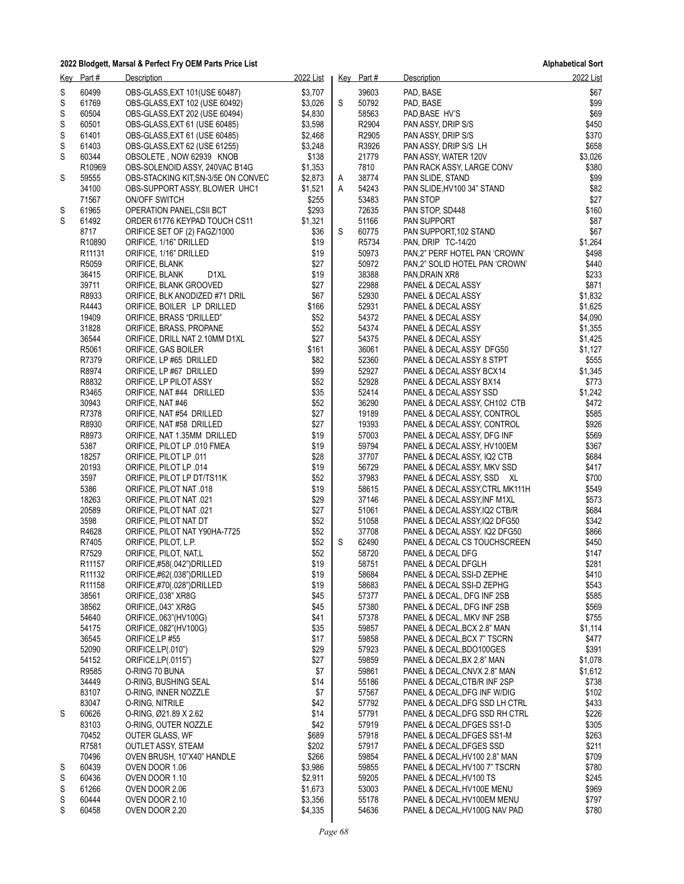|   | Key Part#                  | Description                                            | 2022 List    |   | Key Part#      | Description                                                | 2022 List       |
|---|----------------------------|--------------------------------------------------------|--------------|---|----------------|------------------------------------------------------------|-----------------|
| S | 60499                      | OBS-GLASS, EXT 101(USE 60487)                          | \$3,707      |   | 39603          | PAD, BASE                                                  | \$67            |
| S | 61769                      | OBS-GLASS, EXT 102 (USE 60492)                         | \$3,026      | S | 50792          | PAD, BASE                                                  | \$99            |
| S | 60504                      | OBS-GLASS, EXT 202 (USE 60494)                         | \$4,830      |   | 58563          | PAD, BASE HV'S                                             | \$69            |
| S | 60501                      | OBS-GLASS, EXT 61 (USE 60485)                          | \$3,598      |   | R2904          | PAN ASSY, DRIP S/S                                         | \$450           |
| S | 61401                      | OBS-GLASS, EXT 61 (USE 60485)                          | \$2,468      |   | R2905          | PAN ASSY, DRIP S/S                                         | \$370           |
| S | 61403                      | OBS-GLASS, EXT 62 (USE 61255)                          | \$3,248      |   | R3926          | PAN ASSY, DRIP S/S LH                                      | \$658           |
| S | 60344                      | OBSOLETE, NOW 62939 KNOB                               | \$138        |   | 21779          | PAN ASSY, WATER 120V                                       | \$3,026         |
|   | R10969                     | OBS-SOLENOID ASSY, 240VAC B14G                         | \$1,353      |   | 7810           | PAN RACK ASSY, LARGE CONV                                  | \$380           |
| S | 59555                      | OBS-STACKING KIT, SN-3/5E ON CONVEC                    | \$2,873      | A | 38774          | PAN SLIDE, STAND                                           | \$99            |
|   | 34100                      | OBS-SUPPORT ASSY, BLOWER UHC1                          | \$1,521      | A | 54243          | PAN SLIDE, HV100 34" STAND                                 | \$82            |
|   | 71567                      | <b>ON/OFF SWITCH</b>                                   | \$255        |   | 53483          | PAN STOP                                                   | \$27            |
| S | 61965                      | OPERATION PANEL, CSII BCT                              | \$293        |   | 72635          | PAN STOP, SD448                                            | \$160           |
| S | 61492                      | ORDER 61776 KEYPAD TOUCH CS11                          | \$1,321      | S | 51166          | <b>PAN SUPPORT</b>                                         | \$87            |
|   | 8717<br>R <sub>10890</sub> | ORIFICE SET OF (2) FAGZ/1000<br>ORIFICE, 1/16" DRILLED | \$36<br>\$19 |   | 60775<br>R5734 | PAN SUPPORT 102 STAND<br>PAN, DRIP TC-14/20                | \$67<br>\$1,264 |
|   | R11131                     | ORIFICE, 1/16" DRILLED                                 | \$19         |   | 50973          | PAN,2" PERF HOTEL PAN 'CROWN'                              | \$498           |
|   | R5059                      | ORIFICE, BLANK                                         | \$27         |   | 50972          | PAN,2" SOLID HOTEL PAN 'CROWN'                             | \$440           |
|   | 36415                      | D1XL<br>ORIFICE, BLANK                                 | \$19         |   | 38388          | PAN, DRAIN XR8                                             | \$233           |
|   | 39711                      | ORIFICE, BLANK GROOVED                                 | \$27         |   | 22988          | PANEL & DECAL ASSY                                         | \$871           |
|   | R8933                      | ORIFICE, BLK ANODIZED #71 DRIL                         | \$67         |   | 52930          | PANEL & DECAL ASSY                                         | \$1,832         |
|   | R4443                      | ORIFICE, BOILER LP DRILLED                             | \$166        |   | 52931          | PANEL & DECAL ASSY                                         | \$1,625         |
|   | 19409                      | ORIFICE, BRASS "DRILLED"                               | \$52         |   | 54372          | PANEL & DECAL ASSY                                         | \$4,090         |
|   | 31828                      | ORIFICE, BRASS, PROPANE                                | \$52         |   | 54374          | PANEL & DECAL ASSY                                         | \$1,355         |
|   | 36544                      | ORIFICE, DRILL NAT 2.10MM D1XL                         | \$27         |   | 54375          | PANEL & DECAL ASSY                                         | \$1,425         |
|   | R5061                      | ORIFICE, GAS BOILER                                    | \$161        |   | 36061          | PANEL & DECAL ASSY DFG50                                   | \$1,127         |
|   | R7379                      | ORIFICE, LP #65 DRILLED                                | \$82         |   | 52360          | PANEL & DECAL ASSY 8 STPT                                  | \$555           |
|   | R8974                      | ORIFICE, LP #67 DRILLED                                | \$99         |   | 52927          | PANEL & DECAL ASSY BCX14                                   | \$1,345         |
|   | R8832                      | ORIFICE, LP PILOT ASSY                                 | \$52         |   | 52928          | PANEL & DECAL ASSY BX14                                    | \$773           |
|   | R3465                      | ORIFICE, NAT #44 DRILLED                               | \$35         |   | 52414          | PANEL & DECAL ASSY SSD                                     | \$1,242         |
|   | 30943                      | ORIFICE, NAT #46                                       | \$52         |   | 36290          | PANEL & DECAL ASSY, CH102 CTB                              | \$472           |
|   | R7378                      | ORIFICE, NAT #54 DRILLED                               | \$27         |   | 19189          | PANEL & DECAL ASSY, CONTROL                                | \$585           |
|   | R8930                      | ORIFICE, NAT #58 DRILLED                               | \$27         |   | 19393          | PANEL & DECAL ASSY, CONTROL                                | \$926           |
|   | R8973                      | ORIFICE, NAT 1.35MM DRILLED                            | \$19         |   | 57003          | PANEL & DECAL ASSY, DFG INF                                | \$569           |
|   | 5387<br>18257              | ORIFICE, PILOT LP .010 FMEA                            | \$19<br>\$28 |   | 59794<br>37707 | PANEL & DECAL ASSY, HV100EM                                | \$367<br>\$684  |
|   | 20193                      | ORIFICE, PILOT LP .011<br>ORIFICE, PILOT LP .014       | \$19         |   | 56729          | PANEL & DECAL ASSY, IQ2 CTB<br>PANEL & DECAL ASSY, MKV SSD | \$417           |
|   | 3597                       | ORIFICE, PILOT LP DT/TS11K                             | \$52         |   | 37983          | PANEL & DECAL ASSY, SSD XL                                 | \$700           |
|   | 5386                       | 018. ORIFICE, PILOT NAT                                | \$19         |   | 58615          | PANEL & DECAL ASSY, CTRL MK111H                            | \$549           |
|   | 18263                      | 021. ORIFICE, PILOT NAT                                | \$29         |   | 37146          | PANEL & DECAL ASSY, INF M1XL                               | \$573           |
|   | 20589                      | 021. ORIFICE, PILOT NAT                                | \$27         |   | 51061          | PANEL & DECAL ASSY, IQ2 CTB/R                              | \$684           |
|   | 3598                       | ORIFICE, PILOT NAT DT                                  | \$52         |   | 51058          | PANEL & DECAL ASSY, IQ2 DFG50                              | \$342           |
|   | R4628                      | ORIFICE, PILOT NAT Y90HA-7725                          | \$52         |   | 37708          | PANEL & DECAL ASSY. IQ2 DFG50                              | \$866           |
|   | R7405                      | ORIFICE, PILOT, L.P.                                   | \$52         | S | 62490          | PANEL & DECAL CS TOUCHSCREEN                               | \$450           |
|   | R7529                      | ORIFICE, PILOT, NAT,L                                  | \$52         |   | 58720          | PANEL & DECAL DFG                                          | \$147           |
|   | R <sub>11157</sub>         | ORIFICE,#58(.042")DRILLED                              | \$19         |   | 58751          | PANEL & DECAL DFGLH                                        | \$281           |
|   | R11132                     | ORIFICE,#62(.038")DRILLED                              | \$19         |   | 58684          | PANEL & DECAL SSI-D ZEPHE                                  | \$410           |
|   | R <sub>11158</sub>         | ORIFICE,#70(.028")DRILLED                              | \$19         |   | 58683          | PANEL & DECAL SSI-D ZEPHG                                  | \$543           |
|   | 38561                      | ORIFICE, 038" XR8G                                     | \$45         |   | 57377          | PANEL & DECAL, DFG INF 2SB                                 | \$585           |
|   | 38562                      | ORIFICE, 043" XR8G                                     | \$45         |   | 57380          | PANEL & DECAL, DFG INF 2SB                                 | \$569           |
|   | 54640                      | ORIFICE, 063" (HV100G)                                 | \$41         |   | 57378          | PANEL & DECAL, MKV INF 2SB                                 | \$755           |
|   | 54175                      | ORIFICE, 082"(HV100G)                                  | \$35         |   | 59857          | PANEL & DECAL, BCX 2.8" MAN                                | \$1,114         |
|   | 36545<br>52090             | ORIFICE, LP #55                                        | \$17<br>\$29 |   | 59858<br>57923 | PANEL & DECAL, BCX 7" TSCRN<br>PANEL & DECAL, BDO100GES    | \$477<br>\$391  |
|   | 54152                      | ORIFICE, LP(.010")<br>ORIFICE, LP(.0115")              | \$27         |   | 59859          | PANEL & DECAL, BX 2.8" MAN                                 | \$1,078         |
|   | R9585                      | O-RING 70 BUNA                                         | \$7          |   | 59861          | PANEL & DECAL, CNVX 2.8" MAN                               | \$1,612         |
|   | 34449                      | O-RING, BUSHING SEAL                                   | \$14         |   | 55186          | PANEL & DECAL, CTB/R INF 2SP                               | \$738           |
|   | 83107                      | O-RING, INNER NOZZLE                                   | \$7          |   | 57567          | PANEL & DECAL, DFG INF W/DIG                               | \$102           |
|   | 83047                      | O-RING, NITRILE                                        | \$42         |   | 57792          | PANEL & DECAL, DFG SSD LH CTRL                             | \$433           |
| S | 60626                      | O-RING, Ø21.89 X 2.62                                  | \$14         |   | 57791          | PANEL & DECAL, DFG SSD RH CTRL                             | \$226           |
|   | 83103                      | O-RING, OUTER NOZZLE                                   | \$42         |   | 57919          | PANEL & DECAL, DFGES SS1-D                                 | \$305           |
|   | 70452                      | <b>OUTER GLASS, WF</b>                                 | \$689        |   | 57918          | PANEL & DECAL, DFGES SS1-M                                 | \$263           |
|   | R7581                      | <b>OUTLET ASSY, STEAM</b>                              | \$202        |   | 57917          | PANEL & DECAL, DFGES SSD                                   | \$211           |
|   | 70496                      | OVEN BRUSH, 10"X40" HANDLE                             | \$266        |   | 59854          | PANEL & DECAL, HV100 2.8" MAN                              | \$709           |
| S | 60439                      | OVEN DOOR 1.06                                         | \$3,986      |   | 59855          | PANEL & DECAL, HV100 7" TSCRN                              | \$780           |
| S | 60436                      | <b>OVEN DOOR 1.10</b>                                  | \$2,911      |   | 59205          | PANEL & DECAL, HV100 TS                                    | \$245           |
| S | 61266                      | OVEN DOOR 2.06                                         | \$1,673      |   | 53003          | PANEL & DECAL, HV100E MENU                                 | \$969           |
| S | 60444                      | OVEN DOOR 2.10                                         | \$3,356      |   | 55178          | PANEL & DECAL, HV100EM MENU                                | \$797           |
| S | 60458                      | OVEN DOOR 2.20                                         | \$4,335      |   | 54636          | PANEL & DECAL, HV100G NAV PAD                              | \$780           |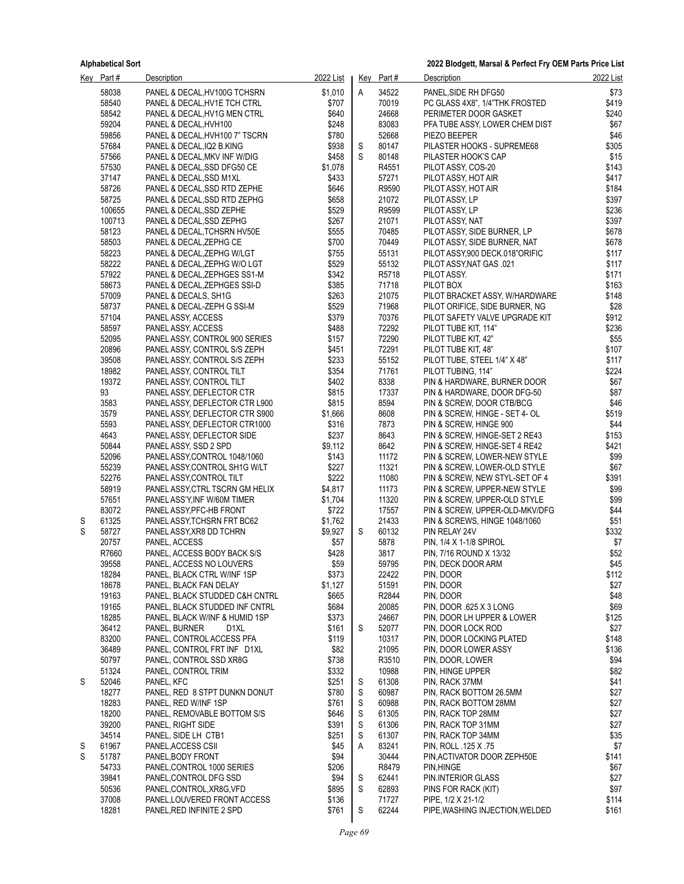|   | Key Part#      | <b>Description</b>                                              | 2022 List        |        | Key Part#      | Description                                                      | 2022 List      |
|---|----------------|-----------------------------------------------------------------|------------------|--------|----------------|------------------------------------------------------------------|----------------|
|   | 58038          | PANEL & DECAL, HV100G TCHSRN                                    | \$1,010          | Α      | 34522          | PANEL, SIDE RH DFG50                                             | \$73           |
|   | 58540          | PANEL & DECAL, HV1E TCH CTRL                                    | \$707            |        | 70019          | PC GLASS 4X8", 1/4"THK FROSTED                                   | \$419          |
|   | 58542          | PANEL & DECAL, HV1G MEN CTRL                                    | \$640            |        | 24668          | PERIMETER DOOR GASKET                                            | \$240          |
|   | 59204          | PANEL & DECAL, HVH100                                           | \$248            |        | 83083          | PFA TUBE ASSY, LOWER CHEM DIST                                   | \$67           |
|   | 59856          | PANEL & DECAL, HVH100 7" TSCRN                                  | \$780            |        | 52668          | PIEZO BEEPER                                                     | \$46           |
|   | 57684          | PANEL & DECAL, IQ2 B.KING                                       | \$938            | S      | 80147          | PILASTER HOOKS - SUPREME68                                       | \$305          |
|   | 57566          | PANEL & DECAL, MKV INF W/DIG                                    | \$458            | S      | 80148          | PILASTER HOOK'S CAP                                              | \$15           |
|   | 57530<br>37147 | PANEL & DECAL, SSD DFG50 CE                                     | \$1,078<br>\$433 |        | R4551<br>57271 | PILOT ASSY, COS-20                                               | \$143<br>\$417 |
|   | 58726          | PANEL & DECAL, SSD M1XL<br>PANEL & DECAL, SSD RTD ZEPHE         | \$646            |        | R9590          | PILOT ASSY, HOT AIR<br>PILOT ASSY, HOT AIR                       | \$184          |
|   | 58725          | PANEL & DECAL, SSD RTD ZEPHG                                    | \$658            |        | 21072          | PILOT ASSY, LP                                                   | \$397          |
|   | 100655         | PANEL & DECAL, SSD ZEPHE                                        | \$529            |        | R9599          | PILOT ASSY, LP                                                   | \$236          |
|   | 100713         | PANEL & DECAL, SSD ZEPHG                                        | \$267            |        | 21071          | PILOT ASSY, NAT                                                  | \$397          |
|   | 58123          | PANEL & DECAL, TCHSRN HV50E                                     | \$555            |        | 70485          | PILOT ASSY, SIDE BURNER, LP                                      | \$678          |
|   | 58503          | PANEL & DECAL, ZEPHG CE                                         | \$700            |        | 70449          | PILOT ASSY, SIDE BURNER, NAT                                     | \$678          |
|   | 58223          | PANEL & DECAL, ZEPHG W/LGT                                      | \$755            |        | 55131          | PILOT ASSY,900 DECK.018"ORIFIC                                   | \$117          |
|   | 58222          | PANEL & DECAL, ZEPHG W/O LGT                                    | \$529            |        | 55132          | PILOT ASSY, NAT GAS .021                                         | \$117          |
|   | 57922          | PANEL & DECAL, ZEPHGES SS1-M                                    | \$342            |        | R5718          | PILOT ASSY.                                                      | \$171          |
|   | 58673<br>57009 | PANEL & DECAL, ZEPHGES SSI-D                                    | \$385            |        | 71718          | PILOT BOX                                                        | \$163          |
|   | 58737          | PANEL & DECALS, SH1G<br>PANEL & DECAL-ZEPH G SSI-M              | \$263<br>\$529   |        | 21075<br>71968 | PILOT BRACKET ASSY, W/HARDWARE<br>PILOT ORIFICE, SIDE BURNER, NG | \$148<br>\$28  |
|   | 57104          | PANEL ASSY, ACCESS                                              | \$379            |        | 70376          | PILOT SAFETY VALVE UPGRADE KIT                                   | \$912          |
|   | 58597          | PANEL ASSY, ACCESS                                              | \$488            |        | 72292          | PILOT TUBE KIT, 114"                                             | \$236          |
|   | 52095          | PANEL ASSY, CONTROL 900 SERIES                                  | \$157            |        | 72290          | PILOT TUBE KIT, 42"                                              | \$55           |
|   | 20896          | PANEL ASSY, CONTROL S/S ZEPH                                    | \$451            |        | 72291          | PILOT TUBE KIT, 48"                                              | \$107          |
|   | 39508          | PANEL ASSY, CONTROL S/S ZEPH                                    | \$233            |        | 55152          | PILOT TUBE, STEEL 1/4" X 48"                                     | \$117          |
|   | 18982          | PANEL ASSY, CONTROL TILT                                        | \$354            |        | 71761          | PILOT TUBING, 114"                                               | \$224          |
|   | 19372          | PANEL ASSY, CONTROL TILT                                        | \$402            |        | 8338           | PIN & HARDWARE, BURNER DOOR                                      | \$67           |
|   | 93             | PANEL ASSY, DEFLECTOR CTR                                       | \$815            |        | 17337          | PIN & HARDWARE, DOOR DFG-50                                      | \$87           |
|   | 3583           | PANEL ASSY, DEFLECTOR CTR L900                                  | \$815            |        | 8594           | PIN & SCREW, DOOR CTB/BCG                                        | \$46           |
|   | 3579<br>5593   | PANEL ASSY, DEFLECTOR CTR S900<br>PANEL ASSY, DEFLECTOR CTR1000 | \$1,666<br>\$316 |        | 8608<br>7873   | PIN & SCREW, HINGE - SET 4- OL<br>PIN & SCREW, HINGE 900         | \$519<br>\$44  |
|   | 4643           | PANEL ASSY, DEFLECTOR SIDE                                      | \$237            |        | 8643           | PIN & SCREW, HINGE-SET 2 RE43                                    | \$153          |
|   | 50844          | PANEL ASSY, SSD 2 SPD                                           | \$9,112          |        | 8642           | PIN & SCREW, HINGE-SET 4 RE42                                    | \$421          |
|   | 52096          | PANEL ASSY, CONTROL 1048/1060                                   | \$143            |        | 11172          | PIN & SCREW, LOWER-NEW STYLE                                     | \$99           |
|   | 55239          | PANEL ASSY, CONTROL SH1G W/LT                                   | \$227            |        | 11321          | PIN & SCREW, LOWER-OLD STYLE                                     | \$67           |
|   | 52276          | PANEL ASSY CONTROL TILT                                         | \$222            |        | 11080          | PIN & SCREW, NEW STYL-SET OF 4                                   | \$391          |
|   | 58919          | PANEL ASSY CTRL TSCRN GM HELIX                                  | \$4,817          |        | 11173          | PIN & SCREW, UPPER-NEW STYLE                                     | \$99           |
|   | 57651          | PANEL ASS'Y, INF W/60M TIMER                                    | \$1,704          |        | 11320          | PIN & SCREW, UPPER-OLD STYLE                                     | \$99           |
| S | 83072<br>61325 | PANEL ASSY, PFC-HB FRONT<br>PANEL ASSY TCHSRN FRT BC62          | \$722<br>\$1,762 |        | 17557<br>21433 | PIN & SCREW, UPPER-OLD-MKV/DFG                                   | \$44<br>\$51   |
| S | 58727          | PANEL ASSY, XR8 DD TCHRN                                        | \$9,927          | S      | 60132          | PIN & SCREWS, HINGE 1048/1060<br>PIN RELAY 24V                   | \$332          |
|   | 20757          | PANEL, ACCESS                                                   | \$57             |        | 5878           | PIN, 1/4 X 1-1/8 SPIROL                                          | \$7            |
|   | R7660          | PANEL, ACCESS BODY BACK S/S                                     | \$428            |        | 3817           | PIN, 7/16 ROUND X 13/32                                          | \$52           |
|   | 39558          | PANEL, ACCESS NO LOUVERS                                        | \$59             |        | 59795          | PIN, DECK DOOR ARM                                               | \$45           |
|   | 18284          | PANEL, BLACK CTRL W/INF 1SP                                     | \$373            |        | 22422          | pin, door                                                        | \$112          |
|   | 18678          | PANEL, BLACK FAN DELAY                                          | \$1,127          |        | 51591          | PIN, DOOR                                                        | \$27           |
|   | 19163          | PANEL, BLACK STUDDED C&H CNTRL                                  | \$665            |        | R2844          | PIN, DOOR                                                        | \$48           |
|   | 19165          | PANEL, BLACK STUDDED INF CNTRL                                  | \$684            |        | 20085          | PIN, DOOR .625 X 3 LONG                                          | \$69           |
|   | 18285<br>36412 | PANEL, BLACK W/INF & HUMID 1SP                                  | \$373<br>\$161   | S      | 24667<br>52077 | PIN, DOOR LH UPPER & LOWER                                       | \$125<br>\$27  |
|   | 83200          | PANEL, BURNER<br>D1XL<br>PANEL, CONTROL ACCESS PFA              | \$119            |        | 10317          | PIN, DOOR LOCK ROD<br>PIN, DOOR LOCKING PLATED                   | \$148          |
|   | 36489          | PANEL, CONTROL FRT INF D1XL                                     | \$82             |        | 21095          | PIN, DOOR LOWER ASSY                                             | \$136          |
|   | 50797          | PANEL, CONTROL SSD XR8G                                         | \$738            |        | R3510          | PIN, DOOR, LOWER                                                 | \$94           |
|   | 51324          | PANEL, CONTROL TRIM                                             | \$332            |        | 10988          | PIN, HINGE UPPER                                                 | \$82           |
| S | 52046          | PANEL, KFC                                                      | \$251            | S      | 61308          | PIN. RACK 37MM                                                   | \$41           |
|   | 18277          | PANEL, RED 8 STPT DUNKN DONUT                                   | \$780            | S      | 60987          | PIN, RACK BOTTOM 26.5MM                                          | \$27           |
|   | 18283          | PANEL, RED W/INF 1SP                                            | \$761            | S      | 60988          | PIN, RACK BOTTOM 28MM                                            | \$27           |
|   | 18200          | PANEL, REMOVABLE BOTTOM S/S                                     | \$646            | S      | 61305          | PIN, RACK TOP 28MM                                               | \$27           |
|   | 39200          | PANEL, RIGHT SIDE                                               | \$391            | S      | 61306          | PIN, RACK TOP 31MM                                               | \$27           |
| S | 34514<br>61967 | PANEL, SIDE LH CTB1<br>PANEL, ACCESS CSII                       | \$251<br>\$45    | S<br>Α | 61307<br>83241 | PIN, RACK TOP 34MM<br>PIN, ROLL .125 X .75                       | \$35<br>\$7    |
| S | 51787          | PANEL, BODY FRONT                                               | \$94             |        | 30444          | PIN, ACTIVATOR DOOR ZEPH50E                                      | \$141          |
|   | 54733          | PANEL, CONTROL 1000 SERIES                                      | \$206            |        | R8479          | PIN, HINGE                                                       | \$67           |
|   | 39841          | PANEL, CONTROL DFG SSD                                          | \$94             | S      | 62441          | PIN.INTERIOR GLASS                                               | \$27           |
|   | 50536          | PANEL, CONTROL, XR8G, VFD                                       | \$895            | S      | 62893          | PINS FOR RACK (KIT)                                              | \$97           |
|   | 37008          | PANEL, LOUVERED FRONT ACCESS                                    | \$136            |        | 71727          | PIPE, 1/2 X 21-1/2                                               | \$114          |
|   | 18281          | PANEL, RED INFINITE 2 SPD                                       | \$761            | S      | 62244          | PIPE, WASHING INJECTION, WELDED                                  | \$161          |
|   |                |                                                                 |                  |        |                |                                                                  |                |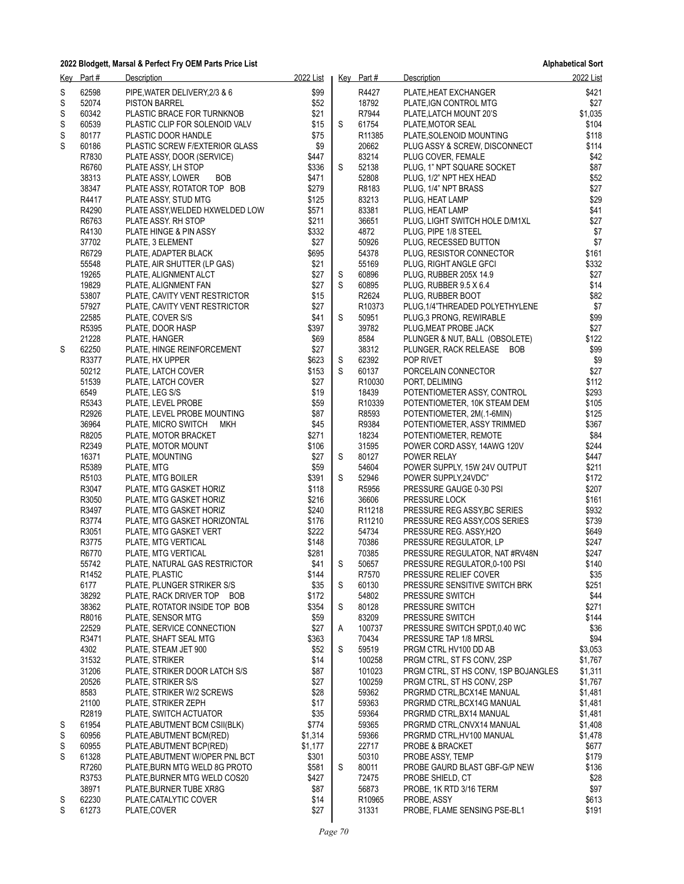|             | Key Part#      | Description                                                    | 2022 List        |             | Key Part#                   | Description                                             | 2022 List          |
|-------------|----------------|----------------------------------------------------------------|------------------|-------------|-----------------------------|---------------------------------------------------------|--------------------|
| S           | 62598          | PIPE, WATER DELIVERY, 2/3 & 6                                  | \$99             |             | R4427                       | PLATE, HEAT EXCHANGER                                   | \$421              |
| S           | 52074          | <b>PISTON BARREL</b>                                           | \$52             |             | 18792                       | PLATE, IGN CONTROL MTG                                  | \$27               |
| S           | 60342          | PLASTIC BRACE FOR TURNKNOB                                     | \$21             |             | R7944                       | PLATE, LATCH MOUNT 20'S                                 | \$1,035            |
| $\mathbb S$ | 60539          | PLASTIC CLIP FOR SOLENOID VALV                                 | \$15             | S           | 61754                       | PLATE, MOTOR SEAL                                       | \$104              |
| S           | 80177          | PLASTIC DOOR HANDLE                                            | \$75             |             | R <sub>11385</sub>          | PLATE, SOLENOID MOUNTING                                | \$118              |
| S           | 60186          | PLASTIC SCREW F/EXTERIOR GLASS                                 | \$9              |             | 20662                       | PLUG ASSY & SCREW, DISCONNECT                           | \$114              |
|             | R7830          | PLATE ASSY, DOOR (SERVICE)                                     | \$447            |             | 83214                       | PLUG COVER, FEMALE                                      | \$42               |
|             | R6760          | PLATE ASSY, LH STOP                                            | \$336            | S           | 52138                       | PLUG, 1" NPT SQUARE SOCKET                              | \$87               |
|             | 38313          | <b>BOB</b><br>PLATE ASSY, LOWER                                | \$471            |             | 52808                       | PLUG, 1/2" NPT HEX HEAD                                 | \$52               |
|             | 38347          | PLATE ASSY, ROTATOR TOP BOB                                    | \$279            |             | R8183                       | PLUG, 1/4" NPT BRASS                                    | \$27               |
|             | R4417          | PLATE ASSY, STUD MTG                                           | \$125            |             | 83213                       | PLUG, HEAT LAMP                                         | \$29               |
|             | R4290          | PLATE ASSY, WELDED HXWELDED LOW                                | \$571            |             | 83381                       | PLUG, HEAT LAMP                                         | \$41               |
|             | R6763          | PLATE ASSY. RH STOP                                            | \$211            |             | 36651                       | PLUG, LIGHT SWITCH HOLE D/M1XL                          | \$27               |
|             | R4130          | PLATE HINGE & PIN ASSY                                         | \$332            |             | 4872                        | PLUG, PIPE 1/8 STEEL                                    | \$7                |
|             | 37702          | PLATE, 3 ELEMENT                                               | \$27             |             | 50926                       | PLUG, RECESSED BUTTON                                   | \$7                |
|             | R6729          | PLATE, ADAPTER BLACK                                           | \$695            |             | 54378                       | PLUG, RESISTOR CONNECTOR                                | \$161              |
|             | 55548          | PLATE, AIR SHUTTER (LP GAS)                                    | \$21             |             | 55169                       | PLUG, RIGHT ANGLE GFCI                                  | \$332              |
|             | 19265<br>19829 | PLATE, ALIGNMENT ALCT                                          | \$27<br>\$27     | S<br>S      | 60896<br>60895              | PLUG, RUBBER 205X 14.9<br>PLUG, RUBBER 9.5 X 6.4        | \$27<br>\$14       |
|             | 53807          | PLATE, ALIGNMENT FAN                                           | \$15             |             | R2624                       |                                                         | \$82               |
|             | 57927          | PLATE, CAVITY VENT RESTRICTOR<br>PLATE, CAVITY VENT RESTRICTOR | \$27             |             | R <sub>10373</sub>          | PLUG, RUBBER BOOT<br>PLUG, 1/4"THREADED POLYETHYLENE    | \$7                |
|             | 22585          | PLATE, COVER S/S                                               | \$41             | S           | 50951                       | PLUG, 3 PRONG, REWIRABLE                                | \$99               |
|             | R5395          | PLATE, DOOR HASP                                               | \$397            |             | 39782                       | PLUG, MEAT PROBE JACK                                   | \$27               |
|             | 21228          | PLATE, HANGER                                                  | \$69             |             | 8584                        | PLUNGER & NUT, BALL (OBSOLETE)                          | \$122              |
| S           | 62250          | PLATE, HINGE REINFORCEMENT                                     | \$27             |             | 38312                       | PLUNGER, RACK RELEASE BOB                               | \$99               |
|             | R3377          | PLATE, HX UPPER                                                | \$623            | $\mathbb S$ | 62392                       | POP RIVET                                               | \$9                |
|             | 50212          | PLATE, LATCH COVER                                             | \$153            | S           | 60137                       | PORCELAIN CONNECTOR                                     | \$27               |
|             | 51539          | PLATE, LATCH COVER                                             | \$27             |             | R10030                      | PORT, DELIMING                                          | \$112              |
|             | 6549           | PLATE, LEG S/S                                                 | \$19             |             | 18439                       | POTENTIOMETER ASSY, CONTROL                             | \$293              |
|             | R5343          | PLATE, LEVEL PROBE                                             | \$59             |             | R10339                      | POTENTIOMETER, 10K STEAM DEM                            | \$105              |
|             | R2926          | PLATE, LEVEL PROBE MOUNTING                                    | \$87             |             | R8593                       | POTENTIOMETER, 2M(.1-6MIN)                              | \$125              |
|             | 36964          | PLATE, MICRO SWITCH<br>МКН                                     | \$45             |             | R9384                       | POTENTIOMETER, ASSY TRIMMED                             | \$367              |
|             | R8205          | PLATE, MOTOR BRACKET                                           | \$271            |             | 18234                       | POTENTIOMETER, REMOTE                                   | \$84               |
|             | R2349          | PLATE, MOTOR MOUNT                                             | \$106            |             | 31595                       | POWER CORD ASSY, 14AWG 120V                             | \$244              |
|             | 16371          | PLATE, MOUNTING                                                | \$27             | S           | 80127                       | POWER RELAY                                             | \$447              |
|             | R5389          | PLATE, MTG                                                     | \$59             |             | 54604                       | POWER SUPPLY, 15W 24V OUTPUT                            | \$211              |
|             | R5103          | PLATE, MTG BOILER                                              | \$391            | S           | 52946                       | POWER SUPPLY,24VDC"                                     | \$172              |
|             | R3047          | PLATE, MTG GASKET HORIZ                                        | \$118            |             | R5956                       | PRESSURE GAUGE 0-30 PSI                                 | \$207              |
|             | R3050          | PLATE, MTG GASKET HORIZ                                        | \$216            |             | 36606                       | PRESSURE LOCK                                           | \$161              |
|             | R3497          | PLATE, MTG GASKET HORIZ                                        | \$240            |             | R <sub>11218</sub>          | PRESSURE REG ASSY, BC SERIES                            | \$932              |
|             | R3774<br>R3051 | PLATE, MTG GASKET HORIZONTAL<br>PLATE, MTG GASKET VERT         | \$176<br>\$222   |             | R <sub>11210</sub><br>54734 | PRESSURE REG ASSY COS SERIES<br>PRESSURE REG. ASSY, H2O | \$739<br>\$649     |
|             | R3775          | PLATE, MTG VERTICAL                                            | \$148            |             | 70386                       | PRESSURE REGULATOR, LP                                  | \$247              |
|             | R6770          | PLATE, MTG VERTICAL                                            | \$281            |             | 70385                       | PRESSURE REGULATOR, NAT #RV48N                          | \$247              |
|             | 55742          | PLATE, NATURAL GAS RESTRICTOR                                  | \$41             | S           | 50657                       | PRESSURE REGULATOR, 0-100 PSI                           | \$140              |
|             | R1452          | PLATE, PLASTIC                                                 | \$144            |             | R7570                       | PRESSURE RELIEF COVER                                   | \$35               |
|             | 6177           | PLATE, PLUNGER STRIKER S/S                                     | \$35             | S           | 60130                       | PRESSURE SENSITIVE SWITCH BRK                           | \$251              |
|             | 38292          | PLATE, RACK DRIVER TOP BOB                                     | \$172            |             | 54802                       | PRESSURE SWITCH                                         | \$44               |
|             | 38362          | PLATE, ROTATOR INSIDE TOP BOB                                  | \$354            | S           | 80128                       | PRESSURE SWITCH                                         | \$271              |
|             | R8016          | PLATE, SENSOR MTG                                              | \$59             |             | 83209                       | PRESSURE SWITCH                                         | \$144              |
|             | 22529          | PLATE, SERVICE CONNECTION                                      | \$27             | A           | 100737                      | PRESSURE SWITCH SPDT,0.40 WC                            | \$36               |
|             | R3471          | PLATE, SHAFT SEAL MTG                                          | \$363            |             | 70434                       | PRESSURE TAP 1/8 MRSL                                   | \$94               |
|             | 4302           | PLATE, STEAM JET 900                                           | \$52             | S           | 59519                       | PRGM CTRL HV100 DD AB                                   | \$3,053            |
|             | 31532          | PLATE, STRIKER                                                 | \$14             |             | 100258                      | PRGM CTRL, ST FS CONV, 2SP                              | \$1,767            |
|             | 31206          | PLATE, STRIKER DOOR LATCH S/S                                  | \$87             |             | 101023                      | PRGM CTRL, ST HS CONV, 1SP BOJANGLES                    | \$1,311            |
|             | 20526          | PLATE, STRIKER S/S                                             | \$27             |             | 100259                      | PRGM CTRL, ST HS CONV, 2SP                              | \$1,767            |
|             | 8583           | PLATE, STRIKER W/2 SCREWS                                      | \$28             |             | 59362                       | PRGRMD CTRL, BCX14E MANUAL                              | \$1,481            |
|             | 21100          | PLATE, STRIKER ZEPH                                            | \$17             |             | 59363                       | PRGRMD CTRL, BCX14G MANUAL                              | \$1,481            |
|             | R2819          | PLATE, SWITCH ACTUATOR                                         | \$35             |             | 59364                       | PRGRMD CTRL, BX14 MANUAL                                | \$1,481            |
| S<br>S      | 61954<br>60956 | PLATE, ABUTMENT BCM CSII(BLK)<br>PLATE, ABUTMENT BCM(RED)      | \$774<br>\$1,314 |             | 59365<br>59366              | PRGRMD CTRL, CNVX14 MANUAL<br>PRGRMD CTRL, HV100 MANUAL | \$1,408<br>\$1,478 |
| S           | 60955          | PLATE, ABUTMENT BCP(RED)                                       | \$1,177          |             | 22717                       | PROBE & BRACKET                                         | \$677              |
| S           | 61328          | PLATE, ABUTMENT W/OPER PNL BCT                                 | \$301            |             | 50310                       | PROBE ASSY, TEMP                                        | \$179              |
|             | R7260          | PLATE, BURN MTG WELD 8G PROTO                                  | \$581            | S           | 80011                       | PROBE GAURD BLAST GBF-G/P NEW                           | \$136              |
|             | R3753          | PLATE, BURNER MTG WELD COS20                                   | \$427            |             | 72475                       | PROBE SHIELD, CT                                        | \$28               |
|             | 38971          | PLATE, BURNER TUBE XR8G                                        | \$87             |             | 56873                       | PROBE, 1K RTD 3/16 TERM                                 | \$97               |
| S           | 62230          | PLATE, CATALYTIC COVER                                         | \$14             |             | R10965                      | PROBE, ASSY                                             | \$613              |
| S           | 61273          | PLATE, COVER                                                   | \$27             |             | 31331                       | PROBE, FLAME SENSING PSE-BL1                            | \$191              |
|             |                |                                                                |                  |             |                             |                                                         |                    |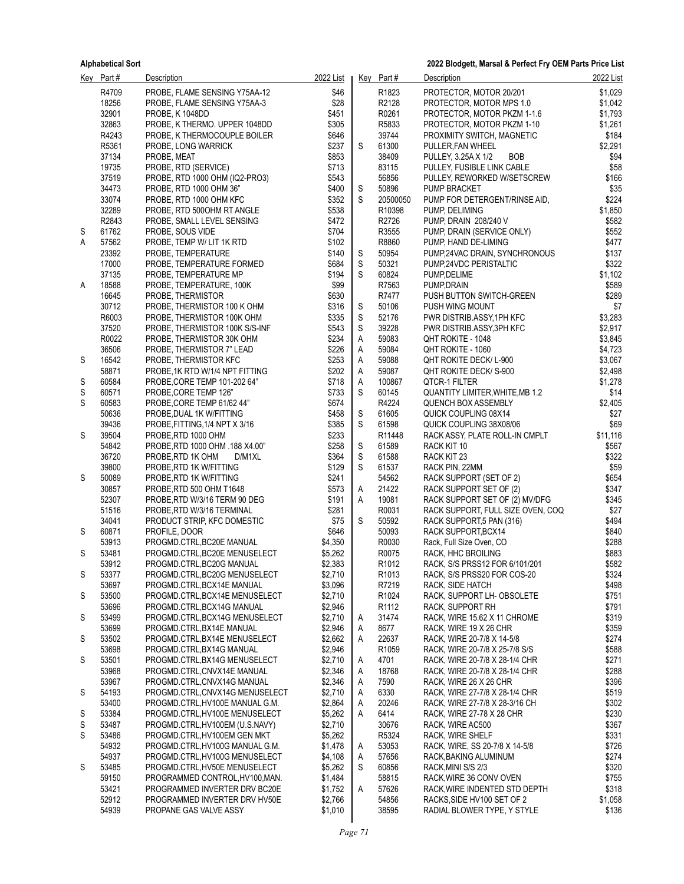**2022 Blodgett, Marsal & Perfect Fry OEM Parts Price List**

|   | Key Part#      | Description                                                      | 2022 List          |        | Key Part#          | Description                                                         | 2022 List          |
|---|----------------|------------------------------------------------------------------|--------------------|--------|--------------------|---------------------------------------------------------------------|--------------------|
|   | R4709          | PROBE, FLAME SENSING Y75AA-12                                    | \$46               |        | R1823              | PROTECTOR, MOTOR 20/201                                             | \$1,029            |
|   | 18256          | PROBE, FLAME SENSING Y75AA-3                                     | \$28               |        | R2128              | PROTECTOR, MOTOR MPS 1.0                                            | \$1,042            |
|   | 32901          | PROBE, K 1048DD                                                  | \$451              |        | R0261              | PROTECTOR, MOTOR PKZM 1-1.6                                         | \$1,793            |
|   | 32863          | PROBE, K THERMO. UPPER 1048DD                                    | \$305              |        | R5833              | PROTECTOR, MOTOR PKZM 1-10                                          | \$1,261            |
|   | R4243          | PROBE, K THERMOCOUPLE BOILER                                     | \$646              |        | 39744              | PROXIMITY SWITCH, MAGNETIC                                          | \$184              |
|   | R5361          | PROBE, LONG WARRICK                                              | \$237              | S      | 61300              | PULLER, FAN WHEEL                                                   | \$2,291            |
|   | 37134          | PROBE, MEAT                                                      | \$853              |        | 38409              | <b>BOB</b><br>PULLEY, 3.25A X 1/2                                   | \$94               |
|   | 19735          | PROBE, RTD (SERVICE)                                             | \$713              |        | 83115              | PULLEY, FUSIBLE LINK CABLE                                          | \$58               |
|   | 37519          | PROBE, RTD 1000 OHM (IQ2-PRO3)                                   | \$543              |        | 56856              | PULLEY, REWORKED W/SETSCREW                                         | \$166              |
|   | 34473<br>33074 | PROBE, RTD 1000 OHM 36"                                          | \$400              | S<br>S | 50896              | PUMP BRACKET                                                        | \$35<br>\$224      |
|   | 32289          | PROBE, RTD 1000 OHM KFC<br>PROBE, RTD 5000HM RT ANGLE            | \$352<br>\$538     |        | 20500050<br>R10398 | PUMP FOR DETERGENT/RINSE AID,<br>PUMP, DELIMING                     | \$1,850            |
|   | R2843          | PROBE, SMALL LEVEL SENSING                                       | \$472              |        | R2726              | PUMP, DRAIN 208/240 V                                               | \$582              |
| S | 61762          | PROBE, SOUS VIDE                                                 | \$704              |        | R3555              | PUMP, DRAIN (SERVICE ONLY)                                          | \$552              |
| Α | 57562          | PROBE, TEMP W/ LIT 1K RTD                                        | \$102              |        | R8860              | PUMP, HAND DE-LIMING                                                | \$477              |
|   | 23392          | PROBE, TEMPERATURE                                               | \$140              | S      | 50954              | PUMP,24VAC DRAIN, SYNCHRONOUS                                       | \$137              |
|   | 17000          | PROBE, TEMPERATURE FORMED                                        | \$684              | S      | 50321              | PUMP,24VDC PERISTALTIC                                              | \$322              |
|   | 37135          | PROBE, TEMPERATURE MP                                            | \$194              | S      | 60824              | PUMP, DELIME                                                        | \$1,102            |
| A | 18588          | PROBE, TEMPERATURE, 100K                                         | \$99               |        | R7563              | PUMP, DRAIN                                                         | \$589              |
|   | 16645          | PROBE, THERMISTOR                                                | \$630              |        | R7477              | PUSH BUTTON SWITCH-GREEN                                            | \$289              |
|   | 30712          | PROBE, THERMISTOR 100 K OHM                                      | \$316              | S      | 50106              | PUSH WING MOUNT                                                     | \$7                |
|   | R6003          | PROBE, THERMISTOR 100K OHM                                       | \$335              | S      | 52176              | PWR DISTRIB ASSY, 1PH KFC                                           | \$3,283            |
|   | 37520          | PROBE, THERMISTOR 100K S/S-INF                                   | \$543              | S      | 39228              | PWR DISTRIB.ASSY,3PH KFC                                            | \$2,917            |
|   | R0022          | PROBE, THERMISTOR 30K OHM                                        | \$234              | A      | 59083              | QHT ROKITE - 1048                                                   | \$3,845            |
|   | 36506<br>16542 | PROBE, THERMISTOR 7" LEAD                                        | \$226              | A      | 59084<br>59088     | QHT ROKITE - 1060                                                   | \$4,723<br>\$3,067 |
| S | 58871          | PROBE, THERMISTOR KFC<br>PROBE, 1K RTD W/1/4 NPT FITTING         | \$253<br>\$202     | Α<br>A | 59087              | QHT ROKITE DECK/ L-900<br>QHT ROKITE DECK/ S-900                    | \$2,498            |
| S | 60584          | PROBE, CORE TEMP 101-202 64"                                     | \$718              | A      | 100867             | QTCR-1 FILTER                                                       | \$1,278            |
| S | 60571          | PROBE, CORE TEMP 126"                                            | \$733              | S      | 60145              | QUANTITY LIMITER, WHITE, MB 1.2                                     | \$14               |
| S | 60583          | PROBE, CORE TEMP 61/62 44"                                       | \$674              |        | R4224              | QUENCH BOX ASSEMBLY                                                 | \$2,405            |
|   | 50636          | PROBE, DUAL 1K W/FITTING                                         | \$458              | S      | 61605              | QUICK COUPLING 08X14                                                | \$27               |
|   | 39436          | PROBE, FITTING, 1/4 NPT X 3/16                                   | \$385              | S      | 61598              | QUICK COUPLING 38X08/06                                             | \$69               |
| S | 39504          | PROBE, RTD 1000 OHM                                              | \$233              |        | R11448             | RACK ASSY, PLATE ROLL-IN CMPLT                                      | \$11,116           |
|   | 54842          | PROBE, RTD 1000 OHM .188 X4.00"                                  | \$258              | S      | 61589              | RACK KIT 10                                                         | \$567              |
|   | 36720          | PROBE, RTD 1K OHM<br>D/M1XL                                      | \$364              | S      | 61588              | RACK KIT 23                                                         | \$322              |
|   | 39800          | PROBE, RTD 1K W/FITTING                                          | \$129              | S      | 61537              | RACK PIN, 22MM                                                      | \$59               |
| S | 50089          | PROBE, RTD 1K W/FITTING                                          | \$241              |        | 54562              | RACK SUPPORT (SET OF 2)                                             | \$654              |
|   | 30857<br>52307 | PROBE, RTD 500 OHM T1648                                         | \$573<br>\$191     | A<br>A | 21422<br>19081     | RACK SUPPORT SET OF (2)                                             | \$347<br>\$345     |
|   | 51516          | PROBE, RTD W/3/16 TERM 90 DEG<br>PROBE, RTD W/3/16 TERMINAL      | \$281              |        | R0031              | RACK SUPPORT SET OF (2) MV/DFG<br>RACK SUPPORT, FULL SIZE OVEN, COQ | \$27               |
|   | 34041          | PRODUCT STRIP, KFC DOMESTIC                                      | \$75               | S      | 50592              | RACK SUPPORT,5 PAN (316)                                            | \$494              |
| S | 60871          | PROFILE, DOOR                                                    | \$646              |        | 50093              | RACK SUPPORT BCX14                                                  | \$840              |
|   | 53913          | PROGMD.CTRL, BC20E MANUAL                                        | \$4,350            |        | R0030              | Rack, Full Size Oven, CO                                            | \$288              |
| S | 53481          | PROGMD.CTRL, BC20E MENUSELECT                                    | \$5,262            |        | R0075              | RACK, HHC BROILING                                                  | \$883              |
|   | 53912          | PROGMD.CTRL, BC20G MANUAL                                        | \$2,383            |        | R1012              | RACK, S/S PRSS12 FOR 6/101/201                                      | \$582              |
| S | 53377          | PROGMD.CTRL,BC20G MENUSELECT                                     | \$2,710            |        | R1013              | RACK, S/S PRSS20 FOR COS-20                                         | \$324              |
|   | 53697          | PROGMD.CTRL, BCX14E MANUAL                                       | \$3,096            |        | R7219              | RACK, SIDE HATCH                                                    | \$498              |
| S | 53500          | PROGMD.CTRL,BCX14E MENUSELECT                                    | \$2,710            |        | R1024              | RACK, SUPPORT LH- OBSOLETE                                          | \$751              |
|   | 53696          | PROGMD.CTRL, BCX14G MANUAL                                       | \$2,946            |        | R <sub>1112</sub>  | RACK, SUPPORT RH                                                    | \$791              |
| S | 53499          | PROGMD.CTRL, BCX14G MENUSELECT                                   | \$2,710            | A      | 31474              | RACK, WIRE 15.62 X 11 CHROME<br>RACK, WIRE 19 X 26 CHR              | \$319              |
| S | 53699<br>53502 | PROGMD.CTRL, BX14E MANUAL<br>PROGMD.CTRL, BX14E MENUSELECT       | \$2,946<br>\$2,662 | A<br>A | 8677<br>22637      | RACK, WIRE 20-7/8 X 14-5/8                                          | \$359<br>\$274     |
|   | 53698          | PROGMD.CTRL, BX14G MANUAL                                        | \$2,946            |        | R1059              | RACK, WIRE 20-7/8 X 25-7/8 S/S                                      | \$588              |
| S | 53501          | PROGMD.CTRL, BX14G MENUSELECT                                    | \$2,710            | A      | 4701               | RACK, WIRE 20-7/8 X 28-1/4 CHR                                      | \$271              |
|   | 53968          | PROGMD.CTRL.CNVX14E MANUAL                                       | \$2,346            | A      | 18768              | RACK, WIRE 20-7/8 X 28-1/4 CHR                                      | \$288              |
|   | 53967          | PROGMD.CTRL,CNVX14G MANUAL                                       | \$2,346            | A      | 7590               | RACK, WIRE 26 X 26 CHR                                              | \$396              |
| S | 54193          | PROGMD.CTRL,CNVX14G MENUSELECT                                   | \$2,710            | A      | 6330               | RACK, WIRE 27-7/8 X 28-1/4 CHR                                      | \$519              |
|   | 53400          | PROGMD.CTRL, HV100E MANUAL G.M.                                  | \$2,864            | A      | 20246              | RACK, WIRE 27-7/8 X 28-3/16 CH                                      | \$302              |
| S | 53384          | PROGMD.CTRL, HV100E MENUSELECT                                   | \$5,262            | Α      | 6414               | RACK, WIRE 27-78 X 28 CHR                                           | \$230              |
| S | 53487          | PROGMD.CTRL, HV100EM (U.S.NAVY)                                  | \$2,710            |        | 30676              | RACK, WIRE AC500                                                    | \$367              |
| S | 53486          | PROGMD.CTRL, HV100EM GEN MKT                                     | \$5,262            |        | R5324              | RACK, WIRE SHELF                                                    | \$331              |
|   | 54932          | PROGMD.CTRL, HV100G MANUAL G.M.                                  | \$1,478            | A      | 53053              | RACK, WIRE, SS 20-7/8 X 14-5/8                                      | \$726              |
|   | 54937          | PROGMD.CTRL, HV100G MENUSELECT                                   | \$4,108            | A      | 57656              | RACK, BAKING ALUMINUM                                               | \$274              |
| S | 53485<br>59150 | PROGMD.CTRL, HV50E MENUSELECT<br>PROGRAMMED CONTROL, HV100, MAN. | \$5,262<br>\$1,484 | S      | 60856<br>58815     | RACK,MINI S/S 2/3<br>RACK, WIRE 36 CONV OVEN                        | \$320<br>\$755     |
|   | 53421          | PROGRAMMED INVERTER DRV BC20E                                    | \$1,752            | A      | 57626              | RACK,WIRE INDENTED STD DEPTH                                        | \$318              |
|   | 52912          | PROGRAMMED INVERTER DRV HV50E                                    | \$2,766            |        | 54856              | RACKS, SIDE HV100 SET OF 2                                          | \$1,058            |
|   | 54939          | PROPANE GAS VALVE ASSY                                           | \$1,010            |        | 38595              | RADIAL BLOWER TYPE, Y STYLE                                         | \$136              |
|   |                |                                                                  |                    |        |                    |                                                                     |                    |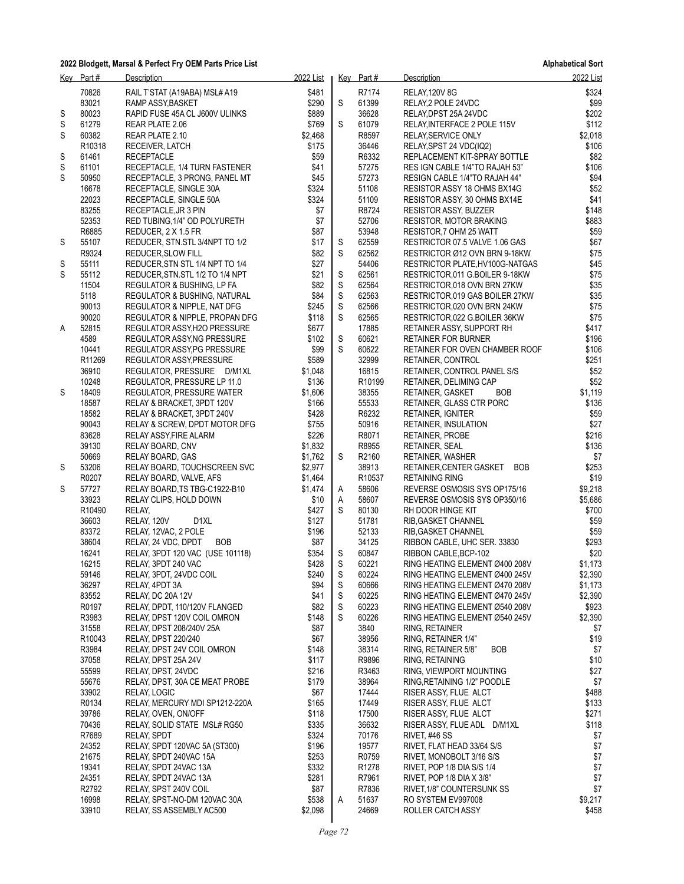|   | Key Part#          | Description                       | 2022 List |             | Key Part#          | Description                           | 2022 List |
|---|--------------------|-----------------------------------|-----------|-------------|--------------------|---------------------------------------|-----------|
|   | 70826              | RAIL T'STAT (A19ABA) MSL#A19      | \$481     |             | R7174              | <b>RELAY, 120V 8G</b>                 | \$324     |
|   | 83021              | RAMP ASSY, BASKET                 | \$290     | S           | 61399              | RELAY, 2 POLE 24VDC                   | \$99      |
| S | 80023              | RAPID FUSE 45A CL J600V ULINKS    | \$889     |             | 36628              | RELAY DPST 25A 24VDC                  | \$202     |
| S | 61279              | REAR PLATE 2.06                   | \$769     | S           | 61079              | RELAY, INTERFACE 2 POLE 115V          | \$112     |
| S | 60382              | REAR PLATE 2.10                   | \$2,468   |             | R8597              | RELAY, SERVICE ONLY                   | \$2,018   |
|   | R <sub>10318</sub> | RECEIVER, LATCH                   | \$175     |             | 36446              | RELAY, SPST 24 VDC(IQ2)               | \$106     |
| S | 61461              | <b>RECEPTACLE</b>                 | \$59      |             | R6332              | REPLACEMENT KIT-SPRAY BOTTLE          | \$82      |
| S | 61101              | RECEPTACLE, 1/4 TURN FASTENER     | \$41      |             | 57275              | RES IGN CABLE 1/4"TO RAJAH 53"        | \$106     |
| S | 50950              | RECEPTACLE, 3 PRONG, PANEL MT     | \$45      |             | 57273              | RESIGN CABLE 1/4"TO RAJAH 44"         | \$94      |
|   | 16678              | RECEPTACLE, SINGLE 30A            | \$324     |             | 51108              | RESISTOR ASSY 18 OHMS BX14G           | \$52      |
|   | 22023              | RECEPTACLE, SINGLE 50A            | \$324     |             | 51109              | RESISTOR ASSY, 30 OHMS BX14E          | \$41      |
|   | 83255              | RECEPTACLE, JR 3 PIN              | \$7       |             | R8724              | RESISTOR ASSY, BUZZER                 | \$148     |
|   | 52353              | RED TUBING, 1/4" OD POLYURETH     | \$7       |             | 52706              | <b>RESISTOR, MOTOR BRAKING</b>        | \$883     |
|   | R6885              | REDUCER, 2 X 1.5 FR               | \$87      |             | 53948              | RESISTOR, 7 OHM 25 WATT               | \$59      |
| S | 55107              | REDUCER, STN.STL 3/4NPT TO 1/2    | \$17      | S           | 62559              | RESTRICTOR 07.5 VALVE 1.06 GAS        | \$67      |
|   | R9324              | REDUCER, SLOW FILL                | \$82      | S           | 62562              | RESTRICTOR Ø12 OVN BRN 9-18KW         | \$75      |
| S | 55111              | REDUCER, STN STL 1/4 NPT TO 1/4   | \$27      |             | 54406              | RESTRICTOR PLATE, HV100G-NATGAS       | \$45      |
| S | 55112              | REDUCER, STN.STL 1/2 TO 1/4 NPT   | \$21      | S           | 62561              | RESTRICTOR, 011 G.BOILER 9-18KW       | \$75      |
|   | 11504              | REGULATOR & BUSHING, LP FA        | \$82      | S           | 62564              | RESTRICTOR,018 OVN BRN 27KW           | \$35      |
|   | 5118               | REGULATOR & BUSHING, NATURAL      | \$84      | S           | 62563              | RESTRICTOR 019 GAS BOILER 27KW        | \$35      |
|   | 90013              | REGULATOR & NIPPLE, NAT DFG       | \$245     | $\mathsf S$ | 62566              | RESTRICTOR,020 OVN BRN 24KW           | \$75      |
|   | 90020              | REGULATOR & NIPPLE, PROPAN DFG    | \$118     | S           | 62565              | RESTRICTOR, 022 G.BOILER 36KW         | \$75      |
| Α | 52815              | REGULATOR ASSY, H2O PRESSURE      | \$677     |             | 17885              | RETAINER ASSY, SUPPORT RH             | \$417     |
|   | 4589               | REGULATOR ASSY, NG PRESSURE       | \$102     | S           | 60621              | <b>RETAINER FOR BURNER</b>            | \$196     |
|   | 10441              | REGULATOR ASSY, PG PRESSURE       | \$99      | S           | 60622              | RETAINER FOR OVEN CHAMBER ROOF        | \$106     |
|   | R <sub>11269</sub> | REGULATOR ASSY, PRESSURE          | \$589     |             | 32999              | RETAINER, CONTROL                     | \$251     |
|   | 36910              | REGULATOR, PRESSURE D/M1XL        | \$1,048   |             | 16815              | RETAINER, CONTROL PANEL S/S           | \$52      |
|   | 10248              | REGULATOR, PRESSURE LP 11.0       | \$136     |             | R <sub>10199</sub> | RETAINER, DELIMING CAP                | \$52      |
| S | 18409              | REGULATOR, PRESSURE WATER         | \$1,606   |             | 38355              | RETAINER, GASKET<br><b>BOB</b>        | \$1,119   |
|   | 18587              | RELAY & BRACKET, 3PDT 120V        | \$166     |             | 55533              | RETAINER, GLASS CTR PORC              | \$136     |
|   | 18582              | RELAY & BRACKET, 3PDT 240V        | \$428     |             | R6232              | RETAINER, IGNITER                     | \$59      |
|   | 90043              | RELAY & SCREW, DPDT MOTOR DFG     | \$755     |             | 50916              | RETAINER, INSULATION                  | \$27      |
|   | 83628              | RELAY ASSY, FIRE ALARM            | \$226     |             | R8071              | RETAINER, PROBE                       | \$216     |
|   | 39130              | RELAY BOARD, CNV                  | \$1,832   |             | R8955              | RETAINER, SEAL                        | \$136     |
|   | 50669              | RELAY BOARD, GAS                  | \$1,762   | S           | R2160              | RETAINER, WASHER                      | \$7       |
| S | 53206              | RELAY BOARD, TOUCHSCREEN SVC      | \$2,977   |             | 38913              | RETAINER, CENTER GASKET<br><b>BOB</b> | \$253     |
|   | R0207              | RELAY BOARD, VALVE, AFS           | \$1,464   |             | R10537             | <b>RETAINING RING</b>                 | \$19      |
| S | 57727              | RELAY BOARD, TS TBG-C1922-B10     | \$1,474   | A           | 58606              | REVERSE OSMOSIS SYS OP175/16          | \$9,218   |
|   | 33923              | RELAY CLIPS, HOLD DOWN            | \$10      | A           | 58607              | REVERSE OSMOSIS SYS OP350/16          | \$5,686   |
|   | R10490             | RELAY,                            | \$427     | S           | 80130              | RH DOOR HINGE KIT                     | \$700     |
|   | 36603              | RELAY, 120V<br>D <sub>1XL</sub>   | \$127     |             | 51781              | RIB, GASKET CHANNEL                   | \$59      |
|   | 83372              | RELAY, 12VAC, 2 POLE              | \$196     |             | 52133              | RIB, GASKET CHANNEL                   | \$59      |
|   | 38604              | RELAY, 24 VDC, DPDT<br><b>BOB</b> | \$87      |             | 34125              | RIBBON CABLE, UHC SER. 33830          | \$293     |
|   | 16241              | RELAY, 3PDT 120 VAC (USE 101118)  | \$354     | S           | 60847              | RIBBON CABLE, BCP-102                 | \$20      |
|   | 16215              | RELAY, 3PDT 240 VAC               | \$428     | S           | 60221              | RING HEATING ELEMENT Ø400 208V        | \$1,173   |
|   | 59146              | RELAY, 3PDT, 24VDC COIL           | \$240     | $\mathbb S$ | 60224              | RING HEATING ELEMENT Ø400 245V        | \$2,390   |
|   | 36297              | RELAY, 4PDT 3A                    | \$94      | $\mathbb S$ | 60666              | RING HEATING ELEMENT Ø470 208V        | \$1,173   |
|   | 83552              | RELAY, DC 20A 12V                 | \$41      | ${\sf S}$   | 60225              | RING HEATING ELEMENT Ø470 245V        | \$2,390   |
|   | R0197              | RELAY, DPDT, 110/120V FLANGED     | \$82      | S           | 60223              | RING HEATING ELEMENT Ø540 208V        | \$923     |
|   | R3983              | RELAY, DPST 120V COIL OMRON       | \$148     | S           | 60226              | RING HEATING ELEMENT Ø540 245V        | \$2,390   |
|   | 31558              | RELAY, DPST 208/240V 25A          | \$87      |             | 3840               | RING, RETAINER                        | \$7       |
|   | R10043             | RELAY, DPST 220/240               | \$67      |             | 38956              | RING, RETAINER 1/4"                   | \$19      |
|   | R3984              | RELAY, DPST 24V COIL OMRON        | \$148     |             | 38314              | RING, RETAINER 5/8"<br><b>BOB</b>     | \$7       |
|   | 37058              | RELAY, DPST 25A 24V               | \$117     |             | R9896              | RING, RETAINING                       | \$10      |
|   | 55599              | RELAY, DPST, 24VDC                | \$216     |             | R3463              | RING, VIEWPORT MOUNTING               | \$27      |
|   | 55676              | RELAY, DPST, 30A CE MEAT PROBE    | \$179     |             | 38964              | RING, RETAINING 1/2" POODLE           | \$7       |
|   | 33902              | RELAY, LOGIC                      | \$67      |             | 17444              | RISER ASSY, FLUE ALCT                 | \$488     |
|   | R0134              | RELAY, MERCURY MDI SP1212-220A    | \$165     |             | 17449              | RISER ASSY, FLUE ALCT                 | \$133     |
|   | 39786              | RELAY, OVEN, ON/OFF               | \$118     |             | 17500              | RISER ASSY, FLUE ALCT                 | \$271     |
|   | 70436              | RELAY, SOLID STATE MSL# RG50      | \$335     |             | 36632              | RISER ASSY, FLUE ADL D/M1XL           | \$118     |
|   | R7689              | <b>RELAY, SPDT</b>                | \$324     |             | 70176              | RIVET, #46 SS                         | \$7       |
|   | 24352              | RELAY, SPDT 120VAC 5A (ST300)     | \$196     |             | 19577              | RIVET, FLAT HEAD 33/64 S/S            | \$7       |
|   | 21675              | RELAY, SPDT 240VAC 15A            | \$253     |             | R0759              | RIVET, MONOBOLT 3/16 S/S              | \$7       |
|   | 19341              | RELAY, SPDT 24VAC 13A             | \$332     |             | R1278              | RIVET, POP 1/8 DIA S/S 1/4            | \$7       |
|   | 24351              | RELAY, SPDT 24VAC 13A             | \$281     |             | R7961              | RIVET, POP 1/8 DIA X 3/8"             | \$7       |
|   | R2792              | RELAY, SPST 240V COIL             | \$87      |             | R7836              | RIVET, 1/8" COUNTERSUNK SS            | \$7       |
|   | 16998              | RELAY, SPST-NO-DM 120VAC 30A      | \$538     | Α           | 51637              | RO SYSTEM EV997008                    | \$9,217   |
|   | 33910              | RELAY, SS ASSEMBLY AC500          | \$2,098   |             | 24669              | ROLLER CATCH ASSY                     | \$458     |
|   |                    |                                   |           |             |                    |                                       |           |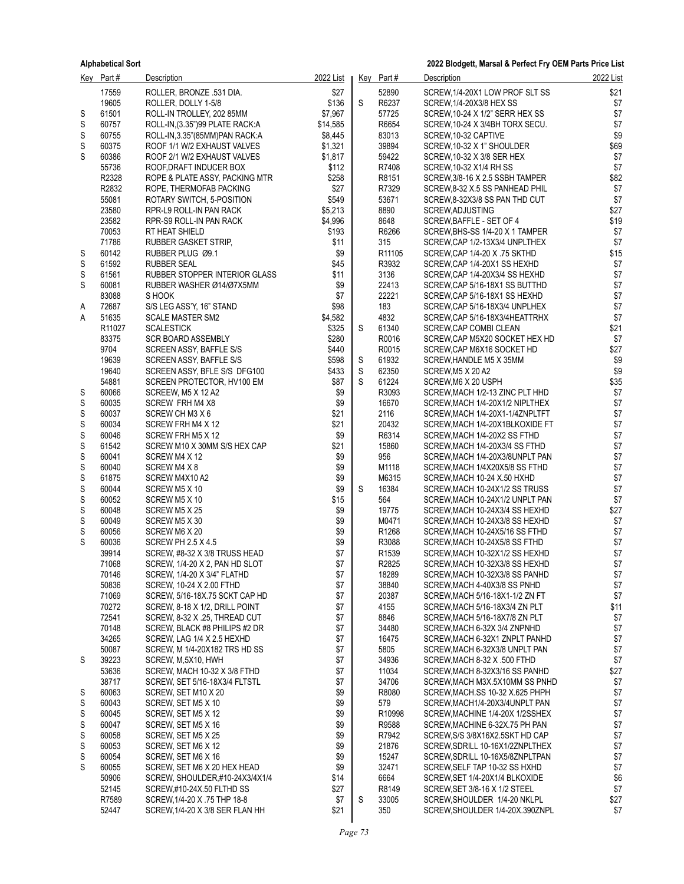|             | $Key$ Part #   | Description                                                     | 2022 List     |                  | $Key$ Part#                            | Description                                                      | 2022 List    |
|-------------|----------------|-----------------------------------------------------------------|---------------|------------------|----------------------------------------|------------------------------------------------------------------|--------------|
|             | 17559          | ROLLER, BRONZE .531 DIA.                                        | \$27          |                  | 52890                                  | SCREW, 1/4-20X1 LOW PROF SLT SS                                  | \$21         |
|             | 19605          | ROLLER, DOLLY 1-5/8                                             | \$136         | S                | R6237                                  | SCREW, 1/4-20X3/8 HEX SS                                         | \$7          |
| S           | 61501          | ROLL-IN TROLLEY, 202 85MM                                       | \$7,967       |                  | 57725                                  | SCREW, 10-24 X 1/2" SERR HEX SS                                  | \$7          |
| S           | 60757          | ROLL-IN, (3.35") 99 PLATE RACK: A                               | \$14,585      |                  | R6654                                  | SCREW, 10-24 X 3/4BH TORX SECU.                                  | $$7$         |
| S           | 60755          | ROLL-IN, 3.35" (85MM) PAN RACK: A                               | \$8.445       |                  | 83013                                  | SCREW 10-32 CAPTIVE                                              | \$9          |
| S           | 60375          | ROOF 1/1 W/2 EXHAUST VALVES                                     | \$1,321       |                  | 39894                                  | SCREW, 10-32 X 1" SHOULDER                                       | \$69         |
| S           | 60386          | ROOF 2/1 W/2 EXHAUST VALVES                                     | \$1,817       |                  | 59422                                  | SCREW, 10-32 X 3/8 SER HEX                                       | \$7          |
|             | 55736          | ROOF, DRAFT INDUCER BOX                                         | \$112         |                  | R7408                                  | SCREW, 10-32 X1/4 RH SS                                          | \$7          |
|             | R2328          | ROPE & PLATE ASSY, PACKING MTR                                  | \$258         |                  | R8151<br>R7329                         | SCREW, 3/8-16 X 2.5 SSBH TAMPER                                  | \$82<br>$$7$ |
|             | R2832<br>55081 | ROPE, THERMOFAB PACKING                                         | \$27<br>\$549 |                  | 53671                                  | SCREW 8-32 X.5 SS PANHEAD PHIL                                   | $$7$         |
|             | 23580          | ROTARY SWITCH, 5-POSITION<br>RPR-L9 ROLL-IN PAN RACK            | \$5,213       |                  | 8890                                   | SCREW, 8-32X3/8 SS PAN THD CUT<br>SCREW, ADJUSTING               | \$27         |
|             | 23582          | RPR-S9 ROLL-IN PAN RACK                                         | \$4,996       |                  | 8648                                   | SCREW, BAFFLE - SET OF 4                                         | \$19         |
|             | 70053          | RT HEAT SHIELD                                                  | \$193         |                  | R6266                                  | SCREW, BHS-SS 1/4-20 X 1 TAMPER                                  | \$7          |
|             | 71786          | RUBBER GASKET STRIP,                                            | \$11          |                  | 315                                    | SCREW, CAP 1/2-13X3/4 UNPLTHEX                                   | \$7          |
| S           | 60142          | RUBBER PLUG Ø9.1                                                | \$9           |                  | R <sub>11105</sub>                     | SCREW, CAP 1/4-20 X .75 SKTHD                                    | \$15         |
| S           | 61592          | RUBBER SEAL                                                     | \$45          |                  | R3932                                  | SCREW, CAP 1/4-20X1 SS HEXHD                                     | \$7          |
| S           | 61561          | RUBBER STOPPER INTERIOR GLASS                                   | \$11          |                  | 3136                                   | SCREW, CAP 1/4-20X3/4 SS HEXHD                                   | \$7          |
| S           | 60081          | RUBBER WASHER Ø14/Ø7X5MM                                        | \$9           |                  | 22413                                  | SCREW, CAP 5/16-18X1 SS BUTTHD                                   | $$7$         |
|             | 83088          | S HOOK                                                          | \$7           |                  | 22221                                  | SCREW, CAP 5/16-18X1 SS HEXHD                                    | \$7          |
| A           | 72687          | S/S LEG ASS'Y, 16" STAND                                        | \$98          |                  | 183                                    | SCREW, CAP 5/16-18X3/4 UNPLHEX                                   | $$7\,$       |
| Α           | 51635          | <b>SCALE MASTER SM2</b>                                         | \$4,582       |                  | 4832                                   | SCREW, CAP 5/16-18X3/4HEATTRHX                                   | \$7          |
|             | R11027         | <b>SCALESTICK</b>                                               | \$325         | S                | 61340                                  | SCREW, CAP COMBI CLEAN                                           | \$21         |
|             | 83375          | <b>SCR BOARD ASSEMBLY</b>                                       | \$280         |                  | R0016                                  | SCREW, CAP M5X20 SOCKET HEX HD                                   | \$7          |
|             | 9704           | SCREEN ASSY, BAFFLE S/S                                         | \$440         |                  | R0015                                  | SCREW CAP M6X16 SOCKET HD                                        | \$27         |
|             | 19639          | SCREEN ASSY, BAFFLE S/S                                         | \$598         | S                | 61932                                  | SCREW, HANDLE M5 X 35MM                                          | \$9<br>\$9   |
|             | 19640          | SCREEN ASSY, BFLE S/S DFG100                                    | \$433         | $\mathbb S$<br>S | 62350<br>61224                         | SCREW, M5 X 20 A2                                                |              |
| S           | 54881<br>60066 | SCREEN PROTECTOR, HV100 EM<br>SCREEW, M5 X 12 A2                | \$87<br>\$9   |                  | R3093                                  | SCREW, M6 X 20 USPH<br>SCREW, MACH 1/2-13 ZINC PLT HHD           | \$35<br>\$7  |
| S           | 60035          | SCREW FRH M4 X8                                                 | \$9           |                  | 16670                                  | SCREW, MACH 1/4-20X1/2 NIPLTHEX                                  | \$7          |
| S           | 60037          | SCREW CH M3 X 6                                                 | \$21          |                  | 2116                                   | SCREW, MACH 1/4-20X1-1/4ZNPLTFT                                  | $$7$         |
| S           | 60034          | SCREW FRH M4 X 12                                               | \$21          |                  | 20432                                  | SCREW, MACH 1/4-20X1BLKOXIDE FT                                  | \$7          |
| S           | 60046          | SCREW FRH M5 X 12                                               | \$9           |                  | R6314                                  | SCREW, MACH 1/4-20X2 SS FTHD                                     | $$7$         |
| S           | 61542          | SCREW M10 X 30MM S/S HEX CAP                                    | \$21          |                  | 15860                                  | SCREW, MACH 1/4-20X3/4 SS FTHD                                   | $$7$         |
| $\mathbb S$ | 60041          | SCREW M4 X 12                                                   | \$9           |                  | 956                                    | SCREW, MACH 1/4-20X3/8UNPLT PAN                                  | \$7          |
| S           | 60040          | SCREW M4 X 8                                                    | \$9           |                  | M1118                                  | SCREW, MACH 1/4X20X5/8 SS FTHD                                   | $$7$         |
| S           | 61875          | SCREW M4X10 A2                                                  | \$9           |                  | M6315                                  | SCREW, MACH 10-24 X.50 HXHD                                      | \$7          |
| S           | 60044          | SCREW M5 X 10                                                   | \$9           | S                | 16384                                  | SCREW, MACH 10-24X1/2 SS TRUSS                                   | $$7$         |
| S           | 60052          | SCREW M5 X 10                                                   | \$15          |                  | 564                                    | SCREW, MACH 10-24X1/2 UNPLT PAN                                  | \$7          |
| S           | 60048          | SCREW M5 X 25                                                   | \$9           |                  | 19775                                  | SCREW, MACH 10-24X3/4 SS HEXHD                                   | \$27         |
| S           | 60049          | SCREW M5 X 30                                                   | \$9           |                  | M0471                                  | SCREW, MACH 10-24X3/8 SS HEXHD                                   | \$7          |
| S           | 60056          | SCREW M6 X 20                                                   | \$9           |                  | R1268                                  | SCREW, MACH 10-24X5/16 SS FTHD                                   | \$7          |
| S           | 60036<br>39914 | <b>SCREW PH 2.5 X 4.5</b>                                       | \$9<br>\$7    |                  | R3088                                  | SCREW, MACH 10-24X5/8 SS FTHD                                    | \$7          |
|             | 71068          | SCREW, #8-32 X 3/8 TRUSS HEAD<br>SCREW, 1/4-20 X 2, PAN HD SLOT | \$7           |                  | R <sub>1539</sub><br>R <sub>2825</sub> | SCREW, MACH 10-32X1/2 SS HEXHD                                   | $$7$<br>\$7  |
|             | 70146          | SCREW, 1/4-20 X 3/4" FLATHD                                     | \$7           |                  | 18289                                  | SCREW, MACH 10-32X3/8 SS HEXHD<br>SCREW, MACH 10-32X3/8 SS PANHD | \$7          |
|             | 50836          | SCREW, 10-24 X 2.00 FTHD                                        | \$7           |                  | 38840                                  | SCREW, MACH 4-40X3/8 SS PNHD                                     | \$7          |
|             | 71069          | SCREW, 5/16-18X.75 SCKT CAP HD                                  | \$7           |                  | 20387                                  | SCREW, MACH 5/16-18X1-1/2 ZN FT                                  | \$7          |
|             | 70272          | SCREW, 8-18 X 1/2, DRILL POINT                                  | \$7           |                  | 4155                                   | SCREW, MACH 5/16-18X3/4 ZN PLT                                   | \$11         |
|             | 72541          | SCREW, 8-32 X .25, THREAD CUT                                   | \$7           |                  | 8846                                   | SCREW, MACH 5/16-18X7/8 ZN PLT                                   | \$7          |
|             | 70148          | SCREW, BLACK #8 PHILIPS #2 DR                                   | \$7           |                  | 34480                                  | SCREW, MACH 6-32X 3/4 ZNPNHD                                     | \$7          |
|             | 34265          | SCREW, LAG 1/4 X 2.5 HEXHD                                      | \$7           |                  | 16475                                  | SCREW, MACH 6-32X1 ZNPLT PANHD                                   | \$7          |
|             | 50087          | SCREW, M 1/4-20X182 TRS HD SS                                   | \$7           |                  | 5805                                   | SCREW, MACH 6-32X3/8 UNPLT PAN                                   | \$7          |
| S           | 39223          | SCREW, M,5X10, HWH                                              | \$7           |                  | 34936                                  | SCREW, MACH 8-32 X .500 FTHD                                     | \$7          |
|             | 53636          | SCREW, MACH 10-32 X 3/8 FTHD                                    | \$7           |                  | 11034                                  | SCREW, MACH 8-32X3/16 SS PANHD                                   | \$27         |
|             | 38717          | SCREW, SET 5/16-18X3/4 FLTSTL                                   | \$7           |                  | 34706                                  | SCREW, MACH M3X.5X10MM SS PNHD                                   | \$7          |
| S           | 60063          | SCREW, SET M10 X 20                                             | \$9           |                  | R8080                                  | SCREW, MACH.SS 10-32 X.625 PHPH                                  | \$7          |
| S           | 60043          | SCREW, SET M5 X 10                                              | \$9           |                  | 579                                    | SCREW, MACH1/4-20X3/4UNPLT PAN                                   | \$7          |
| S           | 60045          | SCREW, SET M5 X 12                                              | \$9           |                  | R10998                                 | SCREW, MACHINE 1/4-20X 1/2SSHEX                                  | \$7          |
| S           | 60047          | SCREW, SET M5 X 16                                              | \$9           |                  | R9588                                  | SCREW, MACHINE 6-32X.75 PH PAN                                   | \$7          |
| S           | 60058          | SCREW, SET M5 X 25                                              | \$9           |                  | R7942                                  | SCREW, S/S 3/8X16X2.5SKT HD CAP                                  | \$7          |
| S           | 60053          | SCREW, SET M6 X 12                                              | \$9           |                  | 21876                                  | SCREW, SDRILL 10-16X1/2ZNPLTHEX                                  | \$7          |
| S<br>S      | 60054<br>60055 | SCREW, SET M6 X 16<br>SCREW, SET M6 X 20 HEX HEAD               | \$9<br>\$9    |                  | 15247<br>32471                         | SCREW, SDRILL 10-16X5/8ZNPLTPAN<br>SCREW, SELF TAP 10-32 SS HXHD | \$7<br>\$7   |
|             | 50906          | SCREW, SHOULDER,#10-24X3/4X1/4                                  | \$14          |                  | 6664                                   | SCREW, SET 1/4-20X1/4 BLKOXIDE                                   | \$6          |
|             | 52145          | SCREW,#10-24X.50 FLTHD SS                                       | \$27          |                  | R8149                                  | SCREW, SET 3/8-16 X 1/2 STEEL                                    | \$7          |
|             | R7589          | SCREW, 1/4-20 X .75 THP 18-8                                    | \$7           | S                | 33005                                  | SCREW, SHOULDER 1/4-20 NKLPL                                     | \$27         |
|             | 52447          | SCREW, 1/4-20 X 3/8 SER FLAN HH                                 | \$21          |                  | 350                                    | SCREW, SHOULDER 1/4-20X.390ZNPL                                  | \$7          |
|             |                |                                                                 |               |                  |                                        |                                                                  |              |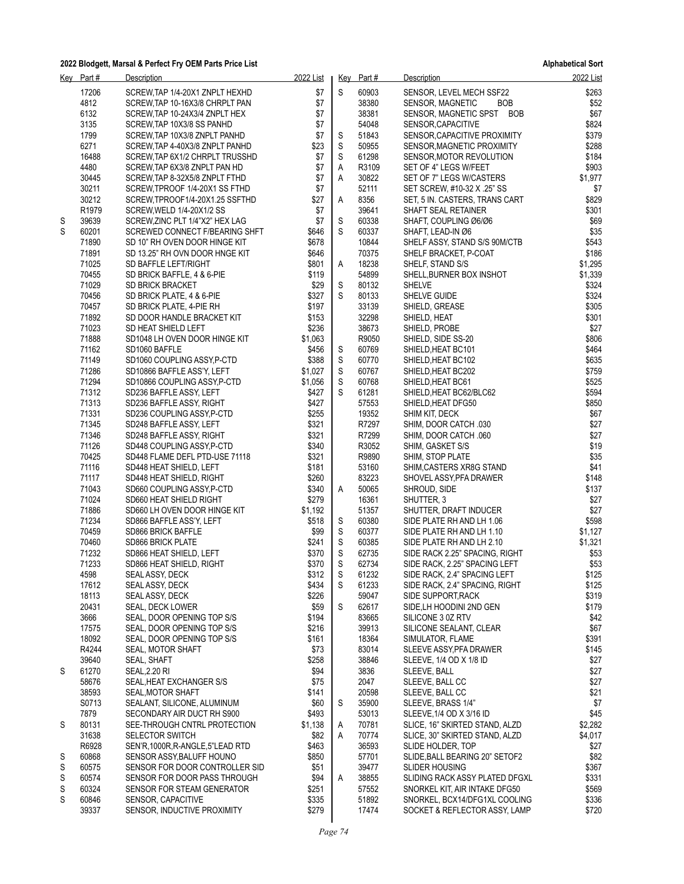**Alphabetical Sort**

|   | Key Part#      | Description                                                 | 2022 List        |             | Key Part#      | Description                                      | 2022 List      |
|---|----------------|-------------------------------------------------------------|------------------|-------------|----------------|--------------------------------------------------|----------------|
|   | 17206          | SCREW, TAP 1/4-20X1 ZNPLT HEXHD                             | \$7              | S           | 60903          | SENSOR, LEVEL MECH SSF22                         | \$263          |
|   | 4812           | SCREW, TAP 10-16X3/8 CHRPLT PAN                             | \$7              |             | 38380          | <b>BOB</b><br>SENSOR, MAGNETIC                   | \$52           |
|   | 6132           | SCREW, TAP 10-24X3/4 ZNPLT HEX                              | \$7              |             | 38381          | SENSOR, MAGNETIC SPST BOB                        | \$67           |
|   | 3135           | SCREW, TAP 10X3/8 SS PANHD                                  | \$7              |             | 54048          | SENSOR, CAPACITIVE                               | \$824          |
|   | 1799           | SCREW, TAP 10X3/8 ZNPLT PANHD                               | \$7              | S           | 51843          | SENSOR, CAPACITIVE PROXIMITY                     | \$379          |
|   | 6271           | SCREW, TAP 4-40X3/8 ZNPLT PANHD                             | \$23             | $\mathbb S$ | 50955          | SENSOR, MAGNETIC PROXIMITY                       | \$288          |
|   | 16488          | SCREW, TAP 6X1/2 CHRPLT TRUSSHD                             | \$7              | S           | 61298          | SENSOR, MOTOR REVOLUTION                         | \$184          |
|   | 4480           | SCREW, TAP 6X3/8 ZNPLT PAN HD                               | \$7              | A           | R3109          | SET OF 4" LEGS W/FEET                            | \$903          |
|   | 30445          | SCREW, TAP 8-32X5/8 ZNPLT FTHD                              | \$7              | Α           | 30822          | SET OF 7" LEGS W/CASTERS                         | \$1,977        |
|   | 30211          | SCREW, TPROOF 1/4-20X1 SS FTHD                              | \$7              |             | 52111          | SET SCREW, #10-32 X .25" SS                      | \$7            |
|   | 30212          | SCREW, TPROOF 1/4-20X1.25 SSFTHD                            | \$27             | Α           | 8356           | SET, 5 IN. CASTERS, TRANS CART                   | \$829          |
|   | R1979          | SCREW, WELD 1/4-20X1/2 SS                                   | \$7              |             | 39641          | SHAFT SEAL RETAINER                              | \$301          |
| S | 39639          | SCREW, ZINC PLT 1/4"X2" HEX LAG                             | \$7              | S           | 60338          | SHAFT, COUPLING Ø6/Ø6                            | \$69           |
| S | 60201          | SCREWED CONNECT F/BEARING SHFT                              | \$646            | S           | 60337          | SHAFT, LEAD-IN Ø6                                | \$35           |
|   | 71890<br>71891 | SD 10" RH OVEN DOOR HINGE KIT                               | \$678<br>\$646   |             | 10844<br>70375 | SHELF ASSY, STAND S/S 90M/CTB                    | \$543<br>\$186 |
|   | 71025          | SD 13.25" RH OVN DOOR HNGE KIT<br>SD BAFFLE LEFT/RIGHT      | \$801            | Α           | 18238          | SHELF BRACKET, P-COAT<br>SHELF, STAND S/S        | \$1,295        |
|   | 70455          | SD BRICK BAFFLE, 4 & 6-PIE                                  | \$119            |             | 54899          | SHELL, BURNER BOX INSHOT                         | \$1,339        |
|   | 71029          | <b>SD BRICK BRACKET</b>                                     | \$29             | S           | 80132          | <b>SHELVE</b>                                    | \$324          |
|   | 70456          | SD BRICK PLATE, 4 & 6-PIE                                   | \$327            | S           | 80133          | SHELVE GUIDE                                     | \$324          |
|   | 70457          | SD BRICK PLATE, 4-PIE RH                                    | \$197            |             | 33139          | SHIELD, GREASE                                   | \$305          |
|   | 71892          | SD DOOR HANDLE BRACKET KIT                                  | \$153            |             | 32298          | SHIELD, HEAT                                     | \$301          |
|   | 71023          | SD HEAT SHIELD LEFT                                         | \$236            |             | 38673          | SHIELD, PROBE                                    | \$27           |
|   | 71888          | SD1048 LH OVEN DOOR HINGE KIT                               | \$1,063          |             | R9050          | SHIELD, SIDE SS-20                               | \$806          |
|   | 71162          | SD1060 BAFFLE                                               | \$456            | S           | 60769          | SHIELD, HEAT BC101                               | \$464          |
|   | 71149          | SD1060 COUPLING ASSY P-CTD                                  | \$388            | S           | 60770          | SHIELD, HEAT BC102                               | \$635          |
|   | 71286          | SD10866 BAFFLE ASS'Y, LEFT                                  | \$1,027          | S           | 60767          | SHIELD, HEAT BC202                               | \$759          |
|   | 71294          | SD10866 COUPLING ASSY P-CTD                                 | \$1,056          | S           | 60768          | SHIELD, HEAT BC61                                | \$525          |
|   | 71312          | SD236 BAFFLE ASSY, LEFT                                     | \$427            | S           | 61281          | SHIELD, HEAT BC62/BLC62                          | \$594          |
|   | 71313          | SD236 BAFFLE ASSY, RIGHT                                    | \$427            |             | 57553          | SHIELD, HEAT DFG50                               | \$850          |
|   | 71331          | SD236 COUPLING ASSY P-CTD                                   | \$255            |             | 19352          | SHIM KIT, DECK                                   | \$67           |
|   | 71345          | SD248 BAFFLE ASSY, LEFT                                     | \$321            |             | R7297          | SHIM, DOOR CATCH .030                            | \$27           |
|   | 71346          | SD248 BAFFLE ASSY, RIGHT                                    | \$321            |             | R7299          | SHIM, DOOR CATCH .060                            | \$27           |
|   | 71126          | SD448 COUPLING ASSY, P-CTD                                  | \$340            |             | R3052          | SHIM, GASKET S/S                                 | \$19           |
|   | 70425          | SD448 FLAME DEFL PTD-USE 71118                              | \$321            |             | R9890          | SHIM, STOP PLATE                                 | \$35           |
|   | 71116          | SD448 HEAT SHIELD, LEFT                                     | \$181            |             | 53160          | SHIM, CASTERS XR8G STAND                         | \$41           |
|   | 71117          | SD448 HEAT SHIELD, RIGHT                                    | \$260            |             | 83223          | SHOVEL ASSY, PFA DRAWER                          | \$148          |
|   | 71043          | SD660 COUPLING ASSY, P-CTD                                  | \$340            | A           | 50065          | SHROUD, SIDE                                     | \$137          |
|   | 71024<br>71886 | SD660 HEAT SHIELD RIGHT                                     | \$279<br>\$1,192 |             | 16361<br>51357 | SHUTTER, 3<br>SHUTTER, DRAFT INDUCER             | \$27<br>\$27   |
|   | 71234          | SD660 LH OVEN DOOR HINGE KIT<br>SD866 BAFFLE ASS'Y, LEFT    | \$518            | S           | 60380          | SIDE PLATE RH AND LH 1.06                        | \$598          |
|   | 70459          | SD866 BRICK BAFFLE                                          | \$99             | S           | 60377          | SIDE PLATE RH AND LH 1.10                        | \$1,127        |
|   | 70460          | SD866 BRICK PLATE                                           | \$241            | S           | 60385          | SIDE PLATE RH AND LH 2.10                        | \$1,321        |
|   | 71232          | SD866 HEAT SHIELD, LEFT                                     | \$370            | S           | 62735          | SIDE RACK 2.25" SPACING, RIGHT                   | \$53           |
|   | 71233          | SD866 HEAT SHIELD, RIGHT                                    | \$370            | $\mathsf S$ | 62734          | SIDE RACK, 2.25" SPACING LEFT                    | \$53           |
|   | 4598           | SEAL ASSY, DECK                                             | \$312            | $\mathsf S$ | 61232          | SIDE RACK, 2.4" SPACING LEFT                     | \$125          |
|   | 17612          | SEAL ASSY, DECK                                             | \$434            | S           | 61233          | SIDE RACK, 2.4" SPACING, RIGHT                   | \$125          |
|   | 18113          | SEAL ASSY, DECK                                             | \$226            |             | 59047          | SIDE SUPPORT, RACK                               | \$319          |
|   | 20431          | <b>SEAL, DECK LOWER</b>                                     | \$59             | S           | 62617          | SIDE, LH HOODINI 2ND GEN                         | \$179          |
|   | 3666           | SEAL, DOOR OPENING TOP S/S                                  | \$194            |             | 83665          | SILICONE 3 0Z RTV                                | \$42           |
|   | 17575          | SEAL, DOOR OPENING TOP S/S                                  | \$216            |             | 39913          | SILICONE SEALANT, CLEAR                          | \$67           |
|   | 18092          | SEAL, DOOR OPENING TOP S/S                                  | \$161            |             | 18364          | SIMULATOR, FLAME                                 | \$391          |
|   | R4244          | <b>SEAL, MOTOR SHAFT</b>                                    | \$73             |             | 83014          | SLEEVE ASSY PFA DRAWER                           | \$145          |
|   | 39640          | SEAL, SHAFT                                                 | \$258            |             | 38846          | SLEEVE, 1/4 OD X 1/8 ID                          | \$27           |
| S | 61270          | <b>SEAL, 2.20 RI</b>                                        | \$94             |             | 3836           | SLEEVE, BALL                                     | \$27           |
|   | 58676          | SEAL, HEAT EXCHANGER S/S                                    | \$75             |             | 2047           | SLEEVE, BALL CC                                  | \$27           |
|   | 38593          | SEAL, MOTOR SHAFT                                           | \$141            |             | 20598          | SLEEVE, BALL CC                                  | \$21           |
|   | S0713          | SEALANT, SILICONE, ALUMINUM                                 | \$60             | S           | 35900          | SLEEVE, BRASS 1/4"                               | \$7            |
|   | 7879           | SECONDARY AIR DUCT RH S900                                  | \$493            |             | 53013          | SLEEVE, 1/4 OD X 3/16 ID                         | \$45           |
| S | 80131          | SEE-THROUGH CNTRL PROTECTION                                | \$1,138          | A           | 70781          | SLICE, 16" SKIRTED STAND, ALZD                   | \$2,282        |
|   | 31638          | <b>SELECTOR SWITCH</b>                                      | \$82             | Α           | 70774          | SLICE, 30" SKIRTED STAND, ALZD                   | \$4,017        |
| S | R6928<br>60868 | SEN'R, 1000R, R-ANGLE, 5"LEAD RTD                           | \$463<br>\$850   |             | 36593<br>57701 | SLIDE HOLDER, TOP                                | \$27<br>\$82   |
| S | 60575          | SENSOR ASSY, BALUFF HOUNO<br>SENSOR FOR DOOR CONTROLLER SID | \$51             |             | 39477          | SLIDE, BALL BEARING 20" SETOF2<br>SLIDER HOUSING | \$367          |
| S | 60574          | SENSOR FOR DOOR PASS THROUGH                                | \$94             | Α           | 38855          | SLIDING RACK ASSY PLATED DFGXL                   | \$331          |
| S | 60324          | SENSOR FOR STEAM GENERATOR                                  | \$251            |             | 57552          | SNORKEL KIT, AIR INTAKE DFG50                    | \$569          |
| S | 60846          | SENSOR, CAPACITIVE                                          | \$335            |             | 51892          | SNORKEL, BCX14/DFG1XL COOLING                    | \$336          |
|   | 39337          | SENSOR, INDUCTIVE PROXIMITY                                 | \$279            |             | 17474          | SOCKET & REFLECTOR ASSY, LAMP                    | \$720          |
|   |                |                                                             |                  |             |                |                                                  |                |

*Page 74*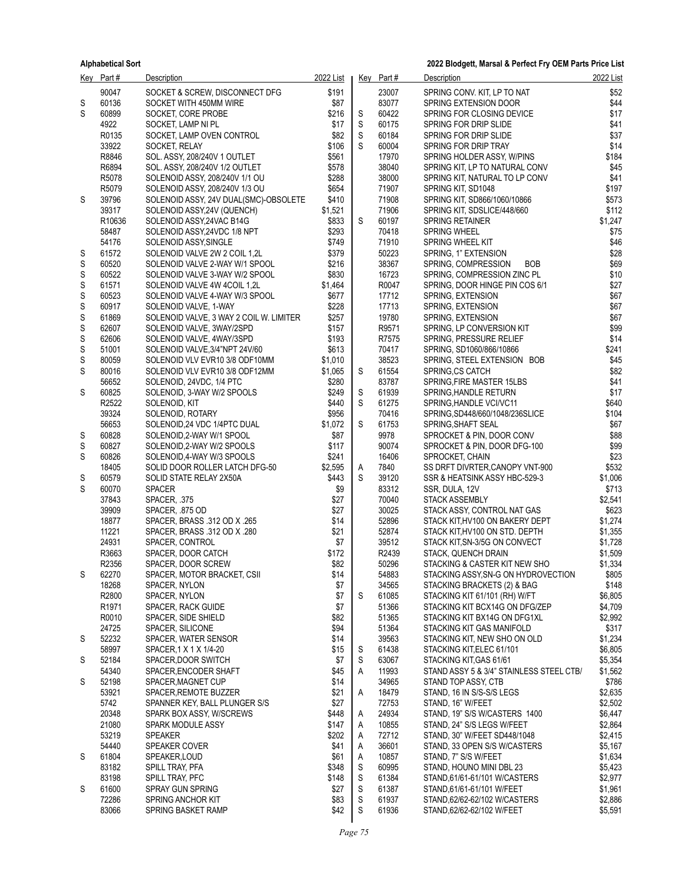|             | Key Part#                  | <b>Description</b>                                        | 2022 List        |             | Key Part#      | Description                                                     | 2022 List          |
|-------------|----------------------------|-----------------------------------------------------------|------------------|-------------|----------------|-----------------------------------------------------------------|--------------------|
|             | 90047                      | SOCKET & SCREW, DISCONNECT DFG                            | \$191            |             | 23007          | SPRING CONV. KIT, LP TO NAT                                     | \$52               |
| S           | 60136                      | SOCKET WITH 450MM WIRE                                    | \$87             |             | 83077          | SPRING EXTENSION DOOR                                           | \$44               |
| S           | 60899                      | SOCKET, CORE PROBE                                        | \$216            | S           | 60422          | SPRING FOR CLOSING DEVICE                                       | \$17               |
|             | 4922                       | SOCKET, LAMP NI PL                                        | \$17             | $\mathbb S$ | 60175          | SPRING FOR DRIP SLIDE                                           | \$41               |
|             | R0135                      | SOCKET, LAMP OVEN CONTROL                                 | \$82             | S           | 60184          | SPRING FOR DRIP SLIDE                                           | \$37               |
|             | 33922                      | SOCKET, RELAY                                             | \$106            | S           | 60004          | SPRING FOR DRIP TRAY                                            | \$14               |
|             | R8846                      | SOL. ASSY, 208/240V 1 OUTLET                              | \$561            |             | 17970          | SPRING HOLDER ASSY, W/PINS                                      | \$184              |
|             | R6894                      | SOL. ASSY, 208/240V 1/2 OUTLET                            | \$578            |             | 38040          | SPRING KIT, LP TO NATURAL CONV                                  | \$45               |
|             | R5078                      | SOLENOID ASSY, 208/240V 1/1 OU                            | \$288            |             | 38000          | SPRING KIT, NATURAL TO LP CONV                                  | \$41               |
|             | R5079                      | SOLENOID ASSY, 208/240V 1/3 OU                            | \$654            |             | 71907          | SPRING KIT, SD1048                                              | \$197              |
| S           | 39796                      | SOLENOID ASSY, 24V DUAL(SMC)-OBSOLETE                     | \$410            |             | 71908          | SPRING KIT, SD866/1060/10866                                    | \$573              |
|             | 39317<br>R10636            | SOLENOID ASSY, 24V (QUENCH)<br>SOLENOID ASSY, 24VAC B14G  | \$1,521<br>\$833 | S           | 71906<br>60197 | SPRING KIT, SDSLICE/448/660<br><b>SPRING RETAINER</b>           | \$112<br>\$1,247   |
|             | 58487                      | SOLENOID ASSY, 24VDC 1/8 NPT                              | \$293            |             | 70418          | <b>SPRING WHEEL</b>                                             | \$75               |
|             | 54176                      | SOLENOID ASSY, SINGLE                                     | \$749            |             | 71910          | SPRING WHEEL KIT                                                | \$46               |
| S           | 61572                      | SOLENOID VALVE 2W 2 COIL 1,2L                             | \$379            |             | 50223          | SPRING, 1" EXTENSION                                            | \$28               |
| S           | 60520                      | SOLENOID VALVE 2-WAY W/1 SPOOL                            | \$216            |             | 38367          | SPRING, COMPRESSION<br><b>BOB</b>                               | \$69               |
| S           | 60522                      | SOLENOID VALVE 3-WAY W/2 SPOOL                            | \$830            |             | 16723          | SPRING, COMPRESSION ZINC PL                                     | \$10               |
| S           | 61571                      | SOLENOID VALVE 4W 4COIL 1,2L                              | \$1,464          |             | R0047          | SPRING, DOOR HINGE PIN COS 6/1                                  | \$27               |
| S           | 60523                      | SOLENOID VALVE 4-WAY W/3 SPOOL                            | \$677            |             | 17712          | SPRING, EXTENSION                                               | \$67               |
| S           | 60917                      | SOLENOID VALVE, 1-WAY                                     | \$228            |             | 17713          | SPRING, EXTENSION                                               | \$67               |
| S           | 61869                      | SOLENOID VALVE, 3 WAY 2 COIL W. LIMITER                   | \$257            |             | 19780          | SPRING, EXTENSION                                               | \$67               |
| $\mathbb S$ | 62607                      | SOLENOID VALVE, 3WAY/2SPD                                 | \$157            |             | R9571          | SPRING, LP CONVERSION KIT                                       | \$99               |
| S           | 62606                      | SOLENOID VALVE, 4WAY/3SPD                                 | \$193            |             | R7575          | SPRING, PRESSURE RELIEF                                         | \$14               |
| S           | 51001                      | SOLENOID VALVE, 3/4"NPT 24V/60                            | \$613            |             | 70417          | SPRING, SD1060/866/10866                                        | \$241              |
| S           | 80059                      | SOLENOID VLV EVR10 3/8 ODF10MM                            | \$1,010          |             | 38523          | SPRING, STEEL EXTENSION BOB                                     | \$45               |
| S           | 80016                      | SOLENOID VLV EVR10 3/8 ODF12MM                            | \$1,065          | S           | 61554          | <b>SPRING.CS CATCH</b>                                          | \$82               |
|             | 56652                      | SOLENOID, 24VDC, 1/4 PTC                                  | \$280            |             | 83787          | SPRING, FIRE MASTER 15LBS                                       | \$41               |
| S           | 60825                      | SOLENOID, 3-WAY W/2 SPOOLS                                | \$249            | S           | 61939          | SPRING, HANDLE RETURN                                           | \$17               |
|             | R2522                      | SOLENOID, KIT                                             | \$440            | S           | 61275          | SPRING, HANDLE VCI/VC11                                         | \$640              |
|             | 39324<br>56653             | SOLENOID, ROTARY                                          | \$956<br>\$1,072 | S           | 70416<br>61753 | SPRING, SD448/660/1048/236SLICE<br>SPRING SHAFT SEAL            | \$104<br>\$67      |
| S           | 60828                      | SOLENOID, 24 VDC 1/4PTC DUAL<br>SOLENOID, 2-WAY W/1 SPOOL | \$87             |             | 9978           | SPROCKET & PIN, DOOR CONV                                       | \$88               |
| S           | 60827                      | SOLENOID, 2-WAY W/2 SPOOLS                                | \$117            |             | 90074          | SPROCKET & PIN, DOOR DFG-100                                    | \$99               |
| S           | 60826                      | SOLENOID, 4-WAY W/3 SPOOLS                                | \$241            |             | 16406          | SPROCKET, CHAIN                                                 | \$23               |
|             | 18405                      | SOLID DOOR ROLLER LATCH DFG-50                            | \$2,595          | A           | 7840           | SS DRFT DIVRTER, CANOPY VNT-900                                 | \$532              |
| S           | 60579                      | SOLID STATE RELAY 2X50A                                   | \$443            | S           | 39120          | SSR & HEATSINK ASSY HBC-529-3                                   | \$1,006            |
| S           | 60070                      | <b>SPACER</b>                                             | \$9              |             | 83312          | SSR, DULA, 12V                                                  | \$713              |
|             | 37843                      | SPACER, .375                                              | \$27             |             | 70040          | <b>STACK ASSEMBLY</b>                                           | \$2,541            |
|             | 39909                      | SPACER, 875 OD                                            | \$27             |             | 30025          | STACK ASSY, CONTROL NAT GAS                                     | \$623              |
|             | 18877                      | SPACER, BRASS .312 OD X .265                              | \$14             |             | 52896          | STACK KIT, HV100 ON BAKERY DEPT                                 | \$1,274            |
|             | 11221                      | SPACER, BRASS .312 OD X .280                              | \$21             |             | 52874          | STACK KIT, HV100 ON STD. DEPTH                                  | \$1,355            |
|             | 24931                      | SPACER, CONTROL                                           | \$7              |             | 39512          | STACK KIT, SN-3/5G ON CONVECT                                   | \$1,728            |
|             | R3663                      | SPACER, DOOR CATCH                                        | \$172            |             | R2439          | STACK, QUENCH DRAIN                                             | \$1,509            |
|             | R2356                      | SPACER, DOOR SCREW                                        | \$82             |             | 50296          | STACKING & CASTER KIT NEW SHO                                   | \$1,334            |
| S           | 62270                      | SPACER, MOTOR BRACKET, CSII                               | \$14             |             | 54883          | STACKING ASSY, SN-G ON HYDROVECTION                             | \$805              |
|             | 18268                      | SPACER, NYLON                                             | \$7              |             | 34565          | STACKING BRACKETS (2) & BAG                                     | \$148              |
|             | R2800<br>R <sub>1971</sub> | SPACER, NYLON<br>SPACER, RACK GUIDE                       | \$7<br>\$7       | S           | 61085<br>51366 | STACKING KIT 61/101 (RH) W/FT<br>STACKING KIT BCX14G ON DFG/ZEP | \$6,805<br>\$4,709 |
|             | R0010                      | SPACER, SIDE SHIELD                                       | \$82             |             | 51365          | STACKING KIT BX14G ON DFG1XL                                    | \$2,992            |
|             | 24725                      | SPACER, SILICONE                                          | \$94             |             | 51364          | STACKING KIT GAS MANIFOLD                                       | \$317              |
| S           | 52232                      | SPACER, WATER SENSOR                                      | \$14             |             | 39563          | STACKING KIT, NEW SHO ON OLD                                    | \$1,234            |
|             | 58997                      | SPACER, 1 X 1 X 1/4-20                                    | \$15             | S           | 61438          | STACKING KIT ELEC 61/101                                        | \$6,805            |
| S           | 52184                      | SPACER, DOOR SWITCH                                       | \$7              | S           | 63067          | STACKING KIT GAS 61/61                                          | \$5,354            |
|             | 54340                      | SPACER, ENCODER SHAFT                                     | \$45             | Α           | 11993          | STAND ASSY 5 & 3/4" STAINLESS STEEL CTB/                        | \$1,562            |
| S           | 52198                      | SPACER, MAGNET CUP                                        | \$14             |             | 34965          | STAND TOP ASSY, CTB                                             | \$786              |
|             | 53921                      | SPACER, REMOTE BUZZER                                     | \$21             | Α           | 18479          | STAND, 16 IN S/S-S/S LEGS                                       | \$2,635            |
|             | 5742                       | SPANNER KEY, BALL PLUNGER S/S                             | \$27             |             | 72753          | STAND, 16" W/FEET                                               | \$2,502            |
|             | 20348                      | SPARK BOX ASSY, W/SCREWS                                  | \$448            | A           | 24934          | STAND, 19" S/S W/CASTERS 1400                                   | \$6,447            |
|             | 21080                      | SPARK MODULE ASSY                                         | \$147            | A           | 10855          | STAND, 24" S/S LEGS W/FEET                                      | \$2,864            |
|             | 53219                      | <b>SPEAKER</b>                                            | \$202            | A           | 72712          | STAND, 30" W/FEET SD448/1048                                    | \$2,415            |
|             | 54440                      | SPEAKER COVER                                             | \$41             | Α           | 36601          | STAND, 33 OPEN S/S W/CASTERS                                    | \$5,167            |
| S           | 61804                      | SPEAKER, LOUD                                             | \$61             | A           | 10857          | STAND, 7" S/S W/FEET                                            | \$1,634            |
|             | 83182                      | SPILL TRAY, PFA                                           | \$348            | S           | 60995          | STAND, HOUNO MINI DBL 23                                        | \$5,423            |
|             | 83198                      | SPILL TRAY, PFC                                           | \$148            | S           | 61384          | STAND, 61/61-61/101 W/CASTERS                                   | \$2,977            |
| S           | 61600<br>72286             | <b>SPRAY GUN SPRING</b>                                   | \$27<br>\$83     | S<br>S      | 61387<br>61937 | STAND, 61/61-61/101 W/FEET                                      | \$1,961<br>\$2,886 |
|             | 83066                      | <b>SPRING ANCHOR KIT</b><br>SPRING BASKET RAMP            | \$42             | S           | 61936          | STAND, 62/62-62/102 W/CASTERS<br>STAND, 62/62-62/102 W/FEET     | \$5,591            |
|             |                            |                                                           |                  |             |                |                                                                 |                    |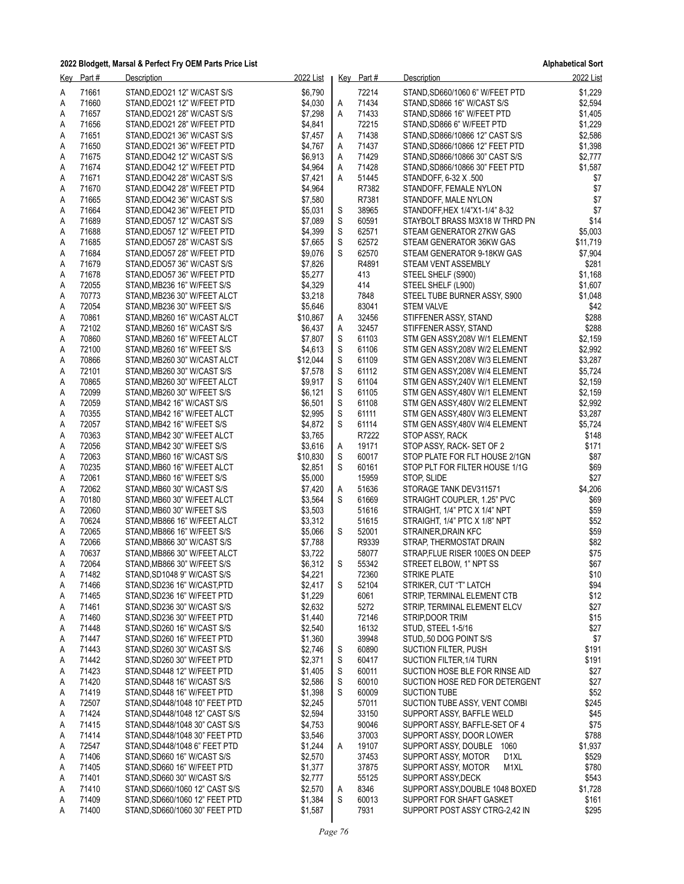**Alphabetical Sort**

| <u>Key</u> | Part#          | Description                                                    | 2022 List          |                  | Key Part#      | Description                                            | 2022 List           |
|------------|----------------|----------------------------------------------------------------|--------------------|------------------|----------------|--------------------------------------------------------|---------------------|
| Α          | 71661          | STAND, EDO21 12" W/CAST S/S                                    | \$6,790            |                  | 72214          | STAND, SD660/1060 6" W/FEET PTD                        | \$1,229             |
| A          | 71660          | STAND, EDO21 12" W/FEET PTD                                    | \$4,030            | A                | 71434          | STAND, SD866 16" W/CAST S/S                            | \$2,594             |
| Α          | 71657          | STAND EDO21 28" W/CAST S/S                                     | \$7,298            | Α                | 71433          | STAND, SD866 16" W/FEET PTD                            | \$1,405             |
| Α          | 71656          | STAND, EDO21 28" W/FEET PTD                                    | \$4,841            |                  | 72215          | STAND, SD866 6" W/FEET PTD                             | \$1,229             |
| A          | 71651          | STAND, EDO21 36" W/CAST S/S                                    | \$7,457            | Α                | 71438          | STAND, SD866/10866 12" CAST S/S                        | \$2,586             |
| Α          | 71650          | STAND, EDO21 36" W/FEET PTD                                    | \$4,767            | Α                | 71437          | STAND, SD866/10866 12" FEET PTD                        | \$1,398             |
| Α          | 71675          | STAND, EDO42 12" W/CAST S/S                                    | \$6,913            | Α                | 71429          | STAND, SD866/10866 30" CAST S/S                        | \$2,777             |
| Α          | 71674          | STAND, EDO42 12" W/FEET PTD                                    | \$4,964            | Α                | 71428          | STAND, SD866/10866 30" FEET PTD                        | \$1,587             |
| Α          | 71671          | STAND, EDO42 28" W/CAST S/S                                    | \$7,421            | Α                | 51445          | STANDOFF, 6-32 X .500                                  | \$7                 |
| A          | 71670          | STAND, EDO42 28" W/FEET PTD                                    | \$4,964            |                  | R7382          | STANDOFF, FEMALE NYLON                                 | $$7$                |
| Α          | 71665          | STAND EDO42 36" W/CAST S/S                                     | \$7,580            |                  | R7381          | STANDOFF, MALE NYLON                                   | \$7                 |
| Α          | 71664          | STAND, EDO42 36" W/FEET PTD                                    | \$5,031            | S                | 38965          | STANDOFF, HEX 1/4"X1-1/4" 8-32                         | \$7                 |
| Α          | 71689          | STAND, EDO57 12" W/CAST S/S                                    | \$7,089            | S                | 60591          | STAYBOLT BRASS M3X18 W THRD PN                         | \$14                |
| Α          | 71688          | STAND EDO57 12" W/FEET PTD                                     | \$4,399            | $\mathbb S$      | 62571<br>62572 | STEAM GENERATOR 27KW GAS                               | \$5,003             |
| A          | 71685<br>71684 | STAND, EDO57 28" W/CAST S/S<br>STAND EDO57 28" W/FEET PTD      | \$7,665<br>\$9,076 | $\mathsf S$<br>S | 62570          | STEAM GENERATOR 36KW GAS<br>STEAM GENERATOR 9-18KW GAS | \$11,719<br>\$7,904 |
| Α<br>Α     | 71679          | STAND, EDO57 36" W/CAST S/S                                    | \$7,826            |                  | R4891          | STEAM VENT ASSEMBLY                                    | \$281               |
| Α          | 71678          | STAND, EDO57 36" W/FEET PTD                                    | \$5,277            |                  | 413            | STEEL SHELF (S900)                                     | \$1,168             |
| Α          | 72055          | STAND, MB236 16" W/FEET S/S                                    | \$4,329            |                  | 414            | STEEL SHELF (L900)                                     | \$1,607             |
| A          | 70773          | STAND, MB236 30" W/FEET ALCT                                   | \$3,218            |                  | 7848           | STEEL TUBE BURNER ASSY, S900                           | \$1,048             |
| Α          | 72054          | STAND, MB236 30" W/FEET S/S                                    | \$5,646            |                  | 83041          | <b>STEM VALVE</b>                                      | \$42                |
| Α          | 70861          | STAND, MB260 16" W/CAST ALCT                                   | \$10,867           | A                | 32456          | STIFFENER ASSY, STAND                                  | \$288               |
| Α          | 72102          | STAND, MB260 16" W/CAST S/S                                    | \$6,437            | Α                | 32457          | STIFFENER ASSY, STAND                                  | \$288               |
| Α          | 70860          | STAND, MB260 16" W/FEET ALCT                                   | \$7,807            | S                | 61103          | STM GEN ASSY, 208V W/1 ELEMENT                         | \$2,159             |
| A          | 72100          | STAND, MB260 16" W/FEET S/S                                    | \$4,613            | $\mathsf S$      | 61106          | STM GEN ASSY, 208V W/2 ELEMENT                         | \$2,992             |
| Α          | 70866          | STAND, MB260 30" W/CAST ALCT                                   | \$12,044           | S                | 61109          | STM GEN ASSY, 208V W/3 ELEMENT                         | \$3,287             |
| Α          | 72101          | STAND, MB260 30" W/CAST S/S                                    | \$7,578            | S                | 61112          | STM GEN ASSY, 208V W/4 ELEMENT                         | \$5,724             |
| Α          | 70865          | STAND, MB260 30" W/FEET ALCT                                   | \$9,917            | S                | 61104          | STM GEN ASSY, 240V W/1 ELEMENT                         | \$2,159             |
| Α          | 72099          | STAND, MB260 30" W/FEET S/S                                    | \$6,121            | $\mathbb S$      | 61105          | STM GEN ASSY, 480V W/1 ELEMENT                         | \$2,159             |
| A          | 72059          | STAND, MB42 16" W/CAST S/S                                     | \$6,501            | $\mathsf S$      | 61108          | STM GEN ASSY,480V W/2 ELEMENT                          | \$2,992             |
| Α          | 70355          | STAND,MB42 16" W/FEET ALCT                                     | \$2,995            | ${\mathsf S}$    | 61111          | STM GEN ASSY,480V W/3 ELEMENT                          | \$3,287             |
| Α          | 72057          | STAND, MB42 16" W/FEET S/S                                     | \$4,872            | S                | 61114          | STM GEN ASSY, 480V W/4 ELEMENT                         | \$5,724             |
| Α          | 70363          | STAND, MB42 30" W/FEET ALCT                                    | \$3,765            |                  | R7222          | STOP ASSY, RACK                                        | \$148               |
| Α          | 72056          | STAND, MB42 30" W/FEET S/S                                     | \$3,616            | Α                | 19171          | STOP ASSY, RACK-SET OF 2                               | \$171               |
| A          | 72063          | STAND, MB60 16" W/CAST S/S                                     | \$10,830           | S                | 60017          | STOP PLATE FOR FLT HOUSE 2/1GN                         | \$87                |
| Α          | 70235          | STAND,MB60 16" W/FEET ALCT                                     | \$2,851            | S                | 60161          | STOP PLT FOR FILTER HOUSE 1/1G                         | \$69                |
| Α          | 72061<br>72062 | STAND, MB60 16" W/FEET S/S                                     | \$5,000            |                  | 15959<br>51636 | STOP, SLIDE                                            | \$27                |
| Α<br>Α     | 70180          | STAND, MB60 30" W/CAST S/S<br>STAND, MB60 30" W/FEET ALCT      | \$7,420<br>\$3,564 | Α<br>S           | 61669          | STORAGE TANK DEV311571<br>STRAIGHT COUPLER, 1.25" PVC  | \$4,206<br>\$69     |
| A          | 72060          | STAND, MB60 30" W/FEET S/S                                     | \$3,503            |                  | 51616          | STRAIGHT, 1/4" PTC X 1/4" NPT                          | \$59                |
| Α          | 70624          | STAND, MB866 16" W/FEET ALCT                                   | \$3,312            |                  | 51615          | STRAIGHT, 1/4" PTC X 1/8" NPT                          | \$52                |
| Α          | 72065          | STAND, MB866 16" W/FEET S/S                                    | \$5,066            | S                | 52001          | STRAINER, DRAIN KFC                                    | \$59                |
| Α          | 72066          | STAND, MB866 30" W/CAST S/S                                    | \$7,788            |                  | R9339          | STRAP, THERMOSTAT DRAIN                                | \$82                |
| Α          | 70637          | STAND, MB866 30" W/FEET ALCT                                   | \$3,722            |                  | 58077          | STRAP, FLUE RISER 100ES ON DEEP                        | \$75                |
| Α          | 72064          | STAND, MB866 30" W/FEET S/S                                    | \$6,312            | S                | 55342          | STREET ELBOW, 1" NPT SS                                | \$67                |
| Α          | 71482          | STAND, SD1048 9" W/CAST S/S                                    | \$4,221            |                  | 72360          | STRIKE PLATE                                           | \$10                |
| A          | 71466          | STAND, SD236 16" W/CAST, PTD                                   | \$2,417            | S                | 52104          | STRIKER, CUT "T" LATCH                                 | \$94                |
| A          | 71465          | STAND, SD236 16" W/FEET PTD                                    | \$1,229            |                  | 6061           | STRIP, TERMINAL ELEMENT CTB                            | \$12                |
| Α          | 71461          | STAND, SD236 30" W/CAST S/S                                    | \$2,632            |                  | 5272           | STRIP, TERMINAL ELEMENT ELCV                           | \$27                |
| A          | 71460          | STAND, SD236 30" W/FEET PTD                                    | \$1,440            |                  | 72146          | STRIP, DOOR TRIM                                       | \$15                |
| A          | 71448          | STAND, SD260 16" W/CAST S/S                                    | \$2,540            |                  | 16132          | STUD, STEEL 1-5/16                                     | \$27                |
| A          | 71447          | STAND, SD260 16" W/FEET PTD                                    | \$1,360            |                  | 39948          | STUD, 50 DOG POINT S/S                                 | \$7                 |
| Α          | 71443          | STAND, SD260 30" W/CAST S/S                                    | \$2,746            | S                | 60890          | SUCTION FILTER, PUSH                                   | \$191               |
| A          | 71442          | STAND, SD260 30" W/FEET PTD                                    | \$2,371            | S                | 60417          | SUCTION FILTER, 1/4 TURN                               | \$191               |
| A          | 71423          | STAND, SD448 12" W/FEET PTD                                    | \$1,405            | S                | 60011          | SUCTION HOSE BLE FOR RINSE AID                         | \$27                |
| A          | 71420          | STAND SD448 16" W/CAST S/S                                     | \$2,586            | S                | 60010          | SUCTION HOSE RED FOR DETERGENT                         | \$27                |
| A          | 71419          | STAND, SD448 16" W/FEET PTD                                    | \$1,398            | S                | 60009          | <b>SUCTION TUBE</b>                                    | \$52                |
| Α          | 72507          | STAND, SD448/1048 10" FEET PTD                                 | \$2,245            |                  | 57011          | SUCTION TUBE ASSY, VENT COMBI                          | \$245               |
| A          | 71424          | STAND, SD448/1048 12" CAST S/S                                 | \$2,594            |                  | 33150          | SUPPORT ASSY, BAFFLE WELD                              | \$45                |
| A          | 71415<br>71414 | STAND, SD448/1048 30" CAST S/S                                 | \$4,753            |                  | 90046          | SUPPORT ASSY, BAFFLE-SET OF 4                          | \$75                |
| A          | 72547          | STAND SD448/1048 30" FEET PTD<br>STAND, SD448/1048 6" FEET PTD | \$3,546<br>\$1,244 | Α                | 37003<br>19107 | SUPPORT ASSY, DOOR LOWER<br>SUPPORT ASSY, DOUBLE 1060  | \$788<br>\$1,937    |
| A<br>Α     | 71406          | STAND, SD660 16" W/CAST S/S                                    | \$2,570            |                  | 37453          | SUPPORT ASSY, MOTOR<br>D <sub>1</sub> XL               | \$529               |
| A          | 71405          | STAND, SD660 16" W/FEET PTD                                    | \$1,377            |                  | 37875          | SUPPORT ASSY, MOTOR<br>M1XL                            | \$780               |
| A          | 71401          | STAND, SD660 30" W/CAST S/S                                    | \$2,777            |                  | 55125          | SUPPORT ASSY, DECK                                     | \$543               |
| A          | 71410          | STAND, SD660/1060 12" CAST S/S                                 | \$2,570            | A                | 8346           | SUPPORT ASSY, DOUBLE 1048 BOXED                        | \$1,728             |
| Α          | 71409          | STAND, SD660/1060 12" FEET PTD                                 | \$1,384            | S                | 60013          | SUPPORT FOR SHAFT GASKET                               | \$161               |
| A          | 71400          | STAND, SD660/1060 30" FEET PTD                                 | \$1,587            |                  | 7931           | SUPPORT POST ASSY CTRG-2,42 IN                         | \$295               |
|            |                |                                                                |                    |                  |                |                                                        |                     |

*Page 76*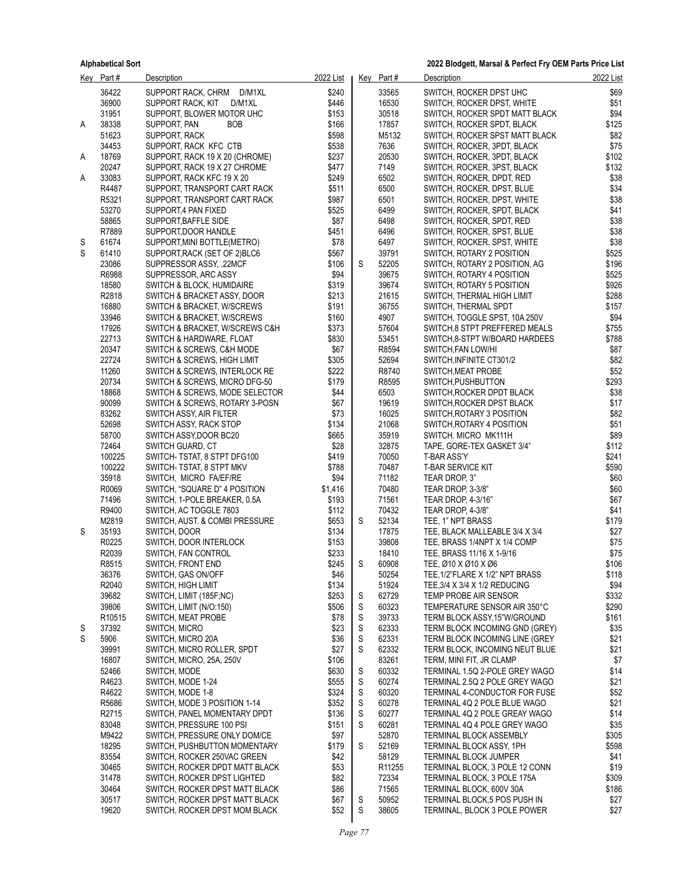|        | Kev Part#      | Description                                          | 2022 List     |        | Key Part#          | Description                                                      | 2022 List     |
|--------|----------------|------------------------------------------------------|---------------|--------|--------------------|------------------------------------------------------------------|---------------|
|        | 36422          | SUPPORT RACK, CHRM D/M1XL                            | \$240         |        | 33565              | SWITCH, ROCKER DPST UHC                                          | \$69          |
|        | 36900          | SUPPORT RACK, KIT<br>D/M1XL                          | \$446         |        | 16530              | SWITCH, ROCKER DPST, WHITE                                       | \$51          |
|        | 31951          | SUPPORT, BLOWER MOTOR UHC                            | \$153         |        | 30518              | SWITCH, ROCKER SPDT MATT BLACK                                   | \$94          |
| A      | 38338          | SUPPORT, PAN<br><b>BOB</b>                           | \$166         |        | 17857              | SWITCH, ROCKER SPDT, BLACK                                       | \$125         |
|        | 51623          | SUPPORT, RACK                                        | \$598         |        | M5132              | SWITCH, ROCKER SPST MATT BLACK                                   | \$82          |
|        | 34453          | SUPPORT, RACK KFC CTB                                | \$538         |        | 7636               | SWITCH, ROCKER, 3PDT, BLACK                                      | \$75          |
| A      | 18769          | SUPPORT, RACK 19 X 20 (CHROME)                       | \$237         |        | 20530              | SWITCH, ROCKER, 3PDT, BLACK                                      | \$102         |
|        | 20247          | SUPPORT, RACK 19 X 27 CHROME                         | \$477         |        | 7149               | SWITCH, ROCKER, 3PST, BLACK                                      | \$132         |
| A      | 33083          | SUPPORT, RACK KFC 19 X 20                            | \$249         |        | 6502               | SWITCH, ROCKER, DPDT, RED                                        | \$38          |
|        | R4487          | SUPPORT, TRANSPORT CART RACK                         | \$511         |        | 6500               | SWITCH, ROCKER, DPST, BLUE                                       | \$34          |
|        | R5321          | SUPPORT, TRANSPORT CART RACK                         | \$987         |        | 6501               | SWITCH, ROCKER, DPST, WHITE                                      | \$38          |
|        | 53270          | SUPPORT,4 PAN FIXED                                  | \$525         |        | 6499               | SWITCH, ROCKER, SPDT, BLACK                                      | \$41          |
|        | 58865<br>R7889 | SUPPORT, BAFFLE SIDE                                 | \$87<br>\$451 |        | 6498<br>6496       | SWITCH, ROCKER, SPDT, RED                                        | \$38<br>\$38  |
| S      | 61674          | SUPPORT, DOOR HANDLE<br>SUPPORT, MINI BOTTLE (METRO) | \$78          |        | 6497               | SWITCH, ROCKER, SPST, BLUE<br>SWITCH, ROCKER, SPST, WHITE        | \$38          |
| S      | 61410          | SUPPORT, RACK (SET OF 2) BLC6                        | \$567         |        | 39791              | SWITCH, ROTARY 2 POSITION                                        | \$525         |
|        | 23086          | SUPPRESSOR ASSY, .22MCF                              | \$106         | S      | 52205              | SWITCH, ROTARY 2 POSITION, AG                                    | \$196         |
|        | R6988          | SUPPRESSOR, ARC ASSY                                 | \$94          |        | 39675              | SWITCH, ROTARY 4 POSITION                                        | \$525         |
|        | 18580          | SWITCH & BLOCK, HUMIDAIRE                            | \$319         |        | 39674              | SWITCH, ROTARY 5 POSITION                                        | \$926         |
|        | R2818          | SWITCH & BRACKET ASSY, DOOR                          | \$213         |        | 21615              | SWITCH, THERMAL HIGH LIMIT                                       | \$288         |
|        | 16880          | SWITCH & BRACKET, W/SCREWS                           | \$191         |        | 36755              | SWITCH, THERMAL SPDT                                             | \$157         |
|        | 33946          | SWITCH & BRACKET, W/SCREWS                           | \$160         |        | 4907               | SWITCH, TOGGLE SPST, 10A 250V                                    | \$94          |
|        | 17926          | SWITCH & BRACKET, W/SCREWS C&H                       | \$373         |        | 57604              | SWITCH, 8 STPT PREFFERED MEALS                                   | \$755         |
|        | 22713          | SWITCH & HARDWARE, FLOAT                             | \$830         |        | 53451              | SWITCH 8-STPT W/BOARD HARDEES                                    | \$788         |
|        | 20347          | SWITCH & SCREWS, C&H MODE                            | \$67          |        | R8594              | SWITCH, FAN LOW/HI                                               | \$87          |
|        | 22724          | SWITCH & SCREWS, HIGH LIMIT                          | \$305         |        | 52694              | SWITCH, INFINITE CT301/2                                         | \$82          |
|        | 11260          | SWITCH & SCREWS, INTERLOCK RE                        | \$222         |        | R8740              | SWITCH, MEAT PROBE                                               | \$52          |
|        | 20734          | SWITCH & SCREWS, MICRO DFG-50                        | \$179         |        | R8595              | SWITCH.PUSHBUTTON                                                | \$293         |
|        | 18868          | SWITCH & SCREWS, MODE SELECTOR                       | \$44          |        | 6503               | SWITCH, ROCKER DPDT BLACK                                        | \$38          |
|        | 90099          | SWITCH & SCREWS, ROTARY 3-POSN                       | \$67          |        | 19619              | SWITCH, ROCKER DPST BLACK                                        | \$17          |
|        | 83262          | SWITCH ASSY, AIR FILTER                              | \$73          |        | 16025              | SWITCH, ROTARY 3 POSITION                                        | \$82          |
|        | 52698          | SWITCH ASSY, RACK STOP                               | \$134         |        | 21068              | SWITCH, ROTARY 4 POSITION                                        | \$51          |
|        | 58700<br>72464 | SWITCH ASSY, DOOR BC20                               | \$665<br>\$28 |        | 35919<br>32875     | SWITCH. MICRO MK111H                                             | \$89<br>\$112 |
|        | 100225         | SWITCH GUARD, CT<br>SWITCH-TSTAT, 8 STPT DFG100      | \$419         |        | 70050              | TAPE, GORE-TEX GASKET 3/4"<br>T-BAR ASS'Y                        | \$241         |
|        | 100222         | SWITCH- TSTAT, 8 STPT MKV                            | \$788         |        | 70487              | T-BAR SERVICE KIT                                                | \$590         |
|        | 35918          | SWITCH, MICRO FA/EF/RE                               | \$94          |        | 71182              | TEAR DROP, 3"                                                    | \$60          |
|        | R0069          | SWITCH, "SQUARE D" 4 POSITION                        | \$1,416       |        | 70480              | TEAR DROP, 3-3/8"                                                | \$60          |
|        | 71496          | SWITCH, 1-POLE BREAKER, 0.5A                         | \$193         |        | 71561              | TEAR DROP, 4-3/16"                                               | \$67          |
|        | R9400          | SWITCH, AC TOGGLE 7803                               | \$112         |        | 70432              | TEAR DROP, 4-3/8"                                                | \$41          |
|        | M2819          | SWITCH, AUST. & COMBI PRESSURE                       | \$653         | S      | 52134              | TEE, 1" NPT BRASS                                                | \$179         |
| S      | 35193          | SWITCH, DOOR                                         | \$134         |        | 17875              | TEE, BLACK MALLEABLE 3/4 X 3/4                                   | \$27          |
|        | R0225          | <b>SWITCH, DOOR INTERLOCK</b>                        | \$153         |        | 39808              | TEE, BRASS 1/4NPT X 1/4 COMP                                     | \$75          |
|        | R2039          | SWITCH, FAN CONTROL                                  | \$233         |        | 18410              | TEE, BRASS 11/16 X 1-9/16                                        | \$75          |
|        | R8515          | SWITCH, FRONT END                                    | \$245         | S      | 60908              | TEE, Ø10 X Ø10 X Ø6                                              | \$106         |
|        | 36376          | SWITCH, GAS ON/OFF                                   | \$46          |        | 50254              | TEE, 1/2"FLARE X 1/2" NPT BRASS                                  | \$118         |
|        | R2040          | SWITCH, HIGH LIMIT                                   | \$134         |        | 51924              | TEE, 3/4 X 3/4 X 1/2 REDUCING                                    | \$94          |
|        | 39682          | SWITCH, LIMIT (185F;NC)                              | \$253         | S      | 62729              | TEMP PROBE AIR SENSOR                                            | \$332         |
|        | 39806          | SWITCH, LIMIT (N/O:150)                              | \$506         | S      | 60323              | TEMPERATURE SENSOR AIR 350°C                                     | \$290         |
|        | R10515         | <b>SWITCH, MEAT PROBE</b>                            | \$78          | S      | 39733              | TERM BLOCK ASSY, 15"W/GROUND                                     | \$161         |
| S<br>S | 37392<br>5906  | SWITCH, MICRO<br>SWITCH, MICRO 20A                   | \$23<br>\$36  | S<br>S | 62333<br>62331     | TERM BLOCK INCOMING GND (GREY)<br>TERM BLOCK INCOMING LINE (GREY | \$35<br>\$21  |
|        | 39991          | SWITCH, MICRO ROLLER, SPDT                           | \$27          | S      | 62332              | TERM BLOCK, INCOMING NEUT BLUE                                   | \$21          |
|        | 16807          | SWITCH, MICRO, 25A, 250V                             | \$106         |        | 83261              | TERM, MINI FIT, JR CLAMP                                         | \$7           |
|        | 52466          | SWITCH, MODE                                         | \$630         | S      | 60332              | TERMINAL 1.5Q 2-POLE GREY WAGO                                   | \$14          |
|        | R4623          | SWITCH, MODE 1-24                                    | \$555         | S      | 60274              | TERMINAL 2.5Q 2 POLE GREY WAGO                                   | \$21          |
|        | R4622          | SWITCH, MODE 1-8                                     | \$324         | S      | 60320              | TERMINAL 4-CONDUCTOR FOR FUSE                                    | \$52          |
|        | R5686          | SWITCH, MODE 3 POSITION 1-14                         | \$352         | S      | 60278              | TERMINAL 4Q 2 POLE BLUE WAGO                                     | \$21          |
|        | R2715          | SWITCH, PANEL MOMENTARY DPDT                         | \$136         | S      | 60277              | TERMINAL 4Q 2 POLE GREAY WAGO                                    | \$14          |
|        | 83048          | SWITCH, PRESSURE 100 PSI                             | \$151         | S      | 60281              | TERMINAL 4Q 4 POLE GREY WAGO                                     | \$35          |
|        | M9422          | SWITCH, PRESSURE ONLY DOM/CE                         | \$97          |        | 52870              | TERMINAL BLOCK ASSEMBLY                                          | \$305         |
|        | 18295          | SWITCH, PUSHBUTTON MOMENTARY                         | \$179         | S      | 52169              | TERMINAL BLOCK ASSY, 1PH                                         | \$598         |
|        | 83554          | SWITCH, ROCKER 250VAC GREEN                          | \$42          |        | 58129              | <b>TERMINAL BLOCK JUMPER</b>                                     | \$41          |
|        | 30465          | SWITCH, ROCKER DPDT MATT BLACK                       | \$53          |        | R <sub>11255</sub> | TERMINAL BLOCK, 3 POLE 12 CONN                                   | \$19          |
|        | 31478          | SWITCH, ROCKER DPST LIGHTED                          | \$82          |        | 72334              | TERMINAL BLOCK, 3 POLE 175A                                      | \$309         |
|        | 30464          | SWITCH, ROCKER DPST MATT BLACK                       | \$86          |        | 71565              | TERMINAL BLOCK, 600V 30A                                         | \$186         |
|        | 30517          | SWITCH, ROCKER DPST MATT BLACK                       | \$67          | S      | 50952              | TERMINAL BLOCK,5 POS PUSH IN                                     | \$27          |
|        | 19620          | SWITCH, ROCKER DPST MOM BLACK                        | \$52          | S      | 38605              | TERMINAL, BLOCK 3 POLE POWER                                     | \$27          |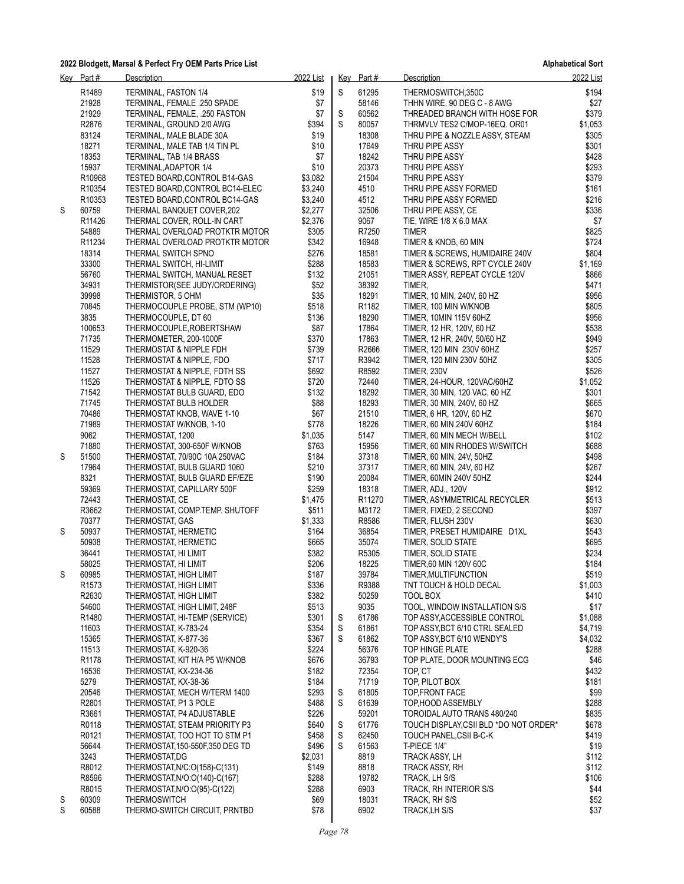**Alphabetical Sort**

|   | Key Part#         | Description                                                   | 2022 List        |   | Key Part#                   | Description                                       | 2022 List      |
|---|-------------------|---------------------------------------------------------------|------------------|---|-----------------------------|---------------------------------------------------|----------------|
|   | R <sub>1489</sub> | TERMINAL, FASTON 1/4                                          | \$19             | S | 61295                       | THERMOSWITCH,350C                                 | \$194          |
|   | 21928             | TERMINAL, FEMALE .250 SPADE                                   | \$7              |   | 58146                       | THHN WIRE, 90 DEG C - 8 AWG                       | \$27           |
|   | 21929             | TERMINAL, FEMALE, .250 FASTON                                 | \$7              | S | 60562                       | THREADED BRANCH WITH HOSE FOR                     | \$379          |
|   | R2876             | TERMINAL, GROUND 2/0 AWG                                      | \$394            | S | 80057                       | THRMVLV TES2 C/MOP-16EQ. OR01                     | \$1,053        |
|   | 83124             | TERMINAL, MALE BLADE 30A                                      | \$19             |   | 18308                       | THRU PIPE & NOZZLE ASSY, STEAM                    | \$305          |
|   | 18271             | TERMINAL, MALE TAB 1/4 TIN PL                                 | \$10             |   | 17649                       | THRU PIPE ASSY                                    | \$301          |
|   | 18353             | TERMINAL, TAB 1/4 BRASS                                       | \$7              |   | 18242                       | THRU PIPE ASSY                                    | \$428          |
|   | 15937             | TERMINAL, ADAPTOR 1/4                                         | \$10             |   | 20373                       | THRU PIPE ASSY                                    | \$293          |
|   | R10968            | TESTED BOARD, CONTROL B14-GAS                                 | \$3,082          |   | 21504                       | THRU PIPE ASSY                                    | \$379          |
|   | R10354            | TESTED BOARD, CONTROL BC14-ELEC                               | \$3,240          |   | 4510                        | THRU PIPE ASSY FORMED                             | \$161          |
|   | R10353            | TESTED BOARD, CONTROL BC14-GAS                                | \$3,240          |   | 4512                        | THRU PIPE ASSY FORMED                             | \$216          |
| S | 60759             | THERMAL BANQUET COVER, 202                                    | \$2,277          |   | 32506                       | THRU PIPE ASSY, CE                                | \$336          |
|   | R11426<br>54889   | THERMAL COVER, ROLL-IN CART<br>THERMAL OVERLOAD PROTKTR MOTOR | \$2,376<br>\$305 |   | 9067<br>R7250               | TIE, WIRE 1/8 X 6.0 MAX<br><b>TIMER</b>           | \$7<br>\$825   |
|   | R11234            | THERMAL OVERLOAD PROTKTR MOTOR                                | \$342            |   | 16948                       | TIMER & KNOB, 60 MIN                              | \$724          |
|   | 18314             | THERMAL SWITCH SPNO                                           | \$276            |   | 18581                       | TIMER & SCREWS, HUMIDAIRE 240V                    | \$804          |
|   | 33300             | THERMAL SWITCH, HI-LIMIT                                      | \$288            |   | 18583                       | TIMER & SCREWS, RPT CYCLE 240V                    | \$1,169        |
|   | 56760             | THERMAL SWITCH, MANUAL RESET                                  | \$132            |   | 21051                       | TIMER ASSY, REPEAT CYCLE 120V                     | \$866          |
|   | 34931             | THERMISTOR(SEE JUDY/ORDERING)                                 | \$52             |   | 38392                       | TIMER,                                            | \$471          |
|   | 39998             | THERMISTOR, 5 OHM                                             | \$35             |   | 18291                       | TIMER, 10 MIN, 240V, 60 HZ                        | \$956          |
|   | 70845             | THERMOCOUPLE PROBE, STM (WP10)                                | \$518            |   | R1182                       | TIMER, 100 MIN W/KNOB                             | \$805          |
|   | 3835              | THERMOCOUPLE, DT 60                                           | \$136            |   | 18290                       | TIMER, 10MIN 115V 60HZ                            | \$956          |
|   | 100653            | THERMOCOUPLE, ROBERTSHAW                                      | \$87             |   | 17864                       | TIMER, 12 HR, 120V, 60 HZ                         | \$538          |
|   | 71735             | THERMOMETER, 200-1000F                                        | \$370            |   | 17863                       | TIMER, 12 HR, 240V, 50/60 HZ                      | \$949          |
|   | 11529             | THERMOSTAT & NIPPLE FDH                                       | \$739            |   | R2666                       | TIMER, 120 MIN 230V 60HZ                          | \$257          |
|   | 11528             | THERMOSTAT & NIPPLE, FDO                                      | \$717            |   | R3942                       | TIMER, 120 MIN 230V 50HZ                          | \$305          |
|   | 11527             | THERMOSTAT & NIPPLE, FDTH SS                                  | \$692            |   | R8592                       | <b>TIMER, 230V</b>                                | \$526          |
|   | 11526             | THERMOSTAT & NIPPLE, FDTO SS                                  | \$720            |   | 72440                       | TIMER, 24-HOUR, 120VAC/60HZ                       | \$1,052        |
|   | 71542             | THERMOSTAT BULB GUARD, EDO                                    | \$132            |   | 18292                       | TIMER, 30 MIN, 120 VAC, 60 HZ                     | \$301          |
|   | 71745             | THERMOSTAT BULB HOLDER                                        | \$88             |   | 18293                       | TIMER, 30 MIN, 240V, 60 HZ                        | \$665          |
|   | 70486             | THERMOSTAT KNOB, WAVE 1-10                                    | \$67             |   | 21510                       | TIMER, 6 HR, 120V, 60 HZ                          | \$670          |
|   | 71989             | THERMOSTAT W/KNOB, 1-10                                       | \$778            |   | 18226                       | TIMER, 60 MIN 240V 60HZ                           | \$184          |
|   | 9062              | THERMOSTAT, 1200                                              | \$1,035          |   | 5147                        | TIMER, 60 MIN MECH W/BELL                         | \$102          |
|   | 71880             | THERMOSTAT, 300-650F W/KNOB                                   | \$763            |   | 15956                       | TIMER, 60 MIN RHODES W/SWITCH                     | \$688          |
| S | 51500             | THERMOSTAT, 70/90C 10A 250VAC                                 | \$184            |   | 37318                       | TIMER, 60 MIN, 24V, 50HZ                          | \$498          |
|   | 17964             | THERMOSTAT, BULB GUARD 1060                                   | \$210            |   | 37317                       | TIMER, 60 MIN, 24V, 60 HZ                         | \$267          |
|   | 8321              | THERMOSTAT, BULB GUARD EF/EZE                                 | \$190            |   | 20084                       | TIMER, 60MIN 240V 50HZ                            | \$244          |
|   | 59369<br>72443    | THERMOSTAT, CAPILLARY 500F<br>THERMOSTAT, CE                  | \$259<br>\$1,475 |   | 18318<br>R <sub>11270</sub> | TIMER, ADJ., 120V<br>TIMER, ASYMMETRICAL RECYCLER | \$912<br>\$513 |
|   | R3662             | THERMOSTAT, COMP.TEMP. SHUTOFF                                | \$511            |   | M3172                       | TIMER, FIXED, 2 SECOND                            | \$397          |
|   | 70377             | THERMOSTAT, GAS                                               | \$1,333          |   | R8586                       | TIMER, FLUSH 230V                                 | \$630          |
| S | 50937             | THERMOSTAT, HERMETIC                                          | \$164            |   | 36854                       | TIMER, PRESET HUMIDAIRE D1XL                      | \$543          |
|   | 50938             | THERMOSTAT, HERMETIC                                          | \$665            |   | 35074                       | TIMER, SOLID STATE                                | \$695          |
|   | 36441             | THERMOSTAT, HI LIMIT                                          | \$382            |   | R5305                       | TIMER, SOLID STATE                                | \$234          |
|   | 58025             | THERMOSTAT, HI LIMIT                                          | \$206            |   | 18225                       | TIMER,60 MIN 120V 60C                             | \$184          |
| S | 60985             | THERMOSTAT, HIGH LIMIT                                        | \$187            |   | 39784                       | TIMER, MULTIFUNCTION                              | \$519          |
|   | R <sub>1573</sub> | THERMOSTAT, HIGH LIMIT                                        | \$336            |   | R9388                       | TNT TOUCH & HOLD DECAL                            | \$1,003        |
|   | R2630             | THERMOSTAT, HIGH LIMIT                                        | \$382            |   | 50259                       | TOOL BOX                                          | \$410          |
|   | 54600             | THERMOSTAT, HIGH LIMIT, 248F                                  | \$513            |   | 9035                        | TOOL, WINDOW INSTALLATION S/S                     | \$17           |
|   | R1480             | THERMOSTAT, HI-TEMP (SERVICE)                                 | \$301            | S | 61786                       | TOP ASSY, ACCESSIBLE CONTROL                      | \$1,088        |
|   | 11603             | THERMOSTAT, K-783-24                                          | \$354            | S | 61861                       | TOP ASSY, BCT 6/10 CTRL SEALED                    | \$4,719        |
|   | 15365             | THERMOSTAT, K-877-36                                          | \$367            | S | 61862                       | TOP ASSY, BCT 6/10 WENDY'S                        | \$4,032        |
|   | 11513             | THERMOSTAT, K-920-36                                          | \$224            |   | 56376                       | TOP HINGE PLATE                                   | \$288          |
|   | R1178             | THERMOSTAT, KIT H/A P5 W/KNOB                                 | \$676            |   | 36793                       | TOP PLATE, DOOR MOUNTING ECG                      | \$46           |
|   | 16536             | THERMOSTAT, KX-234-36                                         | \$182            |   | 72354                       | TOP, CT                                           | \$432          |
|   | 5279              | THERMOSTAT, KX-38-36                                          | \$184            |   | 71719                       | TOP, PILOT BOX                                    | \$181          |
|   | 20546             | THERMOSTAT, MECH W/TERM 1400                                  | \$293            | S | 61805                       | TOP, FRONT FACE                                   | \$99           |
|   | R2801             | THERMOSTAT, P1 3 POLE                                         | \$488            | S | 61639                       | TOP, HOOD ASSEMBLY                                | \$288          |
|   | R3661             | THERMOSTAT, P4 ADJUSTABLE                                     | \$226            |   | 59201                       | TOROIDAL AUTO TRANS 480/240                       | \$835          |
|   | R0118             | THERMOSTAT, STEAM PRIORITY P3                                 | \$640            | S | 61776                       | TOUCH DISPLAY, CSII BLD *DO NOT ORDER*            | \$678          |
|   | R0121             | THERMOSTAT, TOO HOT TO STM P1                                 | \$458            | S | 62450                       | TOUCH PANEL, CSII B-C-K                           | \$419          |
|   | 56644             | THERMOSTAT, 150-550F, 350 DEG TD                              | \$496            | S | 61563                       | T-PIECE 1/4"                                      | \$19           |
|   | 3243<br>R8012     | THERMOSTAT,DG<br>THERMOSTAT, N/C: O(158)-C(131)               | \$2,031<br>\$149 |   | 8819<br>8818                | TRACK ASSY, LH<br>TRACK ASSY, RH                  | \$112<br>\$112 |
|   | R8596             | THERMOSTAT, N/O:O(140)-C(167)                                 | \$288            |   | 19782                       | TRACK, LH S/S                                     | \$106          |
|   | R8015             | THERMOSTAT, N/O:O(95)-C(122)                                  | \$288            |   | 6903                        | TRACK, RH INTERIOR S/S                            | \$44           |
| S | 60309             | THERMOSWITCH                                                  | \$69             |   | 18031                       | TRACK, RH S/S                                     | \$52           |
| S | 60588             | THERMO-SWITCH CIRCUIT, PRNTBD                                 | \$78             |   | 6902                        | TRACK, LH S/S                                     | \$37           |
|   |                   |                                                               |                  |   |                             |                                                   |                |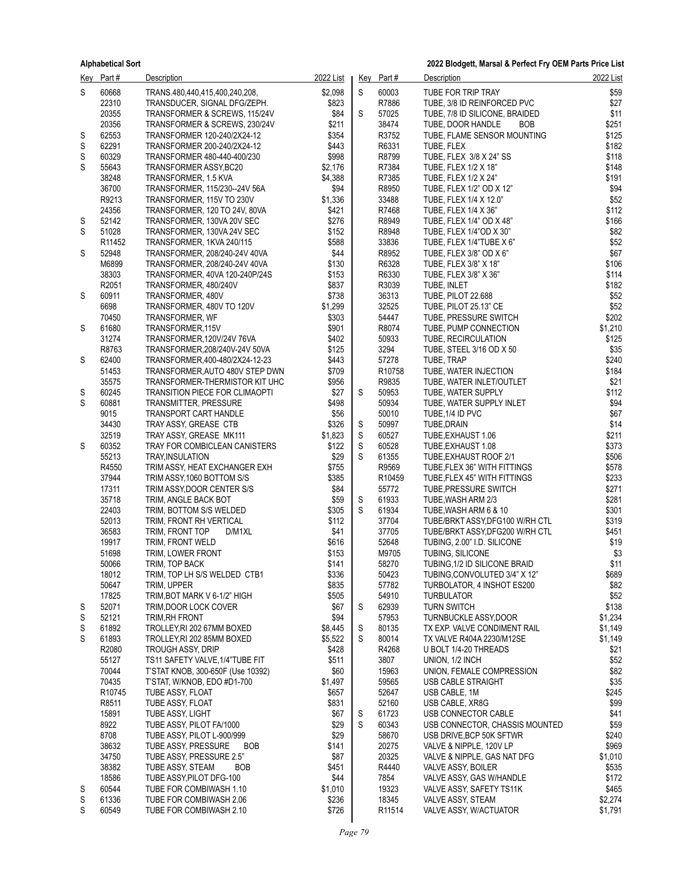|        | Key Part#          | <b>Description</b>                                                | 2022 List        |   | Key Part#       | <b>Description</b>                                           | 2022 List        |
|--------|--------------------|-------------------------------------------------------------------|------------------|---|-----------------|--------------------------------------------------------------|------------------|
| S      | 60668              | TRANS.480,440,415,400,240,208,                                    | \$2,098          | S | 60003           | TUBE FOR TRIP TRAY                                           | \$59             |
|        | 22310              | TRANSDUCER, SIGNAL DFG/ZEPH.                                      | \$823            |   | R7886           | TUBE, 3/8 ID REINFORCED PVC                                  | \$27             |
|        | 20355              | TRANSFORMER & SCREWS, 115/24V                                     | \$84             | S | 57025           | TUBE, 7/8 ID SILICONE, BRAIDED                               | \$11             |
|        | 20356              | TRANSFORMER & SCREWS, 230/24V                                     | \$211            |   | 38474           | TUBE, DOOR HANDLE<br><b>BOB</b>                              | \$251            |
| S      | 62553<br>62291     | TRANSFORMER 120-240/2X24-12                                       | \$354            |   | R3752           | TUBE, FLAME SENSOR MOUNTING                                  | \$125            |
| S<br>S | 60329              | TRANSFORMER 200-240/2X24-12<br>TRANSFORMER 480-440-400/230        | \$443<br>\$998   |   | R6331<br>R8799  | TUBE, FLEX<br>TUBE, FLEX 3/8 X 24" SS                        | \$182<br>\$118   |
| S      | 55643              | TRANSFORMER ASSY, BC20                                            | \$2,176          |   | R7384           | TUBE, FLEX 1/2 X 18"                                         | \$148            |
|        | 38248              | TRANSFORMER, 1.5 KVA                                              | \$4,388          |   | R7385           | TUBE, FLEX 1/2 X 24"                                         | \$191            |
|        | 36700              | TRANSFORMER, 115/230--24V 56A                                     | \$94             |   | R8950           | TUBE, FLEX 1/2" OD X 12"                                     | \$94             |
|        | R9213              | TRANSFORMER, 115V TO 230V                                         | \$1,336          |   | 33488           | TUBE, FLEX 1/4 X 12.0"                                       | \$52             |
|        | 24356              | TRANSFORMER, 120 TO 24V, 80VA                                     | \$421            |   | R7468           | TUBE, FLEX 1/4 X 36"                                         | \$112            |
| S      | 52142              | TRANSFORMER, 130VA 20V SEC                                        | \$276            |   | R8949           | TUBE, FLEX 1/4" OD X 48"                                     | \$166            |
| S      | 51028              | TRANSFORMER, 130VA 24V SEC                                        | \$152            |   | R8948           | TUBE, FLEX 1/4"OD X 30"                                      | \$82             |
|        | R <sub>11452</sub> | TRANSFORMER, 1KVA 240/115                                         | \$588            |   | 33836           | TUBE, FLEX 1/4"TUBE X 6"                                     | \$52             |
| S      | 52948<br>M6899     | TRANSFORMER, 208/240-24V 40VA<br>TRANSFORMER, 208/240-24V 40VA    | \$44<br>\$130    |   | R8952<br>R6328  | TUBE, FLEX 3/8" OD X 6"<br>TUBE, FLEX 3/8" X 18"             | \$67<br>\$106    |
|        | 38303              | TRANSFORMER, 40VA 120-240P/24S                                    | \$153            |   | R6330           | TUBE, FLEX 3/8" X 36"                                        | \$114            |
|        | R2051              | TRANSFORMER, 480/240V                                             | \$837            |   | R3039           | TUBE, INLET                                                  | \$182            |
| S      | 60911              | TRANSFORMER, 480V                                                 | \$738            |   | 36313           | TUBE, PILOT 22.688                                           | \$52             |
|        | 6698               | TRANSFORMER, 480V TO 120V                                         | \$1,299          |   | 32525           | TUBE, PILOT 25.13" CE                                        | \$52             |
|        | 70450              | TRANSFORMER, WF                                                   | \$303            |   | 54447           | TUBE, PRESSURE SWITCH                                        | \$202            |
| S      | 61680              | TRANSFORMER, 115V                                                 | \$901            |   | R8074           | TUBE, PUMP CONNECTION                                        | \$1,210          |
|        | 31274              | TRANSFORMER, 120V/24V 76VA                                        | \$402            |   | 50933           | TUBE, RECIRCULATION                                          | \$125            |
|        | R8763              | TRANSFORMER.208/240V-24V 50VA                                     | \$125            |   | 3294            | TUBE, STEEL 3/16 OD X 50                                     | \$35             |
| S      | 62400<br>51453     | TRANSFORMER.400-480/2X24-12-23<br>TRANSFORMER, AUTO 480V STEP DWN | \$443<br>\$709   |   | 57278<br>R10758 | TUBE, TRAP<br>TUBE, WATER INJECTION                          | \$240<br>\$184   |
|        | 35575              | TRANSFORMER-THERMISTOR KIT UHC                                    | \$956            |   | R9835           | TUBE, WATER INLET/OUTLET                                     | \$21             |
| S      | 60245              | <b>TRANSITION PIECE FOR CLIMAOPTI</b>                             | \$27             | S | 50953           | TUBE, WATER SUPPLY                                           | \$112            |
| S      | 60881              | TRANSMITTER, PRESSURE                                             | \$498            |   | 50934           | TUBE, WATER SUPPLY INLET                                     | \$94             |
|        | 9015               | TRANSPORT CART HANDLE                                             | \$56             |   | 50010           | TUBE, 1/4 ID PVC                                             | \$67             |
|        | 34430              | TRAY ASSY, GREASE CTB                                             | \$326            | S | 50997           | TUBE, DRAIN                                                  | \$14             |
|        | 32519              | TRAY ASSY, GREASE MK111                                           | \$1,823          | S | 60527           | TUBE, EXHAUST 1.06                                           | \$211            |
| S      | 60352              | TRAY FOR COMBICLEAN CANISTERS                                     | \$122            | S | 60528           | TUBE, EXHAUST 1.08                                           | \$373            |
|        | 55213              | TRAY, INSULATION                                                  | \$29             | S | 61355           | TUBE, EXHAUST ROOF 2/1                                       | \$506            |
|        | R4550<br>37944     | TRIM ASSY, HEAT EXCHANGER EXH<br>TRIM ASSY, 1060 BOTTOM S/S       | \$755<br>\$385   |   | R9569<br>R10459 | TUBE, FLEX 36" WITH FITTINGS<br>TUBE, FLEX 45" WITH FITTINGS | \$578<br>\$233   |
|        | 17311              | TRIM ASSY, DOOR CENTER S/S                                        | \$84             |   | 55772           | TUBE, PRESSURE SWITCH                                        | \$271            |
|        | 35718              | TRIM, ANGLE BACK BOT                                              | \$59             | S | 61933           | TUBE, WASH ARM 2/3                                           | \$281            |
|        | 22403              | TRIM, BOTTOM S/S WELDED                                           | \$305            | S | 61934           | TUBE, WASH ARM 6 & 10                                        | \$301            |
|        | 52013              | TRIM, FRONT RH VERTICAL                                           | \$112            |   | 37704           | TUBE/BRKT ASSY, DFG100 W/RH CTL                              | \$319            |
|        | 36583              | TRIM, FRONT TOP<br>D/M1XL                                         | \$41             |   | 37705           | TUBE/BRKT ASSY, DFG200 W/RH CTL                              | \$451            |
|        | 19917              | TRIM, FRONT WELD                                                  | \$616            |   | 52648           | TUBING, 2.00" I.D. SILICONE                                  | \$19             |
|        | 51698              | TRIM, LOWER FRONT                                                 | \$153            |   | M9705           | <b>TUBING, SILICONE</b>                                      | \$3              |
|        | 50066              | TRIM, TOP BACK                                                    | \$141            |   | 58270           | TUBING, 1/2 ID SILICONE BRAID                                | \$11             |
|        | 18012<br>50647     | TRIM, TOP LH S/S WELDED CTB1<br>TRIM, UPPER                       | \$336<br>\$835   |   | 50423<br>57782  | TUBING.CONVOLUTED 3/4" X 12"<br>TURBOLATOR, 4 INSHOT ES200   | \$689<br>\$82    |
|        | 17825              | TRIM, BOT MARK V 6-1/2" HIGH                                      | \$505            |   | 54910           | <b>TURBULATOR</b>                                            | \$52             |
| S      | 52071              | TRIM, DOOR LOCK COVER                                             | \$67             | S | 62939           | <b>TURN SWITCH</b>                                           | \$138            |
| S      | 52121              | TRIM.RH FRONT                                                     | \$94             |   | 57953           | <b>TURNBUCKLE ASSY,DOOR</b>                                  | \$1,234          |
| S      | 61892              | TROLLEY, RI 202 67MM BOXED                                        | \$8,445          | S | 80135           | TX EXP. VALVE CONDIMENT RAIL                                 | \$1,149          |
| S      | 61893              | TROLLEY, RI 202 85MM BOXED                                        | \$5,522          | S | 80014           | TX VALVE R404A 2230/M12SE                                    | \$1,149          |
|        | R2080              | <b>TROUGH ASSY, DRIP</b>                                          | \$428            |   | R4268           | U BOLT 1/4-20 THREADS                                        | \$21             |
|        | 55127              | TS11 SAFETY VALVE, 1/4"TUBE FIT                                   | \$511            |   | 3807            | UNION, 1/2 INCH                                              | \$52             |
|        | 70044              | T'STAT KNOB, 300-650F (Use 10392)                                 | \$60             |   | 15963           | UNION, FEMALE COMPRESSION<br><b>USB CABLE STRAIGHT</b>       | \$82             |
|        | 70435<br>R10745    | T'STAT, W/KNOB, EDO #D1-700<br>TUBE ASSY, FLOAT                   | \$1,497<br>\$657 |   | 59565<br>52647  | USB CABLE, 1M                                                | \$35<br>\$245    |
|        | R8511              | TUBE ASSY, FLOAT                                                  | \$831            |   | 52160           | USB CABLE, XR8G                                              | \$99             |
|        | 15891              | TUBE ASSY, LIGHT                                                  | \$67             | S | 61723           | USB CONNECTOR CABLE                                          | \$41             |
|        | 8922               | TUBE ASSY, PILOT FA/1000                                          | \$29             | S | 60343           | USB CONNECTOR, CHASSIS MOUNTED                               | \$59             |
|        | 8708               | TUBE ASSY, PILOT L-900/999                                        | \$29             |   | 58670           | USB DRIVE, BCP 50K SFTWR                                     | \$240            |
|        | 38632              | TUBE ASSY, PRESSURE<br><b>BOB</b>                                 | \$141            |   | 20275           | VALVE & NIPPLE, 120V LP                                      | \$969            |
|        | 34750              | TUBE ASSY, PRESSURE 2.5"                                          | \$87             |   | 20325           | VALVE & NIPPLE, GAS NAT DFG                                  | \$1,010          |
|        | 38382              | TUBE ASSY, STEAM<br><b>BOB</b>                                    | \$451            |   | R4440           | VALVE ASSY, BOILER                                           | \$535            |
|        | 18586              | TUBE ASSY, PILOT DFG-100                                          | \$44             |   | 7854            | VALVE ASSY, GAS W/HANDLE                                     | \$172            |
| S<br>S | 60544<br>61336     | TUBE FOR COMBIWASH 1.10<br>TUBE FOR COMBIWASH 2.06                | \$1,010<br>\$236 |   | 19323<br>18345  | VALVE ASSY, SAFETY TS11K<br>VALVE ASSY, STEAM                | \$465<br>\$2,274 |
| S      | 60549              | TUBE FOR COMBIWASH 2.10                                           | \$726            |   | R11514          | VALVE ASSY, W/ACTUATOR                                       | \$1,791          |
|        |                    |                                                                   |                  |   |                 |                                                              |                  |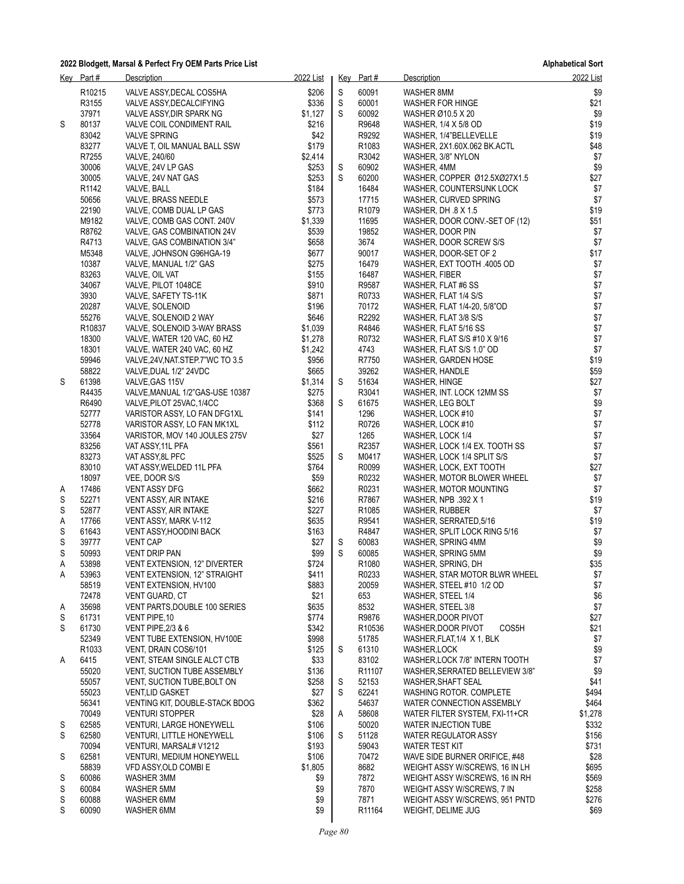**Alphabetical Sort**

|        | Key Part#          | <b>Description</b>                                                | 2022 List        |        | Key Part#                  | <b>Description</b>                                           | 2022 List      |
|--------|--------------------|-------------------------------------------------------------------|------------------|--------|----------------------------|--------------------------------------------------------------|----------------|
|        | R <sub>10215</sub> | VALVE ASSY, DECAL COS5HA                                          | \$206            | S      | 60091                      | WASHER 8MM                                                   | \$9            |
|        | R3155              | VALVE ASSY, DECALCIFYING                                          | \$336            | S      | 60001                      | WASHER FOR HINGE                                             | \$21           |
|        | 37971              | VALVE ASSY, DIR SPARK NG                                          | \$1,127          | S      | 60092                      | WASHER Ø10.5 X 20                                            | \$9            |
| S      | 80137              | VALVE COIL CONDIMENT RAIL                                         | \$216            |        | R9648                      | WASHER, 1/4 X 5/8 OD                                         | \$19           |
|        | 83042              | <b>VALVE SPRING</b>                                               | \$42             |        | R9292                      | WASHER, 1/4"BELLEVELLE                                       | \$19           |
|        | 83277<br>R7255     | VALVE T, OIL MANUAL BALL SSW                                      | \$179<br>\$2,414 |        | R1083<br>R3042             | WASHER, 2X1.60X.062 BK.ACTL                                  | \$48<br>\$7    |
|        | 30006              | VALVE, 240/60<br>VALVE, 24V LP GAS                                | \$253            | S      | 60902                      | WASHER, 3/8" NYLON<br>WASHER, 4MM                            | \$9            |
|        | 30005              | VALVE, 24V NAT GAS                                                | \$253            | S      | 60200                      | WASHER, COPPER Ø12.5XØ27X1.5                                 | \$27           |
|        | R <sub>1142</sub>  | VALVE, BALL                                                       | \$184            |        | 16484                      | WASHER, COUNTERSUNK LOCK                                     | $$7$           |
|        | 50656              | VALVE, BRASS NEEDLE                                               | \$573            |        | 17715                      | WASHER, CURVED SPRING                                        | \$7            |
|        | 22190              | VALVE, COMB DUAL LP GAS                                           | \$773            |        | R <sub>1079</sub>          | WASHER, DH .8 X 1.5                                          | \$19           |
|        | M9182              | VALVE, COMB GAS CONT. 240V                                        | \$1,339          |        | 11695                      | WASHER, DOOR CONV.-SET OF (12)                               | \$51           |
|        | R8762              | VALVE, GAS COMBINATION 24V                                        | \$539            |        | 19852                      | WASHER, DOOR PIN                                             | \$7            |
|        | R4713              | VALVE, GAS COMBINATION 3/4"                                       | \$658            |        | 3674                       | WASHER, DOOR SCREW S/S                                       | \$7            |
|        | M5348              | VALVE, JOHNSON G96HGA-19                                          | \$677            |        | 90017                      | WASHER, DOOR-SET OF 2                                        | \$17           |
|        | 10387              | VALVE, MANUAL 1/2" GAS                                            | \$275            |        | 16479                      | WASHER, EXT TOOTH .4005 OD                                   | \$7            |
|        | 83263              | VALVE, OIL VAT                                                    | \$155            |        | 16487                      | WASHER, FIBER                                                | $$7$           |
|        | 34067              | VALVE, PILOT 1048CE                                               | \$910            |        | R9587                      | WASHER, FLAT #6 SS                                           | $$7\,$         |
|        | 3930<br>20287      | VALVE, SAFETY TS-11K<br>VALVE, SOLENOID                           | \$871<br>\$196   |        | R0733<br>70172             | WASHER, FLAT 1/4 S/S<br>WASHER, FLAT 1/4-20, 5/8"OD          | $$7\,$<br>$$7$ |
|        | 55276              | VALVE, SOLENOID 2 WAY                                             | \$646            |        | R2292                      | WASHER, FLAT 3/8 S/S                                         | $$7$           |
|        | R <sub>10837</sub> | VALVE, SOLENOID 3-WAY BRASS                                       | \$1,039          |        | R4846                      | WASHER, FLAT 5/16 SS                                         | $$7$           |
|        | 18300              | VALVE, WATER 120 VAC, 60 HZ                                       | \$1,278          |        | R0732                      | WASHER, FLAT S/S #10 X 9/16                                  | $$7$           |
|        | 18301              | VALVE, WATER 240 VAC, 60 HZ                                       | \$1,242          |        | 4743                       | WASHER, FLAT S/S 1.0" OD                                     | \$7            |
|        | 59946              | VALVE, 24V, NAT. STEP. 7"WC TO 3.5                                | \$956            |        | R7750                      | WASHER, GARDEN HOSE                                          | \$19           |
|        | 58822              | VALVE, DUAL 1/2" 24VDC                                            | \$665            |        | 39262                      | WASHER, HANDLE                                               | \$59           |
| S      | 61398              | VALVE, GAS 115V                                                   | \$1,314          | S      | 51634                      | WASHER, HINGE                                                | \$27           |
|        | R4435              | VALVE, MANUAL 1/2"GAS-USE 10387                                   | \$275            |        | R3041                      | WASHER, INT. LOCK 12MM SS                                    | \$7            |
|        | R6490              | VALVE, PILOT 25VAC, 1/4CC                                         | \$368            | S      | 61675                      | WASHER, LEG BOLT                                             | \$9            |
|        | 52777              | VARISTOR ASSY, LO FAN DFG1XL                                      | \$141            |        | 1296                       | WASHER, LOCK #10                                             | \$7            |
|        | 52778              | VARISTOR ASSY, LO FAN MK1XL                                       | \$112            |        | R0726                      | WASHER, LOCK #10                                             | $$7$           |
|        | 33564<br>83256     | VARISTOR, MOV 140 JOULES 275V<br>VAT ASSY, 11L PFA                | \$27<br>\$561    |        | 1265<br>R2357              | WASHER, LOCK 1/4<br>WASHER, LOCK 1/4 EX. TOOTH SS            | $$7\,$<br>$$7$ |
|        | 83273              | VAT ASSY, 8L PFC                                                  | \$525            | S      | M0417                      | WASHER, LOCK 1/4 SPLIT S/S                                   | \$7            |
|        | 83010              | VAT ASSY, WELDED 11L PFA                                          | \$764            |        | R0099                      | WASHER, LOCK, EXT TOOTH                                      | \$27           |
|        | 18097              | VEE, DOOR S/S                                                     | \$59             |        | R0232                      | WASHER, MOTOR BLOWER WHEEL                                   | \$7            |
| A      | 17486              | <b>VENT ASSY DFG</b>                                              | \$662            |        | R0231                      | WASHER, MOTOR MOUNTING                                       | \$7            |
| S      | 52271              | VENT ASSY, AIR INTAKE                                             | \$216            |        | R7867                      | WASHER, NPB .392 X 1                                         | \$19           |
| S      | 52877              | VENT ASSY, AIR INTAKE                                             | \$227            |        | R <sub>1085</sub>          | WASHER, RUBBER                                               | \$7            |
| Α      | 17766              | VENT ASSY, MARK V-112                                             | \$635            |        | R9541                      | WASHER, SERRATED, 5/16                                       | \$19           |
| S      | 61643              | VENT ASSY, HOODINI BACK                                           | \$163            |        | R4847                      | WASHER, SPLIT LOCK RING 5/16                                 | \$7            |
| S      | 39777              | <b>VENT CAP</b>                                                   | \$27             | S<br>S | 60083                      | WASHER, SPRING 4MM                                           | \$9<br>\$9     |
| S<br>Α | 50993<br>53898     | <b>VENT DRIP PAN</b><br>VENT EXTENSION, 12" DIVERTER              | \$99<br>\$724    |        | 60085<br>R <sub>1080</sub> | WASHER, SPRING 5MM<br>WASHER, SPRING, DH                     | \$35           |
| Α      | 53963              | <b>VENT EXTENSION, 12" STRAIGHT</b>                               | \$411            |        | R0233                      | WASHER, STAR MOTOR BLWR WHEEL                                | $$7\,$         |
|        | 58519              | VENT EXTENSION, HV100                                             | \$883            |        | 20059                      | WASHER, STEEL #10 1/2 OD                                     | \$7            |
|        | 72478              | VENT GUARD, CT                                                    | \$21             |        | 653                        | WASHER, STEEL 1/4                                            | \$6            |
| A      | 35698              | VENT PARTS, DOUBLE 100 SERIES                                     | \$635            |        | 8532                       | WASHER, STEEL 3/8                                            | $$7$           |
| S      | 61731              | VENT PIPE, 10                                                     | \$774            |        | R9876                      | WASHER, DOOR PIVOT                                           | \$27           |
| S      | 61730              | <b>VENT PIPE, 2/3 &amp; 6</b>                                     | \$342            |        | R10536                     | WASHER, DOOR PIVOT<br>COS5H                                  | \$21           |
|        | 52349              | VENT TUBE EXTENSION, HV100E                                       | \$998            |        | 51785                      | WASHER, FLAT, 1/4 X 1, BLK                                   | \$7            |
|        | R <sub>1033</sub>  | VENT, DRAIN COS6/101                                              | \$125            | S      | 61310                      | WASHER, LOCK                                                 | \$9            |
| A      | 6415               | VENT, STEAM SINGLE ALCT CTB                                       | \$33             |        | 83102                      | WASHER, LOCK 7/8" INTERN TOOTH                               | $$7$           |
|        | 55020<br>55057     | <b>VENT, SUCTION TUBE ASSEMBLY</b><br>VENT, SUCTION TUBE, BOLT ON | \$136<br>\$258   | S      | R11107<br>52153            | WASHER, SERRATED BELLEVIEW 3/8"<br>WASHER, SHAFT SEAL        | \$9<br>\$41    |
|        | 55023              | <b>VENT,LID GASKET</b>                                            | \$27             | S      | 62241                      | WASHING ROTOR. COMPLETE                                      | \$494          |
|        | 56341              | VENTING KIT, DOUBLE-STACK BDOG                                    | \$362            |        | 54637                      | WATER CONNECTION ASSEMBLY                                    | \$464          |
|        | 70049              | <b>VENTURI STOPPER</b>                                            | \$28             | Α      | 58608                      | WATER FILTER SYSTEM, FXI-11+CR                               | \$1,278        |
| S      | 62585              | <b>VENTURI, LARGE HONEYWELL</b>                                   | \$106            |        | 50020                      | WATER INJECTION TUBE                                         | \$332          |
| S      | 62580              | <b>VENTURI, LITTLE HONEYWELL</b>                                  | \$106            | S      | 51128                      | WATER REGULATOR ASSY                                         | \$156          |
|        | 70094              | VENTURI, MARSAL# V1212                                            | \$193            |        | 59043                      | <b>WATER TEST KIT</b>                                        | \$731          |
| S      | 62581              | <b>VENTURI, MEDIUM HONEYWELL</b>                                  | \$106            |        | 70472                      | WAVE SIDE BURNER ORIFICE, #48                                | \$28           |
|        | 58839              | VFD ASSY,OLD COMBI E                                              | \$1,805          |        | 8682                       | WEIGHT ASSY W/SCREWS, 16 IN LH                               | \$695          |
| S      | 60086              | WASHER 3MM                                                        | \$9              |        | 7872                       | WEIGHT ASSY W/SCREWS, 16 IN RH                               | \$569          |
| S<br>S | 60084<br>60088     | WASHER 5MM                                                        | \$9<br>\$9       |        | 7870<br>7871               | WEIGHT ASSY W/SCREWS, 7 IN<br>WEIGHT ASSY W/SCREWS, 951 PNTD | \$258<br>\$276 |
| S      | 60090              | WASHER 6MM<br>WASHER 6MM                                          | \$9              |        | R11164                     | WEIGHT, DELIME JUG                                           | \$69           |
|        |                    |                                                                   |                  |        |                            |                                                              |                |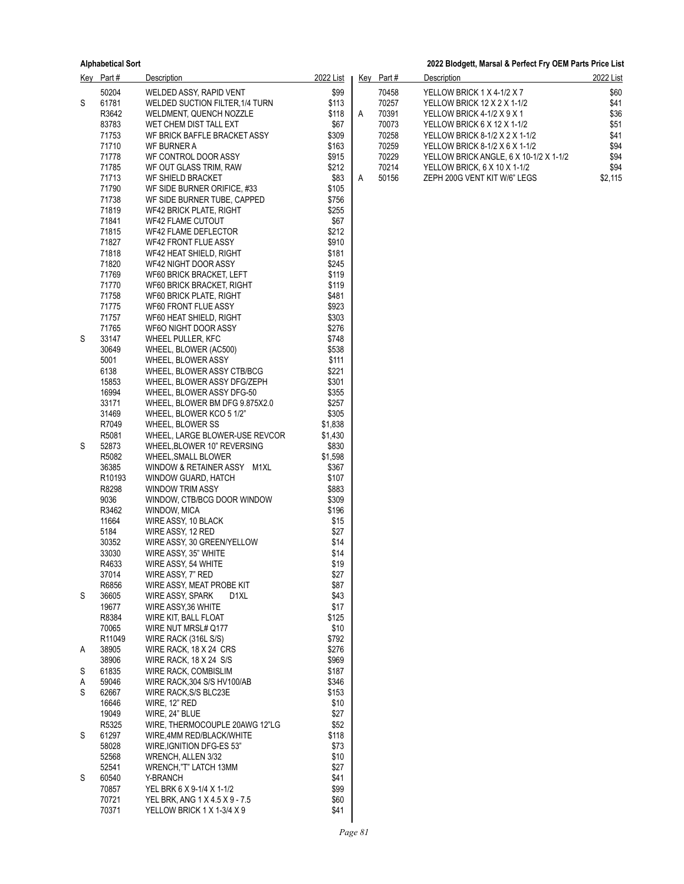|   | Key Part#          | <b>Description</b>                                 | 2022 List        |   | Key Part# | <b>Description</b>                     | 2022 List |
|---|--------------------|----------------------------------------------------|------------------|---|-----------|----------------------------------------|-----------|
|   | 50204              | WELDED ASSY, RAPID VENT                            | \$99             |   | 70458     | YELLOW BRICK 1 X 4-1/2 X 7             | \$60      |
| S | 61781              | WELDED SUCTION FILTER, 1/4 TURN                    | \$113            |   | 70257     | YELLOW BRICK 12 X 2 X 1-1/2            | \$41      |
|   | R3642              | WELDMENT, QUENCH NOZZLE                            | \$118            | Α | 70391     | YELLOW BRICK 4-1/2 X 9 X 1             | \$36      |
|   | 83783              | WET CHEM DIST TALL EXT                             | \$67             |   | 70073     | YELLOW BRICK 6 X 12 X 1-1/2            | \$51      |
|   | 71753              | WF BRICK BAFFLE BRACKET ASSY                       | \$309            |   | 70258     | YELLOW BRICK 8-1/2 X 2 X 1-1/2         | \$41      |
|   | 71710              | WF BURNER A                                        | \$163            |   | 70259     | YELLOW BRICK 8-1/2 X 6 X 1-1/2         | \$94      |
|   | 71778              | WF CONTROL DOOR ASSY                               | \$915            |   | 70229     | YELLOW BRICK ANGLE, 6 X 10-1/2 X 1-1/2 | \$94      |
|   | 71785              | WF OUT GLASS TRIM, RAW                             | \$212            |   | 70214     | YELLOW BRICK, 6 X 10 X 1-1/2           | \$94      |
|   | 71713              | WF SHIELD BRACKET                                  | \$83             | A | 50156     | ZEPH 200G VENT KIT W/6" LEGS           | \$2,115   |
|   | 71790              | WF SIDE BURNER ORIFICE, #33                        | \$105            |   |           |                                        |           |
|   | 71738              | WF SIDE BURNER TUBE, CAPPED                        | \$756            |   |           |                                        |           |
|   | 71819              | WF42 BRICK PLATE, RIGHT                            | \$255            |   |           |                                        |           |
|   | 71841              | <b>WF42 FLAME CUTOUT</b>                           | \$67             |   |           |                                        |           |
|   | 71815              | WF42 FLAME DEFLECTOR                               | \$212            |   |           |                                        |           |
|   | 71827              | WF42 FRONT FLUE ASSY                               | \$910            |   |           |                                        |           |
|   | 71818              | WF42 HEAT SHIELD, RIGHT                            | \$181            |   |           |                                        |           |
|   | 71820              | WF42 NIGHT DOOR ASSY                               | \$245            |   |           |                                        |           |
|   | 71769              | WF60 BRICK BRACKET, LEFT                           | \$119            |   |           |                                        |           |
|   | 71770              | WF60 BRICK BRACKET, RIGHT                          | \$119            |   |           |                                        |           |
|   | 71758              | WF60 BRICK PLATE, RIGHT                            | \$481            |   |           |                                        |           |
|   | 71775              | WF60 FRONT FLUE ASSY                               | \$923            |   |           |                                        |           |
|   | 71757              | WF60 HEAT SHIELD, RIGHT                            | \$303            |   |           |                                        |           |
|   | 71765              | WF6O NIGHT DOOR ASSY                               | \$276            |   |           |                                        |           |
| S | 33147              | WHEEL PULLER, KFC                                  | \$748            |   |           |                                        |           |
|   | 30649              | WHEEL, BLOWER (AC500)                              | \$538            |   |           |                                        |           |
|   | 5001               | WHEEL, BLOWER ASSY                                 | \$111            |   |           |                                        |           |
|   | 6138               | WHEEL, BLOWER ASSY CTB/BCG                         | \$221            |   |           |                                        |           |
|   | 15853              | WHEEL, BLOWER ASSY DFG/ZEPH                        | \$301            |   |           |                                        |           |
|   | 16994              | WHEEL, BLOWER ASSY DFG-50                          | \$355            |   |           |                                        |           |
|   | 33171              | WHEEL, BLOWER BM DFG 9.875X2.0                     | \$257            |   |           |                                        |           |
|   | 31469              | WHEEL, BLOWER KCO 5 1/2"                           | \$305            |   |           |                                        |           |
|   | R7049              | WHEEL, BLOWER SS                                   | \$1,838          |   |           |                                        |           |
|   | R5081              | WHEEL, LARGE BLOWER-USE REVCOR                     | \$1,430          |   |           |                                        |           |
| S | 52873<br>R5082     | WHEEL, BLOWER 10" REVERSING                        | \$830            |   |           |                                        |           |
|   | 36385              | WHEEL, SMALL BLOWER<br>WINDOW & RETAINER ASSY M1XL | \$1,598<br>\$367 |   |           |                                        |           |
|   | R <sub>10193</sub> | WINDOW GUARD, HATCH                                | \$107            |   |           |                                        |           |
|   | R8298              | WINDOW TRIM ASSY                                   | \$883            |   |           |                                        |           |
|   | 9036               | WINDOW, CTB/BCG DOOR WINDOW                        | \$309            |   |           |                                        |           |
|   | R3462              | WINDOW, MICA                                       | \$196            |   |           |                                        |           |
|   | 11664              | WIRE ASSY, 10 BLACK                                | \$15             |   |           |                                        |           |
|   | 5184               | WIRE ASSY, 12 RED                                  | \$27             |   |           |                                        |           |
|   | 30352              | WIRE ASSY, 30 GREEN/YELLOW                         | \$14             |   |           |                                        |           |
|   | 33030              | WIRE ASSY, 35" WHITE                               | \$14             |   |           |                                        |           |
|   | R4633              | WIRE ASSY, 54 WHITE                                | \$19             |   |           |                                        |           |
|   | 37014              | WIRE ASSY, 7" RED                                  | \$27             |   |           |                                        |           |
|   | R6856              | WIRE ASSY, MEAT PROBE KIT                          | \$87             |   |           |                                        |           |
| S | 36605              | WIRE ASSY, SPARK<br>D1XL                           | \$43             |   |           |                                        |           |
|   | 19677              | WIRE ASSY, 36 WHITE                                | \$17             |   |           |                                        |           |
|   | R8384              | WIRE KIT, BALL FLOAT                               | \$125            |   |           |                                        |           |
|   | 70065              | WIRE NUT MRSL# Q177                                | \$10             |   |           |                                        |           |
|   | R11049             | WIRE RACK (316L S/S)                               | \$792            |   |           |                                        |           |
| A | 38905              | WIRE RACK, 18 X 24 CRS                             | \$276            |   |           |                                        |           |
|   | 38906              | WIRE RACK, 18 X 24 S/S                             | \$969            |   |           |                                        |           |
| S | 61835              | WIRE RACK, COMBISLIM                               | \$187            |   |           |                                        |           |
| Α | 59046              | WIRE RACK, 304 S/S HV100/AB                        | \$346            |   |           |                                        |           |
| S | 62667              | WIRE RACK, S/S BLC23E                              | \$153            |   |           |                                        |           |
|   | 16646              | WIRE, 12" RED                                      | \$10             |   |           |                                        |           |
|   | 19049              | WIRE, 24" BLUE                                     | \$27             |   |           |                                        |           |
|   | R5325              | WIRE, THERMOCOUPLE 20AWG 12"LG                     | \$52             |   |           |                                        |           |
| S | 61297              | WIRE, 4MM RED/BLACK/WHITE                          | \$118            |   |           |                                        |           |
|   | 58028              | WIRE, IGNITION DFG-ES 53"                          | \$73             |   |           |                                        |           |
|   | 52568              | WRENCH, ALLEN 3/32                                 | \$10             |   |           |                                        |           |
|   | 52541              | WRENCH,"T" LATCH 13MM                              | \$27             |   |           |                                        |           |
| S | 60540              | Y-BRANCH                                           | \$41             |   |           |                                        |           |
|   | 70857              | YEL BRK 6 X 9-1/4 X 1-1/2                          | \$99             |   |           |                                        |           |
|   | 70721              | YEL BRK, ANG 1 X 4.5 X 9 - 7.5                     | \$60             |   |           |                                        |           |
|   | 70371              | YELLOW BRICK 1 X 1-3/4 X 9                         | \$41             |   |           |                                        |           |

| Kev | Part# | Description                            | 2022 List |
|-----|-------|----------------------------------------|-----------|
|     | 70458 | YELLOW BRICK 1 X 4-1/2 X 7             | \$60      |
|     | 70257 | YELLOW BRICK 12 X 2 X 1-1/2            | \$41      |
| А   | 70391 | YELLOW BRICK 4-1/2 X 9 X 1             | \$36      |
|     | 70073 | YELLOW BRICK 6 X 12 X 1-1/2            | \$51      |
|     | 70258 | YELLOW BRICK 8-1/2 X 2 X 1-1/2         | \$41      |
|     | 70259 | YELLOW BRICK 8-1/2 X 6 X 1-1/2         | \$94      |
|     | 70229 | YELLOW BRICK ANGLE, 6 X 10-1/2 X 1-1/2 | \$94      |
|     | 70214 | YELLOW BRICK, 6 X 10 X 1-1/2           | \$94      |
| А   | 50156 | ZEPH 200G VENT KIT W/6" LEGS           | \$2.115   |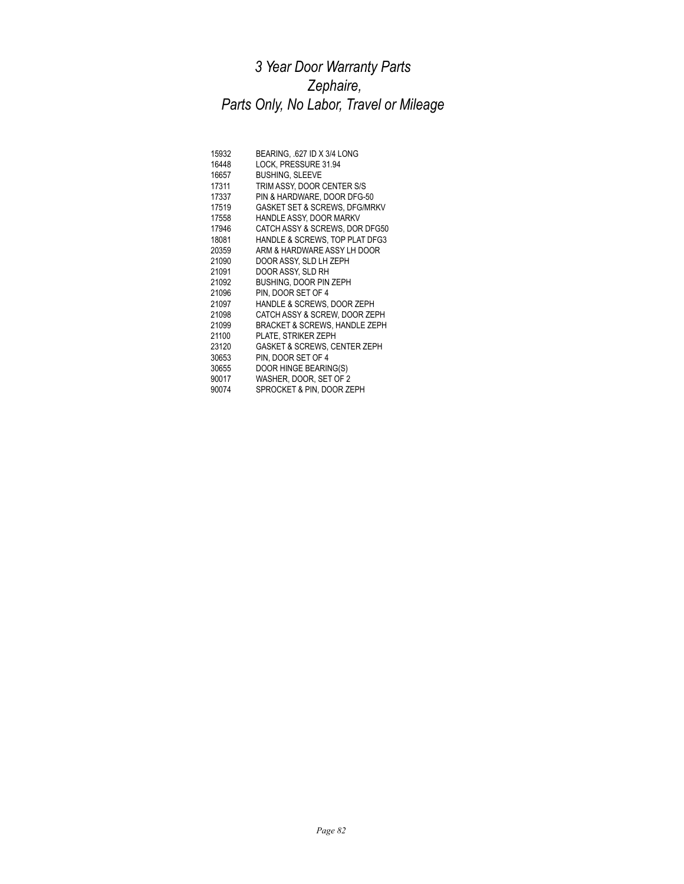# *3 Year Door Warranty Parts Zephaire, Parts Only, No Labor, Travel or Mileage*

| 15932 | BEARING, .627 ID X 3/4 LONG              |
|-------|------------------------------------------|
| 16448 | LOCK, PRESSURE 31.94                     |
| 16657 | <b>BUSHING, SLEEVE</b>                   |
| 17311 | TRIM ASSY, DOOR CENTER S/S               |
| 17337 | PIN & HARDWARE, DOOR DFG-50              |
| 17519 | <b>GASKET SET &amp; SCREWS, DFG/MRKV</b> |
| 17558 | HANDLE ASSY, DOOR MARKV                  |
| 17946 | CATCH ASSY & SCREWS, DOR DFG50           |
| 18081 | HANDLE & SCREWS, TOP PLAT DFG3           |
| 20359 | ARM & HARDWARE ASSY LH DOOR              |
| 21090 | DOOR ASSY. SLD LH ZEPH                   |
| 21091 | DOOR ASSY, SLD RH                        |
| 21092 | <b>BUSHING, DOOR PIN ZEPH</b>            |
| 21096 | PIN. DOOR SET OF 4                       |
| 21097 | HANDLE & SCREWS, DOOR ZEPH               |
| 21098 | CATCH ASSY & SCREW, DOOR ZEPH            |
| 21099 | <b>BRACKET &amp; SCREWS, HANDLE ZEPH</b> |
| 21100 | PLATE. STRIKER ZEPH                      |
| 23120 | <b>GASKET &amp; SCREWS, CENTER ZEPH</b>  |
| 30653 | PIN. DOOR SET OF 4                       |
| 30655 | DOOR HINGE BEARING(S)                    |
| 90017 | WASHER, DOOR, SET OF 2                   |
| 90074 | SPROCKET & PIN, DOOR ZEPH                |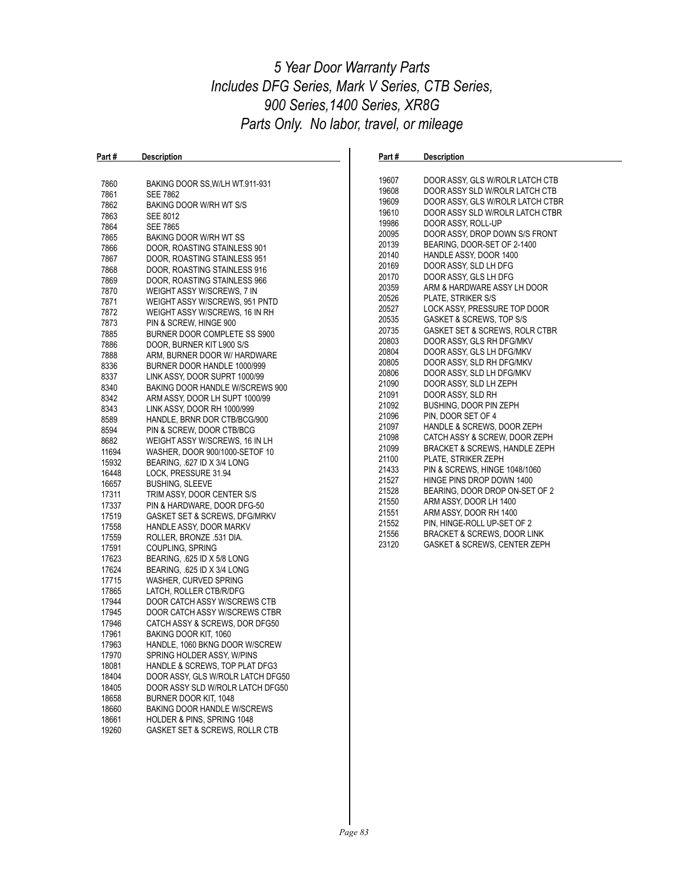### *5 Year Door Warranty Parts Includes DFG Series, Mark V Series, CTB Series, 900 Series,1400 Series, XR8G Parts Only. No labor, travel, or mileage*

| Part #         | <b>Description</b>                                           | Part # | <b>Description</b>               |
|----------------|--------------------------------------------------------------|--------|----------------------------------|
|                |                                                              |        |                                  |
| 7860           | BAKING DOOR SS, W/LH WT.911-931                              | 19607  | DOOR ASSY, GLS W/ROLR LATCH CTB  |
| 7861           | <b>SEE 7862</b>                                              | 19608  | DOOR ASSY SLD W/ROLR LATCH CTB   |
| 7862           | BAKING DOOR W/RH WT S/S                                      | 19609  | DOOR ASSY, GLS W/ROLR LATCH CTBR |
| 7863           | <b>SEE 8012</b>                                              | 19610  | DOOR ASSY SLD W/ROLR LATCH CTBR  |
| 7864           | <b>SEE 7865</b>                                              | 19986  | DOOR ASSY, ROLL-UP               |
| 7865           | BAKING DOOR W/RH WT SS                                       | 20095  | DOOR ASSY, DROP DOWN S/S FRONT   |
| 7866           |                                                              | 20139  | BEARING, DOOR-SET OF 2-1400      |
| 7867           | DOOR, ROASTING STAINLESS 901<br>DOOR, ROASTING STAINLESS 951 | 20140  | HANDLE ASSY, DOOR 1400           |
| 7868           |                                                              | 20169  | DOOR ASSY, SLD LH DFG            |
|                | DOOR, ROASTING STAINLESS 916                                 | 20170  | DOOR ASSY, GLS LH DFG            |
| 7869<br>7870   | DOOR, ROASTING STAINLESS 966<br>WEIGHT ASSY W/SCREWS, 7 IN   | 20359  | ARM & HARDWARE ASSY LH DOOR      |
| 7871           | WEIGHT ASSY W/SCREWS, 951 PNTD                               | 20526  | PLATE, STRIKER S/S               |
| 7872           |                                                              | 20527  | LOCK ASSY, PRESSURE TOP DOOR     |
| 7873           | WEIGHT ASSY W/SCREWS, 16 IN RH                               | 20535  | GASKET & SCREWS, TOP S/S         |
|                | PIN & SCREW, HINGE 900                                       | 20735  | GASKET SET & SCREWS, ROLR CTBR   |
| 7885<br>7886   | BURNER DOOR COMPLETE SS S900                                 | 20803  | DOOR ASSY, GLS RH DFG/MKV        |
|                | DOOR, BURNER KIT L900 S/S                                    | 20804  | DOOR ASSY, GLS LH DFG/MKV        |
| 7888<br>8336   | ARM, BURNER DOOR W/ HARDWARE                                 | 20805  | DOOR ASSY, SLD RH DFG/MKV        |
|                | BURNER DOOR HANDLE 1000/999                                  | 20806  | DOOR ASSY, SLD LH DFG/MKV        |
| 8337           | LINK ASSY, DOOR SUPRT 1000/99                                | 21090  | DOOR ASSY, SLD LH ZEPH           |
| 8340           | BAKING DOOR HANDLE W/SCREWS 900                              | 21091  | DOOR ASSY, SLD RH                |
| 8342           | ARM ASSY, DOOR LH SUPT 1000/99                               | 21092  | BUSHING, DOOR PIN ZEPH           |
| 8343<br>8589   | LINK ASSY, DOOR RH 1000/999                                  | 21096  | PIN. DOOR SET OF 4               |
|                | HANDLE, BRNR DOR CTB/BCG/900                                 | 21097  | HANDLE & SCREWS, DOOR ZEPH       |
| 8594           | PIN & SCREW, DOOR CTB/BCG                                    | 21098  | CATCH ASSY & SCREW, DOOR ZEPH    |
| 8682           | WEIGHT ASSY W/SCREWS, 16 IN LH                               | 21099  | BRACKET & SCREWS, HANDLE ZEPH    |
| 11694          | WASHER, DOOR 900/1000-SETOF 10                               | 21100  | PLATE, STRIKER ZEPH              |
| 15932<br>16448 | BEARING, .627 ID X 3/4 LONG<br>LOCK, PRESSURE 31.94          | 21433  | PIN & SCREWS, HINGE 1048/1060    |
| 16657          |                                                              | 21527  | HINGE PINS DROP DOWN 1400        |
|                | <b>BUSHING, SLEEVE</b>                                       | 21528  | BEARING, DOOR DROP ON-SET OF 2   |
| 17311<br>17337 | TRIM ASSY, DOOR CENTER S/S                                   | 21550  | ARM ASSY, DOOR LH 1400           |
| 17519          | PIN & HARDWARE, DOOR DFG-50                                  | 21551  | ARM ASSY, DOOR RH 1400           |
| 17558          | GASKET SET & SCREWS, DFG/MRKV<br>HANDLE ASSY, DOOR MARKV     | 21552  | PIN, HINGE-ROLL UP-SET OF 2      |
| 17559          | ROLLER, BRONZE .531 DIA.                                     | 21556  | BRACKET & SCREWS, DOOR LINK      |
| 17591          | COUPLING, SPRING                                             | 23120  | GASKET & SCREWS, CENTER ZEPH     |
| 17623          | BEARING, .625 ID X 5/8 LONG                                  |        |                                  |
| 17624          | BEARING, .625 ID X 3/4 LONG                                  |        |                                  |
| 17715          | WASHER, CURVED SPRING                                        |        |                                  |
| 17865          | LATCH, ROLLER CTB/R/DFG                                      |        |                                  |
| 17944          | DOOR CATCH ASSY W/SCREWS CTB                                 |        |                                  |
| 17945          | DOOR CATCH ASSY W/SCREWS CTBR                                |        |                                  |
| 17946          | CATCH ASSY & SCREWS, DOR DFG50                               |        |                                  |
| 17961          | BAKING DOOR KIT, 1060                                        |        |                                  |
| 17963          | HANDLE, 1060 BKNG DOOR W/SCREW                               |        |                                  |
| 17970          | SPRING HOLDER ASSY, W/PINS                                   |        |                                  |
| 18081          | HANDLE & SCREWS, TOP PLAT DFG3                               |        |                                  |
| 18404          | DOOR ASSY, GLS W/ROLR LATCH DFG50                            |        |                                  |
| 18405          | DOOR ASSY SLD W/ROLR LATCH DFG50                             |        |                                  |
| 18658          | BURNER DOOR KIT, 1048                                        |        |                                  |
| 18660          | <b>BAKING DOOR HANDLE W/SCREWS</b>                           |        |                                  |
| 18661          | HOLDER & PINS, SPRING 1048                                   |        |                                  |
| 19260          | GASKET SET & SCREWS, ROLLR CTB                               |        |                                  |
|                |                                                              |        |                                  |